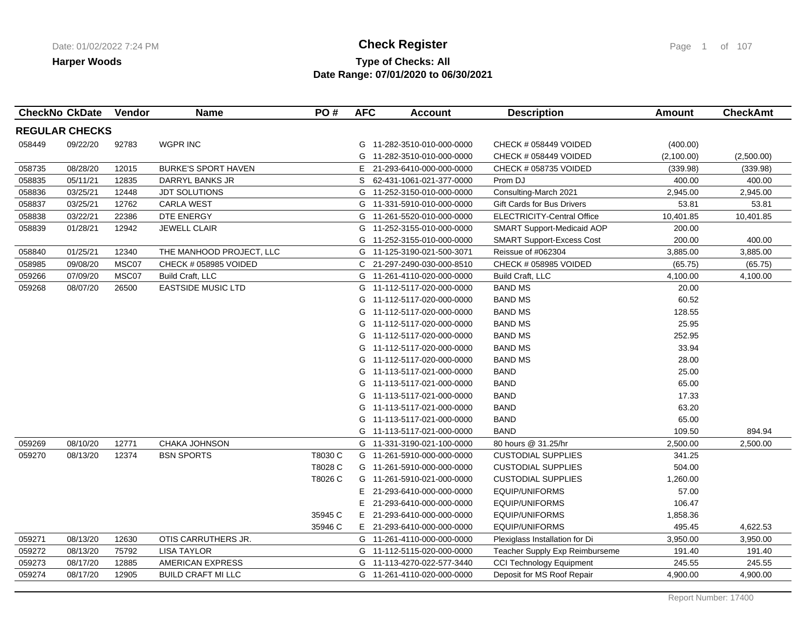## **Type of Checks: All Check Register Check Register Check Register Page 1 of 107 Date Range: 07/01/2020 to 06/30/2021**

| <b>CheckNo CkDate</b> |          | <b>Vendor</b> | <b>Name</b>                | PO#     | <b>AFC</b> | <b>Account</b>             | <b>Description</b>                | Amount     | <b>CheckAmt</b> |
|-----------------------|----------|---------------|----------------------------|---------|------------|----------------------------|-----------------------------------|------------|-----------------|
| <b>REGULAR CHECKS</b> |          |               |                            |         |            |                            |                                   |            |                 |
| 058449                | 09/22/20 | 92783         | <b>WGPR INC</b>            |         | G          | 11-282-3510-010-000-0000   | CHECK # 058449 VOIDED             | (400.00)   |                 |
|                       |          |               |                            |         | G          | 11-282-3510-010-000-0000   | CHECK # 058449 VOIDED             | (2,100.00) | (2,500.00)      |
| 058735                | 08/28/20 | 12015         | <b>BURKE'S SPORT HAVEN</b> |         | Е.         | 21-293-6410-000-000-0000   | CHECK # 058735 VOIDED             | (339.98)   | (339.98)        |
| 058835                | 05/11/21 | 12835         | DARRYL BANKS JR            |         | S.         | 62-431-1061-021-377-0000   | Prom DJ                           | 400.00     | 400.00          |
| 058836                | 03/25/21 | 12448         | <b>JDT SOLUTIONS</b>       |         | G          | 11-252-3150-010-000-0000   | Consulting-March 2021             | 2,945.00   | 2,945.00        |
| 058837                | 03/25/21 | 12762         | <b>CARLA WEST</b>          |         | G          | 11-331-5910-010-000-0000   | Gift Cards for Bus Drivers        | 53.81      | 53.81           |
| 058838                | 03/22/21 | 22386         | DTE ENERGY                 |         | G          | 11-261-5520-010-000-0000   | <b>ELECTRICITY-Central Office</b> | 10,401.85  | 10,401.85       |
| 058839                | 01/28/21 | 12942         | <b>JEWELL CLAIR</b>        |         | G          | 11-252-3155-010-000-0000   | SMART Support-Medicaid AOP        | 200.00     |                 |
|                       |          |               |                            |         | G          | 11-252-3155-010-000-0000   | <b>SMART Support-Excess Cost</b>  | 200.00     | 400.00          |
| 058840                | 01/25/21 | 12340         | THE MANHOOD PROJECT, LLC   |         | G          | 11-125-3190-021-500-3071   | Reissue of #062304                | 3,885.00   | 3,885.00        |
| 058985                | 09/08/20 | MSC07         | CHECK # 058985 VOIDED      |         |            | C 21-297-2490-030-000-8510 | CHECK # 058985 VOIDED             | (65.75)    | (65.75)         |
| 059266                | 07/09/20 | MSC07         | Build Craft, LLC           |         | G          | 11-261-4110-020-000-0000   | Build Craft, LLC                  | 4,100.00   | 4,100.00        |
| 059268                | 08/07/20 | 26500         | <b>EASTSIDE MUSIC LTD</b>  |         | G          | 11-112-5117-020-000-0000   | <b>BAND MS</b>                    | 20.00      |                 |
|                       |          |               |                            |         | G          | 11-112-5117-020-000-0000   | <b>BAND MS</b>                    | 60.52      |                 |
|                       |          |               |                            |         | G          | 11-112-5117-020-000-0000   | <b>BAND MS</b>                    | 128.55     |                 |
|                       |          |               |                            |         | G          | 11-112-5117-020-000-0000   | <b>BAND MS</b>                    | 25.95      |                 |
|                       |          |               |                            |         | G          | 11-112-5117-020-000-0000   | <b>BAND MS</b>                    | 252.95     |                 |
|                       |          |               |                            |         | G          | 11-112-5117-020-000-0000   | <b>BAND MS</b>                    | 33.94      |                 |
|                       |          |               |                            |         | G          | 11-112-5117-020-000-0000   | <b>BAND MS</b>                    | 28.00      |                 |
|                       |          |               |                            |         | G          | 11-113-5117-021-000-0000   | <b>BAND</b>                       | 25.00      |                 |
|                       |          |               |                            |         | G          | 11-113-5117-021-000-0000   | <b>BAND</b>                       | 65.00      |                 |
|                       |          |               |                            |         | G          | 11-113-5117-021-000-0000   | <b>BAND</b>                       | 17.33      |                 |
|                       |          |               |                            |         | G          | 11-113-5117-021-000-0000   | <b>BAND</b>                       | 63.20      |                 |
|                       |          |               |                            |         | G          | 11-113-5117-021-000-0000   | <b>BAND</b>                       | 65.00      |                 |
|                       |          |               |                            |         | G          | 11-113-5117-021-000-0000   | <b>BAND</b>                       | 109.50     | 894.94          |
| 059269                | 08/10/20 | 12771         | CHAKA JOHNSON              |         | G          | 11-331-3190-021-100-0000   | 80 hours @ 31.25/hr               | 2,500.00   | 2,500.00        |
| 059270                | 08/13/20 | 12374         | <b>BSN SPORTS</b>          | T8030 C | G          | 11-261-5910-000-000-0000   | <b>CUSTODIAL SUPPLIES</b>         | 341.25     |                 |
|                       |          |               |                            | T8028 C | G          | 11-261-5910-000-000-0000   | <b>CUSTODIAL SUPPLIES</b>         | 504.00     |                 |
|                       |          |               |                            | T8026 C | G          | 11-261-5910-021-000-0000   | <b>CUSTODIAL SUPPLIES</b>         | 1,260.00   |                 |
|                       |          |               |                            |         | E          | 21-293-6410-000-000-0000   | EQUIP/UNIFORMS                    | 57.00      |                 |
|                       |          |               |                            |         | E          | 21-293-6410-000-000-0000   | EQUIP/UNIFORMS                    | 106.47     |                 |
|                       |          |               |                            | 35945 C | E          | 21-293-6410-000-000-0000   | EQUIP/UNIFORMS                    | 1,858.36   |                 |
|                       |          |               |                            | 35946 C |            | E 21-293-6410-000-000-0000 | <b>EQUIP/UNIFORMS</b>             | 495.45     | 4,622.53        |
| 059271                | 08/13/20 | 12630         | OTIS CARRUTHERS JR.        |         |            | G 11-261-4110-000-000-0000 | Plexiglass Installation for Di    | 3,950.00   | 3,950.00        |
| 059272                | 08/13/20 | 75792         | <b>LISA TAYLOR</b>         |         | G          | 11-112-5115-020-000-0000   | Teacher Supply Exp Reimburseme    | 191.40     | 191.40          |
| 059273                | 08/17/20 | 12885         | AMERICAN EXPRESS           |         | G          | 11-113-4270-022-577-3440   | <b>CCI Technology Equipment</b>   | 245.55     | 245.55          |
| 059274                | 08/17/20 | 12905         | <b>BUILD CRAFT MI LLC</b>  |         |            | G 11-261-4110-020-000-0000 | Deposit for MS Roof Repair        | 4,900.00   | 4,900.00        |
|                       |          |               |                            |         |            |                            |                                   |            |                 |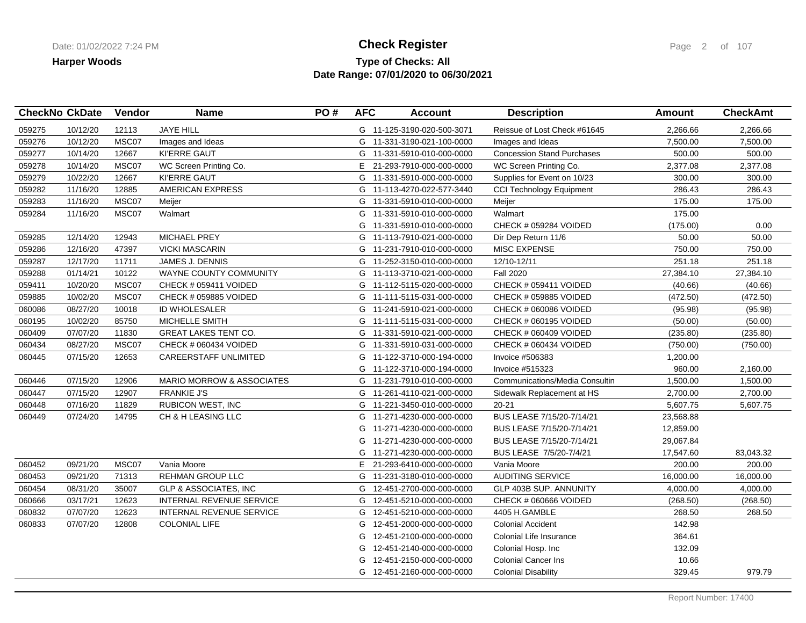## **Type of Checks: All Check Register Check Register Check Register Page 2 of 107 Date Range: 07/01/2020 to 06/30/2021**

| <b>CheckNo CkDate</b> |          | Vendor | <b>Name</b>                          | PO# | <b>AFC</b> | <b>Account</b>             | <b>Description</b>                | <b>Amount</b> | <b>CheckAmt</b> |
|-----------------------|----------|--------|--------------------------------------|-----|------------|----------------------------|-----------------------------------|---------------|-----------------|
| 059275                | 10/12/20 | 12113  | <b>JAYE HILL</b>                     |     |            | G 11-125-3190-020-500-3071 | Reissue of Lost Check #61645      | 2,266.66      | 2,266.66        |
| 059276                | 10/12/20 | MSC07  | Images and Ideas                     |     |            | G 11-331-3190-021-100-0000 | Images and Ideas                  | 7,500.00      | 7,500.00        |
| 059277                | 10/14/20 | 12667  | KI'ERRE GAUT                         |     |            | G 11-331-5910-010-000-0000 | <b>Concession Stand Purchases</b> | 500.00        | 500.00          |
| 059278                | 10/14/20 | MSC07  | WC Screen Printing Co.               |     | E.         | 21-293-7910-000-000-0000   | WC Screen Printing Co.            | 2,377.08      | 2,377.08        |
| 059279                | 10/22/20 | 12667  | <b>KI'ERRE GAUT</b>                  |     |            | G 11-331-5910-000-000-0000 | Supplies for Event on 10/23       | 300.00        | 300.00          |
| 059282                | 11/16/20 | 12885  | <b>AMERICAN EXPRESS</b>              |     |            | G 11-113-4270-022-577-3440 | <b>CCI Technology Equipment</b>   | 286.43        | 286.43          |
| 059283                | 11/16/20 | MSC07  | Meijer                               |     |            | G 11-331-5910-010-000-0000 | Meijer                            | 175.00        | 175.00          |
| 059284                | 11/16/20 | MSC07  | Walmart                              |     | G          | 11-331-5910-010-000-0000   | Walmart                           | 175.00        |                 |
|                       |          |        |                                      |     | G          | 11-331-5910-010-000-0000   | CHECK # 059284 VOIDED             | (175.00)      | 0.00            |
| 059285                | 12/14/20 | 12943  | <b>MICHAEL PREY</b>                  |     |            | G 11-113-7910-021-000-0000 | Dir Dep Return 11/6               | 50.00         | 50.00           |
| 059286                | 12/16/20 | 47397  | <b>VICKI MASCARIN</b>                |     |            | G 11-231-7910-010-000-0000 | <b>MISC EXPENSE</b>               | 750.00        | 750.00          |
| 059287                | 12/17/20 | 11711  | <b>JAMES J. DENNIS</b>               |     | G          | 11-252-3150-010-000-0000   | 12/10-12/11                       | 251.18        | 251.18          |
| 059288                | 01/14/21 | 10122  | WAYNE COUNTY COMMUNITY               |     | G          | 11-113-3710-021-000-0000   | <b>Fall 2020</b>                  | 27,384.10     | 27,384.10       |
| 059411                | 10/20/20 | MSC07  | CHECK # 059411 VOIDED                |     | G          | 11-112-5115-020-000-0000   | CHECK # 059411 VOIDED             | (40.66)       | (40.66)         |
| 059885                | 10/02/20 | MSC07  | CHECK # 059885 VOIDED                |     |            | G 11-111-5115-031-000-0000 | CHECK # 059885 VOIDED             | (472.50)      | (472.50)        |
| 060086                | 08/27/20 | 10018  | <b>ID WHOLESALER</b>                 |     | G          | 11-241-5910-021-000-0000   | CHECK # 060086 VOIDED             | (95.98)       | (95.98)         |
| 060195                | 10/02/20 | 85750  | MICHELLE SMITH                       |     |            | G 11-111-5115-031-000-0000 | CHECK # 060195 VOIDED             | (50.00)       | (50.00)         |
| 060409                | 07/07/20 | 11830  | <b>GREAT LAKES TENT CO.</b>          |     |            | G 11-331-5910-021-000-0000 | CHECK # 060409 VOIDED             | (235.80)      | (235.80)        |
| 060434                | 08/27/20 | MSC07  | CHECK # 060434 VOIDED                |     | G          | 11-331-5910-031-000-0000   | CHECK # 060434 VOIDED             | (750.00)      | (750.00)        |
| 060445                | 07/15/20 | 12653  | <b>CAREERSTAFF UNLIMITED</b>         |     | G          | 11-122-3710-000-194-0000   | Invoice #506383                   | 1,200.00      |                 |
|                       |          |        |                                      |     | G          | 11-122-3710-000-194-0000   | <b>Invoice #515323</b>            | 960.00        | 2,160.00        |
| 060446                | 07/15/20 | 12906  | <b>MARIO MORROW &amp; ASSOCIATES</b> |     |            | G 11-231-7910-010-000-0000 | Communications/Media Consultin    | 1,500.00      | 1,500.00        |
| 060447                | 07/15/20 | 12907  | <b>FRANKIE J'S</b>                   |     |            | G 11-261-4110-021-000-0000 | Sidewalk Replacement at HS        | 2,700.00      | 2,700.00        |
| 060448                | 07/16/20 | 11829  | <b>RUBICON WEST, INC</b>             |     |            | G 11-221-3450-010-000-0000 | $20 - 21$                         | 5,607.75      | 5,607.75        |
| 060449                | 07/24/20 | 14795  | CH & H LEASING LLC                   |     | G          | 11-271-4230-000-000-0000   | BUS LEASE 7/15/20-7/14/21         | 23,568.88     |                 |
|                       |          |        |                                      |     | G          | 11-271-4230-000-000-0000   | BUS LEASE 7/15/20-7/14/21         | 12,859.00     |                 |
|                       |          |        |                                      |     | G          | 11-271-4230-000-000-0000   | BUS LEASE 7/15/20-7/14/21         | 29,067.84     |                 |
|                       |          |        |                                      |     | G          | 11-271-4230-000-000-0000   | BUS LEASE 7/5/20-7/4/21           | 17,547.60     | 83,043.32       |
| 060452                | 09/21/20 | MSC07  | Vania Moore                          |     | E.         | 21-293-6410-000-000-0000   | Vania Moore                       | 200.00        | 200.00          |
| 060453                | 09/21/20 | 71313  | <b>REHMAN GROUP LLC</b>              |     | G          | 11-231-3180-010-000-0000   | <b>AUDITING SERVICE</b>           | 16,000.00     | 16,000.00       |
| 060454                | 08/31/20 | 35007  | <b>GLP &amp; ASSOCIATES, INC</b>     |     | G          | 12-451-2700-000-000-0000   | GLP 403B SUP. ANNUNITY            | 4,000.00      | 4,000.00        |
| 060666                | 03/17/21 | 12623  | <b>INTERNAL REVENUE SERVICE</b>      |     | G          | 12-451-5210-000-000-0000   | CHECK # 060666 VOIDED             | (268.50)      | (268.50)        |
| 060832                | 07/07/20 | 12623  | <b>INTERNAL REVENUE SERVICE</b>      |     | G          | 12-451-5210-000-000-0000   | 4405 H.GAMBLE                     | 268.50        | 268.50          |
| 060833                | 07/07/20 | 12808  | <b>COLONIAL LIFE</b>                 |     | G          | 12-451-2000-000-000-0000   | <b>Colonial Accident</b>          | 142.98        |                 |
|                       |          |        |                                      |     | G          | 12-451-2100-000-000-0000   | Colonial Life Insurance           | 364.61        |                 |
|                       |          |        |                                      |     | G          | 12-451-2140-000-000-0000   | Colonial Hosp. Inc                | 132.09        |                 |
|                       |          |        |                                      |     | G          | 12-451-2150-000-000-0000   | <b>Colonial Cancer Ins</b>        | 10.66         |                 |
|                       |          |        |                                      |     |            | G 12-451-2160-000-000-0000 | <b>Colonial Disability</b>        | 329.45        | 979.79          |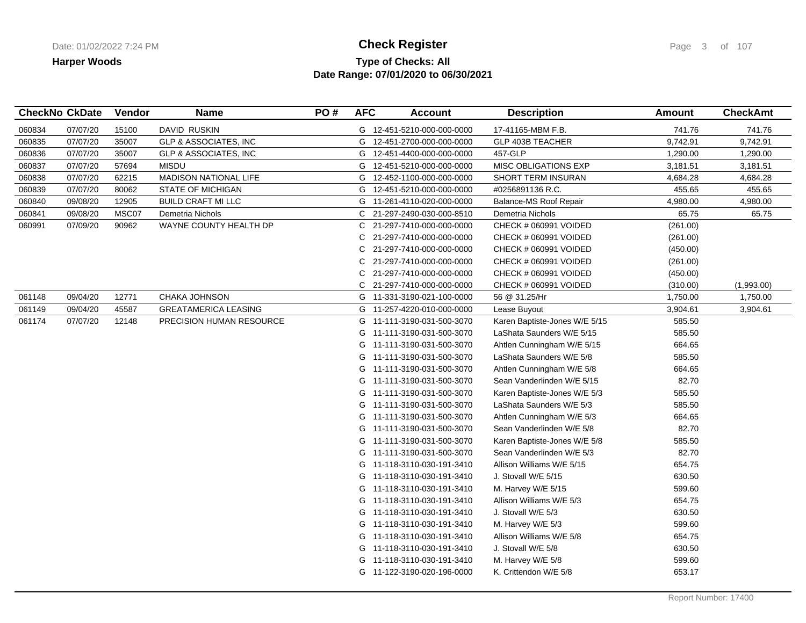## **Type of Checks: All Check Register Check Register Check Register Page 3 of 107 Date Range: 07/01/2020 to 06/30/2021**

|        | <b>CheckNo CkDate</b> | Vendor | <b>Name</b>                  | PO# | <b>AFC</b> | <b>Account</b>             | <b>Description</b>            | Amount   | <b>CheckAmt</b> |
|--------|-----------------------|--------|------------------------------|-----|------------|----------------------------|-------------------------------|----------|-----------------|
| 060834 | 07/07/20              | 15100  | DAVID RUSKIN                 |     |            | G 12-451-5210-000-000-0000 | 17-41165-MBM F.B.             | 741.76   | 741.76          |
| 060835 | 07/07/20              | 35007  | GLP & ASSOCIATES, INC        |     | G          | 12-451-2700-000-000-0000   | <b>GLP 403B TEACHER</b>       | 9,742.91 | 9,742.91        |
| 060836 | 07/07/20              | 35007  | GLP & ASSOCIATES, INC        |     | G          | 12-451-4400-000-000-0000   | 457-GLP                       | 1,290.00 | 1,290.00        |
| 060837 | 07/07/20              | 57694  | <b>MISDU</b>                 |     | G          | 12-451-5210-000-000-0000   | <b>MISC OBLIGATIONS EXP</b>   | 3,181.51 | 3,181.51        |
| 060838 | 07/07/20              | 62215  | <b>MADISON NATIONAL LIFE</b> |     | G          | 12-452-1100-000-000-0000   | SHORT TERM INSURAN            | 4,684.28 | 4,684.28        |
| 060839 | 07/07/20              | 80062  | <b>STATE OF MICHIGAN</b>     |     | G          | 12-451-5210-000-000-0000   | #0256891136 R.C.              | 455.65   | 455.65          |
| 060840 | 09/08/20              | 12905  | <b>BUILD CRAFT MI LLC</b>    |     |            | G 11-261-4110-020-000-0000 | Balance-MS Roof Repair        | 4,980.00 | 4,980.00        |
| 060841 | 09/08/20              | MSC07  | Demetria Nichols             |     | C.         | 21-297-2490-030-000-8510   | Demetria Nichols              | 65.75    | 65.75           |
| 060991 | 07/09/20              | 90962  | WAYNE COUNTY HEALTH DP       |     | C          | 21-297-7410-000-000-0000   | CHECK # 060991 VOIDED         | (261.00) |                 |
|        |                       |        |                              |     | C          | 21-297-7410-000-000-0000   | CHECK # 060991 VOIDED         | (261.00) |                 |
|        |                       |        |                              |     | C          | 21-297-7410-000-000-0000   | CHECK # 060991 VOIDED         | (450.00) |                 |
|        |                       |        |                              |     | С          | 21-297-7410-000-000-0000   | CHECK # 060991 VOIDED         | (261.00) |                 |
|        |                       |        |                              |     | С          | 21-297-7410-000-000-0000   | CHECK # 060991 VOIDED         | (450.00) |                 |
|        |                       |        |                              |     | C          | 21-297-7410-000-000-0000   | CHECK # 060991 VOIDED         | (310.00) | (1,993.00)      |
| 061148 | 09/04/20              | 12771  | CHAKA JOHNSON                |     | G          | 11-331-3190-021-100-0000   | 56 @ 31.25/Hr                 | 1,750.00 | 1,750.00        |
| 061149 | 09/04/20              | 45587  | <b>GREATAMERICA LEASING</b>  |     |            | G 11-257-4220-010-000-0000 | Lease Buyout                  | 3,904.61 | 3,904.61        |
| 061174 | 07/07/20              | 12148  | PRECISION HUMAN RESOURCE     |     |            | G 11-111-3190-031-500-3070 | Karen Baptiste-Jones W/E 5/15 | 585.50   |                 |
|        |                       |        |                              |     | G          | 11-111-3190-031-500-3070   | LaShata Saunders W/E 5/15     | 585.50   |                 |
|        |                       |        |                              |     | G          | 11-111-3190-031-500-3070   | Ahtlen Cunningham W/E 5/15    | 664.65   |                 |
|        |                       |        |                              |     | G          | 11-111-3190-031-500-3070   | LaShata Saunders W/E 5/8      | 585.50   |                 |
|        |                       |        |                              |     | G          | 11-111-3190-031-500-3070   | Ahtlen Cunningham W/E 5/8     | 664.65   |                 |
|        |                       |        |                              |     |            | G 11-111-3190-031-500-3070 | Sean Vanderlinden W/E 5/15    | 82.70    |                 |
|        |                       |        |                              |     | G          | 11-111-3190-031-500-3070   | Karen Baptiste-Jones W/E 5/3  | 585.50   |                 |
|        |                       |        |                              |     | G          | 11-111-3190-031-500-3070   | LaShata Saunders W/E 5/3      | 585.50   |                 |
|        |                       |        |                              |     | G          | 11-111-3190-031-500-3070   | Ahtlen Cunningham W/E 5/3     | 664.65   |                 |
|        |                       |        |                              |     | G          | 11-111-3190-031-500-3070   | Sean Vanderlinden W/E 5/8     | 82.70    |                 |
|        |                       |        |                              |     | G          | 11-111-3190-031-500-3070   | Karen Baptiste-Jones W/E 5/8  | 585.50   |                 |
|        |                       |        |                              |     | G          | 11-111-3190-031-500-3070   | Sean Vanderlinden W/E 5/3     | 82.70    |                 |
|        |                       |        |                              |     | G          | 11-118-3110-030-191-3410   | Allison Williams W/E 5/15     | 654.75   |                 |
|        |                       |        |                              |     | G          | 11-118-3110-030-191-3410   | J. Stovall W/E 5/15           | 630.50   |                 |
|        |                       |        |                              |     |            | G 11-118-3110-030-191-3410 | M. Harvey W/E 5/15            | 599.60   |                 |
|        |                       |        |                              |     | G          | 11-118-3110-030-191-3410   | Allison Williams W/E 5/3      | 654.75   |                 |
|        |                       |        |                              |     | G          | 11-118-3110-030-191-3410   | J. Stovall W/E 5/3            | 630.50   |                 |
|        |                       |        |                              |     | G          | 11-118-3110-030-191-3410   | M. Harvey W/E 5/3             | 599.60   |                 |
|        |                       |        |                              |     | G          | 11-118-3110-030-191-3410   | Allison Williams W/E 5/8      | 654.75   |                 |
|        |                       |        |                              |     | G          | 11-118-3110-030-191-3410   | J. Stovall W/E 5/8            | 630.50   |                 |
|        |                       |        |                              |     | G          | 11-118-3110-030-191-3410   | M. Harvey W/E 5/8             | 599.60   |                 |
|        |                       |        |                              |     |            | G 11-122-3190-020-196-0000 | K. Crittendon W/E 5/8         | 653.17   |                 |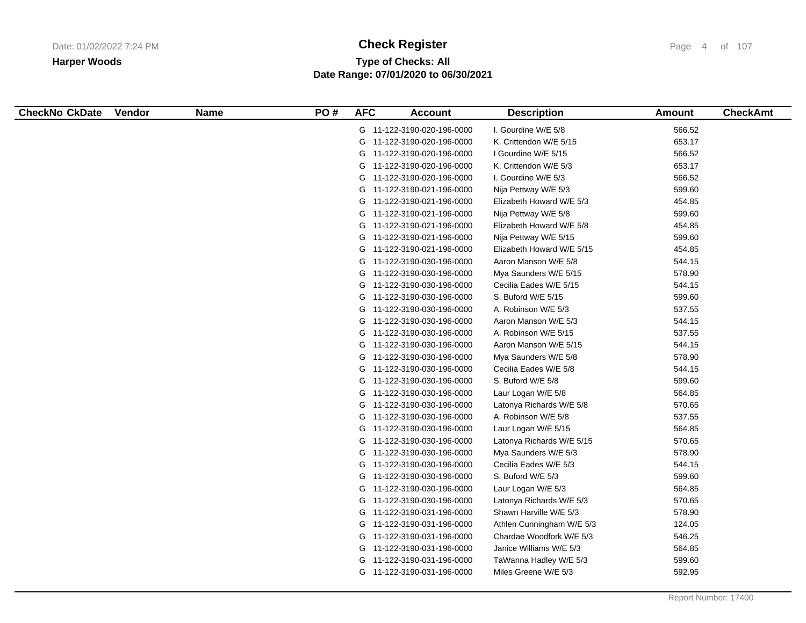# **Type of Checks: All Check Register Check Register Check Register Page 4 of 107 Date Range: 07/01/2020 to 06/30/2021**

| <b>CheckNo CkDate</b> | <b>Vendor</b> | <b>Name</b> | PO# | <b>AFC</b> | <b>Account</b>             | <b>Description</b>        | <b>Amount</b> | <b>CheckAmt</b> |
|-----------------------|---------------|-------------|-----|------------|----------------------------|---------------------------|---------------|-----------------|
|                       |               |             |     |            | G 11-122-3190-020-196-0000 | I. Gourdine W/E 5/8       | 566.52        |                 |
|                       |               |             |     |            | G 11-122-3190-020-196-0000 | K. Crittendon W/E 5/15    | 653.17        |                 |
|                       |               |             |     |            | G 11-122-3190-020-196-0000 | I Gourdine W/E 5/15       | 566.52        |                 |
|                       |               |             |     |            | G 11-122-3190-020-196-0000 | K. Crittendon W/E 5/3     | 653.17        |                 |
|                       |               |             |     |            | G 11-122-3190-020-196-0000 | I. Gourdine W/E 5/3       | 566.52        |                 |
|                       |               |             |     |            | G 11-122-3190-021-196-0000 | Nija Pettway W/E 5/3      | 599.60        |                 |
|                       |               |             |     |            | G 11-122-3190-021-196-0000 | Elizabeth Howard W/E 5/3  | 454.85        |                 |
|                       |               |             |     | G          | 11-122-3190-021-196-0000   | Nija Pettway W/E 5/8      | 599.60        |                 |
|                       |               |             |     | G          | 11-122-3190-021-196-0000   | Elizabeth Howard W/E 5/8  | 454.85        |                 |
|                       |               |             |     |            | G 11-122-3190-021-196-0000 | Nija Pettway W/E 5/15     | 599.60        |                 |
|                       |               |             |     |            | G 11-122-3190-021-196-0000 | Elizabeth Howard W/E 5/15 | 454.85        |                 |
|                       |               |             |     |            | G 11-122-3190-030-196-0000 | Aaron Manson W/E 5/8      | 544.15        |                 |
|                       |               |             |     |            | G 11-122-3190-030-196-0000 | Mya Saunders W/E 5/15     | 578.90        |                 |
|                       |               |             |     |            | G 11-122-3190-030-196-0000 | Cecilia Eades W/E 5/15    | 544.15        |                 |
|                       |               |             |     |            | G 11-122-3190-030-196-0000 | S. Buford W/E 5/15        | 599.60        |                 |
|                       |               |             |     | G          | 11-122-3190-030-196-0000   | A. Robinson W/E 5/3       | 537.55        |                 |
|                       |               |             |     |            | G 11-122-3190-030-196-0000 | Aaron Manson W/E 5/3      | 544.15        |                 |
|                       |               |             |     |            | G 11-122-3190-030-196-0000 | A. Robinson W/E 5/15      | 537.55        |                 |
|                       |               |             |     |            | G 11-122-3190-030-196-0000 | Aaron Manson W/E 5/15     | 544.15        |                 |
|                       |               |             |     |            | G 11-122-3190-030-196-0000 | Mya Saunders W/E 5/8      | 578.90        |                 |
|                       |               |             |     |            | G 11-122-3190-030-196-0000 | Cecilia Eades W/E 5/8     | 544.15        |                 |
|                       |               |             |     |            | G 11-122-3190-030-196-0000 | S. Buford W/E 5/8         | 599.60        |                 |
|                       |               |             |     | G          | 11-122-3190-030-196-0000   | Laur Logan W/E 5/8        | 564.85        |                 |
|                       |               |             |     | G          | 11-122-3190-030-196-0000   | Latonya Richards W/E 5/8  | 570.65        |                 |
|                       |               |             |     | G          | 11-122-3190-030-196-0000   | A. Robinson W/E 5/8       | 537.55        |                 |
|                       |               |             |     |            | G 11-122-3190-030-196-0000 | Laur Logan W/E 5/15       | 564.85        |                 |
|                       |               |             |     |            | G 11-122-3190-030-196-0000 | Latonya Richards W/E 5/15 | 570.65        |                 |
|                       |               |             |     |            | G 11-122-3190-030-196-0000 | Mya Saunders W/E 5/3      | 578.90        |                 |
|                       |               |             |     |            | G 11-122-3190-030-196-0000 | Cecilia Eades W/E 5/3     | 544.15        |                 |
|                       |               |             |     |            | G 11-122-3190-030-196-0000 | S. Buford W/E 5/3         | 599.60        |                 |
|                       |               |             |     |            | G 11-122-3190-030-196-0000 | Laur Logan W/E 5/3        | 564.85        |                 |
|                       |               |             |     | G          | 11-122-3190-030-196-0000   | Latonya Richards W/E 5/3  | 570.65        |                 |
|                       |               |             |     |            | G 11-122-3190-031-196-0000 | Shawn Harville W/E 5/3    | 578.90        |                 |
|                       |               |             |     |            | G 11-122-3190-031-196-0000 | Athlen Cunningham W/E 5/3 | 124.05        |                 |
|                       |               |             |     |            | G 11-122-3190-031-196-0000 | Chardae Woodfork W/E 5/3  | 546.25        |                 |
|                       |               |             |     |            | G 11-122-3190-031-196-0000 | Janice Williams W/E 5/3   | 564.85        |                 |
|                       |               |             |     | G          | 11-122-3190-031-196-0000   | TaWanna Hadley W/E 5/3    | 599.60        |                 |
|                       |               |             |     |            | G 11-122-3190-031-196-0000 | Miles Greene W/E 5/3      | 592.95        |                 |
|                       |               |             |     |            |                            |                           |               |                 |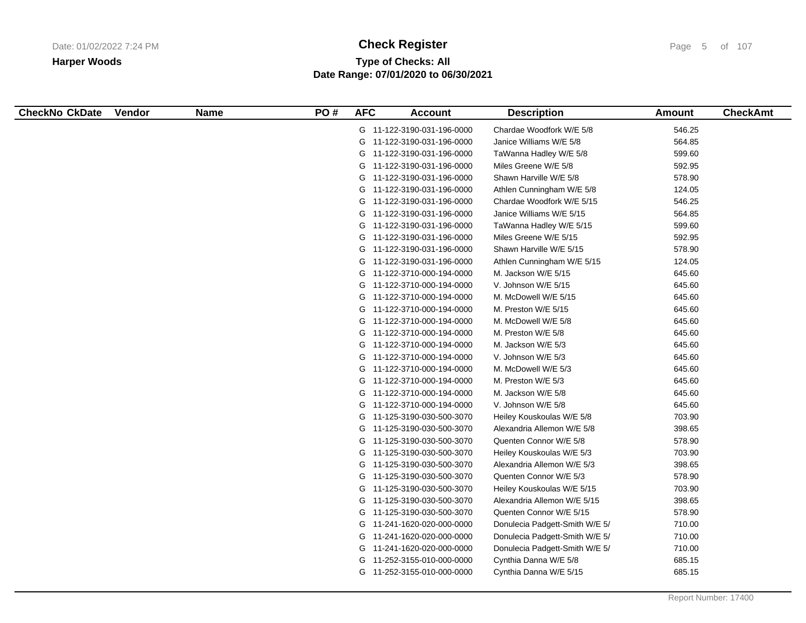# **Type of Checks: All Check Register Check Register Check Register Page 5 of 107 Date Range: 07/01/2020 to 06/30/2021**

| <b>CheckNo CkDate</b> | <b>Vendor</b> | <b>Name</b> | PO# | <b>AFC</b> | <b>Account</b>             | <b>Description</b>             | Amount | <b>CheckAmt</b> |
|-----------------------|---------------|-------------|-----|------------|----------------------------|--------------------------------|--------|-----------------|
|                       |               |             |     |            | G 11-122-3190-031-196-0000 | Chardae Woodfork W/E 5/8       | 546.25 |                 |
|                       |               |             |     |            | G 11-122-3190-031-196-0000 | Janice Williams W/E 5/8        | 564.85 |                 |
|                       |               |             |     |            | G 11-122-3190-031-196-0000 | TaWanna Hadley W/E 5/8         | 599.60 |                 |
|                       |               |             |     |            | G 11-122-3190-031-196-0000 | Miles Greene W/E 5/8           | 592.95 |                 |
|                       |               |             |     |            | G 11-122-3190-031-196-0000 | Shawn Harville W/E 5/8         | 578.90 |                 |
|                       |               |             |     |            | G 11-122-3190-031-196-0000 | Athlen Cunningham W/E 5/8      | 124.05 |                 |
|                       |               |             |     |            | G 11-122-3190-031-196-0000 | Chardae Woodfork W/E 5/15      | 546.25 |                 |
|                       |               |             |     |            | G 11-122-3190-031-196-0000 | Janice Williams W/E 5/15       | 564.85 |                 |
|                       |               |             |     |            | G 11-122-3190-031-196-0000 | TaWanna Hadley W/E 5/15        | 599.60 |                 |
|                       |               |             |     |            | G 11-122-3190-031-196-0000 | Miles Greene W/E 5/15          | 592.95 |                 |
|                       |               |             |     |            | G 11-122-3190-031-196-0000 | Shawn Harville W/E 5/15        | 578.90 |                 |
|                       |               |             |     |            | G 11-122-3190-031-196-0000 | Athlen Cunningham W/E 5/15     | 124.05 |                 |
|                       |               |             |     |            | G 11-122-3710-000-194-0000 | M. Jackson W/E 5/15            | 645.60 |                 |
|                       |               |             |     |            | G 11-122-3710-000-194-0000 | V. Johnson W/E 5/15            | 645.60 |                 |
|                       |               |             |     |            | G 11-122-3710-000-194-0000 | M. McDowell W/E 5/15           | 645.60 |                 |
|                       |               |             |     |            | G 11-122-3710-000-194-0000 | M. Preston W/E 5/15            | 645.60 |                 |
|                       |               |             |     |            | G 11-122-3710-000-194-0000 | M. McDowell W/E 5/8            | 645.60 |                 |
|                       |               |             |     |            | G 11-122-3710-000-194-0000 | M. Preston W/E 5/8             | 645.60 |                 |
|                       |               |             |     |            | G 11-122-3710-000-194-0000 | M. Jackson W/E 5/3             | 645.60 |                 |
|                       |               |             |     |            | G 11-122-3710-000-194-0000 | V. Johnson W/E 5/3             | 645.60 |                 |
|                       |               |             |     |            | G 11-122-3710-000-194-0000 | M. McDowell W/E 5/3            | 645.60 |                 |
|                       |               |             |     |            | G 11-122-3710-000-194-0000 | M. Preston W/E 5/3             | 645.60 |                 |
|                       |               |             |     |            | G 11-122-3710-000-194-0000 | M. Jackson W/E 5/8             | 645.60 |                 |
|                       |               |             |     |            | G 11-122-3710-000-194-0000 | V. Johnson W/E 5/8             | 645.60 |                 |
|                       |               |             |     |            | G 11-125-3190-030-500-3070 | Heiley Kouskoulas W/E 5/8      | 703.90 |                 |
|                       |               |             |     |            | G 11-125-3190-030-500-3070 | Alexandria Allemon W/E 5/8     | 398.65 |                 |
|                       |               |             |     |            | G 11-125-3190-030-500-3070 | Quenten Connor W/E 5/8         | 578.90 |                 |
|                       |               |             |     |            | G 11-125-3190-030-500-3070 | Heiley Kouskoulas W/E 5/3      | 703.90 |                 |
|                       |               |             |     |            | G 11-125-3190-030-500-3070 | Alexandria Allemon W/E 5/3     | 398.65 |                 |
|                       |               |             |     |            | G 11-125-3190-030-500-3070 | Quenten Connor W/E 5/3         | 578.90 |                 |
|                       |               |             |     |            | G 11-125-3190-030-500-3070 | Heiley Kouskoulas W/E 5/15     | 703.90 |                 |
|                       |               |             |     |            | G 11-125-3190-030-500-3070 | Alexandria Allemon W/E 5/15    | 398.65 |                 |
|                       |               |             |     |            | G 11-125-3190-030-500-3070 | Quenten Connor W/E 5/15        | 578.90 |                 |
|                       |               |             |     |            | G 11-241-1620-020-000-0000 | Donulecia Padgett-Smith W/E 5/ | 710.00 |                 |
|                       |               |             |     |            | G 11-241-1620-020-000-0000 | Donulecia Padgett-Smith W/E 5/ | 710.00 |                 |
|                       |               |             |     |            | G 11-241-1620-020-000-0000 | Donulecia Padgett-Smith W/E 5/ | 710.00 |                 |
|                       |               |             |     |            | G 11-252-3155-010-000-0000 | Cynthia Danna W/E 5/8          | 685.15 |                 |
|                       |               |             |     |            | G 11-252-3155-010-000-0000 | Cynthia Danna W/E 5/15         | 685.15 |                 |
|                       |               |             |     |            |                            |                                |        |                 |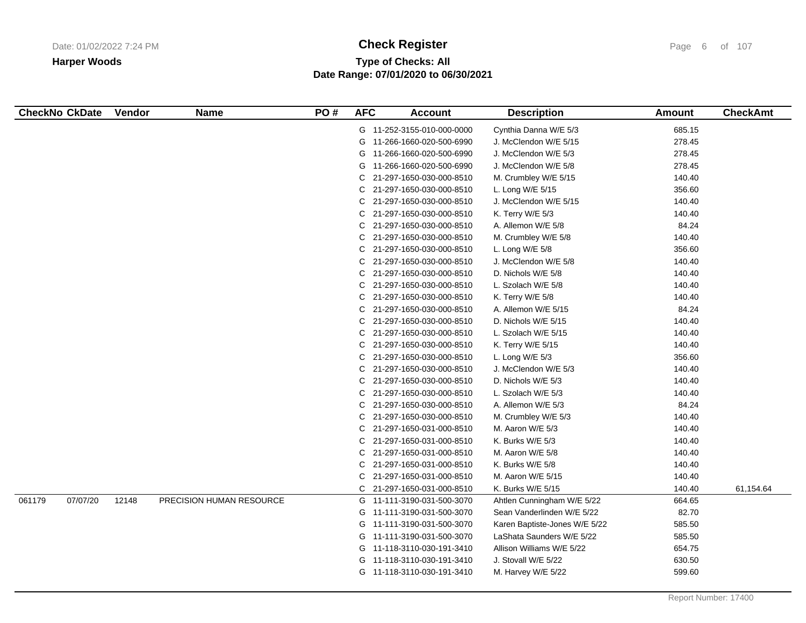# **Type of Checks: All Check Register Check Register Check Register Page 6 of 107 Date Range: 07/01/2020 to 06/30/2021**

| <b>CheckNo CkDate</b> | Vendor | <b>Name</b>              | PO# | <b>AFC</b> | <b>Account</b>             | <b>Description</b>            | <b>Amount</b> | <b>CheckAmt</b> |
|-----------------------|--------|--------------------------|-----|------------|----------------------------|-------------------------------|---------------|-----------------|
|                       |        |                          |     |            | G 11-252-3155-010-000-0000 | Cynthia Danna W/E 5/3         | 685.15        |                 |
|                       |        |                          |     |            | G 11-266-1660-020-500-6990 | J. McClendon W/E 5/15         | 278.45        |                 |
|                       |        |                          |     | G          | 11-266-1660-020-500-6990   | J. McClendon W/E 5/3          | 278.45        |                 |
|                       |        |                          |     | G          | 11-266-1660-020-500-6990   | J. McClendon W/E 5/8          | 278.45        |                 |
|                       |        |                          |     | С          | 21-297-1650-030-000-8510   | M. Crumbley W/E 5/15          | 140.40        |                 |
|                       |        |                          |     | С          | 21-297-1650-030-000-8510   | L. Long W/E 5/15              | 356.60        |                 |
|                       |        |                          |     | С          | 21-297-1650-030-000-8510   | J. McClendon W/E 5/15         | 140.40        |                 |
|                       |        |                          |     | С          | 21-297-1650-030-000-8510   | K. Terry W/E 5/3              | 140.40        |                 |
|                       |        |                          |     | С          | 21-297-1650-030-000-8510   | A. Allemon W/E 5/8            | 84.24         |                 |
|                       |        |                          |     | С          | 21-297-1650-030-000-8510   | M. Crumbley W/E 5/8           | 140.40        |                 |
|                       |        |                          |     | С          | 21-297-1650-030-000-8510   | L. Long W/E 5/8               | 356.60        |                 |
|                       |        |                          |     | С          | 21-297-1650-030-000-8510   | J. McClendon W/E 5/8          | 140.40        |                 |
|                       |        |                          |     | С          | 21-297-1650-030-000-8510   | D. Nichols W/E 5/8            | 140.40        |                 |
|                       |        |                          |     | С          | 21-297-1650-030-000-8510   | L. Szolach W/E 5/8            | 140.40        |                 |
|                       |        |                          |     | С          | 21-297-1650-030-000-8510   | K. Terry W/E 5/8              | 140.40        |                 |
|                       |        |                          |     | С          | 21-297-1650-030-000-8510   | A. Allemon W/E 5/15           | 84.24         |                 |
|                       |        |                          |     | С          | 21-297-1650-030-000-8510   | D. Nichols W/E 5/15           | 140.40        |                 |
|                       |        |                          |     | С          | 21-297-1650-030-000-8510   | L. Szolach W/E 5/15           | 140.40        |                 |
|                       |        |                          |     | С          | 21-297-1650-030-000-8510   | K. Terry W/E 5/15             | 140.40        |                 |
|                       |        |                          |     | С          | 21-297-1650-030-000-8510   | L. Long W/E $5/3$             | 356.60        |                 |
|                       |        |                          |     | С          | 21-297-1650-030-000-8510   | J. McClendon W/E 5/3          | 140.40        |                 |
|                       |        |                          |     | С          | 21-297-1650-030-000-8510   | D. Nichols W/E 5/3            | 140.40        |                 |
|                       |        |                          |     | С          | 21-297-1650-030-000-8510   | L. Szolach W/E 5/3            | 140.40        |                 |
|                       |        |                          |     | С          | 21-297-1650-030-000-8510   | A. Allemon W/E 5/3            | 84.24         |                 |
|                       |        |                          |     | С          | 21-297-1650-030-000-8510   | M. Crumbley W/E 5/3           | 140.40        |                 |
|                       |        |                          |     | С          | 21-297-1650-031-000-8510   | M. Aaron W/E 5/3              | 140.40        |                 |
|                       |        |                          |     | С          | 21-297-1650-031-000-8510   | K. Burks W/E 5/3              | 140.40        |                 |
|                       |        |                          |     | С          | 21-297-1650-031-000-8510   | M. Aaron W/E 5/8              | 140.40        |                 |
|                       |        |                          |     | C          | 21-297-1650-031-000-8510   | K. Burks W/E 5/8              | 140.40        |                 |
|                       |        |                          |     | С          | 21-297-1650-031-000-8510   | M. Aaron W/E 5/15             | 140.40        |                 |
|                       |        |                          |     | С          | 21-297-1650-031-000-8510   | K. Burks W/E 5/15             | 140.40        | 61,154.64       |
| 061179<br>07/07/20    | 12148  | PRECISION HUMAN RESOURCE |     | G          | 11-111-3190-031-500-3070   | Ahtlen Cunningham W/E 5/22    | 664.65        |                 |
|                       |        |                          |     | G          | 11-111-3190-031-500-3070   | Sean Vanderlinden W/E 5/22    | 82.70         |                 |
|                       |        |                          |     | G          | 11-111-3190-031-500-3070   | Karen Baptiste-Jones W/E 5/22 | 585.50        |                 |
|                       |        |                          |     |            | G 11-111-3190-031-500-3070 | LaShata Saunders W/E 5/22     | 585.50        |                 |
|                       |        |                          |     |            | G 11-118-3110-030-191-3410 | Allison Williams W/E 5/22     | 654.75        |                 |
|                       |        |                          |     | G          | 11-118-3110-030-191-3410   | J. Stovall W/E 5/22           | 630.50        |                 |
|                       |        |                          |     |            | G 11-118-3110-030-191-3410 | M. Harvey W/E 5/22            | 599.60        |                 |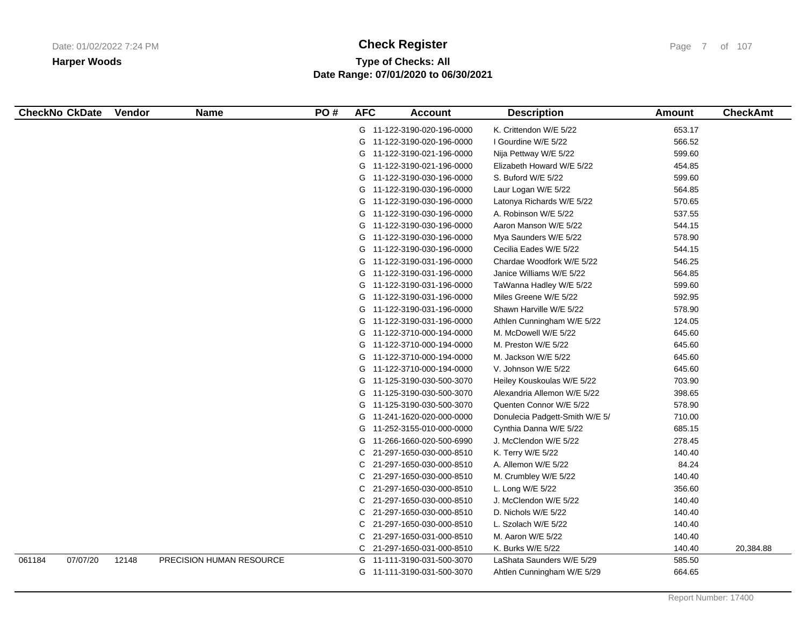# **Type of Checks: All Check Register Check Register Check Register Page 7** of 107 **Date Range: 07/01/2020 to 06/30/2021**

| <b>CheckNo CkDate</b> | Vendor | <b>Name</b>              | PO# | <b>AFC</b> | <b>Account</b>             | <b>Description</b>             | <b>Amount</b> | <b>CheckAmt</b> |
|-----------------------|--------|--------------------------|-----|------------|----------------------------|--------------------------------|---------------|-----------------|
|                       |        |                          |     |            | G 11-122-3190-020-196-0000 | K. Crittendon W/E 5/22         | 653.17        |                 |
|                       |        |                          |     |            | G 11-122-3190-020-196-0000 | I Gourdine W/E 5/22            | 566.52        |                 |
|                       |        |                          |     | G          | 11-122-3190-021-196-0000   | Nija Pettway W/E 5/22          | 599.60        |                 |
|                       |        |                          |     | G          | 11-122-3190-021-196-0000   | Elizabeth Howard W/E 5/22      | 454.85        |                 |
|                       |        |                          |     | G          | 11-122-3190-030-196-0000   | S. Buford W/E 5/22             | 599.60        |                 |
|                       |        |                          |     |            | G 11-122-3190-030-196-0000 | Laur Logan W/E 5/22            | 564.85        |                 |
|                       |        |                          |     | G          | 11-122-3190-030-196-0000   | Latonya Richards W/E 5/22      | 570.65        |                 |
|                       |        |                          |     | G          | 11-122-3190-030-196-0000   | A. Robinson W/E 5/22           | 537.55        |                 |
|                       |        |                          |     | G          | 11-122-3190-030-196-0000   | Aaron Manson W/E 5/22          | 544.15        |                 |
|                       |        |                          |     | G          | 11-122-3190-030-196-0000   | Mya Saunders W/E 5/22          | 578.90        |                 |
|                       |        |                          |     |            | G 11-122-3190-030-196-0000 | Cecilia Eades W/E 5/22         | 544.15        |                 |
|                       |        |                          |     | G          | 11-122-3190-031-196-0000   | Chardae Woodfork W/E 5/22      | 546.25        |                 |
|                       |        |                          |     | G          | 11-122-3190-031-196-0000   | Janice Williams W/E 5/22       | 564.85        |                 |
|                       |        |                          |     | G          | 11-122-3190-031-196-0000   | TaWanna Hadley W/E 5/22        | 599.60        |                 |
|                       |        |                          |     |            | G 11-122-3190-031-196-0000 | Miles Greene W/E 5/22          | 592.95        |                 |
|                       |        |                          |     | G          | 11-122-3190-031-196-0000   | Shawn Harville W/E 5/22        | 578.90        |                 |
|                       |        |                          |     | G          | 11-122-3190-031-196-0000   | Athlen Cunningham W/E 5/22     | 124.05        |                 |
|                       |        |                          |     | G          | 11-122-3710-000-194-0000   | M. McDowell W/E 5/22           | 645.60        |                 |
|                       |        |                          |     |            | G 11-122-3710-000-194-0000 | M. Preston W/E 5/22            | 645.60        |                 |
|                       |        |                          |     |            | G 11-122-3710-000-194-0000 | M. Jackson W/E 5/22            | 645.60        |                 |
|                       |        |                          |     | G          | 11-122-3710-000-194-0000   | V. Johnson W/E 5/22            | 645.60        |                 |
|                       |        |                          |     | G          | 11-125-3190-030-500-3070   | Heiley Kouskoulas W/E 5/22     | 703.90        |                 |
|                       |        |                          |     | G          | 11-125-3190-030-500-3070   | Alexandria Allemon W/E 5/22    | 398.65        |                 |
|                       |        |                          |     | G          | 11-125-3190-030-500-3070   | Quenten Connor W/E 5/22        | 578.90        |                 |
|                       |        |                          |     | G          | 11-241-1620-020-000-0000   | Donulecia Padgett-Smith W/E 5/ | 710.00        |                 |
|                       |        |                          |     | G          | 11-252-3155-010-000-0000   | Cynthia Danna W/E 5/22         | 685.15        |                 |
|                       |        |                          |     | G          | 11-266-1660-020-500-6990   | J. McClendon W/E 5/22          | 278.45        |                 |
|                       |        |                          |     | С          | 21-297-1650-030-000-8510   | K. Terry W/E 5/22              | 140.40        |                 |
|                       |        |                          |     | С          | 21-297-1650-030-000-8510   | A. Allemon W/E 5/22            | 84.24         |                 |
|                       |        |                          |     | С          | 21-297-1650-030-000-8510   | M. Crumbley W/E 5/22           | 140.40        |                 |
|                       |        |                          |     | С          | 21-297-1650-030-000-8510   | L. Long W/E 5/22               | 356.60        |                 |
|                       |        |                          |     | С          | 21-297-1650-030-000-8510   | J. McClendon W/E 5/22          | 140.40        |                 |
|                       |        |                          |     | С          | 21-297-1650-030-000-8510   | D. Nichols W/E 5/22            | 140.40        |                 |
|                       |        |                          |     | С          | 21-297-1650-030-000-8510   | L. Szolach W/E 5/22            | 140.40        |                 |
|                       |        |                          |     | С          | 21-297-1650-031-000-8510   | M. Aaron W/E 5/22              | 140.40        |                 |
|                       |        |                          |     |            | C 21-297-1650-031-000-8510 | K. Burks W/E 5/22              | 140.40        | 20,384.88       |
| 07/07/20<br>061184    | 12148  | PRECISION HUMAN RESOURCE |     |            | G 11-111-3190-031-500-3070 | LaShata Saunders W/E 5/29      | 585.50        |                 |
|                       |        |                          |     |            | G 11-111-3190-031-500-3070 | Ahtlen Cunningham W/E 5/29     | 664.65        |                 |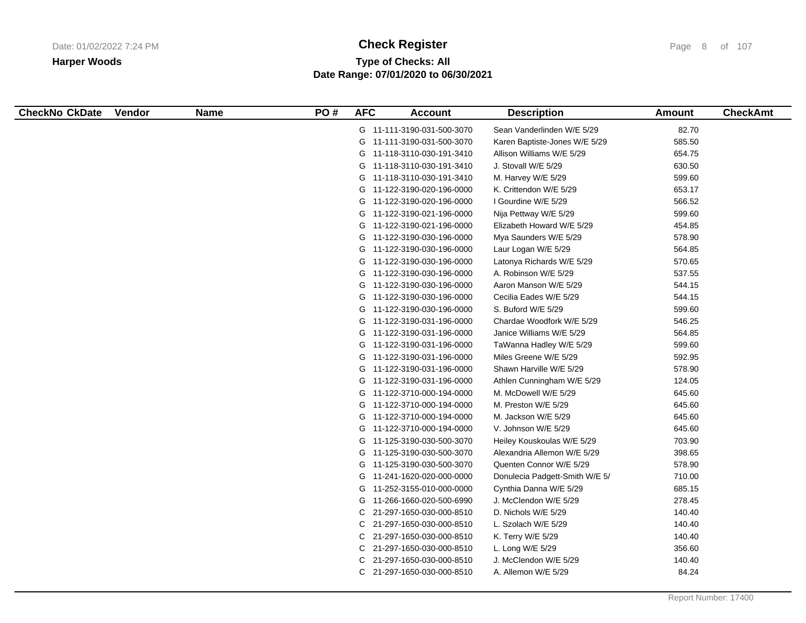# **Type of Checks: All Check Register Check Register Check Register Page 8 of 107 Date Range: 07/01/2020 to 06/30/2021**

| <b>CheckNo CkDate</b> | <b>Vendor</b> | <b>Name</b> | PO# | <b>AFC</b> | <b>Account</b>             | <b>Description</b>             | Amount | <b>CheckAmt</b> |
|-----------------------|---------------|-------------|-----|------------|----------------------------|--------------------------------|--------|-----------------|
|                       |               |             |     |            | G 11-111-3190-031-500-3070 | Sean Vanderlinden W/E 5/29     | 82.70  |                 |
|                       |               |             |     |            | G 11-111-3190-031-500-3070 | Karen Baptiste-Jones W/E 5/29  | 585.50 |                 |
|                       |               |             |     |            | G 11-118-3110-030-191-3410 | Allison Williams W/E 5/29      | 654.75 |                 |
|                       |               |             |     |            | G 11-118-3110-030-191-3410 | J. Stovall W/E 5/29            | 630.50 |                 |
|                       |               |             |     |            | G 11-118-3110-030-191-3410 | M. Harvey W/E 5/29             | 599.60 |                 |
|                       |               |             |     |            | G 11-122-3190-020-196-0000 | K. Crittendon W/E 5/29         | 653.17 |                 |
|                       |               |             |     |            | G 11-122-3190-020-196-0000 | I Gourdine W/E 5/29            | 566.52 |                 |
|                       |               |             |     |            | G 11-122-3190-021-196-0000 | Nija Pettway W/E 5/29          | 599.60 |                 |
|                       |               |             |     |            | G 11-122-3190-021-196-0000 | Elizabeth Howard W/E 5/29      | 454.85 |                 |
|                       |               |             |     |            | G 11-122-3190-030-196-0000 | Mya Saunders W/E 5/29          | 578.90 |                 |
|                       |               |             |     |            | G 11-122-3190-030-196-0000 | Laur Logan W/E 5/29            | 564.85 |                 |
|                       |               |             |     |            | G 11-122-3190-030-196-0000 | Latonya Richards W/E 5/29      | 570.65 |                 |
|                       |               |             |     |            | G 11-122-3190-030-196-0000 | A. Robinson W/E 5/29           | 537.55 |                 |
|                       |               |             |     |            | G 11-122-3190-030-196-0000 | Aaron Manson W/E 5/29          | 544.15 |                 |
|                       |               |             |     |            | G 11-122-3190-030-196-0000 | Cecilia Eades W/E 5/29         | 544.15 |                 |
|                       |               |             |     |            | G 11-122-3190-030-196-0000 | S. Buford W/E 5/29             | 599.60 |                 |
|                       |               |             |     |            | G 11-122-3190-031-196-0000 | Chardae Woodfork W/E 5/29      | 546.25 |                 |
|                       |               |             |     |            | G 11-122-3190-031-196-0000 | Janice Williams W/E 5/29       | 564.85 |                 |
|                       |               |             |     |            | G 11-122-3190-031-196-0000 | TaWanna Hadley W/E 5/29        | 599.60 |                 |
|                       |               |             |     |            | G 11-122-3190-031-196-0000 | Miles Greene W/E 5/29          | 592.95 |                 |
|                       |               |             |     |            | G 11-122-3190-031-196-0000 | Shawn Harville W/E 5/29        | 578.90 |                 |
|                       |               |             |     |            | G 11-122-3190-031-196-0000 | Athlen Cunningham W/E 5/29     | 124.05 |                 |
|                       |               |             |     |            | G 11-122-3710-000-194-0000 | M. McDowell W/E 5/29           | 645.60 |                 |
|                       |               |             |     |            | G 11-122-3710-000-194-0000 | M. Preston W/E 5/29            | 645.60 |                 |
|                       |               |             |     |            | G 11-122-3710-000-194-0000 | M. Jackson W/E 5/29            | 645.60 |                 |
|                       |               |             |     |            | G 11-122-3710-000-194-0000 | V. Johnson W/E 5/29            | 645.60 |                 |
|                       |               |             |     |            | G 11-125-3190-030-500-3070 | Heiley Kouskoulas W/E 5/29     | 703.90 |                 |
|                       |               |             |     |            | G 11-125-3190-030-500-3070 | Alexandria Allemon W/E 5/29    | 398.65 |                 |
|                       |               |             |     |            | G 11-125-3190-030-500-3070 | Quenten Connor W/E 5/29        | 578.90 |                 |
|                       |               |             |     |            | G 11-241-1620-020-000-0000 | Donulecia Padgett-Smith W/E 5/ | 710.00 |                 |
|                       |               |             |     |            | G 11-252-3155-010-000-0000 | Cynthia Danna W/E 5/29         | 685.15 |                 |
|                       |               |             |     |            | G 11-266-1660-020-500-6990 | J. McClendon W/E 5/29          | 278.45 |                 |
|                       |               |             |     | C          | 21-297-1650-030-000-8510   | D. Nichols W/E 5/29            | 140.40 |                 |
|                       |               |             |     |            | C 21-297-1650-030-000-8510 | L. Szolach W/E 5/29            | 140.40 |                 |
|                       |               |             |     |            | C 21-297-1650-030-000-8510 | K. Terry W/E 5/29              | 140.40 |                 |
|                       |               |             |     | C          | 21-297-1650-030-000-8510   | L. Long W/E 5/29               | 356.60 |                 |
|                       |               |             |     | С          | 21-297-1650-030-000-8510   | J. McClendon W/E 5/29          | 140.40 |                 |
|                       |               |             |     |            | C 21-297-1650-030-000-8510 | A. Allemon W/E 5/29            | 84.24  |                 |
|                       |               |             |     |            |                            |                                |        |                 |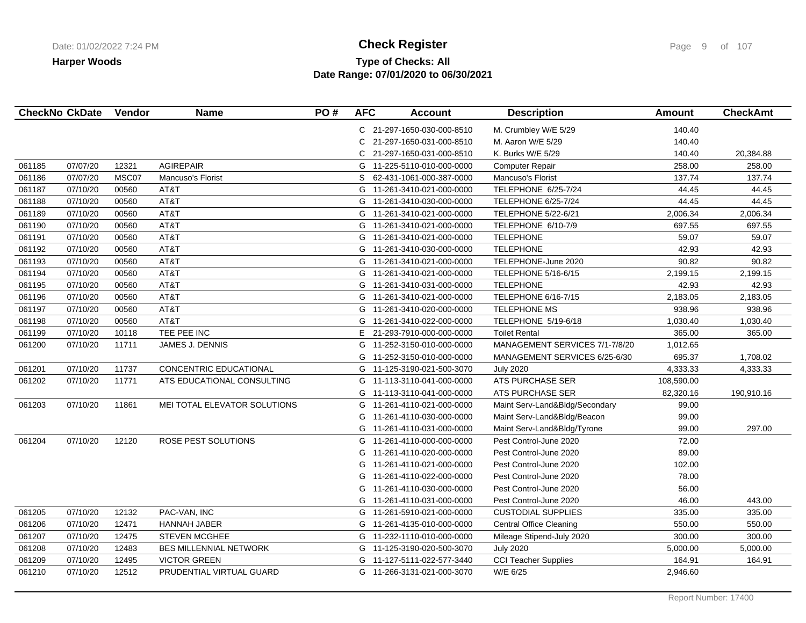# **Type of Checks: All Check Register Check Register Check Register Page 9 of 107 Date Range: 07/01/2020 to 06/30/2021**

|        | <b>CheckNo CkDate</b> | Vendor | <b>Name</b>                   | PO# | <b>AFC</b> | <b>Account</b>             | <b>Description</b>             | <b>Amount</b> | <b>CheckAmt</b> |
|--------|-----------------------|--------|-------------------------------|-----|------------|----------------------------|--------------------------------|---------------|-----------------|
|        |                       |        |                               |     |            | C 21-297-1650-030-000-8510 | M. Crumbley W/E 5/29           | 140.40        |                 |
|        |                       |        |                               |     | C.         | 21-297-1650-031-000-8510   | M. Aaron W/E 5/29              | 140.40        |                 |
|        |                       |        |                               |     | C.         | 21-297-1650-031-000-8510   | K. Burks W/E 5/29              | 140.40        | 20,384.88       |
| 061185 | 07/07/20              | 12321  | <b>AGIREPAIR</b>              |     |            | G 11-225-5110-010-000-0000 | <b>Computer Repair</b>         | 258.00        | 258.00          |
| 061186 | 07/07/20              | MSC07  | Mancuso's Florist             |     | S.         | 62-431-1061-000-387-0000   | Mancuso's Florist              | 137.74        | 137.74          |
| 061187 | 07/10/20              | 00560  | AT&T                          |     |            | G 11-261-3410-021-000-0000 | TELEPHONE 6/25-7/24            | 44.45         | 44.45           |
| 061188 | 07/10/20              | 00560  | AT&T                          |     |            | G 11-261-3410-030-000-0000 | <b>TELEPHONE 6/25-7/24</b>     | 44.45         | 44.45           |
| 061189 | 07/10/20              | 00560  | AT&T                          |     |            | G 11-261-3410-021-000-0000 | <b>TELEPHONE 5/22-6/21</b>     | 2,006.34      | 2,006.34        |
| 061190 | 07/10/20              | 00560  | AT&T                          |     |            | G 11-261-3410-021-000-0000 | TELEPHONE 6/10-7/9             | 697.55        | 697.55          |
| 061191 | 07/10/20              | 00560  | AT&T                          |     |            | G 11-261-3410-021-000-0000 | <b>TELEPHONE</b>               | 59.07         | 59.07           |
| 061192 | 07/10/20              | 00560  | AT&T                          |     |            | G 11-261-3410-030-000-0000 | <b>TELEPHONE</b>               | 42.93         | 42.93           |
| 061193 | 07/10/20              | 00560  | AT&T                          |     | G          | 11-261-3410-021-000-0000   | TELEPHONE-June 2020            | 90.82         | 90.82           |
| 061194 | 07/10/20              | 00560  | AT&T                          |     | G          | 11-261-3410-021-000-0000   | TELEPHONE 5/16-6/15            | 2,199.15      | 2,199.15        |
| 061195 | 07/10/20              | 00560  | AT&T                          |     | G          | 11-261-3410-031-000-0000   | <b>TELEPHONE</b>               | 42.93         | 42.93           |
| 061196 | 07/10/20              | 00560  | AT&T                          |     |            | G 11-261-3410-021-000-0000 | TELEPHONE 6/16-7/15            | 2,183.05      | 2,183.05        |
| 061197 | 07/10/20              | 00560  | AT&T                          |     | G          | 11-261-3410-020-000-0000   | <b>TELEPHONE MS</b>            | 938.96        | 938.96          |
| 061198 | 07/10/20              | 00560  | AT&T                          |     | G          | 11-261-3410-022-000-0000   | TELEPHONE 5/19-6/18            | 1,030.40      | 1,030.40        |
| 061199 | 07/10/20              | 10118  | TEE PEE INC                   |     | E.         | 21-293-7910-000-000-0000   | <b>Toilet Rental</b>           | 365.00        | 365.00          |
| 061200 | 07/10/20              | 11711  | JAMES J. DENNIS               |     | G          | 11-252-3150-010-000-0000   | MANAGEMENT SERVICES 7/1-7/8/20 | 1,012.65      |                 |
|        |                       |        |                               |     | G          | 11-252-3150-010-000-0000   | MANAGEMENT SERVICES 6/25-6/30  | 695.37        | 1,708.02        |
| 061201 | 07/10/20              | 11737  | CONCENTRIC EDUCATIONAL        |     | G          | 11-125-3190-021-500-3070   | <b>July 2020</b>               | 4,333.33      | 4,333.33        |
| 061202 | 07/10/20              | 11771  | ATS EDUCATIONAL CONSULTING    |     | G          | 11-113-3110-041-000-0000   | ATS PURCHASE SER               | 108,590.00    |                 |
|        |                       |        |                               |     | G          | 11-113-3110-041-000-0000   | ATS PURCHASE SER               | 82,320.16     | 190,910.16      |
| 061203 | 07/10/20              | 11861  | MEI TOTAL ELEVATOR SOLUTIONS  |     | G          | 11-261-4110-021-000-0000   | Maint Serv-Land&Bldg/Secondary | 99.00         |                 |
|        |                       |        |                               |     | G          | 11-261-4110-030-000-0000   | Maint Serv-Land&Bldg/Beacon    | 99.00         |                 |
|        |                       |        |                               |     | G          | 11-261-4110-031-000-0000   | Maint Serv-Land&Bldg/Tyrone    | 99.00         | 297.00          |
| 061204 | 07/10/20              | 12120  | ROSE PEST SOLUTIONS           |     | G          | 11-261-4110-000-000-0000   | Pest Control-June 2020         | 72.00         |                 |
|        |                       |        |                               |     | G          | 11-261-4110-020-000-0000   | Pest Control-June 2020         | 89.00         |                 |
|        |                       |        |                               |     | G          | 11-261-4110-021-000-0000   | Pest Control-June 2020         | 102.00        |                 |
|        |                       |        |                               |     | G          | 11-261-4110-022-000-0000   | Pest Control-June 2020         | 78.00         |                 |
|        |                       |        |                               |     | G          | 11-261-4110-030-000-0000   | Pest Control-June 2020         | 56.00         |                 |
|        |                       |        |                               |     | G          | 11-261-4110-031-000-0000   | Pest Control-June 2020         | 46.00         | 443.00          |
| 061205 | 07/10/20              | 12132  | PAC-VAN, INC                  |     | G          | 11-261-5910-021-000-0000   | <b>CUSTODIAL SUPPLIES</b>      | 335.00        | 335.00          |
| 061206 | 07/10/20              | 12471  | <b>HANNAH JABER</b>           |     |            | G 11-261-4135-010-000-0000 | <b>Central Office Cleaning</b> | 550.00        | 550.00          |
| 061207 | 07/10/20              | 12475  | <b>STEVEN MCGHEE</b>          |     | G          | 11-232-1110-010-000-0000   | Mileage Stipend-July 2020      | 300.00        | 300.00          |
| 061208 | 07/10/20              | 12483  | <b>BES MILLENNIAL NETWORK</b> |     |            | G 11-125-3190-020-500-3070 | <b>July 2020</b>               | 5,000.00      | 5,000.00        |
| 061209 | 07/10/20              | 12495  | <b>VICTOR GREEN</b>           |     | G          | 11-127-5111-022-577-3440   | <b>CCI Teacher Supplies</b>    | 164.91        | 164.91          |
| 061210 | 07/10/20              | 12512  | PRUDENTIAL VIRTUAL GUARD      |     |            | G 11-266-3131-021-000-3070 | W/E 6/25                       | 2,946.60      |                 |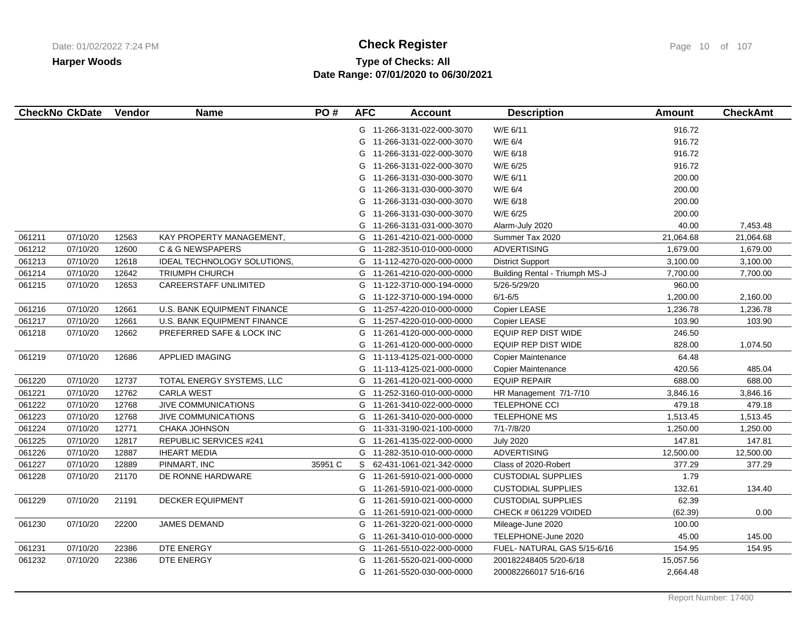# **Type of Checks: All Check Register Check Register Check Register Page 10 of 107 Date Range: 07/01/2020 to 06/30/2021**

|        | <b>CheckNo CkDate</b> | Vendor | <b>Name</b>                  | PO#     | <b>AFC</b> | <b>Account</b>             | <b>Description</b>             | <b>Amount</b> | <b>CheckAmt</b> |
|--------|-----------------------|--------|------------------------------|---------|------------|----------------------------|--------------------------------|---------------|-----------------|
|        |                       |        |                              |         |            | G 11-266-3131-022-000-3070 | W/E 6/11                       | 916.72        |                 |
|        |                       |        |                              |         | G          | 11-266-3131-022-000-3070   | W/E 6/4                        | 916.72        |                 |
|        |                       |        |                              |         | G          | 11-266-3131-022-000-3070   | W/E 6/18                       | 916.72        |                 |
|        |                       |        |                              |         | G          | 11-266-3131-022-000-3070   | W/E 6/25                       | 916.72        |                 |
|        |                       |        |                              |         | G          | 11-266-3131-030-000-3070   | W/E 6/11                       | 200.00        |                 |
|        |                       |        |                              |         | G          | 11-266-3131-030-000-3070   | W/E 6/4                        | 200.00        |                 |
|        |                       |        |                              |         | G          | 11-266-3131-030-000-3070   | W/E 6/18                       | 200.00        |                 |
|        |                       |        |                              |         | G          | 11-266-3131-030-000-3070   | W/E 6/25                       | 200.00        |                 |
|        |                       |        |                              |         | G          | 11-266-3131-031-000-3070   | Alarm-July 2020                | 40.00         | 7,453.48        |
| 061211 | 07/10/20              | 12563  | KAY PROPERTY MANAGEMENT.     |         |            | G 11-261-4210-021-000-0000 | Summer Tax 2020                | 21,064.68     | 21,064.68       |
| 061212 | 07/10/20              | 12600  | <b>C &amp; G NEWSPAPERS</b>  |         |            | G 11-282-3510-010-000-0000 | <b>ADVERTISING</b>             | 1,679.00      | 1,679.00        |
| 061213 | 07/10/20              | 12618  | IDEAL TECHNOLOGY SOLUTIONS,  |         |            | G 11-112-4270-020-000-0000 | <b>District Support</b>        | 3,100.00      | 3,100.00        |
| 061214 | 07/10/20              | 12642  | <b>TRIUMPH CHURCH</b>        |         |            | G 11-261-4210-020-000-0000 | Building Rental - Triumph MS-J | 7,700.00      | 7,700.00        |
| 061215 | 07/10/20              | 12653  | <b>CAREERSTAFF UNLIMITED</b> |         | G          | 11-122-3710-000-194-0000   | 5/26-5/29/20                   | 960.00        |                 |
|        |                       |        |                              |         |            | G 11-122-3710-000-194-0000 | $6/1 - 6/5$                    | 1,200.00      | 2,160.00        |
| 061216 | 07/10/20              | 12661  | U.S. BANK EQUIPMENT FINANCE  |         | G          | 11-257-4220-010-000-0000   | Copier LEASE                   | 1,236.78      | 1,236.78        |
| 061217 | 07/10/20              | 12661  | U.S. BANK EQUIPMENT FINANCE  |         | G          | 11-257-4220-010-000-0000   | <b>Copier LEASE</b>            | 103.90        | 103.90          |
| 061218 | 07/10/20              | 12662  | PREFERRED SAFE & LOCK INC    |         | G          | 11-261-4120-000-000-0000   | EQUIP REP DIST WIDE            | 246.50        |                 |
|        |                       |        |                              |         |            | G 11-261-4120-000-000-0000 | <b>EQUIP REP DIST WIDE</b>     | 828.00        | 1,074.50        |
| 061219 | 07/10/20              | 12686  | <b>APPLIED IMAGING</b>       |         | G          | 11-113-4125-021-000-0000   | Copier Maintenance             | 64.48         |                 |
|        |                       |        |                              |         | G          | 11-113-4125-021-000-0000   | <b>Copier Maintenance</b>      | 420.56        | 485.04          |
| 061220 | 07/10/20              | 12737  | TOTAL ENERGY SYSTEMS, LLC    |         |            | G 11-261-4120-021-000-0000 | <b>EQUIP REPAIR</b>            | 688.00        | 688.00          |
| 061221 | 07/10/20              | 12762  | <b>CARLA WEST</b>            |         |            | G 11-252-3160-010-000-0000 | HR Management 7/1-7/10         | 3,846.16      | 3,846.16        |
| 061222 | 07/10/20              | 12768  | <b>JIVE COMMUNICATIONS</b>   |         |            | G 11-261-3410-022-000-0000 | <b>TELEPHONE CCI</b>           | 479.18        | 479.18          |
| 061223 | 07/10/20              | 12768  | <b>JIVE COMMUNICATIONS</b>   |         | G          | 11-261-3410-020-000-0000   | TELEPHONE MS                   | 1,513.45      | 1,513.45        |
| 061224 | 07/10/20              | 12771  | <b>CHAKA JOHNSON</b>         |         |            | G 11-331-3190-021-100-0000 | 7/1-7/8/20                     | 1,250.00      | 1,250.00        |
| 061225 | 07/10/20              | 12817  | REPUBLIC SERVICES #241       |         |            | G 11-261-4135-022-000-0000 | <b>July 2020</b>               | 147.81        | 147.81          |
| 061226 | 07/10/20              | 12887  | <b>IHEART MEDIA</b>          |         |            | G 11-282-3510-010-000-0000 | <b>ADVERTISING</b>             | 12,500.00     | 12,500.00       |
| 061227 | 07/10/20              | 12889  | PINMART. INC                 | 35951 C |            | S 62-431-1061-021-342-0000 | Class of 2020-Robert           | 377.29        | 377.29          |
| 061228 | 07/10/20              | 21170  | DE RONNE HARDWARE            |         | G          | 11-261-5910-021-000-0000   | <b>CUSTODIAL SUPPLIES</b>      | 1.79          |                 |
|        |                       |        |                              |         | G          | 11-261-5910-021-000-0000   | <b>CUSTODIAL SUPPLIES</b>      | 132.61        | 134.40          |
| 061229 | 07/10/20              | 21191  | <b>DECKER EQUIPMENT</b>      |         | G          | 11-261-5910-021-000-0000   | <b>CUSTODIAL SUPPLIES</b>      | 62.39         |                 |
|        |                       |        |                              |         | G          | 11-261-5910-021-000-0000   | CHECK # 061229 VOIDED          | (62.39)       | 0.00            |
| 061230 | 07/10/20              | 22200  | JAMES DEMAND                 |         | G          | 11-261-3220-021-000-0000   | Mileage-June 2020              | 100.00        |                 |
|        |                       |        |                              |         |            | G 11-261-3410-010-000-0000 | TELEPHONE-June 2020            | 45.00         | 145.00          |
| 061231 | 07/10/20              | 22386  | DTE ENERGY                   |         |            | G 11-261-5510-022-000-0000 | FUEL-NATURAL GAS 5/15-6/16     | 154.95        | 154.95          |
| 061232 | 07/10/20              | 22386  | DTE ENERGY                   |         | G          | 11-261-5520-021-000-0000   | 200182248405 5/20-6/18         | 15,057.56     |                 |
|        |                       |        |                              |         |            | G 11-261-5520-030-000-0000 | 200082266017 5/16-6/16         | 2,664.48      |                 |
|        |                       |        |                              |         |            |                            |                                |               |                 |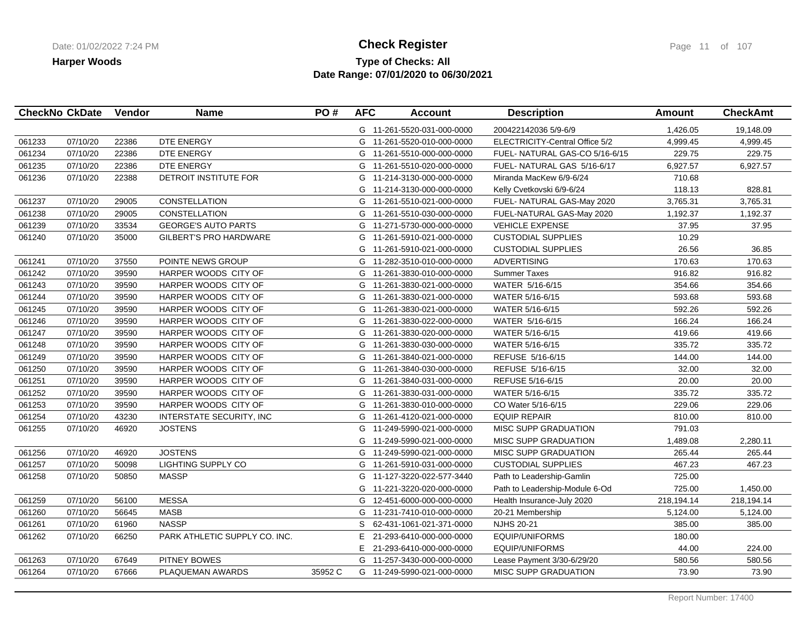## **Type of Checks: All Check Register Check Register Check Register Page 11 of 107 Date Range: 07/01/2020 to 06/30/2021**

|        | <b>CheckNo CkDate</b> | Vendor | <b>Name</b>                   | PO#     | <b>AFC</b> | <b>Account</b>             | <b>Description</b>             | <b>Amount</b> | <b>CheckAmt</b> |
|--------|-----------------------|--------|-------------------------------|---------|------------|----------------------------|--------------------------------|---------------|-----------------|
|        |                       |        |                               |         |            | G 11-261-5520-031-000-0000 | 200422142036 5/9-6/9           | 1,426.05      | 19,148.09       |
| 061233 | 07/10/20              | 22386  | DTE ENERGY                    |         |            | G 11-261-5520-010-000-0000 | ELECTRICITY-Central Office 5/2 | 4,999.45      | 4,999.45        |
| 061234 | 07/10/20              | 22386  | DTE ENERGY                    |         |            | G 11-261-5510-000-000-0000 | FUEL-NATURAL GAS-CO 5/16-6/15  | 229.75        | 229.75          |
| 061235 | 07/10/20              | 22386  | DTE ENERGY                    |         |            | G 11-261-5510-020-000-0000 | FUEL- NATURAL GAS 5/16-6/17    | 6,927.57      | 6,927.57        |
| 061236 | 07/10/20              | 22388  | DETROIT INSTITUTE FOR         |         |            | G 11-214-3130-000-000-0000 | Miranda MacKew 6/9-6/24        | 710.68        |                 |
|        |                       |        |                               |         |            | G 11-214-3130-000-000-0000 | Kelly Cvetkovski 6/9-6/24      | 118.13        | 828.81          |
| 061237 | 07/10/20              | 29005  | <b>CONSTELLATION</b>          |         |            | G 11-261-5510-021-000-0000 | FUEL- NATURAL GAS-May 2020     | 3,765.31      | 3,765.31        |
| 061238 | 07/10/20              | 29005  | <b>CONSTELLATION</b>          |         |            | G 11-261-5510-030-000-0000 | FUEL-NATURAL GAS-May 2020      | 1,192.37      | 1,192.37        |
| 061239 | 07/10/20              | 33534  | <b>GEORGE'S AUTO PARTS</b>    |         | G          | 11-271-5730-000-000-0000   | <b>VEHICLE EXPENSE</b>         | 37.95         | 37.95           |
| 061240 | 07/10/20              | 35000  | <b>GILBERT'S PRO HARDWARE</b> |         | G          | 11-261-5910-021-000-0000   | <b>CUSTODIAL SUPPLIES</b>      | 10.29         |                 |
|        |                       |        |                               |         | G          | 11-261-5910-021-000-0000   | <b>CUSTODIAL SUPPLIES</b>      | 26.56         | 36.85           |
| 061241 | 07/10/20              | 37550  | POINTE NEWS GROUP             |         |            | G 11-282-3510-010-000-0000 | <b>ADVERTISING</b>             | 170.63        | 170.63          |
| 061242 | 07/10/20              | 39590  | HARPER WOODS CITY OF          |         | G          | 11-261-3830-010-000-0000   | <b>Summer Taxes</b>            | 916.82        | 916.82          |
| 061243 | 07/10/20              | 39590  | HARPER WOODS CITY OF          |         | G          | 11-261-3830-021-000-0000   | WATER 5/16-6/15                | 354.66        | 354.66          |
| 061244 | 07/10/20              | 39590  | HARPER WOODS CITY OF          |         |            | G 11-261-3830-021-000-0000 | WATER 5/16-6/15                | 593.68        | 593.68          |
| 061245 | 07/10/20              | 39590  | HARPER WOODS CITY OF          |         |            | G 11-261-3830-021-000-0000 | WATER 5/16-6/15                | 592.26        | 592.26          |
| 061246 | 07/10/20              | 39590  | HARPER WOODS CITY OF          |         |            | G 11-261-3830-022-000-0000 | WATER 5/16-6/15                | 166.24        | 166.24          |
| 061247 | 07/10/20              | 39590  | HARPER WOODS CITY OF          |         | G          | 11-261-3830-020-000-0000   | WATER 5/16-6/15                | 419.66        | 419.66          |
| 061248 | 07/10/20              | 39590  | HARPER WOODS CITY OF          |         |            | G 11-261-3830-030-000-0000 | WATER 5/16-6/15                | 335.72        | 335.72          |
| 061249 | 07/10/20              | 39590  | HARPER WOODS CITY OF          |         |            | G 11-261-3840-021-000-0000 | REFUSE 5/16-6/15               | 144.00        | 144.00          |
| 061250 | 07/10/20              | 39590  | HARPER WOODS CITY OF          |         |            | G 11-261-3840-030-000-0000 | REFUSE 5/16-6/15               | 32.00         | 32.00           |
| 061251 | 07/10/20              | 39590  | HARPER WOODS CITY OF          |         |            | G 11-261-3840-031-000-0000 | REFUSE 5/16-6/15               | 20.00         | 20.00           |
| 061252 | 07/10/20              | 39590  | HARPER WOODS CITY OF          |         |            | G 11-261-3830-031-000-0000 | WATER 5/16-6/15                | 335.72        | 335.72          |
| 061253 | 07/10/20              | 39590  | HARPER WOODS CITY OF          |         |            | G 11-261-3830-010-000-0000 | CO Water 5/16-6/15             | 229.06        | 229.06          |
| 061254 | 07/10/20              | 43230  | INTERSTATE SECURITY, INC      |         |            | G 11-261-4120-021-000-0000 | <b>EQUIP REPAIR</b>            | 810.00        | 810.00          |
| 061255 | 07/10/20              | 46920  | <b>JOSTENS</b>                |         |            | G 11-249-5990-021-000-0000 | MISC SUPP GRADUATION           | 791.03        |                 |
|        |                       |        |                               |         | G          | 11-249-5990-021-000-0000   | MISC SUPP GRADUATION           | 1,489.08      | 2,280.11        |
| 061256 | 07/10/20              | 46920  | <b>JOSTENS</b>                |         | G          | 11-249-5990-021-000-0000   | MISC SUPP GRADUATION           | 265.44        | 265.44          |
| 061257 | 07/10/20              | 50098  | LIGHTING SUPPLY CO            |         | G          | 11-261-5910-031-000-0000   | <b>CUSTODIAL SUPPLIES</b>      | 467.23        | 467.23          |
| 061258 | 07/10/20              | 50850  | <b>MASSP</b>                  |         |            | G 11-127-3220-022-577-3440 | Path to Leadership-Gamlin      | 725.00        |                 |
|        |                       |        |                               |         | G          | 11-221-3220-020-000-0000   | Path to Leadership-Module 6-Od | 725.00        | 1,450.00        |
| 061259 | 07/10/20              | 56100  | <b>MESSA</b>                  |         | G          | 12-451-6000-000-000-0000   | Health Insurance-July 2020     | 218,194.14    | 218,194.14      |
| 061260 | 07/10/20              | 56645  | <b>MASB</b>                   |         |            | G 11-231-7410-010-000-0000 | 20-21 Membership               | 5,124.00      | 5,124.00        |
| 061261 | 07/10/20              | 61960  | <b>NASSP</b>                  |         | S          | 62-431-1061-021-371-0000   | <b>NJHS 20-21</b>              | 385.00        | 385.00          |
| 061262 | 07/10/20              | 66250  | PARK ATHLETIC SUPPLY CO. INC. |         | E.         | 21-293-6410-000-000-0000   | <b>EQUIP/UNIFORMS</b>          | 180.00        |                 |
|        |                       |        |                               |         | E          | 21-293-6410-000-000-0000   | <b>EQUIP/UNIFORMS</b>          | 44.00         | 224.00          |
| 061263 | 07/10/20              | 67649  | PITNEY BOWES                  |         | G          | 11-257-3430-000-000-0000   | Lease Payment 3/30-6/29/20     | 580.56        | 580.56          |
| 061264 | 07/10/20              | 67666  | PLAQUEMAN AWARDS              | 35952 C |            | G 11-249-5990-021-000-0000 | MISC SUPP GRADUATION           | 73.90         | 73.90           |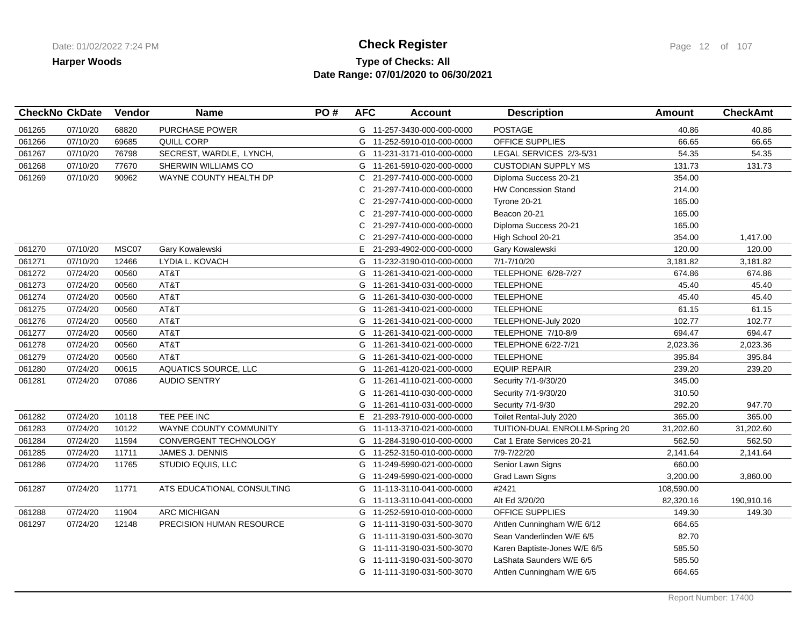## **Type of Checks: All Check Register Check Register Check Register Page 12 of 107 Date Range: 07/01/2020 to 06/30/2021**

| 68820<br><b>PURCHASE POWER</b><br>POSTAGE<br>061265<br>07/10/20<br>G 11-257-3430-000-000-0000<br>40.86<br>69685<br>061266<br>07/10/20<br>QUILL CORP<br>OFFICE SUPPLIES<br>66.65<br>G 11-252-5910-010-000-0000<br>76798<br>54.35<br>061267<br>07/10/20<br>SECREST, WARDLE, LYNCH,<br>LEGAL SERVICES 2/3-5/31<br>G 11-231-3171-010-000-0000<br>131.73<br>061268<br>07/10/20<br>77670<br>SHERWIN WILLIAMS CO<br><b>CUSTODIAN SUPPLY MS</b><br>G 11-261-5910-020-000-0000<br>354.00<br>061269<br>07/10/20<br>90962<br>WAYNE COUNTY HEALTH DP<br>21-297-7410-000-000-0000<br>Diploma Success 20-21<br>C<br><b>HW Concession Stand</b><br>214.00<br>21-297-7410-000-000-0000<br>C.<br>165.00<br>Tyrone 20-21<br>21-297-7410-000-000-0000 | 40.86<br>66.65<br>54.35<br>131.73<br>1,417.00<br>120.00<br>3,181.82 |
|------------------------------------------------------------------------------------------------------------------------------------------------------------------------------------------------------------------------------------------------------------------------------------------------------------------------------------------------------------------------------------------------------------------------------------------------------------------------------------------------------------------------------------------------------------------------------------------------------------------------------------------------------------------------------------------------------------------------------------|---------------------------------------------------------------------|
|                                                                                                                                                                                                                                                                                                                                                                                                                                                                                                                                                                                                                                                                                                                                    |                                                                     |
|                                                                                                                                                                                                                                                                                                                                                                                                                                                                                                                                                                                                                                                                                                                                    |                                                                     |
|                                                                                                                                                                                                                                                                                                                                                                                                                                                                                                                                                                                                                                                                                                                                    |                                                                     |
|                                                                                                                                                                                                                                                                                                                                                                                                                                                                                                                                                                                                                                                                                                                                    |                                                                     |
|                                                                                                                                                                                                                                                                                                                                                                                                                                                                                                                                                                                                                                                                                                                                    |                                                                     |
|                                                                                                                                                                                                                                                                                                                                                                                                                                                                                                                                                                                                                                                                                                                                    |                                                                     |
|                                                                                                                                                                                                                                                                                                                                                                                                                                                                                                                                                                                                                                                                                                                                    |                                                                     |
| Beacon 20-21<br>165.00<br>21-297-7410-000-000-0000<br>C.                                                                                                                                                                                                                                                                                                                                                                                                                                                                                                                                                                                                                                                                           |                                                                     |
| 165.00<br>21-297-7410-000-000-0000<br>Diploma Success 20-21<br>C.                                                                                                                                                                                                                                                                                                                                                                                                                                                                                                                                                                                                                                                                  |                                                                     |
| 354.00<br>21-297-7410-000-000-0000<br>High School 20-21<br>C.                                                                                                                                                                                                                                                                                                                                                                                                                                                                                                                                                                                                                                                                      |                                                                     |
| 07/10/20<br>MSC07<br>120.00<br>061270<br>Gary Kowalewski<br>E 21-293-4902-000-000-0000<br>Gary Kowalewski                                                                                                                                                                                                                                                                                                                                                                                                                                                                                                                                                                                                                          |                                                                     |
| 12466<br>LYDIA L. KOVACH<br>7/1-7/10/20<br>3,181.82<br>061271<br>07/10/20<br>G 11-232-3190-010-000-0000                                                                                                                                                                                                                                                                                                                                                                                                                                                                                                                                                                                                                            |                                                                     |
| TELEPHONE 6/28-7/27<br>674.86<br>061272<br>07/24/20<br>00560<br>AT&T<br>G 11-261-3410-021-000-0000                                                                                                                                                                                                                                                                                                                                                                                                                                                                                                                                                                                                                                 | 674.86                                                              |
| 061273<br>07/24/20<br>00560<br>AT&T<br><b>TELEPHONE</b><br>45.40<br>G 11-261-3410-031-000-0000                                                                                                                                                                                                                                                                                                                                                                                                                                                                                                                                                                                                                                     | 45.40                                                               |
| 061274<br>07/24/20<br>00560<br>AT&T<br><b>TELEPHONE</b><br>45.40<br>G 11-261-3410-030-000-0000                                                                                                                                                                                                                                                                                                                                                                                                                                                                                                                                                                                                                                     | 45.40                                                               |
| 061275<br>AT&T<br>07/24/20<br>00560<br>G 11-261-3410-021-000-0000<br><b>TELEPHONE</b><br>61.15                                                                                                                                                                                                                                                                                                                                                                                                                                                                                                                                                                                                                                     | 61.15                                                               |
| AT&T<br>102.77<br>061276<br>07/24/20<br>00560<br>G 11-261-3410-021-000-0000<br>TELEPHONE-July 2020                                                                                                                                                                                                                                                                                                                                                                                                                                                                                                                                                                                                                                 | 102.77                                                              |
| AT&T<br>07/24/20<br>00560<br>694.47<br>061277<br>TELEPHONE 7/10-8/9<br>G 11-261-3410-021-000-0000                                                                                                                                                                                                                                                                                                                                                                                                                                                                                                                                                                                                                                  | 694.47                                                              |
| AT&T<br>061278<br>07/24/20<br>00560<br>G 11-261-3410-021-000-0000<br>TELEPHONE 6/22-7/21<br>2,023.36                                                                                                                                                                                                                                                                                                                                                                                                                                                                                                                                                                                                                               | 2,023.36                                                            |
| AT&T<br>395.84<br>061279<br>07/24/20<br>00560<br>G 11-261-3410-021-000-0000<br><b>TELEPHONE</b>                                                                                                                                                                                                                                                                                                                                                                                                                                                                                                                                                                                                                                    | 395.84                                                              |
| <b>AQUATICS SOURCE, LLC</b><br>061280<br>07/24/20<br>00615<br><b>EQUIP REPAIR</b><br>239.20<br>G 11-261-4120-021-000-0000                                                                                                                                                                                                                                                                                                                                                                                                                                                                                                                                                                                                          | 239.20                                                              |
| 061281<br>07/24/20<br>07086<br><b>AUDIO SENTRY</b><br>345.00<br>G 11-261-4110-021-000-0000<br>Security 7/1-9/30/20                                                                                                                                                                                                                                                                                                                                                                                                                                                                                                                                                                                                                 |                                                                     |
| 310.50<br>11-261-4110-030-000-0000<br>Security 7/1-9/30/20<br>G                                                                                                                                                                                                                                                                                                                                                                                                                                                                                                                                                                                                                                                                    |                                                                     |
| 292.20<br>Security 7/1-9/30<br>11-261-4110-031-000-0000<br>G                                                                                                                                                                                                                                                                                                                                                                                                                                                                                                                                                                                                                                                                       | 947.70                                                              |
| 07/24/20<br>10118<br>TEE PEE INC<br>365.00<br>061282<br>E 21-293-7910-000-000-0000<br>Toilet Rental-July 2020                                                                                                                                                                                                                                                                                                                                                                                                                                                                                                                                                                                                                      | 365.00                                                              |
| 07/24/20<br>10122<br>WAYNE COUNTY COMMUNITY<br>31,202.60<br>061283<br>11-113-3710-021-000-0000<br>TUITION-DUAL ENROLLM-Spring 20<br>G                                                                                                                                                                                                                                                                                                                                                                                                                                                                                                                                                                                              | 31,202.60                                                           |
| 11594<br>562.50<br>061284<br>07/24/20<br>CONVERGENT TECHNOLOGY<br>G 11-284-3190-010-000-0000<br>Cat 1 Erate Services 20-21                                                                                                                                                                                                                                                                                                                                                                                                                                                                                                                                                                                                         | 562.50                                                              |
| 2,141.64<br>061285<br>07/24/20<br>11711<br>JAMES J. DENNIS<br>11-252-3150-010-000-0000<br>7/9-7/22/20<br>G                                                                                                                                                                                                                                                                                                                                                                                                                                                                                                                                                                                                                         | 2,141.64                                                            |
| 07/24/20<br>Senior Lawn Signs<br>660.00<br>061286<br>11765<br>STUDIO EQUIS, LLC<br>11-249-5990-021-000-0000<br>G                                                                                                                                                                                                                                                                                                                                                                                                                                                                                                                                                                                                                   |                                                                     |
| 11-249-5990-021-000-0000<br>Grad Lawn Signs<br>3,200.00<br>G                                                                                                                                                                                                                                                                                                                                                                                                                                                                                                                                                                                                                                                                       | 3,860.00                                                            |
| 061287<br>07/24/20<br>11771<br>ATS EDUCATIONAL CONSULTING<br>11-113-3110-041-000-0000<br>#2421<br>108,590.00<br>G                                                                                                                                                                                                                                                                                                                                                                                                                                                                                                                                                                                                                  |                                                                     |
| Alt Ed 3/20/20<br>82,320.16<br>G 11-113-3110-041-000-0000                                                                                                                                                                                                                                                                                                                                                                                                                                                                                                                                                                                                                                                                          | 190,910.16                                                          |
| 07/24/20<br><b>ARC MICHIGAN</b><br>149.30<br>061288<br>11904<br>OFFICE SUPPLIES<br>G 11-252-5910-010-000-0000                                                                                                                                                                                                                                                                                                                                                                                                                                                                                                                                                                                                                      | 149.30                                                              |
| 061297<br>07/24/20<br>12148<br>PRECISION HUMAN RESOURCE<br>G 11-111-3190-031-500-3070<br>664.65<br>Ahtlen Cunningham W/E 6/12                                                                                                                                                                                                                                                                                                                                                                                                                                                                                                                                                                                                      |                                                                     |
| 82.70<br>11-111-3190-031-500-3070<br>Sean Vanderlinden W/E 6/5<br>G                                                                                                                                                                                                                                                                                                                                                                                                                                                                                                                                                                                                                                                                |                                                                     |
| 11-111-3190-031-500-3070<br>585.50<br>Karen Baptiste-Jones W/E 6/5<br>G                                                                                                                                                                                                                                                                                                                                                                                                                                                                                                                                                                                                                                                            |                                                                     |
| 585.50<br>11-111-3190-031-500-3070<br>LaShata Saunders W/E 6/5                                                                                                                                                                                                                                                                                                                                                                                                                                                                                                                                                                                                                                                                     |                                                                     |
| 664.65<br>G 11-111-3190-031-500-3070<br>Ahtlen Cunningham W/E 6/5                                                                                                                                                                                                                                                                                                                                                                                                                                                                                                                                                                                                                                                                  |                                                                     |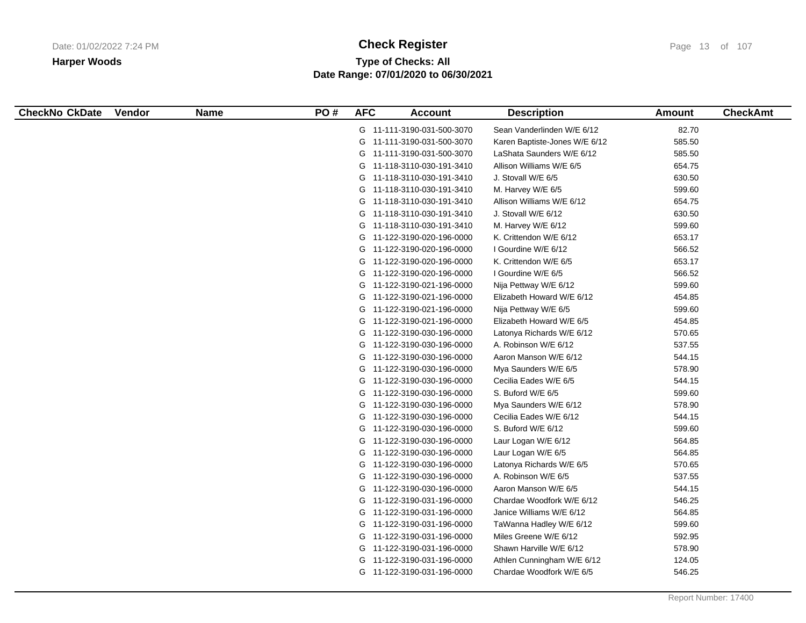# **Type of Checks: All Check Register Check Register Check Register Page 13 of 107 Date Range: 07/01/2020 to 06/30/2021**

| <b>CheckNo CkDate</b> | <b>Vendor</b> | <b>Name</b> | PO# | <b>AFC</b> | <b>Account</b>             | <b>Description</b>            | Amount | <b>CheckAmt</b> |
|-----------------------|---------------|-------------|-----|------------|----------------------------|-------------------------------|--------|-----------------|
|                       |               |             |     |            | G 11-111-3190-031-500-3070 | Sean Vanderlinden W/E 6/12    | 82.70  |                 |
|                       |               |             |     |            | G 11-111-3190-031-500-3070 | Karen Baptiste-Jones W/E 6/12 | 585.50 |                 |
|                       |               |             |     |            | G 11-111-3190-031-500-3070 | LaShata Saunders W/E 6/12     | 585.50 |                 |
|                       |               |             |     |            | G 11-118-3110-030-191-3410 | Allison Williams W/E 6/5      | 654.75 |                 |
|                       |               |             |     |            | G 11-118-3110-030-191-3410 | J. Stovall W/E 6/5            | 630.50 |                 |
|                       |               |             |     |            | G 11-118-3110-030-191-3410 | M. Harvey W/E 6/5             | 599.60 |                 |
|                       |               |             |     |            | G 11-118-3110-030-191-3410 | Allison Williams W/E 6/12     | 654.75 |                 |
|                       |               |             |     |            | G 11-118-3110-030-191-3410 | J. Stovall W/E 6/12           | 630.50 |                 |
|                       |               |             |     |            | G 11-118-3110-030-191-3410 | M. Harvey W/E 6/12            | 599.60 |                 |
|                       |               |             |     |            | G 11-122-3190-020-196-0000 | K. Crittendon W/E 6/12        | 653.17 |                 |
|                       |               |             |     |            | G 11-122-3190-020-196-0000 | I Gourdine W/E 6/12           | 566.52 |                 |
|                       |               |             |     |            | G 11-122-3190-020-196-0000 | K. Crittendon W/E 6/5         | 653.17 |                 |
|                       |               |             |     |            | G 11-122-3190-020-196-0000 | I Gourdine W/E 6/5            | 566.52 |                 |
|                       |               |             |     |            | G 11-122-3190-021-196-0000 | Nija Pettway W/E 6/12         | 599.60 |                 |
|                       |               |             |     |            | G 11-122-3190-021-196-0000 | Elizabeth Howard W/E 6/12     | 454.85 |                 |
|                       |               |             |     |            | G 11-122-3190-021-196-0000 | Nija Pettway W/E 6/5          | 599.60 |                 |
|                       |               |             |     |            | G 11-122-3190-021-196-0000 | Elizabeth Howard W/E 6/5      | 454.85 |                 |
|                       |               |             |     |            | G 11-122-3190-030-196-0000 | Latonya Richards W/E 6/12     | 570.65 |                 |
|                       |               |             |     |            | G 11-122-3190-030-196-0000 | A. Robinson W/E 6/12          | 537.55 |                 |
|                       |               |             |     |            | G 11-122-3190-030-196-0000 | Aaron Manson W/E 6/12         | 544.15 |                 |
|                       |               |             |     |            | G 11-122-3190-030-196-0000 | Mya Saunders W/E 6/5          | 578.90 |                 |
|                       |               |             |     |            | G 11-122-3190-030-196-0000 | Cecilia Eades W/E 6/5         | 544.15 |                 |
|                       |               |             |     |            | G 11-122-3190-030-196-0000 | S. Buford W/E 6/5             | 599.60 |                 |
|                       |               |             |     |            | G 11-122-3190-030-196-0000 | Mya Saunders W/E 6/12         | 578.90 |                 |
|                       |               |             |     |            | G 11-122-3190-030-196-0000 | Cecilia Eades W/E 6/12        | 544.15 |                 |
|                       |               |             |     |            | G 11-122-3190-030-196-0000 | S. Buford W/E 6/12            | 599.60 |                 |
|                       |               |             |     |            | G 11-122-3190-030-196-0000 | Laur Logan W/E 6/12           | 564.85 |                 |
|                       |               |             |     |            | G 11-122-3190-030-196-0000 | Laur Logan W/E 6/5            | 564.85 |                 |
|                       |               |             |     |            | G 11-122-3190-030-196-0000 | Latonya Richards W/E 6/5      | 570.65 |                 |
|                       |               |             |     |            | G 11-122-3190-030-196-0000 | A. Robinson W/E 6/5           | 537.55 |                 |
|                       |               |             |     |            | G 11-122-3190-030-196-0000 | Aaron Manson W/E 6/5          | 544.15 |                 |
|                       |               |             |     |            | G 11-122-3190-031-196-0000 | Chardae Woodfork W/E 6/12     | 546.25 |                 |
|                       |               |             |     |            | G 11-122-3190-031-196-0000 | Janice Williams W/E 6/12      | 564.85 |                 |
|                       |               |             |     |            | G 11-122-3190-031-196-0000 | TaWanna Hadley W/E 6/12       | 599.60 |                 |
|                       |               |             |     |            | G 11-122-3190-031-196-0000 | Miles Greene W/E 6/12         | 592.95 |                 |
|                       |               |             |     |            | G 11-122-3190-031-196-0000 | Shawn Harville W/E 6/12       | 578.90 |                 |
|                       |               |             |     |            | G 11-122-3190-031-196-0000 | Athlen Cunningham W/E 6/12    | 124.05 |                 |
|                       |               |             |     |            | G 11-122-3190-031-196-0000 | Chardae Woodfork W/E 6/5      | 546.25 |                 |
|                       |               |             |     |            |                            |                               |        |                 |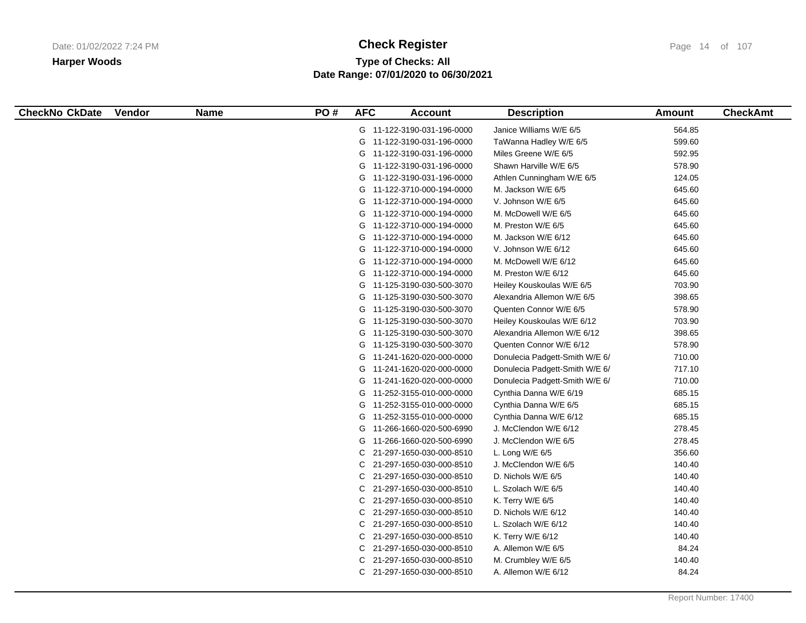# **Type of Checks: All Check Register Check Register Check Register Page 14 of 107 Date Range: 07/01/2020 to 06/30/2021**

| 564.85<br>G 11-122-3190-031-196-0000<br>Janice Williams W/E 6/5<br>599.60<br>G 11-122-3190-031-196-0000<br>TaWanna Hadley W/E 6/5<br>592.95<br>G 11-122-3190-031-196-0000<br>Miles Greene W/E 6/5<br>578.90<br>G 11-122-3190-031-196-0000<br>Shawn Harville W/E 6/5<br>124.05<br>G 11-122-3190-031-196-0000<br>Athlen Cunningham W/E 6/5<br>645.60<br>G 11-122-3710-000-194-0000<br>M. Jackson W/E 6/5<br>645.60<br>G 11-122-3710-000-194-0000<br>V. Johnson W/E 6/5<br>645.60<br>G 11-122-3710-000-194-0000<br>M. McDowell W/E 6/5<br>645.60<br>G 11-122-3710-000-194-0000<br>M. Preston W/E 6/5<br>645.60<br>G 11-122-3710-000-194-0000<br>M. Jackson W/E 6/12<br>645.60<br>G 11-122-3710-000-194-0000<br>V. Johnson W/E 6/12<br>645.60<br>G 11-122-3710-000-194-0000<br>M. McDowell W/E 6/12<br>645.60<br>G 11-122-3710-000-194-0000<br>M. Preston W/E 6/12<br>G 11-125-3190-030-500-3070<br>703.90<br>Heiley Kouskoulas W/E 6/5<br>398.65<br>G 11-125-3190-030-500-3070<br>Alexandria Allemon W/E 6/5<br>578.90<br>G 11-125-3190-030-500-3070<br>Quenten Connor W/E 6/5<br>703.90<br>G 11-125-3190-030-500-3070<br>Heiley Kouskoulas W/E 6/12<br>G 11-125-3190-030-500-3070<br>398.65<br>Alexandria Allemon W/E 6/12<br>Quenten Connor W/E 6/12<br>578.90<br>G 11-125-3190-030-500-3070<br>G 11-241-1620-020-000-0000<br>Donulecia Padgett-Smith W/E 6/<br>710.00<br>G 11-241-1620-020-000-0000<br>717.10<br>Donulecia Padgett-Smith W/E 6/<br>710.00<br>G 11-241-1620-020-000-0000<br>Donulecia Padgett-Smith W/E 6/<br>G 11-252-3155-010-000-0000<br>Cynthia Danna W/E 6/19<br>685.15<br>Cynthia Danna W/E 6/5<br>685.15<br>G 11-252-3155-010-000-0000<br>685.15<br>G 11-252-3155-010-000-0000<br>Cynthia Danna W/E 6/12<br>278.45<br>11-266-1660-020-500-6990<br>J. McClendon W/E 6/12<br>G<br>G<br>J. McClendon W/E 6/5<br>278.45<br>11-266-1660-020-500-6990<br>356.60<br>C<br>21-297-1650-030-000-8510<br>L. Long W/E $6/5$<br>140.40<br>C<br>21-297-1650-030-000-8510<br>J. McClendon W/E 6/5<br>140.40<br>С<br>21-297-1650-030-000-8510<br>D. Nichols W/E 6/5<br>140.40<br>C<br>21-297-1650-030-000-8510<br>L. Szolach W/E 6/5<br>140.40<br>С<br>21-297-1650-030-000-8510<br>K. Terry W/E 6/5<br>С<br>21-297-1650-030-000-8510<br>140.40<br>D. Nichols W/E 6/12<br>C<br>21-297-1650-030-000-8510<br>L. Szolach W/E 6/12<br>140.40<br>140.40<br>21-297-1650-030-000-8510<br>K. Terry W/E 6/12<br>C<br>84.24<br>C<br>21-297-1650-030-000-8510<br>A. Allemon W/E 6/5<br>21-297-1650-030-000-8510<br>M. Crumbley W/E 6/5<br>140.40<br>С<br>84.24<br>C 21-297-1650-030-000-8510<br>A. Allemon W/E 6/12 | <b>CheckNo CkDate</b> | Vendor | <b>Name</b> | PO# | <b>AFC</b> | <b>Account</b> | <b>Description</b> | Amount | <b>CheckAmt</b> |
|---------------------------------------------------------------------------------------------------------------------------------------------------------------------------------------------------------------------------------------------------------------------------------------------------------------------------------------------------------------------------------------------------------------------------------------------------------------------------------------------------------------------------------------------------------------------------------------------------------------------------------------------------------------------------------------------------------------------------------------------------------------------------------------------------------------------------------------------------------------------------------------------------------------------------------------------------------------------------------------------------------------------------------------------------------------------------------------------------------------------------------------------------------------------------------------------------------------------------------------------------------------------------------------------------------------------------------------------------------------------------------------------------------------------------------------------------------------------------------------------------------------------------------------------------------------------------------------------------------------------------------------------------------------------------------------------------------------------------------------------------------------------------------------------------------------------------------------------------------------------------------------------------------------------------------------------------------------------------------------------------------------------------------------------------------------------------------------------------------------------------------------------------------------------------------------------------------------------------------------------------------------------------------------------------------------------------------------------------------------------------------------------------------------------------------------------------------------------------------------------------------------------------------------------------------------------------------------------------------------|-----------------------|--------|-------------|-----|------------|----------------|--------------------|--------|-----------------|
|                                                                                                                                                                                                                                                                                                                                                                                                                                                                                                                                                                                                                                                                                                                                                                                                                                                                                                                                                                                                                                                                                                                                                                                                                                                                                                                                                                                                                                                                                                                                                                                                                                                                                                                                                                                                                                                                                                                                                                                                                                                                                                                                                                                                                                                                                                                                                                                                                                                                                                                                                                                                               |                       |        |             |     |            |                |                    |        |                 |
|                                                                                                                                                                                                                                                                                                                                                                                                                                                                                                                                                                                                                                                                                                                                                                                                                                                                                                                                                                                                                                                                                                                                                                                                                                                                                                                                                                                                                                                                                                                                                                                                                                                                                                                                                                                                                                                                                                                                                                                                                                                                                                                                                                                                                                                                                                                                                                                                                                                                                                                                                                                                               |                       |        |             |     |            |                |                    |        |                 |
|                                                                                                                                                                                                                                                                                                                                                                                                                                                                                                                                                                                                                                                                                                                                                                                                                                                                                                                                                                                                                                                                                                                                                                                                                                                                                                                                                                                                                                                                                                                                                                                                                                                                                                                                                                                                                                                                                                                                                                                                                                                                                                                                                                                                                                                                                                                                                                                                                                                                                                                                                                                                               |                       |        |             |     |            |                |                    |        |                 |
|                                                                                                                                                                                                                                                                                                                                                                                                                                                                                                                                                                                                                                                                                                                                                                                                                                                                                                                                                                                                                                                                                                                                                                                                                                                                                                                                                                                                                                                                                                                                                                                                                                                                                                                                                                                                                                                                                                                                                                                                                                                                                                                                                                                                                                                                                                                                                                                                                                                                                                                                                                                                               |                       |        |             |     |            |                |                    |        |                 |
|                                                                                                                                                                                                                                                                                                                                                                                                                                                                                                                                                                                                                                                                                                                                                                                                                                                                                                                                                                                                                                                                                                                                                                                                                                                                                                                                                                                                                                                                                                                                                                                                                                                                                                                                                                                                                                                                                                                                                                                                                                                                                                                                                                                                                                                                                                                                                                                                                                                                                                                                                                                                               |                       |        |             |     |            |                |                    |        |                 |
|                                                                                                                                                                                                                                                                                                                                                                                                                                                                                                                                                                                                                                                                                                                                                                                                                                                                                                                                                                                                                                                                                                                                                                                                                                                                                                                                                                                                                                                                                                                                                                                                                                                                                                                                                                                                                                                                                                                                                                                                                                                                                                                                                                                                                                                                                                                                                                                                                                                                                                                                                                                                               |                       |        |             |     |            |                |                    |        |                 |
|                                                                                                                                                                                                                                                                                                                                                                                                                                                                                                                                                                                                                                                                                                                                                                                                                                                                                                                                                                                                                                                                                                                                                                                                                                                                                                                                                                                                                                                                                                                                                                                                                                                                                                                                                                                                                                                                                                                                                                                                                                                                                                                                                                                                                                                                                                                                                                                                                                                                                                                                                                                                               |                       |        |             |     |            |                |                    |        |                 |
|                                                                                                                                                                                                                                                                                                                                                                                                                                                                                                                                                                                                                                                                                                                                                                                                                                                                                                                                                                                                                                                                                                                                                                                                                                                                                                                                                                                                                                                                                                                                                                                                                                                                                                                                                                                                                                                                                                                                                                                                                                                                                                                                                                                                                                                                                                                                                                                                                                                                                                                                                                                                               |                       |        |             |     |            |                |                    |        |                 |
|                                                                                                                                                                                                                                                                                                                                                                                                                                                                                                                                                                                                                                                                                                                                                                                                                                                                                                                                                                                                                                                                                                                                                                                                                                                                                                                                                                                                                                                                                                                                                                                                                                                                                                                                                                                                                                                                                                                                                                                                                                                                                                                                                                                                                                                                                                                                                                                                                                                                                                                                                                                                               |                       |        |             |     |            |                |                    |        |                 |
|                                                                                                                                                                                                                                                                                                                                                                                                                                                                                                                                                                                                                                                                                                                                                                                                                                                                                                                                                                                                                                                                                                                                                                                                                                                                                                                                                                                                                                                                                                                                                                                                                                                                                                                                                                                                                                                                                                                                                                                                                                                                                                                                                                                                                                                                                                                                                                                                                                                                                                                                                                                                               |                       |        |             |     |            |                |                    |        |                 |
|                                                                                                                                                                                                                                                                                                                                                                                                                                                                                                                                                                                                                                                                                                                                                                                                                                                                                                                                                                                                                                                                                                                                                                                                                                                                                                                                                                                                                                                                                                                                                                                                                                                                                                                                                                                                                                                                                                                                                                                                                                                                                                                                                                                                                                                                                                                                                                                                                                                                                                                                                                                                               |                       |        |             |     |            |                |                    |        |                 |
|                                                                                                                                                                                                                                                                                                                                                                                                                                                                                                                                                                                                                                                                                                                                                                                                                                                                                                                                                                                                                                                                                                                                                                                                                                                                                                                                                                                                                                                                                                                                                                                                                                                                                                                                                                                                                                                                                                                                                                                                                                                                                                                                                                                                                                                                                                                                                                                                                                                                                                                                                                                                               |                       |        |             |     |            |                |                    |        |                 |
|                                                                                                                                                                                                                                                                                                                                                                                                                                                                                                                                                                                                                                                                                                                                                                                                                                                                                                                                                                                                                                                                                                                                                                                                                                                                                                                                                                                                                                                                                                                                                                                                                                                                                                                                                                                                                                                                                                                                                                                                                                                                                                                                                                                                                                                                                                                                                                                                                                                                                                                                                                                                               |                       |        |             |     |            |                |                    |        |                 |
|                                                                                                                                                                                                                                                                                                                                                                                                                                                                                                                                                                                                                                                                                                                                                                                                                                                                                                                                                                                                                                                                                                                                                                                                                                                                                                                                                                                                                                                                                                                                                                                                                                                                                                                                                                                                                                                                                                                                                                                                                                                                                                                                                                                                                                                                                                                                                                                                                                                                                                                                                                                                               |                       |        |             |     |            |                |                    |        |                 |
|                                                                                                                                                                                                                                                                                                                                                                                                                                                                                                                                                                                                                                                                                                                                                                                                                                                                                                                                                                                                                                                                                                                                                                                                                                                                                                                                                                                                                                                                                                                                                                                                                                                                                                                                                                                                                                                                                                                                                                                                                                                                                                                                                                                                                                                                                                                                                                                                                                                                                                                                                                                                               |                       |        |             |     |            |                |                    |        |                 |
|                                                                                                                                                                                                                                                                                                                                                                                                                                                                                                                                                                                                                                                                                                                                                                                                                                                                                                                                                                                                                                                                                                                                                                                                                                                                                                                                                                                                                                                                                                                                                                                                                                                                                                                                                                                                                                                                                                                                                                                                                                                                                                                                                                                                                                                                                                                                                                                                                                                                                                                                                                                                               |                       |        |             |     |            |                |                    |        |                 |
|                                                                                                                                                                                                                                                                                                                                                                                                                                                                                                                                                                                                                                                                                                                                                                                                                                                                                                                                                                                                                                                                                                                                                                                                                                                                                                                                                                                                                                                                                                                                                                                                                                                                                                                                                                                                                                                                                                                                                                                                                                                                                                                                                                                                                                                                                                                                                                                                                                                                                                                                                                                                               |                       |        |             |     |            |                |                    |        |                 |
|                                                                                                                                                                                                                                                                                                                                                                                                                                                                                                                                                                                                                                                                                                                                                                                                                                                                                                                                                                                                                                                                                                                                                                                                                                                                                                                                                                                                                                                                                                                                                                                                                                                                                                                                                                                                                                                                                                                                                                                                                                                                                                                                                                                                                                                                                                                                                                                                                                                                                                                                                                                                               |                       |        |             |     |            |                |                    |        |                 |
|                                                                                                                                                                                                                                                                                                                                                                                                                                                                                                                                                                                                                                                                                                                                                                                                                                                                                                                                                                                                                                                                                                                                                                                                                                                                                                                                                                                                                                                                                                                                                                                                                                                                                                                                                                                                                                                                                                                                                                                                                                                                                                                                                                                                                                                                                                                                                                                                                                                                                                                                                                                                               |                       |        |             |     |            |                |                    |        |                 |
|                                                                                                                                                                                                                                                                                                                                                                                                                                                                                                                                                                                                                                                                                                                                                                                                                                                                                                                                                                                                                                                                                                                                                                                                                                                                                                                                                                                                                                                                                                                                                                                                                                                                                                                                                                                                                                                                                                                                                                                                                                                                                                                                                                                                                                                                                                                                                                                                                                                                                                                                                                                                               |                       |        |             |     |            |                |                    |        |                 |
|                                                                                                                                                                                                                                                                                                                                                                                                                                                                                                                                                                                                                                                                                                                                                                                                                                                                                                                                                                                                                                                                                                                                                                                                                                                                                                                                                                                                                                                                                                                                                                                                                                                                                                                                                                                                                                                                                                                                                                                                                                                                                                                                                                                                                                                                                                                                                                                                                                                                                                                                                                                                               |                       |        |             |     |            |                |                    |        |                 |
|                                                                                                                                                                                                                                                                                                                                                                                                                                                                                                                                                                                                                                                                                                                                                                                                                                                                                                                                                                                                                                                                                                                                                                                                                                                                                                                                                                                                                                                                                                                                                                                                                                                                                                                                                                                                                                                                                                                                                                                                                                                                                                                                                                                                                                                                                                                                                                                                                                                                                                                                                                                                               |                       |        |             |     |            |                |                    |        |                 |
|                                                                                                                                                                                                                                                                                                                                                                                                                                                                                                                                                                                                                                                                                                                                                                                                                                                                                                                                                                                                                                                                                                                                                                                                                                                                                                                                                                                                                                                                                                                                                                                                                                                                                                                                                                                                                                                                                                                                                                                                                                                                                                                                                                                                                                                                                                                                                                                                                                                                                                                                                                                                               |                       |        |             |     |            |                |                    |        |                 |
|                                                                                                                                                                                                                                                                                                                                                                                                                                                                                                                                                                                                                                                                                                                                                                                                                                                                                                                                                                                                                                                                                                                                                                                                                                                                                                                                                                                                                                                                                                                                                                                                                                                                                                                                                                                                                                                                                                                                                                                                                                                                                                                                                                                                                                                                                                                                                                                                                                                                                                                                                                                                               |                       |        |             |     |            |                |                    |        |                 |
|                                                                                                                                                                                                                                                                                                                                                                                                                                                                                                                                                                                                                                                                                                                                                                                                                                                                                                                                                                                                                                                                                                                                                                                                                                                                                                                                                                                                                                                                                                                                                                                                                                                                                                                                                                                                                                                                                                                                                                                                                                                                                                                                                                                                                                                                                                                                                                                                                                                                                                                                                                                                               |                       |        |             |     |            |                |                    |        |                 |
|                                                                                                                                                                                                                                                                                                                                                                                                                                                                                                                                                                                                                                                                                                                                                                                                                                                                                                                                                                                                                                                                                                                                                                                                                                                                                                                                                                                                                                                                                                                                                                                                                                                                                                                                                                                                                                                                                                                                                                                                                                                                                                                                                                                                                                                                                                                                                                                                                                                                                                                                                                                                               |                       |        |             |     |            |                |                    |        |                 |
|                                                                                                                                                                                                                                                                                                                                                                                                                                                                                                                                                                                                                                                                                                                                                                                                                                                                                                                                                                                                                                                                                                                                                                                                                                                                                                                                                                                                                                                                                                                                                                                                                                                                                                                                                                                                                                                                                                                                                                                                                                                                                                                                                                                                                                                                                                                                                                                                                                                                                                                                                                                                               |                       |        |             |     |            |                |                    |        |                 |
|                                                                                                                                                                                                                                                                                                                                                                                                                                                                                                                                                                                                                                                                                                                                                                                                                                                                                                                                                                                                                                                                                                                                                                                                                                                                                                                                                                                                                                                                                                                                                                                                                                                                                                                                                                                                                                                                                                                                                                                                                                                                                                                                                                                                                                                                                                                                                                                                                                                                                                                                                                                                               |                       |        |             |     |            |                |                    |        |                 |
|                                                                                                                                                                                                                                                                                                                                                                                                                                                                                                                                                                                                                                                                                                                                                                                                                                                                                                                                                                                                                                                                                                                                                                                                                                                                                                                                                                                                                                                                                                                                                                                                                                                                                                                                                                                                                                                                                                                                                                                                                                                                                                                                                                                                                                                                                                                                                                                                                                                                                                                                                                                                               |                       |        |             |     |            |                |                    |        |                 |
|                                                                                                                                                                                                                                                                                                                                                                                                                                                                                                                                                                                                                                                                                                                                                                                                                                                                                                                                                                                                                                                                                                                                                                                                                                                                                                                                                                                                                                                                                                                                                                                                                                                                                                                                                                                                                                                                                                                                                                                                                                                                                                                                                                                                                                                                                                                                                                                                                                                                                                                                                                                                               |                       |        |             |     |            |                |                    |        |                 |
|                                                                                                                                                                                                                                                                                                                                                                                                                                                                                                                                                                                                                                                                                                                                                                                                                                                                                                                                                                                                                                                                                                                                                                                                                                                                                                                                                                                                                                                                                                                                                                                                                                                                                                                                                                                                                                                                                                                                                                                                                                                                                                                                                                                                                                                                                                                                                                                                                                                                                                                                                                                                               |                       |        |             |     |            |                |                    |        |                 |
|                                                                                                                                                                                                                                                                                                                                                                                                                                                                                                                                                                                                                                                                                                                                                                                                                                                                                                                                                                                                                                                                                                                                                                                                                                                                                                                                                                                                                                                                                                                                                                                                                                                                                                                                                                                                                                                                                                                                                                                                                                                                                                                                                                                                                                                                                                                                                                                                                                                                                                                                                                                                               |                       |        |             |     |            |                |                    |        |                 |
|                                                                                                                                                                                                                                                                                                                                                                                                                                                                                                                                                                                                                                                                                                                                                                                                                                                                                                                                                                                                                                                                                                                                                                                                                                                                                                                                                                                                                                                                                                                                                                                                                                                                                                                                                                                                                                                                                                                                                                                                                                                                                                                                                                                                                                                                                                                                                                                                                                                                                                                                                                                                               |                       |        |             |     |            |                |                    |        |                 |
|                                                                                                                                                                                                                                                                                                                                                                                                                                                                                                                                                                                                                                                                                                                                                                                                                                                                                                                                                                                                                                                                                                                                                                                                                                                                                                                                                                                                                                                                                                                                                                                                                                                                                                                                                                                                                                                                                                                                                                                                                                                                                                                                                                                                                                                                                                                                                                                                                                                                                                                                                                                                               |                       |        |             |     |            |                |                    |        |                 |
|                                                                                                                                                                                                                                                                                                                                                                                                                                                                                                                                                                                                                                                                                                                                                                                                                                                                                                                                                                                                                                                                                                                                                                                                                                                                                                                                                                                                                                                                                                                                                                                                                                                                                                                                                                                                                                                                                                                                                                                                                                                                                                                                                                                                                                                                                                                                                                                                                                                                                                                                                                                                               |                       |        |             |     |            |                |                    |        |                 |
|                                                                                                                                                                                                                                                                                                                                                                                                                                                                                                                                                                                                                                                                                                                                                                                                                                                                                                                                                                                                                                                                                                                                                                                                                                                                                                                                                                                                                                                                                                                                                                                                                                                                                                                                                                                                                                                                                                                                                                                                                                                                                                                                                                                                                                                                                                                                                                                                                                                                                                                                                                                                               |                       |        |             |     |            |                |                    |        |                 |
|                                                                                                                                                                                                                                                                                                                                                                                                                                                                                                                                                                                                                                                                                                                                                                                                                                                                                                                                                                                                                                                                                                                                                                                                                                                                                                                                                                                                                                                                                                                                                                                                                                                                                                                                                                                                                                                                                                                                                                                                                                                                                                                                                                                                                                                                                                                                                                                                                                                                                                                                                                                                               |                       |        |             |     |            |                |                    |        |                 |
|                                                                                                                                                                                                                                                                                                                                                                                                                                                                                                                                                                                                                                                                                                                                                                                                                                                                                                                                                                                                                                                                                                                                                                                                                                                                                                                                                                                                                                                                                                                                                                                                                                                                                                                                                                                                                                                                                                                                                                                                                                                                                                                                                                                                                                                                                                                                                                                                                                                                                                                                                                                                               |                       |        |             |     |            |                |                    |        |                 |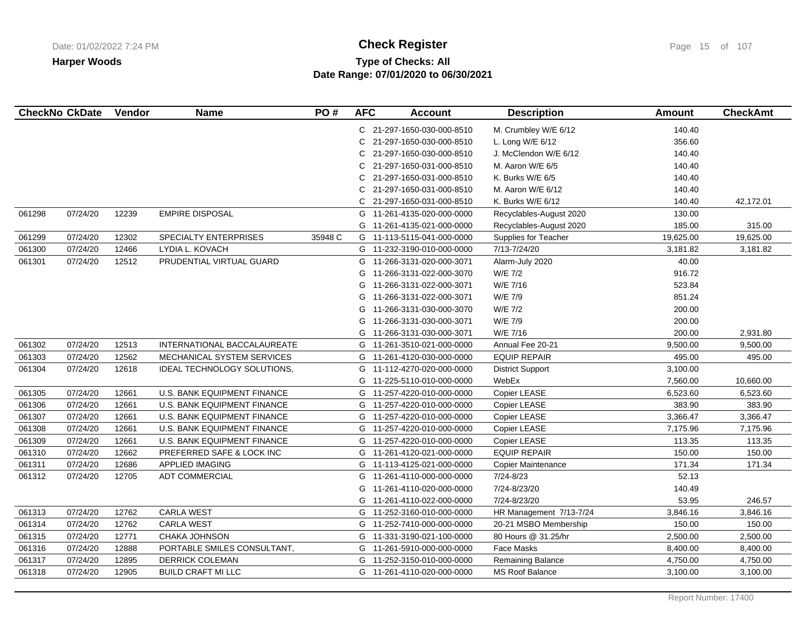# **Type of Checks: All Check Register Check Register Check Register Page 15 of 107 Date Range: 07/01/2020 to 06/30/2021**

| <b>CheckNo CkDate</b> |          | Vendor | <b>Name</b>                        | PO#     | <b>AFC</b> | <b>Account</b>             | <b>Description</b>      | Amount    | <b>CheckAmt</b> |
|-----------------------|----------|--------|------------------------------------|---------|------------|----------------------------|-------------------------|-----------|-----------------|
|                       |          |        |                                    |         |            | C 21-297-1650-030-000-8510 | M. Crumbley W/E 6/12    | 140.40    |                 |
|                       |          |        |                                    |         | С          | 21-297-1650-030-000-8510   | L. Long W/E 6/12        | 356.60    |                 |
|                       |          |        |                                    |         | C          | 21-297-1650-030-000-8510   | J. McClendon W/E 6/12   | 140.40    |                 |
|                       |          |        |                                    |         | С          | 21-297-1650-031-000-8510   | M. Aaron W/E 6/5        | 140.40    |                 |
|                       |          |        |                                    |         | C          | 21-297-1650-031-000-8510   | K. Burks W/E 6/5        | 140.40    |                 |
|                       |          |        |                                    |         | С          | 21-297-1650-031-000-8510   | M. Aaron W/E 6/12       | 140.40    |                 |
|                       |          |        |                                    |         | C          | 21-297-1650-031-000-8510   | K. Burks W/E 6/12       | 140.40    | 42,172.01       |
| 061298                | 07/24/20 | 12239  | <b>EMPIRE DISPOSAL</b>             |         | G          | 11-261-4135-020-000-0000   | Recyclables-August 2020 | 130.00    |                 |
|                       |          |        |                                    |         | G          | 11-261-4135-021-000-0000   | Recyclables-August 2020 | 185.00    | 315.00          |
| 061299                | 07/24/20 | 12302  | SPECIALTY ENTERPRISES              | 35948 C |            | G 11-113-5115-041-000-0000 | Supplies for Teacher    | 19,625.00 | 19,625.00       |
| 061300                | 07/24/20 | 12466  | LYDIA L. KOVACH                    |         |            | G 11-232-3190-010-000-0000 | 7/13-7/24/20            | 3,181.82  | 3,181.82        |
| 061301                | 07/24/20 | 12512  | PRUDENTIAL VIRTUAL GUARD           |         | G          | 11-266-3131-020-000-3071   | Alarm-July 2020         | 40.00     |                 |
|                       |          |        |                                    |         | G          | 11-266-3131-022-000-3070   | W/E 7/2                 | 916.72    |                 |
|                       |          |        |                                    |         | G          | 11-266-3131-022-000-3071   | W/E 7/16                | 523.84    |                 |
|                       |          |        |                                    |         | G          | 11-266-3131-022-000-3071   | W/E 7/9                 | 851.24    |                 |
|                       |          |        |                                    |         | G          | 11-266-3131-030-000-3070   | W/E 7/2                 | 200.00    |                 |
|                       |          |        |                                    |         | G          | 11-266-3131-030-000-3071   | W/E 7/9                 | 200.00    |                 |
|                       |          |        |                                    |         | G          | 11-266-3131-030-000-3071   | W/E 7/16                | 200.00    | 2,931.80        |
| 061302                | 07/24/20 | 12513  | INTERNATIONAL BACCALAUREATE        |         |            | G 11-261-3510-021-000-0000 | Annual Fee 20-21        | 9,500.00  | 9,500.00        |
| 061303                | 07/24/20 | 12562  | MECHANICAL SYSTEM SERVICES         |         | G          | 11-261-4120-030-000-0000   | <b>EQUIP REPAIR</b>     | 495.00    | 495.00          |
| 061304                | 07/24/20 | 12618  | IDEAL TECHNOLOGY SOLUTIONS.        |         | G          | 11-112-4270-020-000-0000   | <b>District Support</b> | 3,100.00  |                 |
|                       |          |        |                                    |         | G          | 11-225-5110-010-000-0000   | WebEx                   | 7,560.00  | 10,660.00       |
| 061305                | 07/24/20 | 12661  | U.S. BANK EQUIPMENT FINANCE        |         |            | G 11-257-4220-010-000-0000 | Copier LEASE            | 6,523.60  | 6,523.60        |
| 061306                | 07/24/20 | 12661  | <b>U.S. BANK EQUIPMENT FINANCE</b> |         | G          | 11-257-4220-010-000-0000   | Copier LEASE            | 383.90    | 383.90          |
| 061307                | 07/24/20 | 12661  | <b>U.S. BANK EQUIPMENT FINANCE</b> |         |            | G 11-257-4220-010-000-0000 | Copier LEASE            | 3,366.47  | 3,366.47        |
| 061308                | 07/24/20 | 12661  | U.S. BANK EQUIPMENT FINANCE        |         |            | G 11-257-4220-010-000-0000 | Copier LEASE            | 7,175.96  | 7,175.96        |
| 061309                | 07/24/20 | 12661  | <b>U.S. BANK EQUIPMENT FINANCE</b> |         | G          | 11-257-4220-010-000-0000   | Copier LEASE            | 113.35    | 113.35          |
| 061310                | 07/24/20 | 12662  | PREFERRED SAFE & LOCK INC          |         | G          | 11-261-4120-021-000-0000   | <b>EQUIP REPAIR</b>     | 150.00    | 150.00          |
| 061311                | 07/24/20 | 12686  | <b>APPLIED IMAGING</b>             |         | G          | 11-113-4125-021-000-0000   | Copier Maintenance      | 171.34    | 171.34          |
| 061312                | 07/24/20 | 12705  | <b>ADT COMMERCIAL</b>              |         | G          | 11-261-4110-000-000-0000   | 7/24-8/23               | 52.13     |                 |
|                       |          |        |                                    |         | G          | 11-261-4110-020-000-0000   | 7/24-8/23/20            | 140.49    |                 |
|                       |          |        |                                    |         | G          | 11-261-4110-022-000-0000   | 7/24-8/23/20            | 53.95     | 246.57          |
| 061313                | 07/24/20 | 12762  | <b>CARLA WEST</b>                  |         |            | G 11-252-3160-010-000-0000 | HR Management 7/13-7/24 | 3,846.16  | 3,846.16        |
| 061314                | 07/24/20 | 12762  | <b>CARLA WEST</b>                  |         |            | G 11-252-7410-000-000-0000 | 20-21 MSBO Membership   | 150.00    | 150.00          |
| 061315                | 07/24/20 | 12771  | CHAKA JOHNSON                      |         | G          | 11-331-3190-021-100-0000   | 80 Hours @ 31.25/hr     | 2,500.00  | 2,500.00        |
| 061316                | 07/24/20 | 12888  | PORTABLE SMILES CONSULTANT,        |         | G          | 11-261-5910-000-000-0000   | <b>Face Masks</b>       | 8,400.00  | 8,400.00        |
| 061317                | 07/24/20 | 12895  | <b>DERRICK COLEMAN</b>             |         |            | G 11-252-3150-010-000-0000 | Remaining Balance       | 4,750.00  | 4,750.00        |
| 061318                | 07/24/20 | 12905  | <b>BUILD CRAFT MI LLC</b>          |         |            | G 11-261-4110-020-000-0000 | <b>MS Roof Balance</b>  | 3,100.00  | 3,100.00        |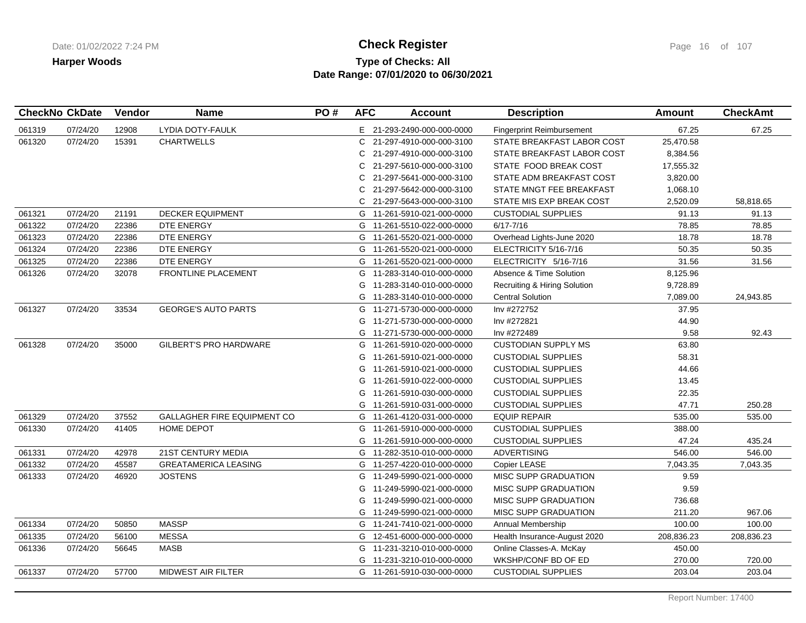## **Type of Checks: All Check Register Check Register Check Register Page 16 of 107 Date Range: 07/01/2020 to 06/30/2021**

|        | <b>CheckNo CkDate</b> | Vendor | <b>Name</b>                        | PO# | <b>AFC</b> | <b>Account</b>             | <b>Description</b>               | <b>Amount</b> | <b>CheckAmt</b> |
|--------|-----------------------|--------|------------------------------------|-----|------------|----------------------------|----------------------------------|---------------|-----------------|
| 061319 | 07/24/20              | 12908  | LYDIA DOTY-FAULK                   |     |            | E 21-293-2490-000-000-0000 | <b>Fingerprint Reimbursement</b> | 67.25         | 67.25           |
| 061320 | 07/24/20              | 15391  | <b>CHARTWELLS</b>                  |     |            | C 21-297-4910-000-000-3100 | STATE BREAKFAST LABOR COST       | 25,470.58     |                 |
|        |                       |        |                                    |     | C.         | 21-297-4910-000-000-3100   | STATE BREAKFAST LABOR COST       | 8,384.56      |                 |
|        |                       |        |                                    |     |            | C 21-297-5610-000-000-3100 | STATE FOOD BREAK COST            | 17,555.32     |                 |
|        |                       |        |                                    |     | C.         | 21-297-5641-000-000-3100   | STATE ADM BREAKFAST COST         | 3,820.00      |                 |
|        |                       |        |                                    |     | C.         | 21-297-5642-000-000-3100   | STATE MNGT FEE BREAKFAST         | 1,068.10      |                 |
|        |                       |        |                                    |     |            | C 21-297-5643-000-000-3100 | STATE MIS EXP BREAK COST         | 2,520.09      | 58,818.65       |
| 061321 | 07/24/20              | 21191  | <b>DECKER EQUIPMENT</b>            |     |            | G 11-261-5910-021-000-0000 | <b>CUSTODIAL SUPPLIES</b>        | 91.13         | 91.13           |
| 061322 | 07/24/20              | 22386  | DTE ENERGY                         |     | G          | 11-261-5510-022-000-0000   | $6/17 - 7/16$                    | 78.85         | 78.85           |
| 061323 | 07/24/20              | 22386  | DTE ENERGY                         |     |            | G 11-261-5520-021-000-0000 | Overhead Lights-June 2020        | 18.78         | 18.78           |
| 061324 | 07/24/20              | 22386  | DTE ENERGY                         |     |            | G 11-261-5520-021-000-0000 | ELECTRICITY 5/16-7/16            | 50.35         | 50.35           |
| 061325 | 07/24/20              | 22386  | DTE ENERGY                         |     |            | G 11-261-5520-021-000-0000 | ELECTRICITY 5/16-7/16            | 31.56         | 31.56           |
| 061326 | 07/24/20              | 32078  | FRONTLINE PLACEMENT                |     |            | G 11-283-3140-010-000-0000 | Absence & Time Solution          | 8,125.96      |                 |
|        |                       |        |                                    |     |            | G 11-283-3140-010-000-0000 | Recruiting & Hiring Solution     | 9,728.89      |                 |
|        |                       |        |                                    |     |            | G 11-283-3140-010-000-0000 | <b>Central Solution</b>          | 7,089.00      | 24,943.85       |
| 061327 | 07/24/20              | 33534  | <b>GEORGE'S AUTO PARTS</b>         |     |            | G 11-271-5730-000-000-0000 | Inv #272752                      | 37.95         |                 |
|        |                       |        |                                    |     |            | G 11-271-5730-000-000-0000 | Inv #272821                      | 44.90         |                 |
|        |                       |        |                                    |     |            | G 11-271-5730-000-000-0000 | Inv #272489                      | 9.58          | 92.43           |
| 061328 | 07/24/20              | 35000  | <b>GILBERT'S PRO HARDWARE</b>      |     |            | G 11-261-5910-020-000-0000 | <b>CUSTODIAN SUPPLY MS</b>       | 63.80         |                 |
|        |                       |        |                                    |     | G          | 11-261-5910-021-000-0000   | <b>CUSTODIAL SUPPLIES</b>        | 58.31         |                 |
|        |                       |        |                                    |     |            | G 11-261-5910-021-000-0000 | <b>CUSTODIAL SUPPLIES</b>        | 44.66         |                 |
|        |                       |        |                                    |     |            | G 11-261-5910-022-000-0000 | <b>CUSTODIAL SUPPLIES</b>        | 13.45         |                 |
|        |                       |        |                                    |     |            | G 11-261-5910-030-000-0000 | <b>CUSTODIAL SUPPLIES</b>        | 22.35         |                 |
|        |                       |        |                                    |     |            | G 11-261-5910-031-000-0000 | <b>CUSTODIAL SUPPLIES</b>        | 47.71         | 250.28          |
| 061329 | 07/24/20              | 37552  | <b>GALLAGHER FIRE EQUIPMENT CO</b> |     |            | G 11-261-4120-031-000-0000 | <b>EQUIP REPAIR</b>              | 535.00        | 535.00          |
| 061330 | 07/24/20              | 41405  | <b>HOME DEPOT</b>                  |     | G          | 11-261-5910-000-000-0000   | <b>CUSTODIAL SUPPLIES</b>        | 388.00        |                 |
|        |                       |        |                                    |     |            | G 11-261-5910-000-000-0000 | <b>CUSTODIAL SUPPLIES</b>        | 47.24         | 435.24          |
| 061331 | 07/24/20              | 42978  | 21ST CENTURY MEDIA                 |     |            | G 11-282-3510-010-000-0000 | <b>ADVERTISING</b>               | 546.00        | 546.00          |
| 061332 | 07/24/20              | 45587  | <b>GREATAMERICA LEASING</b>        |     |            | G 11-257-4220-010-000-0000 | Copier LEASE                     | 7,043.35      | 7,043.35        |
| 061333 | 07/24/20              | 46920  | <b>JOSTENS</b>                     |     |            | G 11-249-5990-021-000-0000 | <b>MISC SUPP GRADUATION</b>      | 9.59          |                 |
|        |                       |        |                                    |     | G          | 11-249-5990-021-000-0000   | <b>MISC SUPP GRADUATION</b>      | 9.59          |                 |
|        |                       |        |                                    |     | G          | 11-249-5990-021-000-0000   | MISC SUPP GRADUATION             | 736.68        |                 |
|        |                       |        |                                    |     |            | G 11-249-5990-021-000-0000 | <b>MISC SUPP GRADUATION</b>      | 211.20        | 967.06          |
| 061334 | 07/24/20              | 50850  | <b>MASSP</b>                       |     |            | G 11-241-7410-021-000-0000 | Annual Membership                | 100.00        | 100.00          |
| 061335 | 07/24/20              | 56100  | <b>MESSA</b>                       |     |            | G 12-451-6000-000-000-0000 | Health Insurance-August 2020     | 208,836.23    | 208,836.23      |
| 061336 | 07/24/20              | 56645  | <b>MASB</b>                        |     |            | G 11-231-3210-010-000-0000 | Online Classes-A. McKay          | 450.00        |                 |
|        |                       |        |                                    |     |            | G 11-231-3210-010-000-0000 | WKSHP/CONF BD OF ED              | 270.00        | 720.00          |
| 061337 | 07/24/20              | 57700  | <b>MIDWEST AIR FILTER</b>          |     |            | G 11-261-5910-030-000-0000 | <b>CUSTODIAL SUPPLIES</b>        | 203.04        | 203.04          |
|        |                       |        |                                    |     |            |                            |                                  |               |                 |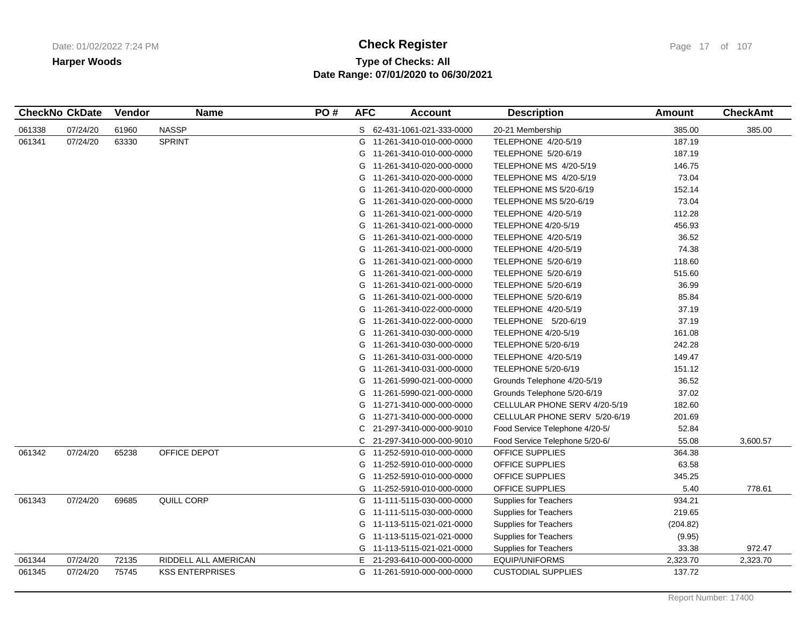# **Type of Checks: All Check Register Check Register Check Register Page 17 of 107 Date Range: 07/01/2020 to 06/30/2021**

|        | <b>CheckNo CkDate</b> | <b>Vendor</b> | <b>Name</b>            | PO# | <b>AFC</b> | <b>Account</b>             | <b>Description</b>             | <b>Amount</b> | <b>CheckAmt</b> |
|--------|-----------------------|---------------|------------------------|-----|------------|----------------------------|--------------------------------|---------------|-----------------|
| 061338 | 07/24/20              | 61960         | <b>NASSP</b>           |     |            | S 62-431-1061-021-333-0000 | 20-21 Membership               | 385.00        | 385.00          |
| 061341 | 07/24/20              | 63330         | <b>SPRINT</b>          |     |            | G 11-261-3410-010-000-0000 | TELEPHONE 4/20-5/19            | 187.19        |                 |
|        |                       |               |                        |     | G          | 11-261-3410-010-000-0000   | TELEPHONE 5/20-6/19            | 187.19        |                 |
|        |                       |               |                        |     | G          | 11-261-3410-020-000-0000   | TELEPHONE MS 4/20-5/19         | 146.75        |                 |
|        |                       |               |                        |     |            | G 11-261-3410-020-000-0000 | TELEPHONE MS 4/20-5/19         | 73.04         |                 |
|        |                       |               |                        |     | G          | 11-261-3410-020-000-0000   | TELEPHONE MS 5/20-6/19         | 152.14        |                 |
|        |                       |               |                        |     | G          | 11-261-3410-020-000-0000   | TELEPHONE MS 5/20-6/19         | 73.04         |                 |
|        |                       |               |                        |     | G          | 11-261-3410-021-000-0000   | TELEPHONE 4/20-5/19            | 112.28        |                 |
|        |                       |               |                        |     | G          | 11-261-3410-021-000-0000   | <b>TELEPHONE 4/20-5/19</b>     | 456.93        |                 |
|        |                       |               |                        |     | G          | 11-261-3410-021-000-0000   | TELEPHONE 4/20-5/19            | 36.52         |                 |
|        |                       |               |                        |     |            | G 11-261-3410-021-000-0000 | TELEPHONE 4/20-5/19            | 74.38         |                 |
|        |                       |               |                        |     | G          | 11-261-3410-021-000-0000   | TELEPHONE 5/20-6/19            | 118.60        |                 |
|        |                       |               |                        |     | G          | 11-261-3410-021-000-0000   | TELEPHONE 5/20-6/19            | 515.60        |                 |
|        |                       |               |                        |     |            | G 11-261-3410-021-000-0000 | TELEPHONE 5/20-6/19            | 36.99         |                 |
|        |                       |               |                        |     | G          | 11-261-3410-021-000-0000   | TELEPHONE 5/20-6/19            | 85.84         |                 |
|        |                       |               |                        |     | G          | 11-261-3410-022-000-0000   | TELEPHONE 4/20-5/19            | 37.19         |                 |
|        |                       |               |                        |     | G          | 11-261-3410-022-000-0000   | TELEPHONE 5/20-6/19            | 37.19         |                 |
|        |                       |               |                        |     | G          | 11-261-3410-030-000-0000   | <b>TELEPHONE 4/20-5/19</b>     | 161.08        |                 |
|        |                       |               |                        |     | G          | 11-261-3410-030-000-0000   | TELEPHONE 5/20-6/19            | 242.28        |                 |
|        |                       |               |                        |     |            | G 11-261-3410-031-000-0000 | TELEPHONE 4/20-5/19            | 149.47        |                 |
|        |                       |               |                        |     |            | G 11-261-3410-031-000-0000 | TELEPHONE 5/20-6/19            | 151.12        |                 |
|        |                       |               |                        |     | G          | 11-261-5990-021-000-0000   | Grounds Telephone 4/20-5/19    | 36.52         |                 |
|        |                       |               |                        |     |            | G 11-261-5990-021-000-0000 | Grounds Telephone 5/20-6/19    | 37.02         |                 |
|        |                       |               |                        |     | G          | 11-271-3410-000-000-0000   | CELLULAR PHONE SERV 4/20-5/19  | 182.60        |                 |
|        |                       |               |                        |     | G          | 11-271-3410-000-000-0000   | CELLULAR PHONE SERV 5/20-6/19  | 201.69        |                 |
|        |                       |               |                        |     | C          | 21-297-3410-000-000-9010   | Food Service Telephone 4/20-5/ | 52.84         |                 |
|        |                       |               |                        |     | C          | 21-297-3410-000-000-9010   | Food Service Telephone 5/20-6/ | 55.08         | 3,600.57        |
| 061342 | 07/24/20              | 65238         | OFFICE DEPOT           |     | G          | 11-252-5910-010-000-0000   | OFFICE SUPPLIES                | 364.38        |                 |
|        |                       |               |                        |     | G          | 11-252-5910-010-000-0000   | <b>OFFICE SUPPLIES</b>         | 63.58         |                 |
|        |                       |               |                        |     | G          | 11-252-5910-010-000-0000   | OFFICE SUPPLIES                | 345.25        |                 |
|        |                       |               |                        |     | G          | 11-252-5910-010-000-0000   | <b>OFFICE SUPPLIES</b>         | 5.40          | 778.61          |
| 061343 | 07/24/20              | 69685         | QUILL CORP             |     |            | G 11-111-5115-030-000-0000 | Supplies for Teachers          | 934.21        |                 |
|        |                       |               |                        |     | G          | 11-111-5115-030-000-0000   | <b>Supplies for Teachers</b>   | 219.65        |                 |
|        |                       |               |                        |     |            | G 11-113-5115-021-021-0000 | <b>Supplies for Teachers</b>   | (204.82)      |                 |
|        |                       |               |                        |     | G          | 11-113-5115-021-021-0000   | <b>Supplies for Teachers</b>   | (9.95)        |                 |
|        |                       |               |                        |     |            | G 11-113-5115-021-021-0000 | <b>Supplies for Teachers</b>   | 33.38         | 972.47          |
| 061344 | 07/24/20              | 72135         | RIDDELL ALL AMERICAN   |     | Е.         | 21-293-6410-000-000-0000   | EQUIP/UNIFORMS                 | 2,323.70      | 2,323.70        |
| 061345 | 07/24/20              | 75745         | <b>KSS ENTERPRISES</b> |     |            | G 11-261-5910-000-000-0000 | <b>CUSTODIAL SUPPLIES</b>      | 137.72        |                 |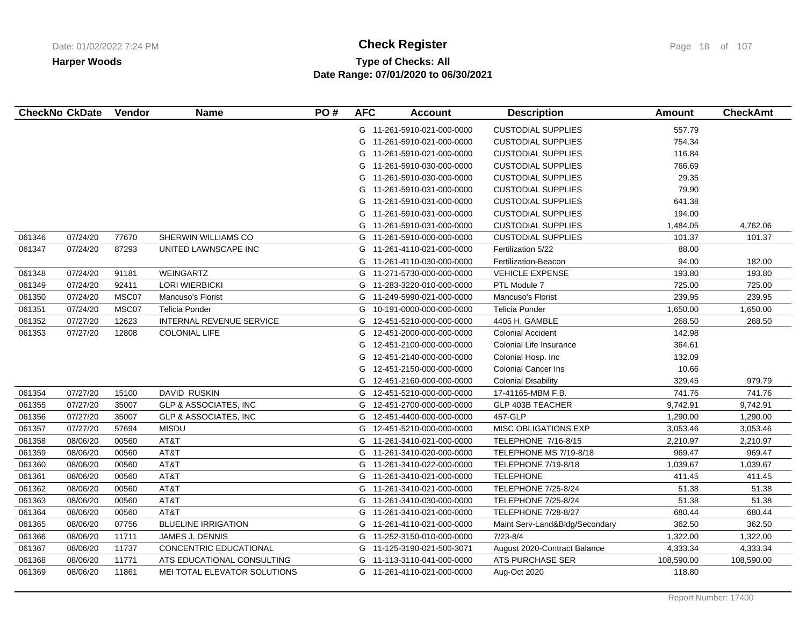# **Type of Checks: All Check Register Check Register Check Register Page 18 of 107 Date Range: 07/01/2020 to 06/30/2021**

|        | <b>CheckNo CkDate</b> | Vendor | <b>Name</b>                      | PO# | <b>AFC</b> | <b>Account</b>             | <b>Description</b>             | <b>Amount</b> | <b>CheckAmt</b> |
|--------|-----------------------|--------|----------------------------------|-----|------------|----------------------------|--------------------------------|---------------|-----------------|
|        |                       |        |                                  |     |            | G 11-261-5910-021-000-0000 | <b>CUSTODIAL SUPPLIES</b>      | 557.79        |                 |
|        |                       |        |                                  |     | G          | 11-261-5910-021-000-0000   | <b>CUSTODIAL SUPPLIES</b>      | 754.34        |                 |
|        |                       |        |                                  |     | G          | 11-261-5910-021-000-0000   | <b>CUSTODIAL SUPPLIES</b>      | 116.84        |                 |
|        |                       |        |                                  |     | G          | 11-261-5910-030-000-0000   | <b>CUSTODIAL SUPPLIES</b>      | 766.69        |                 |
|        |                       |        |                                  |     | G          | 11-261-5910-030-000-0000   | <b>CUSTODIAL SUPPLIES</b>      | 29.35         |                 |
|        |                       |        |                                  |     | G          | 11-261-5910-031-000-0000   | <b>CUSTODIAL SUPPLIES</b>      | 79.90         |                 |
|        |                       |        |                                  |     | G          | 11-261-5910-031-000-0000   | <b>CUSTODIAL SUPPLIES</b>      | 641.38        |                 |
|        |                       |        |                                  |     | G          | 11-261-5910-031-000-0000   | <b>CUSTODIAL SUPPLIES</b>      | 194.00        |                 |
|        |                       |        |                                  |     | G          | 11-261-5910-031-000-0000   | <b>CUSTODIAL SUPPLIES</b>      | 1,484.05      | 4,762.06        |
| 061346 | 07/24/20              | 77670  | SHERWIN WILLIAMS CO              |     | G          | 11-261-5910-000-000-0000   | <b>CUSTODIAL SUPPLIES</b>      | 101.37        | 101.37          |
| 061347 | 07/24/20              | 87293  | UNITED LAWNSCAPE INC             |     | G          | 11-261-4110-021-000-0000   | Fertilization 5/22             | 88.00         |                 |
|        |                       |        |                                  |     | G          | 11-261-4110-030-000-0000   | Fertilization-Beacon           | 94.00         | 182.00          |
| 061348 | 07/24/20              | 91181  | WEINGARTZ                        |     | G          | 11-271-5730-000-000-0000   | <b>VEHICLE EXPENSE</b>         | 193.80        | 193.80          |
| 061349 | 07/24/20              | 92411  | <b>LORI WIERBICKI</b>            |     | G          | 11-283-3220-010-000-0000   | PTL Module 7                   | 725.00        | 725.00          |
| 061350 | 07/24/20              | MSC07  | Mancuso's Florist                |     | G          | 11-249-5990-021-000-0000   | Mancuso's Florist              | 239.95        | 239.95          |
| 061351 | 07/24/20              | MSC07  | Telicia Ponder                   |     | G          | 10-191-0000-000-000-0000   | <b>Telicia Ponder</b>          | 1,650.00      | 1,650.00        |
| 061352 | 07/27/20              | 12623  | <b>INTERNAL REVENUE SERVICE</b>  |     | G          | 12-451-5210-000-000-0000   | 4405 H. GAMBLE                 | 268.50        | 268.50          |
| 061353 | 07/27/20              | 12808  | <b>COLONIAL LIFE</b>             |     | G          | 12-451-2000-000-000-0000   | <b>Colonial Accident</b>       | 142.98        |                 |
|        |                       |        |                                  |     | G          | 12-451-2100-000-000-0000   | Colonial Life Insurance        | 364.61        |                 |
|        |                       |        |                                  |     | G          | 12-451-2140-000-000-0000   | Colonial Hosp. Inc             | 132.09        |                 |
|        |                       |        |                                  |     | G          | 12-451-2150-000-000-0000   | <b>Colonial Cancer Ins</b>     | 10.66         |                 |
|        |                       |        |                                  |     | G          | 12-451-2160-000-000-0000   | <b>Colonial Disability</b>     | 329.45        | 979.79          |
| 061354 | 07/27/20              | 15100  | DAVID RUSKIN                     |     | G          | 12-451-5210-000-000-0000   | 17-41165-MBM F.B.              | 741.76        | 741.76          |
| 061355 | 07/27/20              | 35007  | <b>GLP &amp; ASSOCIATES, INC</b> |     | G          | 12-451-2700-000-000-0000   | GLP 403B TEACHER               | 9,742.91      | 9,742.91        |
| 061356 | 07/27/20              | 35007  | <b>GLP &amp; ASSOCIATES, INC</b> |     | G          | 12-451-4400-000-000-0000   | 457-GLP                        | 1,290.00      | 1,290.00        |
| 061357 | 07/27/20              | 57694  | <b>MISDU</b>                     |     | G.         | 12-451-5210-000-000-0000   | <b>MISC OBLIGATIONS EXP</b>    | 3,053.46      | 3,053.46        |
| 061358 | 08/06/20              | 00560  | AT&T                             |     | G          | 11-261-3410-021-000-0000   | TELEPHONE 7/16-8/15            | 2,210.97      | 2,210.97        |
| 061359 | 08/06/20              | 00560  | AT&T                             |     | G          | 11-261-3410-020-000-0000   | TELEPHONE MS 7/19-8/18         | 969.47        | 969.47          |
| 061360 | 08/06/20              | 00560  | AT&T                             |     | G          | 11-261-3410-022-000-0000   | <b>TELEPHONE 7/19-8/18</b>     | 1,039.67      | 1,039.67        |
| 061361 | 08/06/20              | 00560  | AT&T                             |     | G          | 11-261-3410-021-000-0000   | <b>TELEPHONE</b>               | 411.45        | 411.45          |
| 061362 | 08/06/20              | 00560  | AT&T                             |     | G          | 11-261-3410-021-000-0000   | <b>TELEPHONE 7/25-8/24</b>     | 51.38         | 51.38           |
| 061363 | 08/06/20              | 00560  | AT&T                             |     | G          | 11-261-3410-030-000-0000   | <b>TELEPHONE 7/25-8/24</b>     | 51.38         | 51.38           |
| 061364 | 08/06/20              | 00560  | AT&T                             |     |            | G 11-261-3410-021-000-0000 | <b>TELEPHONE 7/28-8/27</b>     | 680.44        | 680.44          |
| 061365 | 08/06/20              | 07756  | <b>BLUELINE IRRIGATION</b>       |     |            | G 11-261-4110-021-000-0000 | Maint Serv-Land&Bldg/Secondary | 362.50        | 362.50          |
| 061366 | 08/06/20              | 11711  | JAMES J. DENNIS                  |     | G          | 11-252-3150-010-000-0000   | $7/23 - 8/4$                   | 1,322.00      | 1,322.00        |
| 061367 | 08/06/20              | 11737  | CONCENTRIC EDUCATIONAL           |     | G          | 11-125-3190-021-500-3071   | August 2020-Contract Balance   | 4,333.34      | 4,333.34        |
| 061368 | 08/06/20              | 11771  | ATS EDUCATIONAL CONSULTING       |     | G          | 11-113-3110-041-000-0000   | ATS PURCHASE SER               | 108,590.00    | 108,590.00      |
| 061369 | 08/06/20              | 11861  | MEI TOTAL ELEVATOR SOLUTIONS     |     | G          | 11-261-4110-021-000-0000   | Aug-Oct 2020                   | 118.80        |                 |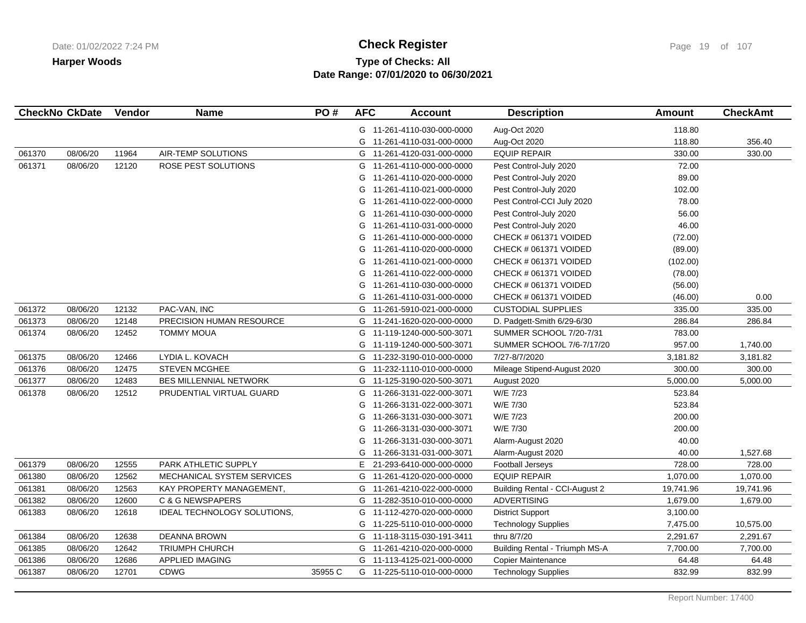# **Type of Checks: All Check Register Check Register Check Register Page 19 of 107 Date Range: 07/01/2020 to 06/30/2021**

|        | <b>CheckNo CkDate</b> | Vendor | <b>Name</b>                   | PO#     | <b>AFC</b> | <b>Account</b>             | <b>Description</b>                    | <b>Amount</b> | <b>CheckAmt</b> |
|--------|-----------------------|--------|-------------------------------|---------|------------|----------------------------|---------------------------------------|---------------|-----------------|
|        |                       |        |                               |         |            | G 11-261-4110-030-000-0000 | Aug-Oct 2020                          | 118.80        |                 |
|        |                       |        |                               |         |            | G 11-261-4110-031-000-0000 | Aug-Oct 2020                          | 118.80        | 356.40          |
| 061370 | 08/06/20              | 11964  | AIR-TEMP SOLUTIONS            |         |            | G 11-261-4120-031-000-0000 | <b>EQUIP REPAIR</b>                   | 330.00        | 330.00          |
| 061371 | 08/06/20              | 12120  | ROSE PEST SOLUTIONS           |         |            | G 11-261-4110-000-000-0000 | Pest Control-July 2020                | 72.00         |                 |
|        |                       |        |                               |         | G          | 11-261-4110-020-000-0000   | Pest Control-July 2020                | 89.00         |                 |
|        |                       |        |                               |         | G          | 11-261-4110-021-000-0000   | Pest Control-July 2020                | 102.00        |                 |
|        |                       |        |                               |         | G          | 11-261-4110-022-000-0000   | Pest Control-CCI July 2020            | 78.00         |                 |
|        |                       |        |                               |         | G          | 11-261-4110-030-000-0000   | Pest Control-July 2020                | 56.00         |                 |
|        |                       |        |                               |         | G          | 11-261-4110-031-000-0000   | Pest Control-July 2020                | 46.00         |                 |
|        |                       |        |                               |         | G          | 11-261-4110-000-000-0000   | CHECK # 061371 VOIDED                 | (72.00)       |                 |
|        |                       |        |                               |         | G          | 11-261-4110-020-000-0000   | CHECK # 061371 VOIDED                 | (89.00)       |                 |
|        |                       |        |                               |         | G          | 11-261-4110-021-000-0000   | CHECK # 061371 VOIDED                 | (102.00)      |                 |
|        |                       |        |                               |         | G          | 11-261-4110-022-000-0000   | CHECK # 061371 VOIDED                 | (78.00)       |                 |
|        |                       |        |                               |         | G          | 11-261-4110-030-000-0000   | CHECK # 061371 VOIDED                 | (56.00)       |                 |
|        |                       |        |                               |         | G          | 11-261-4110-031-000-0000   | CHECK # 061371 VOIDED                 | (46.00)       | 0.00            |
| 061372 | 08/06/20              | 12132  | PAC-VAN, INC                  |         | G          | 11-261-5910-021-000-0000   | <b>CUSTODIAL SUPPLIES</b>             | 335.00        | 335.00          |
| 061373 | 08/06/20              | 12148  | PRECISION HUMAN RESOURCE      |         | G          | 11-241-1620-020-000-0000   | D. Padgett-Smith 6/29-6/30            | 286.84        | 286.84          |
| 061374 | 08/06/20              | 12452  | <b>TOMMY MOUA</b>             |         | G          | 11-119-1240-000-500-3071   | SUMMER SCHOOL 7/20-7/31               | 783.00        |                 |
|        |                       |        |                               |         |            | G 11-119-1240-000-500-3071 | SUMMER SCHOOL 7/6-7/17/20             | 957.00        | 1,740.00        |
| 061375 | 08/06/20              | 12466  | LYDIA L. KOVACH               |         | G          | 11-232-3190-010-000-0000   | 7/27-8/7/2020                         | 3,181.82      | 3,181.82        |
| 061376 | 08/06/20              | 12475  | <b>STEVEN MCGHEE</b>          |         |            | G 11-232-1110-010-000-0000 | Mileage Stipend-August 2020           | 300.00        | 300.00          |
| 061377 | 08/06/20              | 12483  | <b>BES MILLENNIAL NETWORK</b> |         |            | G 11-125-3190-020-500-3071 | August 2020                           | 5,000.00      | 5,000.00        |
| 061378 | 08/06/20              | 12512  | PRUDENTIAL VIRTUAL GUARD      |         | G          | 11-266-3131-022-000-3071   | W/E 7/23                              | 523.84        |                 |
|        |                       |        |                               |         | G          | 11-266-3131-022-000-3071   | W/E 7/30                              | 523.84        |                 |
|        |                       |        |                               |         | G          | 11-266-3131-030-000-3071   | W/E 7/23                              | 200.00        |                 |
|        |                       |        |                               |         | G          | 11-266-3131-030-000-3071   | W/E 7/30                              | 200.00        |                 |
|        |                       |        |                               |         | G          | 11-266-3131-030-000-3071   | Alarm-August 2020                     | 40.00         |                 |
|        |                       |        |                               |         |            | G 11-266-3131-031-000-3071 | Alarm-August 2020                     | 40.00         | 1,527.68        |
| 061379 | 08/06/20              | 12555  | PARK ATHLETIC SUPPLY          |         | E.         | 21-293-6410-000-000-0000   | Football Jerseys                      | 728.00        | 728.00          |
| 061380 | 08/06/20              | 12562  | MECHANICAL SYSTEM SERVICES    |         | G          | 11-261-4120-020-000-0000   | <b>EQUIP REPAIR</b>                   | 1,070.00      | 1,070.00        |
| 061381 | 08/06/20              | 12563  | KAY PROPERTY MANAGEMENT,      |         |            | G 11-261-4210-022-000-0000 | Building Rental - CCI-August 2        | 19,741.96     | 19,741.96       |
| 061382 | 08/06/20              | 12600  | <b>C &amp; G NEWSPAPERS</b>   |         |            | G 11-282-3510-010-000-0000 | <b>ADVERTISING</b>                    | 1,679.00      | 1,679.00        |
| 061383 | 08/06/20              | 12618  | IDEAL TECHNOLOGY SOLUTIONS,   |         |            | G 11-112-4270-020-000-0000 | <b>District Support</b>               | 3,100.00      |                 |
|        |                       |        |                               |         | G          | 11-225-5110-010-000-0000   | <b>Technology Supplies</b>            | 7,475.00      | 10,575.00       |
| 061384 | 08/06/20              | 12638  | <b>DEANNA BROWN</b>           |         |            | G 11-118-3115-030-191-3411 | thru 8/7/20                           | 2,291.67      | 2,291.67        |
| 061385 | 08/06/20              | 12642  | TRIUMPH CHURCH                |         |            | G 11-261-4210-020-000-0000 | <b>Building Rental - Triumph MS-A</b> | 7,700.00      | 7,700.00        |
| 061386 | 08/06/20              | 12686  | APPLIED IMAGING               |         |            | G 11-113-4125-021-000-0000 | Copier Maintenance                    | 64.48         | 64.48           |
| 061387 | 08/06/20              | 12701  | <b>CDWG</b>                   | 35955 C |            | G 11-225-5110-010-000-0000 | <b>Technology Supplies</b>            | 832.99        | 832.99          |
|        |                       |        |                               |         |            |                            |                                       |               |                 |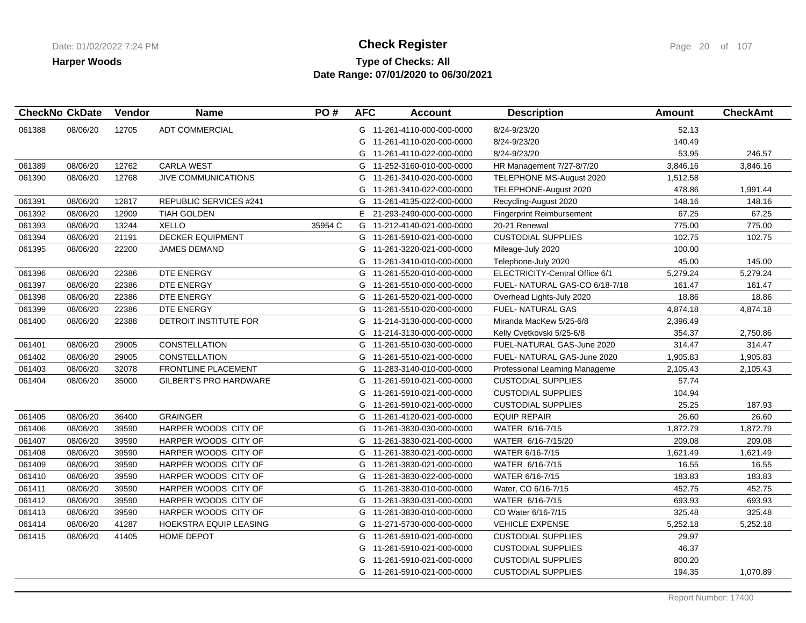## **Type of Checks: All Check Register Check Register Check Register Page 20 of 107 Date Range: 07/01/2020 to 06/30/2021**

| <b>CheckNo CkDate</b> |          | Vendor | <b>Name</b>                   | PO#     | <b>AFC</b> | <b>Account</b>             | <b>Description</b>               | <b>Amount</b> | <b>CheckAmt</b> |
|-----------------------|----------|--------|-------------------------------|---------|------------|----------------------------|----------------------------------|---------------|-----------------|
| 061388                | 08/06/20 | 12705  | <b>ADT COMMERCIAL</b>         |         |            | G 11-261-4110-000-000-0000 | 8/24-9/23/20                     | 52.13         |                 |
|                       |          |        |                               |         |            | G 11-261-4110-020-000-0000 | 8/24-9/23/20                     | 140.49        |                 |
|                       |          |        |                               |         |            | G 11-261-4110-022-000-0000 | 8/24-9/23/20                     | 53.95         | 246.57          |
| 061389                | 08/06/20 | 12762  | <b>CARLA WEST</b>             |         |            | G 11-252-3160-010-000-0000 | HR Management 7/27-8/7/20        | 3,846.16      | 3,846.16        |
| 061390                | 08/06/20 | 12768  | JIVE COMMUNICATIONS           |         | G          | 11-261-3410-020-000-0000   | TELEPHONE MS-August 2020         | 1,512.58      |                 |
|                       |          |        |                               |         |            | G 11-261-3410-022-000-0000 | TELEPHONE-August 2020            | 478.86        | 1,991.44        |
| 061391                | 08/06/20 | 12817  | <b>REPUBLIC SERVICES #241</b> |         |            | G 11-261-4135-022-000-0000 | Recycling-August 2020            | 148.16        | 148.16          |
| 061392                | 08/06/20 | 12909  | <b>TIAH GOLDEN</b>            |         |            | E 21-293-2490-000-000-0000 | <b>Fingerprint Reimbursement</b> | 67.25         | 67.25           |
| 061393                | 08/06/20 | 13244  | <b>XELLO</b>                  | 35954 C |            | G 11-212-4140-021-000-0000 | 20-21 Renewal                    | 775.00        | 775.00          |
| 061394                | 08/06/20 | 21191  | <b>DECKER EQUIPMENT</b>       |         |            | G 11-261-5910-021-000-0000 | <b>CUSTODIAL SUPPLIES</b>        | 102.75        | 102.75          |
| 061395                | 08/06/20 | 22200  | <b>JAMES DEMAND</b>           |         |            | G 11-261-3220-021-000-0000 | Mileage-July 2020                | 100.00        |                 |
|                       |          |        |                               |         | G          | 11-261-3410-010-000-0000   | Telephone-July 2020              | 45.00         | 145.00          |
| 061396                | 08/06/20 | 22386  | DTE ENERGY                    |         |            | G 11-261-5520-010-000-0000 | ELECTRICITY-Central Office 6/1   | 5,279.24      | 5,279.24        |
| 061397                | 08/06/20 | 22386  | DTE ENERGY                    |         |            | G 11-261-5510-000-000-0000 | FUEL-NATURAL GAS-CO 6/18-7/18    | 161.47        | 161.47          |
| 061398                | 08/06/20 | 22386  | DTE ENERGY                    |         |            | G 11-261-5520-021-000-0000 | Overhead Lights-July 2020        | 18.86         | 18.86           |
| 061399                | 08/06/20 | 22386  | DTE ENERGY                    |         |            | G 11-261-5510-020-000-0000 | <b>FUEL-NATURAL GAS</b>          | 4,874.18      | 4,874.18        |
| 061400                | 08/06/20 | 22388  | DETROIT INSTITUTE FOR         |         |            | G 11-214-3130-000-000-0000 | Miranda MacKew 5/25-6/8          | 2,396.49      |                 |
|                       |          |        |                               |         |            | G 11-214-3130-000-000-0000 | Kelly Cvetkovski 5/25-6/8        | 354.37        | 2,750.86        |
| 061401                | 08/06/20 | 29005  | <b>CONSTELLATION</b>          |         |            | G 11-261-5510-030-000-0000 | FUEL-NATURAL GAS-June 2020       | 314.47        | 314.47          |
| 061402                | 08/06/20 | 29005  | <b>CONSTELLATION</b>          |         |            | G 11-261-5510-021-000-0000 | FUEL- NATURAL GAS-June 2020      | 1,905.83      | 1,905.83        |
| 061403                | 08/06/20 | 32078  | FRONTLINE PLACEMENT           |         |            | G 11-283-3140-010-000-0000 | Professional Learning Manageme   | 2,105.43      | 2,105.43        |
| 061404                | 08/06/20 | 35000  | GILBERT'S PRO HARDWARE        |         |            | G 11-261-5910-021-000-0000 | <b>CUSTODIAL SUPPLIES</b>        | 57.74         |                 |
|                       |          |        |                               |         |            | G 11-261-5910-021-000-0000 | <b>CUSTODIAL SUPPLIES</b>        | 104.94        |                 |
|                       |          |        |                               |         |            | G 11-261-5910-021-000-0000 | <b>CUSTODIAL SUPPLIES</b>        | 25.25         | 187.93          |
| 061405                | 08/06/20 | 36400  | <b>GRAINGER</b>               |         |            | G 11-261-4120-021-000-0000 | <b>EQUIP REPAIR</b>              | 26.60         | 26.60           |
| 061406                | 08/06/20 | 39590  | HARPER WOODS CITY OF          |         |            | G 11-261-3830-030-000-0000 | WATER 6/16-7/15                  | 1,872.79      | 1,872.79        |
| 061407                | 08/06/20 | 39590  | HARPER WOODS CITY OF          |         | G          | 11-261-3830-021-000-0000   | WATER 6/16-7/15/20               | 209.08        | 209.08          |
| 061408                | 08/06/20 | 39590  | HARPER WOODS CITY OF          |         |            | G 11-261-3830-021-000-0000 | WATER 6/16-7/15                  | 1,621.49      | 1,621.49        |
| 061409                | 08/06/20 | 39590  | HARPER WOODS CITY OF          |         |            | G 11-261-3830-021-000-0000 | WATER 6/16-7/15                  | 16.55         | 16.55           |
| 061410                | 08/06/20 | 39590  | HARPER WOODS CITY OF          |         |            | G 11-261-3830-022-000-0000 | WATER 6/16-7/15                  | 183.83        | 183.83          |
| 061411                | 08/06/20 | 39590  | HARPER WOODS CITY OF          |         |            | G 11-261-3830-010-000-0000 | Water, CO 6/16-7/15              | 452.75        | 452.75          |
| 061412                | 08/06/20 | 39590  | HARPER WOODS CITY OF          |         |            | G 11-261-3830-031-000-0000 | WATER 6/16-7/15                  | 693.93        | 693.93          |
| 061413                | 08/06/20 | 39590  | HARPER WOODS CITY OF          |         |            | G 11-261-3830-010-000-0000 | CO Water 6/16-7/15               | 325.48        | 325.48          |
| 061414                | 08/06/20 | 41287  | HOEKSTRA EQUIP LEASING        |         |            | G 11-271-5730-000-000-0000 | <b>VEHICLE EXPENSE</b>           | 5,252.18      | 5,252.18        |
| 061415                | 08/06/20 | 41405  | HOME DEPOT                    |         | G          | 11-261-5910-021-000-0000   | <b>CUSTODIAL SUPPLIES</b>        | 29.97         |                 |
|                       |          |        |                               |         | G          | 11-261-5910-021-000-0000   | <b>CUSTODIAL SUPPLIES</b>        | 46.37         |                 |
|                       |          |        |                               |         | G          | 11-261-5910-021-000-0000   | <b>CUSTODIAL SUPPLIES</b>        | 800.20        |                 |
|                       |          |        |                               |         |            | G 11-261-5910-021-000-0000 | <b>CUSTODIAL SUPPLIES</b>        | 194.35        | 1,070.89        |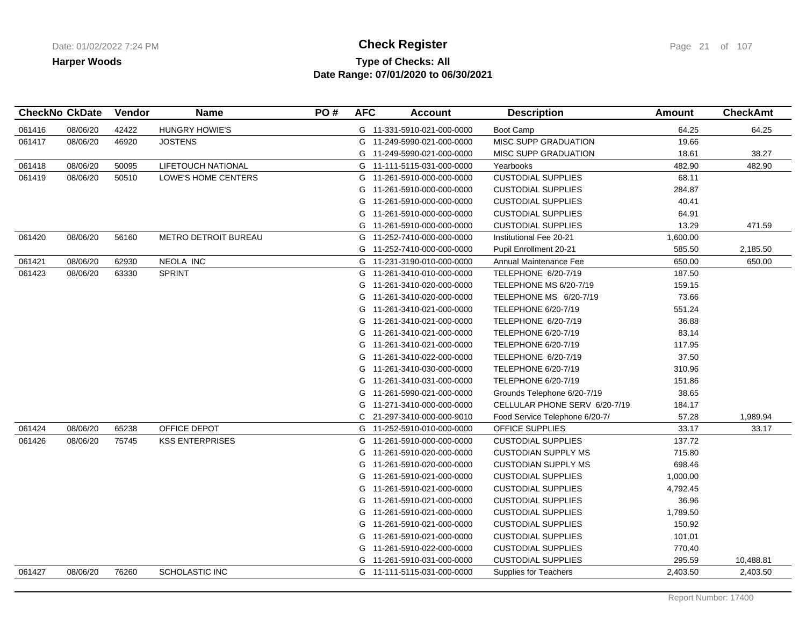## **Type of Checks: All Check Register Check Register Check Register Page 21 of 107 Date Range: 07/01/2020 to 06/30/2021**

|        | <b>CheckNo CkDate</b> | <b>Vendor</b> | <b>Name</b>                 | PO# | <b>AFC</b> | <b>Account</b>             | <b>Description</b>             | Amount   | <b>CheckAmt</b> |
|--------|-----------------------|---------------|-----------------------------|-----|------------|----------------------------|--------------------------------|----------|-----------------|
| 061416 | 08/06/20              | 42422         | <b>HUNGRY HOWIE'S</b>       |     |            | G 11-331-5910-021-000-0000 | Boot Camp                      | 64.25    | 64.25           |
| 061417 | 08/06/20              | 46920         | <b>JOSTENS</b>              |     |            | G 11-249-5990-021-000-0000 | <b>MISC SUPP GRADUATION</b>    | 19.66    |                 |
|        |                       |               |                             |     |            | G 11-249-5990-021-000-0000 | <b>MISC SUPP GRADUATION</b>    | 18.61    | 38.27           |
| 061418 | 08/06/20              | 50095         | LIFETOUCH NATIONAL          |     |            | G 11-111-5115-031-000-0000 | Yearbooks                      | 482.90   | 482.90          |
| 061419 | 08/06/20              | 50510         | LOWE'S HOME CENTERS         |     |            | G 11-261-5910-000-000-0000 | <b>CUSTODIAL SUPPLIES</b>      | 68.11    |                 |
|        |                       |               |                             |     | G          | 11-261-5910-000-000-0000   | <b>CUSTODIAL SUPPLIES</b>      | 284.87   |                 |
|        |                       |               |                             |     |            | G 11-261-5910-000-000-0000 | <b>CUSTODIAL SUPPLIES</b>      | 40.41    |                 |
|        |                       |               |                             |     | G          | 11-261-5910-000-000-0000   | <b>CUSTODIAL SUPPLIES</b>      | 64.91    |                 |
|        |                       |               |                             |     | G          | 11-261-5910-000-000-0000   | <b>CUSTODIAL SUPPLIES</b>      | 13.29    | 471.59          |
| 061420 | 08/06/20              | 56160         | <b>METRO DETROIT BUREAU</b> |     | G          | 11-252-7410-000-000-0000   | Institutional Fee 20-21        | 1,600.00 |                 |
|        |                       |               |                             |     | G          | 11-252-7410-000-000-0000   | Pupil Enrollment 20-21         | 585.50   | 2,185.50        |
| 061421 | 08/06/20              | 62930         | NEOLA INC                   |     |            | G 11-231-3190-010-000-0000 | Annual Maintenance Fee         | 650.00   | 650.00          |
| 061423 | 08/06/20              | 63330         | <b>SPRINT</b>               |     | G          | 11-261-3410-010-000-0000   | TELEPHONE 6/20-7/19            | 187.50   |                 |
|        |                       |               |                             |     | G          | 11-261-3410-020-000-0000   | TELEPHONE MS 6/20-7/19         | 159.15   |                 |
|        |                       |               |                             |     | G          | 11-261-3410-020-000-0000   | TELEPHONE MS 6/20-7/19         | 73.66    |                 |
|        |                       |               |                             |     | G          | 11-261-3410-021-000-0000   | TELEPHONE 6/20-7/19            | 551.24   |                 |
|        |                       |               |                             |     | G          | 11-261-3410-021-000-0000   | TELEPHONE 6/20-7/19            | 36.88    |                 |
|        |                       |               |                             |     | G          | 11-261-3410-021-000-0000   | TELEPHONE 6/20-7/19            | 83.14    |                 |
|        |                       |               |                             |     |            | G 11-261-3410-021-000-0000 | TELEPHONE 6/20-7/19            | 117.95   |                 |
|        |                       |               |                             |     |            | G 11-261-3410-022-000-0000 | TELEPHONE 6/20-7/19            | 37.50    |                 |
|        |                       |               |                             |     | G          | 11-261-3410-030-000-0000   | TELEPHONE 6/20-7/19            | 310.96   |                 |
|        |                       |               |                             |     |            | G 11-261-3410-031-000-0000 | TELEPHONE 6/20-7/19            | 151.86   |                 |
|        |                       |               |                             |     | G          | 11-261-5990-021-000-0000   | Grounds Telephone 6/20-7/19    | 38.65    |                 |
|        |                       |               |                             |     |            | G 11-271-3410-000-000-0000 | CELLULAR PHONE SERV 6/20-7/19  | 184.17   |                 |
|        |                       |               |                             |     | C.         | 21-297-3410-000-000-9010   | Food Service Telephone 6/20-7/ | 57.28    | 1,989.94        |
| 061424 | 08/06/20              | 65238         | OFFICE DEPOT                |     |            | G 11-252-5910-010-000-0000 | <b>OFFICE SUPPLIES</b>         | 33.17    | 33.17           |
| 061426 | 08/06/20              | 75745         | <b>KSS ENTERPRISES</b>      |     | G          | 11-261-5910-000-000-0000   | <b>CUSTODIAL SUPPLIES</b>      | 137.72   |                 |
|        |                       |               |                             |     | G          | 11-261-5910-020-000-0000   | <b>CUSTODIAN SUPPLY MS</b>     | 715.80   |                 |
|        |                       |               |                             |     |            | G 11-261-5910-020-000-0000 | <b>CUSTODIAN SUPPLY MS</b>     | 698.46   |                 |
|        |                       |               |                             |     | G          | 11-261-5910-021-000-0000   | <b>CUSTODIAL SUPPLIES</b>      | 1,000.00 |                 |
|        |                       |               |                             |     | G          | 11-261-5910-021-000-0000   | <b>CUSTODIAL SUPPLIES</b>      | 4,792.45 |                 |
|        |                       |               |                             |     | G          | 11-261-5910-021-000-0000   | <b>CUSTODIAL SUPPLIES</b>      | 36.96    |                 |
|        |                       |               |                             |     |            | G 11-261-5910-021-000-0000 | <b>CUSTODIAL SUPPLIES</b>      | 1,789.50 |                 |
|        |                       |               |                             |     | G          | 11-261-5910-021-000-0000   | <b>CUSTODIAL SUPPLIES</b>      | 150.92   |                 |
|        |                       |               |                             |     | G          | 11-261-5910-021-000-0000   | <b>CUSTODIAL SUPPLIES</b>      | 101.01   |                 |
|        |                       |               |                             |     | G          | 11-261-5910-022-000-0000   | <b>CUSTODIAL SUPPLIES</b>      | 770.40   |                 |
|        |                       |               |                             |     |            | G 11-261-5910-031-000-0000 | <b>CUSTODIAL SUPPLIES</b>      | 295.59   | 10,488.81       |
| 061427 | 08/06/20              | 76260         | <b>SCHOLASTIC INC</b>       |     |            | G 11-111-5115-031-000-0000 | <b>Supplies for Teachers</b>   | 2,403.50 | 2,403.50        |
|        |                       |               |                             |     |            |                            |                                |          |                 |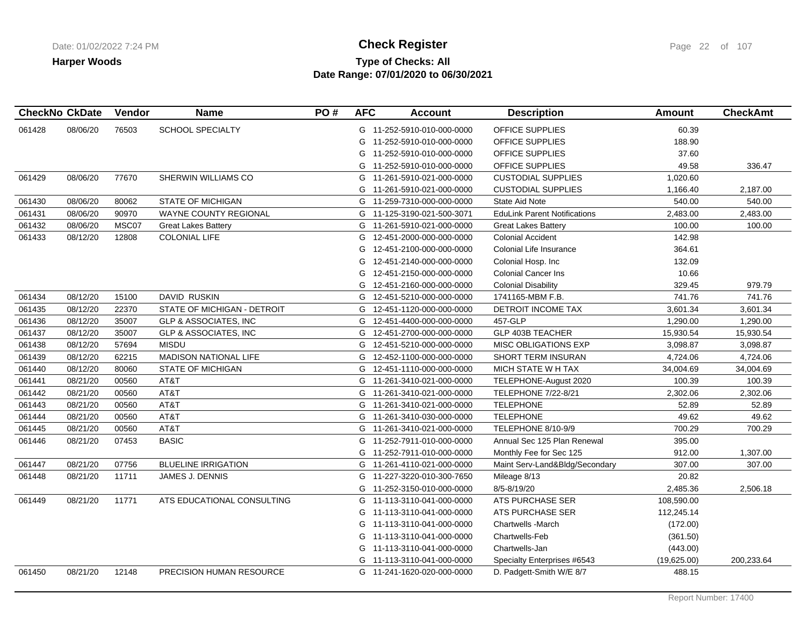# **Type of Checks: All Check Register Check Register Check Register Page 22 of 107 Date Range: 07/01/2020 to 06/30/2021**

| <b>CheckNo CkDate</b> |          | Vendor | <b>Name</b>                      | PO# | <b>AFC</b> | <b>Account</b>             | <b>Description</b>                  | Amount      | <b>CheckAmt</b> |
|-----------------------|----------|--------|----------------------------------|-----|------------|----------------------------|-------------------------------------|-------------|-----------------|
| 061428                | 08/06/20 | 76503  | <b>SCHOOL SPECIALTY</b>          |     |            | G 11-252-5910-010-000-0000 | <b>OFFICE SUPPLIES</b>              | 60.39       |                 |
|                       |          |        |                                  |     | G          | 11-252-5910-010-000-0000   | OFFICE SUPPLIES                     | 188.90      |                 |
|                       |          |        |                                  |     | G          | 11-252-5910-010-000-0000   | OFFICE SUPPLIES                     | 37.60       |                 |
|                       |          |        |                                  |     | G          | 11-252-5910-010-000-0000   | OFFICE SUPPLIES                     | 49.58       | 336.47          |
| 061429                | 08/06/20 | 77670  | SHERWIN WILLIAMS CO              |     | G          | 11-261-5910-021-000-0000   | <b>CUSTODIAL SUPPLIES</b>           | 1,020.60    |                 |
|                       |          |        |                                  |     | G          | 11-261-5910-021-000-0000   | <b>CUSTODIAL SUPPLIES</b>           | 1,166.40    | 2,187.00        |
| 061430                | 08/06/20 | 80062  | <b>STATE OF MICHIGAN</b>         |     |            | G 11-259-7310-000-000-0000 | <b>State Aid Note</b>               | 540.00      | 540.00          |
| 061431                | 08/06/20 | 90970  | <b>WAYNE COUNTY REGIONAL</b>     |     |            | G 11-125-3190-021-500-3071 | <b>EduLink Parent Notifications</b> | 2,483.00    | 2,483.00        |
| 061432                | 08/06/20 | MSC07  | <b>Great Lakes Battery</b>       |     | G          | 11-261-5910-021-000-0000   | <b>Great Lakes Battery</b>          | 100.00      | 100.00          |
| 061433                | 08/12/20 | 12808  | <b>COLONIAL LIFE</b>             |     | G          | 12-451-2000-000-000-0000   | <b>Colonial Accident</b>            | 142.98      |                 |
|                       |          |        |                                  |     | G          | 12-451-2100-000-000-0000   | Colonial Life Insurance             | 364.61      |                 |
|                       |          |        |                                  |     | G          | 12-451-2140-000-000-0000   | Colonial Hosp. Inc                  | 132.09      |                 |
|                       |          |        |                                  |     | G          | 12-451-2150-000-000-0000   | <b>Colonial Cancer Ins</b>          | 10.66       |                 |
|                       |          |        |                                  |     | G          | 12-451-2160-000-000-0000   | <b>Colonial Disability</b>          | 329.45      | 979.79          |
| 061434                | 08/12/20 | 15100  | DAVID RUSKIN                     |     |            | G 12-451-5210-000-000-0000 | 1741165-MBM F.B.                    | 741.76      | 741.76          |
| 061435                | 08/12/20 | 22370  | STATE OF MICHIGAN - DETROIT      |     | G          | 12-451-1120-000-000-0000   | DETROIT INCOME TAX                  | 3,601.34    | 3,601.34        |
| 061436                | 08/12/20 | 35007  | GLP & ASSOCIATES, INC            |     | G          | 12-451-4400-000-000-0000   | 457-GLP                             | 1,290.00    | 1,290.00        |
| 061437                | 08/12/20 | 35007  | <b>GLP &amp; ASSOCIATES, INC</b> |     | G          | 12-451-2700-000-000-0000   | <b>GLP 403B TEACHER</b>             | 15,930.54   | 15,930.54       |
| 061438                | 08/12/20 | 57694  | <b>MISDU</b>                     |     |            | G 12-451-5210-000-000-0000 | <b>MISC OBLIGATIONS EXP</b>         | 3,098.87    | 3,098.87        |
| 061439                | 08/12/20 | 62215  | <b>MADISON NATIONAL LIFE</b>     |     | G          | 12-452-1100-000-000-0000   | SHORT TERM INSURAN                  | 4,724.06    | 4,724.06        |
| 061440                | 08/12/20 | 80060  | <b>STATE OF MICHIGAN</b>         |     | G          | 12-451-1110-000-000-0000   | MICH STATE W H TAX                  | 34,004.69   | 34,004.69       |
| 061441                | 08/21/20 | 00560  | AT&T                             |     |            | G 11-261-3410-021-000-0000 | TELEPHONE-August 2020               | 100.39      | 100.39          |
| 061442                | 08/21/20 | 00560  | AT&T                             |     |            | G 11-261-3410-021-000-0000 | <b>TELEPHONE 7/22-8/21</b>          | 2,302.06    | 2,302.06        |
| 061443                | 08/21/20 | 00560  | AT&T                             |     | G          | 11-261-3410-021-000-0000   | <b>TELEPHONE</b>                    | 52.89       | 52.89           |
| 061444                | 08/21/20 | 00560  | AT&T                             |     |            | G 11-261-3410-030-000-0000 | <b>TELEPHONE</b>                    | 49.62       | 49.62           |
| 061445                | 08/21/20 | 00560  | AT&T                             |     |            | G 11-261-3410-021-000-0000 | TELEPHONE 8/10-9/9                  | 700.29      | 700.29          |
| 061446                | 08/21/20 | 07453  | <b>BASIC</b>                     |     | G          | 11-252-7911-010-000-0000   | Annual Sec 125 Plan Renewal         | 395.00      |                 |
|                       |          |        |                                  |     | G          | 11-252-7911-010-000-0000   | Monthly Fee for Sec 125             | 912.00      | 1,307.00        |
| 061447                | 08/21/20 | 07756  | <b>BLUELINE IRRIGATION</b>       |     | G          | 11-261-4110-021-000-0000   | Maint Serv-Land&Bldg/Secondary      | 307.00      | 307.00          |
| 061448                | 08/21/20 | 11711  | JAMES J. DENNIS                  |     |            | G 11-227-3220-010-300-7650 | Mileage 8/13                        | 20.82       |                 |
|                       |          |        |                                  |     | G          | 11-252-3150-010-000-0000   | 8/5-8/19/20                         | 2,485.36    | 2,506.18        |
| 061449                | 08/21/20 | 11771  | ATS EDUCATIONAL CONSULTING       |     |            | G 11-113-3110-041-000-0000 | ATS PURCHASE SER                    | 108,590.00  |                 |
|                       |          |        |                                  |     |            | G 11-113-3110-041-000-0000 | ATS PURCHASE SER                    | 112,245.14  |                 |
|                       |          |        |                                  |     |            | G 11-113-3110-041-000-0000 | <b>Chartwells -March</b>            | (172.00)    |                 |
|                       |          |        |                                  |     | G          | 11-113-3110-041-000-0000   | Chartwells-Feb                      | (361.50)    |                 |
|                       |          |        |                                  |     | G          | 11-113-3110-041-000-0000   | Chartwells-Jan                      | (443.00)    |                 |
|                       |          |        |                                  |     |            | G 11-113-3110-041-000-0000 | Specialty Enterprises #6543         | (19,625.00) | 200,233.64      |
| 061450                | 08/21/20 | 12148  | PRECISION HUMAN RESOURCE         |     |            | G 11-241-1620-020-000-0000 | D. Padgett-Smith W/E 8/7            | 488.15      |                 |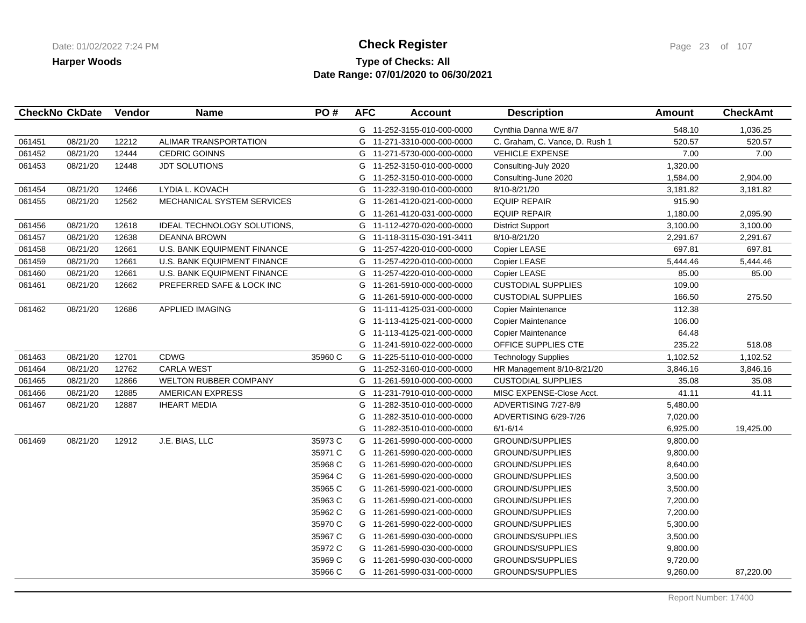## **Type of Checks: All Check Register Check Register Check Register Page 23 of 107 Date Range: 07/01/2020 to 06/30/2021**

|        | <b>CheckNo CkDate</b> | Vendor | <b>Name</b>                        | PO#     | <b>AFC</b> | <b>Account</b>             | <b>Description</b>             | <b>Amount</b> | <b>CheckAmt</b> |
|--------|-----------------------|--------|------------------------------------|---------|------------|----------------------------|--------------------------------|---------------|-----------------|
|        |                       |        |                                    |         |            | G 11-252-3155-010-000-0000 | Cynthia Danna W/E 8/7          | 548.10        | 1,036.25        |
| 061451 | 08/21/20              | 12212  | ALIMAR TRANSPORTATION              |         |            | G 11-271-3310-000-000-0000 | C. Graham, C. Vance, D. Rush 1 | 520.57        | 520.57          |
| 061452 | 08/21/20              | 12444  | <b>CEDRIC GOINNS</b>               |         |            | G 11-271-5730-000-000-0000 | <b>VEHICLE EXPENSE</b>         | 7.00          | 7.00            |
| 061453 | 08/21/20              | 12448  | <b>JDT SOLUTIONS</b>               |         | G          | 11-252-3150-010-000-0000   | Consulting-July 2020           | 1,320.00      |                 |
|        |                       |        |                                    |         | G          | 11-252-3150-010-000-0000   | Consulting-June 2020           | 1,584.00      | 2,904.00        |
| 061454 | 08/21/20              | 12466  | LYDIA L. KOVACH                    |         |            | G 11-232-3190-010-000-0000 | 8/10-8/21/20                   | 3,181.82      | 3,181.82        |
| 061455 | 08/21/20              | 12562  | MECHANICAL SYSTEM SERVICES         |         | G          | 11-261-4120-021-000-0000   | <b>EQUIP REPAIR</b>            | 915.90        |                 |
|        |                       |        |                                    |         | G          | 11-261-4120-031-000-0000   | <b>EQUIP REPAIR</b>            | 1,180.00      | 2,095.90        |
| 061456 | 08/21/20              | 12618  | <b>IDEAL TECHNOLOGY SOLUTIONS,</b> |         | G          | 11-112-4270-020-000-0000   | <b>District Support</b>        | 3,100.00      | 3,100.00        |
| 061457 | 08/21/20              | 12638  | <b>DEANNA BROWN</b>                |         | G          | 11-118-3115-030-191-3411   | 8/10-8/21/20                   | 2,291.67      | 2,291.67        |
| 061458 | 08/21/20              | 12661  | U.S. BANK EQUIPMENT FINANCE        |         |            | G 11-257-4220-010-000-0000 | Copier LEASE                   | 697.81        | 697.81          |
| 061459 | 08/21/20              | 12661  | U.S. BANK EQUIPMENT FINANCE        |         |            | G 11-257-4220-010-000-0000 | Copier LEASE                   | 5,444.46      | 5,444.46        |
| 061460 | 08/21/20              | 12661  | U.S. BANK EQUIPMENT FINANCE        |         |            | G 11-257-4220-010-000-0000 | Copier LEASE                   | 85.00         | 85.00           |
| 061461 | 08/21/20              | 12662  | PREFERRED SAFE & LOCK INC          |         | G          | 11-261-5910-000-000-0000   | <b>CUSTODIAL SUPPLIES</b>      | 109.00        |                 |
|        |                       |        |                                    |         |            | G 11-261-5910-000-000-0000 | <b>CUSTODIAL SUPPLIES</b>      | 166.50        | 275.50          |
| 061462 | 08/21/20              | 12686  | <b>APPLIED IMAGING</b>             |         | G          | 11-111-4125-031-000-0000   | <b>Copier Maintenance</b>      | 112.38        |                 |
|        |                       |        |                                    |         | G          | 11-113-4125-021-000-0000   | <b>Copier Maintenance</b>      | 106.00        |                 |
|        |                       |        |                                    |         | G          | 11-113-4125-021-000-0000   | <b>Copier Maintenance</b>      | 64.48         |                 |
|        |                       |        |                                    |         |            | G 11-241-5910-022-000-0000 | OFFICE SUPPLIES CTE            | 235.22        | 518.08          |
| 061463 | 08/21/20              | 12701  | <b>CDWG</b>                        | 35960 C |            | G 11-225-5110-010-000-0000 | <b>Technology Supplies</b>     | 1,102.52      | 1,102.52        |
| 061464 | 08/21/20              | 12762  | <b>CARLA WEST</b>                  |         |            | G 11-252-3160-010-000-0000 | HR Management 8/10-8/21/20     | 3,846.16      | 3,846.16        |
| 061465 | 08/21/20              | 12866  | <b>WELTON RUBBER COMPANY</b>       |         |            | G 11-261-5910-000-000-0000 | <b>CUSTODIAL SUPPLIES</b>      | 35.08         | 35.08           |
| 061466 | 08/21/20              | 12885  | <b>AMERICAN EXPRESS</b>            |         |            | G 11-231-7910-010-000-0000 | MISC EXPENSE-Close Acct.       | 41.11         | 41.11           |
| 061467 | 08/21/20              | 12887  | <b>IHEART MEDIA</b>                |         | G          | 11-282-3510-010-000-0000   | ADVERTISING 7/27-8/9           | 5,480.00      |                 |
|        |                       |        |                                    |         | G          | 11-282-3510-010-000-0000   | ADVERTISING 6/29-7/26          | 7,020.00      |                 |
|        |                       |        |                                    |         | G          | 11-282-3510-010-000-0000   | $6/1 - 6/14$                   | 6,925.00      | 19,425.00       |
| 061469 | 08/21/20              | 12912  | J.E. BIAS, LLC                     | 35973 C |            | G 11-261-5990-000-000-0000 | <b>GROUND/SUPPLIES</b>         | 9,800.00      |                 |
|        |                       |        |                                    | 35971 C |            | G 11-261-5990-020-000-0000 | <b>GROUND/SUPPLIES</b>         | 9,800.00      |                 |
|        |                       |        |                                    | 35968 C |            | G 11-261-5990-020-000-0000 | <b>GROUND/SUPPLIES</b>         | 8,640.00      |                 |
|        |                       |        |                                    | 35964 C |            | G 11-261-5990-020-000-0000 | GROUND/SUPPLIES                | 3,500.00      |                 |
|        |                       |        |                                    | 35965 C |            | G 11-261-5990-021-000-0000 | <b>GROUND/SUPPLIES</b>         | 3,500.00      |                 |
|        |                       |        |                                    | 35963 C |            | G 11-261-5990-021-000-0000 | <b>GROUND/SUPPLIES</b>         | 7,200.00      |                 |
|        |                       |        |                                    | 35962 C |            | G 11-261-5990-021-000-0000 | <b>GROUND/SUPPLIES</b>         | 7,200.00      |                 |
|        |                       |        |                                    | 35970 C |            | G 11-261-5990-022-000-0000 | GROUND/SUPPLIES                | 5,300.00      |                 |
|        |                       |        |                                    | 35967 C |            | G 11-261-5990-030-000-0000 | <b>GROUNDS/SUPPLIES</b>        | 3,500.00      |                 |
|        |                       |        |                                    | 35972 C |            | G 11-261-5990-030-000-0000 | <b>GROUNDS/SUPPLIES</b>        | 9,800.00      |                 |
|        |                       |        |                                    | 35969 C |            | G 11-261-5990-030-000-0000 | GROUNDS/SUPPLIES               | 9,720.00      |                 |
|        |                       |        |                                    | 35966 C |            | G 11-261-5990-031-000-0000 | GROUNDS/SUPPLIES               | 9,260.00      | 87,220.00       |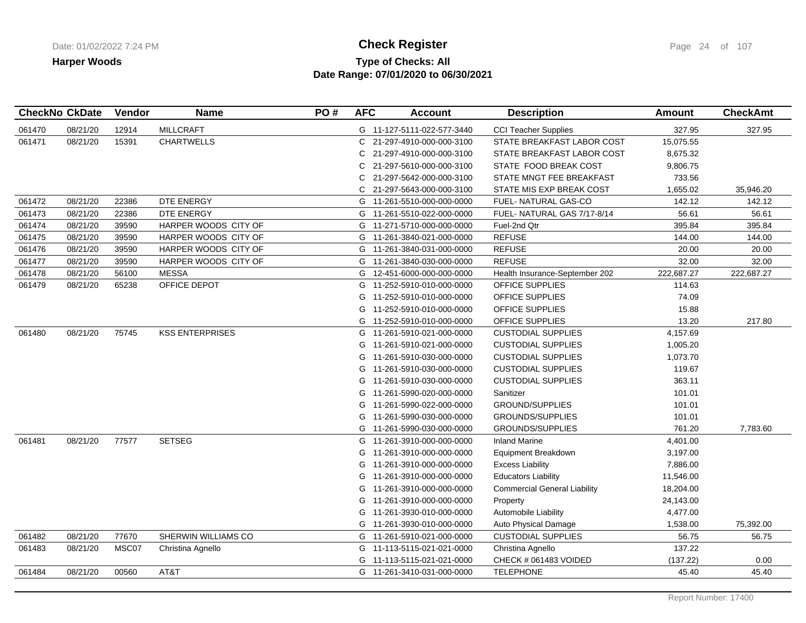## **Type of Checks: All Check Register Check Register Check Register Page 24 of 107 Date Range: 07/01/2020 to 06/30/2021**

|        | <b>CheckNo CkDate</b> | Vendor | <b>Name</b>            | PO# | <b>AFC</b> | <b>Account</b>             | <b>Description</b>                  | <b>Amount</b> | <b>CheckAmt</b> |
|--------|-----------------------|--------|------------------------|-----|------------|----------------------------|-------------------------------------|---------------|-----------------|
| 061470 | 08/21/20              | 12914  | <b>MILLCRAFT</b>       |     |            | G 11-127-5111-022-577-3440 | <b>CCI Teacher Supplies</b>         | 327.95        | 327.95          |
| 061471 | 08/21/20              | 15391  | <b>CHARTWELLS</b>      |     | C.         | 21-297-4910-000-000-3100   | STATE BREAKFAST LABOR COST          | 15,075.55     |                 |
|        |                       |        |                        |     | C          | 21-297-4910-000-000-3100   | STATE BREAKFAST LABOR COST          | 8,675.32      |                 |
|        |                       |        |                        |     | C          | 21-297-5610-000-000-3100   | STATE FOOD BREAK COST               | 9,806.75      |                 |
|        |                       |        |                        |     | C          | 21-297-5642-000-000-3100   | STATE MNGT FEE BREAKFAST            | 733.56        |                 |
|        |                       |        |                        |     | C.         | 21-297-5643-000-000-3100   | STATE MIS EXP BREAK COST            | 1,655.02      | 35,946.20       |
| 061472 | 08/21/20              | 22386  | DTE ENERGY             |     | G          | 11-261-5510-000-000-0000   | FUEL- NATURAL GAS-CO                | 142.12        | 142.12          |
| 061473 | 08/21/20              | 22386  | DTE ENERGY             |     | G          | 11-261-5510-022-000-0000   | FUEL- NATURAL GAS 7/17-8/14         | 56.61         | 56.61           |
| 061474 | 08/21/20              | 39590  | HARPER WOODS CITY OF   |     | G          | 11-271-5710-000-000-0000   | Fuel-2nd Qtr                        | 395.84        | 395.84          |
| 061475 | 08/21/20              | 39590  | HARPER WOODS CITY OF   |     | G          | 11-261-3840-021-000-0000   | <b>REFUSE</b>                       | 144.00        | 144.00          |
| 061476 | 08/21/20              | 39590  | HARPER WOODS CITY OF   |     | G          | 11-261-3840-031-000-0000   | <b>REFUSE</b>                       | 20.00         | 20.00           |
| 061477 | 08/21/20              | 39590  | HARPER WOODS CITY OF   |     | G          | 11-261-3840-030-000-0000   | <b>REFUSE</b>                       | 32.00         | 32.00           |
| 061478 | 08/21/20              | 56100  | <b>MESSA</b>           |     | G          | 12-451-6000-000-000-0000   | Health Insurance-September 202      | 222,687.27    | 222,687.27      |
| 061479 | 08/21/20              | 65238  | OFFICE DEPOT           |     | G          | 11-252-5910-010-000-0000   | <b>OFFICE SUPPLIES</b>              | 114.63        |                 |
|        |                       |        |                        |     | G          | 11-252-5910-010-000-0000   | OFFICE SUPPLIES                     | 74.09         |                 |
|        |                       |        |                        |     | G          | 11-252-5910-010-000-0000   | <b>OFFICE SUPPLIES</b>              | 15.88         |                 |
|        |                       |        |                        |     | G          | 11-252-5910-010-000-0000   | <b>OFFICE SUPPLIES</b>              | 13.20         | 217.80          |
| 061480 | 08/21/20              | 75745  | <b>KSS ENTERPRISES</b> |     | G          | 11-261-5910-021-000-0000   | <b>CUSTODIAL SUPPLIES</b>           | 4,157.69      |                 |
|        |                       |        |                        |     | G          | 11-261-5910-021-000-0000   | <b>CUSTODIAL SUPPLIES</b>           | 1,005.20      |                 |
|        |                       |        |                        |     | G          | 11-261-5910-030-000-0000   | <b>CUSTODIAL SUPPLIES</b>           | 1,073.70      |                 |
|        |                       |        |                        |     | G          | 11-261-5910-030-000-0000   | <b>CUSTODIAL SUPPLIES</b>           | 119.67        |                 |
|        |                       |        |                        |     | G          | 11-261-5910-030-000-0000   | <b>CUSTODIAL SUPPLIES</b>           | 363.11        |                 |
|        |                       |        |                        |     | G          | 11-261-5990-020-000-0000   | Sanitizer                           | 101.01        |                 |
|        |                       |        |                        |     | G          | 11-261-5990-022-000-0000   | GROUND/SUPPLIES                     | 101.01        |                 |
|        |                       |        |                        |     | G          | 11-261-5990-030-000-0000   | <b>GROUNDS/SUPPLIES</b>             | 101.01        |                 |
|        |                       |        |                        |     | G          | 11-261-5990-030-000-0000   | <b>GROUNDS/SUPPLIES</b>             | 761.20        | 7,783.60        |
| 061481 | 08/21/20              | 77577  | <b>SETSEG</b>          |     | G          | 11-261-3910-000-000-0000   | <b>Inland Marine</b>                | 4,401.00      |                 |
|        |                       |        |                        |     | G          | 11-261-3910-000-000-0000   | Equipment Breakdown                 | 3,197.00      |                 |
|        |                       |        |                        |     | G          | 11-261-3910-000-000-0000   | <b>Excess Liability</b>             | 7,886.00      |                 |
|        |                       |        |                        |     | G          | 11-261-3910-000-000-0000   | <b>Educators Liability</b>          | 11,546.00     |                 |
|        |                       |        |                        |     | G          | 11-261-3910-000-000-0000   | <b>Commercial General Liability</b> | 18,204.00     |                 |
|        |                       |        |                        |     | G          | 11-261-3910-000-000-0000   | Property                            | 24,143.00     |                 |
|        |                       |        |                        |     | G          | 11-261-3930-010-000-0000   | Automobile Liability                | 4,477.00      |                 |
|        |                       |        |                        |     | G          | 11-261-3930-010-000-0000   | Auto Physical Damage                | 1,538.00      | 75,392.00       |
| 061482 | 08/21/20              | 77670  | SHERWIN WILLIAMS CO    |     | G          | 11-261-5910-021-000-0000   | <b>CUSTODIAL SUPPLIES</b>           | 56.75         | 56.75           |
| 061483 | 08/21/20              | MSC07  | Christina Agnello      |     | G          | 11-113-5115-021-021-0000   | Christina Agnello                   | 137.22        |                 |
|        |                       |        |                        |     | G          | 11-113-5115-021-021-0000   | CHECK # 061483 VOIDED               | (137.22)      | 0.00            |
| 061484 | 08/21/20              | 00560  | AT&T                   |     |            | G 11-261-3410-031-000-0000 | <b>TELEPHONE</b>                    | 45.40         | 45.40           |
|        |                       |        |                        |     |            |                            |                                     |               |                 |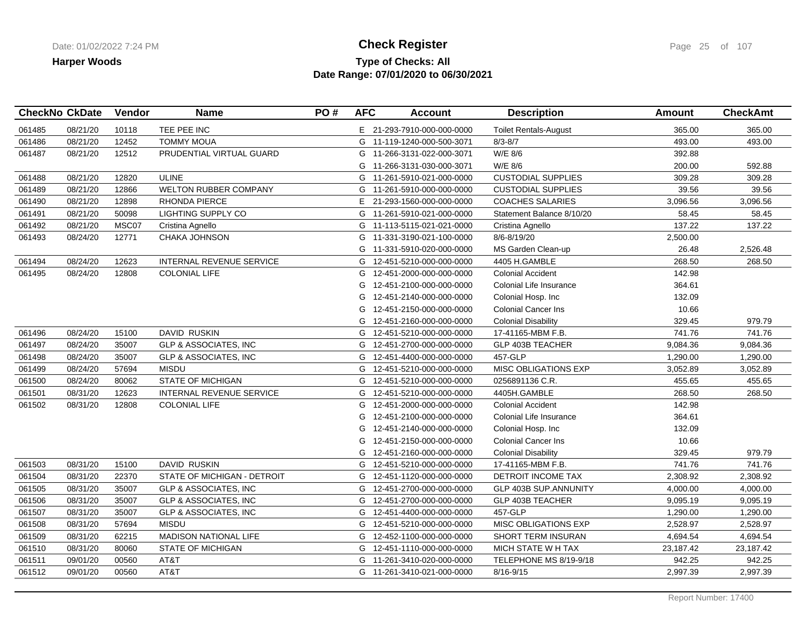## **Type of Checks: All Check Register Check Register Check Register Page 25 of 107 Date Range: 07/01/2020 to 06/30/2021**

|        | <b>CheckNo CkDate</b> | Vendor | <b>Name</b>                      | PO# | <b>AFC</b> | <b>Account</b>             | <b>Description</b>           | <b>Amount</b> | <b>CheckAmt</b> |
|--------|-----------------------|--------|----------------------------------|-----|------------|----------------------------|------------------------------|---------------|-----------------|
| 061485 | 08/21/20              | 10118  | TEE PEE INC                      |     |            | E 21-293-7910-000-000-0000 | <b>Toilet Rentals-August</b> | 365.00        | 365.00          |
| 061486 | 08/21/20              | 12452  | <b>TOMMY MOUA</b>                |     | G          | 11-119-1240-000-500-3071   | $8/3 - 8/7$                  | 493.00        | 493.00          |
| 061487 | 08/21/20              | 12512  | PRUDENTIAL VIRTUAL GUARD         |     | G          | 11-266-3131-022-000-3071   | W/E 8/6                      | 392.88        |                 |
|        |                       |        |                                  |     | G          | 11-266-3131-030-000-3071   | W/E 8/6                      | 200.00        | 592.88          |
| 061488 | 08/21/20              | 12820  | <b>ULINE</b>                     |     |            | G 11-261-5910-021-000-0000 | <b>CUSTODIAL SUPPLIES</b>    | 309.28        | 309.28          |
| 061489 | 08/21/20              | 12866  | WELTON RUBBER COMPANY            |     | G          | 11-261-5910-000-000-0000   | <b>CUSTODIAL SUPPLIES</b>    | 39.56         | 39.56           |
| 061490 | 08/21/20              | 12898  | <b>RHONDA PIERCE</b>             |     |            | E 21-293-1560-000-000-0000 | <b>COACHES SALARIES</b>      | 3,096.56      | 3,096.56        |
| 061491 | 08/21/20              | 50098  | <b>LIGHTING SUPPLY CO</b>        |     | G          | 11-261-5910-021-000-0000   | Statement Balance 8/10/20    | 58.45         | 58.45           |
| 061492 | 08/21/20              | MSC07  | Cristina Agnello                 |     | G          | 11-113-5115-021-021-0000   | Cristina Agnello             | 137.22        | 137.22          |
| 061493 | 08/24/20              | 12771  | CHAKA JOHNSON                    |     | G          | 11-331-3190-021-100-0000   | 8/6-8/19/20                  | 2,500.00      |                 |
|        |                       |        |                                  |     | G          | 11-331-5910-020-000-0000   | MS Garden Clean-up           | 26.48         | 2,526.48        |
| 061494 | 08/24/20              | 12623  | INTERNAL REVENUE SERVICE         |     | G          | 12-451-5210-000-000-0000   | 4405 H.GAMBLE                | 268.50        | 268.50          |
| 061495 | 08/24/20              | 12808  | <b>COLONIAL LIFE</b>             |     | G          | 12-451-2000-000-000-0000   | <b>Colonial Accident</b>     | 142.98        |                 |
|        |                       |        |                                  |     | G          | 12-451-2100-000-000-0000   | Colonial Life Insurance      | 364.61        |                 |
|        |                       |        |                                  |     | G          | 12-451-2140-000-000-0000   | Colonial Hosp. Inc           | 132.09        |                 |
|        |                       |        |                                  |     | G          | 12-451-2150-000-000-0000   | <b>Colonial Cancer Ins</b>   | 10.66         |                 |
|        |                       |        |                                  |     | G          | 12-451-2160-000-000-0000   | <b>Colonial Disability</b>   | 329.45        | 979.79          |
| 061496 | 08/24/20              | 15100  | DAVID RUSKIN                     |     | G          | 12-451-5210-000-000-0000   | 17-41165-MBM F.B.            | 741.76        | 741.76          |
| 061497 | 08/24/20              | 35007  | <b>GLP &amp; ASSOCIATES, INC</b> |     | G          | 12-451-2700-000-000-0000   | GLP 403B TEACHER             | 9,084.36      | 9,084.36        |
| 061498 | 08/24/20              | 35007  | <b>GLP &amp; ASSOCIATES, INC</b> |     | G          | 12-451-4400-000-000-0000   | 457-GLP                      | 1,290.00      | 1,290.00        |
| 061499 | 08/24/20              | 57694  | <b>MISDU</b>                     |     | G          | 12-451-5210-000-000-0000   | MISC OBLIGATIONS EXP         | 3,052.89      | 3,052.89        |
| 061500 | 08/24/20              | 80062  | <b>STATE OF MICHIGAN</b>         |     | G          | 12-451-5210-000-000-0000   | 0256891136 C.R.              | 455.65        | 455.65          |
| 061501 | 08/31/20              | 12623  | INTERNAL REVENUE SERVICE         |     | G          | 12-451-5210-000-000-0000   | 4405H.GAMBLE                 | 268.50        | 268.50          |
| 061502 | 08/31/20              | 12808  | <b>COLONIAL LIFE</b>             |     | G          | 12-451-2000-000-000-0000   | <b>Colonial Accident</b>     | 142.98        |                 |
|        |                       |        |                                  |     | G          | 12-451-2100-000-000-0000   | Colonial Life Insurance      | 364.61        |                 |
|        |                       |        |                                  |     | G          | 12-451-2140-000-000-0000   | Colonial Hosp. Inc           | 132.09        |                 |
|        |                       |        |                                  |     | G          | 12-451-2150-000-000-0000   | <b>Colonial Cancer Ins</b>   | 10.66         |                 |
|        |                       |        |                                  |     | G          | 12-451-2160-000-000-0000   | <b>Colonial Disability</b>   | 329.45        | 979.79          |
| 061503 | 08/31/20              | 15100  | DAVID RUSKIN                     |     | G          | 12-451-5210-000-000-0000   | 17-41165-MBM F.B.            | 741.76        | 741.76          |
| 061504 | 08/31/20              | 22370  | STATE OF MICHIGAN - DETROIT      |     | G          | 12-451-1120-000-000-0000   | <b>DETROIT INCOME TAX</b>    | 2,308.92      | 2,308.92        |
| 061505 | 08/31/20              | 35007  | <b>GLP &amp; ASSOCIATES, INC</b> |     | G          | 12-451-2700-000-000-0000   | <b>GLP 403B SUP.ANNUNITY</b> | 4,000.00      | 4,000.00        |
| 061506 | 08/31/20              | 35007  | <b>GLP &amp; ASSOCIATES, INC</b> |     | G          | 12-451-2700-000-000-0000   | GLP 403B TEACHER             | 9,095.19      | 9,095.19        |
| 061507 | 08/31/20              | 35007  | <b>GLP &amp; ASSOCIATES, INC</b> |     | G          | 12-451-4400-000-000-0000   | 457-GLP                      | 1,290.00      | 1,290.00        |
| 061508 | 08/31/20              | 57694  | <b>MISDU</b>                     |     | G          | 12-451-5210-000-000-0000   | <b>MISC OBLIGATIONS EXP</b>  | 2,528.97      | 2,528.97        |
| 061509 | 08/31/20              | 62215  | <b>MADISON NATIONAL LIFE</b>     |     | G          | 12-452-1100-000-000-0000   | SHORT TERM INSURAN           | 4,694.54      | 4,694.54        |
| 061510 | 08/31/20              | 80060  | <b>STATE OF MICHIGAN</b>         |     | G          | 12-451-1110-000-000-0000   | MICH STATE W H TAX           | 23,187.42     | 23,187.42       |
| 061511 | 09/01/20              | 00560  | AT&T                             |     | G          | 11-261-3410-020-000-0000   | TELEPHONE MS 8/19-9/18       | 942.25        | 942.25          |
| 061512 | 09/01/20              | 00560  | AT&T                             |     |            | G 11-261-3410-021-000-0000 | 8/16-9/15                    | 2,997.39      | 2,997.39        |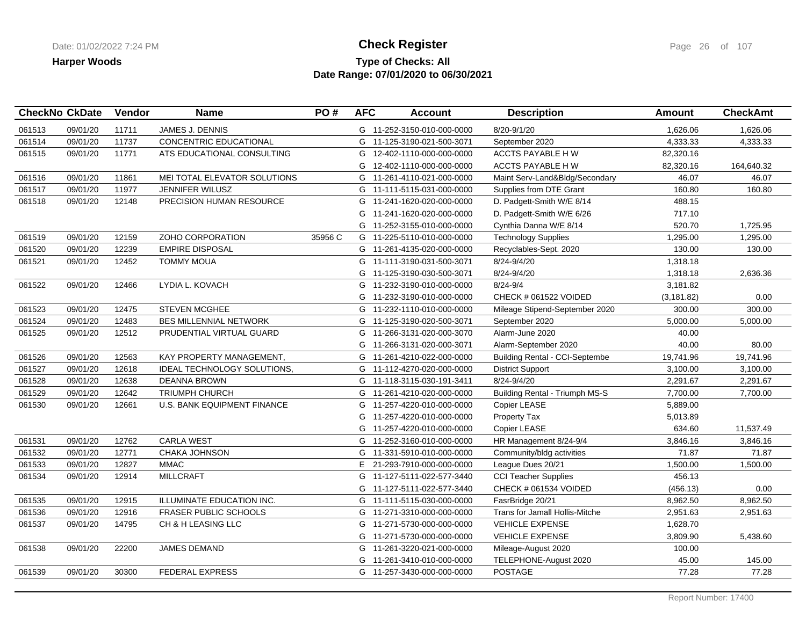## **Type of Checks: All Check Register Check Register Check Register Page 26 of 107 Date Range: 07/01/2020 to 06/30/2021**

|        | <b>CheckNo CkDate</b> | Vendor | <b>Name</b>                        | PO#     | <b>AFC</b> | <b>Account</b>             | <b>Description</b>                    | Amount      | <b>CheckAmt</b> |
|--------|-----------------------|--------|------------------------------------|---------|------------|----------------------------|---------------------------------------|-------------|-----------------|
| 061513 | 09/01/20              | 11711  | <b>JAMES J. DENNIS</b>             |         |            | G 11-252-3150-010-000-0000 | 8/20-9/1/20                           | 1.626.06    | 1,626.06        |
| 061514 | 09/01/20              | 11737  | CONCENTRIC EDUCATIONAL             |         | G          | 11-125-3190-021-500-3071   | September 2020                        | 4,333.33    | 4,333.33        |
| 061515 | 09/01/20              | 11771  | ATS EDUCATIONAL CONSULTING         |         | G          | 12-402-1110-000-000-0000   | ACCTS PAYABLE H W                     | 82,320.16   |                 |
|        |                       |        |                                    |         | G          | 12-402-1110-000-000-0000   | ACCTS PAYABLE HW                      | 82,320.16   | 164,640.32      |
| 061516 | 09/01/20              | 11861  | MEI TOTAL ELEVATOR SOLUTIONS       |         | G          | 11-261-4110-021-000-0000   | Maint Serv-Land&Bldg/Secondary        | 46.07       | 46.07           |
| 061517 | 09/01/20              | 11977  | JENNIFER WILUSZ                    |         | G          | 11-111-5115-031-000-0000   | Supplies from DTE Grant               | 160.80      | 160.80          |
| 061518 | 09/01/20              | 12148  | <b>PRECISION HUMAN RESOURCE</b>    |         | G          | 11-241-1620-020-000-0000   | D. Padgett-Smith W/E 8/14             | 488.15      |                 |
|        |                       |        |                                    |         |            | G 11-241-1620-020-000-0000 | D. Padgett-Smith W/E 6/26             | 717.10      |                 |
|        |                       |        |                                    |         | G          | 11-252-3155-010-000-0000   | Cynthia Danna W/E 8/14                | 520.70      | 1,725.95        |
| 061519 | 09/01/20              | 12159  | ZOHO CORPORATION                   | 35956 C |            | G 11-225-5110-010-000-0000 | <b>Technology Supplies</b>            | 1,295.00    | 1,295.00        |
| 061520 | 09/01/20              | 12239  | <b>EMPIRE DISPOSAL</b>             |         |            | G 11-261-4135-020-000-0000 | Recyclables-Sept. 2020                | 130.00      | 130.00          |
| 061521 | 09/01/20              | 12452  | <b>TOMMY MOUA</b>                  |         | G.         | 11-111-3190-031-500-3071   | 8/24-9/4/20                           | 1,318.18    |                 |
|        |                       |        |                                    |         | G          | 11-125-3190-030-500-3071   | 8/24-9/4/20                           | 1,318.18    | 2,636.36        |
| 061522 | 09/01/20              | 12466  | LYDIA L. KOVACH                    |         | G          | 11-232-3190-010-000-0000   | 8/24-9/4                              | 3,181.82    |                 |
|        |                       |        |                                    |         | G          | 11-232-3190-010-000-0000   | CHECK # 061522 VOIDED                 | (3, 181.82) | 0.00            |
| 061523 | 09/01/20              | 12475  | <b>STEVEN MCGHEE</b>               |         | G          | 11-232-1110-010-000-0000   | Mileage Stipend-September 2020        | 300.00      | 300.00          |
| 061524 | 09/01/20              | 12483  | <b>BES MILLENNIAL NETWORK</b>      |         |            | G 11-125-3190-020-500-3071 | September 2020                        | 5,000.00    | 5,000.00        |
| 061525 | 09/01/20              | 12512  | PRUDENTIAL VIRTUAL GUARD           |         | G          | 11-266-3131-020-000-3070   | Alarm-June 2020                       | 40.00       |                 |
|        |                       |        |                                    |         | G          | 11-266-3131-020-000-3071   | Alarm-September 2020                  | 40.00       | 80.00           |
| 061526 | 09/01/20              | 12563  | KAY PROPERTY MANAGEMENT,           |         | G          | 11-261-4210-022-000-0000   | <b>Building Rental - CCI-Septembe</b> | 19,741.96   | 19,741.96       |
| 061527 | 09/01/20              | 12618  | IDEAL TECHNOLOGY SOLUTIONS,        |         |            | G 11-112-4270-020-000-0000 | <b>District Support</b>               | 3,100.00    | 3,100.00        |
| 061528 | 09/01/20              | 12638  | <b>DEANNA BROWN</b>                |         |            | G 11-118-3115-030-191-3411 | 8/24-9/4/20                           | 2,291.67    | 2,291.67        |
| 061529 | 09/01/20              | 12642  | <b>TRIUMPH CHURCH</b>              |         |            | G 11-261-4210-020-000-0000 | <b>Building Rental - Triumph MS-S</b> | 7,700.00    | 7,700.00        |
| 061530 | 09/01/20              | 12661  | <b>U.S. BANK EQUIPMENT FINANCE</b> |         |            | G 11-257-4220-010-000-0000 | Copier LEASE                          | 5,889.00    |                 |
|        |                       |        |                                    |         | G          | 11-257-4220-010-000-0000   | Property Tax                          | 5,013.89    |                 |
|        |                       |        |                                    |         |            | G 11-257-4220-010-000-0000 | Copier LEASE                          | 634.60      | 11,537.49       |
| 061531 | 09/01/20              | 12762  | <b>CARLA WEST</b>                  |         | G          | 11-252-3160-010-000-0000   | HR Management 8/24-9/4                | 3,846.16    | 3,846.16        |
| 061532 | 09/01/20              | 12771  | CHAKA JOHNSON                      |         | G          | 11-331-5910-010-000-0000   | Community/bldg activities             | 71.87       | 71.87           |
| 061533 | 09/01/20              | 12827  | <b>MMAC</b>                        |         | E.         | 21-293-7910-000-000-0000   | League Dues 20/21                     | 1,500.00    | 1,500.00        |
| 061534 | 09/01/20              | 12914  | <b>MILLCRAFT</b>                   |         |            | G 11-127-5111-022-577-3440 | <b>CCI Teacher Supplies</b>           | 456.13      |                 |
|        |                       |        |                                    |         | G          | 11-127-5111-022-577-3440   | CHECK # 061534 VOIDED                 | (456.13)    | 0.00            |
| 061535 | 09/01/20              | 12915  | ILLUMINATE EDUCATION INC.          |         |            | G 11-111-5115-030-000-0000 | FasrBridge 20/21                      | 8,962.50    | 8,962.50        |
| 061536 | 09/01/20              | 12916  | <b>FRASER PUBLIC SCHOOLS</b>       |         |            | G 11-271-3310-000-000-0000 | Trans for Jamall Hollis-Mitche        | 2,951.63    | 2,951.63        |
| 061537 | 09/01/20              | 14795  | CH & H LEASING LLC                 |         |            | G 11-271-5730-000-000-0000 | <b>VEHICLE EXPENSE</b>                | 1,628.70    |                 |
|        |                       |        |                                    |         | G          | 11-271-5730-000-000-0000   | <b>VEHICLE EXPENSE</b>                | 3,809.90    | 5,438.60        |
| 061538 | 09/01/20              | 22200  | JAMES DEMAND                       |         | G          | 11-261-3220-021-000-0000   | Mileage-August 2020                   | 100.00      |                 |
|        |                       |        |                                    |         |            | G 11-261-3410-010-000-0000 | TELEPHONE-August 2020                 | 45.00       | 145.00          |
| 061539 | 09/01/20              | 30300  | <b>FEDERAL EXPRESS</b>             |         |            | G 11-257-3430-000-000-0000 | <b>POSTAGE</b>                        | 77.28       | 77.28           |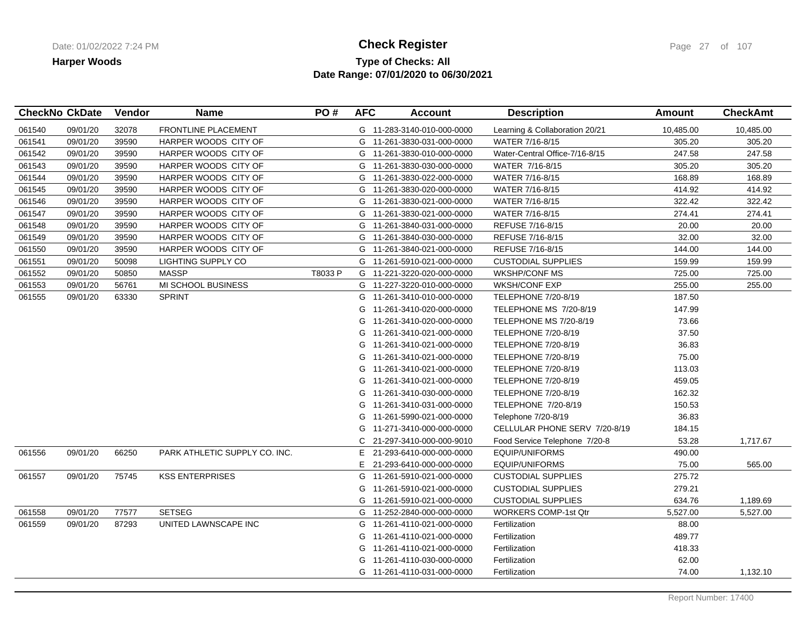### **Type of Checks: All Check Register Check Register Check Register Page 27** of 107 **Date Range: 07/01/2020 to 06/30/2021**

| <b>CheckNo CkDate</b> |          | Vendor | <b>Name</b>                   | PO#     | <b>AFC</b> | <b>Account</b>             | <b>Description</b>             | <b>Amount</b> | <b>CheckAmt</b> |
|-----------------------|----------|--------|-------------------------------|---------|------------|----------------------------|--------------------------------|---------------|-----------------|
| 061540                | 09/01/20 | 32078  | FRONTLINE PLACEMENT           |         |            | G 11-283-3140-010-000-0000 | Learning & Collaboration 20/21 | 10,485.00     | 10,485.00       |
| 061541                | 09/01/20 | 39590  | HARPER WOODS CITY OF          |         |            | G 11-261-3830-031-000-0000 | WATER 7/16-8/15                | 305.20        | 305.20          |
| 061542                | 09/01/20 | 39590  | HARPER WOODS CITY OF          |         |            | G 11-261-3830-010-000-0000 | Water-Central Office-7/16-8/15 | 247.58        | 247.58          |
| 061543                | 09/01/20 | 39590  | HARPER WOODS CITY OF          |         |            | G 11-261-3830-030-000-0000 | WATER 7/16-8/15                | 305.20        | 305.20          |
| 061544                | 09/01/20 | 39590  | HARPER WOODS CITY OF          |         |            | G 11-261-3830-022-000-0000 | WATER 7/16-8/15                | 168.89        | 168.89          |
| 061545                | 09/01/20 | 39590  | HARPER WOODS CITY OF          |         |            | G 11-261-3830-020-000-0000 | WATER 7/16-8/15                | 414.92        | 414.92          |
| 061546                | 09/01/20 | 39590  | HARPER WOODS CITY OF          |         |            | G 11-261-3830-021-000-0000 | WATER 7/16-8/15                | 322.42        | 322.42          |
| 061547                | 09/01/20 | 39590  | HARPER WOODS CITY OF          |         |            | G 11-261-3830-021-000-0000 | WATER 7/16-8/15                | 274.41        | 274.41          |
| 061548                | 09/01/20 | 39590  | HARPER WOODS CITY OF          |         |            | G 11-261-3840-031-000-0000 | REFUSE 7/16-8/15               | 20.00         | 20.00           |
| 061549                | 09/01/20 | 39590  | HARPER WOODS CITY OF          |         |            | G 11-261-3840-030-000-0000 | REFUSE 7/16-8/15               | 32.00         | 32.00           |
| 061550                | 09/01/20 | 39590  | HARPER WOODS CITY OF          |         | G          | 11-261-3840-021-000-0000   | REFUSE 7/16-8/15               | 144.00        | 144.00          |
| 061551                | 09/01/20 | 50098  | LIGHTING SUPPLY CO            |         |            | G 11-261-5910-021-000-0000 | <b>CUSTODIAL SUPPLIES</b>      | 159.99        | 159.99          |
| 061552                | 09/01/20 | 50850  | <b>MASSP</b>                  | T8033 P |            | G 11-221-3220-020-000-0000 | <b>WKSHP/CONF MS</b>           | 725.00        | 725.00          |
| 061553                | 09/01/20 | 56761  | MI SCHOOL BUSINESS            |         |            | G 11-227-3220-010-000-0000 | <b>WKSH/CONF EXP</b>           | 255.00        | 255.00          |
| 061555                | 09/01/20 | 63330  | <b>SPRINT</b>                 |         |            | G 11-261-3410-010-000-0000 | <b>TELEPHONE 7/20-8/19</b>     | 187.50        |                 |
|                       |          |        |                               |         |            | G 11-261-3410-020-000-0000 | TELEPHONE MS 7/20-8/19         | 147.99        |                 |
|                       |          |        |                               |         | G          | 11-261-3410-020-000-0000   | TELEPHONE MS 7/20-8/19         | 73.66         |                 |
|                       |          |        |                               |         | G          | 11-261-3410-021-000-0000   | <b>TELEPHONE 7/20-8/19</b>     | 37.50         |                 |
|                       |          |        |                               |         | G          | 11-261-3410-021-000-0000   | TELEPHONE 7/20-8/19            | 36.83         |                 |
|                       |          |        |                               |         | G          | 11-261-3410-021-000-0000   | <b>TELEPHONE 7/20-8/19</b>     | 75.00         |                 |
|                       |          |        |                               |         | G          | 11-261-3410-021-000-0000   | TELEPHONE 7/20-8/19            | 113.03        |                 |
|                       |          |        |                               |         | G          | 11-261-3410-021-000-0000   | TELEPHONE 7/20-8/19            | 459.05        |                 |
|                       |          |        |                               |         |            | G 11-261-3410-030-000-0000 | TELEPHONE 7/20-8/19            | 162.32        |                 |
|                       |          |        |                               |         | G          | 11-261-3410-031-000-0000   | TELEPHONE 7/20-8/19            | 150.53        |                 |
|                       |          |        |                               |         | G          | 11-261-5990-021-000-0000   | Telephone 7/20-8/19            | 36.83         |                 |
|                       |          |        |                               |         | G          | 11-271-3410-000-000-0000   | CELLULAR PHONE SERV 7/20-8/19  | 184.15        |                 |
|                       |          |        |                               |         | C          | 21-297-3410-000-000-9010   | Food Service Telephone 7/20-8  | 53.28         | 1,717.67        |
| 061556                | 09/01/20 | 66250  | PARK ATHLETIC SUPPLY CO. INC. |         | Е.         | 21-293-6410-000-000-0000   | EQUIP/UNIFORMS                 | 490.00        |                 |
|                       |          |        |                               |         | E.         | 21-293-6410-000-000-0000   | EQUIP/UNIFORMS                 | 75.00         | 565.00          |
| 061557                | 09/01/20 | 75745  | <b>KSS ENTERPRISES</b>        |         | G          | 11-261-5910-021-000-0000   | <b>CUSTODIAL SUPPLIES</b>      | 275.72        |                 |
|                       |          |        |                               |         |            | G 11-261-5910-021-000-0000 | <b>CUSTODIAL SUPPLIES</b>      | 279.21        |                 |
|                       |          |        |                               |         |            | G 11-261-5910-021-000-0000 | <b>CUSTODIAL SUPPLIES</b>      | 634.76        | 1,189.69        |
| 061558                | 09/01/20 | 77577  | <b>SETSEG</b>                 |         |            | G 11-252-2840-000-000-0000 | <b>WORKERS COMP-1st Qtr</b>    | 5,527.00      | 5,527.00        |
| 061559                | 09/01/20 | 87293  | UNITED LAWNSCAPE INC          |         |            | G 11-261-4110-021-000-0000 | Fertilization                  | 88.00         |                 |
|                       |          |        |                               |         | G          | 11-261-4110-021-000-0000   | Fertilization                  | 489.77        |                 |
|                       |          |        |                               |         |            | G 11-261-4110-021-000-0000 | Fertilization                  | 418.33        |                 |
|                       |          |        |                               |         | G          | 11-261-4110-030-000-0000   | Fertilization                  | 62.00         |                 |
|                       |          |        |                               |         |            | G 11-261-4110-031-000-0000 | Fertilization                  | 74.00         | 1,132.10        |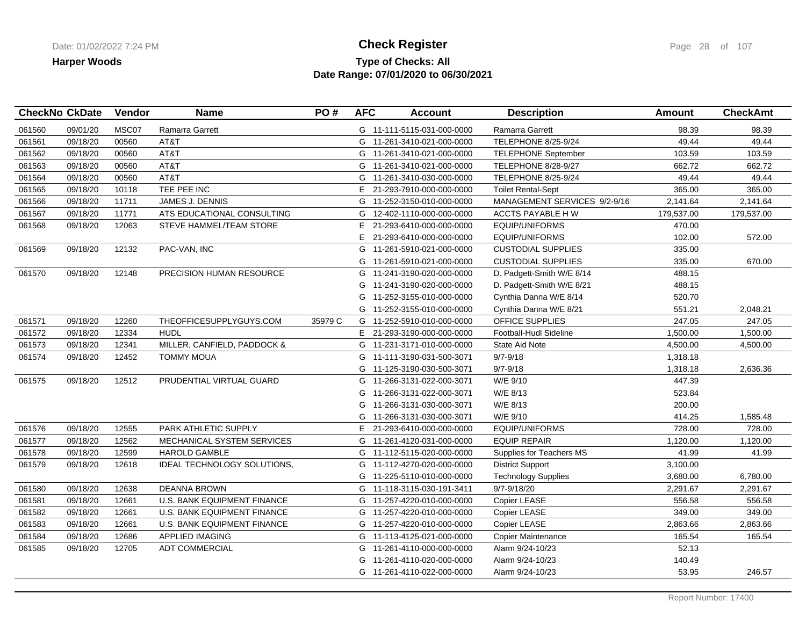### **Type of Checks: All Check Register Check Register Check Register Page 28 of 107 Date Range: 07/01/2020 to 06/30/2021**

| MSC07<br>09/01/20<br><b>Ramarra Garrett</b><br>98.39<br>98.39<br>061560<br>G 11-111-5115-031-000-0000<br>Ramarra Garrett<br>AT&T<br>49.44<br>49.44<br>09/18/20<br>00560<br>G 11-261-3410-021-000-0000<br><b>TELEPHONE 8/25-9/24</b><br>AT&T<br>00560<br>103.59<br>103.59<br>061562<br>09/18/20<br>G 11-261-3410-021-000-0000<br><b>TELEPHONE September</b><br>AT&T<br>061563<br>09/18/20<br>00560<br>G 11-261-3410-021-000-0000<br>TELEPHONE 8/28-9/27<br>662.72<br>662.72<br>AT&T<br>00560<br>TELEPHONE 8/25-9/24<br>49.44<br>49.44<br>061564<br>09/18/20<br>G 11-261-3410-030-000-0000<br>TEE PEE INC<br>365.00<br>09/18/20<br>10118<br>E 21-293-7910-000-000-0000<br><b>Toilet Rental-Sept</b><br>365.00<br>061566<br>09/18/20<br>JAMES J. DENNIS<br>MANAGEMENT SERVICES 9/2-9/16<br>2,141.64<br>11711<br>G 11-252-3150-010-000-0000<br>2,141.64<br>061567<br>09/18/20<br>11771<br>ATS EDUCATIONAL CONSULTING<br>G 12-402-1110-000-000-0000<br>ACCTS PAYABLE H W<br>179,537.00<br>179,537.00<br>12063<br>STEVE HAMMEL/TEAM STORE<br>EQUIP/UNIFORMS<br>470.00<br>09/18/20<br>Е<br>21-293-6410-000-000-0000<br>E<br>102.00<br>572.00<br>21-293-6410-000-000-0000<br>EQUIP/UNIFORMS<br>335.00<br>09/18/20<br>12132<br>PAC-VAN, INC<br>G<br>11-261-5910-021-000-0000<br><b>CUSTODIAL SUPPLIES</b><br>335.00<br><b>CUSTODIAL SUPPLIES</b><br>670.00<br>G<br>11-261-5910-021-000-0000<br>09/18/20<br>12148<br>PRECISION HUMAN RESOURCE<br>488.15<br>11-241-3190-020-000-0000<br>D. Padgett-Smith W/E 8/14<br>G<br>488.15<br>D. Padgett-Smith W/E 8/21<br>11-241-3190-020-000-0000<br>G<br>Cynthia Danna W/E 8/14<br>520.70<br>11-252-3155-010-000-0000<br>G<br>551.21<br>2,048.21<br>G 11-252-3155-010-000-0000<br>Cynthia Danna W/E 8/21<br>12260<br>THEOFFICESUPPLYGUYS.COM<br>35979 C<br>247.05<br>247.05<br>09/18/20<br>G 11-252-5910-010-000-0000<br>OFFICE SUPPLIES<br>12334<br><b>HUDL</b><br>1,500.00<br>061572<br>09/18/20<br>1,500.00<br>E 21-293-3190-000-000-0000<br>Football-Hudl Sideline<br>12341<br>MILLER, CANFIELD, PADDOCK &<br>4,500.00<br>061573<br>09/18/20<br>G 11-231-3171-010-000-0000<br><b>State Aid Note</b><br>4,500.00<br>G 11-111-3190-031-500-3071<br>$9/7 - 9/18$<br>1,318.18<br>09/18/20<br>12452<br><b>TOMMY MOUA</b><br>$9/7 - 9/18$<br>1,318.18<br>G 11-125-3190-030-500-3071<br>2,636.36<br>447.39<br>09/18/20<br>12512<br>PRUDENTIAL VIRTUAL GUARD<br>G 11-266-3131-022-000-3071<br>W/E 9/10<br>523.84<br>G 11-266-3131-022-000-3071<br>W/E 8/13<br>200.00<br>11-266-3131-030-000-3071<br>W/E 8/13<br>G<br>414.25<br>G 11-266-3131-030-000-3071<br>W/E 9/10<br>1,585.48<br>12555<br>PARK ATHLETIC SUPPLY<br>728.00<br>728.00<br>09/18/20<br>E.<br>21-293-6410-000-000-0000<br><b>EQUIP/UNIFORMS</b><br>061577<br>09/18/20<br>12562<br>MECHANICAL SYSTEM SERVICES<br>G 11-261-4120-031-000-0000<br><b>EQUIP REPAIR</b><br>1,120.00<br>1,120.00<br>41.99<br>09/18/20<br>12599<br><b>HAROLD GAMBLE</b><br>Supplies for Teachers MS<br>41.99<br>G 11-112-5115-020-000-0000<br><b>District Support</b><br>3,100.00<br>061579<br>09/18/20<br>12618<br>IDEAL TECHNOLOGY SOLUTIONS,<br>G 11-112-4270-020-000-0000<br>3,680.00<br>6,780.00<br>G 11-225-5110-010-000-0000<br><b>Technology Supplies</b><br>2,291.67<br>09/18/20<br>12638<br><b>DEANNA BROWN</b><br>9/7-9/18/20<br>2,291.67<br>G 11-118-3115-030-191-3411<br>09/18/20<br>12661<br>U.S. BANK EQUIPMENT FINANCE<br>Copier LEASE<br>556.58<br>556.58<br>061581<br>G 11-257-4220-010-000-0000<br>12661<br>349.00<br>349.00<br>061582<br>09/18/20<br>U.S. BANK EQUIPMENT FINANCE<br>G 11-257-4220-010-000-0000<br>Copier LEASE<br>U.S. BANK EQUIPMENT FINANCE<br>Copier LEASE<br>2,863.66<br>2,863.66<br>061583<br>09/18/20<br>12661<br>G 11-257-4220-010-000-0000<br>APPLIED IMAGING<br>165.54<br>165.54<br>09/18/20<br>12686<br>G 11-113-4125-021-000-0000<br>Copier Maintenance<br>52.13<br>061585<br>09/18/20<br>12705<br><b>ADT COMMERCIAL</b><br>G 11-261-4110-000-000-0000<br>Alarm 9/24-10/23<br>11-261-4110-020-000-0000<br>Alarm 9/24-10/23<br>140.49<br>G<br>53.95<br>G 11-261-4110-022-000-0000<br>Alarm 9/24-10/23<br>246.57 |        | <b>CheckNo CkDate</b> | Vendor | <b>Name</b> | PO# | <b>AFC</b> | <b>Account</b> | <b>Description</b> | <b>Amount</b> | <b>CheckAmt</b> |
|-------------------------------------------------------------------------------------------------------------------------------------------------------------------------------------------------------------------------------------------------------------------------------------------------------------------------------------------------------------------------------------------------------------------------------------------------------------------------------------------------------------------------------------------------------------------------------------------------------------------------------------------------------------------------------------------------------------------------------------------------------------------------------------------------------------------------------------------------------------------------------------------------------------------------------------------------------------------------------------------------------------------------------------------------------------------------------------------------------------------------------------------------------------------------------------------------------------------------------------------------------------------------------------------------------------------------------------------------------------------------------------------------------------------------------------------------------------------------------------------------------------------------------------------------------------------------------------------------------------------------------------------------------------------------------------------------------------------------------------------------------------------------------------------------------------------------------------------------------------------------------------------------------------------------------------------------------------------------------------------------------------------------------------------------------------------------------------------------------------------------------------------------------------------------------------------------------------------------------------------------------------------------------------------------------------------------------------------------------------------------------------------------------------------------------------------------------------------------------------------------------------------------------------------------------------------------------------------------------------------------------------------------------------------------------------------------------------------------------------------------------------------------------------------------------------------------------------------------------------------------------------------------------------------------------------------------------------------------------------------------------------------------------------------------------------------------------------------------------------------------------------------------------------------------------------------------------------------------------------------------------------------------------------------------------------------------------------------------------------------------------------------------------------------------------------------------------------------------------------------------------------------------------------------------------------------------------------------------------------------------------------------------------------------------------------------------------------------------------------------------------------------------------------------------------------------------------------------------------------------------------------------------------------------------------------------------------------------------------------------------------------------------------------------------------------------------------------------------------------------------------|--------|-----------------------|--------|-------------|-----|------------|----------------|--------------------|---------------|-----------------|
|                                                                                                                                                                                                                                                                                                                                                                                                                                                                                                                                                                                                                                                                                                                                                                                                                                                                                                                                                                                                                                                                                                                                                                                                                                                                                                                                                                                                                                                                                                                                                                                                                                                                                                                                                                                                                                                                                                                                                                                                                                                                                                                                                                                                                                                                                                                                                                                                                                                                                                                                                                                                                                                                                                                                                                                                                                                                                                                                                                                                                                                                                                                                                                                                                                                                                                                                                                                                                                                                                                                                                                                                                                                                                                                                                                                                                                                                                                                                                                                                                                                                                                                               |        |                       |        |             |     |            |                |                    |               |                 |
|                                                                                                                                                                                                                                                                                                                                                                                                                                                                                                                                                                                                                                                                                                                                                                                                                                                                                                                                                                                                                                                                                                                                                                                                                                                                                                                                                                                                                                                                                                                                                                                                                                                                                                                                                                                                                                                                                                                                                                                                                                                                                                                                                                                                                                                                                                                                                                                                                                                                                                                                                                                                                                                                                                                                                                                                                                                                                                                                                                                                                                                                                                                                                                                                                                                                                                                                                                                                                                                                                                                                                                                                                                                                                                                                                                                                                                                                                                                                                                                                                                                                                                                               | 061561 |                       |        |             |     |            |                |                    |               |                 |
|                                                                                                                                                                                                                                                                                                                                                                                                                                                                                                                                                                                                                                                                                                                                                                                                                                                                                                                                                                                                                                                                                                                                                                                                                                                                                                                                                                                                                                                                                                                                                                                                                                                                                                                                                                                                                                                                                                                                                                                                                                                                                                                                                                                                                                                                                                                                                                                                                                                                                                                                                                                                                                                                                                                                                                                                                                                                                                                                                                                                                                                                                                                                                                                                                                                                                                                                                                                                                                                                                                                                                                                                                                                                                                                                                                                                                                                                                                                                                                                                                                                                                                                               |        |                       |        |             |     |            |                |                    |               |                 |
|                                                                                                                                                                                                                                                                                                                                                                                                                                                                                                                                                                                                                                                                                                                                                                                                                                                                                                                                                                                                                                                                                                                                                                                                                                                                                                                                                                                                                                                                                                                                                                                                                                                                                                                                                                                                                                                                                                                                                                                                                                                                                                                                                                                                                                                                                                                                                                                                                                                                                                                                                                                                                                                                                                                                                                                                                                                                                                                                                                                                                                                                                                                                                                                                                                                                                                                                                                                                                                                                                                                                                                                                                                                                                                                                                                                                                                                                                                                                                                                                                                                                                                                               |        |                       |        |             |     |            |                |                    |               |                 |
|                                                                                                                                                                                                                                                                                                                                                                                                                                                                                                                                                                                                                                                                                                                                                                                                                                                                                                                                                                                                                                                                                                                                                                                                                                                                                                                                                                                                                                                                                                                                                                                                                                                                                                                                                                                                                                                                                                                                                                                                                                                                                                                                                                                                                                                                                                                                                                                                                                                                                                                                                                                                                                                                                                                                                                                                                                                                                                                                                                                                                                                                                                                                                                                                                                                                                                                                                                                                                                                                                                                                                                                                                                                                                                                                                                                                                                                                                                                                                                                                                                                                                                                               |        |                       |        |             |     |            |                |                    |               |                 |
|                                                                                                                                                                                                                                                                                                                                                                                                                                                                                                                                                                                                                                                                                                                                                                                                                                                                                                                                                                                                                                                                                                                                                                                                                                                                                                                                                                                                                                                                                                                                                                                                                                                                                                                                                                                                                                                                                                                                                                                                                                                                                                                                                                                                                                                                                                                                                                                                                                                                                                                                                                                                                                                                                                                                                                                                                                                                                                                                                                                                                                                                                                                                                                                                                                                                                                                                                                                                                                                                                                                                                                                                                                                                                                                                                                                                                                                                                                                                                                                                                                                                                                                               | 061565 |                       |        |             |     |            |                |                    |               |                 |
|                                                                                                                                                                                                                                                                                                                                                                                                                                                                                                                                                                                                                                                                                                                                                                                                                                                                                                                                                                                                                                                                                                                                                                                                                                                                                                                                                                                                                                                                                                                                                                                                                                                                                                                                                                                                                                                                                                                                                                                                                                                                                                                                                                                                                                                                                                                                                                                                                                                                                                                                                                                                                                                                                                                                                                                                                                                                                                                                                                                                                                                                                                                                                                                                                                                                                                                                                                                                                                                                                                                                                                                                                                                                                                                                                                                                                                                                                                                                                                                                                                                                                                                               |        |                       |        |             |     |            |                |                    |               |                 |
|                                                                                                                                                                                                                                                                                                                                                                                                                                                                                                                                                                                                                                                                                                                                                                                                                                                                                                                                                                                                                                                                                                                                                                                                                                                                                                                                                                                                                                                                                                                                                                                                                                                                                                                                                                                                                                                                                                                                                                                                                                                                                                                                                                                                                                                                                                                                                                                                                                                                                                                                                                                                                                                                                                                                                                                                                                                                                                                                                                                                                                                                                                                                                                                                                                                                                                                                                                                                                                                                                                                                                                                                                                                                                                                                                                                                                                                                                                                                                                                                                                                                                                                               |        |                       |        |             |     |            |                |                    |               |                 |
|                                                                                                                                                                                                                                                                                                                                                                                                                                                                                                                                                                                                                                                                                                                                                                                                                                                                                                                                                                                                                                                                                                                                                                                                                                                                                                                                                                                                                                                                                                                                                                                                                                                                                                                                                                                                                                                                                                                                                                                                                                                                                                                                                                                                                                                                                                                                                                                                                                                                                                                                                                                                                                                                                                                                                                                                                                                                                                                                                                                                                                                                                                                                                                                                                                                                                                                                                                                                                                                                                                                                                                                                                                                                                                                                                                                                                                                                                                                                                                                                                                                                                                                               | 061568 |                       |        |             |     |            |                |                    |               |                 |
|                                                                                                                                                                                                                                                                                                                                                                                                                                                                                                                                                                                                                                                                                                                                                                                                                                                                                                                                                                                                                                                                                                                                                                                                                                                                                                                                                                                                                                                                                                                                                                                                                                                                                                                                                                                                                                                                                                                                                                                                                                                                                                                                                                                                                                                                                                                                                                                                                                                                                                                                                                                                                                                                                                                                                                                                                                                                                                                                                                                                                                                                                                                                                                                                                                                                                                                                                                                                                                                                                                                                                                                                                                                                                                                                                                                                                                                                                                                                                                                                                                                                                                                               |        |                       |        |             |     |            |                |                    |               |                 |
|                                                                                                                                                                                                                                                                                                                                                                                                                                                                                                                                                                                                                                                                                                                                                                                                                                                                                                                                                                                                                                                                                                                                                                                                                                                                                                                                                                                                                                                                                                                                                                                                                                                                                                                                                                                                                                                                                                                                                                                                                                                                                                                                                                                                                                                                                                                                                                                                                                                                                                                                                                                                                                                                                                                                                                                                                                                                                                                                                                                                                                                                                                                                                                                                                                                                                                                                                                                                                                                                                                                                                                                                                                                                                                                                                                                                                                                                                                                                                                                                                                                                                                                               | 061569 |                       |        |             |     |            |                |                    |               |                 |
|                                                                                                                                                                                                                                                                                                                                                                                                                                                                                                                                                                                                                                                                                                                                                                                                                                                                                                                                                                                                                                                                                                                                                                                                                                                                                                                                                                                                                                                                                                                                                                                                                                                                                                                                                                                                                                                                                                                                                                                                                                                                                                                                                                                                                                                                                                                                                                                                                                                                                                                                                                                                                                                                                                                                                                                                                                                                                                                                                                                                                                                                                                                                                                                                                                                                                                                                                                                                                                                                                                                                                                                                                                                                                                                                                                                                                                                                                                                                                                                                                                                                                                                               |        |                       |        |             |     |            |                |                    |               |                 |
|                                                                                                                                                                                                                                                                                                                                                                                                                                                                                                                                                                                                                                                                                                                                                                                                                                                                                                                                                                                                                                                                                                                                                                                                                                                                                                                                                                                                                                                                                                                                                                                                                                                                                                                                                                                                                                                                                                                                                                                                                                                                                                                                                                                                                                                                                                                                                                                                                                                                                                                                                                                                                                                                                                                                                                                                                                                                                                                                                                                                                                                                                                                                                                                                                                                                                                                                                                                                                                                                                                                                                                                                                                                                                                                                                                                                                                                                                                                                                                                                                                                                                                                               | 061570 |                       |        |             |     |            |                |                    |               |                 |
|                                                                                                                                                                                                                                                                                                                                                                                                                                                                                                                                                                                                                                                                                                                                                                                                                                                                                                                                                                                                                                                                                                                                                                                                                                                                                                                                                                                                                                                                                                                                                                                                                                                                                                                                                                                                                                                                                                                                                                                                                                                                                                                                                                                                                                                                                                                                                                                                                                                                                                                                                                                                                                                                                                                                                                                                                                                                                                                                                                                                                                                                                                                                                                                                                                                                                                                                                                                                                                                                                                                                                                                                                                                                                                                                                                                                                                                                                                                                                                                                                                                                                                                               |        |                       |        |             |     |            |                |                    |               |                 |
|                                                                                                                                                                                                                                                                                                                                                                                                                                                                                                                                                                                                                                                                                                                                                                                                                                                                                                                                                                                                                                                                                                                                                                                                                                                                                                                                                                                                                                                                                                                                                                                                                                                                                                                                                                                                                                                                                                                                                                                                                                                                                                                                                                                                                                                                                                                                                                                                                                                                                                                                                                                                                                                                                                                                                                                                                                                                                                                                                                                                                                                                                                                                                                                                                                                                                                                                                                                                                                                                                                                                                                                                                                                                                                                                                                                                                                                                                                                                                                                                                                                                                                                               |        |                       |        |             |     |            |                |                    |               |                 |
|                                                                                                                                                                                                                                                                                                                                                                                                                                                                                                                                                                                                                                                                                                                                                                                                                                                                                                                                                                                                                                                                                                                                                                                                                                                                                                                                                                                                                                                                                                                                                                                                                                                                                                                                                                                                                                                                                                                                                                                                                                                                                                                                                                                                                                                                                                                                                                                                                                                                                                                                                                                                                                                                                                                                                                                                                                                                                                                                                                                                                                                                                                                                                                                                                                                                                                                                                                                                                                                                                                                                                                                                                                                                                                                                                                                                                                                                                                                                                                                                                                                                                                                               |        |                       |        |             |     |            |                |                    |               |                 |
|                                                                                                                                                                                                                                                                                                                                                                                                                                                                                                                                                                                                                                                                                                                                                                                                                                                                                                                                                                                                                                                                                                                                                                                                                                                                                                                                                                                                                                                                                                                                                                                                                                                                                                                                                                                                                                                                                                                                                                                                                                                                                                                                                                                                                                                                                                                                                                                                                                                                                                                                                                                                                                                                                                                                                                                                                                                                                                                                                                                                                                                                                                                                                                                                                                                                                                                                                                                                                                                                                                                                                                                                                                                                                                                                                                                                                                                                                                                                                                                                                                                                                                                               | 061571 |                       |        |             |     |            |                |                    |               |                 |
|                                                                                                                                                                                                                                                                                                                                                                                                                                                                                                                                                                                                                                                                                                                                                                                                                                                                                                                                                                                                                                                                                                                                                                                                                                                                                                                                                                                                                                                                                                                                                                                                                                                                                                                                                                                                                                                                                                                                                                                                                                                                                                                                                                                                                                                                                                                                                                                                                                                                                                                                                                                                                                                                                                                                                                                                                                                                                                                                                                                                                                                                                                                                                                                                                                                                                                                                                                                                                                                                                                                                                                                                                                                                                                                                                                                                                                                                                                                                                                                                                                                                                                                               |        |                       |        |             |     |            |                |                    |               |                 |
|                                                                                                                                                                                                                                                                                                                                                                                                                                                                                                                                                                                                                                                                                                                                                                                                                                                                                                                                                                                                                                                                                                                                                                                                                                                                                                                                                                                                                                                                                                                                                                                                                                                                                                                                                                                                                                                                                                                                                                                                                                                                                                                                                                                                                                                                                                                                                                                                                                                                                                                                                                                                                                                                                                                                                                                                                                                                                                                                                                                                                                                                                                                                                                                                                                                                                                                                                                                                                                                                                                                                                                                                                                                                                                                                                                                                                                                                                                                                                                                                                                                                                                                               |        |                       |        |             |     |            |                |                    |               |                 |
|                                                                                                                                                                                                                                                                                                                                                                                                                                                                                                                                                                                                                                                                                                                                                                                                                                                                                                                                                                                                                                                                                                                                                                                                                                                                                                                                                                                                                                                                                                                                                                                                                                                                                                                                                                                                                                                                                                                                                                                                                                                                                                                                                                                                                                                                                                                                                                                                                                                                                                                                                                                                                                                                                                                                                                                                                                                                                                                                                                                                                                                                                                                                                                                                                                                                                                                                                                                                                                                                                                                                                                                                                                                                                                                                                                                                                                                                                                                                                                                                                                                                                                                               | 061574 |                       |        |             |     |            |                |                    |               |                 |
|                                                                                                                                                                                                                                                                                                                                                                                                                                                                                                                                                                                                                                                                                                                                                                                                                                                                                                                                                                                                                                                                                                                                                                                                                                                                                                                                                                                                                                                                                                                                                                                                                                                                                                                                                                                                                                                                                                                                                                                                                                                                                                                                                                                                                                                                                                                                                                                                                                                                                                                                                                                                                                                                                                                                                                                                                                                                                                                                                                                                                                                                                                                                                                                                                                                                                                                                                                                                                                                                                                                                                                                                                                                                                                                                                                                                                                                                                                                                                                                                                                                                                                                               |        |                       |        |             |     |            |                |                    |               |                 |
|                                                                                                                                                                                                                                                                                                                                                                                                                                                                                                                                                                                                                                                                                                                                                                                                                                                                                                                                                                                                                                                                                                                                                                                                                                                                                                                                                                                                                                                                                                                                                                                                                                                                                                                                                                                                                                                                                                                                                                                                                                                                                                                                                                                                                                                                                                                                                                                                                                                                                                                                                                                                                                                                                                                                                                                                                                                                                                                                                                                                                                                                                                                                                                                                                                                                                                                                                                                                                                                                                                                                                                                                                                                                                                                                                                                                                                                                                                                                                                                                                                                                                                                               | 061575 |                       |        |             |     |            |                |                    |               |                 |
|                                                                                                                                                                                                                                                                                                                                                                                                                                                                                                                                                                                                                                                                                                                                                                                                                                                                                                                                                                                                                                                                                                                                                                                                                                                                                                                                                                                                                                                                                                                                                                                                                                                                                                                                                                                                                                                                                                                                                                                                                                                                                                                                                                                                                                                                                                                                                                                                                                                                                                                                                                                                                                                                                                                                                                                                                                                                                                                                                                                                                                                                                                                                                                                                                                                                                                                                                                                                                                                                                                                                                                                                                                                                                                                                                                                                                                                                                                                                                                                                                                                                                                                               |        |                       |        |             |     |            |                |                    |               |                 |
|                                                                                                                                                                                                                                                                                                                                                                                                                                                                                                                                                                                                                                                                                                                                                                                                                                                                                                                                                                                                                                                                                                                                                                                                                                                                                                                                                                                                                                                                                                                                                                                                                                                                                                                                                                                                                                                                                                                                                                                                                                                                                                                                                                                                                                                                                                                                                                                                                                                                                                                                                                                                                                                                                                                                                                                                                                                                                                                                                                                                                                                                                                                                                                                                                                                                                                                                                                                                                                                                                                                                                                                                                                                                                                                                                                                                                                                                                                                                                                                                                                                                                                                               |        |                       |        |             |     |            |                |                    |               |                 |
|                                                                                                                                                                                                                                                                                                                                                                                                                                                                                                                                                                                                                                                                                                                                                                                                                                                                                                                                                                                                                                                                                                                                                                                                                                                                                                                                                                                                                                                                                                                                                                                                                                                                                                                                                                                                                                                                                                                                                                                                                                                                                                                                                                                                                                                                                                                                                                                                                                                                                                                                                                                                                                                                                                                                                                                                                                                                                                                                                                                                                                                                                                                                                                                                                                                                                                                                                                                                                                                                                                                                                                                                                                                                                                                                                                                                                                                                                                                                                                                                                                                                                                                               |        |                       |        |             |     |            |                |                    |               |                 |
|                                                                                                                                                                                                                                                                                                                                                                                                                                                                                                                                                                                                                                                                                                                                                                                                                                                                                                                                                                                                                                                                                                                                                                                                                                                                                                                                                                                                                                                                                                                                                                                                                                                                                                                                                                                                                                                                                                                                                                                                                                                                                                                                                                                                                                                                                                                                                                                                                                                                                                                                                                                                                                                                                                                                                                                                                                                                                                                                                                                                                                                                                                                                                                                                                                                                                                                                                                                                                                                                                                                                                                                                                                                                                                                                                                                                                                                                                                                                                                                                                                                                                                                               | 061576 |                       |        |             |     |            |                |                    |               |                 |
|                                                                                                                                                                                                                                                                                                                                                                                                                                                                                                                                                                                                                                                                                                                                                                                                                                                                                                                                                                                                                                                                                                                                                                                                                                                                                                                                                                                                                                                                                                                                                                                                                                                                                                                                                                                                                                                                                                                                                                                                                                                                                                                                                                                                                                                                                                                                                                                                                                                                                                                                                                                                                                                                                                                                                                                                                                                                                                                                                                                                                                                                                                                                                                                                                                                                                                                                                                                                                                                                                                                                                                                                                                                                                                                                                                                                                                                                                                                                                                                                                                                                                                                               |        |                       |        |             |     |            |                |                    |               |                 |
|                                                                                                                                                                                                                                                                                                                                                                                                                                                                                                                                                                                                                                                                                                                                                                                                                                                                                                                                                                                                                                                                                                                                                                                                                                                                                                                                                                                                                                                                                                                                                                                                                                                                                                                                                                                                                                                                                                                                                                                                                                                                                                                                                                                                                                                                                                                                                                                                                                                                                                                                                                                                                                                                                                                                                                                                                                                                                                                                                                                                                                                                                                                                                                                                                                                                                                                                                                                                                                                                                                                                                                                                                                                                                                                                                                                                                                                                                                                                                                                                                                                                                                                               | 061578 |                       |        |             |     |            |                |                    |               |                 |
|                                                                                                                                                                                                                                                                                                                                                                                                                                                                                                                                                                                                                                                                                                                                                                                                                                                                                                                                                                                                                                                                                                                                                                                                                                                                                                                                                                                                                                                                                                                                                                                                                                                                                                                                                                                                                                                                                                                                                                                                                                                                                                                                                                                                                                                                                                                                                                                                                                                                                                                                                                                                                                                                                                                                                                                                                                                                                                                                                                                                                                                                                                                                                                                                                                                                                                                                                                                                                                                                                                                                                                                                                                                                                                                                                                                                                                                                                                                                                                                                                                                                                                                               |        |                       |        |             |     |            |                |                    |               |                 |
|                                                                                                                                                                                                                                                                                                                                                                                                                                                                                                                                                                                                                                                                                                                                                                                                                                                                                                                                                                                                                                                                                                                                                                                                                                                                                                                                                                                                                                                                                                                                                                                                                                                                                                                                                                                                                                                                                                                                                                                                                                                                                                                                                                                                                                                                                                                                                                                                                                                                                                                                                                                                                                                                                                                                                                                                                                                                                                                                                                                                                                                                                                                                                                                                                                                                                                                                                                                                                                                                                                                                                                                                                                                                                                                                                                                                                                                                                                                                                                                                                                                                                                                               |        |                       |        |             |     |            |                |                    |               |                 |
|                                                                                                                                                                                                                                                                                                                                                                                                                                                                                                                                                                                                                                                                                                                                                                                                                                                                                                                                                                                                                                                                                                                                                                                                                                                                                                                                                                                                                                                                                                                                                                                                                                                                                                                                                                                                                                                                                                                                                                                                                                                                                                                                                                                                                                                                                                                                                                                                                                                                                                                                                                                                                                                                                                                                                                                                                                                                                                                                                                                                                                                                                                                                                                                                                                                                                                                                                                                                                                                                                                                                                                                                                                                                                                                                                                                                                                                                                                                                                                                                                                                                                                                               | 061580 |                       |        |             |     |            |                |                    |               |                 |
|                                                                                                                                                                                                                                                                                                                                                                                                                                                                                                                                                                                                                                                                                                                                                                                                                                                                                                                                                                                                                                                                                                                                                                                                                                                                                                                                                                                                                                                                                                                                                                                                                                                                                                                                                                                                                                                                                                                                                                                                                                                                                                                                                                                                                                                                                                                                                                                                                                                                                                                                                                                                                                                                                                                                                                                                                                                                                                                                                                                                                                                                                                                                                                                                                                                                                                                                                                                                                                                                                                                                                                                                                                                                                                                                                                                                                                                                                                                                                                                                                                                                                                                               |        |                       |        |             |     |            |                |                    |               |                 |
|                                                                                                                                                                                                                                                                                                                                                                                                                                                                                                                                                                                                                                                                                                                                                                                                                                                                                                                                                                                                                                                                                                                                                                                                                                                                                                                                                                                                                                                                                                                                                                                                                                                                                                                                                                                                                                                                                                                                                                                                                                                                                                                                                                                                                                                                                                                                                                                                                                                                                                                                                                                                                                                                                                                                                                                                                                                                                                                                                                                                                                                                                                                                                                                                                                                                                                                                                                                                                                                                                                                                                                                                                                                                                                                                                                                                                                                                                                                                                                                                                                                                                                                               |        |                       |        |             |     |            |                |                    |               |                 |
|                                                                                                                                                                                                                                                                                                                                                                                                                                                                                                                                                                                                                                                                                                                                                                                                                                                                                                                                                                                                                                                                                                                                                                                                                                                                                                                                                                                                                                                                                                                                                                                                                                                                                                                                                                                                                                                                                                                                                                                                                                                                                                                                                                                                                                                                                                                                                                                                                                                                                                                                                                                                                                                                                                                                                                                                                                                                                                                                                                                                                                                                                                                                                                                                                                                                                                                                                                                                                                                                                                                                                                                                                                                                                                                                                                                                                                                                                                                                                                                                                                                                                                                               |        |                       |        |             |     |            |                |                    |               |                 |
|                                                                                                                                                                                                                                                                                                                                                                                                                                                                                                                                                                                                                                                                                                                                                                                                                                                                                                                                                                                                                                                                                                                                                                                                                                                                                                                                                                                                                                                                                                                                                                                                                                                                                                                                                                                                                                                                                                                                                                                                                                                                                                                                                                                                                                                                                                                                                                                                                                                                                                                                                                                                                                                                                                                                                                                                                                                                                                                                                                                                                                                                                                                                                                                                                                                                                                                                                                                                                                                                                                                                                                                                                                                                                                                                                                                                                                                                                                                                                                                                                                                                                                                               | 061584 |                       |        |             |     |            |                |                    |               |                 |
|                                                                                                                                                                                                                                                                                                                                                                                                                                                                                                                                                                                                                                                                                                                                                                                                                                                                                                                                                                                                                                                                                                                                                                                                                                                                                                                                                                                                                                                                                                                                                                                                                                                                                                                                                                                                                                                                                                                                                                                                                                                                                                                                                                                                                                                                                                                                                                                                                                                                                                                                                                                                                                                                                                                                                                                                                                                                                                                                                                                                                                                                                                                                                                                                                                                                                                                                                                                                                                                                                                                                                                                                                                                                                                                                                                                                                                                                                                                                                                                                                                                                                                                               |        |                       |        |             |     |            |                |                    |               |                 |
|                                                                                                                                                                                                                                                                                                                                                                                                                                                                                                                                                                                                                                                                                                                                                                                                                                                                                                                                                                                                                                                                                                                                                                                                                                                                                                                                                                                                                                                                                                                                                                                                                                                                                                                                                                                                                                                                                                                                                                                                                                                                                                                                                                                                                                                                                                                                                                                                                                                                                                                                                                                                                                                                                                                                                                                                                                                                                                                                                                                                                                                                                                                                                                                                                                                                                                                                                                                                                                                                                                                                                                                                                                                                                                                                                                                                                                                                                                                                                                                                                                                                                                                               |        |                       |        |             |     |            |                |                    |               |                 |
|                                                                                                                                                                                                                                                                                                                                                                                                                                                                                                                                                                                                                                                                                                                                                                                                                                                                                                                                                                                                                                                                                                                                                                                                                                                                                                                                                                                                                                                                                                                                                                                                                                                                                                                                                                                                                                                                                                                                                                                                                                                                                                                                                                                                                                                                                                                                                                                                                                                                                                                                                                                                                                                                                                                                                                                                                                                                                                                                                                                                                                                                                                                                                                                                                                                                                                                                                                                                                                                                                                                                                                                                                                                                                                                                                                                                                                                                                                                                                                                                                                                                                                                               |        |                       |        |             |     |            |                |                    |               |                 |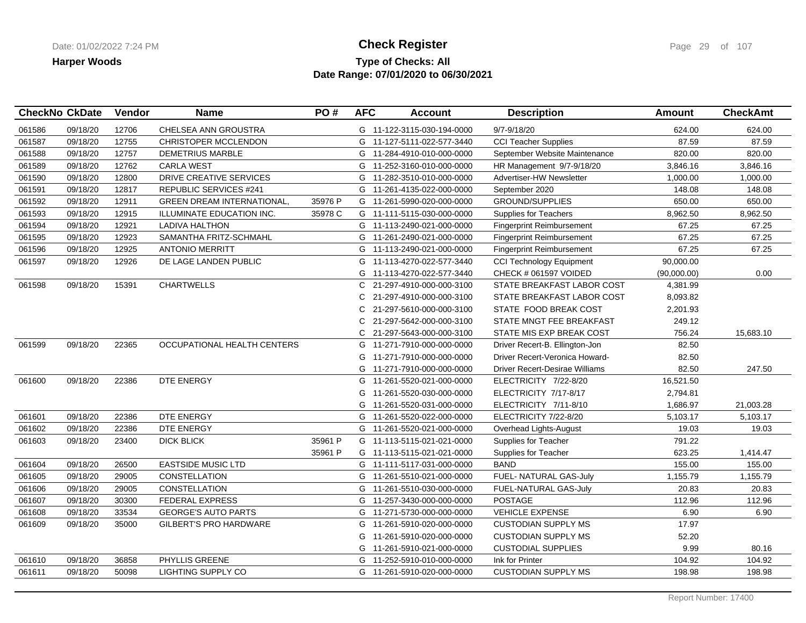### **Type of Checks: All Check Register Check Register Check Register Page 29 of 107 Date Range: 07/01/2020 to 06/30/2021**

| CHELSEA ANN GROUSTRA<br>061586<br>09/18/20<br>12706<br>G 11-122-3115-030-194-0000<br>9/7-9/18/20                                    | 624.00      |           |
|-------------------------------------------------------------------------------------------------------------------------------------|-------------|-----------|
|                                                                                                                                     |             | 624.00    |
| 061587<br>09/18/20<br>12755<br>CHRISTOPER MCCLENDON<br><b>CCI Teacher Supplies</b><br>G 11-127-5111-022-577-3440                    | 87.59       | 87.59     |
| 09/18/20<br>12757<br><b>DEMETRIUS MARBLE</b><br>061588<br>G 11-284-4910-010-000-0000<br>September Website Maintenance               | 820.00      | 820.00    |
| 061589<br>12762<br><b>CARLA WEST</b><br>09/18/20<br>G<br>11-252-3160-010-000-0000<br>HR Management 9/7-9/18/20                      | 3,846.16    | 3,846.16  |
| DRIVE CREATIVE SERVICES<br>12800<br>061590<br>09/18/20<br>G 11-282-3510-010-000-0000<br>Advertiser-HW Newsletter                    | 1,000.00    | 1,000.00  |
| 061591<br>09/18/20<br>12817<br><b>REPUBLIC SERVICES #241</b><br>G 11-261-4135-022-000-0000<br>September 2020                        | 148.08      | 148.08    |
| 35976 P<br>061592<br>09/18/20<br>12911<br><b>GREEN DREAM INTERNATIONAL,</b><br>G 11-261-5990-020-000-0000<br><b>GROUND/SUPPLIES</b> | 650.00      | 650.00    |
| 061593<br>09/18/20<br>12915<br>ILLUMINATE EDUCATION INC.<br>35978 C<br>G 11-111-5115-030-000-0000<br><b>Supplies for Teachers</b>   | 8,962.50    | 8,962.50  |
| 061594<br>09/18/20<br>12921<br><b>LADIVA HALTHON</b><br>G 11-113-2490-021-000-0000<br><b>Fingerprint Reimbursement</b>              | 67.25       | 67.25     |
| 09/18/20<br>12923<br>061595<br>SAMANTHA FRITZ-SCHMAHL<br>G 11-261-2490-021-000-0000<br><b>Fingerprint Reimbursement</b>             | 67.25       | 67.25     |
| 061596<br>09/18/20<br>12925<br><b>ANTONIO MERRITT</b><br><b>Fingerprint Reimbursement</b><br>G 11-113-2490-021-000-0000             | 67.25       | 67.25     |
| 12926<br>DE LAGE LANDEN PUBLIC<br>11-113-4270-022-577-3440<br>061597<br>09/18/20<br><b>CCI Technology Equipment</b><br>G            | 90,000.00   |           |
| CHECK # 061597 VOIDED<br>G<br>11-113-4270-022-577-3440                                                                              | (90,000.00) | 0.00      |
| 15391<br><b>CHARTWELLS</b><br>061598<br>09/18/20<br>21-297-4910-000-000-3100<br>STATE BREAKFAST LABOR COST<br>C                     | 4,381.99    |           |
| 21-297-4910-000-000-3100<br>STATE BREAKFAST LABOR COST<br>C                                                                         | 8,093.82    |           |
| 21-297-5610-000-000-3100<br>STATE FOOD BREAK COST<br>C                                                                              | 2,201.93    |           |
| 21-297-5642-000-000-3100<br>STATE MNGT FEE BREAKFAST<br>C                                                                           | 249.12      |           |
| STATE MIS EXP BREAK COST<br>C.<br>21-297-5643-000-000-3100                                                                          | 756.24      | 15,683.10 |
| 061599<br>09/18/20<br>22365<br>OCCUPATIONAL HEALTH CENTERS<br>Driver Recert-B. Ellington-Jon<br>G<br>11-271-7910-000-000-0000       | 82.50       |           |
| Driver Recert-Veronica Howard-<br>11-271-7910-000-000-0000<br>G                                                                     | 82.50       |           |
| G<br>11-271-7910-000-000-0000<br>Driver Recert-Desirae Williams                                                                     | 82.50       | 247.50    |
| 22386<br>DTE ENERGY<br>061600<br>09/18/20<br>11-261-5520-021-000-0000<br>ELECTRICITY 7/22-8/20<br>G                                 | 16,521.50   |           |
| ELECTRICITY 7/17-8/17<br>11-261-5520-030-000-0000<br>G                                                                              | 2,794.81    |           |
| 11-261-5520-031-000-0000<br>ELECTRICITY 7/11-8/10<br>G                                                                              | 1,686.97    | 21,003.28 |
| 22386<br>DTE ENERGY<br>061601<br>09/18/20<br>11-261-5520-022-000-0000<br>ELECTRICITY 7/22-8/20<br>G                                 | 5,103.17    | 5,103.17  |
| 09/18/20<br>22386<br>DTE ENERGY<br>G 11-261-5520-021-000-0000<br>061602<br>Overhead Lights-August                                   | 19.03       | 19.03     |
| 09/18/20<br>23400<br><b>DICK BLICK</b><br>35961 P<br>G 11-113-5115-021-021-0000<br>061603<br>Supplies for Teacher                   | 791.22      |           |
| 35961 P<br>G 11-113-5115-021-021-0000<br>Supplies for Teacher                                                                       | 623.25      | 1,414.47  |
| 061604<br>26500<br><b>EASTSIDE MUSIC LTD</b><br><b>BAND</b><br>09/18/20<br>G 11-111-5117-031-000-0000                               | 155.00      | 155.00    |
| 061605<br>09/18/20<br>29005<br><b>CONSTELLATION</b><br>FUEL- NATURAL GAS-July<br>G 11-261-5510-021-000-0000                         | 1,155.79    | 1,155.79  |
| 061606<br>09/18/20<br>29005<br>CONSTELLATION<br>11-261-5510-030-000-0000<br>FUEL-NATURAL GAS-July<br>G                              | 20.83       | 20.83     |
| 061607<br>09/18/20<br>30300<br><b>FEDERAL EXPRESS</b><br>G 11-257-3430-000-000-0000<br><b>POSTAGE</b>                               | 112.96      | 112.96    |
| 061608<br>09/18/20<br>33534<br><b>GEORGE'S AUTO PARTS</b><br>G 11-271-5730-000-000-0000<br><b>VEHICLE EXPENSE</b>                   | 6.90        | 6.90      |
| 061609<br>09/18/20<br>35000<br>GILBERT'S PRO HARDWARE<br>11-261-5910-020-000-0000<br><b>CUSTODIAN SUPPLY MS</b><br>G                | 17.97       |           |
| 11-261-5910-020-000-0000<br><b>CUSTODIAN SUPPLY MS</b><br>G                                                                         | 52.20       |           |
| 11-261-5910-021-000-0000<br><b>CUSTODIAL SUPPLIES</b><br>G                                                                          | 9.99        | 80.16     |
| PHYLLIS GREENE<br>09/18/20<br>36858<br>061610<br>G<br>11-252-5910-010-000-0000<br>Ink for Printer                                   | 104.92      | 104.92    |
| 061611<br>09/18/20<br>50098<br>LIGHTING SUPPLY CO<br>G 11-261-5910-020-000-0000<br><b>CUSTODIAN SUPPLY MS</b>                       | 198.98      | 198.98    |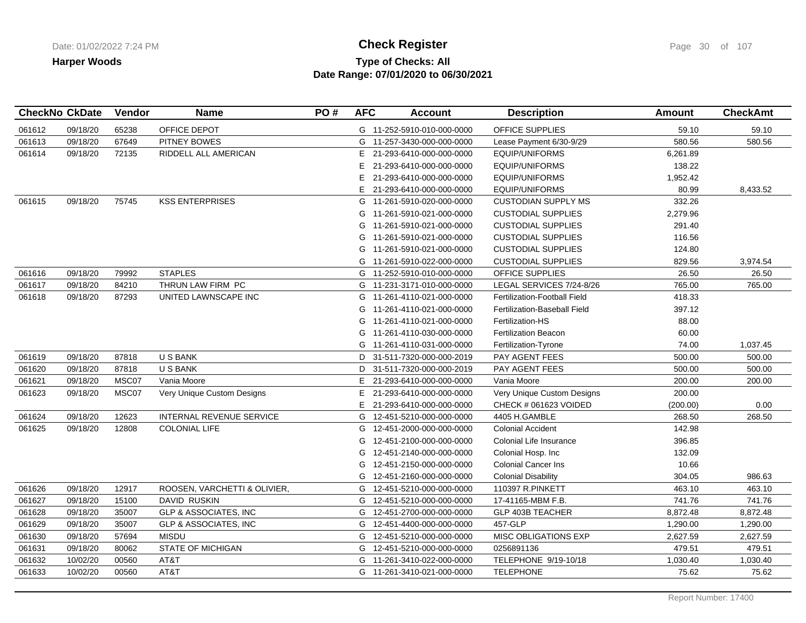## **Type of Checks: All Check Register Check Register Check Register Page 30 of 107 Date Range: 07/01/2020 to 06/30/2021**

| <b>CheckNo CkDate</b> |          | Vendor | <b>Name</b>                      | PO# | <b>AFC</b> | <b>Account</b>             | <b>Description</b>           | Amount   | <b>CheckAmt</b> |
|-----------------------|----------|--------|----------------------------------|-----|------------|----------------------------|------------------------------|----------|-----------------|
| 061612                | 09/18/20 | 65238  | OFFICE DEPOT                     |     |            | G 11-252-5910-010-000-0000 | <b>OFFICE SUPPLIES</b>       | 59.10    | 59.10           |
| 061613                | 09/18/20 | 67649  | PITNEY BOWES                     |     | G          | 11-257-3430-000-000-0000   | Lease Payment 6/30-9/29      | 580.56   | 580.56          |
| 061614                | 09/18/20 | 72135  | RIDDELL ALL AMERICAN             |     | Е          | 21-293-6410-000-000-0000   | <b>EQUIP/UNIFORMS</b>        | 6,261.89 |                 |
|                       |          |        |                                  |     | E.         | 21-293-6410-000-000-0000   | <b>EQUIP/UNIFORMS</b>        | 138.22   |                 |
|                       |          |        |                                  |     | E.         | 21-293-6410-000-000-0000   | <b>EQUIP/UNIFORMS</b>        | 1,952.42 |                 |
|                       |          |        |                                  |     | E.         | 21-293-6410-000-000-0000   | <b>EQUIP/UNIFORMS</b>        | 80.99    | 8,433.52        |
| 061615                | 09/18/20 | 75745  | <b>KSS ENTERPRISES</b>           |     |            | G 11-261-5910-020-000-0000 | <b>CUSTODIAN SUPPLY MS</b>   | 332.26   |                 |
|                       |          |        |                                  |     |            | G 11-261-5910-021-000-0000 | <b>CUSTODIAL SUPPLIES</b>    | 2,279.96 |                 |
|                       |          |        |                                  |     | G          | 11-261-5910-021-000-0000   | <b>CUSTODIAL SUPPLIES</b>    | 291.40   |                 |
|                       |          |        |                                  |     | G          | 11-261-5910-021-000-0000   | <b>CUSTODIAL SUPPLIES</b>    | 116.56   |                 |
|                       |          |        |                                  |     | G          | 11-261-5910-021-000-0000   | <b>CUSTODIAL SUPPLIES</b>    | 124.80   |                 |
|                       |          |        |                                  |     | G          | 11-261-5910-022-000-0000   | <b>CUSTODIAL SUPPLIES</b>    | 829.56   | 3,974.54        |
| 061616                | 09/18/20 | 79992  | <b>STAPLES</b>                   |     |            | G 11-252-5910-010-000-0000 | <b>OFFICE SUPPLIES</b>       | 26.50    | 26.50           |
| 061617                | 09/18/20 | 84210  | THRUN LAW FIRM PC                |     | G          | 11-231-3171-010-000-0000   | LEGAL SERVICES 7/24-8/26     | 765.00   | 765.00          |
| 061618                | 09/18/20 | 87293  | UNITED LAWNSCAPE INC             |     |            | G 11-261-4110-021-000-0000 | Fertilization-Football Field | 418.33   |                 |
|                       |          |        |                                  |     | G          | 11-261-4110-021-000-0000   | Fertilization-Baseball Field | 397.12   |                 |
|                       |          |        |                                  |     | G          | 11-261-4110-021-000-0000   | Fertilization-HS             | 88.00    |                 |
|                       |          |        |                                  |     | G          | 11-261-4110-030-000-0000   | <b>Fertilization Beacon</b>  | 60.00    |                 |
|                       |          |        |                                  |     |            | G 11-261-4110-031-000-0000 | Fertilization-Tyrone         | 74.00    | 1,037.45        |
| 061619                | 09/18/20 | 87818  | <b>USBANK</b>                    |     | D          | 31-511-7320-000-000-2019   | PAY AGENT FEES               | 500.00   | 500.00          |
| 061620                | 09/18/20 | 87818  | <b>USBANK</b>                    |     | D          | 31-511-7320-000-000-2019   | PAY AGENT FEES               | 500.00   | 500.00          |
| 061621                | 09/18/20 | MSC07  | Vania Moore                      |     | E.         | 21-293-6410-000-000-0000   | Vania Moore                  | 200.00   | 200.00          |
| 061623                | 09/18/20 | MSC07  | Very Unique Custom Designs       |     | E.         | 21-293-6410-000-000-0000   | Very Unique Custom Designs   | 200.00   |                 |
|                       |          |        |                                  |     | E.         | 21-293-6410-000-000-0000   | CHECK # 061623 VOIDED        | (200.00) | 0.00            |
| 061624                | 09/18/20 | 12623  | INTERNAL REVENUE SERVICE         |     | G          | 12-451-5210-000-000-0000   | 4405 H.GAMBLE                | 268.50   | 268.50          |
| 061625                | 09/18/20 | 12808  | <b>COLONIAL LIFE</b>             |     | G          | 12-451-2000-000-000-0000   | <b>Colonial Accident</b>     | 142.98   |                 |
|                       |          |        |                                  |     | G          | 12-451-2100-000-000-0000   | Colonial Life Insurance      | 396.85   |                 |
|                       |          |        |                                  |     | G          | 12-451-2140-000-000-0000   | Colonial Hosp. Inc           | 132.09   |                 |
|                       |          |        |                                  |     | G          | 12-451-2150-000-000-0000   | <b>Colonial Cancer Ins</b>   | 10.66    |                 |
|                       |          |        |                                  |     | G          | 12-451-2160-000-000-0000   | <b>Colonial Disability</b>   | 304.05   | 986.63          |
| 061626                | 09/18/20 | 12917  | ROOSEN, VARCHETTI & OLIVIER,     |     | G          | 12-451-5210-000-000-0000   | 110397 R.PINKETT             | 463.10   | 463.10          |
| 061627                | 09/18/20 | 15100  | <b>DAVID RUSKIN</b>              |     |            | G 12-451-5210-000-000-0000 | 17-41165-MBM F.B.            | 741.76   | 741.76          |
| 061628                | 09/18/20 | 35007  | <b>GLP &amp; ASSOCIATES, INC</b> |     |            | G 12-451-2700-000-000-0000 | GLP 403B TEACHER             | 8,872.48 | 8,872.48        |
| 061629                | 09/18/20 | 35007  | <b>GLP &amp; ASSOCIATES, INC</b> |     |            | G 12-451-4400-000-000-0000 | 457-GLP                      | 1,290.00 | 1,290.00        |
| 061630                | 09/18/20 | 57694  | <b>MISDU</b>                     |     | G          | 12-451-5210-000-000-0000   | <b>MISC OBLIGATIONS EXP</b>  | 2,627.59 | 2,627.59        |
| 061631                | 09/18/20 | 80062  | <b>STATE OF MICHIGAN</b>         |     |            | G 12-451-5210-000-000-0000 | 0256891136                   | 479.51   | 479.51          |
| 061632                | 10/02/20 | 00560  | AT&T                             |     |            | G 11-261-3410-022-000-0000 | TELEPHONE 9/19-10/18         | 1,030.40 | 1,030.40        |
| 061633                | 10/02/20 | 00560  | AT&T                             |     |            | G 11-261-3410-021-000-0000 | <b>TELEPHONE</b>             | 75.62    | 75.62           |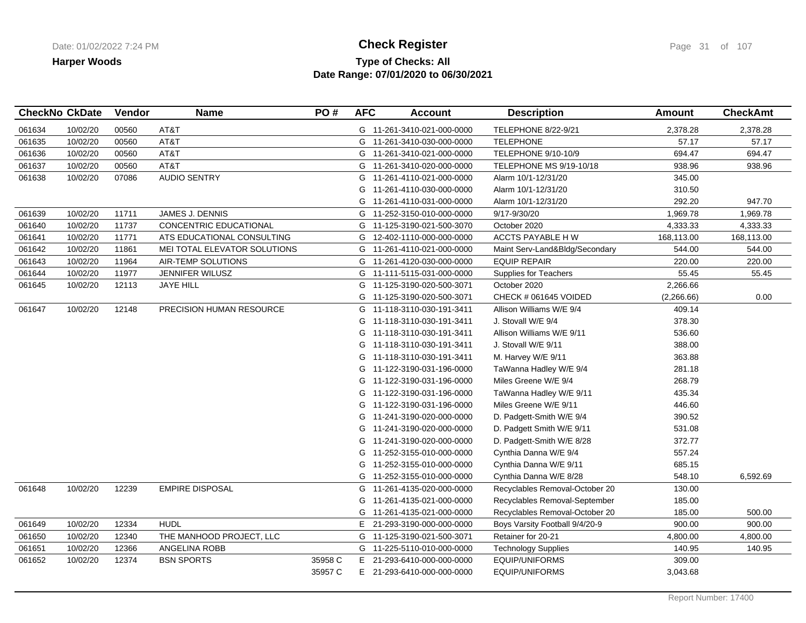## **Type of Checks: All Check Register Check Register Check Register Page 31 of 107 Date Range: 07/01/2020 to 06/30/2021**

| <b>CheckNo CkDate</b> |          | Vendor | <b>Name</b>                   | PO#     | <b>AFC</b> | <b>Account</b>             | <b>Description</b>             | <b>Amount</b> | <b>CheckAmt</b> |
|-----------------------|----------|--------|-------------------------------|---------|------------|----------------------------|--------------------------------|---------------|-----------------|
| 061634                | 10/02/20 | 00560  | AT&T                          |         |            | G 11-261-3410-021-000-0000 | <b>TELEPHONE 8/22-9/21</b>     | 2,378.28      | 2,378.28        |
| 061635                | 10/02/20 | 00560  | AT&T                          |         |            | G 11-261-3410-030-000-0000 | <b>TELEPHONE</b>               | 57.17         | 57.17           |
| 061636                | 10/02/20 | 00560  | AT&T                          |         |            | G 11-261-3410-021-000-0000 | TELEPHONE 9/10-10/9            | 694.47        | 694.47          |
| 061637                | 10/02/20 | 00560  | AT&T                          |         |            | G 11-261-3410-020-000-0000 | TELEPHONE MS 9/19-10/18        | 938.96        | 938.96          |
| 061638                | 10/02/20 | 07086  | <b>AUDIO SENTRY</b>           |         | G          | 11-261-4110-021-000-0000   | Alarm 10/1-12/31/20            | 345.00        |                 |
|                       |          |        |                               |         | G          | 11-261-4110-030-000-0000   | Alarm 10/1-12/31/20            | 310.50        |                 |
|                       |          |        |                               |         | G          | 11-261-4110-031-000-0000   | Alarm 10/1-12/31/20            | 292.20        | 947.70          |
| 061639                | 10/02/20 | 11711  | <b>JAMES J. DENNIS</b>        |         |            | G 11-252-3150-010-000-0000 | 9/17-9/30/20                   | 1,969.78      | 1,969.78        |
| 061640                | 10/02/20 | 11737  | <b>CONCENTRIC EDUCATIONAL</b> |         | G          | 11-125-3190-021-500-3070   | October 2020                   | 4,333.33      | 4,333.33        |
| 061641                | 10/02/20 | 11771  | ATS EDUCATIONAL CONSULTING    |         | G          | 12-402-1110-000-000-0000   | ACCTS PAYABLE H W              | 168,113.00    | 168,113.00      |
| 061642                | 10/02/20 | 11861  | MEI TOTAL ELEVATOR SOLUTIONS  |         | G          | 11-261-4110-021-000-0000   | Maint Serv-Land&Bldg/Secondary | 544.00        | 544.00          |
| 061643                | 10/02/20 | 11964  | AIR-TEMP SOLUTIONS            |         |            | G 11-261-4120-030-000-0000 | <b>EQUIP REPAIR</b>            | 220.00        | 220.00          |
| 061644                | 10/02/20 | 11977  | <b>JENNIFER WILUSZ</b>        |         |            | G 11-111-5115-031-000-0000 | <b>Supplies for Teachers</b>   | 55.45         | 55.45           |
| 061645                | 10/02/20 | 12113  | <b>JAYE HILL</b>              |         | G          | 11-125-3190-020-500-3071   | October 2020                   | 2,266.66      |                 |
|                       |          |        |                               |         | G          | 11-125-3190-020-500-3071   | CHECK # 061645 VOIDED          | (2,266.66)    | 0.00            |
| 061647                | 10/02/20 | 12148  | PRECISION HUMAN RESOURCE      |         | G          | 11-118-3110-030-191-3411   | Allison Williams W/E 9/4       | 409.14        |                 |
|                       |          |        |                               |         | G          | 11-118-3110-030-191-3411   | J. Stovall W/E 9/4             | 378.30        |                 |
|                       |          |        |                               |         | G          | 11-118-3110-030-191-3411   | Allison Williams W/E 9/11      | 536.60        |                 |
|                       |          |        |                               |         | G          | 11-118-3110-030-191-3411   | J. Stovall W/E 9/11            | 388.00        |                 |
|                       |          |        |                               |         | G          | 11-118-3110-030-191-3411   | M. Harvey W/E 9/11             | 363.88        |                 |
|                       |          |        |                               |         | G          | 11-122-3190-031-196-0000   | TaWanna Hadley W/E 9/4         | 281.18        |                 |
|                       |          |        |                               |         | G          | 11-122-3190-031-196-0000   | Miles Greene W/E 9/4           | 268.79        |                 |
|                       |          |        |                               |         | G          | 11-122-3190-031-196-0000   | TaWanna Hadley W/E 9/11        | 435.34        |                 |
|                       |          |        |                               |         | G          | 11-122-3190-031-196-0000   | Miles Greene W/E 9/11          | 446.60        |                 |
|                       |          |        |                               |         | G          | 11-241-3190-020-000-0000   | D. Padgett-Smith W/E 9/4       | 390.52        |                 |
|                       |          |        |                               |         | G          | 11-241-3190-020-000-0000   | D. Padgett Smith W/E 9/11      | 531.08        |                 |
|                       |          |        |                               |         | G          | 11-241-3190-020-000-0000   | D. Padgett-Smith W/E 8/28      | 372.77        |                 |
|                       |          |        |                               |         | G          | 11-252-3155-010-000-0000   | Cynthia Danna W/E 9/4          | 557.24        |                 |
|                       |          |        |                               |         | G          | 11-252-3155-010-000-0000   | Cynthia Danna W/E 9/11         | 685.15        |                 |
|                       |          |        |                               |         | G          | 11-252-3155-010-000-0000   | Cynthia Danna W/E 8/28         | 548.10        | 6,592.69        |
| 061648                | 10/02/20 | 12239  | <b>EMPIRE DISPOSAL</b>        |         | G          | 11-261-4135-020-000-0000   | Recyclables Removal-October 20 | 130.00        |                 |
|                       |          |        |                               |         | G          | 11-261-4135-021-000-0000   | Recyclables Removal-September  | 185.00        |                 |
|                       |          |        |                               |         | G          | 11-261-4135-021-000-0000   | Recyclables Removal-October 20 | 185.00        | 500.00          |
| 061649                | 10/02/20 | 12334  | <b>HUDL</b>                   |         |            | E 21-293-3190-000-000-0000 | Boys Varsity Football 9/4/20-9 | 900.00        | 900.00          |
| 061650                | 10/02/20 | 12340  | THE MANHOOD PROJECT, LLC      |         | G          | 11-125-3190-021-500-3071   | Retainer for 20-21             | 4,800.00      | 4,800.00        |
| 061651                | 10/02/20 | 12366  | ANGELINA ROBB                 |         |            | G 11-225-5110-010-000-0000 | <b>Technology Supplies</b>     | 140.95        | 140.95          |
| 061652                | 10/02/20 | 12374  | <b>BSN SPORTS</b>             | 35958 C |            | E 21-293-6410-000-000-0000 | EQUIP/UNIFORMS                 | 309.00        |                 |
|                       |          |        |                               | 35957 C |            | E 21-293-6410-000-000-0000 | <b>EQUIP/UNIFORMS</b>          | 3,043.68      |                 |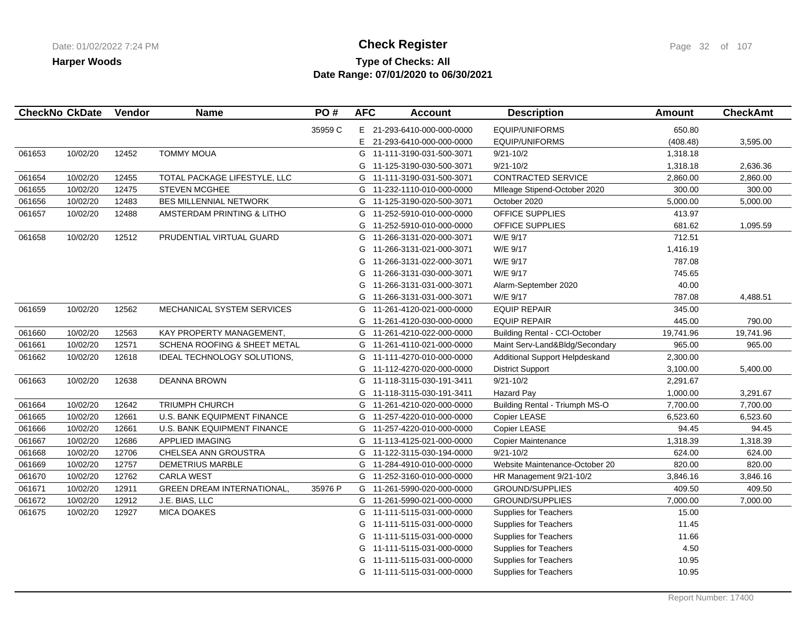## **Type of Checks: All Check Register Check Register Check Register Page 32 of 107 Date Range: 07/01/2020 to 06/30/2021**

|        | <b>CheckNo CkDate</b> | Vendor | <b>Name</b>                        | PO#     | <b>AFC</b> | <b>Account</b>             | <b>Description</b>                    | <b>Amount</b> | <b>CheckAmt</b> |
|--------|-----------------------|--------|------------------------------------|---------|------------|----------------------------|---------------------------------------|---------------|-----------------|
|        |                       |        |                                    | 35959 C |            | E 21-293-6410-000-000-0000 | <b>EQUIP/UNIFORMS</b>                 | 650.80        |                 |
|        |                       |        |                                    |         |            | E 21-293-6410-000-000-0000 | <b>EQUIP/UNIFORMS</b>                 | (408.48)      | 3,595.00        |
| 061653 | 10/02/20              | 12452  | <b>TOMMY MOUA</b>                  |         |            | G 11-111-3190-031-500-3071 | $9/21 - 10/2$                         | 1,318.18      |                 |
|        |                       |        |                                    |         | G          | 11-125-3190-030-500-3071   | $9/21 - 10/2$                         | 1,318.18      | 2,636.36        |
| 061654 | 10/02/20              | 12455  | TOTAL PACKAGE LIFESTYLE, LLC       |         | G          | 11-111-3190-031-500-3071   | CONTRACTED SERVICE                    | 2,860.00      | 2,860.00        |
| 061655 | 10/02/20              | 12475  | <b>STEVEN MCGHEE</b>               |         | G          | 11-232-1110-010-000-0000   | Mileage Stipend-October 2020          | 300.00        | 300.00          |
| 061656 | 10/02/20              | 12483  | BES MILLENNIAL NETWORK             |         | G          | 11-125-3190-020-500-3071   | October 2020                          | 5,000.00      | 5,000.00        |
| 061657 | 10/02/20              | 12488  | AMSTERDAM PRINTING & LITHO         |         | G          | 11-252-5910-010-000-0000   | <b>OFFICE SUPPLIES</b>                | 413.97        |                 |
|        |                       |        |                                    |         | G          | 11-252-5910-010-000-0000   | OFFICE SUPPLIES                       | 681.62        | 1,095.59        |
| 061658 | 10/02/20              | 12512  | PRUDENTIAL VIRTUAL GUARD           |         | G          | 11-266-3131-020-000-3071   | W/E 9/17                              | 712.51        |                 |
|        |                       |        |                                    |         | G          | 11-266-3131-021-000-3071   | W/E 9/17                              | 1,416.19      |                 |
|        |                       |        |                                    |         | G          | 11-266-3131-022-000-3071   | W/E 9/17                              | 787.08        |                 |
|        |                       |        |                                    |         | G          | 11-266-3131-030-000-3071   | W/E 9/17                              | 745.65        |                 |
|        |                       |        |                                    |         | G          | 11-266-3131-031-000-3071   | Alarm-September 2020                  | 40.00         |                 |
|        |                       |        |                                    |         | G          | 11-266-3131-031-000-3071   | W/E 9/17                              | 787.08        | 4,488.51        |
| 061659 | 10/02/20              | 12562  | MECHANICAL SYSTEM SERVICES         |         | G          | 11-261-4120-021-000-0000   | <b>EQUIP REPAIR</b>                   | 345.00        |                 |
|        |                       |        |                                    |         | G          | 11-261-4120-030-000-0000   | <b>EQUIP REPAIR</b>                   | 445.00        | 790.00          |
| 061660 | 10/02/20              | 12563  | KAY PROPERTY MANAGEMENT,           |         | G          | 11-261-4210-022-000-0000   | <b>Building Rental - CCI-October</b>  | 19,741.96     | 19,741.96       |
| 061661 | 10/02/20              | 12571  | SCHENA ROOFING & SHEET METAL       |         |            | G 11-261-4110-021-000-0000 | Maint Serv-Land&Bldg/Secondary        | 965.00        | 965.00          |
| 061662 | 10/02/20              | 12618  | IDEAL TECHNOLOGY SOLUTIONS,        |         | G          | 11-111-4270-010-000-0000   | Additional Support Helpdeskand        | 2,300.00      |                 |
|        |                       |        |                                    |         | G          | 11-112-4270-020-000-0000   | <b>District Support</b>               | 3,100.00      | 5,400.00        |
| 061663 | 10/02/20              | 12638  | <b>DEANNA BROWN</b>                |         | G          | 11-118-3115-030-191-3411   | $9/21 - 10/2$                         | 2,291.67      |                 |
|        |                       |        |                                    |         | G          | 11-118-3115-030-191-3411   | <b>Hazard Pay</b>                     | 1,000.00      | 3,291.67        |
| 061664 | 10/02/20              | 12642  | <b>TRIUMPH CHURCH</b>              |         | G          | 11-261-4210-020-000-0000   | <b>Building Rental - Triumph MS-O</b> | 7,700.00      | 7,700.00        |
| 061665 | 10/02/20              | 12661  | U.S. BANK EQUIPMENT FINANCE        |         | G          | 11-257-4220-010-000-0000   | Copier LEASE                          | 6,523.60      | 6,523.60        |
| 061666 | 10/02/20              | 12661  | <b>U.S. BANK EQUIPMENT FINANCE</b> |         | G          | 11-257-4220-010-000-0000   | Copier LEASE                          | 94.45         | 94.45           |
| 061667 | 10/02/20              | 12686  | APPLIED IMAGING                    |         | G          | 11-113-4125-021-000-0000   | Copier Maintenance                    | 1,318.39      | 1,318.39        |
| 061668 | 10/02/20              | 12706  | CHELSEA ANN GROUSTRA               |         |            | G 11-122-3115-030-194-0000 | $9/21 - 10/2$                         | 624.00        | 624.00          |
| 061669 | 10/02/20              | 12757  | <b>DEMETRIUS MARBLE</b>            |         | G          | 11-284-4910-010-000-0000   | Website Maintenance-October 20        | 820.00        | 820.00          |
| 061670 | 10/02/20              | 12762  | <b>CARLA WEST</b>                  |         | G          | 11-252-3160-010-000-0000   | HR Management 9/21-10/2               | 3,846.16      | 3,846.16        |
| 061671 | 10/02/20              | 12911  | <b>GREEN DREAM INTERNATIONAL,</b>  | 35976 P |            | G 11-261-5990-020-000-0000 | <b>GROUND/SUPPLIES</b>                | 409.50        | 409.50          |
| 061672 | 10/02/20              | 12912  | J.E. BIAS, LLC                     |         |            | G 11-261-5990-021-000-0000 | <b>GROUND/SUPPLIES</b>                | 7,000.00      | 7,000.00        |
| 061675 | 10/02/20              | 12927  | <b>MICA DOAKES</b>                 |         | G          | 11-111-5115-031-000-0000   | Supplies for Teachers                 | 15.00         |                 |
|        |                       |        |                                    |         | G          | 11-111-5115-031-000-0000   | <b>Supplies for Teachers</b>          | 11.45         |                 |
|        |                       |        |                                    |         | G          | 11-111-5115-031-000-0000   | Supplies for Teachers                 | 11.66         |                 |
|        |                       |        |                                    |         | G          | 11-111-5115-031-000-0000   | Supplies for Teachers                 | 4.50          |                 |
|        |                       |        |                                    |         | G          | 11-111-5115-031-000-0000   | <b>Supplies for Teachers</b>          | 10.95         |                 |
|        |                       |        |                                    |         |            | G 11-111-5115-031-000-0000 | <b>Supplies for Teachers</b>          | 10.95         |                 |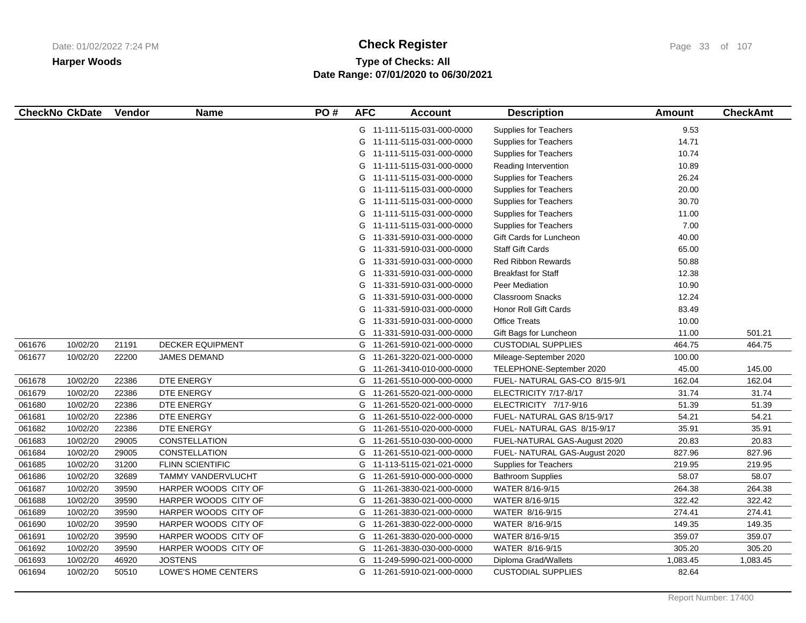# **Type of Checks: All Check Register Check Register Check Register Page 33 of 107 Date Range: 07/01/2020 to 06/30/2021**

|        | <b>CheckNo CkDate</b> | Vendor | <b>Name</b>             | PO# | <b>AFC</b> | <b>Account</b>             | <b>Description</b>            | <b>Amount</b> | <b>CheckAmt</b> |
|--------|-----------------------|--------|-------------------------|-----|------------|----------------------------|-------------------------------|---------------|-----------------|
|        |                       |        |                         |     |            | G 11-111-5115-031-000-0000 | <b>Supplies for Teachers</b>  | 9.53          |                 |
|        |                       |        |                         |     | G          | 11-111-5115-031-000-0000   | <b>Supplies for Teachers</b>  | 14.71         |                 |
|        |                       |        |                         |     | G          | 11-111-5115-031-000-0000   | <b>Supplies for Teachers</b>  | 10.74         |                 |
|        |                       |        |                         |     | G          | 11-111-5115-031-000-0000   | Reading Intervention          | 10.89         |                 |
|        |                       |        |                         |     | G          | 11-111-5115-031-000-0000   | <b>Supplies for Teachers</b>  | 26.24         |                 |
|        |                       |        |                         |     | G          | 11-111-5115-031-000-0000   | <b>Supplies for Teachers</b>  | 20.00         |                 |
|        |                       |        |                         |     | G          | 11-111-5115-031-000-0000   | <b>Supplies for Teachers</b>  | 30.70         |                 |
|        |                       |        |                         |     | G          | 11-111-5115-031-000-0000   | <b>Supplies for Teachers</b>  | 11.00         |                 |
|        |                       |        |                         |     | G          | 11-111-5115-031-000-0000   | Supplies for Teachers         | 7.00          |                 |
|        |                       |        |                         |     | G          | 11-331-5910-031-000-0000   | Gift Cards for Luncheon       | 40.00         |                 |
|        |                       |        |                         |     | G          | 11-331-5910-031-000-0000   | <b>Staff Gift Cards</b>       | 65.00         |                 |
|        |                       |        |                         |     | G          | 11-331-5910-031-000-0000   | <b>Red Ribbon Rewards</b>     | 50.88         |                 |
|        |                       |        |                         |     | G          | 11-331-5910-031-000-0000   | <b>Breakfast for Staff</b>    | 12.38         |                 |
|        |                       |        |                         |     | G          | 11-331-5910-031-000-0000   | Peer Mediation                | 10.90         |                 |
|        |                       |        |                         |     | G          | 11-331-5910-031-000-0000   | <b>Classroom Snacks</b>       | 12.24         |                 |
|        |                       |        |                         |     | G          | 11-331-5910-031-000-0000   | Honor Roll Gift Cards         | 83.49         |                 |
|        |                       |        |                         |     | G          | 11-331-5910-031-000-0000   | <b>Office Treats</b>          | 10.00         |                 |
|        |                       |        |                         |     | G          | 11-331-5910-031-000-0000   | Gift Bags for Luncheon        | 11.00         | 501.21          |
| 061676 | 10/02/20              | 21191  | <b>DECKER EQUIPMENT</b> |     |            | G 11-261-5910-021-000-0000 | <b>CUSTODIAL SUPPLIES</b>     | 464.75        | 464.75          |
| 061677 | 10/02/20              | 22200  | <b>JAMES DEMAND</b>     |     | G          | 11-261-3220-021-000-0000   | Mileage-September 2020        | 100.00        |                 |
|        |                       |        |                         |     | G          | 11-261-3410-010-000-0000   | TELEPHONE-September 2020      | 45.00         | 145.00          |
| 061678 | 10/02/20              | 22386  | DTE ENERGY              |     |            | G 11-261-5510-000-000-0000 | FUEL-NATURAL GAS-CO 8/15-9/1  | 162.04        | 162.04          |
| 061679 | 10/02/20              | 22386  | DTE ENERGY              |     | G          | 11-261-5520-021-000-0000   | ELECTRICITY 7/17-8/17         | 31.74         | 31.74           |
| 061680 | 10/02/20              | 22386  | DTE ENERGY              |     |            | G 11-261-5520-021-000-0000 | ELECTRICITY 7/17-9/16         | 51.39         | 51.39           |
| 061681 | 10/02/20              | 22386  | DTE ENERGY              |     | G          | 11-261-5510-022-000-0000   | FUEL- NATURAL GAS 8/15-9/17   | 54.21         | 54.21           |
| 061682 | 10/02/20              | 22386  | DTE ENERGY              |     | G          | 11-261-5510-020-000-0000   | FUEL- NATURAL GAS 8/15-9/17   | 35.91         | 35.91           |
| 061683 | 10/02/20              | 29005  | CONSTELLATION           |     | G          | 11-261-5510-030-000-0000   | FUEL-NATURAL GAS-August 2020  | 20.83         | 20.83           |
| 061684 | 10/02/20              | 29005  | CONSTELLATION           |     |            | G 11-261-5510-021-000-0000 | FUEL- NATURAL GAS-August 2020 | 827.96        | 827.96          |
| 061685 | 10/02/20              | 31200  | <b>FLINN SCIENTIFIC</b> |     |            | G 11-113-5115-021-021-0000 | <b>Supplies for Teachers</b>  | 219.95        | 219.95          |
| 061686 | 10/02/20              | 32689  | TAMMY VANDERVLUCHT      |     | G          | 11-261-5910-000-000-0000   | <b>Bathroom Supplies</b>      | 58.07         | 58.07           |
| 061687 | 10/02/20              | 39590  | HARPER WOODS CITY OF    |     | G          | 11-261-3830-021-000-0000   | WATER 8/16-9/15               | 264.38        | 264.38          |
| 061688 | 10/02/20              | 39590  | HARPER WOODS CITY OF    |     | G          | 11-261-3830-021-000-0000   | WATER 8/16-9/15               | 322.42        | 322.42          |
| 061689 | 10/02/20              | 39590  | HARPER WOODS CITY OF    |     |            | G 11-261-3830-021-000-0000 | WATER 8/16-9/15               | 274.41        | 274.41          |
| 061690 | 10/02/20              | 39590  | HARPER WOODS CITY OF    |     | G          | 11-261-3830-022-000-0000   | WATER 8/16-9/15               | 149.35        | 149.35          |
| 061691 | 10/02/20              | 39590  | HARPER WOODS CITY OF    |     | G          | 11-261-3830-020-000-0000   | WATER 8/16-9/15               | 359.07        | 359.07          |
| 061692 | 10/02/20              | 39590  | HARPER WOODS CITY OF    |     | G          | 11-261-3830-030-000-0000   | WATER 8/16-9/15               | 305.20        | 305.20          |
| 061693 | 10/02/20              | 46920  | <b>JOSTENS</b>          |     | G          | 11-249-5990-021-000-0000   | Diploma Grad/Wallets          | 1,083.45      | 1,083.45        |
| 061694 | 10/02/20              | 50510  | LOWE'S HOME CENTERS     |     |            | G 11-261-5910-021-000-0000 | <b>CUSTODIAL SUPPLIES</b>     | 82.64         |                 |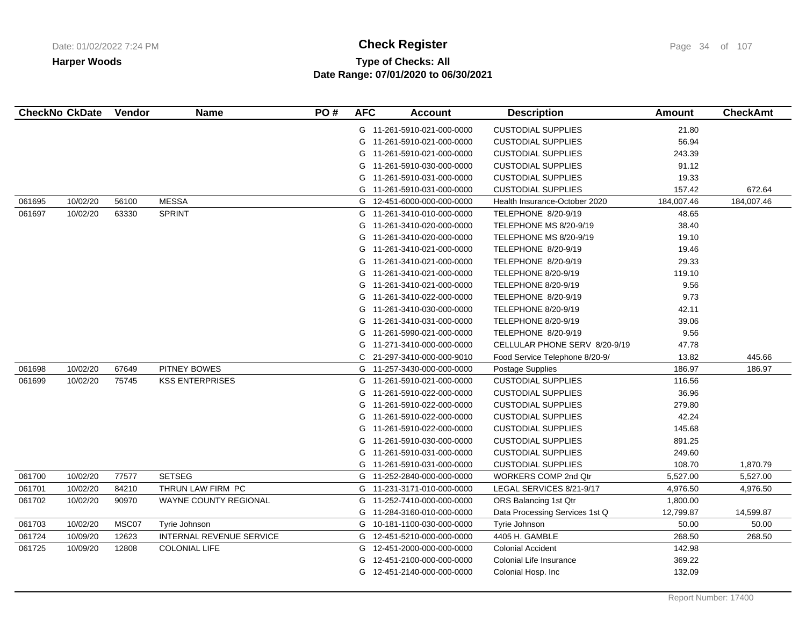# **Type of Checks: All Check Register Check Register Check Register Page 34 of 107 Date Range: 07/01/2020 to 06/30/2021**

|        | <b>CheckNo CkDate</b> | Vendor | <b>Name</b>                     | PO# | <b>AFC</b> | <b>Account</b>             | <b>Description</b>             | Amount     | <b>CheckAmt</b> |
|--------|-----------------------|--------|---------------------------------|-----|------------|----------------------------|--------------------------------|------------|-----------------|
|        |                       |        |                                 |     |            | G 11-261-5910-021-000-0000 | <b>CUSTODIAL SUPPLIES</b>      | 21.80      |                 |
|        |                       |        |                                 |     | G          | 11-261-5910-021-000-0000   | <b>CUSTODIAL SUPPLIES</b>      | 56.94      |                 |
|        |                       |        |                                 |     | G          | 11-261-5910-021-000-0000   | <b>CUSTODIAL SUPPLIES</b>      | 243.39     |                 |
|        |                       |        |                                 |     | G          | 11-261-5910-030-000-0000   | <b>CUSTODIAL SUPPLIES</b>      | 91.12      |                 |
|        |                       |        |                                 |     | G          | 11-261-5910-031-000-0000   | <b>CUSTODIAL SUPPLIES</b>      | 19.33      |                 |
|        |                       |        |                                 |     | G          | 11-261-5910-031-000-0000   | <b>CUSTODIAL SUPPLIES</b>      | 157.42     | 672.64          |
| 061695 | 10/02/20              | 56100  | <b>MESSA</b>                    |     |            | G 12-451-6000-000-000-0000 | Health Insurance-October 2020  | 184,007.46 | 184,007.46      |
| 061697 | 10/02/20              | 63330  | <b>SPRINT</b>                   |     |            | G 11-261-3410-010-000-0000 | TELEPHONE 8/20-9/19            | 48.65      |                 |
|        |                       |        |                                 |     | G          | 11-261-3410-020-000-0000   | TELEPHONE MS 8/20-9/19         | 38.40      |                 |
|        |                       |        |                                 |     | G          | 11-261-3410-020-000-0000   | TELEPHONE MS 8/20-9/19         | 19.10      |                 |
|        |                       |        |                                 |     | G          | 11-261-3410-021-000-0000   | TELEPHONE 8/20-9/19            | 19.46      |                 |
|        |                       |        |                                 |     | G          | 11-261-3410-021-000-0000   | TELEPHONE 8/20-9/19            | 29.33      |                 |
|        |                       |        |                                 |     | G          | 11-261-3410-021-000-0000   | TELEPHONE 8/20-9/19            | 119.10     |                 |
|        |                       |        |                                 |     | G          | 11-261-3410-021-000-0000   | TELEPHONE 8/20-9/19            | 9.56       |                 |
|        |                       |        |                                 |     | G          | 11-261-3410-022-000-0000   | TELEPHONE 8/20-9/19            | 9.73       |                 |
|        |                       |        |                                 |     |            | G 11-261-3410-030-000-0000 | TELEPHONE 8/20-9/19            | 42.11      |                 |
|        |                       |        |                                 |     | G          | 11-261-3410-031-000-0000   | TELEPHONE 8/20-9/19            | 39.06      |                 |
|        |                       |        |                                 |     |            | G 11-261-5990-021-000-0000 | TELEPHONE 8/20-9/19            | 9.56       |                 |
|        |                       |        |                                 |     |            | G 11-271-3410-000-000-0000 | CELLULAR PHONE SERV 8/20-9/19  | 47.78      |                 |
|        |                       |        |                                 |     | C          | 21-297-3410-000-000-9010   | Food Service Telephone 8/20-9/ | 13.82      | 445.66          |
| 061698 | 10/02/20              | 67649  | PITNEY BOWES                    |     |            | G 11-257-3430-000-000-0000 | Postage Supplies               | 186.97     | 186.97          |
| 061699 | 10/02/20              | 75745  | <b>KSS ENTERPRISES</b>          |     |            | G 11-261-5910-021-000-0000 | <b>CUSTODIAL SUPPLIES</b>      | 116.56     |                 |
|        |                       |        |                                 |     |            | G 11-261-5910-022-000-0000 | <b>CUSTODIAL SUPPLIES</b>      | 36.96      |                 |
|        |                       |        |                                 |     | G          | 11-261-5910-022-000-0000   | <b>CUSTODIAL SUPPLIES</b>      | 279.80     |                 |
|        |                       |        |                                 |     | G          | 11-261-5910-022-000-0000   | <b>CUSTODIAL SUPPLIES</b>      | 42.24      |                 |
|        |                       |        |                                 |     | G          | 11-261-5910-022-000-0000   | <b>CUSTODIAL SUPPLIES</b>      | 145.68     |                 |
|        |                       |        |                                 |     | G          | 11-261-5910-030-000-0000   | <b>CUSTODIAL SUPPLIES</b>      | 891.25     |                 |
|        |                       |        |                                 |     | G          | 11-261-5910-031-000-0000   | <b>CUSTODIAL SUPPLIES</b>      | 249.60     |                 |
|        |                       |        |                                 |     | G          | 11-261-5910-031-000-0000   | <b>CUSTODIAL SUPPLIES</b>      | 108.70     | 1,870.79        |
| 061700 | 10/02/20              | 77577  | <b>SETSEG</b>                   |     | G          | 11-252-2840-000-000-0000   | <b>WORKERS COMP 2nd Qtr</b>    | 5,527.00   | 5,527.00        |
| 061701 | 10/02/20              | 84210  | THRUN LAW FIRM PC               |     | G          | 11-231-3171-010-000-0000   | LEGAL SERVICES 8/21-9/17       | 4,976.50   | 4,976.50        |
| 061702 | 10/02/20              | 90970  | WAYNE COUNTY REGIONAL           |     | G          | 11-252-7410-000-000-0000   | ORS Balancing 1st Qtr          | 1,800.00   |                 |
|        |                       |        |                                 |     |            | G 11-284-3160-010-000-0000 | Data Processing Services 1st Q | 12,799.87  | 14,599.87       |
| 061703 | 10/02/20              | MSC07  | Tyrie Johnson                   |     |            | G 10-181-1100-030-000-0000 | Tyrie Johnson                  | 50.00      | 50.00           |
| 061724 | 10/09/20              | 12623  | <b>INTERNAL REVENUE SERVICE</b> |     | G          | 12-451-5210-000-000-0000   | 4405 H. GAMBLE                 | 268.50     | 268.50          |
| 061725 | 10/09/20              | 12808  | <b>COLONIAL LIFE</b>            |     | G          | 12-451-2000-000-000-0000   | <b>Colonial Accident</b>       | 142.98     |                 |
|        |                       |        |                                 |     | G          | 12-451-2100-000-000-0000   | Colonial Life Insurance        | 369.22     |                 |
|        |                       |        |                                 |     |            | G 12-451-2140-000-000-0000 | Colonial Hosp. Inc             | 132.09     |                 |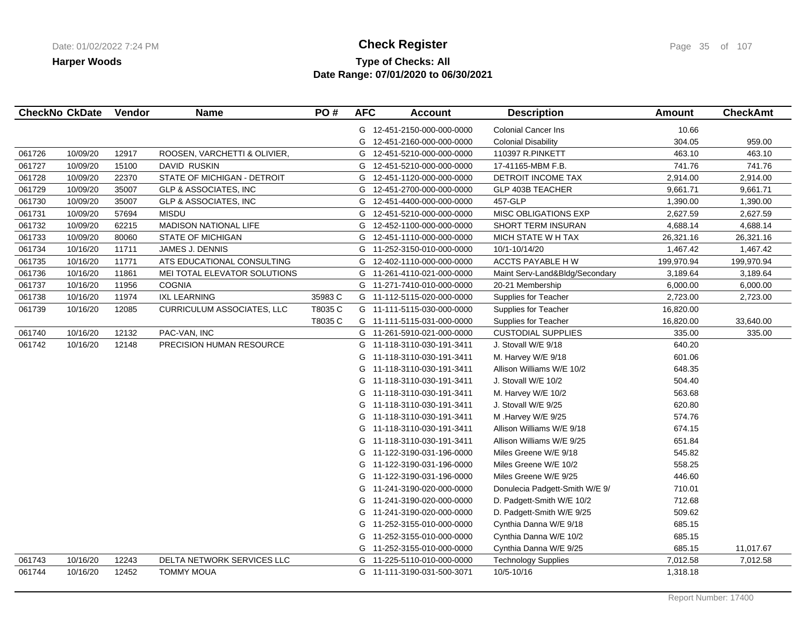## **Type of Checks: All Check Register Check Register Check Register Page 35 of 107 Date Range: 07/01/2020 to 06/30/2021**

|        | <b>CheckNo CkDate</b> | Vendor | <b>Name</b>                       | PO#     | <b>AFC</b> | <b>Account</b>             | <b>Description</b>             | <b>Amount</b> | <b>CheckAmt</b> |
|--------|-----------------------|--------|-----------------------------------|---------|------------|----------------------------|--------------------------------|---------------|-----------------|
|        |                       |        |                                   |         |            | G 12-451-2150-000-000-0000 | <b>Colonial Cancer Ins</b>     | 10.66         |                 |
|        |                       |        |                                   |         | G          | 12-451-2160-000-000-0000   | <b>Colonial Disability</b>     | 304.05        | 959.00          |
| 061726 | 10/09/20              | 12917  | ROOSEN, VARCHETTI & OLIVIER,      |         | G          | 12-451-5210-000-000-0000   | 110397 R.PINKETT               | 463.10        | 463.10          |
| 061727 | 10/09/20              | 15100  | DAVID RUSKIN                      |         | G          | 12-451-5210-000-000-0000   | 17-41165-MBM F.B.              | 741.76        | 741.76          |
| 061728 | 10/09/20              | 22370  | STATE OF MICHIGAN - DETROIT       |         | G          | 12-451-1120-000-000-0000   | DETROIT INCOME TAX             | 2,914.00      | 2,914.00        |
| 061729 | 10/09/20              | 35007  | GLP & ASSOCIATES, INC             |         | G          | 12-451-2700-000-000-0000   | GLP 403B TEACHER               | 9,661.71      | 9,661.71        |
| 061730 | 10/09/20              | 35007  | <b>GLP &amp; ASSOCIATES, INC</b>  |         | G          | 12-451-4400-000-000-0000   | 457-GLP                        | 1,390.00      | 1,390.00        |
| 061731 | 10/09/20              | 57694  | <b>MISDU</b>                      |         | G          | 12-451-5210-000-000-0000   | <b>MISC OBLIGATIONS EXP</b>    | 2,627.59      | 2,627.59        |
| 061732 | 10/09/20              | 62215  | <b>MADISON NATIONAL LIFE</b>      |         | G          | 12-452-1100-000-000-0000   | SHORT TERM INSURAN             | 4,688.14      | 4,688.14        |
| 061733 | 10/09/20              | 80060  | <b>STATE OF MICHIGAN</b>          |         |            | G 12-451-1110-000-000-0000 | MICH STATE W H TAX             | 26,321.16     | 26,321.16       |
| 061734 | 10/16/20              | 11711  | JAMES J. DENNIS                   |         |            | G 11-252-3150-010-000-0000 | 10/1-10/14/20                  | 1,467.42      | 1,467.42        |
| 061735 | 10/16/20              | 11771  | ATS EDUCATIONAL CONSULTING        |         | G          | 12-402-1110-000-000-0000   | ACCTS PAYABLE HW               | 199,970.94    | 199,970.94      |
| 061736 | 10/16/20              | 11861  | MEI TOTAL ELEVATOR SOLUTIONS      |         | G          | 11-261-4110-021-000-0000   | Maint Serv-Land&Bldg/Secondary | 3,189.64      | 3,189.64        |
| 061737 | 10/16/20              | 11956  | <b>COGNIA</b>                     |         |            | G 11-271-7410-010-000-0000 | 20-21 Membership               | 6,000.00      | 6,000.00        |
| 061738 | 10/16/20              | 11974  | <b>IXL LEARNING</b>               | 35983 C |            | G 11-112-5115-020-000-0000 | Supplies for Teacher           | 2,723.00      | 2,723.00        |
| 061739 | 10/16/20              | 12085  | <b>CURRICULUM ASSOCIATES, LLC</b> | T8035 C |            | G 11-111-5115-030-000-0000 | Supplies for Teacher           | 16,820.00     |                 |
|        |                       |        |                                   | T8035 C |            | G 11-111-5115-031-000-0000 | Supplies for Teacher           | 16,820.00     | 33,640.00       |
| 061740 | 10/16/20              | 12132  | PAC-VAN, INC                      |         |            | G 11-261-5910-021-000-0000 | <b>CUSTODIAL SUPPLIES</b>      | 335.00        | 335.00          |
| 061742 | 10/16/20              | 12148  | PRECISION HUMAN RESOURCE          |         |            | G 11-118-3110-030-191-3411 | J. Stovall W/E 9/18            | 640.20        |                 |
|        |                       |        |                                   |         | G          | 11-118-3110-030-191-3411   | M. Harvey W/E 9/18             | 601.06        |                 |
|        |                       |        |                                   |         | G          | 11-118-3110-030-191-3411   | Allison Williams W/E 10/2      | 648.35        |                 |
|        |                       |        |                                   |         |            | G 11-118-3110-030-191-3411 | J. Stovall W/E 10/2            | 504.40        |                 |
|        |                       |        |                                   |         | G          | 11-118-3110-030-191-3411   | M. Harvey W/E 10/2             | 563.68        |                 |
|        |                       |        |                                   |         | G          | 11-118-3110-030-191-3411   | J. Stovall W/E 9/25            | 620.80        |                 |
|        |                       |        |                                   |         | G          | 11-118-3110-030-191-3411   | M .Harvey W/E 9/25             | 574.76        |                 |
|        |                       |        |                                   |         | G          | 11-118-3110-030-191-3411   | Allison Williams W/E 9/18      | 674.15        |                 |
|        |                       |        |                                   |         | G          | 11-118-3110-030-191-3411   | Allison Williams W/E 9/25      | 651.84        |                 |
|        |                       |        |                                   |         | G          | 11-122-3190-031-196-0000   | Miles Greene W/E 9/18          | 545.82        |                 |
|        |                       |        |                                   |         | G          | 11-122-3190-031-196-0000   | Miles Greene W/E 10/2          | 558.25        |                 |
|        |                       |        |                                   |         | G          | 11-122-3190-031-196-0000   | Miles Greene W/E 9/25          | 446.60        |                 |
|        |                       |        |                                   |         | G          | 11-241-3190-020-000-0000   | Donulecia Padgett-Smith W/E 9/ | 710.01        |                 |
|        |                       |        |                                   |         | G          | 11-241-3190-020-000-0000   | D. Padgett-Smith W/E 10/2      | 712.68        |                 |
|        |                       |        |                                   |         | G          | 11-241-3190-020-000-0000   | D. Padgett-Smith W/E 9/25      | 509.62        |                 |
|        |                       |        |                                   |         | G          | 11-252-3155-010-000-0000   | Cynthia Danna W/E 9/18         | 685.15        |                 |
|        |                       |        |                                   |         | G          | 11-252-3155-010-000-0000   | Cynthia Danna W/E 10/2         | 685.15        |                 |
|        |                       |        |                                   |         | G          | 11-252-3155-010-000-0000   | Cynthia Danna W/E 9/25         | 685.15        | 11,017.67       |
| 061743 | 10/16/20              | 12243  | DELTA NETWORK SERVICES LLC        |         |            | G 11-225-5110-010-000-0000 | <b>Technology Supplies</b>     | 7,012.58      | 7,012.58        |
| 061744 | 10/16/20              | 12452  | <b>TOMMY MOUA</b>                 |         |            | G 11-111-3190-031-500-3071 | 10/5-10/16                     | 1,318.18      |                 |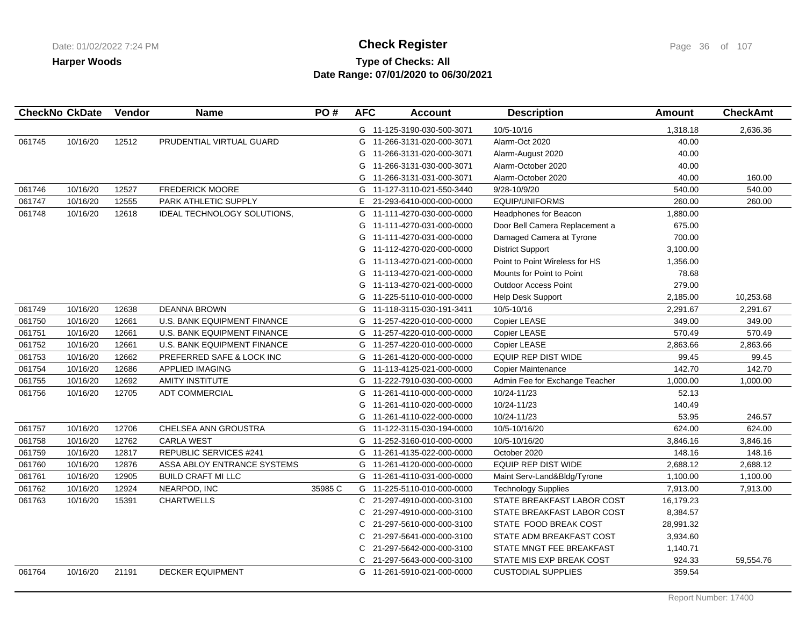# **Type of Checks: All Check Register Check Register Check Register Page 36 of 107 Date Range: 07/01/2020 to 06/30/2021**

|        | <b>CheckNo CkDate</b> | Vendor | <b>Name</b>                        | PO#     | <b>AFC</b> | <b>Account</b>             | <b>Description</b>             | Amount    | <b>CheckAmt</b> |
|--------|-----------------------|--------|------------------------------------|---------|------------|----------------------------|--------------------------------|-----------|-----------------|
|        |                       |        |                                    |         |            | G 11-125-3190-030-500-3071 | 10/5-10/16                     | 1,318.18  | 2,636.36        |
| 061745 | 10/16/20              | 12512  | PRUDENTIAL VIRTUAL GUARD           |         | G          | 11-266-3131-020-000-3071   | Alarm-Oct 2020                 | 40.00     |                 |
|        |                       |        |                                    |         | G          | 11-266-3131-020-000-3071   | Alarm-August 2020              | 40.00     |                 |
|        |                       |        |                                    |         | G          | 11-266-3131-030-000-3071   | Alarm-October 2020             | 40.00     |                 |
|        |                       |        |                                    |         | G          | 11-266-3131-031-000-3071   | Alarm-October 2020             | 40.00     | 160.00          |
| 061746 | 10/16/20              | 12527  | <b>FREDERICK MOORE</b>             |         | G          | 11-127-3110-021-550-3440   | 9/28-10/9/20                   | 540.00    | 540.00          |
| 061747 | 10/16/20              | 12555  | PARK ATHLETIC SUPPLY               |         | E.         | 21-293-6410-000-000-0000   | <b>EQUIP/UNIFORMS</b>          | 260.00    | 260.00          |
| 061748 | 10/16/20              | 12618  | <b>IDEAL TECHNOLOGY SOLUTIONS,</b> |         | G          | 11-111-4270-030-000-0000   | <b>Headphones for Beacon</b>   | 1,880.00  |                 |
|        |                       |        |                                    |         | G          | 11-111-4270-031-000-0000   | Door Bell Camera Replacement a | 675.00    |                 |
|        |                       |        |                                    |         | G          | 11-111-4270-031-000-0000   | Damaged Camera at Tyrone       | 700.00    |                 |
|        |                       |        |                                    |         | G          | 11-112-4270-020-000-0000   | <b>District Support</b>        | 3,100.00  |                 |
|        |                       |        |                                    |         | G          | 11-113-4270-021-000-0000   | Point to Point Wireless for HS | 1,356.00  |                 |
|        |                       |        |                                    |         | G          | 11-113-4270-021-000-0000   | Mounts for Point to Point      | 78.68     |                 |
|        |                       |        |                                    |         | G          | 11-113-4270-021-000-0000   | <b>Outdoor Access Point</b>    | 279.00    |                 |
|        |                       |        |                                    |         | G          | 11-225-5110-010-000-0000   | Help Desk Support              | 2,185.00  | 10,253.68       |
| 061749 | 10/16/20              | 12638  | <b>DEANNA BROWN</b>                |         | G          | 11-118-3115-030-191-3411   | 10/5-10/16                     | 2,291.67  | 2,291.67        |
| 061750 | 10/16/20              | 12661  | U.S. BANK EQUIPMENT FINANCE        |         | G          | 11-257-4220-010-000-0000   | Copier LEASE                   | 349.00    | 349.00          |
| 061751 | 10/16/20              | 12661  | <b>U.S. BANK EQUIPMENT FINANCE</b> |         | G          | 11-257-4220-010-000-0000   | Copier LEASE                   | 570.49    | 570.49          |
| 061752 | 10/16/20              | 12661  | U.S. BANK EQUIPMENT FINANCE        |         |            | G 11-257-4220-010-000-0000 | Copier LEASE                   | 2,863.66  | 2,863.66        |
| 061753 | 10/16/20              | 12662  | PREFERRED SAFE & LOCK INC          |         | G          | 11-261-4120-000-000-0000   | <b>EQUIP REP DIST WIDE</b>     | 99.45     | 99.45           |
| 061754 | 10/16/20              | 12686  | <b>APPLIED IMAGING</b>             |         |            | G 11-113-4125-021-000-0000 | <b>Copier Maintenance</b>      | 142.70    | 142.70          |
| 061755 | 10/16/20              | 12692  | <b>AMITY INSTITUTE</b>             |         | G          | 11-222-7910-030-000-0000   | Admin Fee for Exchange Teacher | 1,000.00  | 1,000.00        |
| 061756 | 10/16/20              | 12705  | <b>ADT COMMERCIAL</b>              |         | G          | 11-261-4110-000-000-0000   | 10/24-11/23                    | 52.13     |                 |
|        |                       |        |                                    |         | G          | 11-261-4110-020-000-0000   | 10/24-11/23                    | 140.49    |                 |
|        |                       |        |                                    |         | G          | 11-261-4110-022-000-0000   | 10/24-11/23                    | 53.95     | 246.57          |
| 061757 | 10/16/20              | 12706  | CHELSEA ANN GROUSTRA               |         | G          | 11-122-3115-030-194-0000   | 10/5-10/16/20                  | 624.00    | 624.00          |
| 061758 | 10/16/20              | 12762  | <b>CARLA WEST</b>                  |         |            | G 11-252-3160-010-000-0000 | 10/5-10/16/20                  | 3,846.16  | 3,846.16        |
| 061759 | 10/16/20              | 12817  | REPUBLIC SERVICES #241             |         | G          | 11-261-4135-022-000-0000   | October 2020                   | 148.16    | 148.16          |
| 061760 | 10/16/20              | 12876  | ASSA ABLOY ENTRANCE SYSTEMS        |         | G          | 11-261-4120-000-000-0000   | <b>EQUIP REP DIST WIDE</b>     | 2,688.12  | 2,688.12        |
| 061761 | 10/16/20              | 12905  | <b>BUILD CRAFT MI LLC</b>          |         |            | G 11-261-4110-031-000-0000 | Maint Serv-Land&Bldg/Tyrone    | 1,100.00  | 1,100.00        |
| 061762 | 10/16/20              | 12924  | NEARPOD, INC                       | 35985 C |            | G 11-225-5110-010-000-0000 | <b>Technology Supplies</b>     | 7,913.00  | 7,913.00        |
| 061763 | 10/16/20              | 15391  | <b>CHARTWELLS</b>                  |         | C.         | 21-297-4910-000-000-3100   | STATE BREAKFAST LABOR COST     | 16,179.23 |                 |
|        |                       |        |                                    |         | C          | 21-297-4910-000-000-3100   | STATE BREAKFAST LABOR COST     | 8,384.57  |                 |
|        |                       |        |                                    |         | C.         | 21-297-5610-000-000-3100   | STATE FOOD BREAK COST          | 28,991.32 |                 |
|        |                       |        |                                    |         | C          | 21-297-5641-000-000-3100   | STATE ADM BREAKFAST COST       | 3,934.60  |                 |
|        |                       |        |                                    |         | C.         | 21-297-5642-000-000-3100   | STATE MNGT FEE BREAKFAST       | 1,140.71  |                 |
|        |                       |        |                                    |         | C.         | 21-297-5643-000-000-3100   | STATE MIS EXP BREAK COST       | 924.33    | 59,554.76       |
| 061764 | 10/16/20              | 21191  | <b>DECKER EQUIPMENT</b>            |         |            | G 11-261-5910-021-000-0000 | <b>CUSTODIAL SUPPLIES</b>      | 359.54    |                 |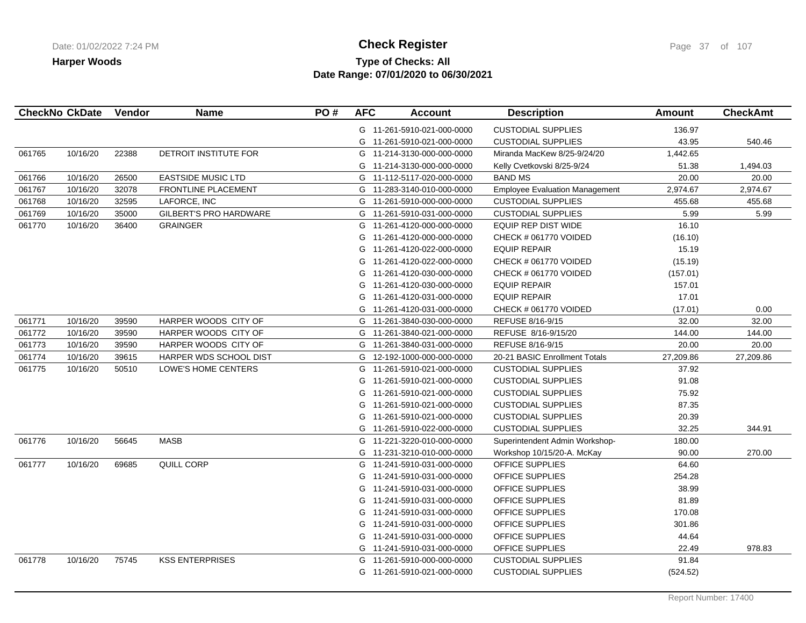# **Type of Checks: All Check Register Check Register Check Register Page 37** of 107 **Date Range: 07/01/2020 to 06/30/2021**

|        | <b>CheckNo CkDate</b> | Vendor | <b>Name</b>                   | PO# | <b>AFC</b> | <b>Account</b>             | <b>Description</b>                    | Amount    | <b>CheckAmt</b> |
|--------|-----------------------|--------|-------------------------------|-----|------------|----------------------------|---------------------------------------|-----------|-----------------|
|        |                       |        |                               |     |            | G 11-261-5910-021-000-0000 | <b>CUSTODIAL SUPPLIES</b>             | 136.97    |                 |
|        |                       |        |                               |     |            | G 11-261-5910-021-000-0000 | <b>CUSTODIAL SUPPLIES</b>             | 43.95     | 540.46          |
| 061765 | 10/16/20              | 22388  | DETROIT INSTITUTE FOR         |     |            | G 11-214-3130-000-000-0000 | Miranda MacKew 8/25-9/24/20           | 1,442.65  |                 |
|        |                       |        |                               |     |            | G 11-214-3130-000-000-0000 | Kelly Cvetkovski 8/25-9/24            | 51.38     | 1,494.03        |
| 061766 | 10/16/20              | 26500  | <b>EASTSIDE MUSIC LTD</b>     |     |            | G 11-112-5117-020-000-0000 | <b>BAND MS</b>                        | 20.00     | 20.00           |
| 061767 | 10/16/20              | 32078  | <b>FRONTLINE PLACEMENT</b>    |     | G          | 11-283-3140-010-000-0000   | <b>Employee Evaluation Management</b> | 2,974.67  | 2,974.67        |
| 061768 | 10/16/20              | 32595  | LAFORCE, INC                  |     |            | G 11-261-5910-000-000-0000 | <b>CUSTODIAL SUPPLIES</b>             | 455.68    | 455.68          |
| 061769 | 10/16/20              | 35000  | <b>GILBERT'S PRO HARDWARE</b> |     | G          | 11-261-5910-031-000-0000   | <b>CUSTODIAL SUPPLIES</b>             | 5.99      | 5.99            |
| 061770 | 10/16/20              | 36400  | <b>GRAINGER</b>               |     | G          | 11-261-4120-000-000-0000   | EQUIP REP DIST WIDE                   | 16.10     |                 |
|        |                       |        |                               |     | G          | 11-261-4120-000-000-0000   | CHECK # 061770 VOIDED                 | (16.10)   |                 |
|        |                       |        |                               |     | G          | 11-261-4120-022-000-0000   | <b>EQUIP REPAIR</b>                   | 15.19     |                 |
|        |                       |        |                               |     | G          | 11-261-4120-022-000-0000   | CHECK # 061770 VOIDED                 | (15.19)   |                 |
|        |                       |        |                               |     | G          | 11-261-4120-030-000-0000   | CHECK # 061770 VOIDED                 | (157.01)  |                 |
|        |                       |        |                               |     | G          | 11-261-4120-030-000-0000   | <b>EQUIP REPAIR</b>                   | 157.01    |                 |
|        |                       |        |                               |     | G          | 11-261-4120-031-000-0000   | <b>EQUIP REPAIR</b>                   | 17.01     |                 |
|        |                       |        |                               |     | G          | 11-261-4120-031-000-0000   | CHECK # 061770 VOIDED                 | (17.01)   | 0.00            |
| 061771 | 10/16/20              | 39590  | HARPER WOODS CITY OF          |     |            | G 11-261-3840-030-000-0000 | REFUSE 8/16-9/15                      | 32.00     | 32.00           |
| 061772 | 10/16/20              | 39590  | HARPER WOODS CITY OF          |     |            | G 11-261-3840-021-000-0000 | REFUSE 8/16-9/15/20                   | 144.00    | 144.00          |
| 061773 | 10/16/20              | 39590  | HARPER WOODS CITY OF          |     |            | G 11-261-3840-031-000-0000 | REFUSE 8/16-9/15                      | 20.00     | 20.00           |
| 061774 | 10/16/20              | 39615  | HARPER WDS SCHOOL DIST        |     | G          | 12-192-1000-000-000-0000   | 20-21 BASIC Enrollment Totals         | 27,209.86 | 27,209.86       |
| 061775 | 10/16/20              | 50510  | LOWE'S HOME CENTERS           |     | G          | 11-261-5910-021-000-0000   | <b>CUSTODIAL SUPPLIES</b>             | 37.92     |                 |
|        |                       |        |                               |     | G          | 11-261-5910-021-000-0000   | <b>CUSTODIAL SUPPLIES</b>             | 91.08     |                 |
|        |                       |        |                               |     | G          | 11-261-5910-021-000-0000   | <b>CUSTODIAL SUPPLIES</b>             | 75.92     |                 |
|        |                       |        |                               |     | G          | 11-261-5910-021-000-0000   | <b>CUSTODIAL SUPPLIES</b>             | 87.35     |                 |
|        |                       |        |                               |     |            | G 11-261-5910-021-000-0000 | <b>CUSTODIAL SUPPLIES</b>             | 20.39     |                 |
|        |                       |        |                               |     |            | G 11-261-5910-022-000-0000 | <b>CUSTODIAL SUPPLIES</b>             | 32.25     | 344.91          |
| 061776 | 10/16/20              | 56645  | <b>MASB</b>                   |     | G          | 11-221-3220-010-000-0000   | Superintendent Admin Workshop-        | 180.00    |                 |
|        |                       |        |                               |     | G          | 11-231-3210-010-000-0000   | Workshop 10/15/20-A. McKay            | 90.00     | 270.00          |
| 061777 | 10/16/20              | 69685  | QUILL CORP                    |     | G          | 11-241-5910-031-000-0000   | OFFICE SUPPLIES                       | 64.60     |                 |
|        |                       |        |                               |     | G          | 11-241-5910-031-000-0000   | OFFICE SUPPLIES                       | 254.28    |                 |
|        |                       |        |                               |     | G          | 11-241-5910-031-000-0000   | <b>OFFICE SUPPLIES</b>                | 38.99     |                 |
|        |                       |        |                               |     | G          | 11-241-5910-031-000-0000   | <b>OFFICE SUPPLIES</b>                | 81.89     |                 |
|        |                       |        |                               |     | G          | 11-241-5910-031-000-0000   | OFFICE SUPPLIES                       | 170.08    |                 |
|        |                       |        |                               |     | G          | 11-241-5910-031-000-0000   | OFFICE SUPPLIES                       | 301.86    |                 |
|        |                       |        |                               |     | G          | 11-241-5910-031-000-0000   | OFFICE SUPPLIES                       | 44.64     |                 |
|        |                       |        |                               |     |            | G 11-241-5910-031-000-0000 | OFFICE SUPPLIES                       | 22.49     | 978.83          |
| 061778 | 10/16/20              | 75745  | <b>KSS ENTERPRISES</b>        |     | G          | 11-261-5910-000-000-0000   | <b>CUSTODIAL SUPPLIES</b>             | 91.84     |                 |
|        |                       |        |                               |     |            | G 11-261-5910-021-000-0000 | <b>CUSTODIAL SUPPLIES</b>             | (524.52)  |                 |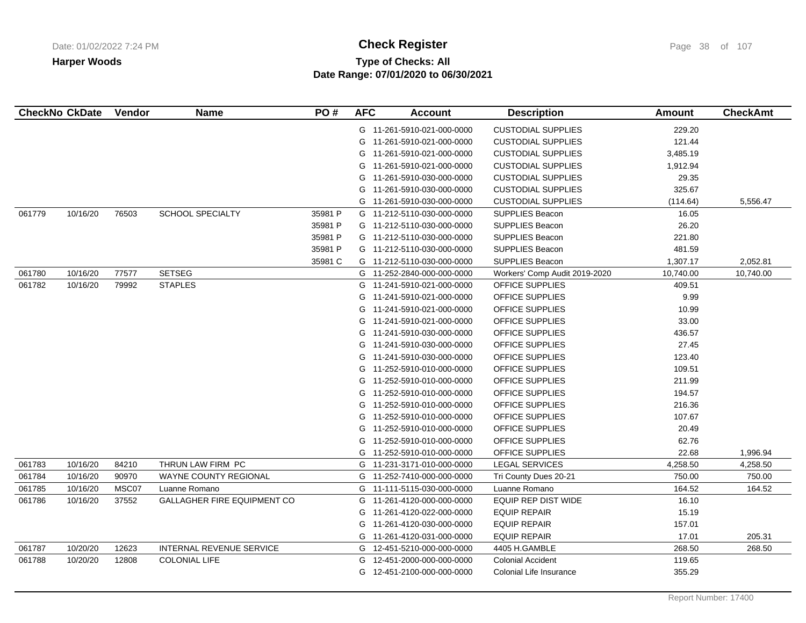# **Type of Checks: All Check Register Check Register Check Register Page 38 of 107 Date Range: 07/01/2020 to 06/30/2021**

|        | <b>CheckNo CkDate</b> | Vendor | <b>Name</b>                 | PO#     | <b>AFC</b> | <b>Account</b>             | <b>Description</b>            | Amount    | <b>CheckAmt</b> |
|--------|-----------------------|--------|-----------------------------|---------|------------|----------------------------|-------------------------------|-----------|-----------------|
|        |                       |        |                             |         |            | G 11-261-5910-021-000-0000 | <b>CUSTODIAL SUPPLIES</b>     | 229.20    |                 |
|        |                       |        |                             |         | G          | 11-261-5910-021-000-0000   | <b>CUSTODIAL SUPPLIES</b>     | 121.44    |                 |
|        |                       |        |                             |         | G          | 11-261-5910-021-000-0000   | <b>CUSTODIAL SUPPLIES</b>     | 3,485.19  |                 |
|        |                       |        |                             |         | G          | 11-261-5910-021-000-0000   | <b>CUSTODIAL SUPPLIES</b>     | 1,912.94  |                 |
|        |                       |        |                             |         | G          | 11-261-5910-030-000-0000   | <b>CUSTODIAL SUPPLIES</b>     | 29.35     |                 |
|        |                       |        |                             |         | G          | 11-261-5910-030-000-0000   | <b>CUSTODIAL SUPPLIES</b>     | 325.67    |                 |
|        |                       |        |                             |         | G          | 11-261-5910-030-000-0000   | <b>CUSTODIAL SUPPLIES</b>     | (114.64)  | 5,556.47        |
| 061779 | 10/16/20              | 76503  | SCHOOL SPECIALTY            | 35981 P |            | G 11-212-5110-030-000-0000 | <b>SUPPLIES Beacon</b>        | 16.05     |                 |
|        |                       |        |                             | 35981 P |            | G 11-212-5110-030-000-0000 | <b>SUPPLIES Beacon</b>        | 26.20     |                 |
|        |                       |        |                             | 35981 P |            | G 11-212-5110-030-000-0000 | <b>SUPPLIES Beacon</b>        | 221.80    |                 |
|        |                       |        |                             | 35981 P |            | G 11-212-5110-030-000-0000 | <b>SUPPLIES Beacon</b>        | 481.59    |                 |
|        |                       |        |                             | 35981 C | G          | 11-212-5110-030-000-0000   | SUPPLIES Beacon               | 1,307.17  | 2,052.81        |
| 061780 | 10/16/20              | 77577  | <b>SETSEG</b>               |         |            | G 11-252-2840-000-000-0000 | Workers' Comp Audit 2019-2020 | 10,740.00 | 10,740.00       |
| 061782 | 10/16/20              | 79992  | <b>STAPLES</b>              |         | G          | 11-241-5910-021-000-0000   | OFFICE SUPPLIES               | 409.51    |                 |
|        |                       |        |                             |         | G          | 11-241-5910-021-000-0000   | <b>OFFICE SUPPLIES</b>        | 9.99      |                 |
|        |                       |        |                             |         | G          | 11-241-5910-021-000-0000   | <b>OFFICE SUPPLIES</b>        | 10.99     |                 |
|        |                       |        |                             |         | G          | 11-241-5910-021-000-0000   | OFFICE SUPPLIES               | 33.00     |                 |
|        |                       |        |                             |         |            | G 11-241-5910-030-000-0000 | OFFICE SUPPLIES               | 436.57    |                 |
|        |                       |        |                             |         | G          | 11-241-5910-030-000-0000   | <b>OFFICE SUPPLIES</b>        | 27.45     |                 |
|        |                       |        |                             |         | G          | 11-241-5910-030-000-0000   | OFFICE SUPPLIES               | 123.40    |                 |
|        |                       |        |                             |         | G          | 11-252-5910-010-000-0000   | <b>OFFICE SUPPLIES</b>        | 109.51    |                 |
|        |                       |        |                             |         | G          | 11-252-5910-010-000-0000   | OFFICE SUPPLIES               | 211.99    |                 |
|        |                       |        |                             |         | G          | 11-252-5910-010-000-0000   | OFFICE SUPPLIES               | 194.57    |                 |
|        |                       |        |                             |         | G          | 11-252-5910-010-000-0000   | OFFICE SUPPLIES               | 216.36    |                 |
|        |                       |        |                             |         | G          | 11-252-5910-010-000-0000   | OFFICE SUPPLIES               | 107.67    |                 |
|        |                       |        |                             |         | G          | 11-252-5910-010-000-0000   | OFFICE SUPPLIES               | 20.49     |                 |
|        |                       |        |                             |         | G          | 11-252-5910-010-000-0000   | OFFICE SUPPLIES               | 62.76     |                 |
|        |                       |        |                             |         | G          | 11-252-5910-010-000-0000   | <b>OFFICE SUPPLIES</b>        | 22.68     | 1,996.94        |
| 061783 | 10/16/20              | 84210  | THRUN LAW FIRM PC           |         | G          | 11-231-3171-010-000-0000   | <b>LEGAL SERVICES</b>         | 4,258.50  | 4,258.50        |
| 061784 | 10/16/20              | 90970  | WAYNE COUNTY REGIONAL       |         | G          | 11-252-7410-000-000-0000   | Tri County Dues 20-21         | 750.00    | 750.00          |
| 061785 | 10/16/20              | MSC07  | Luanne Romano               |         | G          | 11-111-5115-030-000-0000   | Luanne Romano                 | 164.52    | 164.52          |
| 061786 | 10/16/20              | 37552  | GALLAGHER FIRE EQUIPMENT CO |         | G          | 11-261-4120-000-000-0000   | <b>EQUIP REP DIST WIDE</b>    | 16.10     |                 |
|        |                       |        |                             |         | G          | 11-261-4120-022-000-0000   | <b>EQUIP REPAIR</b>           | 15.19     |                 |
|        |                       |        |                             |         | G          | 11-261-4120-030-000-0000   | <b>EQUIP REPAIR</b>           | 157.01    |                 |
|        |                       |        |                             |         | G          | 11-261-4120-031-000-0000   | <b>EQUIP REPAIR</b>           | 17.01     | 205.31          |
| 061787 | 10/20/20              | 12623  | INTERNAL REVENUE SERVICE    |         | G          | 12-451-5210-000-000-0000   | 4405 H.GAMBLE                 | 268.50    | 268.50          |
| 061788 | 10/20/20              | 12808  | <b>COLONIAL LIFE</b>        |         | G          | 12-451-2000-000-000-0000   | <b>Colonial Accident</b>      | 119.65    |                 |
|        |                       |        |                             |         |            | G 12-451-2100-000-000-0000 | Colonial Life Insurance       | 355.29    |                 |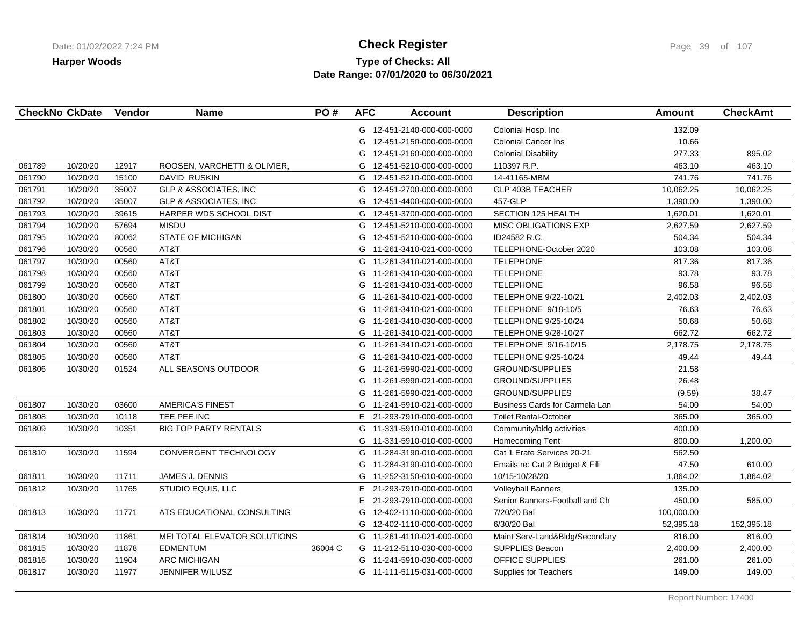# **Type of Checks: All Check Register Check Register Check Register Page 39 of 107 Date Range: 07/01/2020 to 06/30/2021**

|        | <b>CheckNo CkDate</b> | Vendor | <b>Name</b>                      | PO#     | <b>AFC</b> | <b>Account</b>             | <b>Description</b>             | <b>Amount</b> | <b>CheckAmt</b> |
|--------|-----------------------|--------|----------------------------------|---------|------------|----------------------------|--------------------------------|---------------|-----------------|
|        |                       |        |                                  |         |            | G 12-451-2140-000-000-0000 | Colonial Hosp. Inc             | 132.09        |                 |
|        |                       |        |                                  |         | G          | 12-451-2150-000-000-0000   | <b>Colonial Cancer Ins</b>     | 10.66         |                 |
|        |                       |        |                                  |         | G          | 12-451-2160-000-000-0000   | <b>Colonial Disability</b>     | 277.33        | 895.02          |
| 061789 | 10/20/20              | 12917  | ROOSEN, VARCHETTI & OLIVIER,     |         |            | G 12-451-5210-000-000-0000 | 110397 R.P.                    | 463.10        | 463.10          |
| 061790 | 10/20/20              | 15100  | <b>DAVID RUSKIN</b>              |         | G          | 12-451-5210-000-000-0000   | 14-41165-MBM                   | 741.76        | 741.76          |
| 061791 | 10/20/20              | 35007  | <b>GLP &amp; ASSOCIATES, INC</b> |         | G          | 12-451-2700-000-000-0000   | GLP 403B TEACHER               | 10,062.25     | 10,062.25       |
| 061792 | 10/20/20              | 35007  | <b>GLP &amp; ASSOCIATES, INC</b> |         |            | G 12-451-4400-000-000-0000 | 457-GLP                        | 1,390.00      | 1,390.00        |
| 061793 | 10/20/20              | 39615  | HARPER WDS SCHOOL DIST           |         | G          | 12-451-3700-000-000-0000   | SECTION 125 HEALTH             | 1,620.01      | 1,620.01        |
| 061794 | 10/20/20              | 57694  | <b>MISDU</b>                     |         | G          | 12-451-5210-000-000-0000   | <b>MISC OBLIGATIONS EXP</b>    | 2,627.59      | 2,627.59        |
| 061795 | 10/20/20              | 80062  | <b>STATE OF MICHIGAN</b>         |         | G          | 12-451-5210-000-000-0000   | ID24582 R.C.                   | 504.34        | 504.34          |
| 061796 | 10/30/20              | 00560  | AT&T                             |         |            | G 11-261-3410-021-000-0000 | TELEPHONE-October 2020         | 103.08        | 103.08          |
| 061797 | 10/30/20              | 00560  | AT&T                             |         | G          | 11-261-3410-021-000-0000   | <b>TELEPHONE</b>               | 817.36        | 817.36          |
| 061798 | 10/30/20              | 00560  | AT&T                             |         | G          | 11-261-3410-030-000-0000   | <b>TELEPHONE</b>               | 93.78         | 93.78           |
| 061799 | 10/30/20              | 00560  | AT&T                             |         | G          | 11-261-3410-031-000-0000   | <b>TELEPHONE</b>               | 96.58         | 96.58           |
| 061800 | 10/30/20              | 00560  | AT&T                             |         |            | G 11-261-3410-021-000-0000 | TELEPHONE 9/22-10/21           | 2,402.03      | 2,402.03        |
| 061801 | 10/30/20              | 00560  | AT&T                             |         | G          | 11-261-3410-021-000-0000   | TELEPHONE 9/18-10/5            | 76.63         | 76.63           |
| 061802 | 10/30/20              | 00560  | AT&T                             |         |            | G 11-261-3410-030-000-0000 | <b>TELEPHONE 9/25-10/24</b>    | 50.68         | 50.68           |
| 061803 | 10/30/20              | 00560  | AT&T                             |         |            | G 11-261-3410-021-000-0000 | TELEPHONE 9/28-10/27           | 662.72        | 662.72          |
| 061804 | 10/30/20              | 00560  | AT&T                             |         |            | G 11-261-3410-021-000-0000 | TELEPHONE 9/16-10/15           | 2,178.75      | 2,178.75        |
| 061805 | 10/30/20              | 00560  | AT&T                             |         |            | G 11-261-3410-021-000-0000 | TELEPHONE 9/25-10/24           | 49.44         | 49.44           |
| 061806 | 10/30/20              | 01524  | ALL SEASONS OUTDOOR              |         | G          | 11-261-5990-021-000-0000   | <b>GROUND/SUPPLIES</b>         | 21.58         |                 |
|        |                       |        |                                  |         | G          | 11-261-5990-021-000-0000   | <b>GROUND/SUPPLIES</b>         | 26.48         |                 |
|        |                       |        |                                  |         |            | G 11-261-5990-021-000-0000 | <b>GROUND/SUPPLIES</b>         | (9.59)        | 38.47           |
| 061807 | 10/30/20              | 03600  | <b>AMERICA'S FINEST</b>          |         | G          | 11-241-5910-021-000-0000   | Business Cards for Carmela Lan | 54.00         | 54.00           |
| 061808 | 10/30/20              | 10118  | TEE PEE INC                      |         | E.         | 21-293-7910-000-000-0000   | <b>Toilet Rental-October</b>   | 365.00        | 365.00          |
| 061809 | 10/30/20              | 10351  | <b>BIG TOP PARTY RENTALS</b>     |         | G          | 11-331-5910-010-000-0000   | Community/bldg activities      | 400.00        |                 |
|        |                       |        |                                  |         | G          | 11-331-5910-010-000-0000   | Homecoming Tent                | 800.00        | 1,200.00        |
| 061810 | 10/30/20              | 11594  | CONVERGENT TECHNOLOGY            |         | G          | 11-284-3190-010-000-0000   | Cat 1 Erate Services 20-21     | 562.50        |                 |
|        |                       |        |                                  |         | G          | 11-284-3190-010-000-0000   | Emails re: Cat 2 Budget & Fili | 47.50         | 610.00          |
| 061811 | 10/30/20              | 11711  | JAMES J. DENNIS                  |         |            | G 11-252-3150-010-000-0000 | 10/15-10/28/20                 | 1,864.02      | 1,864.02        |
| 061812 | 10/30/20              | 11765  | STUDIO EQUIS, LLC                |         | E.         | 21-293-7910-000-000-0000   | <b>Volleyball Banners</b>      | 135.00        |                 |
|        |                       |        |                                  |         | E.         | 21-293-7910-000-000-0000   | Senior Banners-Football and Ch | 450.00        | 585.00          |
| 061813 | 10/30/20              | 11771  | ATS EDUCATIONAL CONSULTING       |         | G          | 12-402-1110-000-000-0000   | 7/20/20 Bal                    | 100,000.00    |                 |
|        |                       |        |                                  |         | G          | 12-402-1110-000-000-0000   | 6/30/20 Bal                    | 52,395.18     | 152,395.18      |
| 061814 | 10/30/20              | 11861  | MEI TOTAL ELEVATOR SOLUTIONS     |         | G          | 11-261-4110-021-000-0000   | Maint Serv-Land&Bldg/Secondary | 816.00        | 816.00          |
| 061815 | 10/30/20              | 11878  | <b>EDMENTUM</b>                  | 36004 C |            | G 11-212-5110-030-000-0000 | <b>SUPPLIES Beacon</b>         | 2,400.00      | 2,400.00        |
| 061816 | 10/30/20              | 11904  | <b>ARC MICHIGAN</b>              |         |            | G 11-241-5910-030-000-0000 | <b>OFFICE SUPPLIES</b>         | 261.00        | 261.00          |
| 061817 | 10/30/20              | 11977  | <b>JENNIFER WILUSZ</b>           |         |            | G 11-111-5115-031-000-0000 | Supplies for Teachers          | 149.00        | 149.00          |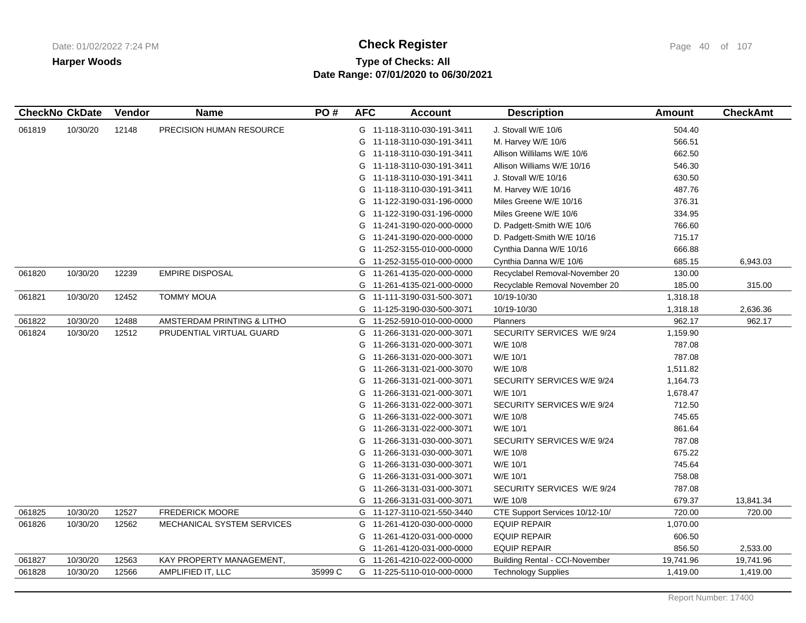# **Type of Checks: All Check Register Check Register Check Register Page 40 of 107 Date Range: 07/01/2020 to 06/30/2021**

| <b>CheckNo CkDate</b> |          | Vendor | <b>Name</b>                | PO#     | <b>AFC</b> | <b>Account</b>             | <b>Description</b>                    | <b>Amount</b> | <b>CheckAmt</b> |
|-----------------------|----------|--------|----------------------------|---------|------------|----------------------------|---------------------------------------|---------------|-----------------|
| 061819                | 10/30/20 | 12148  | PRECISION HUMAN RESOURCE   |         |            | G 11-118-3110-030-191-3411 | J. Stovall W/E 10/6                   | 504.40        |                 |
|                       |          |        |                            |         | G          | 11-118-3110-030-191-3411   | M. Harvey W/E 10/6                    | 566.51        |                 |
|                       |          |        |                            |         | G          | 11-118-3110-030-191-3411   | Allison Willilams W/E 10/6            | 662.50        |                 |
|                       |          |        |                            |         | G          | 11-118-3110-030-191-3411   | Allison Williams W/E 10/16            | 546.30        |                 |
|                       |          |        |                            |         | G          | 11-118-3110-030-191-3411   | J. Stovall W/E 10/16                  | 630.50        |                 |
|                       |          |        |                            |         | G          | 11-118-3110-030-191-3411   | M. Harvey W/E 10/16                   | 487.76        |                 |
|                       |          |        |                            |         | G          | 11-122-3190-031-196-0000   | Miles Greene W/E 10/16                | 376.31        |                 |
|                       |          |        |                            |         | G          | 11-122-3190-031-196-0000   | Miles Greene W/E 10/6                 | 334.95        |                 |
|                       |          |        |                            |         | G          | 11-241-3190-020-000-0000   | D. Padgett-Smith W/E 10/6             | 766.60        |                 |
|                       |          |        |                            |         | G          | 11-241-3190-020-000-0000   | D. Padgett-Smith W/E 10/16            | 715.17        |                 |
|                       |          |        |                            |         | G          | 11-252-3155-010-000-0000   | Cynthia Danna W/E 10/16               | 666.88        |                 |
|                       |          |        |                            |         | G          | 11-252-3155-010-000-0000   | Cynthia Danna W/E 10/6                | 685.15        | 6,943.03        |
| 061820                | 10/30/20 | 12239  | <b>EMPIRE DISPOSAL</b>     |         | G          | 11-261-4135-020-000-0000   | Recyclabel Removal-November 20        | 130.00        |                 |
|                       |          |        |                            |         | G          | 11-261-4135-021-000-0000   | Recyclable Removal November 20        | 185.00        | 315.00          |
| 061821                | 10/30/20 | 12452  | <b>TOMMY MOUA</b>          |         | G          | 11-111-3190-031-500-3071   | 10/19-10/30                           | 1,318.18      |                 |
|                       |          |        |                            |         |            | G 11-125-3190-030-500-3071 | 10/19-10/30                           | 1,318.18      | 2,636.36        |
| 061822                | 10/30/20 | 12488  | AMSTERDAM PRINTING & LITHO |         | G          | 11-252-5910-010-000-0000   | <b>Planners</b>                       | 962.17        | 962.17          |
| 061824                | 10/30/20 | 12512  | PRUDENTIAL VIRTUAL GUARD   |         | G          | 11-266-3131-020-000-3071   | SECURITY SERVICES W/E 9/24            | 1,159.90      |                 |
|                       |          |        |                            |         | G          | 11-266-3131-020-000-3071   | W/E 10/8                              | 787.08        |                 |
|                       |          |        |                            |         | G          | 11-266-3131-020-000-3071   | W/E 10/1                              | 787.08        |                 |
|                       |          |        |                            |         | G          | 11-266-3131-021-000-3070   | W/E 10/8                              | 1,511.82      |                 |
|                       |          |        |                            |         | G          | 11-266-3131-021-000-3071   | SECURITY SERVICES W/E 9/24            | 1,164.73      |                 |
|                       |          |        |                            |         | G          | 11-266-3131-021-000-3071   | W/E 10/1                              | 1,678.47      |                 |
|                       |          |        |                            |         | G          | 11-266-3131-022-000-3071   | SECURITY SERVICES W/E 9/24            | 712.50        |                 |
|                       |          |        |                            |         | G          | 11-266-3131-022-000-3071   | W/E 10/8                              | 745.65        |                 |
|                       |          |        |                            |         | G          | 11-266-3131-022-000-3071   | W/E 10/1                              | 861.64        |                 |
|                       |          |        |                            |         | G          | 11-266-3131-030-000-3071   | SECURITY SERVICES W/E 9/24            | 787.08        |                 |
|                       |          |        |                            |         | G          | 11-266-3131-030-000-3071   | W/E 10/8                              | 675.22        |                 |
|                       |          |        |                            |         | G          | 11-266-3131-030-000-3071   | W/E 10/1                              | 745.64        |                 |
|                       |          |        |                            |         | G          | 11-266-3131-031-000-3071   | W/E 10/1                              | 758.08        |                 |
|                       |          |        |                            |         | G          | 11-266-3131-031-000-3071   | SECURITY SERVICES W/E 9/24            | 787.08        |                 |
|                       |          |        |                            |         | G          | 11-266-3131-031-000-3071   | W/E 10/8                              | 679.37        | 13,841.34       |
| 061825                | 10/30/20 | 12527  | <b>FREDERICK MOORE</b>     |         |            | G 11-127-3110-021-550-3440 | CTE Support Services 10/12-10/        | 720.00        | 720.00          |
| 061826                | 10/30/20 | 12562  | MECHANICAL SYSTEM SERVICES |         | G          | 11-261-4120-030-000-0000   | <b>EQUIP REPAIR</b>                   | 1,070.00      |                 |
|                       |          |        |                            |         | G          | 11-261-4120-031-000-0000   | <b>EQUIP REPAIR</b>                   | 606.50        |                 |
|                       |          |        |                            |         | G          | 11-261-4120-031-000-0000   | <b>EQUIP REPAIR</b>                   | 856.50        | 2,533.00        |
| 061827                | 10/30/20 | 12563  | KAY PROPERTY MANAGEMENT,   |         | G          | 11-261-4210-022-000-0000   | <b>Building Rental - CCI-November</b> | 19,741.96     | 19,741.96       |
| 061828                | 10/30/20 | 12566  | AMPLIFIED IT, LLC          | 35999 C |            | G 11-225-5110-010-000-0000 | <b>Technology Supplies</b>            | 1,419.00      | 1,419.00        |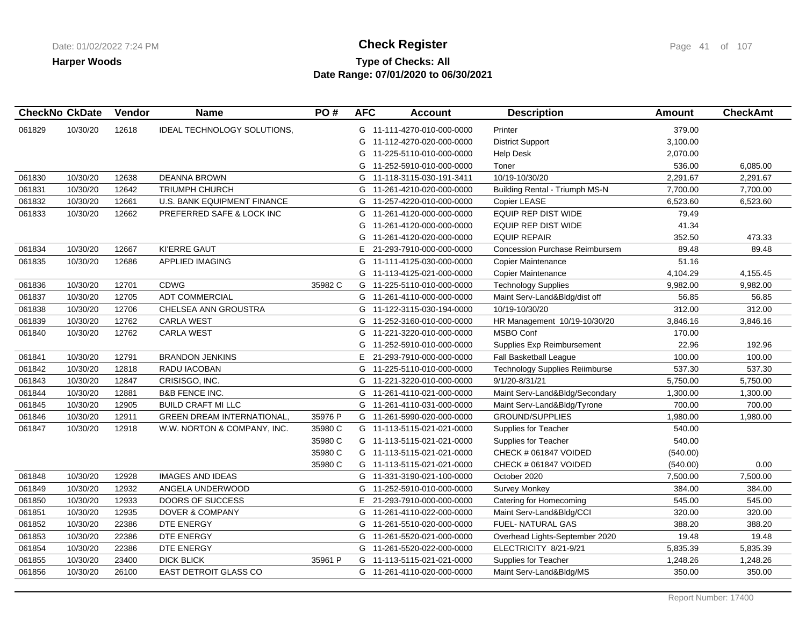# **Type of Checks: All Check Register Check Register Check Register Page 41 of 107 Date Range: 07/01/2020 to 06/30/2021**

| <b>CheckNo CkDate</b> |          | Vendor | <b>Name</b>                       | PO#     | <b>AFC</b> | <b>Account</b>             | <b>Description</b>                    | <b>Amount</b> | <b>CheckAmt</b> |
|-----------------------|----------|--------|-----------------------------------|---------|------------|----------------------------|---------------------------------------|---------------|-----------------|
| 061829                | 10/30/20 | 12618  | IDEAL TECHNOLOGY SOLUTIONS,       |         |            | G 11-111-4270-010-000-0000 | Printer                               | 379.00        |                 |
|                       |          |        |                                   |         | G          | 11-112-4270-020-000-0000   | <b>District Support</b>               | 3,100.00      |                 |
|                       |          |        |                                   |         | G          | 11-225-5110-010-000-0000   | <b>Help Desk</b>                      | 2,070.00      |                 |
|                       |          |        |                                   |         | G          | 11-252-5910-010-000-0000   | Toner                                 | 536.00        | 6,085.00        |
| 061830                | 10/30/20 | 12638  | <b>DEANNA BROWN</b>               |         |            | G 11-118-3115-030-191-3411 | 10/19-10/30/20                        | 2,291.67      | 2,291.67        |
| 061831                | 10/30/20 | 12642  | <b>TRIUMPH CHURCH</b>             |         |            | G 11-261-4210-020-000-0000 | <b>Building Rental - Triumph MS-N</b> | 7,700.00      | 7,700.00        |
| 061832                | 10/30/20 | 12661  | U.S. BANK EQUIPMENT FINANCE       |         |            | G 11-257-4220-010-000-0000 | Copier LEASE                          | 6,523.60      | 6,523.60        |
| 061833                | 10/30/20 | 12662  | PREFERRED SAFE & LOCK INC         |         |            | G 11-261-4120-000-000-0000 | <b>EQUIP REP DIST WIDE</b>            | 79.49         |                 |
|                       |          |        |                                   |         | G          | 11-261-4120-000-000-0000   | <b>EQUIP REP DIST WIDE</b>            | 41.34         |                 |
|                       |          |        |                                   |         | G          | 11-261-4120-020-000-0000   | <b>EQUIP REPAIR</b>                   | 352.50        | 473.33          |
| 061834                | 10/30/20 | 12667  | KI'ERRE GAUT                      |         | E.         | 21-293-7910-000-000-0000   | Concession Purchase Reimbursem        | 89.48         | 89.48           |
| 061835                | 10/30/20 | 12686  | <b>APPLIED IMAGING</b>            |         | G          | 11-111-4125-030-000-0000   | Copier Maintenance                    | 51.16         |                 |
|                       |          |        |                                   |         | G          | 11-113-4125-021-000-0000   | Copier Maintenance                    | 4,104.29      | 4,155.45        |
| 061836                | 10/30/20 | 12701  | CDWG                              | 35982 C | G          | 11-225-5110-010-000-0000   | <b>Technology Supplies</b>            | 9,982.00      | 9,982.00        |
| 061837                | 10/30/20 | 12705  | <b>ADT COMMERCIAL</b>             |         |            | G 11-261-4110-000-000-0000 | Maint Serv-Land&Bldg/dist off         | 56.85         | 56.85           |
| 061838                | 10/30/20 | 12706  | CHELSEA ANN GROUSTRA              |         |            | G 11-122-3115-030-194-0000 | 10/19-10/30/20                        | 312.00        | 312.00          |
| 061839                | 10/30/20 | 12762  | <b>CARLA WEST</b>                 |         |            | G 11-252-3160-010-000-0000 | HR Management 10/19-10/30/20          | 3,846.16      | 3,846.16        |
| 061840                | 10/30/20 | 12762  | <b>CARLA WEST</b>                 |         | G          | 11-221-3220-010-000-0000   | <b>MSBO Conf</b>                      | 170.00        |                 |
|                       |          |        |                                   |         | G          | 11-252-5910-010-000-0000   | Supplies Exp Reimbursement            | 22.96         | 192.96          |
| 061841                | 10/30/20 | 12791  | <b>BRANDON JENKINS</b>            |         | E.         | 21-293-7910-000-000-0000   | <b>Fall Basketball League</b>         | 100.00        | 100.00          |
| 061842                | 10/30/20 | 12818  | RADU IACOBAN                      |         |            | G 11-225-5110-010-000-0000 | <b>Technology Supplies Reiimburse</b> | 537.30        | 537.30          |
| 061843                | 10/30/20 | 12847  | CRISISGO, INC.                    |         |            | G 11-221-3220-010-000-0000 | 9/1/20-8/31/21                        | 5,750.00      | 5,750.00        |
| 061844                | 10/30/20 | 12881  | <b>B&amp;B FENCE INC.</b>         |         |            | G 11-261-4110-021-000-0000 | Maint Serv-Land&Bldg/Secondary        | 1,300.00      | 1,300.00        |
| 061845                | 10/30/20 | 12905  | <b>BUILD CRAFT MI LLC</b>         |         |            | G 11-261-4110-031-000-0000 | Maint Serv-Land&Bldg/Tyrone           | 700.00        | 700.00          |
| 061846                | 10/30/20 | 12911  | <b>GREEN DREAM INTERNATIONAL,</b> | 35976 P |            | G 11-261-5990-020-000-0000 | <b>GROUND/SUPPLIES</b>                | 1,980.00      | 1,980.00        |
| 061847                | 10/30/20 | 12918  | W.W. NORTON & COMPANY, INC.       | 35980 C |            | G 11-113-5115-021-021-0000 | Supplies for Teacher                  | 540.00        |                 |
|                       |          |        |                                   | 35980 C |            | G 11-113-5115-021-021-0000 | Supplies for Teacher                  | 540.00        |                 |
|                       |          |        |                                   | 35980 C |            | G 11-113-5115-021-021-0000 | CHECK # 061847 VOIDED                 | (540.00)      |                 |
|                       |          |        |                                   | 35980 C |            | G 11-113-5115-021-021-0000 | CHECK # 061847 VOIDED                 | (540.00)      | 0.00            |
| 061848                | 10/30/20 | 12928  | <b>IMAGES AND IDEAS</b>           |         |            | G 11-331-3190-021-100-0000 | October 2020                          | 7,500.00      | 7,500.00        |
| 061849                | 10/30/20 | 12932  | ANGELA UNDERWOOD                  |         |            | G 11-252-5910-010-000-0000 | <b>Survey Monkey</b>                  | 384.00        | 384.00          |
| 061850                | 10/30/20 | 12933  | DOORS OF SUCCESS                  |         | E.         | 21-293-7910-000-000-0000   | Catering for Homecoming               | 545.00        | 545.00          |
| 061851                | 10/30/20 | 12935  | <b>DOVER &amp; COMPANY</b>        |         | G          | 11-261-4110-022-000-0000   | Maint Serv-Land&Bldg/CCI              | 320.00        | 320.00          |
| 061852                | 10/30/20 | 22386  | DTE ENERGY                        |         |            | G 11-261-5510-020-000-0000 | FUEL- NATURAL GAS                     | 388.20        | 388.20          |
| 061853                | 10/30/20 | 22386  | DTE ENERGY                        |         | G          | 11-261-5520-021-000-0000   | Overhead Lights-September 2020        | 19.48         | 19.48           |
| 061854                | 10/30/20 | 22386  | DTE ENERGY                        |         | G          | 11-261-5520-022-000-0000   | ELECTRICITY 8/21-9/21                 | 5,835.39      | 5,835.39        |
| 061855                | 10/30/20 | 23400  | <b>DICK BLICK</b>                 | 35961 P |            | G 11-113-5115-021-021-0000 | Supplies for Teacher                  | 1,248.26      | 1,248.26        |
| 061856                | 10/30/20 | 26100  | EAST DETROIT GLASS CO             |         |            | G 11-261-4110-020-000-0000 | Maint Serv-Land&Bldg/MS               | 350.00        | 350.00          |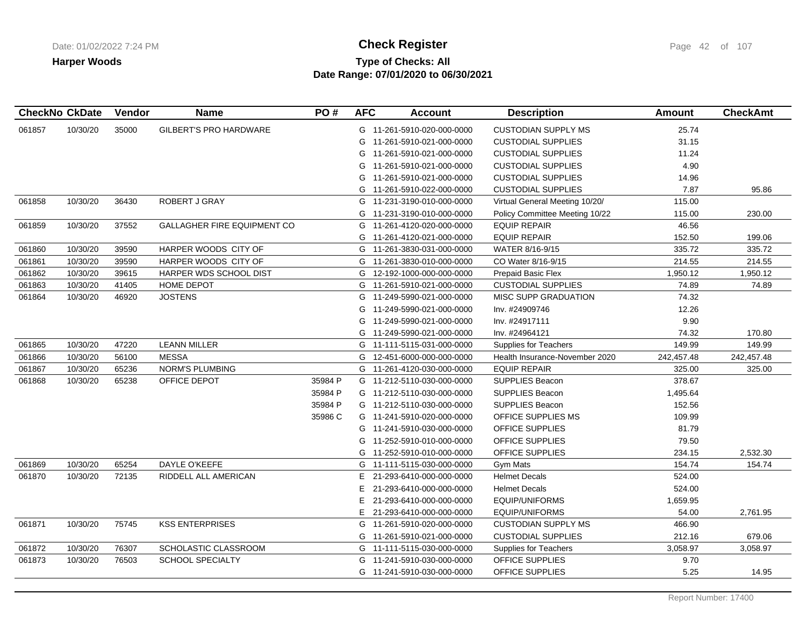# **Type of Checks: All Check Register Check Register Check Register Page 42 of 107 Date Range: 07/01/2020 to 06/30/2021**

| <b>CheckNo CkDate</b> |          | Vendor | <b>Name</b>                        | PO#     | <b>AFC</b> | <b>Account</b>             | <b>Description</b>             | <b>Amount</b> | <b>CheckAmt</b> |
|-----------------------|----------|--------|------------------------------------|---------|------------|----------------------------|--------------------------------|---------------|-----------------|
| 061857                | 10/30/20 | 35000  | <b>GILBERT'S PRO HARDWARE</b>      |         |            | G 11-261-5910-020-000-0000 | <b>CUSTODIAN SUPPLY MS</b>     | 25.74         |                 |
|                       |          |        |                                    |         |            | G 11-261-5910-021-000-0000 | <b>CUSTODIAL SUPPLIES</b>      | 31.15         |                 |
|                       |          |        |                                    |         |            | G 11-261-5910-021-000-0000 | <b>CUSTODIAL SUPPLIES</b>      | 11.24         |                 |
|                       |          |        |                                    |         | G          | 11-261-5910-021-000-0000   | <b>CUSTODIAL SUPPLIES</b>      | 4.90          |                 |
|                       |          |        |                                    |         | G          | 11-261-5910-021-000-0000   | <b>CUSTODIAL SUPPLIES</b>      | 14.96         |                 |
|                       |          |        |                                    |         |            | G 11-261-5910-022-000-0000 | <b>CUSTODIAL SUPPLIES</b>      | 7.87          | 95.86           |
| 061858                | 10/30/20 | 36430  | ROBERT J GRAY                      |         |            | G 11-231-3190-010-000-0000 | Virtual General Meeting 10/20/ | 115.00        |                 |
|                       |          |        |                                    |         | G          | 11-231-3190-010-000-0000   | Policy Committee Meeting 10/22 | 115.00        | 230.00          |
| 061859                | 10/30/20 | 37552  | <b>GALLAGHER FIRE EQUIPMENT CO</b> |         |            | G 11-261-4120-020-000-0000 | <b>EQUIP REPAIR</b>            | 46.56         |                 |
|                       |          |        |                                    |         |            | G 11-261-4120-021-000-0000 | <b>EQUIP REPAIR</b>            | 152.50        | 199.06          |
| 061860                | 10/30/20 | 39590  | HARPER WOODS CITY OF               |         |            | G 11-261-3830-031-000-0000 | WATER 8/16-9/15                | 335.72        | 335.72          |
| 061861                | 10/30/20 | 39590  | HARPER WOODS CITY OF               |         | G          | 11-261-3830-010-000-0000   | CO Water 8/16-9/15             | 214.55        | 214.55          |
| 061862                | 10/30/20 | 39615  | HARPER WDS SCHOOL DIST             |         | G          | 12-192-1000-000-000-0000   | Prepaid Basic Flex             | 1,950.12      | 1,950.12        |
| 061863                | 10/30/20 | 41405  | HOME DEPOT                         |         |            | G 11-261-5910-021-000-0000 | <b>CUSTODIAL SUPPLIES</b>      | 74.89         | 74.89           |
| 061864                | 10/30/20 | 46920  | <b>JOSTENS</b>                     |         |            | G 11-249-5990-021-000-0000 | <b>MISC SUPP GRADUATION</b>    | 74.32         |                 |
|                       |          |        |                                    |         | G          | 11-249-5990-021-000-0000   | Inv. #24909746                 | 12.26         |                 |
|                       |          |        |                                    |         |            | G 11-249-5990-021-000-0000 | Inv. #24917111                 | 9.90          |                 |
|                       |          |        |                                    |         |            | G 11-249-5990-021-000-0000 | Inv. #24964121                 | 74.32         | 170.80          |
| 061865                | 10/30/20 | 47220  | <b>LEANN MILLER</b>                |         |            | G 11-111-5115-031-000-0000 | <b>Supplies for Teachers</b>   | 149.99        | 149.99          |
| 061866                | 10/30/20 | 56100  | <b>MESSA</b>                       |         | G          | 12-451-6000-000-000-0000   | Health Insurance-November 2020 | 242,457.48    | 242,457.48      |
| 061867                | 10/30/20 | 65236  | NORM'S PLUMBING                    |         |            | G 11-261-4120-030-000-0000 | <b>EQUIP REPAIR</b>            | 325.00        | 325.00          |
| 061868                | 10/30/20 | 65238  | OFFICE DEPOT                       | 35984 P |            | G 11-212-5110-030-000-0000 | <b>SUPPLIES Beacon</b>         | 378.67        |                 |
|                       |          |        |                                    | 35984 P |            | G 11-212-5110-030-000-0000 | SUPPLIES Beacon                | 1,495.64      |                 |
|                       |          |        |                                    | 35984 P |            | G 11-212-5110-030-000-0000 | <b>SUPPLIES Beacon</b>         | 152.56        |                 |
|                       |          |        |                                    | 35986 C |            | G 11-241-5910-020-000-0000 | OFFICE SUPPLIES MS             | 109.99        |                 |
|                       |          |        |                                    |         |            | G 11-241-5910-030-000-0000 | <b>OFFICE SUPPLIES</b>         | 81.79         |                 |
|                       |          |        |                                    |         | G          | 11-252-5910-010-000-0000   | OFFICE SUPPLIES                | 79.50         |                 |
|                       |          |        |                                    |         |            | G 11-252-5910-010-000-0000 | OFFICE SUPPLIES                | 234.15        | 2,532.30        |
| 061869                | 10/30/20 | 65254  | <b>DAYLE O'KEEFE</b>               |         |            | G 11-111-5115-030-000-0000 | Gym Mats                       | 154.74        | 154.74          |
| 061870                | 10/30/20 | 72135  | RIDDELL ALL AMERICAN               |         | Е.         | 21-293-6410-000-000-0000   | <b>Helmet Decals</b>           | 524.00        |                 |
|                       |          |        |                                    |         | E.         | 21-293-6410-000-000-0000   | <b>Helmet Decals</b>           | 524.00        |                 |
|                       |          |        |                                    |         | E.         | 21-293-6410-000-000-0000   | EQUIP/UNIFORMS                 | 1,659.95      |                 |
|                       |          |        |                                    |         | E.         | 21-293-6410-000-000-0000   | <b>EQUIP/UNIFORMS</b>          | 54.00         | 2,761.95        |
| 061871                | 10/30/20 | 75745  | <b>KSS ENTERPRISES</b>             |         |            | G 11-261-5910-020-000-0000 | <b>CUSTODIAN SUPPLY MS</b>     | 466.90        |                 |
|                       |          |        |                                    |         | G          | 11-261-5910-021-000-0000   | <b>CUSTODIAL SUPPLIES</b>      | 212.16        | 679.06          |
| 061872                | 10/30/20 | 76307  | SCHOLASTIC CLASSROOM               |         |            | G 11-111-5115-030-000-0000 | <b>Supplies for Teachers</b>   | 3,058.97      | 3,058.97        |
| 061873                | 10/30/20 | 76503  | <b>SCHOOL SPECIALTY</b>            |         |            | G 11-241-5910-030-000-0000 | OFFICE SUPPLIES                | 9.70          |                 |
|                       |          |        |                                    |         |            | G 11-241-5910-030-000-0000 | OFFICE SUPPLIES                | 5.25          | 14.95           |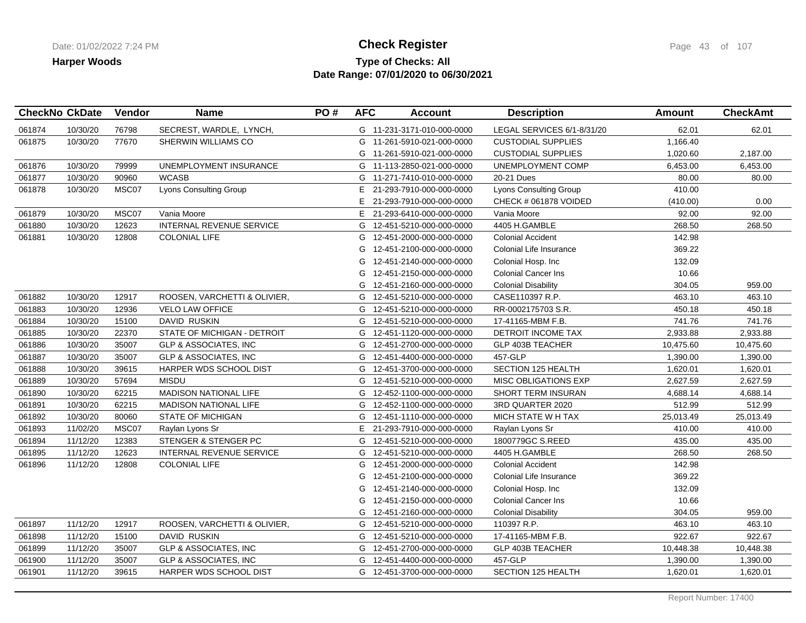## **Type of Checks: All Check Register Check Register Check Register Page 43 of 107 Date Range: 07/01/2020 to 06/30/2021**

|        | <b>CheckNo CkDate</b> | Vendor | <b>Name</b>                      | PO# | <b>AFC</b> | <b>Account</b>             | <b>Description</b>            | Amount    | <b>CheckAmt</b> |
|--------|-----------------------|--------|----------------------------------|-----|------------|----------------------------|-------------------------------|-----------|-----------------|
| 061874 | 10/30/20              | 76798  | SECREST, WARDLE, LYNCH,          |     |            | G 11-231-3171-010-000-0000 | LEGAL SERVICES 6/1-8/31/20    | 62.01     | 62.01           |
| 061875 | 10/30/20              | 77670  | SHERWIN WILLIAMS CO              |     |            | G 11-261-5910-021-000-0000 | <b>CUSTODIAL SUPPLIES</b>     | 1,166.40  |                 |
|        |                       |        |                                  |     |            | G 11-261-5910-021-000-0000 | <b>CUSTODIAL SUPPLIES</b>     | 1,020.60  | 2,187.00        |
| 061876 | 10/30/20              | 79999  | UNEMPLOYMENT INSURANCE           |     |            | G 11-113-2850-021-000-0000 | UNEMPLOYMENT COMP             | 6,453.00  | 6,453.00        |
| 061877 | 10/30/20              | 90960  | <b>WCASB</b>                     |     |            | G 11-271-7410-010-000-0000 | 20-21 Dues                    | 80.00     | 80.00           |
| 061878 | 10/30/20              | MSC07  | <b>Lyons Consulting Group</b>    |     | E.         | 21-293-7910-000-000-0000   | <b>Lyons Consulting Group</b> | 410.00    |                 |
|        |                       |        |                                  |     |            | E 21-293-7910-000-000-0000 | CHECK # 061878 VOIDED         | (410.00)  | 0.00            |
| 061879 | 10/30/20              | MSC07  | Vania Moore                      |     |            | E 21-293-6410-000-000-0000 | Vania Moore                   | 92.00     | 92.00           |
| 061880 | 10/30/20              | 12623  | INTERNAL REVENUE SERVICE         |     |            | G 12-451-5210-000-000-0000 | 4405 H.GAMBLE                 | 268.50    | 268.50          |
| 061881 | 10/30/20              | 12808  | <b>COLONIAL LIFE</b>             |     | G          | 12-451-2000-000-000-0000   | <b>Colonial Accident</b>      | 142.98    |                 |
|        |                       |        |                                  |     | G          | 12-451-2100-000-000-0000   | Colonial Life Insurance       | 369.22    |                 |
|        |                       |        |                                  |     | G          | 12-451-2140-000-000-0000   | Colonial Hosp. Inc            | 132.09    |                 |
|        |                       |        |                                  |     | G          | 12-451-2150-000-000-0000   | <b>Colonial Cancer Ins</b>    | 10.66     |                 |
|        |                       |        |                                  |     | G          | 12-451-2160-000-000-0000   | <b>Colonial Disability</b>    | 304.05    | 959.00          |
| 061882 | 10/30/20              | 12917  | ROOSEN, VARCHETTI & OLIVIER,     |     |            | G 12-451-5210-000-000-0000 | CASE110397 R.P.               | 463.10    | 463.10          |
| 061883 | 10/30/20              | 12936  | <b>VELO LAW OFFICE</b>           |     |            | G 12-451-5210-000-000-0000 | RR-0002175703 S.R.            | 450.18    | 450.18          |
| 061884 | 10/30/20              | 15100  | DAVID RUSKIN                     |     |            | G 12-451-5210-000-000-0000 | 17-41165-MBM F.B.             | 741.76    | 741.76          |
| 061885 | 10/30/20              | 22370  | STATE OF MICHIGAN - DETROIT      |     |            | G 12-451-1120-000-000-0000 | DETROIT INCOME TAX            | 2,933.88  | 2,933.88        |
| 061886 | 10/30/20              | 35007  | <b>GLP &amp; ASSOCIATES, INC</b> |     |            | G 12-451-2700-000-000-0000 | GLP 403B TEACHER              | 10,475.60 | 10,475.60       |
| 061887 | 10/30/20              | 35007  | <b>GLP &amp; ASSOCIATES, INC</b> |     |            | G 12-451-4400-000-000-0000 | 457-GLP                       | 1,390.00  | 1,390.00        |
| 061888 | 10/30/20              | 39615  | HARPER WDS SCHOOL DIST           |     |            | G 12-451-3700-000-000-0000 | SECTION 125 HEALTH            | 1,620.01  | 1,620.01        |
| 061889 | 10/30/20              | 57694  | <b>MISDU</b>                     |     |            | G 12-451-5210-000-000-0000 | <b>MISC OBLIGATIONS EXP</b>   | 2,627.59  | 2,627.59        |
| 061890 | 10/30/20              | 62215  | <b>MADISON NATIONAL LIFE</b>     |     |            | G 12-452-1100-000-000-0000 | <b>SHORT TERM INSURAN</b>     | 4,688.14  | 4,688.14        |
| 061891 | 10/30/20              | 62215  | <b>MADISON NATIONAL LIFE</b>     |     |            | G 12-452-1100-000-000-0000 | 3RD QUARTER 2020              | 512.99    | 512.99          |
| 061892 | 10/30/20              | 80060  | <b>STATE OF MICHIGAN</b>         |     |            | G 12-451-1110-000-000-0000 | MICH STATE W H TAX            | 25,013.49 | 25,013.49       |
| 061893 | 11/02/20              | MSC07  | Raylan Lyons Sr                  |     |            | E 21-293-7910-000-000-0000 | Raylan Lyons Sr               | 410.00    | 410.00          |
| 061894 | 11/12/20              | 12383  | STENGER & STENGER PC             |     |            | G 12-451-5210-000-000-0000 | 1800779GC S.REED              | 435.00    | 435.00          |
| 061895 | 11/12/20              | 12623  | <b>INTERNAL REVENUE SERVICE</b>  |     |            | G 12-451-5210-000-000-0000 | 4405 H.GAMBLE                 | 268.50    | 268.50          |
| 061896 | 11/12/20              | 12808  | <b>COLONIAL LIFE</b>             |     | G          | 12-451-2000-000-000-0000   | <b>Colonial Accident</b>      | 142.98    |                 |
|        |                       |        |                                  |     | G          | 12-451-2100-000-000-0000   | Colonial Life Insurance       | 369.22    |                 |
|        |                       |        |                                  |     | G          | 12-451-2140-000-000-0000   | Colonial Hosp. Inc            | 132.09    |                 |
|        |                       |        |                                  |     | G          | 12-451-2150-000-000-0000   | <b>Colonial Cancer Ins</b>    | 10.66     |                 |
|        |                       |        |                                  |     | G          | 12-451-2160-000-000-0000   | <b>Colonial Disability</b>    | 304.05    | 959.00          |
| 061897 | 11/12/20              | 12917  | ROOSEN, VARCHETTI & OLIVIER,     |     |            | G 12-451-5210-000-000-0000 | 110397 R.P.                   | 463.10    | 463.10          |
| 061898 | 11/12/20              | 15100  | <b>DAVID RUSKIN</b>              |     |            | G 12-451-5210-000-000-0000 | 17-41165-MBM F.B.             | 922.67    | 922.67          |
| 061899 | 11/12/20              | 35007  | <b>GLP &amp; ASSOCIATES, INC</b> |     |            | G 12-451-2700-000-000-0000 | <b>GLP 403B TEACHER</b>       | 10,448.38 | 10,448.38       |
| 061900 | 11/12/20              | 35007  | <b>GLP &amp; ASSOCIATES, INC</b> |     |            | G 12-451-4400-000-000-0000 | 457-GLP                       | 1,390.00  | 1,390.00        |
| 061901 | 11/12/20              | 39615  | HARPER WDS SCHOOL DIST           |     |            | G 12-451-3700-000-000-0000 | SECTION 125 HEALTH            | 1,620.01  | 1,620.01        |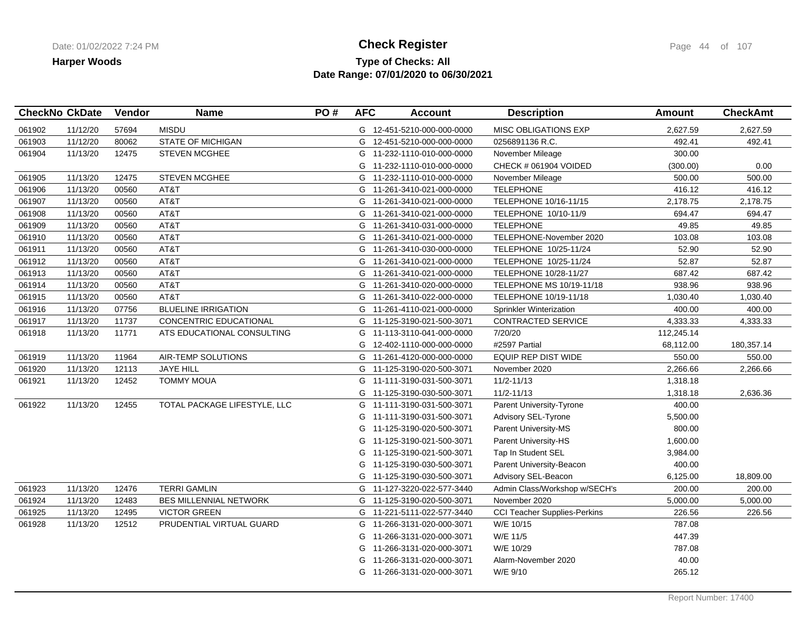## **Type of Checks: All Check Register Check Register Check Register Page 44 of 107 Date Range: 07/01/2020 to 06/30/2021**

| <b>CheckNo CkDate</b> |          | Vendor | <b>Name</b>                   | PO# | <b>AFC</b> | <b>Account</b>             | <b>Description</b>                  | <b>Amount</b> | <b>CheckAmt</b> |
|-----------------------|----------|--------|-------------------------------|-----|------------|----------------------------|-------------------------------------|---------------|-----------------|
| 061902                | 11/12/20 | 57694  | <b>MISDU</b>                  |     |            | G 12-451-5210-000-000-0000 | MISC OBLIGATIONS EXP                | 2,627.59      | 2,627.59        |
| 061903                | 11/12/20 | 80062  | <b>STATE OF MICHIGAN</b>      |     |            | G 12-451-5210-000-000-0000 | 0256891136 R.C.                     | 492.41        | 492.41          |
| 061904                | 11/13/20 | 12475  | <b>STEVEN MCGHEE</b>          |     |            | G 11-232-1110-010-000-0000 | November Mileage                    | 300.00        |                 |
|                       |          |        |                               |     | G          | 11-232-1110-010-000-0000   | CHECK # 061904 VOIDED               | (300.00)      | 0.00            |
| 061905                | 11/13/20 | 12475  | STEVEN MCGHEE                 |     |            | G 11-232-1110-010-000-0000 | November Mileage                    | 500.00        | 500.00          |
| 061906                | 11/13/20 | 00560  | AT&T                          |     |            | G 11-261-3410-021-000-0000 | <b>TELEPHONE</b>                    | 416.12        | 416.12          |
| 061907                | 11/13/20 | 00560  | AT&T                          |     |            | G 11-261-3410-021-000-0000 | TELEPHONE 10/16-11/15               | 2,178.75      | 2,178.75        |
| 061908                | 11/13/20 | 00560  | AT&T                          |     | G          | 11-261-3410-021-000-0000   | TELEPHONE 10/10-11/9                | 694.47        | 694.47          |
| 061909                | 11/13/20 | 00560  | AT&T                          |     | G          | 11-261-3410-031-000-0000   | <b>TELEPHONE</b>                    | 49.85         | 49.85           |
| 061910                | 11/13/20 | 00560  | AT&T                          |     | G          | 11-261-3410-021-000-0000   | TELEPHONE-November 2020             | 103.08        | 103.08          |
| 061911                | 11/13/20 | 00560  | AT&T                          |     |            | G 11-261-3410-030-000-0000 | TELEPHONE 10/25-11/24               | 52.90         | 52.90           |
| 061912                | 11/13/20 | 00560  | AT&T                          |     | G          | 11-261-3410-021-000-0000   | TELEPHONE 10/25-11/24               | 52.87         | 52.87           |
| 061913                | 11/13/20 | 00560  | AT&T                          |     | G          | 11-261-3410-021-000-0000   | TELEPHONE 10/28-11/27               | 687.42        | 687.42          |
| 061914                | 11/13/20 | 00560  | AT&T                          |     | G          | 11-261-3410-020-000-0000   | TELEPHONE MS 10/19-11/18            | 938.96        | 938.96          |
| 061915                | 11/13/20 | 00560  | AT&T                          |     | G          | 11-261-3410-022-000-0000   | TELEPHONE 10/19-11/18               | 1,030.40      | 1,030.40        |
| 061916                | 11/13/20 | 07756  | <b>BLUELINE IRRIGATION</b>    |     | G          | 11-261-4110-021-000-0000   | <b>Sprinkler Winterization</b>      | 400.00        | 400.00          |
| 061917                | 11/13/20 | 11737  | CONCENTRIC EDUCATIONAL        |     | G          | 11-125-3190-021-500-3071   | CONTRACTED SERVICE                  | 4,333.33      | 4,333.33        |
| 061918                | 11/13/20 | 11771  | ATS EDUCATIONAL CONSULTING    |     | G          | 11-113-3110-041-000-0000   | 7/20/20                             | 112,245.14    |                 |
|                       |          |        |                               |     | G          | 12-402-1110-000-000-0000   | #2597 Partial                       | 68,112.00     | 180,357.14      |
| 061919                | 11/13/20 | 11964  | AIR-TEMP SOLUTIONS            |     | G          | 11-261-4120-000-000-0000   | EQUIP REP DIST WIDE                 | 550.00        | 550.00          |
| 061920                | 11/13/20 | 12113  | JAYE HILL                     |     | G          | 11-125-3190-020-500-3071   | November 2020                       | 2,266.66      | 2,266.66        |
| 061921                | 11/13/20 | 12452  | <b>TOMMY MOUA</b>             |     | G          | 11-111-3190-031-500-3071   | $11/2 - 11/13$                      | 1,318.18      |                 |
|                       |          |        |                               |     | G          | 11-125-3190-030-500-3071   | $11/2 - 11/13$                      | 1,318.18      | 2,636.36        |
| 061922                | 11/13/20 | 12455  | TOTAL PACKAGE LIFESTYLE, LLC  |     | G          | 11-111-3190-031-500-3071   | Parent University-Tyrone            | 400.00        |                 |
|                       |          |        |                               |     | G          | 11-111-3190-031-500-3071   | Advisory SEL-Tyrone                 | 5,500.00      |                 |
|                       |          |        |                               |     | G          | 11-125-3190-020-500-3071   | Parent University-MS                | 800.00        |                 |
|                       |          |        |                               |     | G          | 11-125-3190-021-500-3071   | Parent University-HS                | 1,600.00      |                 |
|                       |          |        |                               |     | G          | 11-125-3190-021-500-3071   | Tap In Student SEL                  | 3,984.00      |                 |
|                       |          |        |                               |     | G          | 11-125-3190-030-500-3071   | Parent University-Beacon            | 400.00        |                 |
|                       |          |        |                               |     |            | G 11-125-3190-030-500-3071 | Advisory SEL-Beacon                 | 6,125.00      | 18,809.00       |
| 061923                | 11/13/20 | 12476  | <b>TERRI GAMLIN</b>           |     | G          | 11-127-3220-022-577-3440   | Admin Class/Workshop w/SECH's       | 200.00        | 200.00          |
| 061924                | 11/13/20 | 12483  | <b>BES MILLENNIAL NETWORK</b> |     |            | G 11-125-3190-020-500-3071 | November 2020                       | 5,000.00      | 5,000.00        |
| 061925                | 11/13/20 | 12495  | <b>VICTOR GREEN</b>           |     | G          | 11-221-5111-022-577-3440   | <b>CCI Teacher Supplies-Perkins</b> | 226.56        | 226.56          |
| 061928                | 11/13/20 | 12512  | PRUDENTIAL VIRTUAL GUARD      |     | G          | 11-266-3131-020-000-3071   | W/E 10/15                           | 787.08        |                 |
|                       |          |        |                               |     | G          | 11-266-3131-020-000-3071   | W/E 11/5                            | 447.39        |                 |
|                       |          |        |                               |     | G          | 11-266-3131-020-000-3071   | W/E 10/29                           | 787.08        |                 |
|                       |          |        |                               |     | G          | 11-266-3131-020-000-3071   | Alarm-November 2020                 | 40.00         |                 |
|                       |          |        |                               |     | G          | 11-266-3131-020-000-3071   | W/E 9/10                            | 265.12        |                 |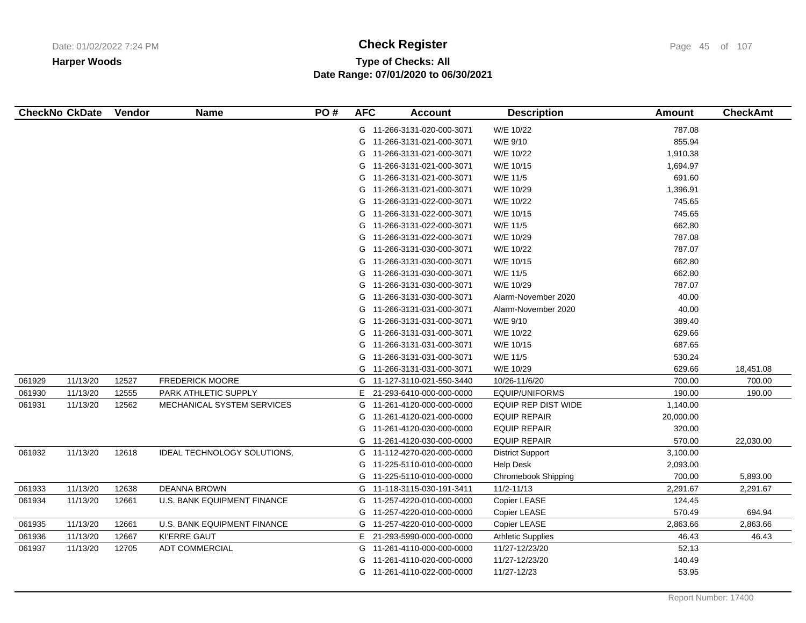# **Type of Checks: All Check Register Check Register Check Register Page 45 of 107 Date Range: 07/01/2020 to 06/30/2021**

|        | <b>CheckNo CkDate</b> | Vendor | <b>Name</b>                        | PO# | <b>AFC</b> | <b>Account</b>             | <b>Description</b>         | <b>Amount</b> | <b>CheckAmt</b> |
|--------|-----------------------|--------|------------------------------------|-----|------------|----------------------------|----------------------------|---------------|-----------------|
|        |                       |        |                                    |     |            | G 11-266-3131-020-000-3071 | W/E 10/22                  | 787.08        |                 |
|        |                       |        |                                    |     | G          | 11-266-3131-021-000-3071   | W/E 9/10                   | 855.94        |                 |
|        |                       |        |                                    |     | G          | 11-266-3131-021-000-3071   | W/E 10/22                  | 1,910.38      |                 |
|        |                       |        |                                    |     | G          | 11-266-3131-021-000-3071   | W/E 10/15                  | 1,694.97      |                 |
|        |                       |        |                                    |     | G          | 11-266-3131-021-000-3071   | W/E 11/5                   | 691.60        |                 |
|        |                       |        |                                    |     | G          | 11-266-3131-021-000-3071   | W/E 10/29                  | 1,396.91      |                 |
|        |                       |        |                                    |     | G          | 11-266-3131-022-000-3071   | W/E 10/22                  | 745.65        |                 |
|        |                       |        |                                    |     | G          | 11-266-3131-022-000-3071   | W/E 10/15                  | 745.65        |                 |
|        |                       |        |                                    |     | G          | 11-266-3131-022-000-3071   | W/E 11/5                   | 662.80        |                 |
|        |                       |        |                                    |     | G          | 11-266-3131-022-000-3071   | W/E 10/29                  | 787.08        |                 |
|        |                       |        |                                    |     | G          | 11-266-3131-030-000-3071   | W/E 10/22                  | 787.07        |                 |
|        |                       |        |                                    |     | G          | 11-266-3131-030-000-3071   | W/E 10/15                  | 662.80        |                 |
|        |                       |        |                                    |     | G          | 11-266-3131-030-000-3071   | W/E 11/5                   | 662.80        |                 |
|        |                       |        |                                    |     | G          | 11-266-3131-030-000-3071   | W/E 10/29                  | 787.07        |                 |
|        |                       |        |                                    |     | G          | 11-266-3131-030-000-3071   | Alarm-November 2020        | 40.00         |                 |
|        |                       |        |                                    |     | G          | 11-266-3131-031-000-3071   | Alarm-November 2020        | 40.00         |                 |
|        |                       |        |                                    |     | G          | 11-266-3131-031-000-3071   | W/E 9/10                   | 389.40        |                 |
|        |                       |        |                                    |     | G          | 11-266-3131-031-000-3071   | W/E 10/22                  | 629.66        |                 |
|        |                       |        |                                    |     | G          | 11-266-3131-031-000-3071   | W/E 10/15                  | 687.65        |                 |
|        |                       |        |                                    |     | G          | 11-266-3131-031-000-3071   | W/E 11/5                   | 530.24        |                 |
|        |                       |        |                                    |     | G          | 11-266-3131-031-000-3071   | W/E 10/29                  | 629.66        | 18,451.08       |
| 061929 | 11/13/20              | 12527  | <b>FREDERICK MOORE</b>             |     | G          | 11-127-3110-021-550-3440   | 10/26-11/6/20              | 700.00        | 700.00          |
| 061930 | 11/13/20              | 12555  | PARK ATHLETIC SUPPLY               |     | E.         | 21-293-6410-000-000-0000   | <b>EQUIP/UNIFORMS</b>      | 190.00        | 190.00          |
| 061931 | 11/13/20              | 12562  | MECHANICAL SYSTEM SERVICES         |     | G          | 11-261-4120-000-000-0000   | <b>EQUIP REP DIST WIDE</b> | 1,140.00      |                 |
|        |                       |        |                                    |     | G          | 11-261-4120-021-000-0000   | <b>EQUIP REPAIR</b>        | 20,000.00     |                 |
|        |                       |        |                                    |     | G          | 11-261-4120-030-000-0000   | <b>EQUIP REPAIR</b>        | 320.00        |                 |
|        |                       |        |                                    |     | G          | 11-261-4120-030-000-0000   | <b>EQUIP REPAIR</b>        | 570.00        | 22,030.00       |
| 061932 | 11/13/20              | 12618  | IDEAL TECHNOLOGY SOLUTIONS,        |     | G          | 11-112-4270-020-000-0000   | <b>District Support</b>    | 3,100.00      |                 |
|        |                       |        |                                    |     | G          | 11-225-5110-010-000-0000   | <b>Help Desk</b>           | 2,093.00      |                 |
|        |                       |        |                                    |     | G          | 11-225-5110-010-000-0000   | Chromebook Shipping        | 700.00        | 5,893.00        |
| 061933 | 11/13/20              | 12638  | <b>DEANNA BROWN</b>                |     |            | G 11-118-3115-030-191-3411 | 11/2-11/13                 | 2,291.67      | 2,291.67        |
| 061934 | 11/13/20              | 12661  | <b>U.S. BANK EQUIPMENT FINANCE</b> |     | G          | 11-257-4220-010-000-0000   | Copier LEASE               | 124.45        |                 |
|        |                       |        |                                    |     | G          | 11-257-4220-010-000-0000   | Copier LEASE               | 570.49        | 694.94          |
| 061935 | 11/13/20              | 12661  | U.S. BANK EQUIPMENT FINANCE        |     | G          | 11-257-4220-010-000-0000   | Copier LEASE               | 2,863.66      | 2,863.66        |
| 061936 | 11/13/20              | 12667  | <b>KI'ERRE GAUT</b>                |     | E          | 21-293-5990-000-000-0000   | <b>Athletic Supplies</b>   | 46.43         | 46.43           |
| 061937 | 11/13/20              | 12705  | <b>ADT COMMERCIAL</b>              |     | G          | 11-261-4110-000-000-0000   | 11/27-12/23/20             | 52.13         |                 |
|        |                       |        |                                    |     | G          | 11-261-4110-020-000-0000   | 11/27-12/23/20             | 140.49        |                 |
|        |                       |        |                                    |     |            | G 11-261-4110-022-000-0000 | 11/27-12/23                | 53.95         |                 |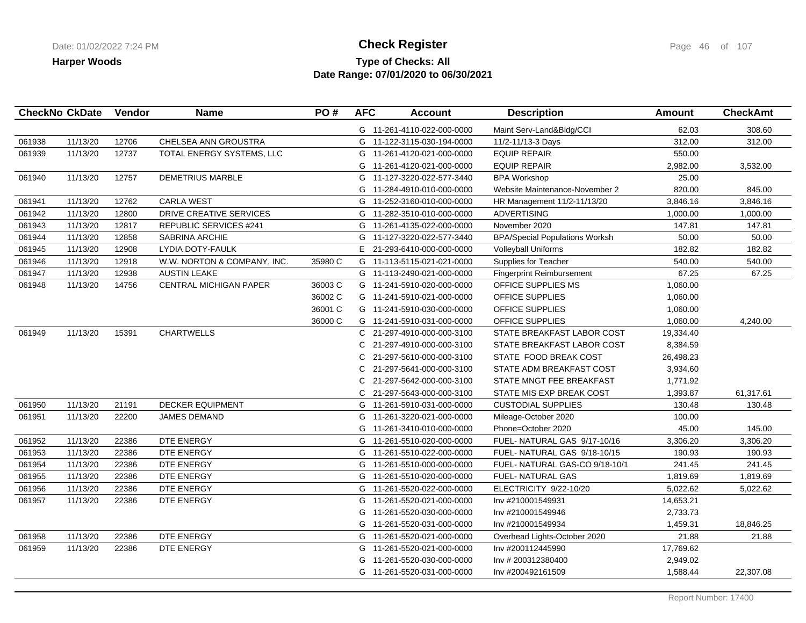## **Type of Checks: All Check Register Check Register Check Register Page 46 of 107 Date Range: 07/01/2020 to 06/30/2021**

|        | <b>CheckNo CkDate</b> | Vendor | <b>Name</b>                   | PO#     | <b>AFC</b> | <b>Account</b>             | <b>Description</b>                    | <b>Amount</b> | <b>CheckAmt</b> |
|--------|-----------------------|--------|-------------------------------|---------|------------|----------------------------|---------------------------------------|---------------|-----------------|
|        |                       |        |                               |         |            | G 11-261-4110-022-000-0000 | Maint Serv-Land&Bldg/CCI              | 62.03         | 308.60          |
| 061938 | 11/13/20              | 12706  | CHELSEA ANN GROUSTRA          |         | G          | 11-122-3115-030-194-0000   | 11/2-11/13-3 Days                     | 312.00        | 312.00          |
| 061939 | 11/13/20              | 12737  | TOTAL ENERGY SYSTEMS, LLC     |         |            | G 11-261-4120-021-000-0000 | <b>EQUIP REPAIR</b>                   | 550.00        |                 |
|        |                       |        |                               |         | G          | 11-261-4120-021-000-0000   | <b>EQUIP REPAIR</b>                   | 2,982.00      | 3,532.00        |
| 061940 | 11/13/20              | 12757  | <b>DEMETRIUS MARBLE</b>       |         |            | G 11-127-3220-022-577-3440 | <b>BPA Workshop</b>                   | 25.00         |                 |
|        |                       |        |                               |         |            | G 11-284-4910-010-000-0000 | Website Maintenance-November 2        | 820.00        | 845.00          |
| 061941 | 11/13/20              | 12762  | <b>CARLA WEST</b>             |         |            | G 11-252-3160-010-000-0000 | HR Management 11/2-11/13/20           | 3,846.16      | 3,846.16        |
| 061942 | 11/13/20              | 12800  | DRIVE CREATIVE SERVICES       |         |            | G 11-282-3510-010-000-0000 | <b>ADVERTISING</b>                    | 1,000.00      | 1,000.00        |
| 061943 | 11/13/20              | 12817  | <b>REPUBLIC SERVICES #241</b> |         | G          | 11-261-4135-022-000-0000   | November 2020                         | 147.81        | 147.81          |
| 061944 | 11/13/20              | 12858  | <b>SABRINA ARCHIE</b>         |         | G          | 11-127-3220-022-577-3440   | <b>BPA/Special Populations Worksh</b> | 50.00         | 50.00           |
| 061945 | 11/13/20              | 12908  | LYDIA DOTY-FAULK              |         | E.         | 21-293-6410-000-000-0000   | Volleyball Uniforms                   | 182.82        | 182.82          |
| 061946 | 11/13/20              | 12918  | W.W. NORTON & COMPANY, INC.   | 35980 C |            | G 11-113-5115-021-021-0000 | Supplies for Teacher                  | 540.00        | 540.00          |
| 061947 | 11/13/20              | 12938  | <b>AUSTIN LEAKE</b>           |         |            | G 11-113-2490-021-000-0000 | <b>Fingerprint Reimbursement</b>      | 67.25         | 67.25           |
| 061948 | 11/13/20              | 14756  | <b>CENTRAL MICHIGAN PAPER</b> | 36003 C |            | G 11-241-5910-020-000-0000 | OFFICE SUPPLIES MS                    | 1,060.00      |                 |
|        |                       |        |                               | 36002 C |            | G 11-241-5910-021-000-0000 | OFFICE SUPPLIES                       | 1,060.00      |                 |
|        |                       |        |                               | 36001 C |            | G 11-241-5910-030-000-0000 | <b>OFFICE SUPPLIES</b>                | 1,060.00      |                 |
|        |                       |        |                               | 36000 C |            | G 11-241-5910-031-000-0000 | OFFICE SUPPLIES                       | 1,060.00      | 4,240.00        |
| 061949 | 11/13/20              | 15391  | <b>CHARTWELLS</b>             |         |            | C 21-297-4910-000-000-3100 | STATE BREAKFAST LABOR COST            | 19,334.40     |                 |
|        |                       |        |                               |         | C.         | 21-297-4910-000-000-3100   | STATE BREAKFAST LABOR COST            | 8,384.59      |                 |
|        |                       |        |                               |         | C.         | 21-297-5610-000-000-3100   | STATE FOOD BREAK COST                 | 26,498.23     |                 |
|        |                       |        |                               |         | C          | 21-297-5641-000-000-3100   | STATE ADM BREAKFAST COST              | 3,934.60      |                 |
|        |                       |        |                               |         | C          | 21-297-5642-000-000-3100   | STATE MNGT FEE BREAKFAST              | 1,771.92      |                 |
|        |                       |        |                               |         | C.         | 21-297-5643-000-000-3100   | STATE MIS EXP BREAK COST              | 1,393.87      | 61,317.61       |
| 061950 | 11/13/20              | 21191  | <b>DECKER EQUIPMENT</b>       |         |            | G 11-261-5910-031-000-0000 | <b>CUSTODIAL SUPPLIES</b>             | 130.48        | 130.48          |
| 061951 | 11/13/20              | 22200  | <b>JAMES DEMAND</b>           |         |            | G 11-261-3220-021-000-0000 | Mileage-October 2020                  | 100.00        |                 |
|        |                       |        |                               |         | G          | 11-261-3410-010-000-0000   | Phone=October 2020                    | 45.00         | 145.00          |
| 061952 | 11/13/20              | 22386  | DTE ENERGY                    |         | G          | 11-261-5510-020-000-0000   | FUEL- NATURAL GAS 9/17-10/16          | 3,306.20      | 3,306.20        |
| 061953 | 11/13/20              | 22386  | DTE ENERGY                    |         |            | G 11-261-5510-022-000-0000 | FUEL- NATURAL GAS 9/18-10/15          | 190.93        | 190.93          |
| 061954 | 11/13/20              | 22386  | DTE ENERGY                    |         |            | G 11-261-5510-000-000-0000 | FUEL-NATURAL GAS-CO 9/18-10/1         | 241.45        | 241.45          |
| 061955 | 11/13/20              | 22386  | DTE ENERGY                    |         | G          | 11-261-5510-020-000-0000   | <b>FUEL- NATURAL GAS</b>              | 1,819.69      | 1,819.69        |
| 061956 | 11/13/20              | 22386  | DTE ENERGY                    |         |            | G 11-261-5520-022-000-0000 | ELECTRICITY 9/22-10/20                | 5,022.62      | 5,022.62        |
| 061957 | 11/13/20              | 22386  | DTE ENERGY                    |         |            | G 11-261-5520-021-000-0000 | Inv #210001549931                     | 14,653.21     |                 |
|        |                       |        |                               |         | G          | 11-261-5520-030-000-0000   | Inv #210001549946                     | 2,733.73      |                 |
|        |                       |        |                               |         | G          | 11-261-5520-031-000-0000   | Inv #210001549934                     | 1,459.31      | 18,846.25       |
| 061958 | 11/13/20              | 22386  | DTE ENERGY                    |         | G          | 11-261-5520-021-000-0000   | Overhead Lights-October 2020          | 21.88         | 21.88           |
| 061959 | 11/13/20              | 22386  | DTE ENERGY                    |         | G          | 11-261-5520-021-000-0000   | Inv #200112445990                     | 17,769.62     |                 |
|        |                       |        |                               |         | G          | 11-261-5520-030-000-0000   | Inv # 200312380400                    | 2,949.02      |                 |
|        |                       |        |                               |         |            | G 11-261-5520-031-000-0000 | Inv #200492161509                     | 1,588.44      | 22,307.08       |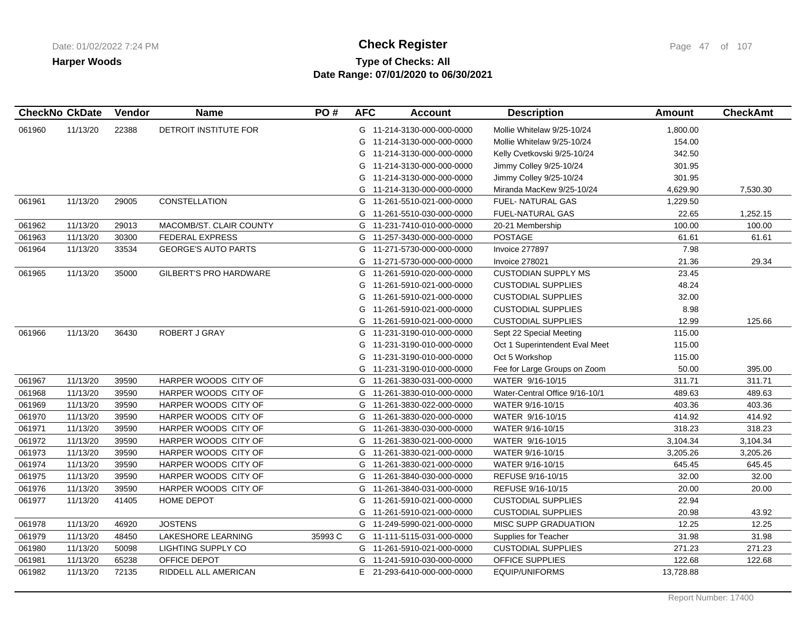# **Type of Checks: All Check Register Check Register Check Register Page 47** of 107 **Date Range: 07/01/2020 to 06/30/2021**

| <b>CheckNo CkDate</b> |          | Vendor | <b>Name</b>                   | PO#     | <b>AFC</b> | <b>Account</b>             | <b>Description</b>             | <b>Amount</b> | <b>CheckAmt</b> |
|-----------------------|----------|--------|-------------------------------|---------|------------|----------------------------|--------------------------------|---------------|-----------------|
| 061960                | 11/13/20 | 22388  | DETROIT INSTITUTE FOR         |         |            | G 11-214-3130-000-000-0000 | Mollie Whitelaw 9/25-10/24     | 1,800.00      |                 |
|                       |          |        |                               |         |            | G 11-214-3130-000-000-0000 | Mollie Whitelaw 9/25-10/24     | 154.00        |                 |
|                       |          |        |                               |         |            | G 11-214-3130-000-000-0000 | Kelly Cvetkovski 9/25-10/24    | 342.50        |                 |
|                       |          |        |                               |         |            | G 11-214-3130-000-000-0000 | Jimmy Colley 9/25-10/24        | 301.95        |                 |
|                       |          |        |                               |         |            | G 11-214-3130-000-000-0000 | Jimmy Colley 9/25-10/24        | 301.95        |                 |
|                       |          |        |                               |         |            | G 11-214-3130-000-000-0000 | Miranda MacKew 9/25-10/24      | 4,629.90      | 7,530.30        |
| 061961                | 11/13/20 | 29005  | CONSTELLATION                 |         |            | G 11-261-5510-021-000-0000 | <b>FUEL-NATURAL GAS</b>        | 1,229.50      |                 |
|                       |          |        |                               |         |            | G 11-261-5510-030-000-0000 | <b>FUEL-NATURAL GAS</b>        | 22.65         | 1,252.15        |
| 061962                | 11/13/20 | 29013  | MACOMB/ST. CLAIR COUNTY       |         |            | G 11-231-7410-010-000-0000 | 20-21 Membership               | 100.00        | 100.00          |
| 061963                | 11/13/20 | 30300  | <b>FEDERAL EXPRESS</b>        |         |            | G 11-257-3430-000-000-0000 | <b>POSTAGE</b>                 | 61.61         | 61.61           |
| 061964                | 11/13/20 | 33534  | <b>GEORGE'S AUTO PARTS</b>    |         |            | G 11-271-5730-000-000-0000 | Invoice 277897                 | 7.98          |                 |
|                       |          |        |                               |         | G          | 11-271-5730-000-000-0000   | Invoice 278021                 | 21.36         | 29.34           |
| 061965                | 11/13/20 | 35000  | <b>GILBERT'S PRO HARDWARE</b> |         | G          | 11-261-5910-020-000-0000   | <b>CUSTODIAN SUPPLY MS</b>     | 23.45         |                 |
|                       |          |        |                               |         | G          | 11-261-5910-021-000-0000   | <b>CUSTODIAL SUPPLIES</b>      | 48.24         |                 |
|                       |          |        |                               |         |            | G 11-261-5910-021-000-0000 | <b>CUSTODIAL SUPPLIES</b>      | 32.00         |                 |
|                       |          |        |                               |         |            | G 11-261-5910-021-000-0000 | <b>CUSTODIAL SUPPLIES</b>      | 8.98          |                 |
|                       |          |        |                               |         |            | G 11-261-5910-021-000-0000 | <b>CUSTODIAL SUPPLIES</b>      | 12.99         | 125.66          |
| 061966                | 11/13/20 | 36430  | ROBERT J GRAY                 |         |            | G 11-231-3190-010-000-0000 | Sept 22 Special Meeting        | 115.00        |                 |
|                       |          |        |                               |         |            | G 11-231-3190-010-000-0000 | Oct 1 Superintendent Eval Meet | 115.00        |                 |
|                       |          |        |                               |         |            | G 11-231-3190-010-000-0000 | Oct 5 Workshop                 | 115.00        |                 |
|                       |          |        |                               |         |            | G 11-231-3190-010-000-0000 | Fee for Large Groups on Zoom   | 50.00         | 395.00          |
| 061967                | 11/13/20 | 39590  | HARPER WOODS CITY OF          |         |            | G 11-261-3830-031-000-0000 | WATER 9/16-10/15               | 311.71        | 311.71          |
| 061968                | 11/13/20 | 39590  | HARPER WOODS CITY OF          |         |            | G 11-261-3830-010-000-0000 | Water-Central Office 9/16-10/1 | 489.63        | 489.63          |
| 061969                | 11/13/20 | 39590  | HARPER WOODS CITY OF          |         |            | G 11-261-3830-022-000-0000 | WATER 9/16-10/15               | 403.36        | 403.36          |
| 061970                | 11/13/20 | 39590  | HARPER WOODS CITY OF          |         |            | G 11-261-3830-020-000-0000 | WATER 9/16-10/15               | 414.92        | 414.92          |
| 061971                | 11/13/20 | 39590  | HARPER WOODS CITY OF          |         |            | G 11-261-3830-030-000-0000 | WATER 9/16-10/15               | 318.23        | 318.23          |
| 061972                | 11/13/20 | 39590  | HARPER WOODS CITY OF          |         |            | G 11-261-3830-021-000-0000 | WATER 9/16-10/15               | 3,104.34      | 3,104.34        |
| 061973                | 11/13/20 | 39590  | HARPER WOODS CITY OF          |         |            | G 11-261-3830-021-000-0000 | WATER 9/16-10/15               | 3,205.26      | 3,205.26        |
| 061974                | 11/13/20 | 39590  | HARPER WOODS CITY OF          |         |            | G 11-261-3830-021-000-0000 | WATER 9/16-10/15               | 645.45        | 645.45          |
| 061975                | 11/13/20 | 39590  | HARPER WOODS CITY OF          |         |            | G 11-261-3840-030-000-0000 | REFUSE 9/16-10/15              | 32.00         | 32.00           |
| 061976                | 11/13/20 | 39590  | HARPER WOODS CITY OF          |         |            | G 11-261-3840-031-000-0000 | REFUSE 9/16-10/15              | 20.00         | 20.00           |
| 061977                | 11/13/20 | 41405  | HOME DEPOT                    |         |            | G 11-261-5910-021-000-0000 | <b>CUSTODIAL SUPPLIES</b>      | 22.94         |                 |
|                       |          |        |                               |         |            | G 11-261-5910-021-000-0000 | <b>CUSTODIAL SUPPLIES</b>      | 20.98         | 43.92           |
| 061978                | 11/13/20 | 46920  | <b>JOSTENS</b>                |         |            | G 11-249-5990-021-000-0000 | MISC SUPP GRADUATION           | 12.25         | 12.25           |
| 061979                | 11/13/20 | 48450  | LAKESHORE LEARNING            | 35993 C |            | G 11-111-5115-031-000-0000 | Supplies for Teacher           | 31.98         | 31.98           |
| 061980                | 11/13/20 | 50098  | <b>LIGHTING SUPPLY CO</b>     |         |            | G 11-261-5910-021-000-0000 | <b>CUSTODIAL SUPPLIES</b>      | 271.23        | 271.23          |
| 061981                | 11/13/20 | 65238  | OFFICE DEPOT                  |         |            | G 11-241-5910-030-000-0000 | <b>OFFICE SUPPLIES</b>         | 122.68        | 122.68          |
| 061982                | 11/13/20 | 72135  | RIDDELL ALL AMERICAN          |         |            | E 21-293-6410-000-000-0000 | EQUIP/UNIFORMS                 | 13,728.88     |                 |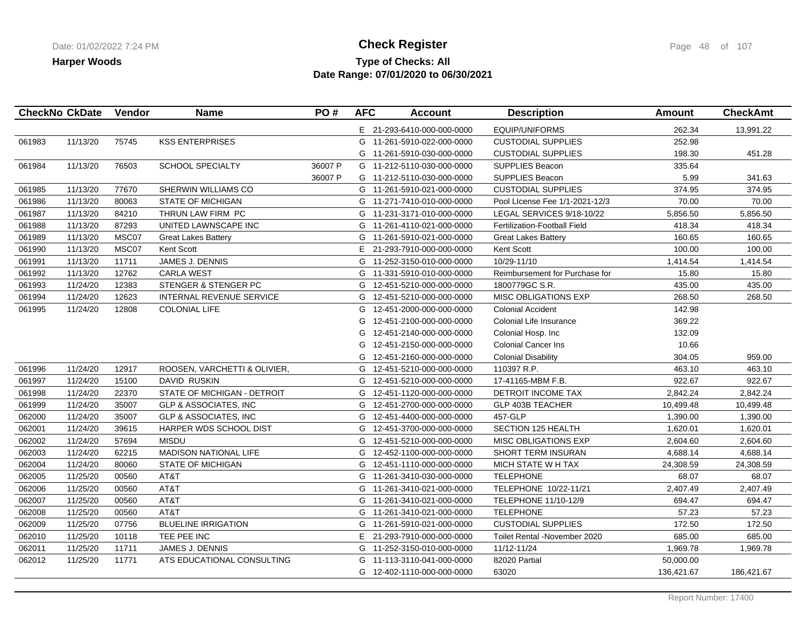## **Type of Checks: All Check Register Check Register Check Register Page 48 of 107 Date Range: 07/01/2020 to 06/30/2021**

|        | CheckNo CkDate | Vendor | <b>Name</b>                      | PO#     | <b>AFC</b> | <b>Account</b>             | <b>Description</b>                  | <b>Amount</b> | <b>CheckAmt</b> |
|--------|----------------|--------|----------------------------------|---------|------------|----------------------------|-------------------------------------|---------------|-----------------|
|        |                |        |                                  |         |            | E 21-293-6410-000-000-0000 | <b>EQUIP/UNIFORMS</b>               | 262.34        | 13,991.22       |
| 061983 | 11/13/20       | 75745  | <b>KSS ENTERPRISES</b>           |         |            | G 11-261-5910-022-000-0000 | <b>CUSTODIAL SUPPLIES</b>           | 252.98        |                 |
|        |                |        |                                  |         |            | G 11-261-5910-030-000-0000 | <b>CUSTODIAL SUPPLIES</b>           | 198.30        | 451.28          |
| 061984 | 11/13/20       | 76503  | <b>SCHOOL SPECIALTY</b>          | 36007 P |            | G 11-212-5110-030-000-0000 | <b>SUPPLIES Beacon</b>              | 335.64        |                 |
|        |                |        |                                  | 36007 P |            | G 11-212-5110-030-000-0000 | <b>SUPPLIES Beacon</b>              | 5.99          | 341.63          |
| 061985 | 11/13/20       | 77670  | SHERWIN WILLIAMS CO              |         |            | G 11-261-5910-021-000-0000 | <b>CUSTODIAL SUPPLIES</b>           | 374.95        | 374.95          |
| 061986 | 11/13/20       | 80063  | <b>STATE OF MICHIGAN</b>         |         |            | G 11-271-7410-010-000-0000 | Pool License Fee 1/1-2021-12/3      | 70.00         | 70.00           |
| 061987 | 11/13/20       | 84210  | THRUN LAW FIRM PC                |         |            | G 11-231-3171-010-000-0000 | LEGAL SERVICES 9/18-10/22           | 5,856.50      | 5,856.50        |
| 061988 | 11/13/20       | 87293  | UNITED LAWNSCAPE INC             |         |            | G 11-261-4110-021-000-0000 | <b>Fertilization-Football Field</b> | 418.34        | 418.34          |
| 061989 | 11/13/20       | MSC07  | <b>Great Lakes Battery</b>       |         |            | G 11-261-5910-021-000-0000 | <b>Great Lakes Battery</b>          | 160.65        | 160.65          |
| 061990 | 11/13/20       | MSC07  | Kent Scott                       |         |            | E 21-293-7910-000-000-0000 | Kent Scott                          | 100.00        | 100.00          |
| 061991 | 11/13/20       | 11711  | JAMES J. DENNIS                  |         | G          | 11-252-3150-010-000-0000   | 10/29-11/10                         | 1,414.54      | 1,414.54        |
| 061992 | 11/13/20       | 12762  | <b>CARLA WEST</b>                |         |            | G 11-331-5910-010-000-0000 | Reimbursement for Purchase for      | 15.80         | 15.80           |
| 061993 | 11/24/20       | 12383  | STENGER & STENGER PC             |         | G          | 12-451-5210-000-000-0000   | 1800779GC S.R.                      | 435.00        | 435.00          |
| 061994 | 11/24/20       | 12623  | INTERNAL REVENUE SERVICE         |         | G          | 12-451-5210-000-000-0000   | <b>MISC OBLIGATIONS EXP</b>         | 268.50        | 268.50          |
| 061995 | 11/24/20       | 12808  | <b>COLONIAL LIFE</b>             |         | G          | 12-451-2000-000-000-0000   | <b>Colonial Accident</b>            | 142.98        |                 |
|        |                |        |                                  |         | G          | 12-451-2100-000-000-0000   | Colonial Life Insurance             | 369.22        |                 |
|        |                |        |                                  |         | G          | 12-451-2140-000-000-0000   | Colonial Hosp. Inc                  | 132.09        |                 |
|        |                |        |                                  |         | G          | 12-451-2150-000-000-0000   | <b>Colonial Cancer Ins</b>          | 10.66         |                 |
|        |                |        |                                  |         | G          | 12-451-2160-000-000-0000   | <b>Colonial Disability</b>          | 304.05        | 959.00          |
| 061996 | 11/24/20       | 12917  | ROOSEN, VARCHETTI & OLIVIER,     |         |            | G 12-451-5210-000-000-0000 | 110397 R.P.                         | 463.10        | 463.10          |
| 061997 | 11/24/20       | 15100  | <b>DAVID RUSKIN</b>              |         | G          | 12-451-5210-000-000-0000   | 17-41165-MBM F.B.                   | 922.67        | 922.67          |
| 061998 | 11/24/20       | 22370  | STATE OF MICHIGAN - DETROIT      |         |            | G 12-451-1120-000-000-0000 | DETROIT INCOME TAX                  | 2,842.24      | 2,842.24        |
| 061999 | 11/24/20       | 35007  | GLP & ASSOCIATES, INC            |         | G          | 12-451-2700-000-000-0000   | GLP 403B TEACHER                    | 10,499.48     | 10,499.48       |
| 062000 | 11/24/20       | 35007  | <b>GLP &amp; ASSOCIATES, INC</b> |         | G          | 12-451-4400-000-000-0000   | 457-GLP                             | 1,390.00      | 1,390.00        |
| 062001 | 11/24/20       | 39615  | HARPER WDS SCHOOL DIST           |         | G          | 12-451-3700-000-000-0000   | <b>SECTION 125 HEALTH</b>           | 1,620.01      | 1,620.01        |
| 062002 | 11/24/20       | 57694  | <b>MISDU</b>                     |         | G          | 12-451-5210-000-000-0000   | <b>MISC OBLIGATIONS EXP</b>         | 2,604.60      | 2,604.60        |
| 062003 | 11/24/20       | 62215  | <b>MADISON NATIONAL LIFE</b>     |         | G          | 12-452-1100-000-000-0000   | SHORT TERM INSURAN                  | 4,688.14      | 4,688.14        |
| 062004 | 11/24/20       | 80060  | <b>STATE OF MICHIGAN</b>         |         | G          | 12-451-1110-000-000-0000   | MICH STATE W H TAX                  | 24,308.59     | 24,308.59       |
| 062005 | 11/25/20       | 00560  | AT&T                             |         | G          | 11-261-3410-030-000-0000   | <b>TELEPHONE</b>                    | 68.07         | 68.07           |
| 062006 | 11/25/20       | 00560  | AT&T                             |         |            | G 11-261-3410-021-000-0000 | TELEPHONE 10/22-11/21               | 2,407.49      | 2,407.49        |
| 062007 | 11/25/20       | 00560  | AT&T                             |         |            | G 11-261-3410-021-000-0000 | TELEPHONE 11/10-12/9                | 694.47        | 694.47          |
| 062008 | 11/25/20       | 00560  | AT&T                             |         |            | G 11-261-3410-021-000-0000 | <b>TELEPHONE</b>                    | 57.23         | 57.23           |
| 062009 | 11/25/20       | 07756  | <b>BLUELINE IRRIGATION</b>       |         |            | G 11-261-5910-021-000-0000 | <b>CUSTODIAL SUPPLIES</b>           | 172.50        | 172.50          |
| 062010 | 11/25/20       | 10118  | TEE PEE INC                      |         |            | E 21-293-7910-000-000-0000 | Toilet Rental -November 2020        | 685.00        | 685.00          |
| 062011 | 11/25/20       | 11711  | <b>JAMES J. DENNIS</b>           |         |            | G 11-252-3150-010-000-0000 | 11/12-11/24                         | 1,969.78      | 1,969.78        |
| 062012 | 11/25/20       | 11771  | ATS EDUCATIONAL CONSULTING       |         |            | G 11-113-3110-041-000-0000 | 82020 Partial                       | 50,000.00     |                 |
|        |                |        |                                  |         |            | G 12-402-1110-000-000-0000 | 63020                               | 136,421.67    | 186,421.67      |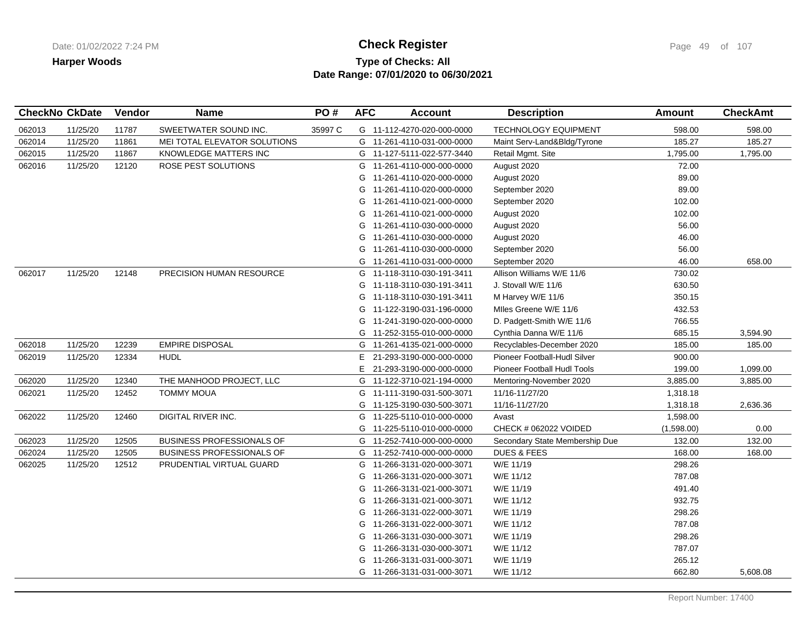## **Type of Checks: All Check Register Check Register Check Register Page 49 of 107 Date Range: 07/01/2020 to 06/30/2021**

|        | <b>CheckNo CkDate</b> | Vendor | <b>Name</b>                      | PO#     | <b>AFC</b> | <b>Account</b>             | <b>Description</b>             | <b>Amount</b> | <b>CheckAmt</b> |
|--------|-----------------------|--------|----------------------------------|---------|------------|----------------------------|--------------------------------|---------------|-----------------|
| 062013 | 11/25/20              | 11787  | SWEETWATER SOUND INC.            | 35997 C |            | G 11-112-4270-020-000-0000 | <b>TECHNOLOGY EQUIPMENT</b>    | 598.00        | 598.00          |
| 062014 | 11/25/20              | 11861  | MEI TOTAL ELEVATOR SOLUTIONS     |         |            | G 11-261-4110-031-000-0000 | Maint Serv-Land&Bldg/Tyrone    | 185.27        | 185.27          |
| 062015 | 11/25/20              | 11867  | KNOWLEDGE MATTERS INC            |         |            | G 11-127-5111-022-577-3440 | Retail Mgmt. Site              | 1,795.00      | 1,795.00        |
| 062016 | 11/25/20              | 12120  | ROSE PEST SOLUTIONS              |         |            | G 11-261-4110-000-000-0000 | August 2020                    | 72.00         |                 |
|        |                       |        |                                  |         | G          | 11-261-4110-020-000-0000   | August 2020                    | 89.00         |                 |
|        |                       |        |                                  |         | G          | 11-261-4110-020-000-0000   | September 2020                 | 89.00         |                 |
|        |                       |        |                                  |         | G          | 11-261-4110-021-000-0000   | September 2020                 | 102.00        |                 |
|        |                       |        |                                  |         | G          | 11-261-4110-021-000-0000   | August 2020                    | 102.00        |                 |
|        |                       |        |                                  |         | G          | 11-261-4110-030-000-0000   | August 2020                    | 56.00         |                 |
|        |                       |        |                                  |         | G          | 11-261-4110-030-000-0000   | August 2020                    | 46.00         |                 |
|        |                       |        |                                  |         | G          | 11-261-4110-030-000-0000   | September 2020                 | 56.00         |                 |
|        |                       |        |                                  |         | G          | 11-261-4110-031-000-0000   | September 2020                 | 46.00         | 658.00          |
| 062017 | 11/25/20              | 12148  | PRECISION HUMAN RESOURCE         |         |            | G 11-118-3110-030-191-3411 | Allison Williams W/E 11/6      | 730.02        |                 |
|        |                       |        |                                  |         | G          | 11-118-3110-030-191-3411   | J. Stovall W/E 11/6            | 630.50        |                 |
|        |                       |        |                                  |         |            | G 11-118-3110-030-191-3411 | M Harvey W/E 11/6              | 350.15        |                 |
|        |                       |        |                                  |         |            | G 11-122-3190-031-196-0000 | Miles Greene W/E 11/6          | 432.53        |                 |
|        |                       |        |                                  |         |            | G 11-241-3190-020-000-0000 | D. Padgett-Smith W/E 11/6      | 766.55        |                 |
|        |                       |        |                                  |         | G          | 11-252-3155-010-000-0000   | Cynthia Danna W/E 11/6         | 685.15        | 3,594.90        |
| 062018 | 11/25/20              | 12239  | <b>EMPIRE DISPOSAL</b>           |         |            | G 11-261-4135-021-000-0000 | Recyclables-December 2020      | 185.00        | 185.00          |
| 062019 | 11/25/20              | 12334  | <b>HUDL</b>                      |         | Е          | 21-293-3190-000-000-0000   | Pioneer Football-Hudl Silver   | 900.00        |                 |
|        |                       |        |                                  |         | E.         | 21-293-3190-000-000-0000   | Pioneer Football Hudl Tools    | 199.00        | 1,099.00        |
| 062020 | 11/25/20              | 12340  | THE MANHOOD PROJECT, LLC         |         |            | G 11-122-3710-021-194-0000 | Mentoring-November 2020        | 3,885.00      | 3,885.00        |
| 062021 | 11/25/20              | 12452  | <b>TOMMY MOUA</b>                |         |            | G 11-111-3190-031-500-3071 | 11/16-11/27/20                 | 1,318.18      |                 |
|        |                       |        |                                  |         |            | G 11-125-3190-030-500-3071 | 11/16-11/27/20                 | 1,318.18      | 2,636.36        |
| 062022 | 11/25/20              | 12460  | DIGITAL RIVER INC.               |         |            | G 11-225-5110-010-000-0000 | Avast                          | 1,598.00      |                 |
|        |                       |        |                                  |         | G          | 11-225-5110-010-000-0000   | CHECK # 062022 VOIDED          | (1,598.00)    | 0.00            |
| 062023 | 11/25/20              | 12505  | BUSINESS PROFESSIONALS OF        |         |            | G 11-252-7410-000-000-0000 | Secondary State Membership Due | 132.00        | 132.00          |
| 062024 | 11/25/20              | 12505  | <b>BUSINESS PROFESSIONALS OF</b> |         |            | G 11-252-7410-000-000-0000 | <b>DUES &amp; FEES</b>         | 168.00        | 168.00          |
| 062025 | 11/25/20              | 12512  | PRUDENTIAL VIRTUAL GUARD         |         |            | G 11-266-3131-020-000-3071 | W/E 11/19                      | 298.26        |                 |
|        |                       |        |                                  |         | G          | 11-266-3131-020-000-3071   | W/E 11/12                      | 787.08        |                 |
|        |                       |        |                                  |         | G          | 11-266-3131-021-000-3071   | W/E 11/19                      | 491.40        |                 |
|        |                       |        |                                  |         | G          | 11-266-3131-021-000-3071   | W/E 11/12                      | 932.75        |                 |
|        |                       |        |                                  |         | G          | 11-266-3131-022-000-3071   | W/E 11/19                      | 298.26        |                 |
|        |                       |        |                                  |         | G          | 11-266-3131-022-000-3071   | W/E 11/12                      | 787.08        |                 |
|        |                       |        |                                  |         | G          | 11-266-3131-030-000-3071   | W/E 11/19                      | 298.26        |                 |
|        |                       |        |                                  |         | G          | 11-266-3131-030-000-3071   | W/E 11/12                      | 787.07        |                 |
|        |                       |        |                                  |         | G          | 11-266-3131-031-000-3071   | W/E 11/19                      | 265.12        |                 |
|        |                       |        |                                  |         |            | G 11-266-3131-031-000-3071 | W/E 11/12                      | 662.80        | 5,608.08        |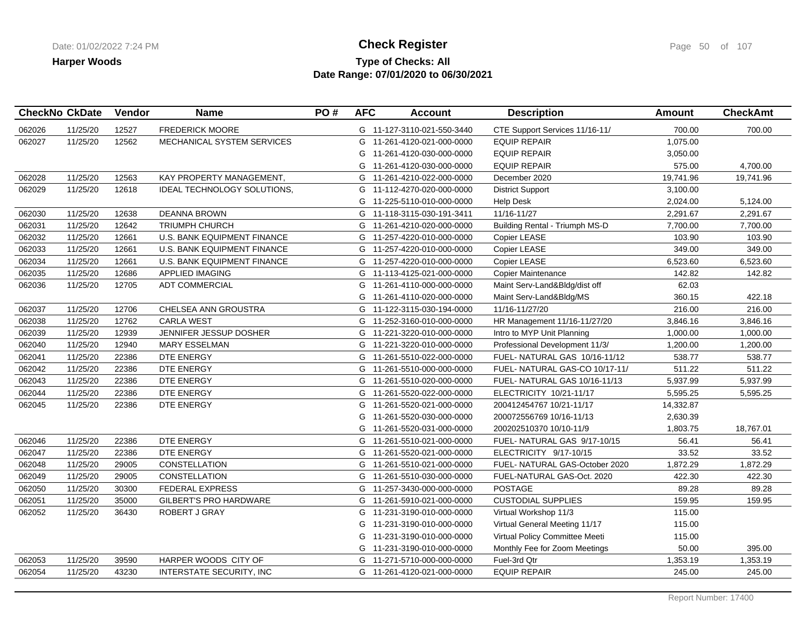# **Type of Checks: All Check Register Check Register Check Register Page 50 of 107 Date Range: 07/01/2020 to 06/30/2021**

|        | <b>CheckNo CkDate</b> | Vendor | <b>Name</b>                        | PO# | <b>AFC</b> | <b>Account</b>             | <b>Description</b>                    | <b>Amount</b> | <b>CheckAmt</b> |
|--------|-----------------------|--------|------------------------------------|-----|------------|----------------------------|---------------------------------------|---------------|-----------------|
| 062026 | 11/25/20              | 12527  | <b>FREDERICK MOORE</b>             |     |            | G 11-127-3110-021-550-3440 | CTE Support Services 11/16-11/        | 700.00        | 700.00          |
| 062027 | 11/25/20              | 12562  | MECHANICAL SYSTEM SERVICES         |     | G          | 11-261-4120-021-000-0000   | <b>EQUIP REPAIR</b>                   | 1,075.00      |                 |
|        |                       |        |                                    |     | G          | 11-261-4120-030-000-0000   | <b>EQUIP REPAIR</b>                   | 3,050.00      |                 |
|        |                       |        |                                    |     | G          | 11-261-4120-030-000-0000   | <b>EQUIP REPAIR</b>                   | 575.00        | 4,700.00        |
| 062028 | 11/25/20              | 12563  | KAY PROPERTY MANAGEMENT,           |     | G          | 11-261-4210-022-000-0000   | December 2020                         | 19,741.96     | 19,741.96       |
| 062029 | 11/25/20              | 12618  | IDEAL TECHNOLOGY SOLUTIONS,        |     | G          | 11-112-4270-020-000-0000   | <b>District Support</b>               | 3,100.00      |                 |
|        |                       |        |                                    |     | G          | 11-225-5110-010-000-0000   | <b>Help Desk</b>                      | 2,024.00      | 5,124.00        |
| 062030 | 11/25/20              | 12638  | <b>DEANNA BROWN</b>                |     |            | G 11-118-3115-030-191-3411 | 11/16-11/27                           | 2,291.67      | 2,291.67        |
| 062031 | 11/25/20              | 12642  | <b>TRIUMPH CHURCH</b>              |     | G          | 11-261-4210-020-000-0000   | <b>Building Rental - Triumph MS-D</b> | 7,700.00      | 7,700.00        |
| 062032 | 11/25/20              | 12661  | U.S. BANK EQUIPMENT FINANCE        |     |            | G 11-257-4220-010-000-0000 | Copier LEASE                          | 103.90        | 103.90          |
| 062033 | 11/25/20              | 12661  | U.S. BANK EQUIPMENT FINANCE        |     |            | G 11-257-4220-010-000-0000 | Copier LEASE                          | 349.00        | 349.00          |
| 062034 | 11/25/20              | 12661  | <b>U.S. BANK EQUIPMENT FINANCE</b> |     |            | G 11-257-4220-010-000-0000 | Copier LEASE                          | 6,523.60      | 6,523.60        |
| 062035 | 11/25/20              | 12686  | APPLIED IMAGING                    |     | G          | 11-113-4125-021-000-0000   | Copier Maintenance                    | 142.82        | 142.82          |
| 062036 | 11/25/20              | 12705  | <b>ADT COMMERCIAL</b>              |     | G          | 11-261-4110-000-000-0000   | Maint Serv-Land&Bldg/dist off         | 62.03         |                 |
|        |                       |        |                                    |     | G          | 11-261-4110-020-000-0000   | Maint Serv-Land&Bldg/MS               | 360.15        | 422.18          |
| 062037 | 11/25/20              | 12706  | CHELSEA ANN GROUSTRA               |     |            | G 11-122-3115-030-194-0000 | 11/16-11/27/20                        | 216.00        | 216.00          |
| 062038 | 11/25/20              | 12762  | <b>CARLA WEST</b>                  |     | G          | 11-252-3160-010-000-0000   | HR Management 11/16-11/27/20          | 3,846.16      | 3,846.16        |
| 062039 | 11/25/20              | 12939  | JENNIFER JESSUP DOSHER             |     | G          | 11-221-3220-010-000-0000   | Intro to MYP Unit Planning            | 1,000.00      | 1,000.00        |
| 062040 | 11/25/20              | 12940  | <b>MARY ESSELMAN</b>               |     |            | G 11-221-3220-010-000-0000 | Professional Development 11/3/        | 1,200.00      | 1,200.00        |
| 062041 | 11/25/20              | 22386  | DTE ENERGY                         |     |            | G 11-261-5510-022-000-0000 | FUEL-NATURAL GAS 10/16-11/12          | 538.77        | 538.77          |
| 062042 | 11/25/20              | 22386  | DTE ENERGY                         |     |            | G 11-261-5510-000-000-0000 | FUEL-NATURAL GAS-CO 10/17-11/         | 511.22        | 511.22          |
| 062043 | 11/25/20              | 22386  | DTE ENERGY                         |     | G          | 11-261-5510-020-000-0000   | FUEL- NATURAL GAS 10/16-11/13         | 5,937.99      | 5,937.99        |
| 062044 | 11/25/20              | 22386  | DTE ENERGY                         |     |            | G 11-261-5520-022-000-0000 | ELECTRICITY 10/21-11/17               | 5,595.25      | 5,595.25        |
| 062045 | 11/25/20              | 22386  | DTE ENERGY                         |     | G          | 11-261-5520-021-000-0000   | 200412454767 10/21-11/17              | 14,332.87     |                 |
|        |                       |        |                                    |     | G          | 11-261-5520-030-000-0000   | 200072556769 10/16-11/13              | 2,630.39      |                 |
|        |                       |        |                                    |     | G          | 11-261-5520-031-000-0000   | 200202510370 10/10-11/9               | 1,803.75      | 18,767.01       |
| 062046 | 11/25/20              | 22386  | DTE ENERGY                         |     |            | G 11-261-5510-021-000-0000 | FUEL- NATURAL GAS 9/17-10/15          | 56.41         | 56.41           |
| 062047 | 11/25/20              | 22386  | DTE ENERGY                         |     |            | G 11-261-5520-021-000-0000 | ELECTRICITY 9/17-10/15                | 33.52         | 33.52           |
| 062048 | 11/25/20              | 29005  | <b>CONSTELLATION</b>               |     |            | G 11-261-5510-021-000-0000 | FUEL- NATURAL GAS-October 2020        | 1,872.29      | 1,872.29        |
| 062049 | 11/25/20              | 29005  | CONSTELLATION                      |     | G          | 11-261-5510-030-000-0000   | FUEL-NATURAL GAS-Oct. 2020            | 422.30        | 422.30          |
| 062050 | 11/25/20              | 30300  | <b>FEDERAL EXPRESS</b>             |     | G          | 11-257-3430-000-000-0000   | <b>POSTAGE</b>                        | 89.28         | 89.28           |
| 062051 | 11/25/20              | 35000  | GILBERT'S PRO HARDWARE             |     | G          | 11-261-5910-021-000-0000   | <b>CUSTODIAL SUPPLIES</b>             | 159.95        | 159.95          |
| 062052 | 11/25/20              | 36430  | <b>ROBERT J GRAY</b>               |     | G          | 11-231-3190-010-000-0000   | Virtual Workshop 11/3                 | 115.00        |                 |
|        |                       |        |                                    |     | G          | 11-231-3190-010-000-0000   | Virtual General Meeting 11/17         | 115.00        |                 |
|        |                       |        |                                    |     | G          | 11-231-3190-010-000-0000   | Virtual Policy Committee Meeti        | 115.00        |                 |
|        |                       |        |                                    |     |            | G 11-231-3190-010-000-0000 | Monthly Fee for Zoom Meetings         | 50.00         | 395.00          |
| 062053 | 11/25/20              | 39590  | HARPER WOODS CITY OF               |     |            | G 11-271-5710-000-000-0000 | Fuel-3rd Qtr                          | 1,353.19      | 1,353.19        |
| 062054 | 11/25/20              | 43230  | INTERSTATE SECURITY, INC           |     |            | G 11-261-4120-021-000-0000 | <b>EQUIP REPAIR</b>                   | 245.00        | 245.00          |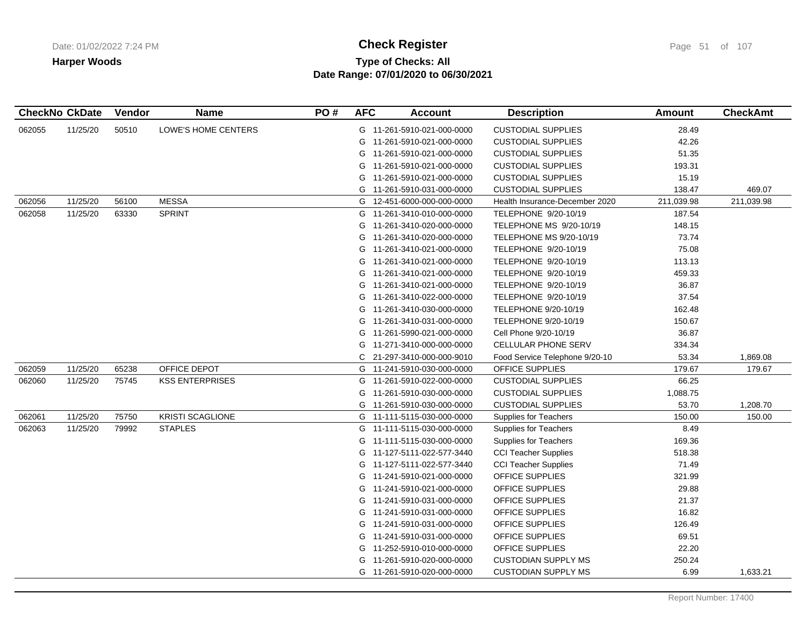# **Type of Checks: All Check Register Check Register Check Register Page 51 of 107 Date Range: 07/01/2020 to 06/30/2021**

|        | <b>CheckNo CkDate</b> | Vendor | <b>Name</b>             | PO# | <b>AFC</b> | <b>Account</b>             | <b>Description</b>             | <b>Amount</b> | <b>CheckAmt</b> |
|--------|-----------------------|--------|-------------------------|-----|------------|----------------------------|--------------------------------|---------------|-----------------|
| 062055 | 11/25/20              | 50510  | LOWE'S HOME CENTERS     |     |            | G 11-261-5910-021-000-0000 | <b>CUSTODIAL SUPPLIES</b>      | 28.49         |                 |
|        |                       |        |                         |     | G          | 11-261-5910-021-000-0000   | <b>CUSTODIAL SUPPLIES</b>      | 42.26         |                 |
|        |                       |        |                         |     |            | G 11-261-5910-021-000-0000 | <b>CUSTODIAL SUPPLIES</b>      | 51.35         |                 |
|        |                       |        |                         |     | G          | 11-261-5910-021-000-0000   | <b>CUSTODIAL SUPPLIES</b>      | 193.31        |                 |
|        |                       |        |                         |     | G          | 11-261-5910-021-000-0000   | <b>CUSTODIAL SUPPLIES</b>      | 15.19         |                 |
|        |                       |        |                         |     | G          | 11-261-5910-031-000-0000   | <b>CUSTODIAL SUPPLIES</b>      | 138.47        | 469.07          |
| 062056 | 11/25/20              | 56100  | <b>MESSA</b>            |     |            | G 12-451-6000-000-000-0000 | Health Insurance-December 2020 | 211,039.98    | 211,039.98      |
| 062058 | 11/25/20              | 63330  | <b>SPRINT</b>           |     |            | G 11-261-3410-010-000-0000 | TELEPHONE 9/20-10/19           | 187.54        |                 |
|        |                       |        |                         |     | G          | 11-261-3410-020-000-0000   | TELEPHONE MS 9/20-10/19        | 148.15        |                 |
|        |                       |        |                         |     | G          | 11-261-3410-020-000-0000   | <b>TELEPHONE MS 9/20-10/19</b> | 73.74         |                 |
|        |                       |        |                         |     |            | G 11-261-3410-021-000-0000 | TELEPHONE 9/20-10/19           | 75.08         |                 |
|        |                       |        |                         |     | G          | 11-261-3410-021-000-0000   | TELEPHONE 9/20-10/19           | 113.13        |                 |
|        |                       |        |                         |     | G          | 11-261-3410-021-000-0000   | TELEPHONE 9/20-10/19           | 459.33        |                 |
|        |                       |        |                         |     | G          | 11-261-3410-021-000-0000   | TELEPHONE 9/20-10/19           | 36.87         |                 |
|        |                       |        |                         |     |            | G 11-261-3410-022-000-0000 | TELEPHONE 9/20-10/19           | 37.54         |                 |
|        |                       |        |                         |     | G          | 11-261-3410-030-000-0000   | TELEPHONE 9/20-10/19           | 162.48        |                 |
|        |                       |        |                         |     | G          | 11-261-3410-031-000-0000   | TELEPHONE 9/20-10/19           | 150.67        |                 |
|        |                       |        |                         |     | G          | 11-261-5990-021-000-0000   | Cell Phone 9/20-10/19          | 36.87         |                 |
|        |                       |        |                         |     |            | G 11-271-3410-000-000-0000 | <b>CELLULAR PHONE SERV</b>     | 334.34        |                 |
|        |                       |        |                         |     | C          | 21-297-3410-000-000-9010   | Food Service Telephone 9/20-10 | 53.34         | 1,869.08        |
| 062059 | 11/25/20              | 65238  | OFFICE DEPOT            |     |            | G 11-241-5910-030-000-0000 | OFFICE SUPPLIES                | 179.67        | 179.67          |
| 062060 | 11/25/20              | 75745  | <b>KSS ENTERPRISES</b>  |     |            | G 11-261-5910-022-000-0000 | <b>CUSTODIAL SUPPLIES</b>      | 66.25         |                 |
|        |                       |        |                         |     |            | G 11-261-5910-030-000-0000 | <b>CUSTODIAL SUPPLIES</b>      | 1,088.75      |                 |
|        |                       |        |                         |     | G          | 11-261-5910-030-000-0000   | <b>CUSTODIAL SUPPLIES</b>      | 53.70         | 1,208.70        |
| 062061 | 11/25/20              | 75750  | <b>KRISTI SCAGLIONE</b> |     |            | G 11-111-5115-030-000-0000 | <b>Supplies for Teachers</b>   | 150.00        | 150.00          |
| 062063 | 11/25/20              | 79992  | <b>STAPLES</b>          |     |            | G 11-111-5115-030-000-0000 | <b>Supplies for Teachers</b>   | 8.49          |                 |
|        |                       |        |                         |     |            | G 11-111-5115-030-000-0000 | <b>Supplies for Teachers</b>   | 169.36        |                 |
|        |                       |        |                         |     | G          | 11-127-5111-022-577-3440   | <b>CCI Teacher Supplies</b>    | 518.38        |                 |
|        |                       |        |                         |     | G          | 11-127-5111-022-577-3440   | <b>CCI Teacher Supplies</b>    | 71.49         |                 |
|        |                       |        |                         |     |            | G 11-241-5910-021-000-0000 | OFFICE SUPPLIES                | 321.99        |                 |
|        |                       |        |                         |     |            | G 11-241-5910-021-000-0000 | OFFICE SUPPLIES                | 29.88         |                 |
|        |                       |        |                         |     | G          | 11-241-5910-031-000-0000   | OFFICE SUPPLIES                | 21.37         |                 |
|        |                       |        |                         |     | G          | 11-241-5910-031-000-0000   | OFFICE SUPPLIES                | 16.82         |                 |
|        |                       |        |                         |     |            | G 11-241-5910-031-000-0000 | OFFICE SUPPLIES                | 126.49        |                 |
|        |                       |        |                         |     |            | G 11-241-5910-031-000-0000 | OFFICE SUPPLIES                | 69.51         |                 |
|        |                       |        |                         |     | G          | 11-252-5910-010-000-0000   | OFFICE SUPPLIES                | 22.20         |                 |
|        |                       |        |                         |     | G          | 11-261-5910-020-000-0000   | <b>CUSTODIAN SUPPLY MS</b>     | 250.24        |                 |
|        |                       |        |                         |     |            | G 11-261-5910-020-000-0000 | <b>CUSTODIAN SUPPLY MS</b>     | 6.99          | 1,633.21        |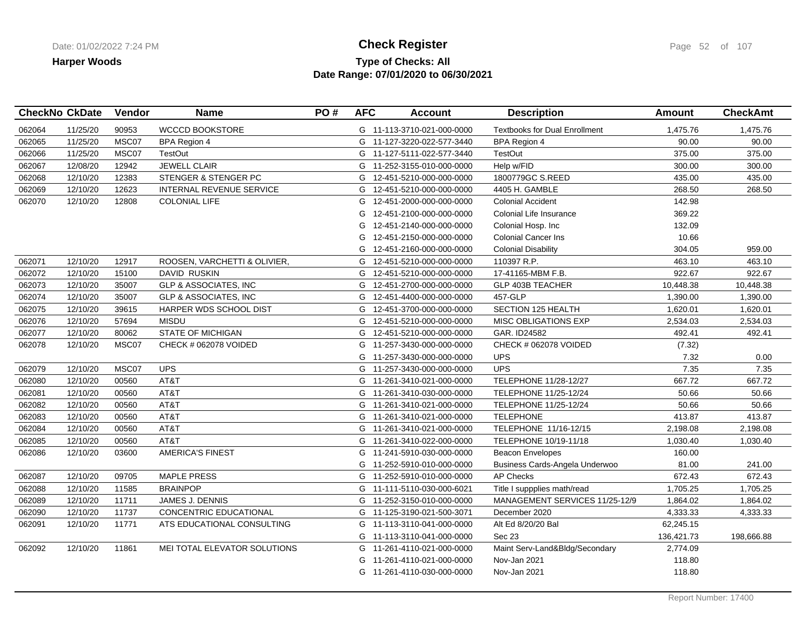## **Type of Checks: All Check Register Check Register Check Register Page 52 of 107 Date Range: 07/01/2020 to 06/30/2021**

|        | <b>CheckNo CkDate</b> | Vendor | <b>Name</b>                      | PO# | <b>AFC</b> | <b>Account</b>             | <b>Description</b>                   | <b>Amount</b> | <b>CheckAmt</b> |
|--------|-----------------------|--------|----------------------------------|-----|------------|----------------------------|--------------------------------------|---------------|-----------------|
| 062064 | 11/25/20              | 90953  | <b>WCCCD BOOKSTORE</b>           |     |            | G 11-113-3710-021-000-0000 | <b>Textbooks for Dual Enrollment</b> | 1,475.76      | 1,475.76        |
| 062065 | 11/25/20              | MSC07  | <b>BPA Region 4</b>              |     |            | G 11-127-3220-022-577-3440 | <b>BPA Region 4</b>                  | 90.00         | 90.00           |
| 062066 | 11/25/20              | MSC07  | <b>TestOut</b>                   |     |            | G 11-127-5111-022-577-3440 | <b>TestOut</b>                       | 375.00        | 375.00          |
| 062067 | 12/08/20              | 12942  | <b>JEWELL CLAIR</b>              |     |            | G 11-252-3155-010-000-0000 | Help w/FID                           | 300.00        | 300.00          |
| 062068 | 12/10/20              | 12383  | STENGER & STENGER PC             |     |            | G 12-451-5210-000-000-0000 | 1800779GC S.REED                     | 435.00        | 435.00          |
| 062069 | 12/10/20              | 12623  | <b>INTERNAL REVENUE SERVICE</b>  |     |            | G 12-451-5210-000-000-0000 | 4405 H. GAMBLE                       | 268.50        | 268.50          |
| 062070 | 12/10/20              | 12808  | <b>COLONIAL LIFE</b>             |     | G          | 12-451-2000-000-000-0000   | <b>Colonial Accident</b>             | 142.98        |                 |
|        |                       |        |                                  |     | G          | 12-451-2100-000-000-0000   | Colonial Life Insurance              | 369.22        |                 |
|        |                       |        |                                  |     | G          | 12-451-2140-000-000-0000   | Colonial Hosp. Inc                   | 132.09        |                 |
|        |                       |        |                                  |     | G          | 12-451-2150-000-000-0000   | <b>Colonial Cancer Ins</b>           | 10.66         |                 |
|        |                       |        |                                  |     | G          | 12-451-2160-000-000-0000   | <b>Colonial Disability</b>           | 304.05        | 959.00          |
| 062071 | 12/10/20              | 12917  | ROOSEN, VARCHETTI & OLIVIER,     |     | G          | 12-451-5210-000-000-0000   | 110397 R.P.                          | 463.10        | 463.10          |
| 062072 | 12/10/20              | 15100  | <b>DAVID RUSKIN</b>              |     | G          | 12-451-5210-000-000-0000   | 17-41165-MBM F.B.                    | 922.67        | 922.67          |
| 062073 | 12/10/20              | 35007  | <b>GLP &amp; ASSOCIATES, INC</b> |     |            | G 12-451-2700-000-000-0000 | GLP 403B TEACHER                     | 10,448.38     | 10,448.38       |
| 062074 | 12/10/20              | 35007  | <b>GLP &amp; ASSOCIATES, INC</b> |     | G          | 12-451-4400-000-000-0000   | 457-GLP                              | 1,390.00      | 1,390.00        |
| 062075 | 12/10/20              | 39615  | HARPER WDS SCHOOL DIST           |     | G          | 12-451-3700-000-000-0000   | SECTION 125 HEALTH                   | 1,620.01      | 1,620.01        |
| 062076 | 12/10/20              | 57694  | <b>MISDU</b>                     |     |            | G 12-451-5210-000-000-0000 | <b>MISC OBLIGATIONS EXP</b>          | 2,534.03      | 2,534.03        |
| 062077 | 12/10/20              | 80062  | <b>STATE OF MICHIGAN</b>         |     |            | G 12-451-5210-000-000-0000 | GAR. ID24582                         | 492.41        | 492.41          |
| 062078 | 12/10/20              | MSC07  | CHECK # 062078 VOIDED            |     |            | G 11-257-3430-000-000-0000 | CHECK # 062078 VOIDED                | (7.32)        |                 |
|        |                       |        |                                  |     | G          | 11-257-3430-000-000-0000   | <b>UPS</b>                           | 7.32          | 0.00            |
| 062079 | 12/10/20              | MSC07  | <b>UPS</b>                       |     |            | G 11-257-3430-000-000-0000 | <b>UPS</b>                           | 7.35          | 7.35            |
| 062080 | 12/10/20              | 00560  | AT&T                             |     |            | G 11-261-3410-021-000-0000 | TELEPHONE 11/28-12/27                | 667.72        | 667.72          |
| 062081 | 12/10/20              | 00560  | AT&T                             |     |            | G 11-261-3410-030-000-0000 | TELEPHONE 11/25-12/24                | 50.66         | 50.66           |
| 062082 | 12/10/20              | 00560  | AT&T                             |     |            | G 11-261-3410-021-000-0000 | TELEPHONE 11/25-12/24                | 50.66         | 50.66           |
| 062083 | 12/10/20              | 00560  | AT&T                             |     |            | G 11-261-3410-021-000-0000 | <b>TELEPHONE</b>                     | 413.87        | 413.87          |
| 062084 | 12/10/20              | 00560  | AT&T                             |     |            | G 11-261-3410-021-000-0000 | TELEPHONE 11/16-12/15                | 2,198.08      | 2,198.08        |
| 062085 | 12/10/20              | 00560  | AT&T                             |     | G          | 11-261-3410-022-000-0000   | TELEPHONE 10/19-11/18                | 1,030.40      | 1,030.40        |
| 062086 | 12/10/20              | 03600  | <b>AMERICA'S FINEST</b>          |     | G          | 11-241-5910-030-000-0000   | <b>Beacon Envelopes</b>              | 160.00        |                 |
|        |                       |        |                                  |     | G          | 11-252-5910-010-000-0000   | Business Cards-Angela Underwoo       | 81.00         | 241.00          |
| 062087 | 12/10/20              | 09705  | <b>MAPLE PRESS</b>               |     | G          | 11-252-5910-010-000-0000   | <b>AP Checks</b>                     | 672.43        | 672.43          |
| 062088 | 12/10/20              | 11585  | <b>BRAINPOP</b>                  |     |            | G 11-111-5110-030-000-6021 | Title I suppplies math/read          | 1,705.25      | 1,705.25        |
| 062089 | 12/10/20              | 11711  | JAMES J. DENNIS                  |     |            | G 11-252-3150-010-000-0000 | MANAGEMENT SERVICES 11/25-12/9       | 1,864.02      | 1,864.02        |
| 062090 | 12/10/20              | 11737  | CONCENTRIC EDUCATIONAL           |     | G          | 11-125-3190-021-500-3071   | December 2020                        | 4,333.33      | 4,333.33        |
| 062091 | 12/10/20              | 11771  | ATS EDUCATIONAL CONSULTING       |     |            | G 11-113-3110-041-000-0000 | Alt Ed 8/20/20 Bal                   | 62,245.15     |                 |
|        |                       |        |                                  |     | G          | 11-113-3110-041-000-0000   | Sec 23                               | 136,421.73    | 198,666.88      |
| 062092 | 12/10/20              | 11861  | MEI TOTAL ELEVATOR SOLUTIONS     |     | G          | 11-261-4110-021-000-0000   | Maint Serv-Land&Bldg/Secondary       | 2,774.09      |                 |
|        |                       |        |                                  |     | G          | 11-261-4110-021-000-0000   | Nov-Jan 2021                         | 118.80        |                 |
|        |                       |        |                                  |     |            | G 11-261-4110-030-000-0000 | Nov-Jan 2021                         | 118.80        |                 |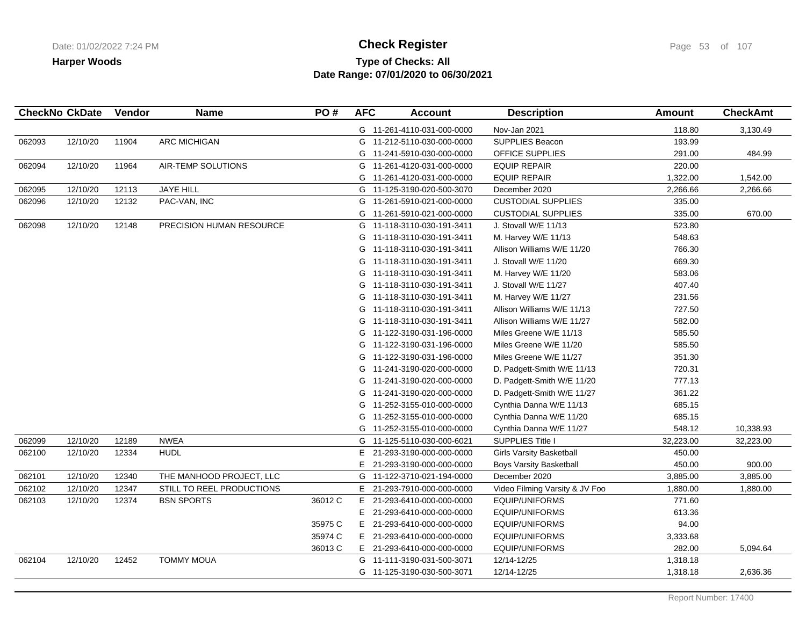## **Type of Checks: All Check Register Check Register Check Register Page 53 of 107 Date Range: 07/01/2020 to 06/30/2021**

| 062093<br>062094 | 12/10/20<br>12/10/20<br>12/10/20<br>12/10/20<br>12/10/20 | 11904<br>11964<br>12113<br>12132 | <b>ARC MICHIGAN</b><br>AIR-TEMP SOLUTIONS<br>JAYE HILL<br>PAC-VAN, INC |         | G<br>G | G 11-261-4110-031-000-0000<br>G 11-212-5110-030-000-0000<br>11-241-5910-030-000-0000<br>G 11-261-4120-031-000-0000 | Nov-Jan 2021<br><b>SUPPLIES Beacon</b><br><b>OFFICE SUPPLIES</b><br><b>EQUIP REPAIR</b> | 118.80<br>193.99<br>291.00<br>220.00 | 3,130.49<br>484.99 |
|------------------|----------------------------------------------------------|----------------------------------|------------------------------------------------------------------------|---------|--------|--------------------------------------------------------------------------------------------------------------------|-----------------------------------------------------------------------------------------|--------------------------------------|--------------------|
|                  |                                                          |                                  |                                                                        |         |        |                                                                                                                    |                                                                                         |                                      |                    |
|                  |                                                          |                                  |                                                                        |         |        |                                                                                                                    |                                                                                         |                                      |                    |
|                  |                                                          |                                  |                                                                        |         |        |                                                                                                                    |                                                                                         |                                      |                    |
|                  |                                                          |                                  |                                                                        |         |        |                                                                                                                    |                                                                                         |                                      |                    |
|                  |                                                          |                                  |                                                                        |         |        | 11-261-4120-031-000-0000                                                                                           | <b>EQUIP REPAIR</b>                                                                     | 1,322.00                             | 1,542.00           |
| 062095           |                                                          |                                  |                                                                        |         |        | G 11-125-3190-020-500-3070                                                                                         | December 2020                                                                           | 2,266.66                             | 2,266.66           |
| 062096           |                                                          |                                  |                                                                        |         |        | G 11-261-5910-021-000-0000                                                                                         | <b>CUSTODIAL SUPPLIES</b>                                                               | 335.00                               |                    |
|                  |                                                          |                                  |                                                                        |         | G      | 11-261-5910-021-000-0000                                                                                           | <b>CUSTODIAL SUPPLIES</b>                                                               | 335.00                               | 670.00             |
| 062098           |                                                          | 12148                            | PRECISION HUMAN RESOURCE                                               |         |        | G 11-118-3110-030-191-3411                                                                                         | J. Stovall W/E 11/13                                                                    | 523.80                               |                    |
|                  |                                                          |                                  |                                                                        |         |        | G 11-118-3110-030-191-3411                                                                                         | M. Harvey W/E 11/13                                                                     | 548.63                               |                    |
|                  |                                                          |                                  |                                                                        |         | G      | 11-118-3110-030-191-3411                                                                                           | Allison Williams W/E 11/20                                                              | 766.30                               |                    |
|                  |                                                          |                                  |                                                                        |         | G      | 11-118-3110-030-191-3411                                                                                           | J. Stovall W/E 11/20                                                                    | 669.30                               |                    |
|                  |                                                          |                                  |                                                                        |         | G      | 11-118-3110-030-191-3411                                                                                           | M. Harvey W/E 11/20                                                                     | 583.06                               |                    |
|                  |                                                          |                                  |                                                                        |         | G      | 11-118-3110-030-191-3411                                                                                           | J. Stovall W/E 11/27                                                                    | 407.40                               |                    |
|                  |                                                          |                                  |                                                                        |         | G      | 11-118-3110-030-191-3411                                                                                           | M. Harvey W/E 11/27                                                                     | 231.56                               |                    |
|                  |                                                          |                                  |                                                                        |         | G      | 11-118-3110-030-191-3411                                                                                           | Allison Williams W/E 11/13                                                              | 727.50                               |                    |
|                  |                                                          |                                  |                                                                        |         | G      | 11-118-3110-030-191-3411                                                                                           | Allison Williams W/E 11/27                                                              | 582.00                               |                    |
|                  |                                                          |                                  |                                                                        |         | G      | 11-122-3190-031-196-0000                                                                                           | Miles Greene W/E 11/13                                                                  | 585.50                               |                    |
|                  |                                                          |                                  |                                                                        |         | G      | 11-122-3190-031-196-0000                                                                                           | Miles Greene W/E 11/20                                                                  | 585.50                               |                    |
|                  |                                                          |                                  |                                                                        |         | G      | 11-122-3190-031-196-0000                                                                                           | Miles Greene W/E 11/27                                                                  | 351.30                               |                    |
|                  |                                                          |                                  |                                                                        |         | G      | 11-241-3190-020-000-0000                                                                                           | D. Padgett-Smith W/E 11/13                                                              | 720.31                               |                    |
|                  |                                                          |                                  |                                                                        |         | G      | 11-241-3190-020-000-0000                                                                                           | D. Padgett-Smith W/E 11/20                                                              | 777.13                               |                    |
|                  |                                                          |                                  |                                                                        |         | G      | 11-241-3190-020-000-0000                                                                                           | D. Padgett-Smith W/E 11/27                                                              | 361.22                               |                    |
|                  |                                                          |                                  |                                                                        |         | G      | 11-252-3155-010-000-0000                                                                                           | Cynthia Danna W/E 11/13                                                                 | 685.15                               |                    |
|                  |                                                          |                                  |                                                                        |         | G      | 11-252-3155-010-000-0000                                                                                           | Cynthia Danna W/E 11/20                                                                 | 685.15                               |                    |
|                  |                                                          |                                  |                                                                        |         | G      | 11-252-3155-010-000-0000                                                                                           | Cynthia Danna W/E 11/27                                                                 | 548.12                               | 10,338.93          |
| 062099           | 12/10/20                                                 | 12189                            | <b>NWEA</b>                                                            |         | G      | 11-125-5110-030-000-6021                                                                                           | <b>SUPPLIES Title I</b>                                                                 | 32,223.00                            | 32,223.00          |
| 062100           | 12/10/20                                                 | 12334                            | <b>HUDL</b>                                                            |         | E.     | 21-293-3190-000-000-0000                                                                                           | <b>Girls Varsity Basketball</b>                                                         | 450.00                               |                    |
|                  |                                                          |                                  |                                                                        |         | E.     | 21-293-3190-000-000-0000                                                                                           | <b>Boys Varsity Basketball</b>                                                          | 450.00                               | 900.00             |
| 062101           | 12/10/20                                                 | 12340                            | THE MANHOOD PROJECT, LLC                                               |         |        | G 11-122-3710-021-194-0000                                                                                         | December 2020                                                                           | 3,885.00                             | 3,885.00           |
| 062102           | 12/10/20                                                 | 12347                            | STILL TO REEL PRODUCTIONS                                              |         | Е.     | 21-293-7910-000-000-0000                                                                                           | Video Filming Varsity & JV Foo                                                          | 1,880.00                             | 1,880.00           |
| 062103           | 12/10/20                                                 | 12374                            | <b>BSN SPORTS</b>                                                      | 36012 C | E.     | 21-293-6410-000-000-0000                                                                                           | <b>EQUIP/UNIFORMS</b>                                                                   | 771.60                               |                    |
|                  |                                                          |                                  |                                                                        |         | E.     | 21-293-6410-000-000-0000                                                                                           | EQUIP/UNIFORMS                                                                          | 613.36                               |                    |
|                  |                                                          |                                  |                                                                        | 35975 C |        | E 21-293-6410-000-000-0000                                                                                         | EQUIP/UNIFORMS                                                                          | 94.00                                |                    |
|                  |                                                          |                                  |                                                                        | 35974 C | E.     | 21-293-6410-000-000-0000                                                                                           | EQUIP/UNIFORMS                                                                          | 3,333.68                             |                    |
|                  |                                                          |                                  |                                                                        | 36013 C | E.     | 21-293-6410-000-000-0000                                                                                           | EQUIP/UNIFORMS                                                                          | 282.00                               | 5,094.64           |
| 062104           | 12/10/20                                                 | 12452                            | <b>TOMMY MOUA</b>                                                      |         |        | G 11-111-3190-031-500-3071                                                                                         | 12/14-12/25                                                                             | 1,318.18                             |                    |
|                  |                                                          |                                  |                                                                        |         |        | G 11-125-3190-030-500-3071                                                                                         | 12/14-12/25                                                                             | 1,318.18                             | 2,636.36           |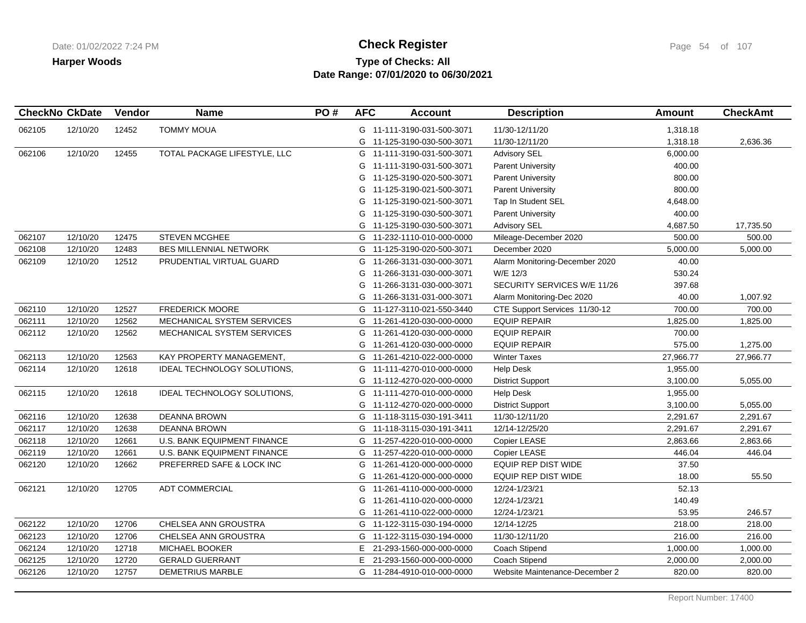# **Type of Checks: All Check Register Check Register Check Register Page 54 of 107 Date Range: 07/01/2020 to 06/30/2021**

|        | <b>CheckNo CkDate</b> | Vendor | <b>Name</b>                        | PO# | <b>AFC</b> | <b>Account</b>             | <b>Description</b>             | Amount    | <b>CheckAmt</b> |
|--------|-----------------------|--------|------------------------------------|-----|------------|----------------------------|--------------------------------|-----------|-----------------|
| 062105 | 12/10/20              | 12452  | <b>TOMMY MOUA</b>                  |     |            | G 11-111-3190-031-500-3071 | 11/30-12/11/20                 | 1,318.18  |                 |
|        |                       |        |                                    |     |            | G 11-125-3190-030-500-3071 | 11/30-12/11/20                 | 1,318.18  | 2,636.36        |
| 062106 | 12/10/20              | 12455  | TOTAL PACKAGE LIFESTYLE, LLC       |     |            | G 11-111-3190-031-500-3071 | <b>Advisory SEL</b>            | 6,000.00  |                 |
|        |                       |        |                                    |     |            | G 11-111-3190-031-500-3071 | <b>Parent University</b>       | 400.00    |                 |
|        |                       |        |                                    |     |            | G 11-125-3190-020-500-3071 | <b>Parent University</b>       | 800.00    |                 |
|        |                       |        |                                    |     |            | G 11-125-3190-021-500-3071 | <b>Parent University</b>       | 800.00    |                 |
|        |                       |        |                                    |     |            | G 11-125-3190-021-500-3071 | Tap In Student SEL             | 4,648.00  |                 |
|        |                       |        |                                    |     |            | G 11-125-3190-030-500-3071 | <b>Parent University</b>       | 400.00    |                 |
|        |                       |        |                                    |     |            | G 11-125-3190-030-500-3071 | <b>Advisory SEL</b>            | 4,687.50  | 17,735.50       |
| 062107 | 12/10/20              | 12475  | <b>STEVEN MCGHEE</b>               |     |            | G 11-232-1110-010-000-0000 | Mileage-December 2020          | 500.00    | 500.00          |
| 062108 | 12/10/20              | 12483  | BES MILLENNIAL NETWORK             |     |            | G 11-125-3190-020-500-3071 | December 2020                  | 5,000.00  | 5,000.00        |
| 062109 | 12/10/20              | 12512  | PRUDENTIAL VIRTUAL GUARD           |     |            | G 11-266-3131-030-000-3071 | Alarm Monitoring-December 2020 | 40.00     |                 |
|        |                       |        |                                    |     | G          | 11-266-3131-030-000-3071   | W/E 12/3                       | 530.24    |                 |
|        |                       |        |                                    |     | G          | 11-266-3131-030-000-3071   | SECURITY SERVICES W/E 11/26    | 397.68    |                 |
|        |                       |        |                                    |     |            | G 11-266-3131-031-000-3071 | Alarm Monitoring-Dec 2020      | 40.00     | 1,007.92        |
| 062110 | 12/10/20              | 12527  | <b>FREDERICK MOORE</b>             |     |            | G 11-127-3110-021-550-3440 | CTE Support Services 11/30-12  | 700.00    | 700.00          |
| 062111 | 12/10/20              | 12562  | MECHANICAL SYSTEM SERVICES         |     |            | G 11-261-4120-030-000-0000 | <b>EQUIP REPAIR</b>            | 1,825.00  | 1,825.00        |
| 062112 | 12/10/20              | 12562  | MECHANICAL SYSTEM SERVICES         |     |            | G 11-261-4120-030-000-0000 | <b>EQUIP REPAIR</b>            | 700.00    |                 |
|        |                       |        |                                    |     |            | G 11-261-4120-030-000-0000 | <b>EQUIP REPAIR</b>            | 575.00    | 1,275.00        |
| 062113 | 12/10/20              | 12563  | KAY PROPERTY MANAGEMENT,           |     |            | G 11-261-4210-022-000-0000 | <b>Winter Taxes</b>            | 27,966.77 | 27,966.77       |
| 062114 | 12/10/20              | 12618  | IDEAL TECHNOLOGY SOLUTIONS,        |     |            | G 11-111-4270-010-000-0000 | <b>Help Desk</b>               | 1,955.00  |                 |
|        |                       |        |                                    |     |            | G 11-112-4270-020-000-0000 | <b>District Support</b>        | 3,100.00  | 5,055.00        |
| 062115 | 12/10/20              | 12618  | IDEAL TECHNOLOGY SOLUTIONS,        |     |            | G 11-111-4270-010-000-0000 | <b>Help Desk</b>               | 1,955.00  |                 |
|        |                       |        |                                    |     |            | G 11-112-4270-020-000-0000 | <b>District Support</b>        | 3,100.00  | 5,055.00        |
| 062116 | 12/10/20              | 12638  | <b>DEANNA BROWN</b>                |     |            | G 11-118-3115-030-191-3411 | 11/30-12/11/20                 | 2,291.67  | 2,291.67        |
| 062117 | 12/10/20              | 12638  | <b>DEANNA BROWN</b>                |     |            | G 11-118-3115-030-191-3411 | 12/14-12/25/20                 | 2,291.67  | 2,291.67        |
| 062118 | 12/10/20              | 12661  | <b>U.S. BANK EQUIPMENT FINANCE</b> |     |            | G 11-257-4220-010-000-0000 | Copier LEASE                   | 2,863.66  | 2,863.66        |
| 062119 | 12/10/20              | 12661  | U.S. BANK EQUIPMENT FINANCE        |     |            | G 11-257-4220-010-000-0000 | Copier LEASE                   | 446.04    | 446.04          |
| 062120 | 12/10/20              | 12662  | PREFERRED SAFE & LOCK INC          |     |            | G 11-261-4120-000-000-0000 | <b>EQUIP REP DIST WIDE</b>     | 37.50     |                 |
|        |                       |        |                                    |     |            | G 11-261-4120-000-000-0000 | <b>EQUIP REP DIST WIDE</b>     | 18.00     | 55.50           |
| 062121 | 12/10/20              | 12705  | ADT COMMERCIAL                     |     |            | G 11-261-4110-000-000-0000 | 12/24-1/23/21                  | 52.13     |                 |
|        |                       |        |                                    |     |            | G 11-261-4110-020-000-0000 | 12/24-1/23/21                  | 140.49    |                 |
|        |                       |        |                                    |     |            | G 11-261-4110-022-000-0000 | 12/24-1/23/21                  | 53.95     | 246.57          |
| 062122 | 12/10/20              | 12706  | CHELSEA ANN GROUSTRA               |     |            | G 11-122-3115-030-194-0000 | 12/14-12/25                    | 218.00    | 218.00          |
| 062123 | 12/10/20              | 12706  | CHELSEA ANN GROUSTRA               |     |            | G 11-122-3115-030-194-0000 | 11/30-12/11/20                 | 216.00    | 216.00          |
| 062124 | 12/10/20              | 12718  | MICHAEL BOOKER                     |     |            | E 21-293-1560-000-000-0000 | Coach Stipend                  | 1,000.00  | 1,000.00        |
| 062125 | 12/10/20              | 12720  | <b>GERALD GUERRANT</b>             |     | E.         | 21-293-1560-000-000-0000   | Coach Stipend                  | 2,000.00  | 2,000.00        |
| 062126 | 12/10/20              | 12757  | <b>DEMETRIUS MARBLE</b>            |     |            | G 11-284-4910-010-000-0000 | Website Maintenance-December 2 | 820.00    | 820.00          |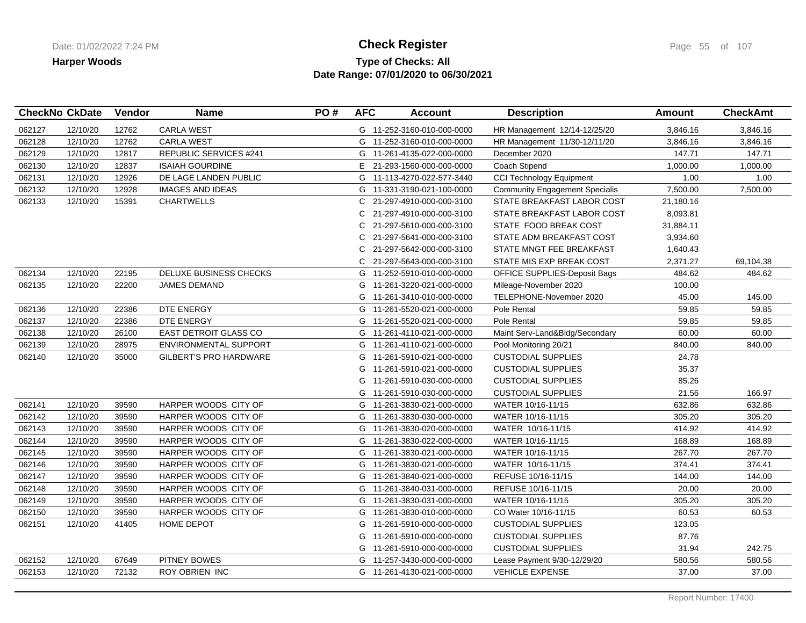## **Type of Checks: All Check Register Check Register Check Register Page 55 of 107 Date Range: 07/01/2020 to 06/30/2021**

|        | <b>CheckNo CkDate</b> | Vendor | <b>Name</b>                   | PO# | <b>AFC</b> | <b>Account</b>             | <b>Description</b>                    | <b>Amount</b> | <b>CheckAmt</b> |
|--------|-----------------------|--------|-------------------------------|-----|------------|----------------------------|---------------------------------------|---------------|-----------------|
| 062127 | 12/10/20              | 12762  | <b>CARLA WEST</b>             |     |            | G 11-252-3160-010-000-0000 | HR Management 12/14-12/25/20          | 3,846.16      | 3,846.16        |
| 062128 | 12/10/20              | 12762  | <b>CARLA WEST</b>             |     |            | G 11-252-3160-010-000-0000 | HR Management 11/30-12/11/20          | 3,846.16      | 3,846.16        |
| 062129 | 12/10/20              | 12817  | <b>REPUBLIC SERVICES #241</b> |     |            | G 11-261-4135-022-000-0000 | December 2020                         | 147.71        | 147.71          |
| 062130 | 12/10/20              | 12837  | <b>ISAIAH GOURDINE</b>        |     | E.         | 21-293-1560-000-000-0000   | Coach Stipend                         | 1,000.00      | 1,000.00        |
| 062131 | 12/10/20              | 12926  | DE LAGE LANDEN PUBLIC         |     |            | G 11-113-4270-022-577-3440 | <b>CCI Technology Equipment</b>       | 1.00          | 1.00            |
| 062132 | 12/10/20              | 12928  | <b>IMAGES AND IDEAS</b>       |     |            | G 11-331-3190-021-100-0000 | <b>Community Engagement Specialis</b> | 7,500.00      | 7,500.00        |
| 062133 | 12/10/20              | 15391  | <b>CHARTWELLS</b>             |     | C.         | 21-297-4910-000-000-3100   | STATE BREAKFAST LABOR COST            | 21,180.16     |                 |
|        |                       |        |                               |     | C.         | 21-297-4910-000-000-3100   | STATE BREAKFAST LABOR COST            | 8,093.81      |                 |
|        |                       |        |                               |     | C.         | 21-297-5610-000-000-3100   | STATE FOOD BREAK COST                 | 31,884.11     |                 |
|        |                       |        |                               |     | C.         | 21-297-5641-000-000-3100   | STATE ADM BREAKFAST COST              | 3,934.60      |                 |
|        |                       |        |                               |     | C.         | 21-297-5642-000-000-3100   | STATE MNGT FEE BREAKFAST              | 1,640.43      |                 |
|        |                       |        |                               |     | C.         | 21-297-5643-000-000-3100   | STATE MIS EXP BREAK COST              | 2,371.27      | 69,104.38       |
| 062134 | 12/10/20              | 22195  | DELUXE BUSINESS CHECKS        |     |            | G 11-252-5910-010-000-0000 | OFFICE SUPPLIES-Deposit Bags          | 484.62        | 484.62          |
| 062135 | 12/10/20              | 22200  | <b>JAMES DEMAND</b>           |     |            | G 11-261-3220-021-000-0000 | Mileage-November 2020                 | 100.00        |                 |
|        |                       |        |                               |     |            | G 11-261-3410-010-000-0000 | TELEPHONE-November 2020               | 45.00         | 145.00          |
| 062136 | 12/10/20              | 22386  | DTE ENERGY                    |     |            | G 11-261-5520-021-000-0000 | Pole Rental                           | 59.85         | 59.85           |
| 062137 | 12/10/20              | 22386  | DTE ENERGY                    |     |            | G 11-261-5520-021-000-0000 | Pole Rental                           | 59.85         | 59.85           |
| 062138 | 12/10/20              | 26100  | <b>EAST DETROIT GLASS CO</b>  |     |            | G 11-261-4110-021-000-0000 | Maint Serv-Land&Bldg/Secondary        | 60.00         | 60.00           |
| 062139 | 12/10/20              | 28975  | ENVIRONMENTAL SUPPORT         |     |            | G 11-261-4110-021-000-0000 | Pool Monitoring 20/21                 | 840.00        | 840.00          |
| 062140 | 12/10/20              | 35000  | <b>GILBERT'S PRO HARDWARE</b> |     |            | G 11-261-5910-021-000-0000 | <b>CUSTODIAL SUPPLIES</b>             | 24.78         |                 |
|        |                       |        |                               |     | G          | 11-261-5910-021-000-0000   | <b>CUSTODIAL SUPPLIES</b>             | 35.37         |                 |
|        |                       |        |                               |     | G          | 11-261-5910-030-000-0000   | <b>CUSTODIAL SUPPLIES</b>             | 85.26         |                 |
|        |                       |        |                               |     |            | G 11-261-5910-030-000-0000 | <b>CUSTODIAL SUPPLIES</b>             | 21.56         | 166.97          |
| 062141 | 12/10/20              | 39590  | HARPER WOODS CITY OF          |     |            | G 11-261-3830-021-000-0000 | WATER 10/16-11/15                     | 632.86        | 632.86          |
| 062142 | 12/10/20              | 39590  | HARPER WOODS CITY OF          |     |            | G 11-261-3830-030-000-0000 | WATER 10/16-11/15                     | 305.20        | 305.20          |
| 062143 | 12/10/20              | 39590  | HARPER WOODS CITY OF          |     |            | G 11-261-3830-020-000-0000 | WATER 10/16-11/15                     | 414.92        | 414.92          |
| 062144 | 12/10/20              | 39590  | HARPER WOODS CITY OF          |     |            | G 11-261-3830-022-000-0000 | WATER 10/16-11/15                     | 168.89        | 168.89          |
| 062145 | 12/10/20              | 39590  | HARPER WOODS CITY OF          |     |            | G 11-261-3830-021-000-0000 | WATER 10/16-11/15                     | 267.70        | 267.70          |
| 062146 | 12/10/20              | 39590  | HARPER WOODS CITY OF          |     |            | G 11-261-3830-021-000-0000 | WATER 10/16-11/15                     | 374.41        | 374.41          |
| 062147 | 12/10/20              | 39590  | HARPER WOODS CITY OF          |     |            | G 11-261-3840-021-000-0000 | REFUSE 10/16-11/15                    | 144.00        | 144.00          |
| 062148 | 12/10/20              | 39590  | HARPER WOODS CITY OF          |     |            | G 11-261-3840-031-000-0000 | REFUSE 10/16-11/15                    | 20.00         | 20.00           |
| 062149 | 12/10/20              | 39590  | HARPER WOODS CITY OF          |     |            | G 11-261-3830-031-000-0000 | WATER 10/16-11/15                     | 305.20        | 305.20          |
| 062150 | 12/10/20              | 39590  | HARPER WOODS CITY OF          |     |            | G 11-261-3830-010-000-0000 | CO Water 10/16-11/15                  | 60.53         | 60.53           |
| 062151 | 12/10/20              | 41405  | <b>HOME DEPOT</b>             |     |            | G 11-261-5910-000-000-0000 | <b>CUSTODIAL SUPPLIES</b>             | 123.05        |                 |
|        |                       |        |                               |     | G          | 11-261-5910-000-000-0000   | <b>CUSTODIAL SUPPLIES</b>             | 87.76         |                 |
|        |                       |        |                               |     |            | G 11-261-5910-000-000-0000 | <b>CUSTODIAL SUPPLIES</b>             | 31.94         | 242.75          |
| 062152 | 12/10/20              | 67649  | <b>PITNEY BOWES</b>           |     |            | G 11-257-3430-000-000-0000 | Lease Payment 9/30-12/29/20           | 580.56        | 580.56          |
| 062153 | 12/10/20              | 72132  | <b>ROY OBRIEN INC</b>         |     |            | G 11-261-4130-021-000-0000 | <b>VEHICLE EXPENSE</b>                | 37.00         | 37.00           |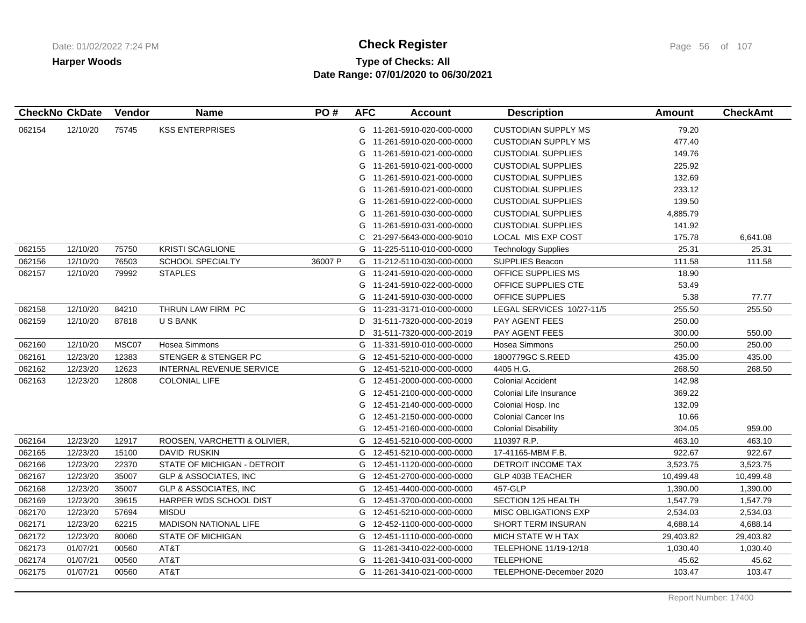# **Type of Checks: All Check Register Check Register Check Register Page 56 of 107 Date Range: 07/01/2020 to 06/30/2021**

| <b>CheckNo CkDate</b> |          | Vendor | <b>Name</b>                      | PO#     | <b>AFC</b> | <b>Account</b>             | <b>Description</b>         | Amount    | <b>CheckAmt</b> |
|-----------------------|----------|--------|----------------------------------|---------|------------|----------------------------|----------------------------|-----------|-----------------|
| 062154                | 12/10/20 | 75745  | <b>KSS ENTERPRISES</b>           |         |            | G 11-261-5910-020-000-0000 | <b>CUSTODIAN SUPPLY MS</b> | 79.20     |                 |
|                       |          |        |                                  |         |            | G 11-261-5910-020-000-0000 | <b>CUSTODIAN SUPPLY MS</b> | 477.40    |                 |
|                       |          |        |                                  |         | G          | 11-261-5910-021-000-0000   | <b>CUSTODIAL SUPPLIES</b>  | 149.76    |                 |
|                       |          |        |                                  |         | G          | 11-261-5910-021-000-0000   | <b>CUSTODIAL SUPPLIES</b>  | 225.92    |                 |
|                       |          |        |                                  |         | G          | 11-261-5910-021-000-0000   | <b>CUSTODIAL SUPPLIES</b>  | 132.69    |                 |
|                       |          |        |                                  |         | G          | 11-261-5910-021-000-0000   | <b>CUSTODIAL SUPPLIES</b>  | 233.12    |                 |
|                       |          |        |                                  |         |            | G 11-261-5910-022-000-0000 | <b>CUSTODIAL SUPPLIES</b>  | 139.50    |                 |
|                       |          |        |                                  |         |            | G 11-261-5910-030-000-0000 | <b>CUSTODIAL SUPPLIES</b>  | 4,885.79  |                 |
|                       |          |        |                                  |         |            | G 11-261-5910-031-000-0000 | <b>CUSTODIAL SUPPLIES</b>  | 141.92    |                 |
|                       |          |        |                                  |         | C.         | 21-297-5643-000-000-9010   | LOCAL MIS EXP COST         | 175.78    | 6,641.08        |
| 062155                | 12/10/20 | 75750  | <b>KRISTI SCAGLIONE</b>          |         |            | G 11-225-5110-010-000-0000 | <b>Technology Supplies</b> | 25.31     | 25.31           |
| 062156                | 12/10/20 | 76503  | <b>SCHOOL SPECIALTY</b>          | 36007 P | G          | 11-212-5110-030-000-0000   | <b>SUPPLIES Beacon</b>     | 111.58    | 111.58          |
| 062157                | 12/10/20 | 79992  | <b>STAPLES</b>                   |         |            | G 11-241-5910-020-000-0000 | OFFICE SUPPLIES MS         | 18.90     |                 |
|                       |          |        |                                  |         | G          | 11-241-5910-022-000-0000   | OFFICE SUPPLIES CTE        | 53.49     |                 |
|                       |          |        |                                  |         |            | G 11-241-5910-030-000-0000 | <b>OFFICE SUPPLIES</b>     | 5.38      | 77.77           |
| 062158                | 12/10/20 | 84210  | THRUN LAW FIRM PC                |         |            | G 11-231-3171-010-000-0000 | LEGAL SERVICES 10/27-11/5  | 255.50    | 255.50          |
| 062159                | 12/10/20 | 87818  | U S BANK                         |         | D          | 31-511-7320-000-000-2019   | <b>PAY AGENT FEES</b>      | 250.00    |                 |
|                       |          |        |                                  |         | D          | 31-511-7320-000-000-2019   | PAY AGENT FEES             | 300.00    | 550.00          |
| 062160                | 12/10/20 | MSC07  | Hosea Simmons                    |         |            | G 11-331-5910-010-000-0000 | Hosea Simmons              | 250.00    | 250.00          |
| 062161                | 12/23/20 | 12383  | STENGER & STENGER PC             |         |            | G 12-451-5210-000-000-0000 | 1800779GC S.REED           | 435.00    | 435.00          |
| 062162                | 12/23/20 | 12623  | INTERNAL REVENUE SERVICE         |         |            | G 12-451-5210-000-000-0000 | 4405 H.G.                  | 268.50    | 268.50          |
| 062163                | 12/23/20 | 12808  | <b>COLONIAL LIFE</b>             |         | G          | 12-451-2000-000-000-0000   | <b>Colonial Accident</b>   | 142.98    |                 |
|                       |          |        |                                  |         | G          | 12-451-2100-000-000-0000   | Colonial Life Insurance    | 369.22    |                 |
|                       |          |        |                                  |         | G          | 12-451-2140-000-000-0000   | Colonial Hosp. Inc         | 132.09    |                 |
|                       |          |        |                                  |         | G          | 12-451-2150-000-000-0000   | <b>Colonial Cancer Ins</b> | 10.66     |                 |
|                       |          |        |                                  |         | G          | 12-451-2160-000-000-0000   | <b>Colonial Disability</b> | 304.05    | 959.00          |
| 062164                | 12/23/20 | 12917  | ROOSEN, VARCHETTI & OLIVIER,     |         | G          | 12-451-5210-000-000-0000   | 110397 R.P.                | 463.10    | 463.10          |
| 062165                | 12/23/20 | 15100  | DAVID RUSKIN                     |         |            | G 12-451-5210-000-000-0000 | 17-41165-MBM F.B.          | 922.67    | 922.67          |
| 062166                | 12/23/20 | 22370  | STATE OF MICHIGAN - DETROIT      |         | G          | 12-451-1120-000-000-0000   | DETROIT INCOME TAX         | 3,523.75  | 3,523.75        |
| 062167                | 12/23/20 | 35007  | <b>GLP &amp; ASSOCIATES, INC</b> |         |            | G 12-451-2700-000-000-0000 | GLP 403B TEACHER           | 10,499.48 | 10,499.48       |
| 062168                | 12/23/20 | 35007  | <b>GLP &amp; ASSOCIATES, INC</b> |         | G          | 12-451-4400-000-000-0000   | 457-GLP                    | 1,390.00  | 1,390.00        |
| 062169                | 12/23/20 | 39615  | HARPER WDS SCHOOL DIST           |         |            | G 12-451-3700-000-000-0000 | <b>SECTION 125 HEALTH</b>  | 1,547.79  | 1,547.79        |
| 062170                | 12/23/20 | 57694  | <b>MISDU</b>                     |         |            | G 12-451-5210-000-000-0000 | MISC OBLIGATIONS EXP       | 2,534.03  | 2,534.03        |
| 062171                | 12/23/20 | 62215  | <b>MADISON NATIONAL LIFE</b>     |         |            | G 12-452-1100-000-000-0000 | <b>SHORT TERM INSURAN</b>  | 4,688.14  | 4,688.14        |
| 062172                | 12/23/20 | 80060  | <b>STATE OF MICHIGAN</b>         |         |            | G 12-451-1110-000-000-0000 | MICH STATE WH TAX          | 29,403.82 | 29,403.82       |
| 062173                | 01/07/21 | 00560  | AT&T                             |         |            | G 11-261-3410-022-000-0000 | TELEPHONE 11/19-12/18      | 1,030.40  | 1,030.40        |
| 062174                | 01/07/21 | 00560  | AT&T                             |         |            | G 11-261-3410-031-000-0000 | <b>TELEPHONE</b>           | 45.62     | 45.62           |
| 062175                | 01/07/21 | 00560  | AT&T                             |         |            | G 11-261-3410-021-000-0000 | TELEPHONE-December 2020    | 103.47    | 103.47          |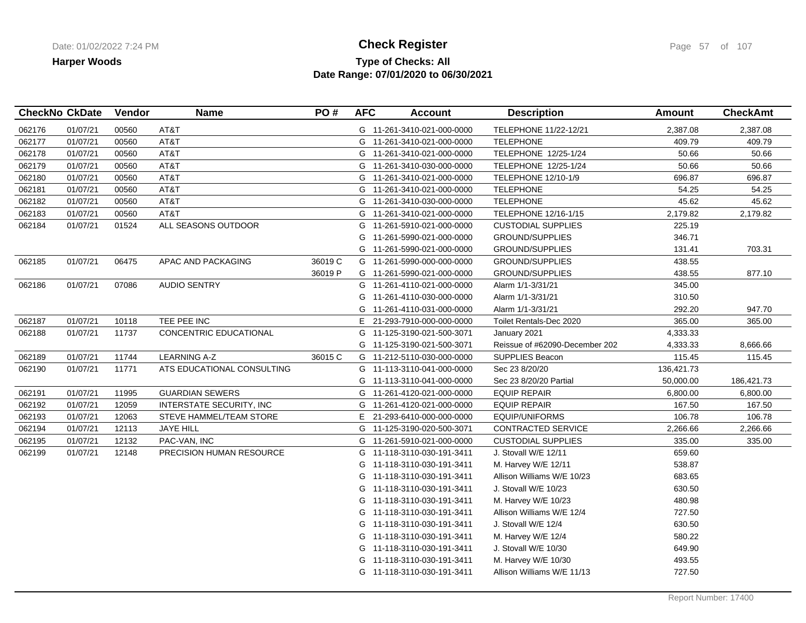## **Type of Checks: All Check Register Check Register Check Register Page 57** of 107 **Date Range: 07/01/2020 to 06/30/2021**

| <b>CheckNo CkDate</b> |          | Vendor | <b>Name</b>                   | PO#     | <b>AFC</b> | <b>Account</b>             | <b>Description</b>             | <b>Amount</b> | <b>CheckAmt</b> |
|-----------------------|----------|--------|-------------------------------|---------|------------|----------------------------|--------------------------------|---------------|-----------------|
| 062176                | 01/07/21 | 00560  | AT&T                          |         |            | G 11-261-3410-021-000-0000 | TELEPHONE 11/22-12/21          | 2,387.08      | 2,387.08        |
| 062177                | 01/07/21 | 00560  | AT&T                          |         |            | G 11-261-3410-021-000-0000 | <b>TELEPHONE</b>               | 409.79        | 409.79          |
| 062178                | 01/07/21 | 00560  | AT&T                          |         |            | G 11-261-3410-021-000-0000 | TELEPHONE 12/25-1/24           | 50.66         | 50.66           |
| 062179                | 01/07/21 | 00560  | AT&T                          |         |            | G 11-261-3410-030-000-0000 | TELEPHONE 12/25-1/24           | 50.66         | 50.66           |
| 062180                | 01/07/21 | 00560  | AT&T                          |         |            | G 11-261-3410-021-000-0000 | TELEPHONE 12/10-1/9            | 696.87        | 696.87          |
| 062181                | 01/07/21 | 00560  | AT&T                          |         | G          | 11-261-3410-021-000-0000   | <b>TELEPHONE</b>               | 54.25         | 54.25           |
| 062182                | 01/07/21 | 00560  | AT&T                          |         |            | G 11-261-3410-030-000-0000 | <b>TELEPHONE</b>               | 45.62         | 45.62           |
| 062183                | 01/07/21 | 00560  | AT&T                          |         | G          | 11-261-3410-021-000-0000   | TELEPHONE 12/16-1/15           | 2,179.82      | 2,179.82        |
| 062184                | 01/07/21 | 01524  | ALL SEASONS OUTDOOR           |         | G          | 11-261-5910-021-000-0000   | <b>CUSTODIAL SUPPLIES</b>      | 225.19        |                 |
|                       |          |        |                               |         | G          | 11-261-5990-021-000-0000   | <b>GROUND/SUPPLIES</b>         | 346.71        |                 |
|                       |          |        |                               |         | G          | 11-261-5990-021-000-0000   | <b>GROUND/SUPPLIES</b>         | 131.41        | 703.31          |
| 062185                | 01/07/21 | 06475  | APAC AND PACKAGING            | 36019 C | G          | 11-261-5990-000-000-0000   | <b>GROUND/SUPPLIES</b>         | 438.55        |                 |
|                       |          |        |                               | 36019 P |            | G 11-261-5990-021-000-0000 | <b>GROUND/SUPPLIES</b>         | 438.55        | 877.10          |
| 062186                | 01/07/21 | 07086  | <b>AUDIO SENTRY</b>           |         |            | G 11-261-4110-021-000-0000 | Alarm 1/1-3/31/21              | 345.00        |                 |
|                       |          |        |                               |         | G          | 11-261-4110-030-000-0000   | Alarm 1/1-3/31/21              | 310.50        |                 |
|                       |          |        |                               |         | G          | 11-261-4110-031-000-0000   | Alarm 1/1-3/31/21              | 292.20        | 947.70          |
| 062187                | 01/07/21 | 10118  | TEE PEE INC                   |         |            | E 21-293-7910-000-000-0000 | Toilet Rentals-Dec 2020        | 365.00        | 365.00          |
| 062188                | 01/07/21 | 11737  | <b>CONCENTRIC EDUCATIONAL</b> |         | G          | 11-125-3190-021-500-3071   | January 2021                   | 4,333.33      |                 |
|                       |          |        |                               |         | G          | 11-125-3190-021-500-3071   | Reissue of #62090-December 202 | 4,333.33      | 8,666.66        |
| 062189                | 01/07/21 | 11744  | <b>LEARNING A-Z</b>           | 36015 C |            | G 11-212-5110-030-000-0000 | SUPPLIES Beacon                | 115.45        | 115.45          |
| 062190                | 01/07/21 | 11771  | ATS EDUCATIONAL CONSULTING    |         |            | G 11-113-3110-041-000-0000 | Sec 23 8/20/20                 | 136,421.73    |                 |
|                       |          |        |                               |         |            | G 11-113-3110-041-000-0000 | Sec 23 8/20/20 Partial         | 50,000.00     | 186,421.73      |
| 062191                | 01/07/21 | 11995  | <b>GUARDIAN SEWERS</b>        |         | G          | 11-261-4120-021-000-0000   | <b>EQUIP REPAIR</b>            | 6,800.00      | 6,800.00        |
| 062192                | 01/07/21 | 12059  | INTERSTATE SECURITY, INC.     |         | G          | 11-261-4120-021-000-0000   | <b>EQUIP REPAIR</b>            | 167.50        | 167.50          |
| 062193                | 01/07/21 | 12063  | STEVE HAMMEL/TEAM STORE       |         |            | E 21-293-6410-000-000-0000 | EQUIP/UNIFORMS                 | 106.78        | 106.78          |
| 062194                | 01/07/21 | 12113  | <b>JAYE HILL</b>              |         | G          | 11-125-3190-020-500-3071   | CONTRACTED SERVICE             | 2,266.66      | 2,266.66        |
| 062195                | 01/07/21 | 12132  | PAC-VAN, INC                  |         | G          | 11-261-5910-021-000-0000   | <b>CUSTODIAL SUPPLIES</b>      | 335.00        | 335.00          |
| 062199                | 01/07/21 | 12148  | PRECISION HUMAN RESOURCE      |         | G          | 11-118-3110-030-191-3411   | J. Stovall W/E 12/11           | 659.60        |                 |
|                       |          |        |                               |         | G          | 11-118-3110-030-191-3411   | M. Harvey W/E 12/11            | 538.87        |                 |
|                       |          |        |                               |         | G          | 11-118-3110-030-191-3411   | Allison Williams W/E 10/23     | 683.65        |                 |
|                       |          |        |                               |         | G          | 11-118-3110-030-191-3411   | J. Stovall W/E 10/23           | 630.50        |                 |
|                       |          |        |                               |         | G          | 11-118-3110-030-191-3411   | M. Harvey W/E 10/23            | 480.98        |                 |
|                       |          |        |                               |         | G          | 11-118-3110-030-191-3411   | Allison Williams W/E 12/4      | 727.50        |                 |
|                       |          |        |                               |         | G          | 11-118-3110-030-191-3411   | J. Stovall W/E 12/4            | 630.50        |                 |
|                       |          |        |                               |         | G          | 11-118-3110-030-191-3411   | M. Harvey W/E 12/4             | 580.22        |                 |
|                       |          |        |                               |         | G          | 11-118-3110-030-191-3411   | J. Stovall W/E 10/30           | 649.90        |                 |
|                       |          |        |                               |         | G          | 11-118-3110-030-191-3411   | M. Harvey W/E 10/30            | 493.55        |                 |
|                       |          |        |                               |         |            | G 11-118-3110-030-191-3411 | Allison Williams W/E 11/13     | 727.50        |                 |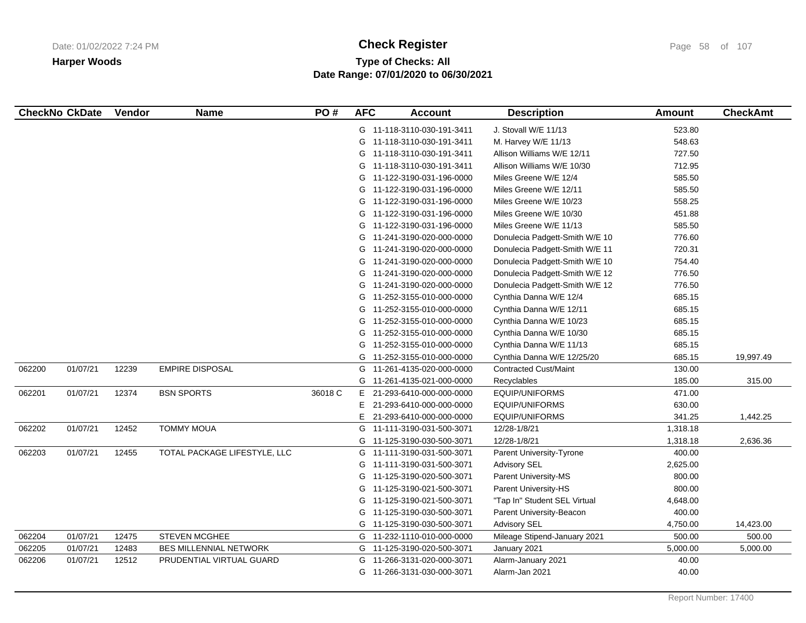# **Type of Checks: All Check Register Check Register Check Register Page 58 of 107 Date Range: 07/01/2020 to 06/30/2021**

|        | <b>CheckNo CkDate</b> | Vendor | <b>Name</b>                   | PO#     | <b>AFC</b> | <b>Account</b>             | <b>Description</b>             | <b>Amount</b> | <b>CheckAmt</b> |
|--------|-----------------------|--------|-------------------------------|---------|------------|----------------------------|--------------------------------|---------------|-----------------|
|        |                       |        |                               |         |            | G 11-118-3110-030-191-3411 | J. Stovall W/E 11/13           | 523.80        |                 |
|        |                       |        |                               |         | G          | 11-118-3110-030-191-3411   | M. Harvey W/E 11/13            | 548.63        |                 |
|        |                       |        |                               |         | G          | 11-118-3110-030-191-3411   | Allison Williams W/E 12/11     | 727.50        |                 |
|        |                       |        |                               |         |            | G 11-118-3110-030-191-3411 | Allison Williams W/E 10/30     | 712.95        |                 |
|        |                       |        |                               |         | G          | 11-122-3190-031-196-0000   | Miles Greene W/E 12/4          | 585.50        |                 |
|        |                       |        |                               |         | G          | 11-122-3190-031-196-0000   | Miles Greene W/E 12/11         | 585.50        |                 |
|        |                       |        |                               |         |            | G 11-122-3190-031-196-0000 | Miles Greene W/E 10/23         | 558.25        |                 |
|        |                       |        |                               |         |            | G 11-122-3190-031-196-0000 | Miles Greene W/E 10/30         | 451.88        |                 |
|        |                       |        |                               |         | G          | 11-122-3190-031-196-0000   | Miles Greene W/E 11/13         | 585.50        |                 |
|        |                       |        |                               |         | G          | 11-241-3190-020-000-0000   | Donulecia Padgett-Smith W/E 10 | 776.60        |                 |
|        |                       |        |                               |         | G          | 11-241-3190-020-000-0000   | Donulecia Padgett-Smith W/E 11 | 720.31        |                 |
|        |                       |        |                               |         | G          | 11-241-3190-020-000-0000   | Donulecia Padgett-Smith W/E 10 | 754.40        |                 |
|        |                       |        |                               |         | G          | 11-241-3190-020-000-0000   | Donulecia Padgett-Smith W/E 12 | 776.50        |                 |
|        |                       |        |                               |         | G          | 11-241-3190-020-000-0000   | Donulecia Padgett-Smith W/E 12 | 776.50        |                 |
|        |                       |        |                               |         | G          | 11-252-3155-010-000-0000   | Cynthia Danna W/E 12/4         | 685.15        |                 |
|        |                       |        |                               |         | G          | 11-252-3155-010-000-0000   | Cynthia Danna W/E 12/11        | 685.15        |                 |
|        |                       |        |                               |         | G          | 11-252-3155-010-000-0000   | Cynthia Danna W/E 10/23        | 685.15        |                 |
|        |                       |        |                               |         | G          | 11-252-3155-010-000-0000   | Cynthia Danna W/E 10/30        | 685.15        |                 |
|        |                       |        |                               |         | G          | 11-252-3155-010-000-0000   | Cynthia Danna W/E 11/13        | 685.15        |                 |
|        |                       |        |                               |         | G          | 11-252-3155-010-000-0000   | Cynthia Danna W/E 12/25/20     | 685.15        | 19,997.49       |
| 062200 | 01/07/21              | 12239  | <b>EMPIRE DISPOSAL</b>        |         | G          | 11-261-4135-020-000-0000   | <b>Contracted Cust/Maint</b>   | 130.00        |                 |
|        |                       |        |                               |         |            | G 11-261-4135-021-000-0000 | Recyclables                    | 185.00        | 315.00          |
| 062201 | 01/07/21              | 12374  | <b>BSN SPORTS</b>             | 36018 C | E.         | 21-293-6410-000-000-0000   | <b>EQUIP/UNIFORMS</b>          | 471.00        |                 |
|        |                       |        |                               |         | E.         | 21-293-6410-000-000-0000   | EQUIP/UNIFORMS                 | 630.00        |                 |
|        |                       |        |                               |         | E.         | 21-293-6410-000-000-0000   | EQUIP/UNIFORMS                 | 341.25        | 1,442.25        |
| 062202 | 01/07/21              | 12452  | <b>TOMMY MOUA</b>             |         | G          | 11-111-3190-031-500-3071   | 12/28-1/8/21                   | 1,318.18      |                 |
|        |                       |        |                               |         | G          | 11-125-3190-030-500-3071   | 12/28-1/8/21                   | 1,318.18      | 2,636.36        |
| 062203 | 01/07/21              | 12455  | TOTAL PACKAGE LIFESTYLE, LLC  |         | G          | 11-111-3190-031-500-3071   | Parent University-Tyrone       | 400.00        |                 |
|        |                       |        |                               |         | G          | 11-111-3190-031-500-3071   | <b>Advisory SEL</b>            | 2,625.00      |                 |
|        |                       |        |                               |         | G          | 11-125-3190-020-500-3071   | Parent University-MS           | 800.00        |                 |
|        |                       |        |                               |         | G          | 11-125-3190-021-500-3071   | Parent University-HS           | 800.00        |                 |
|        |                       |        |                               |         | G          | 11-125-3190-021-500-3071   | "Tap In" Student SEL Virtual   | 4,648.00      |                 |
|        |                       |        |                               |         |            | G 11-125-3190-030-500-3071 | Parent University-Beacon       | 400.00        |                 |
|        |                       |        |                               |         |            | G 11-125-3190-030-500-3071 | <b>Advisory SEL</b>            | 4,750.00      | 14,423.00       |
| 062204 | 01/07/21              | 12475  | <b>STEVEN MCGHEE</b>          |         |            | G 11-232-1110-010-000-0000 | Mileage Stipend-January 2021   | 500.00        | 500.00          |
| 062205 | 01/07/21              | 12483  | <b>BES MILLENNIAL NETWORK</b> |         |            | G 11-125-3190-020-500-3071 | January 2021                   | 5,000.00      | 5,000.00        |
| 062206 | 01/07/21              | 12512  | PRUDENTIAL VIRTUAL GUARD      |         | G          | 11-266-3131-020-000-3071   | Alarm-January 2021             | 40.00         |                 |
|        |                       |        |                               |         |            | G 11-266-3131-030-000-3071 | Alarm-Jan 2021                 | 40.00         |                 |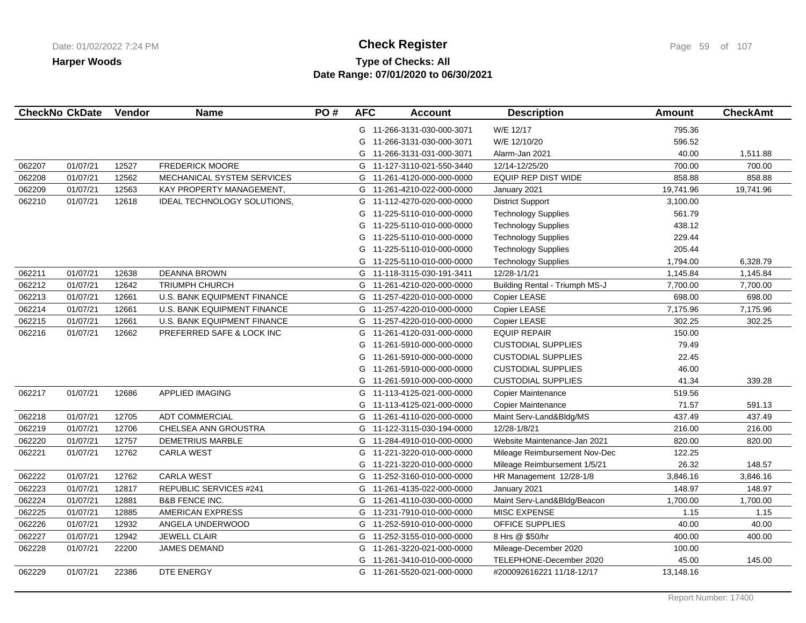# **Type of Checks: All Check Register Check Register Check Register Page 59 of 107 Date Range: 07/01/2020 to 06/30/2021**

|        | <b>CheckNo CkDate</b> | Vendor | <b>Name</b>                        | PO# | <b>AFC</b> | <b>Account</b>             | <b>Description</b>             | <b>Amount</b> | <b>CheckAmt</b> |
|--------|-----------------------|--------|------------------------------------|-----|------------|----------------------------|--------------------------------|---------------|-----------------|
|        |                       |        |                                    |     |            | G 11-266-3131-030-000-3071 | W/E 12/17                      | 795.36        |                 |
|        |                       |        |                                    |     | G          | 11-266-3131-030-000-3071   | W/E 12/10/20                   | 596.52        |                 |
|        |                       |        |                                    |     | G          | 11-266-3131-031-000-3071   | Alarm-Jan 2021                 | 40.00         | 1,511.88        |
| 062207 | 01/07/21              | 12527  | <b>FREDERICK MOORE</b>             |     |            | G 11-127-3110-021-550-3440 | 12/14-12/25/20                 | 700.00        | 700.00          |
| 062208 | 01/07/21              | 12562  | MECHANICAL SYSTEM SERVICES         |     | G          | 11-261-4120-000-000-0000   | EQUIP REP DIST WIDE            | 858.88        | 858.88          |
| 062209 | 01/07/21              | 12563  | KAY PROPERTY MANAGEMENT,           |     | G          | 11-261-4210-022-000-0000   | January 2021                   | 19,741.96     | 19,741.96       |
| 062210 | 01/07/21              | 12618  | <b>IDEAL TECHNOLOGY SOLUTIONS,</b> |     | G          | 11-112-4270-020-000-0000   | <b>District Support</b>        | 3,100.00      |                 |
|        |                       |        |                                    |     | G          | 11-225-5110-010-000-0000   | <b>Technology Supplies</b>     | 561.79        |                 |
|        |                       |        |                                    |     | G          | 11-225-5110-010-000-0000   | <b>Technology Supplies</b>     | 438.12        |                 |
|        |                       |        |                                    |     | G          | 11-225-5110-010-000-0000   | <b>Technology Supplies</b>     | 229.44        |                 |
|        |                       |        |                                    |     | G          | 11-225-5110-010-000-0000   | <b>Technology Supplies</b>     | 205.44        |                 |
|        |                       |        |                                    |     | G          | 11-225-5110-010-000-0000   | <b>Technology Supplies</b>     | 1,794.00      | 6,328.79        |
| 062211 | 01/07/21              | 12638  | <b>DEANNA BROWN</b>                |     | G          | 11-118-3115-030-191-3411   | 12/28-1/1/21                   | 1,145.84      | 1,145.84        |
| 062212 | 01/07/21              | 12642  | TRIUMPH CHURCH                     |     | G          | 11-261-4210-020-000-0000   | Building Rental - Triumph MS-J | 7,700.00      | 7,700.00        |
| 062213 | 01/07/21              | 12661  | <b>U.S. BANK EQUIPMENT FINANCE</b> |     |            | G 11-257-4220-010-000-0000 | Copier LEASE                   | 698.00        | 698.00          |
| 062214 | 01/07/21              | 12661  | U.S. BANK EQUIPMENT FINANCE        |     | G          | 11-257-4220-010-000-0000   | Copier LEASE                   | 7,175.96      | 7,175.96        |
| 062215 | 01/07/21              | 12661  | U.S. BANK EQUIPMENT FINANCE        |     |            | G 11-257-4220-010-000-0000 | Copier LEASE                   | 302.25        | 302.25          |
| 062216 | 01/07/21              | 12662  | PREFERRED SAFE & LOCK INC          |     | G          | 11-261-4120-031-000-0000   | <b>EQUIP REPAIR</b>            | 150.00        |                 |
|        |                       |        |                                    |     | G          | 11-261-5910-000-000-0000   | <b>CUSTODIAL SUPPLIES</b>      | 79.49         |                 |
|        |                       |        |                                    |     | G          | 11-261-5910-000-000-0000   | <b>CUSTODIAL SUPPLIES</b>      | 22.45         |                 |
|        |                       |        |                                    |     | G          | 11-261-5910-000-000-0000   | <b>CUSTODIAL SUPPLIES</b>      | 46.00         |                 |
|        |                       |        |                                    |     |            | G 11-261-5910-000-000-0000 | <b>CUSTODIAL SUPPLIES</b>      | 41.34         | 339.28          |
| 062217 | 01/07/21              | 12686  | <b>APPLIED IMAGING</b>             |     |            | G 11-113-4125-021-000-0000 | Copier Maintenance             | 519.56        |                 |
|        |                       |        |                                    |     | G          | 11-113-4125-021-000-0000   | Copier Maintenance             | 71.57         | 591.13          |
| 062218 | 01/07/21              | 12705  | <b>ADT COMMERCIAL</b>              |     |            | G 11-261-4110-020-000-0000 | Maint Serv-Land&Bldg/MS        | 437.49        | 437.49          |
| 062219 | 01/07/21              | 12706  | CHELSEA ANN GROUSTRA               |     |            | G 11-122-3115-030-194-0000 | 12/28-1/8/21                   | 216.00        | 216.00          |
| 062220 | 01/07/21              | 12757  | <b>DEMETRIUS MARBLE</b>            |     | G          | 11-284-4910-010-000-0000   | Website Maintenance-Jan 2021   | 820.00        | 820.00          |
| 062221 | 01/07/21              | 12762  | <b>CARLA WEST</b>                  |     | G          | 11-221-3220-010-000-0000   | Mileage Reimbursement Nov-Dec  | 122.25        |                 |
|        |                       |        |                                    |     | G          | 11-221-3220-010-000-0000   | Mileage Reimbursement 1/5/21   | 26.32         | 148.57          |
| 062222 | 01/07/21              | 12762  | <b>CARLA WEST</b>                  |     |            | G 11-252-3160-010-000-0000 | HR Management 12/28-1/8        | 3,846.16      | 3,846.16        |
| 062223 | 01/07/21              | 12817  | <b>REPUBLIC SERVICES #241</b>      |     | G          | 11-261-4135-022-000-0000   | January 2021                   | 148.97        | 148.97          |
| 062224 | 01/07/21              | 12881  | <b>B&amp;B FENCE INC.</b>          |     |            | G 11-261-4110-030-000-0000 | Maint Serv-Land&Bldg/Beacon    | 1,700.00      | 1,700.00        |
| 062225 | 01/07/21              | 12885  | AMERICAN EXPRESS                   |     |            | G 11-231-7910-010-000-0000 | MISC EXPENSE                   | 1.15          | 1.15            |
| 062226 | 01/07/21              | 12932  | ANGELA UNDERWOOD                   |     |            | G 11-252-5910-010-000-0000 | OFFICE SUPPLIES                | 40.00         | 40.00           |
| 062227 | 01/07/21              | 12942  | <b>JEWELL CLAIR</b>                |     | G          | 11-252-3155-010-000-0000   | 8 Hrs @ \$50/hr                | 400.00        | 400.00          |
| 062228 | 01/07/21              | 22200  | <b>JAMES DEMAND</b>                |     | G          | 11-261-3220-021-000-0000   | Mileage-December 2020          | 100.00        |                 |
|        |                       |        |                                    |     | G          | 11-261-3410-010-000-0000   | TELEPHONE-December 2020        | 45.00         | 145.00          |
| 062229 | 01/07/21              | 22386  | DTE ENERGY                         |     |            | G 11-261-5520-021-000-0000 | #200092616221 11/18-12/17      | 13,148.16     |                 |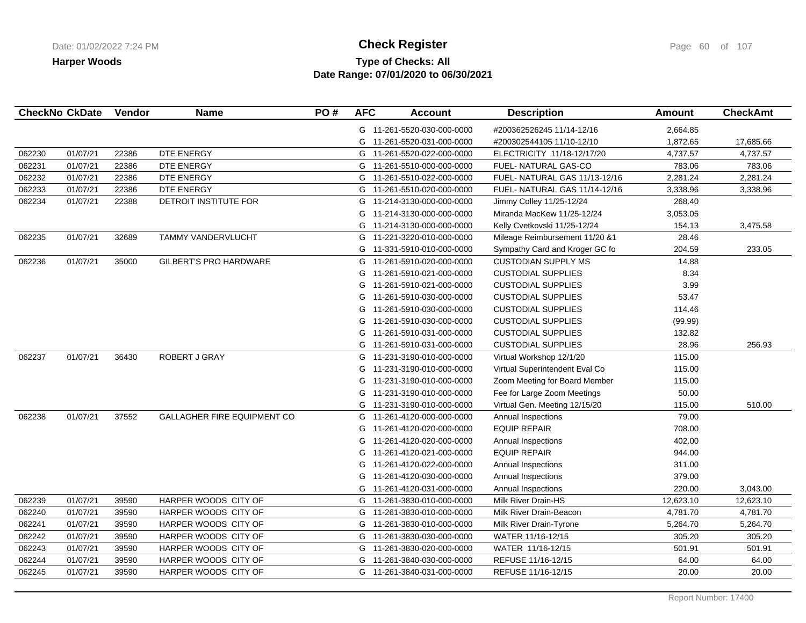# **Type of Checks: All Check Register Check Register Check Register Page 60 of 107 Date Range: 07/01/2020 to 06/30/2021**

|        | <b>CheckNo CkDate</b> | Vendor | <b>Name</b>                        | PO# | <b>AFC</b> | <b>Account</b>             | <b>Description</b>             | <b>Amount</b> | <b>CheckAmt</b> |
|--------|-----------------------|--------|------------------------------------|-----|------------|----------------------------|--------------------------------|---------------|-----------------|
|        |                       |        |                                    |     |            | G 11-261-5520-030-000-0000 | #200362526245 11/14-12/16      | 2,664.85      |                 |
|        |                       |        |                                    |     | G          | 11-261-5520-031-000-0000   | #200302544105 11/10-12/10      | 1,872.65      | 17,685.66       |
| 062230 | 01/07/21              | 22386  | DTE ENERGY                         |     |            | G 11-261-5520-022-000-0000 | ELECTRICITY 11/18-12/17/20     | 4,737.57      | 4,737.57        |
| 062231 | 01/07/21              | 22386  | DTE ENERGY                         |     |            | G 11-261-5510-000-000-0000 | FUEL- NATURAL GAS-CO           | 783.06        | 783.06          |
| 062232 | 01/07/21              | 22386  | DTE ENERGY                         |     |            | G 11-261-5510-022-000-0000 | FUEL-NATURAL GAS 11/13-12/16   | 2,281.24      | 2,281.24        |
| 062233 | 01/07/21              | 22386  | DTE ENERGY                         |     |            | G 11-261-5510-020-000-0000 | FUEL- NATURAL GAS 11/14-12/16  | 3,338.96      | 3,338.96        |
| 062234 | 01/07/21              | 22388  | DETROIT INSTITUTE FOR              |     | G          | 11-214-3130-000-000-0000   | Jimmy Colley 11/25-12/24       | 268.40        |                 |
|        |                       |        |                                    |     | G          | 11-214-3130-000-000-0000   | Miranda MacKew 11/25-12/24     | 3,053.05      |                 |
|        |                       |        |                                    |     | G          | 11-214-3130-000-000-0000   | Kelly Cvetkovski 11/25-12/24   | 154.13        | 3,475.58        |
| 062235 | 01/07/21              | 32689  | TAMMY VANDERVLUCHT                 |     | G          | 11-221-3220-010-000-0000   | Mileage Reimbursement 11/20 &1 | 28.46         |                 |
|        |                       |        |                                    |     | G          | 11-331-5910-010-000-0000   | Sympathy Card and Kroger GC fo | 204.59        | 233.05          |
| 062236 | 01/07/21              | 35000  | <b>GILBERT'S PRO HARDWARE</b>      |     | G          | 11-261-5910-020-000-0000   | <b>CUSTODIAN SUPPLY MS</b>     | 14.88         |                 |
|        |                       |        |                                    |     | G          | 11-261-5910-021-000-0000   | <b>CUSTODIAL SUPPLIES</b>      | 8.34          |                 |
|        |                       |        |                                    |     | G          | 11-261-5910-021-000-0000   | <b>CUSTODIAL SUPPLIES</b>      | 3.99          |                 |
|        |                       |        |                                    |     | G          | 11-261-5910-030-000-0000   | <b>CUSTODIAL SUPPLIES</b>      | 53.47         |                 |
|        |                       |        |                                    |     | G          | 11-261-5910-030-000-0000   | <b>CUSTODIAL SUPPLIES</b>      | 114.46        |                 |
|        |                       |        |                                    |     | G          | 11-261-5910-030-000-0000   | <b>CUSTODIAL SUPPLIES</b>      | (99.99)       |                 |
|        |                       |        |                                    |     | G          | 11-261-5910-031-000-0000   | <b>CUSTODIAL SUPPLIES</b>      | 132.82        |                 |
|        |                       |        |                                    |     | G          | 11-261-5910-031-000-0000   | <b>CUSTODIAL SUPPLIES</b>      | 28.96         | 256.93          |
| 062237 | 01/07/21              | 36430  | ROBERT J GRAY                      |     | G          | 11-231-3190-010-000-0000   | Virtual Workshop 12/1/20       | 115.00        |                 |
|        |                       |        |                                    |     | G          | 11-231-3190-010-000-0000   | Virtual Superintendent Eval Co | 115.00        |                 |
|        |                       |        |                                    |     | G          | 11-231-3190-010-000-0000   | Zoom Meeting for Board Member  | 115.00        |                 |
|        |                       |        |                                    |     | G          | 11-231-3190-010-000-0000   | Fee for Large Zoom Meetings    | 50.00         |                 |
|        |                       |        |                                    |     | G          | 11-231-3190-010-000-0000   | Virtual Gen. Meeting 12/15/20  | 115.00        | 510.00          |
| 062238 | 01/07/21              | 37552  | <b>GALLAGHER FIRE EQUIPMENT CO</b> |     | G          | 11-261-4120-000-000-0000   | Annual Inspections             | 79.00         |                 |
|        |                       |        |                                    |     | G          | 11-261-4120-020-000-0000   | <b>EQUIP REPAIR</b>            | 708.00        |                 |
|        |                       |        |                                    |     | G          | 11-261-4120-020-000-0000   | Annual Inspections             | 402.00        |                 |
|        |                       |        |                                    |     | G          | 11-261-4120-021-000-0000   | <b>EQUIP REPAIR</b>            | 944.00        |                 |
|        |                       |        |                                    |     | G          | 11-261-4120-022-000-0000   | Annual Inspections             | 311.00        |                 |
|        |                       |        |                                    |     | G          | 11-261-4120-030-000-0000   | Annual Inspections             | 379.00        |                 |
|        |                       |        |                                    |     | G          | 11-261-4120-031-000-0000   | Annual Inspections             | 220.00        | 3,043.00        |
| 062239 | 01/07/21              | 39590  | HARPER WOODS CITY OF               |     | G          | 11-261-3830-010-000-0000   | Milk River Drain-HS            | 12,623.10     | 12,623.10       |
| 062240 | 01/07/21              | 39590  | HARPER WOODS CITY OF               |     | G          | 11-261-3830-010-000-0000   | Milk River Drain-Beacon        | 4,781.70      | 4,781.70        |
| 062241 | 01/07/21              | 39590  | HARPER WOODS CITY OF               |     |            | G 11-261-3830-010-000-0000 | Milk River Drain-Tyrone        | 5,264.70      | 5,264.70        |
| 062242 | 01/07/21              | 39590  | HARPER WOODS CITY OF               |     |            | G 11-261-3830-030-000-0000 | WATER 11/16-12/15              | 305.20        | 305.20          |
| 062243 | 01/07/21              | 39590  | HARPER WOODS CITY OF               |     | G          | 11-261-3830-020-000-0000   | WATER 11/16-12/15              | 501.91        | 501.91          |
| 062244 | 01/07/21              | 39590  | HARPER WOODS CITY OF               |     | G          | 11-261-3840-030-000-0000   | REFUSE 11/16-12/15             | 64.00         | 64.00           |
| 062245 | 01/07/21              | 39590  | HARPER WOODS CITY OF               |     |            | G 11-261-3840-031-000-0000 | REFUSE 11/16-12/15             | 20.00         | 20.00           |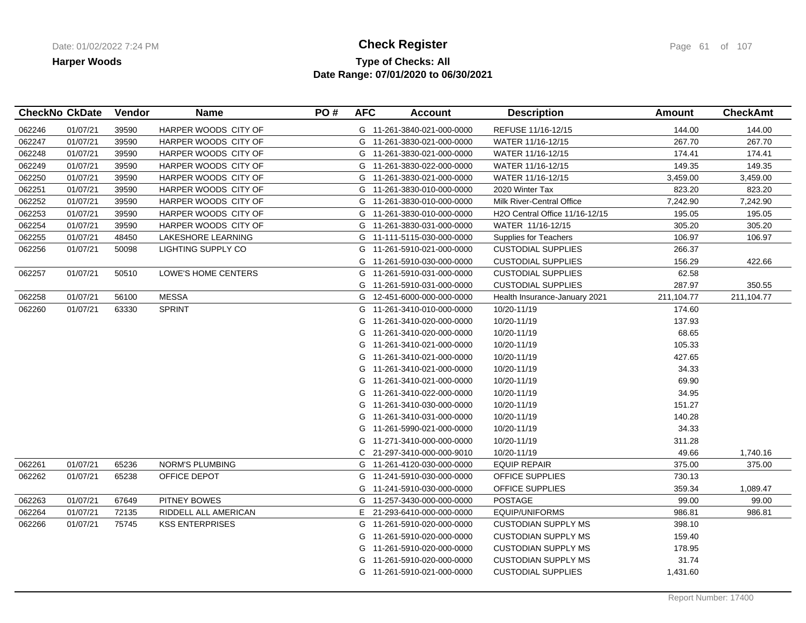## **Type of Checks: All Check Register Check Register Check Register Page 61 of 107 Date Range: 07/01/2020 to 06/30/2021**

|        | <b>CheckNo CkDate</b> | Vendor | <b>Name</b>            | PO# | <b>AFC</b> | <b>Account</b>             | <b>Description</b>             | Amount     | <b>CheckAmt</b> |
|--------|-----------------------|--------|------------------------|-----|------------|----------------------------|--------------------------------|------------|-----------------|
| 062246 | 01/07/21              | 39590  | HARPER WOODS CITY OF   |     |            | G 11-261-3840-021-000-0000 | REFUSE 11/16-12/15             | 144.00     | 144.00          |
| 062247 | 01/07/21              | 39590  | HARPER WOODS CITY OF   |     |            | G 11-261-3830-021-000-0000 | WATER 11/16-12/15              | 267.70     | 267.70          |
| 062248 | 01/07/21              | 39590  | HARPER WOODS CITY OF   |     |            | G 11-261-3830-021-000-0000 | WATER 11/16-12/15              | 174.41     | 174.41          |
| 062249 | 01/07/21              | 39590  | HARPER WOODS CITY OF   |     |            | G 11-261-3830-022-000-0000 | WATER 11/16-12/15              | 149.35     | 149.35          |
| 062250 | 01/07/21              | 39590  | HARPER WOODS CITY OF   |     | G          | 11-261-3830-021-000-0000   | WATER 11/16-12/15              | 3,459.00   | 3,459.00        |
| 062251 | 01/07/21              | 39590  | HARPER WOODS CITY OF   |     | G          | 11-261-3830-010-000-0000   | 2020 Winter Tax                | 823.20     | 823.20          |
| 062252 | 01/07/21              | 39590  | HARPER WOODS CITY OF   |     |            | G 11-261-3830-010-000-0000 | Milk River-Central Office      | 7,242.90   | 7,242.90        |
| 062253 | 01/07/21              | 39590  | HARPER WOODS CITY OF   |     |            | G 11-261-3830-010-000-0000 | H2O Central Office 11/16-12/15 | 195.05     | 195.05          |
| 062254 | 01/07/21              | 39590  | HARPER WOODS CITY OF   |     |            | G 11-261-3830-031-000-0000 | WATER 11/16-12/15              | 305.20     | 305.20          |
| 062255 | 01/07/21              | 48450  | LAKESHORE LEARNING     |     |            | G 11-111-5115-030-000-0000 | Supplies for Teachers          | 106.97     | 106.97          |
| 062256 | 01/07/21              | 50098  | LIGHTING SUPPLY CO     |     |            | G 11-261-5910-021-000-0000 | <b>CUSTODIAL SUPPLIES</b>      | 266.37     |                 |
|        |                       |        |                        |     | G          | 11-261-5910-030-000-0000   | <b>CUSTODIAL SUPPLIES</b>      | 156.29     | 422.66          |
| 062257 | 01/07/21              | 50510  | LOWE'S HOME CENTERS    |     | G          | 11-261-5910-031-000-0000   | <b>CUSTODIAL SUPPLIES</b>      | 62.58      |                 |
|        |                       |        |                        |     | G          | 11-261-5910-031-000-0000   | <b>CUSTODIAL SUPPLIES</b>      | 287.97     | 350.55          |
| 062258 | 01/07/21              | 56100  | <b>MESSA</b>           |     |            | G 12-451-6000-000-000-0000 | Health Insurance-January 2021  | 211,104.77 | 211,104.77      |
| 062260 | 01/07/21              | 63330  | <b>SPRINT</b>          |     | G          | 11-261-3410-010-000-0000   | 10/20-11/19                    | 174.60     |                 |
|        |                       |        |                        |     | G          | 11-261-3410-020-000-0000   | 10/20-11/19                    | 137.93     |                 |
|        |                       |        |                        |     | G          | 11-261-3410-020-000-0000   | 10/20-11/19                    | 68.65      |                 |
|        |                       |        |                        |     | G          | 11-261-3410-021-000-0000   | 10/20-11/19                    | 105.33     |                 |
|        |                       |        |                        |     | G          | 11-261-3410-021-000-0000   | 10/20-11/19                    | 427.65     |                 |
|        |                       |        |                        |     | G          | 11-261-3410-021-000-0000   | 10/20-11/19                    | 34.33      |                 |
|        |                       |        |                        |     |            | G 11-261-3410-021-000-0000 | 10/20-11/19                    | 69.90      |                 |
|        |                       |        |                        |     |            | G 11-261-3410-022-000-0000 | 10/20-11/19                    | 34.95      |                 |
|        |                       |        |                        |     | G          | 11-261-3410-030-000-0000   | 10/20-11/19                    | 151.27     |                 |
|        |                       |        |                        |     | G          | 11-261-3410-031-000-0000   | 10/20-11/19                    | 140.28     |                 |
|        |                       |        |                        |     | G          | 11-261-5990-021-000-0000   | 10/20-11/19                    | 34.33      |                 |
|        |                       |        |                        |     | G          | 11-271-3410-000-000-0000   | 10/20-11/19                    | 311.28     |                 |
|        |                       |        |                        |     | C          | 21-297-3410-000-000-9010   | 10/20-11/19                    | 49.66      | 1,740.16        |
| 062261 | 01/07/21              | 65236  | <b>NORM'S PLUMBING</b> |     | G          | 11-261-4120-030-000-0000   | <b>EQUIP REPAIR</b>            | 375.00     | 375.00          |
| 062262 | 01/07/21              | 65238  | OFFICE DEPOT           |     | G          | 11-241-5910-030-000-0000   | OFFICE SUPPLIES                | 730.13     |                 |
|        |                       |        |                        |     | G          | 11-241-5910-030-000-0000   | <b>OFFICE SUPPLIES</b>         | 359.34     | 1,089.47        |
| 062263 | 01/07/21              | 67649  | PITNEY BOWES           |     |            | G 11-257-3430-000-000-0000 | <b>POSTAGE</b>                 | 99.00      | 99.00           |
| 062264 | 01/07/21              | 72135  | RIDDELL ALL AMERICAN   |     | E.         | 21-293-6410-000-000-0000   | EQUIP/UNIFORMS                 | 986.81     | 986.81          |
| 062266 | 01/07/21              | 75745  | <b>KSS ENTERPRISES</b> |     |            | G 11-261-5910-020-000-0000 | <b>CUSTODIAN SUPPLY MS</b>     | 398.10     |                 |
|        |                       |        |                        |     | G          | 11-261-5910-020-000-0000   | <b>CUSTODIAN SUPPLY MS</b>     | 159.40     |                 |
|        |                       |        |                        |     | G          | 11-261-5910-020-000-0000   | <b>CUSTODIAN SUPPLY MS</b>     | 178.95     |                 |
|        |                       |        |                        |     | G          | 11-261-5910-020-000-0000   | <b>CUSTODIAN SUPPLY MS</b>     | 31.74      |                 |
|        |                       |        |                        |     |            | G 11-261-5910-021-000-0000 | <b>CUSTODIAL SUPPLIES</b>      | 1,431.60   |                 |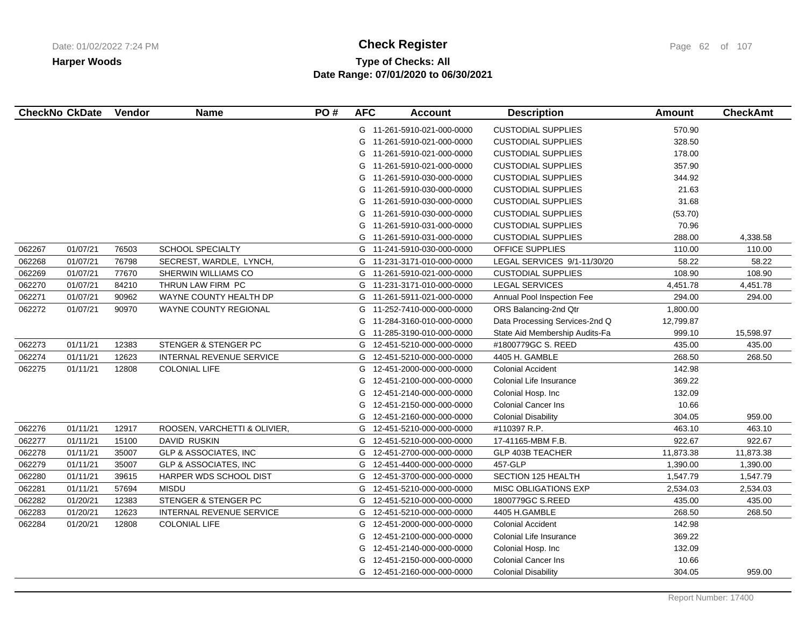# **Type of Checks: All Check Register Check Register Check Register Page 62 of 107 Date Range: 07/01/2020 to 06/30/2021**

| <b>CheckNo CkDate</b> |          | Vendor | <b>Name</b>                      | PO# | <b>AFC</b> | <b>Account</b>             | <b>Description</b>             | <b>Amount</b> | <b>CheckAmt</b> |
|-----------------------|----------|--------|----------------------------------|-----|------------|----------------------------|--------------------------------|---------------|-----------------|
|                       |          |        |                                  |     |            | G 11-261-5910-021-000-0000 | <b>CUSTODIAL SUPPLIES</b>      | 570.90        |                 |
|                       |          |        |                                  |     | G          | 11-261-5910-021-000-0000   | <b>CUSTODIAL SUPPLIES</b>      | 328.50        |                 |
|                       |          |        |                                  |     | G          | 11-261-5910-021-000-0000   | <b>CUSTODIAL SUPPLIES</b>      | 178.00        |                 |
|                       |          |        |                                  |     | G          | 11-261-5910-021-000-0000   | <b>CUSTODIAL SUPPLIES</b>      | 357.90        |                 |
|                       |          |        |                                  |     | G          | 11-261-5910-030-000-0000   | <b>CUSTODIAL SUPPLIES</b>      | 344.92        |                 |
|                       |          |        |                                  |     | G          | 11-261-5910-030-000-0000   | <b>CUSTODIAL SUPPLIES</b>      | 21.63         |                 |
|                       |          |        |                                  |     | G          | 11-261-5910-030-000-0000   | <b>CUSTODIAL SUPPLIES</b>      | 31.68         |                 |
|                       |          |        |                                  |     | G          | 11-261-5910-030-000-0000   | <b>CUSTODIAL SUPPLIES</b>      | (53.70)       |                 |
|                       |          |        |                                  |     | G          | 11-261-5910-031-000-0000   | <b>CUSTODIAL SUPPLIES</b>      | 70.96         |                 |
|                       |          |        |                                  |     | G          | 11-261-5910-031-000-0000   | <b>CUSTODIAL SUPPLIES</b>      | 288.00        | 4,338.58        |
| 062267                | 01/07/21 | 76503  | <b>SCHOOL SPECIALTY</b>          |     |            | G 11-241-5910-030-000-0000 | <b>OFFICE SUPPLIES</b>         | 110.00        | 110.00          |
| 062268                | 01/07/21 | 76798  | SECREST, WARDLE, LYNCH,          |     | G          | 11-231-3171-010-000-0000   | LEGAL SERVICES 9/1-11/30/20    | 58.22         | 58.22           |
| 062269                | 01/07/21 | 77670  | SHERWIN WILLIAMS CO              |     | G          | 11-261-5910-021-000-0000   | <b>CUSTODIAL SUPPLIES</b>      | 108.90        | 108.90          |
| 062270                | 01/07/21 | 84210  | THRUN LAW FIRM PC                |     | G          | 11-231-3171-010-000-0000   | <b>LEGAL SERVICES</b>          | 4,451.78      | 4,451.78        |
| 062271                | 01/07/21 | 90962  | WAYNE COUNTY HEALTH DP           |     |            | G 11-261-5911-021-000-0000 | Annual Pool Inspection Fee     | 294.00        | 294.00          |
| 062272                | 01/07/21 | 90970  | WAYNE COUNTY REGIONAL            |     | G          | 11-252-7410-000-000-0000   | ORS Balancing-2nd Qtr          | 1,800.00      |                 |
|                       |          |        |                                  |     | G          | 11-284-3160-010-000-0000   | Data Processing Services-2nd Q | 12,799.87     |                 |
|                       |          |        |                                  |     | G          | 11-285-3190-010-000-0000   | State Aid Membership Audits-Fa | 999.10        | 15,598.97       |
| 062273                | 01/11/21 | 12383  | STENGER & STENGER PC             |     |            | G 12-451-5210-000-000-0000 | #1800779GC S. REED             | 435.00        | 435.00          |
| 062274                | 01/11/21 | 12623  | INTERNAL REVENUE SERVICE         |     | G          | 12-451-5210-000-000-0000   | 4405 H. GAMBLE                 | 268.50        | 268.50          |
| 062275                | 01/11/21 | 12808  | <b>COLONIAL LIFE</b>             |     | G          | 12-451-2000-000-000-0000   | <b>Colonial Accident</b>       | 142.98        |                 |
|                       |          |        |                                  |     | G          | 12-451-2100-000-000-0000   | Colonial Life Insurance        | 369.22        |                 |
|                       |          |        |                                  |     | G          | 12-451-2140-000-000-0000   | Colonial Hosp. Inc             | 132.09        |                 |
|                       |          |        |                                  |     | G          | 12-451-2150-000-000-0000   | <b>Colonial Cancer Ins</b>     | 10.66         |                 |
|                       |          |        |                                  |     | G          | 12-451-2160-000-000-0000   | <b>Colonial Disability</b>     | 304.05        | 959.00          |
| 062276                | 01/11/21 | 12917  | ROOSEN, VARCHETTI & OLIVIER,     |     | G          | 12-451-5210-000-000-0000   | #110397 R.P.                   | 463.10        | 463.10          |
| 062277                | 01/11/21 | 15100  | DAVID RUSKIN                     |     | G          | 12-451-5210-000-000-0000   | 17-41165-MBM F.B.              | 922.67        | 922.67          |
| 062278                | 01/11/21 | 35007  | <b>GLP &amp; ASSOCIATES, INC</b> |     | G          | 12-451-2700-000-000-0000   | <b>GLP 403B TEACHER</b>        | 11,873.38     | 11,873.38       |
| 062279                | 01/11/21 | 35007  | <b>GLP &amp; ASSOCIATES, INC</b> |     | G          | 12-451-4400-000-000-0000   | 457-GLP                        | 1,390.00      | 1,390.00        |
| 062280                | 01/11/21 | 39615  | HARPER WDS SCHOOL DIST           |     | G          | 12-451-3700-000-000-0000   | <b>SECTION 125 HEALTH</b>      | 1,547.79      | 1,547.79        |
| 062281                | 01/11/21 | 57694  | <b>MISDU</b>                     |     | G          | 12-451-5210-000-000-0000   | MISC OBLIGATIONS EXP           | 2,534.03      | 2,534.03        |
| 062282                | 01/20/21 | 12383  | STENGER & STENGER PC             |     | G          | 12-451-5210-000-000-0000   | 1800779GC S.REED               | 435.00        | 435.00          |
| 062283                | 01/20/21 | 12623  | INTERNAL REVENUE SERVICE         |     | G          | 12-451-5210-000-000-0000   | 4405 H.GAMBLE                  | 268.50        | 268.50          |
| 062284                | 01/20/21 | 12808  | <b>COLONIAL LIFE</b>             |     | G          | 12-451-2000-000-000-0000   | <b>Colonial Accident</b>       | 142.98        |                 |
|                       |          |        |                                  |     | G          | 12-451-2100-000-000-0000   | Colonial Life Insurance        | 369.22        |                 |
|                       |          |        |                                  |     | G          | 12-451-2140-000-000-0000   | Colonial Hosp. Inc             | 132.09        |                 |
|                       |          |        |                                  |     | G          | 12-451-2150-000-000-0000   | <b>Colonial Cancer Ins</b>     | 10.66         |                 |
|                       |          |        |                                  |     |            | G 12-451-2160-000-000-0000 | <b>Colonial Disability</b>     | 304.05        | 959.00          |
|                       |          |        |                                  |     |            |                            |                                |               |                 |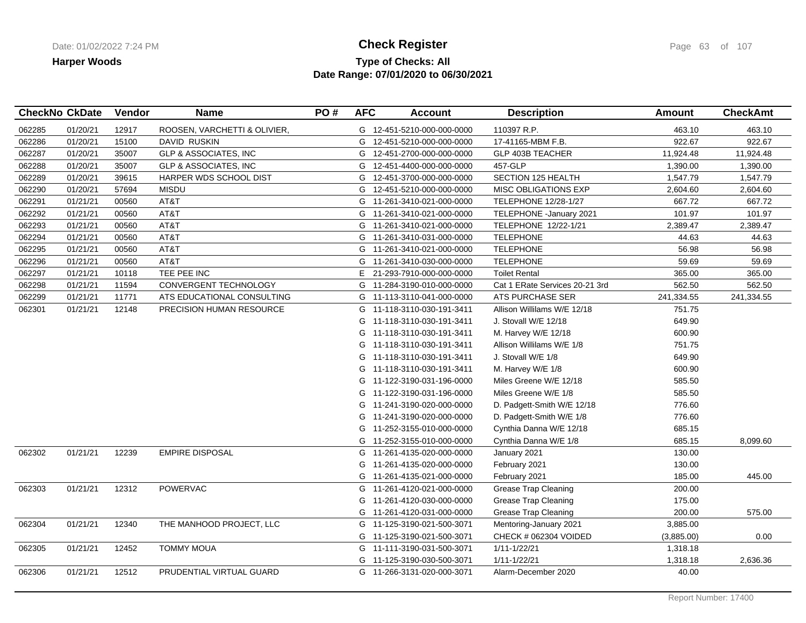## **Type of Checks: All Check Register Check Register Check Register Page 63 of 107 Date Range: 07/01/2020 to 06/30/2021**

|        | <b>CheckNo CkDate</b> | Vendor | <b>Name</b>                      | PO# | <b>AFC</b> | <b>Account</b>             | <b>Description</b>             | <b>Amount</b> | <b>CheckAmt</b> |
|--------|-----------------------|--------|----------------------------------|-----|------------|----------------------------|--------------------------------|---------------|-----------------|
| 062285 | 01/20/21              | 12917  | ROOSEN, VARCHETTI & OLIVIER,     |     |            | G 12-451-5210-000-000-0000 | 110397 R.P.                    | 463.10        | 463.10          |
| 062286 | 01/20/21              | 15100  | DAVID RUSKIN                     |     |            | G 12-451-5210-000-000-0000 | 17-41165-MBM F.B.              | 922.67        | 922.67          |
| 062287 | 01/20/21              | 35007  | <b>GLP &amp; ASSOCIATES, INC</b> |     |            | G 12-451-2700-000-000-0000 | GLP 403B TEACHER               | 11,924.48     | 11,924.48       |
| 062288 | 01/20/21              | 35007  | GLP & ASSOCIATES, INC            |     |            | G 12-451-4400-000-000-0000 | 457-GLP                        | 1,390.00      | 1,390.00        |
| 062289 | 01/20/21              | 39615  | HARPER WDS SCHOOL DIST           |     |            | G 12-451-3700-000-000-0000 | SECTION 125 HEALTH             | 1,547.79      | 1,547.79        |
| 062290 | 01/20/21              | 57694  | <b>MISDU</b>                     |     |            | G 12-451-5210-000-000-0000 | <b>MISC OBLIGATIONS EXP</b>    | 2,604.60      | 2,604.60        |
| 062291 | 01/21/21              | 00560  | AT&T                             |     |            | G 11-261-3410-021-000-0000 | <b>TELEPHONE 12/28-1/27</b>    | 667.72        | 667.72          |
| 062292 | 01/21/21              | 00560  | AT&T                             |     |            | G 11-261-3410-021-000-0000 | TELEPHONE - January 2021       | 101.97        | 101.97          |
| 062293 | 01/21/21              | 00560  | AT&T                             |     |            | G 11-261-3410-021-000-0000 | TELEPHONE 12/22-1/21           | 2,389.47      | 2,389.47        |
| 062294 | 01/21/21              | 00560  | AT&T                             |     |            | G 11-261-3410-031-000-0000 | <b>TELEPHONE</b>               | 44.63         | 44.63           |
| 062295 | 01/21/21              | 00560  | AT&T                             |     |            | G 11-261-3410-021-000-0000 | <b>TELEPHONE</b>               | 56.98         | 56.98           |
| 062296 | 01/21/21              | 00560  | AT&T                             |     |            | G 11-261-3410-030-000-0000 | <b>TELEPHONE</b>               | 59.69         | 59.69           |
| 062297 | 01/21/21              | 10118  | TEE PEE INC                      |     |            | E 21-293-7910-000-000-0000 | <b>Toilet Rental</b>           | 365.00        | 365.00          |
| 062298 | 01/21/21              | 11594  | CONVERGENT TECHNOLOGY            |     |            | G 11-284-3190-010-000-0000 | Cat 1 ERate Services 20-21 3rd | 562.50        | 562.50          |
| 062299 | 01/21/21              | 11771  | ATS EDUCATIONAL CONSULTING       |     |            | G 11-113-3110-041-000-0000 | ATS PURCHASE SER               | 241,334.55    | 241,334.55      |
| 062301 | 01/21/21              | 12148  | PRECISION HUMAN RESOURCE         |     |            | G 11-118-3110-030-191-3411 | Allison Willilams W/E 12/18    | 751.75        |                 |
|        |                       |        |                                  |     | G.         | 11-118-3110-030-191-3411   | J. Stovall W/E 12/18           | 649.90        |                 |
|        |                       |        |                                  |     | G          | 11-118-3110-030-191-3411   | M. Harvey W/E 12/18            | 600.90        |                 |
|        |                       |        |                                  |     |            | G 11-118-3110-030-191-3411 | Allison Willilams W/E 1/8      | 751.75        |                 |
|        |                       |        |                                  |     | G          | 11-118-3110-030-191-3411   | J. Stovall W/E 1/8             | 649.90        |                 |
|        |                       |        |                                  |     |            | G 11-118-3110-030-191-3411 | M. Harvey W/E 1/8              | 600.90        |                 |
|        |                       |        |                                  |     |            | G 11-122-3190-031-196-0000 | Miles Greene W/E 12/18         | 585.50        |                 |
|        |                       |        |                                  |     |            | G 11-122-3190-031-196-0000 | Miles Greene W/E 1/8           | 585.50        |                 |
|        |                       |        |                                  |     |            | G 11-241-3190-020-000-0000 | D. Padgett-Smith W/E 12/18     | 776.60        |                 |
|        |                       |        |                                  |     | G          | 11-241-3190-020-000-0000   | D. Padgett-Smith W/E 1/8       | 776.60        |                 |
|        |                       |        |                                  |     | G          | 11-252-3155-010-000-0000   | Cynthia Danna W/E 12/18        | 685.15        |                 |
|        |                       |        |                                  |     |            | G 11-252-3155-010-000-0000 | Cynthia Danna W/E 1/8          | 685.15        | 8,099.60        |
| 062302 | 01/21/21              | 12239  | <b>EMPIRE DISPOSAL</b>           |     |            | G 11-261-4135-020-000-0000 | January 2021                   | 130.00        |                 |
|        |                       |        |                                  |     | G          | 11-261-4135-020-000-0000   | February 2021                  | 130.00        |                 |
|        |                       |        |                                  |     | G          | 11-261-4135-021-000-0000   | February 2021                  | 185.00        | 445.00          |
| 062303 | 01/21/21              | 12312  | POWERVAC                         |     |            | G 11-261-4120-021-000-0000 | <b>Grease Trap Cleaning</b>    | 200.00        |                 |
|        |                       |        |                                  |     | G          | 11-261-4120-030-000-0000   | <b>Grease Trap Cleaning</b>    | 175.00        |                 |
|        |                       |        |                                  |     | G          | 11-261-4120-031-000-0000   | <b>Grease Trap Cleaning</b>    | 200.00        | 575.00          |
| 062304 | 01/21/21              | 12340  | THE MANHOOD PROJECT, LLC         |     |            | G 11-125-3190-021-500-3071 | Mentoring-January 2021         | 3,885.00      |                 |
|        |                       |        |                                  |     | G          | 11-125-3190-021-500-3071   | CHECK # 062304 VOIDED          | (3,885.00)    | 0.00            |
| 062305 | 01/21/21              | 12452  | <b>TOMMY MOUA</b>                |     |            | G 11-111-3190-031-500-3071 | 1/11-1/22/21                   | 1,318.18      |                 |
|        |                       |        |                                  |     | G          | 11-125-3190-030-500-3071   | 1/11-1/22/21                   | 1,318.18      | 2,636.36        |
| 062306 | 01/21/21              | 12512  | PRUDENTIAL VIRTUAL GUARD         |     |            | G 11-266-3131-020-000-3071 | Alarm-December 2020            | 40.00         |                 |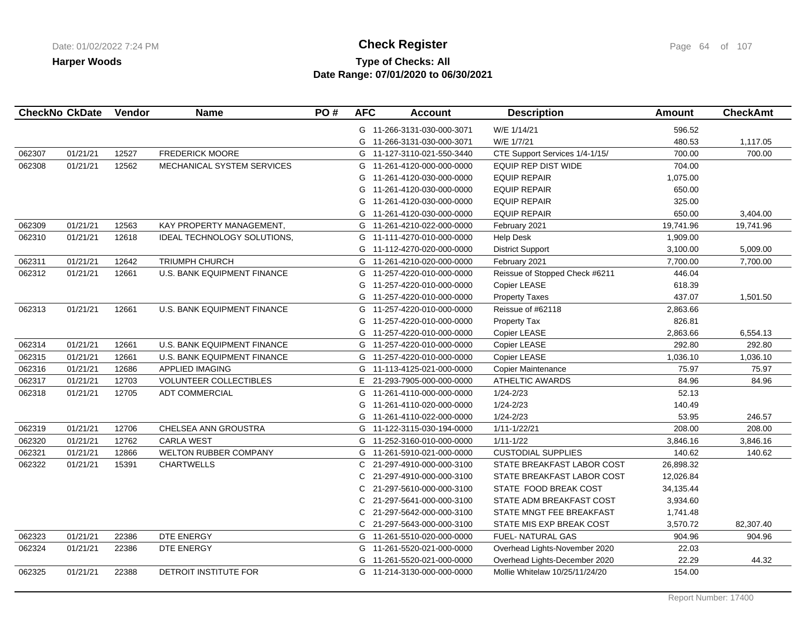# **Type of Checks: All Check Register Check Register Check Register Page 64 of 107 Date Range: 07/01/2020 to 06/30/2021**

|        | <b>CheckNo CkDate</b> | Vendor | <b>Name</b>                        | PO# | <b>AFC</b> | <b>Account</b>             | <b>Description</b>             | <b>Amount</b> | <b>CheckAmt</b> |
|--------|-----------------------|--------|------------------------------------|-----|------------|----------------------------|--------------------------------|---------------|-----------------|
|        |                       |        |                                    |     |            | G 11-266-3131-030-000-3071 | W/E 1/14/21                    | 596.52        |                 |
|        |                       |        |                                    |     | G          | 11-266-3131-030-000-3071   | W/E 1/7/21                     | 480.53        | 1,117.05        |
| 062307 | 01/21/21              | 12527  | <b>FREDERICK MOORE</b>             |     |            | G 11-127-3110-021-550-3440 | CTE Support Services 1/4-1/15/ | 700.00        | 700.00          |
| 062308 | 01/21/21              | 12562  | MECHANICAL SYSTEM SERVICES         |     |            | G 11-261-4120-000-000-0000 | EQUIP REP DIST WIDE            | 704.00        |                 |
|        |                       |        |                                    |     | G          | 11-261-4120-030-000-0000   | <b>EQUIP REPAIR</b>            | 1,075.00      |                 |
|        |                       |        |                                    |     | G          | 11-261-4120-030-000-0000   | <b>EQUIP REPAIR</b>            | 650.00        |                 |
|        |                       |        |                                    |     | G          | 11-261-4120-030-000-0000   | <b>EQUIP REPAIR</b>            | 325.00        |                 |
|        |                       |        |                                    |     | G          | 11-261-4120-030-000-0000   | <b>EQUIP REPAIR</b>            | 650.00        | 3,404.00        |
| 062309 | 01/21/21              | 12563  | KAY PROPERTY MANAGEMENT,           |     | G          | 11-261-4210-022-000-0000   | February 2021                  | 19,741.96     | 19,741.96       |
| 062310 | 01/21/21              | 12618  | IDEAL TECHNOLOGY SOLUTIONS,        |     | G          | 11-111-4270-010-000-0000   | <b>Help Desk</b>               | 1,909.00      |                 |
|        |                       |        |                                    |     | G          | 11-112-4270-020-000-0000   | <b>District Support</b>        | 3,100.00      | 5,009.00        |
| 062311 | 01/21/21              | 12642  | <b>TRIUMPH CHURCH</b>              |     | G          | 11-261-4210-020-000-0000   | February 2021                  | 7,700.00      | 7,700.00        |
| 062312 | 01/21/21              | 12661  | <b>U.S. BANK EQUIPMENT FINANCE</b> |     | G          | 11-257-4220-010-000-0000   | Reissue of Stopped Check #6211 | 446.04        |                 |
|        |                       |        |                                    |     | G          | 11-257-4220-010-000-0000   | Copier LEASE                   | 618.39        |                 |
|        |                       |        |                                    |     | G          | 11-257-4220-010-000-0000   | <b>Property Taxes</b>          | 437.07        | 1,501.50        |
| 062313 | 01/21/21              | 12661  | U.S. BANK EQUIPMENT FINANCE        |     | G          | 11-257-4220-010-000-0000   | Reissue of #62118              | 2,863.66      |                 |
|        |                       |        |                                    |     | G          | 11-257-4220-010-000-0000   | Property Tax                   | 826.81        |                 |
|        |                       |        |                                    |     | G          | 11-257-4220-010-000-0000   | Copier LEASE                   | 2,863.66      | 6,554.13        |
| 062314 | 01/21/21              | 12661  | <b>U.S. BANK EQUIPMENT FINANCE</b> |     |            | G 11-257-4220-010-000-0000 | Copier LEASE                   | 292.80        | 292.80          |
| 062315 | 01/21/21              | 12661  | U.S. BANK EQUIPMENT FINANCE        |     |            | G 11-257-4220-010-000-0000 | Copier LEASE                   | 1,036.10      | 1,036.10        |
| 062316 | 01/21/21              | 12686  | APPLIED IMAGING                    |     | G          | 11-113-4125-021-000-0000   | Copier Maintenance             | 75.97         | 75.97           |
| 062317 | 01/21/21              | 12703  | VOLUNTEER COLLECTIBLES             |     | E          | 21-293-7905-000-000-0000   | ATHELTIC AWARDS                | 84.96         | 84.96           |
| 062318 | 01/21/21              | 12705  | <b>ADT COMMERCIAL</b>              |     | G          | 11-261-4110-000-000-0000   | 1/24-2/23                      | 52.13         |                 |
|        |                       |        |                                    |     | G          | 11-261-4110-020-000-0000   | $1/24 - 2/23$                  | 140.49        |                 |
|        |                       |        |                                    |     | G          | 11-261-4110-022-000-0000   | 1/24-2/23                      | 53.95         | 246.57          |
| 062319 | 01/21/21              | 12706  | CHELSEA ANN GROUSTRA               |     |            | G 11-122-3115-030-194-0000 | 1/11-1/22/21                   | 208.00        | 208.00          |
| 062320 | 01/21/21              | 12762  | <b>CARLA WEST</b>                  |     | G          | 11-252-3160-010-000-0000   | $1/11 - 1/22$                  | 3,846.16      | 3,846.16        |
| 062321 | 01/21/21              | 12866  | WELTON RUBBER COMPANY              |     |            | G 11-261-5910-021-000-0000 | <b>CUSTODIAL SUPPLIES</b>      | 140.62        | 140.62          |
| 062322 | 01/21/21              | 15391  | <b>CHARTWELLS</b>                  |     | C          | 21-297-4910-000-000-3100   | STATE BREAKFAST LABOR COST     | 26,898.32     |                 |
|        |                       |        |                                    |     | C          | 21-297-4910-000-000-3100   | STATE BREAKFAST LABOR COST     | 12,026.84     |                 |
|        |                       |        |                                    |     | C          | 21-297-5610-000-000-3100   | STATE FOOD BREAK COST          | 34,135.44     |                 |
|        |                       |        |                                    |     | C          | 21-297-5641-000-000-3100   | STATE ADM BREAKFAST COST       | 3,934.60      |                 |
|        |                       |        |                                    |     | C          | 21-297-5642-000-000-3100   | STATE MNGT FEE BREAKFAST       | 1,741.48      |                 |
|        |                       |        |                                    |     |            | C 21-297-5643-000-000-3100 | STATE MIS EXP BREAK COST       | 3,570.72      | 82,307.40       |
| 062323 | 01/21/21              | 22386  | DTE ENERGY                         |     | G          | 11-261-5510-020-000-0000   | FUEL- NATURAL GAS              | 904.96        | 904.96          |
| 062324 | 01/21/21              | 22386  | DTE ENERGY                         |     |            | G 11-261-5520-021-000-0000 | Overhead Lights-November 2020  | 22.03         |                 |
|        |                       |        |                                    |     | G          | 11-261-5520-021-000-0000   | Overhead Lights-December 2020  | 22.29         | 44.32           |
| 062325 | 01/21/21              | 22388  | DETROIT INSTITUTE FOR              |     |            | G 11-214-3130-000-000-0000 | Mollie Whitelaw 10/25/11/24/20 | 154.00        |                 |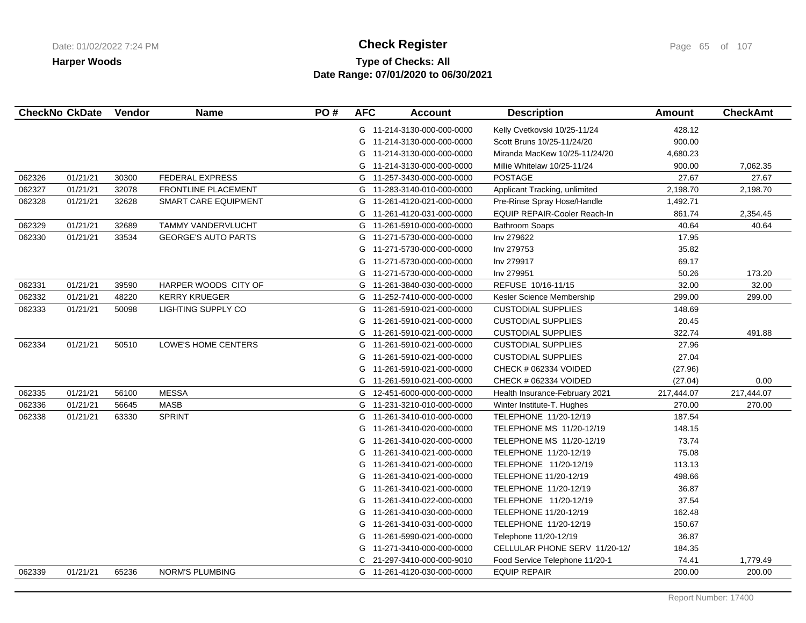# **Type of Checks: All Check Register Check Register Check Register Page 65 of 107 Date Range: 07/01/2020 to 06/30/2021**

|        | <b>CheckNo CkDate</b> | Vendor | <b>Name</b>                | PO# | <b>AFC</b> | <b>Account</b>             | <b>Description</b>                  | <b>Amount</b> | <b>CheckAmt</b> |
|--------|-----------------------|--------|----------------------------|-----|------------|----------------------------|-------------------------------------|---------------|-----------------|
|        |                       |        |                            |     |            | G 11-214-3130-000-000-0000 | Kelly Cvetkovski 10/25-11/24        | 428.12        |                 |
|        |                       |        |                            |     |            | G 11-214-3130-000-000-0000 | Scott Bruns 10/25-11/24/20          | 900.00        |                 |
|        |                       |        |                            |     | G          | 11-214-3130-000-000-0000   | Miranda MacKew 10/25-11/24/20       | 4,680.23      |                 |
|        |                       |        |                            |     |            | G 11-214-3130-000-000-0000 | Millie Whitelaw 10/25-11/24         | 900.00        | 7,062.35        |
| 062326 | 01/21/21              | 30300  | <b>FEDERAL EXPRESS</b>     |     |            | G 11-257-3430-000-000-0000 | <b>POSTAGE</b>                      | 27.67         | 27.67           |
| 062327 | 01/21/21              | 32078  | FRONTLINE PLACEMENT        |     |            | G 11-283-3140-010-000-0000 | Applicant Tracking, unlimited       | 2,198.70      | 2,198.70        |
| 062328 | 01/21/21              | 32628  | SMART CARE EQUIPMENT       |     |            | G 11-261-4120-021-000-0000 | Pre-Rinse Spray Hose/Handle         | 1,492.71      |                 |
|        |                       |        |                            |     | G          | 11-261-4120-031-000-0000   | <b>EQUIP REPAIR-Cooler Reach-In</b> | 861.74        | 2,354.45        |
| 062329 | 01/21/21              | 32689  | TAMMY VANDERVLUCHT         |     |            | G 11-261-5910-000-000-0000 | <b>Bathroom Soaps</b>               | 40.64         | 40.64           |
| 062330 | 01/21/21              | 33534  | <b>GEORGE'S AUTO PARTS</b> |     |            | G 11-271-5730-000-000-0000 | Inv 279622                          | 17.95         |                 |
|        |                       |        |                            |     | G          | 11-271-5730-000-000-0000   | Inv 279753                          | 35.82         |                 |
|        |                       |        |                            |     | G          | 11-271-5730-000-000-0000   | Inv 279917                          | 69.17         |                 |
|        |                       |        |                            |     | G          | 11-271-5730-000-000-0000   | Inv 279951                          | 50.26         | 173.20          |
| 062331 | 01/21/21              | 39590  | HARPER WOODS CITY OF       |     |            | G 11-261-3840-030-000-0000 | REFUSE 10/16-11/15                  | 32.00         | 32.00           |
| 062332 | 01/21/21              | 48220  | <b>KERRY KRUEGER</b>       |     |            | G 11-252-7410-000-000-0000 | Kesler Science Membership           | 299.00        | 299.00          |
| 062333 | 01/21/21              | 50098  | LIGHTING SUPPLY CO         |     | G          | 11-261-5910-021-000-0000   | <b>CUSTODIAL SUPPLIES</b>           | 148.69        |                 |
|        |                       |        |                            |     |            | G 11-261-5910-021-000-0000 | <b>CUSTODIAL SUPPLIES</b>           | 20.45         |                 |
|        |                       |        |                            |     |            | G 11-261-5910-021-000-0000 | <b>CUSTODIAL SUPPLIES</b>           | 322.74        | 491.88          |
| 062334 | 01/21/21              | 50510  | LOWE'S HOME CENTERS        |     |            | G 11-261-5910-021-000-0000 | <b>CUSTODIAL SUPPLIES</b>           | 27.96         |                 |
|        |                       |        |                            |     | G          | 11-261-5910-021-000-0000   | <b>CUSTODIAL SUPPLIES</b>           | 27.04         |                 |
|        |                       |        |                            |     | G          | 11-261-5910-021-000-0000   | CHECK # 062334 VOIDED               | (27.96)       |                 |
|        |                       |        |                            |     |            | G 11-261-5910-021-000-0000 | CHECK # 062334 VOIDED               | (27.04)       | 0.00            |
| 062335 | 01/21/21              | 56100  | <b>MESSA</b>               |     | G          | 12-451-6000-000-000-0000   | Health Insurance-February 2021      | 217,444.07    | 217,444.07      |
| 062336 | 01/21/21              | 56645  | <b>MASB</b>                |     |            | G 11-231-3210-010-000-0000 | Winter Institute-T. Hughes          | 270.00        | 270.00          |
| 062338 | 01/21/21              | 63330  | <b>SPRINT</b>              |     |            | G 11-261-3410-010-000-0000 | TELEPHONE 11/20-12/19               | 187.54        |                 |
|        |                       |        |                            |     | G          | 11-261-3410-020-000-0000   | TELEPHONE MS 11/20-12/19            | 148.15        |                 |
|        |                       |        |                            |     | G          | 11-261-3410-020-000-0000   | TELEPHONE MS 11/20-12/19            | 73.74         |                 |
|        |                       |        |                            |     | G          | 11-261-3410-021-000-0000   | TELEPHONE 11/20-12/19               | 75.08         |                 |
|        |                       |        |                            |     | G          | 11-261-3410-021-000-0000   | TELEPHONE 11/20-12/19               | 113.13        |                 |
|        |                       |        |                            |     | G          | 11-261-3410-021-000-0000   | TELEPHONE 11/20-12/19               | 498.66        |                 |
|        |                       |        |                            |     |            | G 11-261-3410-021-000-0000 | TELEPHONE 11/20-12/19               | 36.87         |                 |
|        |                       |        |                            |     | G          | 11-261-3410-022-000-0000   | TELEPHONE 11/20-12/19               | 37.54         |                 |
|        |                       |        |                            |     | G          | 11-261-3410-030-000-0000   | TELEPHONE 11/20-12/19               | 162.48        |                 |
|        |                       |        |                            |     | G          | 11-261-3410-031-000-0000   | TELEPHONE 11/20-12/19               | 150.67        |                 |
|        |                       |        |                            |     | G          | 11-261-5990-021-000-0000   | Telephone 11/20-12/19               | 36.87         |                 |
|        |                       |        |                            |     |            | G 11-271-3410-000-000-0000 | CELLULAR PHONE SERV 11/20-12/       | 184.35        |                 |
|        |                       |        |                            |     |            | 21-297-3410-000-000-9010   | Food Service Telephone 11/20-1      | 74.41         | 1,779.49        |
| 062339 | 01/21/21              | 65236  | NORM'S PLUMBING            |     |            | G 11-261-4120-030-000-0000 | <b>EQUIP REPAIR</b>                 | 200.00        | 200.00          |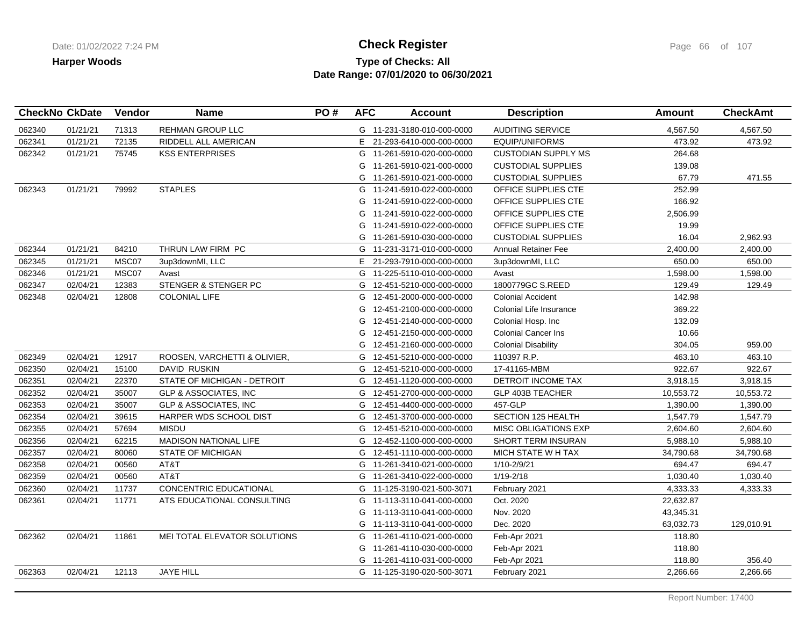## **Type of Checks: All Check Register Check Register Check Register Page 66 of 107 Date Range: 07/01/2020 to 06/30/2021**

|        | <b>CheckNo CkDate</b> | Vendor | <b>Name</b>                      | PO# | <b>AFC</b> | <b>Account</b>             | <b>Description</b>          | <b>Amount</b> | <b>CheckAmt</b> |
|--------|-----------------------|--------|----------------------------------|-----|------------|----------------------------|-----------------------------|---------------|-----------------|
| 062340 | 01/21/21              | 71313  | REHMAN GROUP LLC                 |     |            | G 11-231-3180-010-000-0000 | <b>AUDITING SERVICE</b>     | 4,567.50      | 4,567.50        |
| 062341 | 01/21/21              | 72135  | RIDDELL ALL AMERICAN             |     |            | E 21-293-6410-000-000-0000 | <b>EQUIP/UNIFORMS</b>       | 473.92        | 473.92          |
| 062342 | 01/21/21              | 75745  | <b>KSS ENTERPRISES</b>           |     |            | G 11-261-5910-020-000-0000 | <b>CUSTODIAN SUPPLY MS</b>  | 264.68        |                 |
|        |                       |        |                                  |     | G.         | 11-261-5910-021-000-0000   | <b>CUSTODIAL SUPPLIES</b>   | 139.08        |                 |
|        |                       |        |                                  |     |            | G 11-261-5910-021-000-0000 | <b>CUSTODIAL SUPPLIES</b>   | 67.79         | 471.55          |
| 062343 | 01/21/21              | 79992  | <b>STAPLES</b>                   |     | G          | 11-241-5910-022-000-0000   | OFFICE SUPPLIES CTE         | 252.99        |                 |
|        |                       |        |                                  |     | G          | 11-241-5910-022-000-0000   | OFFICE SUPPLIES CTE         | 166.92        |                 |
|        |                       |        |                                  |     | G          | 11-241-5910-022-000-0000   | OFFICE SUPPLIES CTE         | 2,506.99      |                 |
|        |                       |        |                                  |     | G          | 11-241-5910-022-000-0000   | OFFICE SUPPLIES CTE         | 19.99         |                 |
|        |                       |        |                                  |     | G          | 11-261-5910-030-000-0000   | <b>CUSTODIAL SUPPLIES</b>   | 16.04         | 2,962.93        |
| 062344 | 01/21/21              | 84210  | THRUN LAW FIRM PC                |     |            | G 11-231-3171-010-000-0000 | <b>Annual Retainer Fee</b>  | 2,400.00      | 2,400.00        |
| 062345 | 01/21/21              | MSC07  | 3up3downMI, LLC                  |     | E.         | 21-293-7910-000-000-0000   | 3up3downMI, LLC             | 650.00        | 650.00          |
| 062346 | 01/21/21              | MSC07  | Avast                            |     |            | G 11-225-5110-010-000-0000 | Avast                       | 1,598.00      | 1,598.00        |
| 062347 | 02/04/21              | 12383  | STENGER & STENGER PC             |     | G          | 12-451-5210-000-000-0000   | 1800779GC S.REED            | 129.49        | 129.49          |
| 062348 | 02/04/21              | 12808  | <b>COLONIAL LIFE</b>             |     | G          | 12-451-2000-000-000-0000   | <b>Colonial Accident</b>    | 142.98        |                 |
|        |                       |        |                                  |     | G          | 12-451-2100-000-000-0000   | Colonial Life Insurance     | 369.22        |                 |
|        |                       |        |                                  |     | G          | 12-451-2140-000-000-0000   | Colonial Hosp. Inc          | 132.09        |                 |
|        |                       |        |                                  |     | G          | 12-451-2150-000-000-0000   | <b>Colonial Cancer Ins</b>  | 10.66         |                 |
|        |                       |        |                                  |     | G          | 12-451-2160-000-000-0000   | <b>Colonial Disability</b>  | 304.05        | 959.00          |
| 062349 | 02/04/21              | 12917  | ROOSEN, VARCHETTI & OLIVIER,     |     | G          | 12-451-5210-000-000-0000   | 110397 R.P.                 | 463.10        | 463.10          |
| 062350 | 02/04/21              | 15100  | <b>DAVID RUSKIN</b>              |     |            | G 12-451-5210-000-000-0000 | 17-41165-MBM                | 922.67        | 922.67          |
| 062351 | 02/04/21              | 22370  | STATE OF MICHIGAN - DETROIT      |     | G          | 12-451-1120-000-000-0000   | DETROIT INCOME TAX          | 3,918.15      | 3,918.15        |
| 062352 | 02/04/21              | 35007  | <b>GLP &amp; ASSOCIATES, INC</b> |     | G          | 12-451-2700-000-000-0000   | GLP 403B TEACHER            | 10,553.72     | 10,553.72       |
| 062353 | 02/04/21              | 35007  | <b>GLP &amp; ASSOCIATES, INC</b> |     | G          | 12-451-4400-000-000-0000   | 457-GLP                     | 1,390.00      | 1,390.00        |
| 062354 | 02/04/21              | 39615  | HARPER WDS SCHOOL DIST           |     | G          | 12-451-3700-000-000-0000   | SECTION 125 HEALTH          | 1,547.79      | 1,547.79        |
| 062355 | 02/04/21              | 57694  | <b>MISDU</b>                     |     | G          | 12-451-5210-000-000-0000   | <b>MISC OBLIGATIONS EXP</b> | 2,604.60      | 2,604.60        |
| 062356 | 02/04/21              | 62215  | MADISON NATIONAL LIFE            |     | G          | 12-452-1100-000-000-0000   | SHORT TERM INSURAN          | 5,988.10      | 5,988.10        |
| 062357 | 02/04/21              | 80060  | <b>STATE OF MICHIGAN</b>         |     | G          | 12-451-1110-000-000-0000   | MICH STATE W H TAX          | 34,790.68     | 34,790.68       |
| 062358 | 02/04/21              | 00560  | AT&T                             |     |            | G 11-261-3410-021-000-0000 | 1/10-2/9/21                 | 694.47        | 694.47          |
| 062359 | 02/04/21              | 00560  | AT&T                             |     |            | G 11-261-3410-022-000-0000 | $1/19 - 2/18$               | 1,030.40      | 1,030.40        |
| 062360 | 02/04/21              | 11737  | CONCENTRIC EDUCATIONAL           |     |            | G 11-125-3190-021-500-3071 | February 2021               | 4,333.33      | 4,333.33        |
| 062361 | 02/04/21              | 11771  | ATS EDUCATIONAL CONSULTING       |     |            | G 11-113-3110-041-000-0000 | Oct. 2020                   | 22,632.87     |                 |
|        |                       |        |                                  |     | G          | 11-113-3110-041-000-0000   | Nov. 2020                   | 43,345.31     |                 |
|        |                       |        |                                  |     |            | G 11-113-3110-041-000-0000 | Dec. 2020                   | 63,032.73     | 129,010.91      |
| 062362 | 02/04/21              | 11861  | MEI TOTAL ELEVATOR SOLUTIONS     |     |            | G 11-261-4110-021-000-0000 | Feb-Apr 2021                | 118.80        |                 |
|        |                       |        |                                  |     |            | G 11-261-4110-030-000-0000 | Feb-Apr 2021                | 118.80        |                 |
|        |                       |        |                                  |     |            | G 11-261-4110-031-000-0000 | Feb-Apr 2021                | 118.80        | 356.40          |
| 062363 | 02/04/21              | 12113  | JAYE HILL                        |     |            | G 11-125-3190-020-500-3071 | February 2021               | 2,266.66      | 2,266.66        |
|        |                       |        |                                  |     |            |                            |                             |               |                 |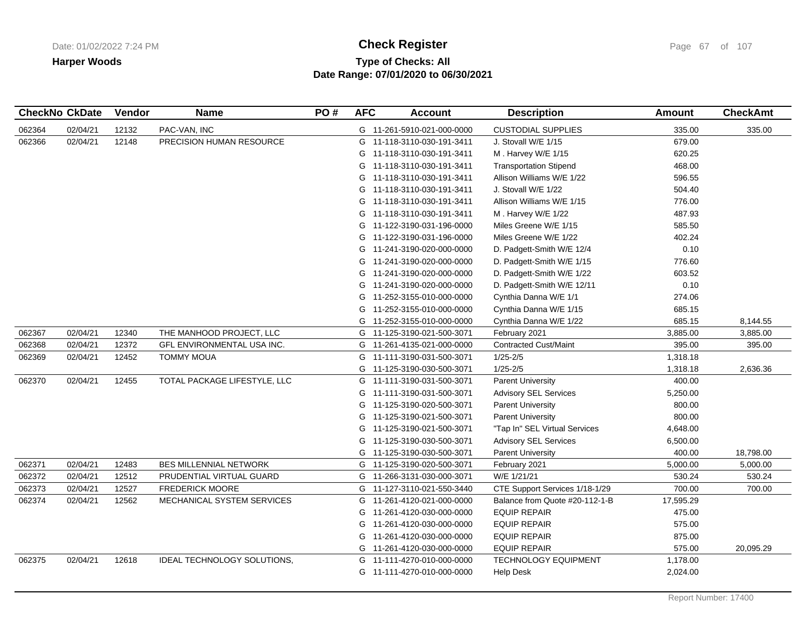# **Type of Checks: All Check Register Check Register Check Register Page 67 of 107 Date Range: 07/01/2020 to 06/30/2021**

|        | <b>CheckNo CkDate</b> | Vendor | <b>Name</b>                        | PO# | <b>AFC</b> | <b>Account</b>             | <b>Description</b>             | <b>Amount</b> | <b>CheckAmt</b> |
|--------|-----------------------|--------|------------------------------------|-----|------------|----------------------------|--------------------------------|---------------|-----------------|
| 062364 | 02/04/21              | 12132  | PAC-VAN, INC                       |     |            | G 11-261-5910-021-000-0000 | <b>CUSTODIAL SUPPLIES</b>      | 335.00        | 335.00          |
| 062366 | 02/04/21              | 12148  | PRECISION HUMAN RESOURCE           |     |            | G 11-118-3110-030-191-3411 | J. Stovall W/E 1/15            | 679.00        |                 |
|        |                       |        |                                    |     | G          | 11-118-3110-030-191-3411   | M. Harvey W/E 1/15             | 620.25        |                 |
|        |                       |        |                                    |     |            | G 11-118-3110-030-191-3411 | <b>Transportation Stipend</b>  | 468.00        |                 |
|        |                       |        |                                    |     | G          | 11-118-3110-030-191-3411   | Allison Williams W/E 1/22      | 596.55        |                 |
|        |                       |        |                                    |     | G          | 11-118-3110-030-191-3411   | J. Stovall W/E 1/22            | 504.40        |                 |
|        |                       |        |                                    |     |            | G 11-118-3110-030-191-3411 | Allison Williams W/E 1/15      | 776.00        |                 |
|        |                       |        |                                    |     |            | G 11-118-3110-030-191-3411 | M. Harvey W/E 1/22             | 487.93        |                 |
|        |                       |        |                                    |     |            | G 11-122-3190-031-196-0000 | Miles Greene W/E 1/15          | 585.50        |                 |
|        |                       |        |                                    |     |            | G 11-122-3190-031-196-0000 | Miles Greene W/E 1/22          | 402.24        |                 |
|        |                       |        |                                    |     |            | G 11-241-3190-020-000-0000 | D. Padgett-Smith W/E 12/4      | 0.10          |                 |
|        |                       |        |                                    |     | G          | 11-241-3190-020-000-0000   | D. Padgett-Smith W/E 1/15      | 776.60        |                 |
|        |                       |        |                                    |     | G          | 11-241-3190-020-000-0000   | D. Padgett-Smith W/E 1/22      | 603.52        |                 |
|        |                       |        |                                    |     | G          | 11-241-3190-020-000-0000   | D. Padgett-Smith W/E 12/11     | 0.10          |                 |
|        |                       |        |                                    |     |            | G 11-252-3155-010-000-0000 | Cynthia Danna W/E 1/1          | 274.06        |                 |
|        |                       |        |                                    |     | G          | 11-252-3155-010-000-0000   | Cynthia Danna W/E 1/15         | 685.15        |                 |
|        |                       |        |                                    |     |            | G 11-252-3155-010-000-0000 | Cynthia Danna W/E 1/22         | 685.15        | 8,144.55        |
| 062367 | 02/04/21              | 12340  | THE MANHOOD PROJECT, LLC           |     |            | G 11-125-3190-021-500-3071 | February 2021                  | 3,885.00      | 3,885.00        |
| 062368 | 02/04/21              | 12372  | GFL ENVIRONMENTAL USA INC.         |     | G          | 11-261-4135-021-000-0000   | <b>Contracted Cust/Maint</b>   | 395.00        | 395.00          |
| 062369 | 02/04/21              | 12452  | <b>TOMMY MOUA</b>                  |     | G          | 11-111-3190-031-500-3071   | $1/25 - 2/5$                   | 1,318.18      |                 |
|        |                       |        |                                    |     | G          | 11-125-3190-030-500-3071   | $1/25 - 2/5$                   | 1,318.18      | 2,636.36        |
| 062370 | 02/04/21              | 12455  | TOTAL PACKAGE LIFESTYLE, LLC       |     |            | G 11-111-3190-031-500-3071 | <b>Parent University</b>       | 400.00        |                 |
|        |                       |        |                                    |     |            | G 11-111-3190-031-500-3071 | <b>Advisory SEL Services</b>   | 5,250.00      |                 |
|        |                       |        |                                    |     |            | G 11-125-3190-020-500-3071 | <b>Parent University</b>       | 800.00        |                 |
|        |                       |        |                                    |     |            | G 11-125-3190-021-500-3071 | <b>Parent University</b>       | 800.00        |                 |
|        |                       |        |                                    |     |            | G 11-125-3190-021-500-3071 | "Tap In" SEL Virtual Services  | 4,648.00      |                 |
|        |                       |        |                                    |     | G          | 11-125-3190-030-500-3071   | <b>Advisory SEL Services</b>   | 6,500.00      |                 |
|        |                       |        |                                    |     |            | G 11-125-3190-030-500-3071 | <b>Parent University</b>       | 400.00        | 18,798.00       |
| 062371 | 02/04/21              | 12483  | <b>BES MILLENNIAL NETWORK</b>      |     |            | G 11-125-3190-020-500-3071 | February 2021                  | 5,000.00      | 5,000.00        |
| 062372 | 02/04/21              | 12512  | PRUDENTIAL VIRTUAL GUARD           |     | G          | 11-266-3131-030-000-3071   | W/E 1/21/21                    | 530.24        | 530.24          |
| 062373 | 02/04/21              | 12527  | <b>FREDERICK MOORE</b>             |     |            | G 11-127-3110-021-550-3440 | CTE Support Services 1/18-1/29 | 700.00        | 700.00          |
| 062374 | 02/04/21              | 12562  | MECHANICAL SYSTEM SERVICES         |     | G          | 11-261-4120-021-000-0000   | Balance from Quote #20-112-1-B | 17,595.29     |                 |
|        |                       |        |                                    |     | G          | 11-261-4120-030-000-0000   | <b>EQUIP REPAIR</b>            | 475.00        |                 |
|        |                       |        |                                    |     | G          | 11-261-4120-030-000-0000   | <b>EQUIP REPAIR</b>            | 575.00        |                 |
|        |                       |        |                                    |     | G          | 11-261-4120-030-000-0000   | <b>EQUIP REPAIR</b>            | 875.00        |                 |
|        |                       |        |                                    |     |            | G 11-261-4120-030-000-0000 | <b>EQUIP REPAIR</b>            | 575.00        | 20,095.29       |
| 062375 | 02/04/21              | 12618  | <b>IDEAL TECHNOLOGY SOLUTIONS,</b> |     |            | G 11-111-4270-010-000-0000 | <b>TECHNOLOGY EQUIPMENT</b>    | 1,178.00      |                 |
|        |                       |        |                                    |     |            | G 11-111-4270-010-000-0000 | <b>Help Desk</b>               | 2,024.00      |                 |
|        |                       |        |                                    |     |            |                            |                                |               |                 |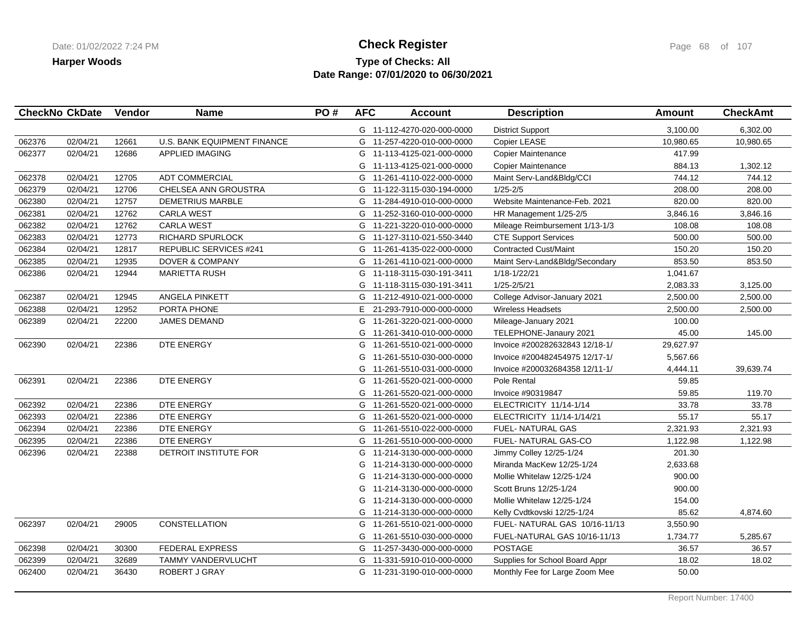## **Type of Checks: All Check Register Check Register Check Register Page 68 of 107 Date Range: 07/01/2020 to 06/30/2021**

|        | <b>CheckNo CkDate</b> | Vendor | <b>Name</b>                        | PO# | <b>AFC</b> | <b>Account</b>             | <b>Description</b>             | <b>Amount</b> | <b>CheckAmt</b> |
|--------|-----------------------|--------|------------------------------------|-----|------------|----------------------------|--------------------------------|---------------|-----------------|
|        |                       |        |                                    |     |            | G 11-112-4270-020-000-0000 | <b>District Support</b>        | 3,100.00      | 6,302.00        |
| 062376 | 02/04/21              | 12661  | <b>U.S. BANK EQUIPMENT FINANCE</b> |     |            | G 11-257-4220-010-000-0000 | Copier LEASE                   | 10,980.65     | 10,980.65       |
| 062377 | 02/04/21              | 12686  | <b>APPLIED IMAGING</b>             |     |            | G 11-113-4125-021-000-0000 | <b>Copier Maintenance</b>      | 417.99        |                 |
|        |                       |        |                                    |     | G          | 11-113-4125-021-000-0000   | <b>Copier Maintenance</b>      | 884.13        | 1,302.12        |
| 062378 | 02/04/21              | 12705  | <b>ADT COMMERCIAL</b>              |     |            | G 11-261-4110-022-000-0000 | Maint Serv-Land&Bldg/CCI       | 744.12        | 744.12          |
| 062379 | 02/04/21              | 12706  | CHELSEA ANN GROUSTRA               |     |            | G 11-122-3115-030-194-0000 | $1/25 - 2/5$                   | 208.00        | 208.00          |
| 062380 | 02/04/21              | 12757  | <b>DEMETRIUS MARBLE</b>            |     |            | G 11-284-4910-010-000-0000 | Website Maintenance-Feb. 2021  | 820.00        | 820.00          |
| 062381 | 02/04/21              | 12762  | <b>CARLA WEST</b>                  |     | G          | 11-252-3160-010-000-0000   | HR Management 1/25-2/5         | 3,846.16      | 3,846.16        |
| 062382 | 02/04/21              | 12762  | <b>CARLA WEST</b>                  |     | G          | 11-221-3220-010-000-0000   | Mileage Reimbursement 1/13-1/3 | 108.08        | 108.08          |
| 062383 | 02/04/21              | 12773  | RICHARD SPURLOCK                   |     | G          | 11-127-3110-021-550-3440   | <b>CTE Support Services</b>    | 500.00        | 500.00          |
| 062384 | 02/04/21              | 12817  | <b>REPUBLIC SERVICES #241</b>      |     |            | G 11-261-4135-022-000-0000 | <b>Contracted Cust/Maint</b>   | 150.20        | 150.20          |
| 062385 | 02/04/21              | 12935  | <b>DOVER &amp; COMPANY</b>         |     |            | G 11-261-4110-021-000-0000 | Maint Serv-Land&Bldg/Secondary | 853.50        | 853.50          |
| 062386 | 02/04/21              | 12944  | <b>MARIETTA RUSH</b>               |     | G          | 11-118-3115-030-191-3411   | 1/18-1/22/21                   | 1,041.67      |                 |
|        |                       |        |                                    |     | G          | 11-118-3115-030-191-3411   | 1/25-2/5/21                    | 2,083.33      | 3,125.00        |
| 062387 | 02/04/21              | 12945  | ANGELA PINKETT                     |     |            | G 11-212-4910-021-000-0000 | College Advisor-January 2021   | 2,500.00      | 2,500.00        |
| 062388 | 02/04/21              | 12952  | PORTA PHONE                        |     | E.         | 21-293-7910-000-000-0000   | <b>Wireless Headsets</b>       | 2,500.00      | 2,500.00        |
| 062389 | 02/04/21              | 22200  | <b>JAMES DEMAND</b>                |     | G          | 11-261-3220-021-000-0000   | Mileage-January 2021           | 100.00        |                 |
|        |                       |        |                                    |     | G          | 11-261-3410-010-000-0000   | TELEPHONE-Janaury 2021         | 45.00         | 145.00          |
| 062390 | 02/04/21              | 22386  | DTE ENERGY                         |     | G          | 11-261-5510-021-000-0000   | Invoice #200282632843 12/18-1/ | 29,627.97     |                 |
|        |                       |        |                                    |     | G          | 11-261-5510-030-000-0000   | Invoice #200482454975 12/17-1/ | 5,567.66      |                 |
|        |                       |        |                                    |     | G          | 11-261-5510-031-000-0000   | Invoice #200032684358 12/11-1/ | 4,444.11      | 39,639.74       |
| 062391 | 02/04/21              | 22386  | DTE ENERGY                         |     | G          | 11-261-5520-021-000-0000   | Pole Rental                    | 59.85         |                 |
|        |                       |        |                                    |     | G          | 11-261-5520-021-000-0000   | Invoice #90319847              | 59.85         | 119.70          |
| 062392 | 02/04/21              | 22386  | DTE ENERGY                         |     |            | G 11-261-5520-021-000-0000 | ELECTRICITY 11/14-1/14         | 33.78         | 33.78           |
| 062393 | 02/04/21              | 22386  | DTE ENERGY                         |     | G          | 11-261-5520-021-000-0000   | ELECTRICITY 11/14-1/14/21      | 55.17         | 55.17           |
| 062394 | 02/04/21              | 22386  | DTE ENERGY                         |     | G          | 11-261-5510-022-000-0000   | FUEL- NATURAL GAS              | 2,321.93      | 2,321.93        |
| 062395 | 02/04/21              | 22386  | DTE ENERGY                         |     | G          | 11-261-5510-000-000-0000   | FUEL- NATURAL GAS-CO           | 1,122.98      | 1,122.98        |
| 062396 | 02/04/21              | 22388  | DETROIT INSTITUTE FOR              |     | G          | 11-214-3130-000-000-0000   | Jimmy Colley 12/25-1/24        | 201.30        |                 |
|        |                       |        |                                    |     | G          | 11-214-3130-000-000-0000   | Miranda MacKew 12/25-1/24      | 2,633.68      |                 |
|        |                       |        |                                    |     | G          | 11-214-3130-000-000-0000   | Mollie Whitelaw 12/25-1/24     | 900.00        |                 |
|        |                       |        |                                    |     | G          | 11-214-3130-000-000-0000   | Scott Bruns 12/25-1/24         | 900.00        |                 |
|        |                       |        |                                    |     |            | G 11-214-3130-000-000-0000 | Mollie Whitelaw 12/25-1/24     | 154.00        |                 |
|        |                       |        |                                    |     |            | G 11-214-3130-000-000-0000 | Kelly Cvdtkovski 12/25-1/24    | 85.62         | 4,874.60        |
| 062397 | 02/04/21              | 29005  | <b>CONSTELLATION</b>               |     | G          | 11-261-5510-021-000-0000   | FUEL- NATURAL GAS 10/16-11/13  | 3,550.90      |                 |
|        |                       |        |                                    |     | G          | 11-261-5510-030-000-0000   | FUEL-NATURAL GAS 10/16-11/13   | 1,734.77      | 5,285.67        |
| 062398 | 02/04/21              | 30300  | <b>FEDERAL EXPRESS</b>             |     | G          | 11-257-3430-000-000-0000   | <b>POSTAGE</b>                 | 36.57         | 36.57           |
| 062399 | 02/04/21              | 32689  | TAMMY VANDERVLUCHT                 |     |            | G 11-331-5910-010-000-0000 | Supplies for School Board Appr | 18.02         | 18.02           |
| 062400 | 02/04/21              | 36430  | ROBERT J GRAY                      |     |            | G 11-231-3190-010-000-0000 | Monthly Fee for Large Zoom Mee | 50.00         |                 |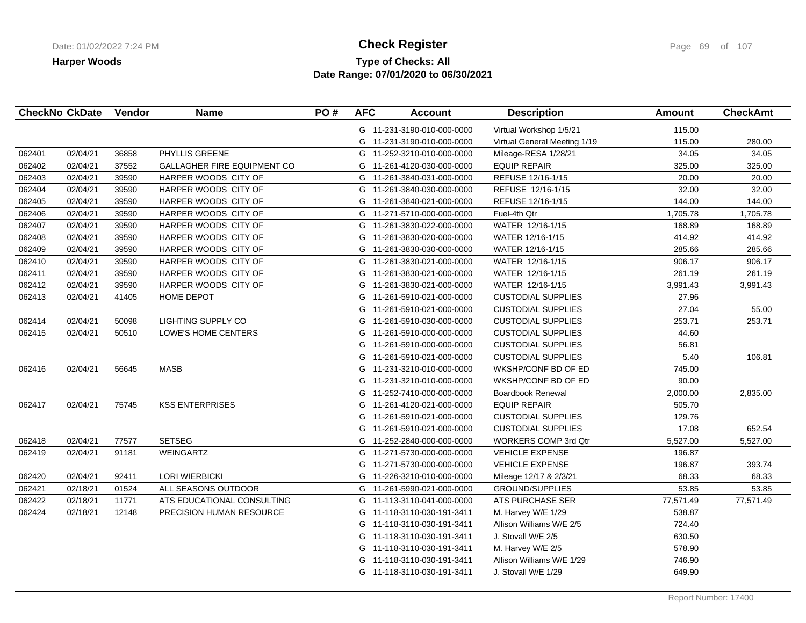# **Type of Checks: All Check Register Check Register Check Register Page 69 of 107 Date Range: 07/01/2020 to 06/30/2021**

|        | <b>CheckNo CkDate</b> | Vendor | <b>Name</b>                        | PO# | <b>AFC</b> | <b>Account</b>             | <b>Description</b>           | Amount    | <b>CheckAmt</b> |
|--------|-----------------------|--------|------------------------------------|-----|------------|----------------------------|------------------------------|-----------|-----------------|
|        |                       |        |                                    |     |            | G 11-231-3190-010-000-0000 | Virtual Workshop 1/5/21      | 115.00    |                 |
|        |                       |        |                                    |     |            | G 11-231-3190-010-000-0000 | Virtual General Meeting 1/19 | 115.00    | 280.00          |
| 062401 | 02/04/21              | 36858  | PHYLLIS GREENE                     |     |            | G 11-252-3210-010-000-0000 | Mileage-RESA 1/28/21         | 34.05     | 34.05           |
| 062402 | 02/04/21              | 37552  | <b>GALLAGHER FIRE EQUIPMENT CO</b> |     |            | G 11-261-4120-030-000-0000 | <b>EQUIP REPAIR</b>          | 325.00    | 325.00          |
| 062403 | 02/04/21              | 39590  | HARPER WOODS CITY OF               |     | G          | 11-261-3840-031-000-0000   | REFUSE 12/16-1/15            | 20.00     | 20.00           |
| 062404 | 02/04/21              | 39590  | HARPER WOODS CITY OF               |     |            | G 11-261-3840-030-000-0000 | REFUSE 12/16-1/15            | 32.00     | 32.00           |
| 062405 | 02/04/21              | 39590  | HARPER WOODS CITY OF               |     |            | G 11-261-3840-021-000-0000 | REFUSE 12/16-1/15            | 144.00    | 144.00          |
| 062406 | 02/04/21              | 39590  | HARPER WOODS CITY OF               |     |            | G 11-271-5710-000-000-0000 | Fuel-4th Qtr                 | 1,705.78  | 1,705.78        |
| 062407 | 02/04/21              | 39590  | HARPER WOODS CITY OF               |     |            | G 11-261-3830-022-000-0000 | WATER 12/16-1/15             | 168.89    | 168.89          |
| 062408 | 02/04/21              | 39590  | HARPER WOODS CITY OF               |     |            | G 11-261-3830-020-000-0000 | WATER 12/16-1/15             | 414.92    | 414.92          |
| 062409 | 02/04/21              | 39590  | HARPER WOODS CITY OF               |     |            | G 11-261-3830-030-000-0000 | WATER 12/16-1/15             | 285.66    | 285.66          |
| 062410 | 02/04/21              | 39590  | HARPER WOODS CITY OF               |     | G          | 11-261-3830-021-000-0000   | WATER 12/16-1/15             | 906.17    | 906.17          |
| 062411 | 02/04/21              | 39590  | HARPER WOODS CITY OF               |     | G          | 11-261-3830-021-000-0000   | WATER 12/16-1/15             | 261.19    | 261.19          |
| 062412 | 02/04/21              | 39590  | HARPER WOODS CITY OF               |     | G          | 11-261-3830-021-000-0000   | WATER 12/16-1/15             | 3,991.43  | 3,991.43        |
| 062413 | 02/04/21              | 41405  | HOME DEPOT                         |     | G          | 11-261-5910-021-000-0000   | <b>CUSTODIAL SUPPLIES</b>    | 27.96     |                 |
|        |                       |        |                                    |     | G          | 11-261-5910-021-000-0000   | <b>CUSTODIAL SUPPLIES</b>    | 27.04     | 55.00           |
| 062414 | 02/04/21              | 50098  | LIGHTING SUPPLY CO                 |     |            | G 11-261-5910-030-000-0000 | <b>CUSTODIAL SUPPLIES</b>    | 253.71    | 253.71          |
| 062415 | 02/04/21              | 50510  | LOWE'S HOME CENTERS                |     | G          | 11-261-5910-000-000-0000   | <b>CUSTODIAL SUPPLIES</b>    | 44.60     |                 |
|        |                       |        |                                    |     | G          | 11-261-5910-000-000-0000   | <b>CUSTODIAL SUPPLIES</b>    | 56.81     |                 |
|        |                       |        |                                    |     | G          | 11-261-5910-021-000-0000   | <b>CUSTODIAL SUPPLIES</b>    | 5.40      | 106.81          |
| 062416 | 02/04/21              | 56645  | <b>MASB</b>                        |     | G          | 11-231-3210-010-000-0000   | WKSHP/CONF BD OF ED          | 745.00    |                 |
|        |                       |        |                                    |     |            | G 11-231-3210-010-000-0000 | WKSHP/CONF BD OF ED          | 90.00     |                 |
|        |                       |        |                                    |     |            | G 11-252-7410-000-000-0000 | Boardbook Renewal            | 2,000.00  | 2,835.00        |
| 062417 | 02/04/21              | 75745  | <b>KSS ENTERPRISES</b>             |     |            | G 11-261-4120-021-000-0000 | <b>EQUIP REPAIR</b>          | 505.70    |                 |
|        |                       |        |                                    |     | G          | 11-261-5910-021-000-0000   | <b>CUSTODIAL SUPPLIES</b>    | 129.76    |                 |
|        |                       |        |                                    |     |            | G 11-261-5910-021-000-0000 | <b>CUSTODIAL SUPPLIES</b>    | 17.08     | 652.54          |
| 062418 | 02/04/21              | 77577  | <b>SETSEG</b>                      |     | G          | 11-252-2840-000-000-0000   | WORKERS COMP 3rd Qtr         | 5,527.00  | 5,527.00        |
| 062419 | 02/04/21              | 91181  | <b>WEINGARTZ</b>                   |     | G          | 11-271-5730-000-000-0000   | <b>VEHICLE EXPENSE</b>       | 196.87    |                 |
|        |                       |        |                                    |     | G          | 11-271-5730-000-000-0000   | <b>VEHICLE EXPENSE</b>       | 196.87    | 393.74          |
| 062420 | 02/04/21              | 92411  | <b>LORI WIERBICKI</b>              |     |            | G 11-226-3210-010-000-0000 | Mileage 12/17 & 2/3/21       | 68.33     | 68.33           |
| 062421 | 02/18/21              | 01524  | ALL SEASONS OUTDOOR                |     | G          | 11-261-5990-021-000-0000   | <b>GROUND/SUPPLIES</b>       | 53.85     | 53.85           |
| 062422 | 02/18/21              | 11771  | ATS EDUCATIONAL CONSULTING         |     |            | G 11-113-3110-041-000-0000 | ATS PURCHASE SER             | 77,571.49 | 77,571.49       |
| 062424 | 02/18/21              | 12148  | PRECISION HUMAN RESOURCE           |     |            | G 11-118-3110-030-191-3411 | M. Harvey W/E 1/29           | 538.87    |                 |
|        |                       |        |                                    |     |            | G 11-118-3110-030-191-3411 | Allison Williams W/E 2/5     | 724.40    |                 |
|        |                       |        |                                    |     | G          | 11-118-3110-030-191-3411   | J. Stovall W/E 2/5           | 630.50    |                 |
|        |                       |        |                                    |     | G          | 11-118-3110-030-191-3411   | M. Harvey W/E 2/5            | 578.90    |                 |
|        |                       |        |                                    |     | G          | 11-118-3110-030-191-3411   | Allison Williams W/E 1/29    | 746.90    |                 |
|        |                       |        |                                    |     |            | G 11-118-3110-030-191-3411 | J. Stovall W/E 1/29          | 649.90    |                 |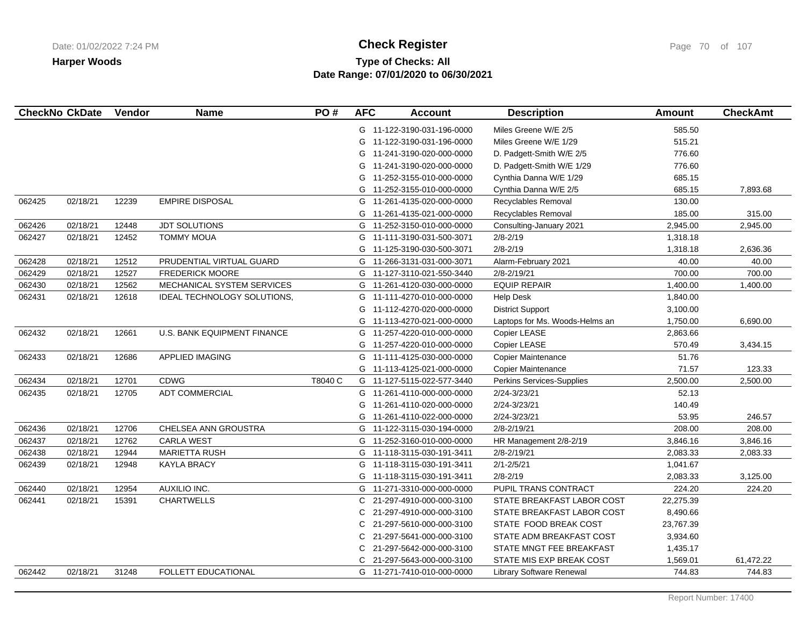# **Type of Checks: All Check Register Check Register Check Register Page 70 of 107 Date Range: 07/01/2020 to 06/30/2021**

|        | <b>CheckNo CkDate</b> | Vendor | <b>Name</b>                        | PO#     | <b>AFC</b> | <b>Account</b>             | <b>Description</b>             | <b>Amount</b> | <b>CheckAmt</b> |
|--------|-----------------------|--------|------------------------------------|---------|------------|----------------------------|--------------------------------|---------------|-----------------|
|        |                       |        |                                    |         |            | G 11-122-3190-031-196-0000 | Miles Greene W/E 2/5           | 585.50        |                 |
|        |                       |        |                                    |         | G          | 11-122-3190-031-196-0000   | Miles Greene W/E 1/29          | 515.21        |                 |
|        |                       |        |                                    |         | G          | 11-241-3190-020-000-0000   | D. Padgett-Smith W/E 2/5       | 776.60        |                 |
|        |                       |        |                                    |         | G          | 11-241-3190-020-000-0000   | D. Padgett-Smith W/E 1/29      | 776.60        |                 |
|        |                       |        |                                    |         | G          | 11-252-3155-010-000-0000   | Cynthia Danna W/E 1/29         | 685.15        |                 |
|        |                       |        |                                    |         |            | G 11-252-3155-010-000-0000 | Cynthia Danna W/E 2/5          | 685.15        | 7,893.68        |
| 062425 | 02/18/21              | 12239  | <b>EMPIRE DISPOSAL</b>             |         |            | G 11-261-4135-020-000-0000 | Recyclables Removal            | 130.00        |                 |
|        |                       |        |                                    |         | G          | 11-261-4135-021-000-0000   | Recyclables Removal            | 185.00        | 315.00          |
| 062426 | 02/18/21              | 12448  | <b>JDT SOLUTIONS</b>               |         |            | G 11-252-3150-010-000-0000 | Consulting-January 2021        | 2,945.00      | 2,945.00        |
| 062427 | 02/18/21              | 12452  | <b>TOMMY MOUA</b>                  |         |            | G 11-111-3190-031-500-3071 | $2/8 - 2/19$                   | 1,318.18      |                 |
|        |                       |        |                                    |         |            | G 11-125-3190-030-500-3071 | $2/8 - 2/19$                   | 1,318.18      | 2,636.36        |
| 062428 | 02/18/21              | 12512  | PRUDENTIAL VIRTUAL GUARD           |         | G          | 11-266-3131-031-000-3071   | Alarm-February 2021            | 40.00         | 40.00           |
| 062429 | 02/18/21              | 12527  | <b>FREDERICK MOORE</b>             |         | G          | 11-127-3110-021-550-3440   | 2/8-2/19/21                    | 700.00        | 700.00          |
| 062430 | 02/18/21              | 12562  | MECHANICAL SYSTEM SERVICES         |         | G          | 11-261-4120-030-000-0000   | <b>EQUIP REPAIR</b>            | 1,400.00      | 1,400.00        |
| 062431 | 02/18/21              | 12618  | IDEAL TECHNOLOGY SOLUTIONS,        |         |            | G 11-111-4270-010-000-0000 | <b>Help Desk</b>               | 1,840.00      |                 |
|        |                       |        |                                    |         | G          | 11-112-4270-020-000-0000   | <b>District Support</b>        | 3,100.00      |                 |
|        |                       |        |                                    |         | G          | 11-113-4270-021-000-0000   | Laptops for Ms. Woods-Helms an | 1,750.00      | 6,690.00        |
| 062432 | 02/18/21              | 12661  | <b>U.S. BANK EQUIPMENT FINANCE</b> |         |            | G 11-257-4220-010-000-0000 | Copier LEASE                   | 2,863.66      |                 |
|        |                       |        |                                    |         | G          | 11-257-4220-010-000-0000   | Copier LEASE                   | 570.49        | 3,434.15        |
| 062433 | 02/18/21              | 12686  | APPLIED IMAGING                    |         | G          | 11-111-4125-030-000-0000   | Copier Maintenance             | 51.76         |                 |
|        |                       |        |                                    |         |            | G 11-113-4125-021-000-0000 | Copier Maintenance             | 71.57         | 123.33          |
| 062434 | 02/18/21              | 12701  | <b>CDWG</b>                        | T8040 C |            | G 11-127-5115-022-577-3440 | Perkins Services-Supplies      | 2,500.00      | 2,500.00        |
| 062435 | 02/18/21              | 12705  | <b>ADT COMMERCIAL</b>              |         |            | G 11-261-4110-000-000-0000 | 2/24-3/23/21                   | 52.13         |                 |
|        |                       |        |                                    |         | G          | 11-261-4110-020-000-0000   | 2/24-3/23/21                   | 140.49        |                 |
|        |                       |        |                                    |         |            | G 11-261-4110-022-000-0000 | 2/24-3/23/21                   | 53.95         | 246.57          |
| 062436 | 02/18/21              | 12706  | CHELSEA ANN GROUSTRA               |         |            | G 11-122-3115-030-194-0000 | 2/8-2/19/21                    | 208.00        | 208.00          |
| 062437 | 02/18/21              | 12762  | <b>CARLA WEST</b>                  |         | G          | 11-252-3160-010-000-0000   | HR Management 2/8-2/19         | 3,846.16      | 3,846.16        |
| 062438 | 02/18/21              | 12944  | <b>MARIETTA RUSH</b>               |         |            | G 11-118-3115-030-191-3411 | 2/8-2/19/21                    | 2,083.33      | 2,083.33        |
| 062439 | 02/18/21              | 12948  | <b>KAYLA BRACY</b>                 |         | G          | 11-118-3115-030-191-3411   | $2/1 - 2/5/21$                 | 1,041.67      |                 |
|        |                       |        |                                    |         |            | G 11-118-3115-030-191-3411 | $2/8 - 2/19$                   | 2,083.33      | 3,125.00        |
| 062440 | 02/18/21              | 12954  | <b>AUXILIO INC.</b>                |         |            | G 11-271-3310-000-000-0000 | PUPIL TRANS CONTRACT           | 224.20        | 224.20          |
| 062441 | 02/18/21              | 15391  | <b>CHARTWELLS</b>                  |         | C.         | 21-297-4910-000-000-3100   | STATE BREAKFAST LABOR COST     | 22,275.39     |                 |
|        |                       |        |                                    |         | С          | 21-297-4910-000-000-3100   | STATE BREAKFAST LABOR COST     | 8,490.66      |                 |
|        |                       |        |                                    |         | C.         | 21-297-5610-000-000-3100   | STATE FOOD BREAK COST          | 23,767.39     |                 |
|        |                       |        |                                    |         | C          | 21-297-5641-000-000-3100   | STATE ADM BREAKFAST COST       | 3,934.60      |                 |
|        |                       |        |                                    |         | C          | 21-297-5642-000-000-3100   | STATE MNGT FEE BREAKFAST       | 1,435.17      |                 |
|        |                       |        |                                    |         |            | C 21-297-5643-000-000-3100 | STATE MIS EXP BREAK COST       | 1,569.01      | 61,472.22       |
| 062442 | 02/18/21              | 31248  | FOLLETT EDUCATIONAL                |         |            | G 11-271-7410-010-000-0000 | Library Software Renewal       | 744.83        | 744.83          |
|        |                       |        |                                    |         |            |                            |                                |               |                 |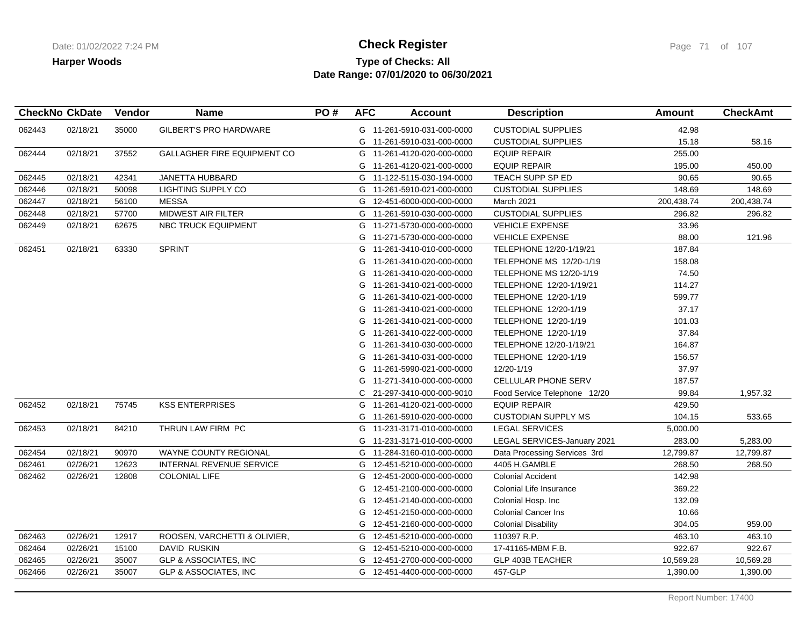## **Type of Checks: All Check Register Check Register Check Register Page 71 of 107 Date Range: 07/01/2020 to 06/30/2021**

|        | <b>CheckNo CkDate</b> | Vendor | <b>Name</b>                        | PO# | <b>AFC</b> | <b>Account</b>             | <b>Description</b>             | Amount     | <b>CheckAmt</b> |
|--------|-----------------------|--------|------------------------------------|-----|------------|----------------------------|--------------------------------|------------|-----------------|
| 062443 | 02/18/21              | 35000  | <b>GILBERT'S PRO HARDWARE</b>      |     |            | G 11-261-5910-031-000-0000 | <b>CUSTODIAL SUPPLIES</b>      | 42.98      |                 |
|        |                       |        |                                    |     |            | G 11-261-5910-031-000-0000 | <b>CUSTODIAL SUPPLIES</b>      | 15.18      | 58.16           |
| 062444 | 02/18/21              | 37552  | <b>GALLAGHER FIRE EQUIPMENT CO</b> |     | G          | 11-261-4120-020-000-0000   | <b>EQUIP REPAIR</b>            | 255.00     |                 |
|        |                       |        |                                    |     |            | G 11-261-4120-021-000-0000 | <b>EQUIP REPAIR</b>            | 195.00     | 450.00          |
| 062445 | 02/18/21              | 42341  | JANETTA HUBBARD                    |     |            | G 11-122-5115-030-194-0000 | TEACH SUPP SP ED               | 90.65      | 90.65           |
| 062446 | 02/18/21              | 50098  | LIGHTING SUPPLY CO                 |     |            | G 11-261-5910-021-000-0000 | <b>CUSTODIAL SUPPLIES</b>      | 148.69     | 148.69          |
| 062447 | 02/18/21              | 56100  | <b>MESSA</b>                       |     |            | G 12-451-6000-000-000-0000 | March 2021                     | 200,438.74 | 200,438.74      |
| 062448 | 02/18/21              | 57700  | <b>MIDWEST AIR FILTER</b>          |     |            | G 11-261-5910-030-000-0000 | <b>CUSTODIAL SUPPLIES</b>      | 296.82     | 296.82          |
| 062449 | 02/18/21              | 62675  | <b>NBC TRUCK EQUIPMENT</b>         |     |            | G 11-271-5730-000-000-0000 | <b>VEHICLE EXPENSE</b>         | 33.96      |                 |
|        |                       |        |                                    |     | G          | 11-271-5730-000-000-0000   | <b>VEHICLE EXPENSE</b>         | 88.00      | 121.96          |
| 062451 | 02/18/21              | 63330  | <b>SPRINT</b>                      |     | G          | 11-261-3410-010-000-0000   | TELEPHONE 12/20-1/19/21        | 187.84     |                 |
|        |                       |        |                                    |     | G          | 11-261-3410-020-000-0000   | TELEPHONE MS 12/20-1/19        | 158.08     |                 |
|        |                       |        |                                    |     | G          | 11-261-3410-020-000-0000   | <b>TELEPHONE MS 12/20-1/19</b> | 74.50      |                 |
|        |                       |        |                                    |     | G          | 11-261-3410-021-000-0000   | TELEPHONE 12/20-1/19/21        | 114.27     |                 |
|        |                       |        |                                    |     | G          | 11-261-3410-021-000-0000   | TELEPHONE 12/20-1/19           | 599.77     |                 |
|        |                       |        |                                    |     | G          | 11-261-3410-021-000-0000   | TELEPHONE 12/20-1/19           | 37.17      |                 |
|        |                       |        |                                    |     | G          | 11-261-3410-021-000-0000   | TELEPHONE 12/20-1/19           | 101.03     |                 |
|        |                       |        |                                    |     | G          | 11-261-3410-022-000-0000   | TELEPHONE 12/20-1/19           | 37.84      |                 |
|        |                       |        |                                    |     | G          | 11-261-3410-030-000-0000   | TELEPHONE 12/20-1/19/21        | 164.87     |                 |
|        |                       |        |                                    |     | G          | 11-261-3410-031-000-0000   | TELEPHONE 12/20-1/19           | 156.57     |                 |
|        |                       |        |                                    |     | G          | 11-261-5990-021-000-0000   | 12/20-1/19                     | 37.97      |                 |
|        |                       |        |                                    |     | G          | 11-271-3410-000-000-0000   | CELLULAR PHONE SERV            | 187.57     |                 |
|        |                       |        |                                    |     | C.         | 21-297-3410-000-000-9010   | Food Service Telephone 12/20   | 99.84      | 1,957.32        |
| 062452 | 02/18/21              | 75745  | <b>KSS ENTERPRISES</b>             |     | G          | 11-261-4120-021-000-0000   | <b>EQUIP REPAIR</b>            | 429.50     |                 |
|        |                       |        |                                    |     | G          | 11-261-5910-020-000-0000   | <b>CUSTODIAN SUPPLY MS</b>     | 104.15     | 533.65          |
| 062453 | 02/18/21              | 84210  | THRUN LAW FIRM PC                  |     | G          | 11-231-3171-010-000-0000   | <b>LEGAL SERVICES</b>          | 5,000.00   |                 |
|        |                       |        |                                    |     | G          | 11-231-3171-010-000-0000   | LEGAL SERVICES-January 2021    | 283.00     | 5,283.00        |
| 062454 | 02/18/21              | 90970  | <b>WAYNE COUNTY REGIONAL</b>       |     |            | G 11-284-3160-010-000-0000 | Data Processing Services 3rd   | 12,799.87  | 12,799.87       |
| 062461 | 02/26/21              | 12623  | INTERNAL REVENUE SERVICE           |     | G          | 12-451-5210-000-000-0000   | 4405 H.GAMBLE                  | 268.50     | 268.50          |
| 062462 | 02/26/21              | 12808  | <b>COLONIAL LIFE</b>               |     | G          | 12-451-2000-000-000-0000   | <b>Colonial Accident</b>       | 142.98     |                 |
|        |                       |        |                                    |     | G          | 12-451-2100-000-000-0000   | Colonial Life Insurance        | 369.22     |                 |
|        |                       |        |                                    |     | G          | 12-451-2140-000-000-0000   | Colonial Hosp. Inc             | 132.09     |                 |
|        |                       |        |                                    |     | G          | 12-451-2150-000-000-0000   | <b>Colonial Cancer Ins</b>     | 10.66      |                 |
|        |                       |        |                                    |     |            | G 12-451-2160-000-000-0000 | <b>Colonial Disability</b>     | 304.05     | 959.00          |
| 062463 | 02/26/21              | 12917  | ROOSEN, VARCHETTI & OLIVIER,       |     | G          | 12-451-5210-000-000-0000   | 110397 R.P.                    | 463.10     | 463.10          |
| 062464 | 02/26/21              | 15100  | DAVID RUSKIN                       |     |            | G 12-451-5210-000-000-0000 | 17-41165-MBM F.B.              | 922.67     | 922.67          |
| 062465 | 02/26/21              | 35007  | GLP & ASSOCIATES, INC              |     |            | G 12-451-2700-000-000-0000 | GLP 403B TEACHER               | 10,569.28  | 10,569.28       |
| 062466 | 02/26/21              | 35007  | <b>GLP &amp; ASSOCIATES, INC</b>   |     |            | G 12-451-4400-000-000-0000 | 457-GLP                        | 1,390.00   | 1,390.00        |
|        |                       |        |                                    |     |            |                            |                                |            |                 |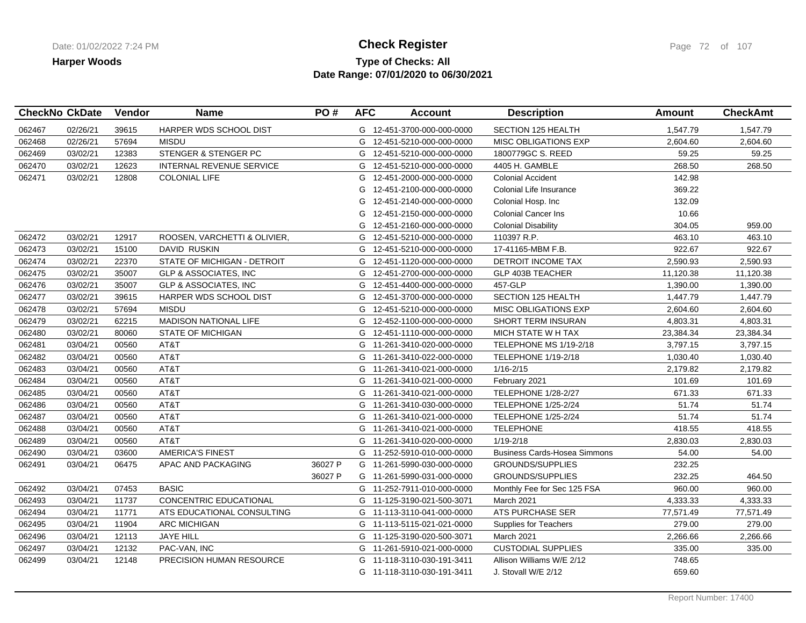## **Type of Checks: All Check Register Check Register Check Register Page 72 of 107 Date Range: 07/01/2020 to 06/30/2021**

|        | <b>CheckNo CkDate</b> | Vendor | <b>Name</b>                      | PO#     | <b>AFC</b> | <b>Account</b>             | <b>Description</b>                  | <b>Amount</b> | <b>CheckAmt</b> |
|--------|-----------------------|--------|----------------------------------|---------|------------|----------------------------|-------------------------------------|---------------|-----------------|
| 062467 | 02/26/21              | 39615  | HARPER WDS SCHOOL DIST           |         |            | G 12-451-3700-000-000-0000 | <b>SECTION 125 HEALTH</b>           | 1,547.79      | 1,547.79        |
| 062468 | 02/26/21              | 57694  | MISDU                            |         | G          | 12-451-5210-000-000-0000   | <b>MISC OBLIGATIONS EXP</b>         | 2,604.60      | 2,604.60        |
| 062469 | 03/02/21              | 12383  | STENGER & STENGER PC             |         |            | G 12-451-5210-000-000-0000 | 1800779GC S. REED                   | 59.25         | 59.25           |
| 062470 | 03/02/21              | 12623  | INTERNAL REVENUE SERVICE         |         | G          | 12-451-5210-000-000-0000   | 4405 H. GAMBLE                      | 268.50        | 268.50          |
| 062471 | 03/02/21              | 12808  | <b>COLONIAL LIFE</b>             |         | G          | 12-451-2000-000-000-0000   | <b>Colonial Accident</b>            | 142.98        |                 |
|        |                       |        |                                  |         | G          | 12-451-2100-000-000-0000   | Colonial Life Insurance             | 369.22        |                 |
|        |                       |        |                                  |         | G          | 12-451-2140-000-000-0000   | Colonial Hosp. Inc                  | 132.09        |                 |
|        |                       |        |                                  |         | G          | 12-451-2150-000-000-0000   | <b>Colonial Cancer Ins</b>          | 10.66         |                 |
|        |                       |        |                                  |         | G          | 12-451-2160-000-000-0000   | <b>Colonial Disability</b>          | 304.05        | 959.00          |
| 062472 | 03/02/21              | 12917  | ROOSEN, VARCHETTI & OLIVIER,     |         | G          | 12-451-5210-000-000-0000   | 110397 R.P.                         | 463.10        | 463.10          |
| 062473 | 03/02/21              | 15100  | DAVID RUSKIN                     |         |            | G 12-451-5210-000-000-0000 | 17-41165-MBM F.B.                   | 922.67        | 922.67          |
| 062474 | 03/02/21              | 22370  | STATE OF MICHIGAN - DETROIT      |         | G          | 12-451-1120-000-000-0000   | DETROIT INCOME TAX                  | 2,590.93      | 2,590.93        |
| 062475 | 03/02/21              | 35007  | <b>GLP &amp; ASSOCIATES, INC</b> |         | G          | 12-451-2700-000-000-0000   | GLP 403B TEACHER                    | 11,120.38     | 11,120.38       |
| 062476 | 03/02/21              | 35007  | <b>GLP &amp; ASSOCIATES, INC</b> |         | G          | 12-451-4400-000-000-0000   | 457-GLP                             | 1,390.00      | 1,390.00        |
| 062477 | 03/02/21              | 39615  | HARPER WDS SCHOOL DIST           |         | G          | 12-451-3700-000-000-0000   | <b>SECTION 125 HEALTH</b>           | 1,447.79      | 1,447.79        |
| 062478 | 03/02/21              | 57694  | <b>MISDU</b>                     |         | G          | 12-451-5210-000-000-0000   | <b>MISC OBLIGATIONS EXP</b>         | 2,604.60      | 2,604.60        |
| 062479 | 03/02/21              | 62215  | <b>MADISON NATIONAL LIFE</b>     |         | G          | 12-452-1100-000-000-0000   | <b>SHORT TERM INSURAN</b>           | 4,803.31      | 4,803.31        |
| 062480 | 03/02/21              | 80060  | <b>STATE OF MICHIGAN</b>         |         |            | G 12-451-1110-000-000-0000 | MICH STATE W H TAX                  | 23,384.34     | 23,384.34       |
| 062481 | 03/04/21              | 00560  | AT&T                             |         |            | G 11-261-3410-020-000-0000 | TELEPHONE MS 1/19-2/18              | 3,797.15      | 3,797.15        |
| 062482 | 03/04/21              | 00560  | AT&T                             |         |            | G 11-261-3410-022-000-0000 | <b>TELEPHONE 1/19-2/18</b>          | 1,030.40      | 1,030.40        |
| 062483 | 03/04/21              | 00560  | AT&T                             |         |            | G 11-261-3410-021-000-0000 | $1/16 - 2/15$                       | 2,179.82      | 2,179.82        |
| 062484 | 03/04/21              | 00560  | AT&T                             |         |            | G 11-261-3410-021-000-0000 | February 2021                       | 101.69        | 101.69          |
| 062485 | 03/04/21              | 00560  | AT&T                             |         |            | G 11-261-3410-021-000-0000 | <b>TELEPHONE 1/28-2/27</b>          | 671.33        | 671.33          |
| 062486 | 03/04/21              | 00560  | AT&T                             |         |            | G 11-261-3410-030-000-0000 | <b>TELEPHONE 1/25-2/24</b>          | 51.74         | 51.74           |
| 062487 | 03/04/21              | 00560  | AT&T                             |         |            | G 11-261-3410-021-000-0000 | <b>TELEPHONE 1/25-2/24</b>          | 51.74         | 51.74           |
| 062488 | 03/04/21              | 00560  | AT&T                             |         |            | G 11-261-3410-021-000-0000 | <b>TELEPHONE</b>                    | 418.55        | 418.55          |
| 062489 | 03/04/21              | 00560  | AT&T                             |         |            | G 11-261-3410-020-000-0000 | $1/19 - 2/18$                       | 2,830.03      | 2,830.03        |
| 062490 | 03/04/21              | 03600  | <b>AMERICA'S FINEST</b>          |         |            | G 11-252-5910-010-000-0000 | <b>Business Cards-Hosea Simmons</b> | 54.00         | 54.00           |
| 062491 | 03/04/21              | 06475  | APAC AND PACKAGING               | 36027 P |            | G 11-261-5990-030-000-0000 | <b>GROUNDS/SUPPLIES</b>             | 232.25        |                 |
|        |                       |        |                                  | 36027 P |            | G 11-261-5990-031-000-0000 | <b>GROUNDS/SUPPLIES</b>             | 232.25        | 464.50          |
| 062492 | 03/04/21              | 07453  | <b>BASIC</b>                     |         |            | G 11-252-7911-010-000-0000 | Monthly Fee for Sec 125 FSA         | 960.00        | 960.00          |
| 062493 | 03/04/21              | 11737  | <b>CONCENTRIC EDUCATIONAL</b>    |         |            | G 11-125-3190-021-500-3071 | March 2021                          | 4,333.33      | 4,333.33        |
| 062494 | 03/04/21              | 11771  | ATS EDUCATIONAL CONSULTING       |         |            | G 11-113-3110-041-000-0000 | <b>ATS PURCHASE SER</b>             | 77,571.49     | 77,571.49       |
| 062495 | 03/04/21              | 11904  | <b>ARC MICHIGAN</b>              |         |            | G 11-113-5115-021-021-0000 | Supplies for Teachers               | 279.00        | 279.00          |
| 062496 | 03/04/21              | 12113  | <b>JAYE HILL</b>                 |         |            | G 11-125-3190-020-500-3071 | March 2021                          | 2,266.66      | 2,266.66        |
| 062497 | 03/04/21              | 12132  | PAC-VAN, INC                     |         |            | G 11-261-5910-021-000-0000 | <b>CUSTODIAL SUPPLIES</b>           | 335.00        | 335.00          |
| 062499 | 03/04/21              | 12148  | PRECISION HUMAN RESOURCE         |         | G          | 11-118-3110-030-191-3411   | Allison Williams W/E 2/12           | 748.65        |                 |
|        |                       |        |                                  |         |            | G 11-118-3110-030-191-3411 | J. Stovall W/E 2/12                 | 659.60        |                 |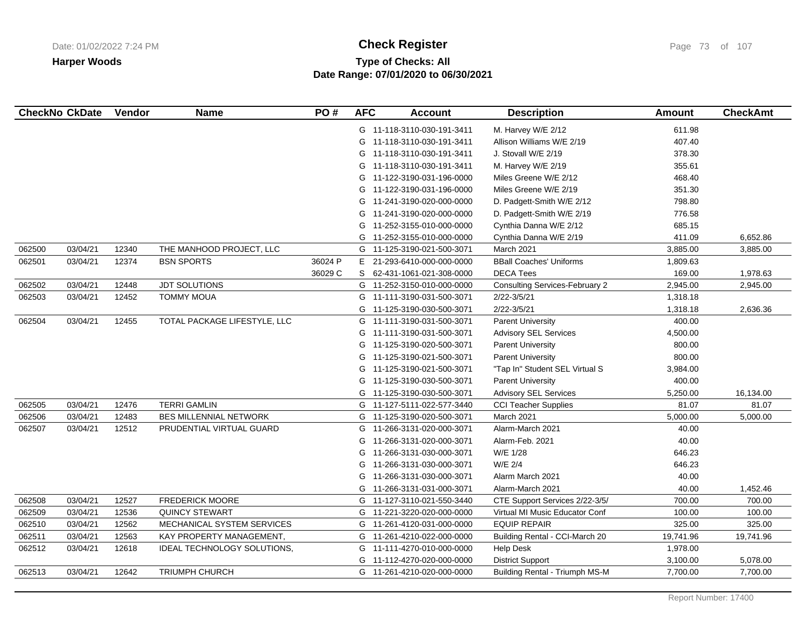# **Type of Checks: All Check Register Check Register Check Register Page 73 of 107 Date Range: 07/01/2020 to 06/30/2021**

|        | <b>CheckNo CkDate</b> | Vendor | <b>Name</b>                  | PO#     | <b>AFC</b> | <b>Account</b>             | <b>Description</b>                    | <b>Amount</b> | <b>CheckAmt</b> |
|--------|-----------------------|--------|------------------------------|---------|------------|----------------------------|---------------------------------------|---------------|-----------------|
|        |                       |        |                              |         |            | G 11-118-3110-030-191-3411 | M. Harvey W/E 2/12                    | 611.98        |                 |
|        |                       |        |                              |         |            | G 11-118-3110-030-191-3411 | Allison Williams W/E 2/19             | 407.40        |                 |
|        |                       |        |                              |         | G          | 11-118-3110-030-191-3411   | J. Stovall W/E 2/19                   | 378.30        |                 |
|        |                       |        |                              |         | G          | 11-118-3110-030-191-3411   | M. Harvey W/E 2/19                    | 355.61        |                 |
|        |                       |        |                              |         | G          | 11-122-3190-031-196-0000   | Miles Greene W/E 2/12                 | 468.40        |                 |
|        |                       |        |                              |         | G          | 11-122-3190-031-196-0000   | Miles Greene W/E 2/19                 | 351.30        |                 |
|        |                       |        |                              |         |            | G 11-241-3190-020-000-0000 | D. Padgett-Smith W/E 2/12             | 798.80        |                 |
|        |                       |        |                              |         | G          | 11-241-3190-020-000-0000   | D. Padgett-Smith W/E 2/19             | 776.58        |                 |
|        |                       |        |                              |         | G          | 11-252-3155-010-000-0000   | Cynthia Danna W/E 2/12                | 685.15        |                 |
|        |                       |        |                              |         | G          | 11-252-3155-010-000-0000   | Cynthia Danna W/E 2/19                | 411.09        | 6,652.86        |
| 062500 | 03/04/21              | 12340  | THE MANHOOD PROJECT, LLC     |         | G          | 11-125-3190-021-500-3071   | March 2021                            | 3,885.00      | 3,885.00        |
| 062501 | 03/04/21              | 12374  | <b>BSN SPORTS</b>            | 36024 P | E.         | 21-293-6410-000-000-0000   | <b>BBall Coaches' Uniforms</b>        | 1,809.63      |                 |
|        |                       |        |                              | 36029 C | S.         | 62-431-1061-021-308-0000   | <b>DECA Tees</b>                      | 169.00        | 1,978.63        |
| 062502 | 03/04/21              | 12448  | <b>JDT SOLUTIONS</b>         |         |            | G 11-252-3150-010-000-0000 | <b>Consulting Services-February 2</b> | 2,945.00      | 2,945.00        |
| 062503 | 03/04/21              | 12452  | <b>TOMMY MOUA</b>            |         |            | G 11-111-3190-031-500-3071 | $2/22 - 3/5/21$                       | 1,318.18      |                 |
|        |                       |        |                              |         | G          | 11-125-3190-030-500-3071   | $2/22 - 3/5/21$                       | 1,318.18      | 2,636.36        |
| 062504 | 03/04/21              | 12455  | TOTAL PACKAGE LIFESTYLE, LLC |         |            | G 11-111-3190-031-500-3071 | <b>Parent University</b>              | 400.00        |                 |
|        |                       |        |                              |         | G          | 11-111-3190-031-500-3071   | <b>Advisory SEL Services</b>          | 4,500.00      |                 |
|        |                       |        |                              |         | G          | 11-125-3190-020-500-3071   | <b>Parent University</b>              | 800.00        |                 |
|        |                       |        |                              |         | G          | 11-125-3190-021-500-3071   | <b>Parent University</b>              | 800.00        |                 |
|        |                       |        |                              |         | G          | 11-125-3190-021-500-3071   | "Tap In" Student SEL Virtual S        | 3,984.00      |                 |
|        |                       |        |                              |         |            | G 11-125-3190-030-500-3071 | <b>Parent University</b>              | 400.00        |                 |
|        |                       |        |                              |         | G          | 11-125-3190-030-500-3071   | <b>Advisory SEL Services</b>          | 5,250.00      | 16,134.00       |
| 062505 | 03/04/21              | 12476  | <b>TERRI GAMLIN</b>          |         |            | G 11-127-5111-022-577-3440 | <b>CCI Teacher Supplies</b>           | 81.07         | 81.07           |
| 062506 | 03/04/21              | 12483  | BES MILLENNIAL NETWORK       |         | G          | 11-125-3190-020-500-3071   | March 2021                            | 5,000.00      | 5,000.00        |
| 062507 | 03/04/21              | 12512  | PRUDENTIAL VIRTUAL GUARD     |         | G          | 11-266-3131-020-000-3071   | Alarm-March 2021                      | 40.00         |                 |
|        |                       |        |                              |         | G          | 11-266-3131-020-000-3071   | Alarm-Feb. 2021                       | 40.00         |                 |
|        |                       |        |                              |         | G          | 11-266-3131-030-000-3071   | W/E 1/28                              | 646.23        |                 |
|        |                       |        |                              |         | G          | 11-266-3131-030-000-3071   | W/E 2/4                               | 646.23        |                 |
|        |                       |        |                              |         | G          | 11-266-3131-030-000-3071   | Alarm March 2021                      | 40.00         |                 |
|        |                       |        |                              |         | G          | 11-266-3131-031-000-3071   | Alarm-March 2021                      | 40.00         | 1,452.46        |
| 062508 | 03/04/21              | 12527  | <b>FREDERICK MOORE</b>       |         |            | G 11-127-3110-021-550-3440 | CTE Support Services 2/22-3/5/        | 700.00        | 700.00          |
| 062509 | 03/04/21              | 12536  | <b>QUINCY STEWART</b>        |         |            | G 11-221-3220-020-000-0000 | Virtual MI Music Educator Conf        | 100.00        | 100.00          |
| 062510 | 03/04/21              | 12562  | MECHANICAL SYSTEM SERVICES   |         |            | G 11-261-4120-031-000-0000 | <b>EQUIP REPAIR</b>                   | 325.00        | 325.00          |
| 062511 | 03/04/21              | 12563  | KAY PROPERTY MANAGEMENT,     |         | G          | 11-261-4210-022-000-0000   | Building Rental - CCI-March 20        | 19,741.96     | 19,741.96       |
| 062512 | 03/04/21              | 12618  | IDEAL TECHNOLOGY SOLUTIONS,  |         | G          | 11-111-4270-010-000-0000   | <b>Help Desk</b>                      | 1,978.00      |                 |
|        |                       |        |                              |         | G          | 11-112-4270-020-000-0000   | <b>District Support</b>               | 3,100.00      | 5,078.00        |
| 062513 | 03/04/21              | 12642  | <b>TRIUMPH CHURCH</b>        |         |            | G 11-261-4210-020-000-0000 | <b>Building Rental - Triumph MS-M</b> | 7,700.00      | 7,700.00        |
|        |                       |        |                              |         |            |                            |                                       |               |                 |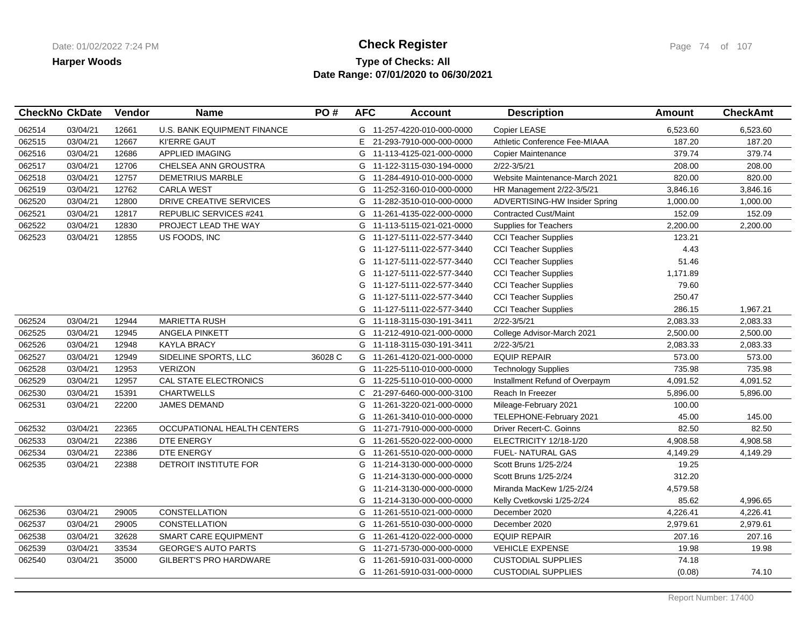### **Type of Checks: All Check Register Check Register Check Register Page 74 of 107 Date Range: 07/01/2020 to 06/30/2021**

|        | <b>CheckNo CkDate</b> | Vendor | <b>Name</b>                        | PO#     | <b>AFC</b> | <b>Account</b>             | <b>Description</b>             | <b>Amount</b> | <b>CheckAmt</b> |
|--------|-----------------------|--------|------------------------------------|---------|------------|----------------------------|--------------------------------|---------------|-----------------|
| 062514 | 03/04/21              | 12661  | <b>U.S. BANK EQUIPMENT FINANCE</b> |         |            | G 11-257-4220-010-000-0000 | Copier LEASE                   | 6,523.60      | 6,523.60        |
| 062515 | 03/04/21              | 12667  | <b>KI'ERRE GAUT</b>                |         | E.         | 21-293-7910-000-000-0000   | Athletic Conference Fee-MIAAA  | 187.20        | 187.20          |
| 062516 | 03/04/21              | 12686  | <b>APPLIED IMAGING</b>             |         |            | G 11-113-4125-021-000-0000 | <b>Copier Maintenance</b>      | 379.74        | 379.74          |
| 062517 | 03/04/21              | 12706  | CHELSEA ANN GROUSTRA               |         | G          | 11-122-3115-030-194-0000   | 2/22-3/5/21                    | 208.00        | 208.00          |
| 062518 | 03/04/21              | 12757  | <b>DEMETRIUS MARBLE</b>            |         | G          | 11-284-4910-010-000-0000   | Website Maintenance-March 2021 | 820.00        | 820.00          |
| 062519 | 03/04/21              | 12762  | <b>CARLA WEST</b>                  |         | G          | 11-252-3160-010-000-0000   | HR Management 2/22-3/5/21      | 3,846.16      | 3,846.16        |
| 062520 | 03/04/21              | 12800  | DRIVE CREATIVE SERVICES            |         |            | G 11-282-3510-010-000-0000 | ADVERTISING-HW Insider Spring  | 1,000.00      | 1,000.00        |
| 062521 | 03/04/21              | 12817  | <b>REPUBLIC SERVICES #241</b>      |         | G          | 11-261-4135-022-000-0000   | <b>Contracted Cust/Maint</b>   | 152.09        | 152.09          |
| 062522 | 03/04/21              | 12830  | PROJECT LEAD THE WAY               |         |            | G 11-113-5115-021-021-0000 | <b>Supplies for Teachers</b>   | 2,200.00      | 2,200.00        |
| 062523 | 03/04/21              | 12855  | US FOODS, INC                      |         | G          | 11-127-5111-022-577-3440   | <b>CCI Teacher Supplies</b>    | 123.21        |                 |
|        |                       |        |                                    |         | G          | 11-127-5111-022-577-3440   | <b>CCI Teacher Supplies</b>    | 4.43          |                 |
|        |                       |        |                                    |         | G          | 11-127-5111-022-577-3440   | <b>CCI Teacher Supplies</b>    | 51.46         |                 |
|        |                       |        |                                    |         | G          | 11-127-5111-022-577-3440   | <b>CCI Teacher Supplies</b>    | 1,171.89      |                 |
|        |                       |        |                                    |         | G          | 11-127-5111-022-577-3440   | <b>CCI Teacher Supplies</b>    | 79.60         |                 |
|        |                       |        |                                    |         | G          | 11-127-5111-022-577-3440   | <b>CCI Teacher Supplies</b>    | 250.47        |                 |
|        |                       |        |                                    |         | G          | 11-127-5111-022-577-3440   | <b>CCI Teacher Supplies</b>    | 286.15        | 1,967.21        |
| 062524 | 03/04/21              | 12944  | <b>MARIETTA RUSH</b>               |         |            | G 11-118-3115-030-191-3411 | $2/22 - 3/5/21$                | 2,083.33      | 2,083.33        |
| 062525 | 03/04/21              | 12945  | ANGELA PINKETT                     |         | G          | 11-212-4910-021-000-0000   | College Advisor-March 2021     | 2,500.00      | 2,500.00        |
| 062526 | 03/04/21              | 12948  | <b>KAYLA BRACY</b>                 |         |            | G 11-118-3115-030-191-3411 | 2/22-3/5/21                    | 2,083.33      | 2,083.33        |
| 062527 | 03/04/21              | 12949  | SIDELINE SPORTS, LLC               | 36028 C | G          | 11-261-4120-021-000-0000   | <b>EQUIP REPAIR</b>            | 573.00        | 573.00          |
| 062528 | 03/04/21              | 12953  | <b>VERIZON</b>                     |         |            | G 11-225-5110-010-000-0000 | <b>Technology Supplies</b>     | 735.98        | 735.98          |
| 062529 | 03/04/21              | 12957  | CAL STATE ELECTRONICS              |         |            | G 11-225-5110-010-000-0000 | Installment Refund of Overpaym | 4,091.52      | 4,091.52        |
| 062530 | 03/04/21              | 15391  | <b>CHARTWELLS</b>                  |         |            | C 21-297-6460-000-000-3100 | Reach In Freezer               | 5,896.00      | 5,896.00        |
| 062531 | 03/04/21              | 22200  | <b>JAMES DEMAND</b>                |         | G          | 11-261-3220-021-000-0000   | Mileage-February 2021          | 100.00        |                 |
|        |                       |        |                                    |         | G          | 11-261-3410-010-000-0000   | TELEPHONE-February 2021        | 45.00         | 145.00          |
| 062532 | 03/04/21              | 22365  | OCCUPATIONAL HEALTH CENTERS        |         | G          | 11-271-7910-000-000-0000   | Driver Recert-C. Goinns        | 82.50         | 82.50           |
| 062533 | 03/04/21              | 22386  | DTE ENERGY                         |         | G          | 11-261-5520-022-000-0000   | ELECTRICITY 12/18-1/20         | 4,908.58      | 4,908.58        |
| 062534 | 03/04/21              | 22386  | DTE ENERGY                         |         | G          | 11-261-5510-020-000-0000   | <b>FUEL- NATURAL GAS</b>       | 4,149.29      | 4,149.29        |
| 062535 | 03/04/21              | 22388  | DETROIT INSTITUTE FOR              |         | G          | 11-214-3130-000-000-0000   | Scott Bruns 1/25-2/24          | 19.25         |                 |
|        |                       |        |                                    |         | G          | 11-214-3130-000-000-0000   | Scott Bruns 1/25-2/24          | 312.20        |                 |
|        |                       |        |                                    |         | G          | 11-214-3130-000-000-0000   | Miranda MacKew 1/25-2/24       | 4,579.58      |                 |
|        |                       |        |                                    |         | G          | 11-214-3130-000-000-0000   | Kelly Cvetkovski 1/25-2/24     | 85.62         | 4,996.65        |
| 062536 | 03/04/21              | 29005  | CONSTELLATION                      |         | G          | 11-261-5510-021-000-0000   | December 2020                  | 4,226.41      | 4,226.41        |
| 062537 | 03/04/21              | 29005  | <b>CONSTELLATION</b>               |         | G          | 11-261-5510-030-000-0000   | December 2020                  | 2,979.61      | 2,979.61        |
| 062538 | 03/04/21              | 32628  | <b>SMART CARE EQUIPMENT</b>        |         | G          | 11-261-4120-022-000-0000   | <b>EQUIP REPAIR</b>            | 207.16        | 207.16          |
| 062539 | 03/04/21              | 33534  | <b>GEORGE'S AUTO PARTS</b>         |         | G          | 11-271-5730-000-000-0000   | <b>VEHICLE EXPENSE</b>         | 19.98         | 19.98           |
| 062540 | 03/04/21              | 35000  | <b>GILBERT'S PRO HARDWARE</b>      |         | G          | 11-261-5910-031-000-0000   | <b>CUSTODIAL SUPPLIES</b>      | 74.18         |                 |
|        |                       |        |                                    |         |            | G 11-261-5910-031-000-0000 | <b>CUSTODIAL SUPPLIES</b>      | (0.08)        | 74.10           |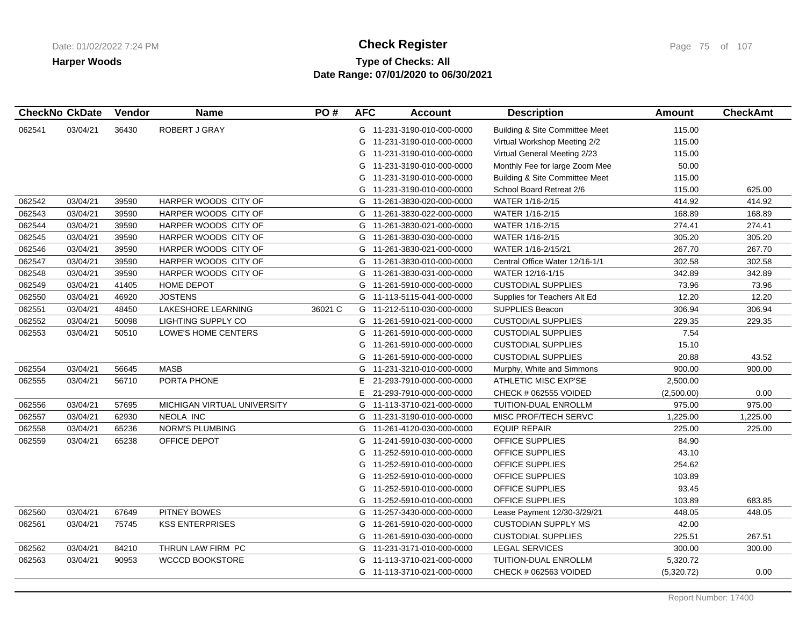# **Type of Checks: All Check Register Check Register Check Register Page 75 of 107 Date Range: 07/01/2020 to 06/30/2021**

|        | <b>CheckNo CkDate</b> | Vendor | <b>Name</b>                 | PO#     | <b>AFC</b> | <b>Account</b>             | <b>Description</b>                        | <b>Amount</b> | <b>CheckAmt</b> |
|--------|-----------------------|--------|-----------------------------|---------|------------|----------------------------|-------------------------------------------|---------------|-----------------|
| 062541 | 03/04/21              | 36430  | ROBERT J GRAY               |         |            | G 11-231-3190-010-000-0000 | <b>Building &amp; Site Committee Meet</b> | 115.00        |                 |
|        |                       |        |                             |         | G          | 11-231-3190-010-000-0000   | Virtual Workshop Meeting 2/2              | 115.00        |                 |
|        |                       |        |                             |         |            | G 11-231-3190-010-000-0000 | Virtual General Meeting 2/23              | 115.00        |                 |
|        |                       |        |                             |         |            | G 11-231-3190-010-000-0000 | Monthly Fee for large Zoom Mee            | 50.00         |                 |
|        |                       |        |                             |         |            | G 11-231-3190-010-000-0000 | Building & Site Committee Meet            | 115.00        |                 |
|        |                       |        |                             |         |            | G 11-231-3190-010-000-0000 | School Board Retreat 2/6                  | 115.00        | 625.00          |
| 062542 | 03/04/21              | 39590  | HARPER WOODS CITY OF        |         |            | G 11-261-3830-020-000-0000 | WATER 1/16-2/15                           | 414.92        | 414.92          |
| 062543 | 03/04/21              | 39590  | HARPER WOODS CITY OF        |         |            | G 11-261-3830-022-000-0000 | WATER 1/16-2/15                           | 168.89        | 168.89          |
| 062544 | 03/04/21              | 39590  | HARPER WOODS CITY OF        |         | G          | 11-261-3830-021-000-0000   | WATER 1/16-2/15                           | 274.41        | 274.41          |
| 062545 | 03/04/21              | 39590  | HARPER WOODS CITY OF        |         | G          | 11-261-3830-030-000-0000   | WATER 1/16-2/15                           | 305.20        | 305.20          |
| 062546 | 03/04/21              | 39590  | HARPER WOODS CITY OF        |         | G          | 11-261-3830-021-000-0000   | WATER 1/16-2/15/21                        | 267.70        | 267.70          |
| 062547 | 03/04/21              | 39590  | HARPER WOODS CITY OF        |         |            | G 11-261-3830-010-000-0000 | Central Office Water 12/16-1/1            | 302.58        | 302.58          |
| 062548 | 03/04/21              | 39590  | HARPER WOODS CITY OF        |         | G          | 11-261-3830-031-000-0000   | WATER 12/16-1/15                          | 342.89        | 342.89          |
| 062549 | 03/04/21              | 41405  | HOME DEPOT                  |         |            | G 11-261-5910-000-000-0000 | <b>CUSTODIAL SUPPLIES</b>                 | 73.96         | 73.96           |
| 062550 | 03/04/21              | 46920  | <b>JOSTENS</b>              |         |            | G 11-113-5115-041-000-0000 | Supplies for Teachers Alt Ed              | 12.20         | 12.20           |
| 062551 | 03/04/21              | 48450  | LAKESHORE LEARNING          | 36021 C |            | G 11-212-5110-030-000-0000 | <b>SUPPLIES Beacon</b>                    | 306.94        | 306.94          |
| 062552 | 03/04/21              | 50098  | <b>LIGHTING SUPPLY CO</b>   |         |            | G 11-261-5910-021-000-0000 | <b>CUSTODIAL SUPPLIES</b>                 | 229.35        | 229.35          |
| 062553 | 03/04/21              | 50510  | LOWE'S HOME CENTERS         |         | G          | 11-261-5910-000-000-0000   | <b>CUSTODIAL SUPPLIES</b>                 | 7.54          |                 |
|        |                       |        |                             |         | G          | 11-261-5910-000-000-0000   | <b>CUSTODIAL SUPPLIES</b>                 | 15.10         |                 |
|        |                       |        |                             |         |            | G 11-261-5910-000-000-0000 | <b>CUSTODIAL SUPPLIES</b>                 | 20.88         | 43.52           |
| 062554 | 03/04/21              | 56645  | <b>MASB</b>                 |         |            | G 11-231-3210-010-000-0000 | Murphy, White and Simmons                 | 900.00        | 900.00          |
| 062555 | 03/04/21              | 56710  | PORTA PHONE                 |         | E.         | 21-293-7910-000-000-0000   | ATHLETIC MISC EXP'SE                      | 2,500.00      |                 |
|        |                       |        |                             |         | E.         | 21-293-7910-000-000-0000   | CHECK # 062555 VOIDED                     | (2,500.00)    | 0.00            |
| 062556 | 03/04/21              | 57695  | MICHIGAN VIRTUAL UNIVERSITY |         |            | G 11-113-3710-021-000-0000 | TUITION-DUAL ENROLLM                      | 975.00        | 975.00          |
| 062557 | 03/04/21              | 62930  | NEOLA INC                   |         |            | G 11-231-3190-010-000-0000 | MISC PROF/TECH SERVC                      | 1,225.00      | 1,225.00        |
| 062558 | 03/04/21              | 65236  | <b>NORM'S PLUMBING</b>      |         |            | G 11-261-4120-030-000-0000 | <b>EQUIP REPAIR</b>                       | 225.00        | 225.00          |
| 062559 | 03/04/21              | 65238  | OFFICE DEPOT                |         | G          | 11-241-5910-030-000-0000   | OFFICE SUPPLIES                           | 84.90         |                 |
|        |                       |        |                             |         | G          | 11-252-5910-010-000-0000   | OFFICE SUPPLIES                           | 43.10         |                 |
|        |                       |        |                             |         | G          | 11-252-5910-010-000-0000   | OFFICE SUPPLIES                           | 254.62        |                 |
|        |                       |        |                             |         |            | G 11-252-5910-010-000-0000 | OFFICE SUPPLIES                           | 103.89        |                 |
|        |                       |        |                             |         | G          | 11-252-5910-010-000-0000   | OFFICE SUPPLIES                           | 93.45         |                 |
|        |                       |        |                             |         |            | G 11-252-5910-010-000-0000 | OFFICE SUPPLIES                           | 103.89        | 683.85          |
| 062560 | 03/04/21              | 67649  | <b>PITNEY BOWES</b>         |         |            | G 11-257-3430-000-000-0000 | Lease Payment 12/30-3/29/21               | 448.05        | 448.05          |
| 062561 | 03/04/21              | 75745  | <b>KSS ENTERPRISES</b>      |         |            | G 11-261-5910-020-000-0000 | <b>CUSTODIAN SUPPLY MS</b>                | 42.00         |                 |
|        |                       |        |                             |         |            | G 11-261-5910-030-000-0000 | <b>CUSTODIAL SUPPLIES</b>                 | 225.51        | 267.51          |
| 062562 | 03/04/21              | 84210  | THRUN LAW FIRM PC           |         |            | G 11-231-3171-010-000-0000 | LEGAL SERVICES                            | 300.00        | 300.00          |
| 062563 | 03/04/21              | 90953  | <b>WCCCD BOOKSTORE</b>      |         | G          | 11-113-3710-021-000-0000   | TUITION-DUAL ENROLLM                      | 5,320.72      |                 |
|        |                       |        |                             |         |            | G 11-113-3710-021-000-0000 | CHECK # 062563 VOIDED                     | (5,320.72)    | 0.00            |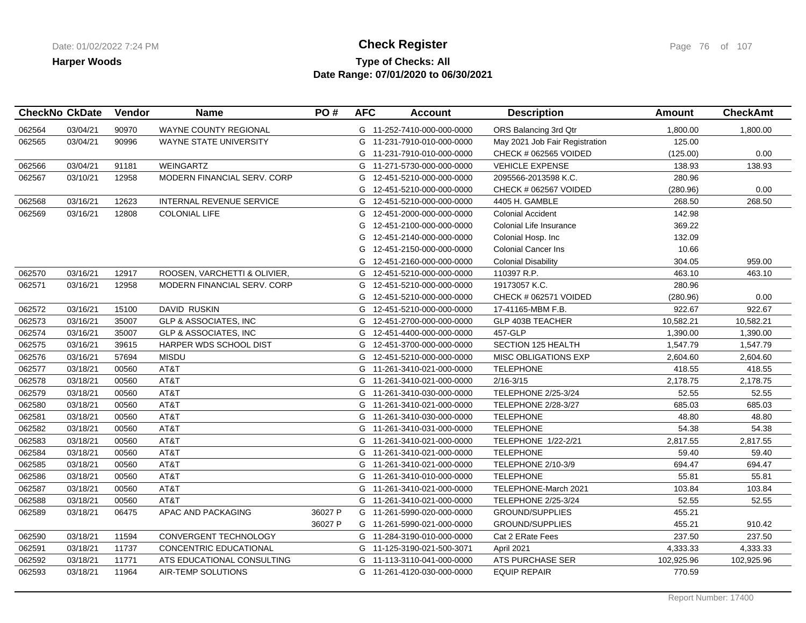### **Type of Checks: All Check Register Check Register Check Register Page 76 of 107 Date Range: 07/01/2020 to 06/30/2021**

|        | <b>CheckNo CkDate</b> | Vendor | <b>Name</b>                      | PO#     | <b>AFC</b> | <b>Account</b>             | <b>Description</b>             | Amount     | <b>CheckAmt</b> |
|--------|-----------------------|--------|----------------------------------|---------|------------|----------------------------|--------------------------------|------------|-----------------|
| 062564 | 03/04/21              | 90970  | <b>WAYNE COUNTY REGIONAL</b>     |         |            | G 11-252-7410-000-000-0000 | ORS Balancing 3rd Qtr          | 1.800.00   | 1,800.00        |
| 062565 | 03/04/21              | 90996  | WAYNE STATE UNIVERSITY           |         |            | G 11-231-7910-010-000-0000 | May 2021 Job Fair Registration | 125.00     |                 |
|        |                       |        |                                  |         |            | G 11-231-7910-010-000-0000 | CHECK # 062565 VOIDED          | (125.00)   | 0.00            |
| 062566 | 03/04/21              | 91181  | WEINGARTZ                        |         | G          | 11-271-5730-000-000-0000   | <b>VEHICLE EXPENSE</b>         | 138.93     | 138.93          |
| 062567 | 03/10/21              | 12958  | MODERN FINANCIAL SERV. CORP      |         | G          | 12-451-5210-000-000-0000   | 2095566-2013598 K.C.           | 280.96     |                 |
|        |                       |        |                                  |         | G          | 12-451-5210-000-000-0000   | CHECK # 062567 VOIDED          | (280.96)   | 0.00            |
| 062568 | 03/16/21              | 12623  | <b>INTERNAL REVENUE SERVICE</b>  |         |            | G 12-451-5210-000-000-0000 | 4405 H. GAMBLE                 | 268.50     | 268.50          |
| 062569 | 03/16/21              | 12808  | <b>COLONIAL LIFE</b>             |         | G          | 12-451-2000-000-000-0000   | <b>Colonial Accident</b>       | 142.98     |                 |
|        |                       |        |                                  |         | G          | 12-451-2100-000-000-0000   | Colonial Life Insurance        | 369.22     |                 |
|        |                       |        |                                  |         | G          | 12-451-2140-000-000-0000   | Colonial Hosp. Inc             | 132.09     |                 |
|        |                       |        |                                  |         | G          | 12-451-2150-000-000-0000   | <b>Colonial Cancer Ins</b>     | 10.66      |                 |
|        |                       |        |                                  |         | G          | 12-451-2160-000-000-0000   | <b>Colonial Disability</b>     | 304.05     | 959.00          |
| 062570 | 03/16/21              | 12917  | ROOSEN, VARCHETTI & OLIVIER,     |         | G          | 12-451-5210-000-000-0000   | 110397 R.P.                    | 463.10     | 463.10          |
| 062571 | 03/16/21              | 12958  | MODERN FINANCIAL SERV. CORP      |         | G          | 12-451-5210-000-000-0000   | 19173057 K.C.                  | 280.96     |                 |
|        |                       |        |                                  |         | G          | 12-451-5210-000-000-0000   | CHECK # 062571 VOIDED          | (280.96)   | 0.00            |
| 062572 | 03/16/21              | 15100  | <b>DAVID RUSKIN</b>              |         | G          | 12-451-5210-000-000-0000   | 17-41165-MBM F.B.              | 922.67     | 922.67          |
| 062573 | 03/16/21              | 35007  | <b>GLP &amp; ASSOCIATES. INC</b> |         | G          | 12-451-2700-000-000-0000   | <b>GLP 403B TEACHER</b>        | 10,582.21  | 10,582.21       |
| 062574 | 03/16/21              | 35007  | <b>GLP &amp; ASSOCIATES, INC</b> |         |            | G 12-451-4400-000-000-0000 | 457-GLP                        | 1,390.00   | 1,390.00        |
| 062575 | 03/16/21              | 39615  | <b>HARPER WDS SCHOOL DIST</b>    |         |            | G 12-451-3700-000-000-0000 | SECTION 125 HEALTH             | 1,547.79   | 1,547.79        |
| 062576 | 03/16/21              | 57694  | <b>MISDU</b>                     |         | G          | 12-451-5210-000-000-0000   | <b>MISC OBLIGATIONS EXP</b>    | 2,604.60   | 2,604.60        |
| 062577 | 03/18/21              | 00560  | AT&T                             |         |            | G 11-261-3410-021-000-0000 | <b>TELEPHONE</b>               | 418.55     | 418.55          |
| 062578 | 03/18/21              | 00560  | AT&T                             |         |            | G 11-261-3410-021-000-0000 | $2/16 - 3/15$                  | 2,178.75   | 2,178.75        |
| 062579 | 03/18/21              | 00560  | AT&T                             |         |            | G 11-261-3410-030-000-0000 | <b>TELEPHONE 2/25-3/24</b>     | 52.55      | 52.55           |
| 062580 | 03/18/21              | 00560  | AT&T                             |         |            | G 11-261-3410-021-000-0000 | <b>TELEPHONE 2/28-3/27</b>     | 685.03     | 685.03          |
| 062581 | 03/18/21              | 00560  | AT&T                             |         |            | G 11-261-3410-030-000-0000 | <b>TELEPHONE</b>               | 48.80      | 48.80           |
| 062582 | 03/18/21              | 00560  | AT&T                             |         |            | G 11-261-3410-031-000-0000 | <b>TELEPHONE</b>               | 54.38      | 54.38           |
| 062583 | 03/18/21              | 00560  | AT&T                             |         | G          | 11-261-3410-021-000-0000   | TELEPHONE 1/22-2/21            | 2,817.55   | 2,817.55        |
| 062584 | 03/18/21              | 00560  | AT&T                             |         |            | G 11-261-3410-021-000-0000 | <b>TELEPHONE</b>               | 59.40      | 59.40           |
| 062585 | 03/18/21              | 00560  | AT&T                             |         | G          | 11-261-3410-021-000-0000   | TELEPHONE 2/10-3/9             | 694.47     | 694.47          |
| 062586 | 03/18/21              | 00560  | AT&T                             |         |            | G 11-261-3410-010-000-0000 | <b>TELEPHONE</b>               | 55.81      | 55.81           |
| 062587 | 03/18/21              | 00560  | AT&T                             |         |            | G 11-261-3410-021-000-0000 | TELEPHONE-March 2021           | 103.84     | 103.84          |
| 062588 | 03/18/21              | 00560  | AT&T                             |         |            | G 11-261-3410-021-000-0000 | <b>TELEPHONE 2/25-3/24</b>     | 52.55      | 52.55           |
| 062589 | 03/18/21              | 06475  | APAC AND PACKAGING               | 36027 P |            | G 11-261-5990-020-000-0000 | <b>GROUND/SUPPLIES</b>         | 455.21     |                 |
|        |                       |        |                                  | 36027 P |            | G 11-261-5990-021-000-0000 | <b>GROUND/SUPPLIES</b>         | 455.21     | 910.42          |
| 062590 | 03/18/21              | 11594  | <b>CONVERGENT TECHNOLOGY</b>     |         |            | G 11-284-3190-010-000-0000 | Cat 2 ERate Fees               | 237.50     | 237.50          |
| 062591 | 03/18/21              | 11737  | CONCENTRIC EDUCATIONAL           |         |            | G 11-125-3190-021-500-3071 | April 2021                     | 4,333.33   | 4,333.33        |
| 062592 | 03/18/21              | 11771  | ATS EDUCATIONAL CONSULTING       |         |            | G 11-113-3110-041-000-0000 | ATS PURCHASE SER               | 102.925.96 | 102,925.96      |
| 062593 | 03/18/21              | 11964  | AIR-TEMP SOLUTIONS               |         |            | G 11-261-4120-030-000-0000 | <b>EQUIP REPAIR</b>            | 770.59     |                 |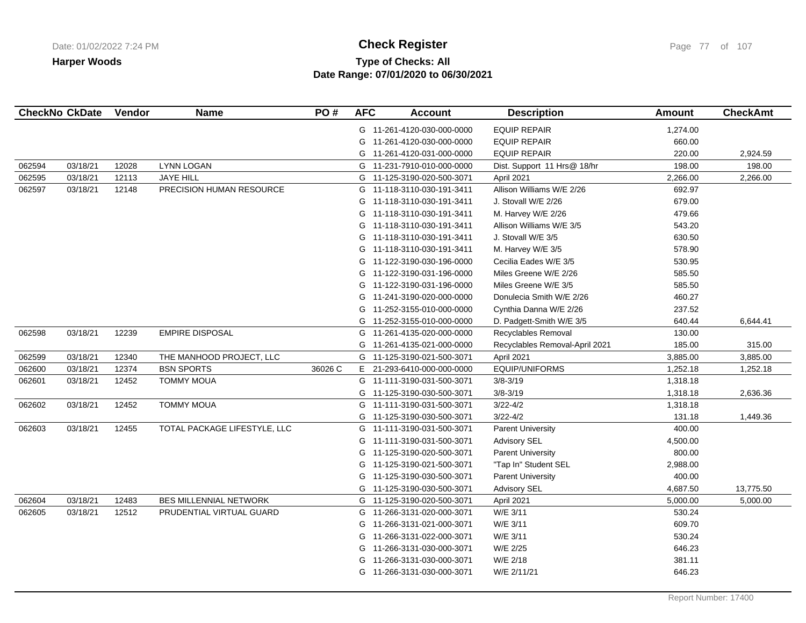## **Type of Checks: All Check Register Check Register Check Register Page 77** of 107 **Date Range: 07/01/2020 to 06/30/2021**

|        | <b>CheckNo CkDate</b> | Vendor | <b>Name</b>                   | PO#     | <b>AFC</b> | <b>Account</b>             | <b>Description</b>             | Amount   | <b>CheckAmt</b> |
|--------|-----------------------|--------|-------------------------------|---------|------------|----------------------------|--------------------------------|----------|-----------------|
|        |                       |        |                               |         |            | G 11-261-4120-030-000-0000 | <b>EQUIP REPAIR</b>            | 1,274.00 |                 |
|        |                       |        |                               |         | G          | 11-261-4120-030-000-0000   | <b>EQUIP REPAIR</b>            | 660.00   |                 |
|        |                       |        |                               |         |            | G 11-261-4120-031-000-0000 | <b>EQUIP REPAIR</b>            | 220.00   | 2,924.59        |
| 062594 | 03/18/21              | 12028  | <b>LYNN LOGAN</b>             |         | G          | 11-231-7910-010-000-0000   | Dist. Support 11 Hrs@ 18/hr    | 198.00   | 198.00          |
| 062595 | 03/18/21              | 12113  | <b>JAYE HILL</b>              |         | G          | 11-125-3190-020-500-3071   | April 2021                     | 2,266.00 | 2,266.00        |
| 062597 | 03/18/21              | 12148  | PRECISION HUMAN RESOURCE      |         | G          | 11-118-3110-030-191-3411   | Allison Williams W/E 2/26      | 692.97   |                 |
|        |                       |        |                               |         |            | G 11-118-3110-030-191-3411 | J. Stovall W/E 2/26            | 679.00   |                 |
|        |                       |        |                               |         | G          | 11-118-3110-030-191-3411   | M. Harvey W/E 2/26             | 479.66   |                 |
|        |                       |        |                               |         |            | G 11-118-3110-030-191-3411 | Allison Williams W/E 3/5       | 543.20   |                 |
|        |                       |        |                               |         |            | G 11-118-3110-030-191-3411 | J. Stovall W/E 3/5             | 630.50   |                 |
|        |                       |        |                               |         |            | G 11-118-3110-030-191-3411 | M. Harvey W/E 3/5              | 578.90   |                 |
|        |                       |        |                               |         | G          | 11-122-3190-030-196-0000   | Cecilia Eades W/E 3/5          | 530.95   |                 |
|        |                       |        |                               |         |            | G 11-122-3190-031-196-0000 | Miles Greene W/E 2/26          | 585.50   |                 |
|        |                       |        |                               |         |            | G 11-122-3190-031-196-0000 | Miles Greene W/E 3/5           | 585.50   |                 |
|        |                       |        |                               |         | G          | 11-241-3190-020-000-0000   | Donulecia Smith W/E 2/26       | 460.27   |                 |
|        |                       |        |                               |         |            | G 11-252-3155-010-000-0000 | Cynthia Danna W/E 2/26         | 237.52   |                 |
|        |                       |        |                               |         |            | G 11-252-3155-010-000-0000 | D. Padgett-Smith W/E 3/5       | 640.44   | 6,644.41        |
| 062598 | 03/18/21              | 12239  | <b>EMPIRE DISPOSAL</b>        |         | G          | 11-261-4135-020-000-0000   | Recyclables Removal            | 130.00   |                 |
|        |                       |        |                               |         | G          | 11-261-4135-021-000-0000   | Recyclables Removal-April 2021 | 185.00   | 315.00          |
| 062599 | 03/18/21              | 12340  | THE MANHOOD PROJECT, LLC      |         | G          | 11-125-3190-021-500-3071   | April 2021                     | 3,885.00 | 3,885.00        |
| 062600 | 03/18/21              | 12374  | <b>BSN SPORTS</b>             | 36026 C | E.         | 21-293-6410-000-000-0000   | EQUIP/UNIFORMS                 | 1,252.18 | 1,252.18        |
| 062601 | 03/18/21              | 12452  | <b>TOMMY MOUA</b>             |         |            | G 11-111-3190-031-500-3071 | $3/8 - 3/19$                   | 1,318.18 |                 |
|        |                       |        |                               |         | G          | 11-125-3190-030-500-3071   | $3/8 - 3/19$                   | 1,318.18 | 2,636.36        |
| 062602 | 03/18/21              | 12452  | <b>TOMMY MOUA</b>             |         |            | G 11-111-3190-031-500-3071 | $3/22 - 4/2$                   | 1,318.18 |                 |
|        |                       |        |                               |         | G          | 11-125-3190-030-500-3071   | $3/22 - 4/2$                   | 131.18   | 1,449.36        |
| 062603 | 03/18/21              | 12455  | TOTAL PACKAGE LIFESTYLE, LLC  |         | G          | 11-111-3190-031-500-3071   | <b>Parent University</b>       | 400.00   |                 |
|        |                       |        |                               |         | G          | 11-111-3190-031-500-3071   | <b>Advisory SEL</b>            | 4,500.00 |                 |
|        |                       |        |                               |         |            | G 11-125-3190-020-500-3071 | <b>Parent University</b>       | 800.00   |                 |
|        |                       |        |                               |         | G          | 11-125-3190-021-500-3071   | "Tap In" Student SEL           | 2,988.00 |                 |
|        |                       |        |                               |         |            | G 11-125-3190-030-500-3071 | <b>Parent University</b>       | 400.00   |                 |
|        |                       |        |                               |         |            | G 11-125-3190-030-500-3071 | <b>Advisory SEL</b>            | 4,687.50 | 13,775.50       |
| 062604 | 03/18/21              | 12483  | <b>BES MILLENNIAL NETWORK</b> |         | G          | 11-125-3190-020-500-3071   | April 2021                     | 5,000.00 | 5,000.00        |
| 062605 | 03/18/21              | 12512  | PRUDENTIAL VIRTUAL GUARD      |         | G          | 11-266-3131-020-000-3071   | W/E 3/11                       | 530.24   |                 |
|        |                       |        |                               |         | G          | 11-266-3131-021-000-3071   | W/E 3/11                       | 609.70   |                 |
|        |                       |        |                               |         | G          | 11-266-3131-022-000-3071   | W/E 3/11                       | 530.24   |                 |
|        |                       |        |                               |         | G          | 11-266-3131-030-000-3071   | W/E 2/25                       | 646.23   |                 |
|        |                       |        |                               |         | G          | 11-266-3131-030-000-3071   | W/E 2/18                       | 381.11   |                 |
|        |                       |        |                               |         |            | G 11-266-3131-030-000-3071 | W/E 2/11/21                    | 646.23   |                 |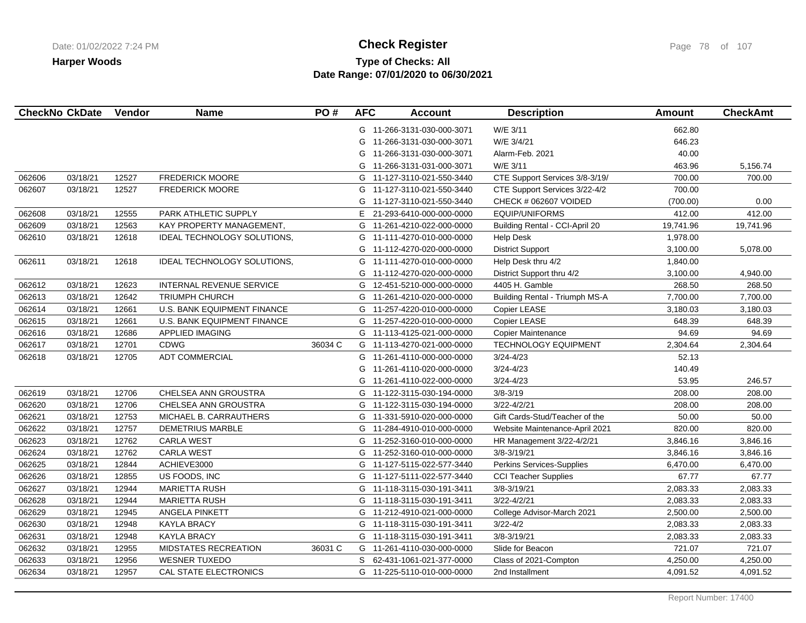## **Type of Checks: All Check Register Check Register Check Register Page 78 of 107 Date Range: 07/01/2020 to 06/30/2021**

|        | <b>CheckNo CkDate</b> | Vendor | <b>Name</b>                 | PO#     | <b>AFC</b> | <b>Account</b>             | <b>Description</b>             | <b>Amount</b> | <b>CheckAmt</b> |
|--------|-----------------------|--------|-----------------------------|---------|------------|----------------------------|--------------------------------|---------------|-----------------|
|        |                       |        |                             |         |            | G 11-266-3131-030-000-3071 | W/E 3/11                       | 662.80        |                 |
|        |                       |        |                             |         | G          | 11-266-3131-030-000-3071   | W/E 3/4/21                     | 646.23        |                 |
|        |                       |        |                             |         | G          | 11-266-3131-030-000-3071   | Alarm-Feb. 2021                | 40.00         |                 |
|        |                       |        |                             |         | G          | 11-266-3131-031-000-3071   | W/E 3/11                       | 463.96        | 5,156.74        |
| 062606 | 03/18/21              | 12527  | <b>FREDERICK MOORE</b>      |         | G          | 11-127-3110-021-550-3440   | CTE Support Services 3/8-3/19/ | 700.00        | 700.00          |
| 062607 | 03/18/21              | 12527  | <b>FREDERICK MOORE</b>      |         | G          | 11-127-3110-021-550-3440   | CTE Support Services 3/22-4/2  | 700.00        |                 |
|        |                       |        |                             |         | G          | 11-127-3110-021-550-3440   | CHECK # 062607 VOIDED          | (700.00)      | 0.00            |
| 062608 | 03/18/21              | 12555  | PARK ATHLETIC SUPPLY        |         | E.         | 21-293-6410-000-000-0000   | EQUIP/UNIFORMS                 | 412.00        | 412.00          |
| 062609 | 03/18/21              | 12563  | KAY PROPERTY MANAGEMENT,    |         | G          | 11-261-4210-022-000-0000   | Building Rental - CCI-April 20 | 19,741.96     | 19,741.96       |
| 062610 | 03/18/21              | 12618  | IDEAL TECHNOLOGY SOLUTIONS, |         | G          | 11-111-4270-010-000-0000   | <b>Help Desk</b>               | 1,978.00      |                 |
|        |                       |        |                             |         | G          | 11-112-4270-020-000-0000   | <b>District Support</b>        | 3,100.00      | 5,078.00        |
| 062611 | 03/18/21              | 12618  | IDEAL TECHNOLOGY SOLUTIONS, |         | G          | 11-111-4270-010-000-0000   | Help Desk thru 4/2             | 1,840.00      |                 |
|        |                       |        |                             |         | G          | 11-112-4270-020-000-0000   | District Support thru 4/2      | 3,100.00      | 4,940.00        |
| 062612 | 03/18/21              | 12623  | INTERNAL REVENUE SERVICE    |         | G          | 12-451-5210-000-000-0000   | 4405 H. Gamble                 | 268.50        | 268.50          |
| 062613 | 03/18/21              | 12642  | <b>TRIUMPH CHURCH</b>       |         |            | G 11-261-4210-020-000-0000 | Building Rental - Triumph MS-A | 7,700.00      | 7,700.00        |
| 062614 | 03/18/21              | 12661  | U.S. BANK EQUIPMENT FINANCE |         | G          | 11-257-4220-010-000-0000   | Copier LEASE                   | 3,180.03      | 3,180.03        |
| 062615 | 03/18/21              | 12661  | U.S. BANK EQUIPMENT FINANCE |         | G          | 11-257-4220-010-000-0000   | Copier LEASE                   | 648.39        | 648.39          |
| 062616 | 03/18/21              | 12686  | <b>APPLIED IMAGING</b>      |         |            | G 11-113-4125-021-000-0000 | <b>Copier Maintenance</b>      | 94.69         | 94.69           |
| 062617 | 03/18/21              | 12701  | <b>CDWG</b>                 | 36034 C |            | G 11-113-4270-021-000-0000 | <b>TECHNOLOGY EQUIPMENT</b>    | 2,304.64      | 2,304.64        |
| 062618 | 03/18/21              | 12705  | <b>ADT COMMERCIAL</b>       |         | G          | 11-261-4110-000-000-0000   | $3/24 - 4/23$                  | 52.13         |                 |
|        |                       |        |                             |         | G          | 11-261-4110-020-000-0000   | $3/24 - 4/23$                  | 140.49        |                 |
|        |                       |        |                             |         | G          | 11-261-4110-022-000-0000   | $3/24 - 4/23$                  | 53.95         | 246.57          |
| 062619 | 03/18/21              | 12706  | CHELSEA ANN GROUSTRA        |         | G          | 11-122-3115-030-194-0000   | $3/8 - 3/19$                   | 208.00        | 208.00          |
| 062620 | 03/18/21              | 12706  | CHELSEA ANN GROUSTRA        |         |            | G 11-122-3115-030-194-0000 | $3/22 - 4/2/21$                | 208.00        | 208.00          |
| 062621 | 03/18/21              | 12753  | MICHAEL B. CARRAUTHERS      |         | G          | 11-331-5910-020-000-0000   | Gift Cards-Stud/Teacher of the | 50.00         | 50.00           |
| 062622 | 03/18/21              | 12757  | <b>DEMETRIUS MARBLE</b>     |         | G          | 11-284-4910-010-000-0000   | Website Maintenance-April 2021 | 820.00        | 820.00          |
| 062623 | 03/18/21              | 12762  | <b>CARLA WEST</b>           |         | G          | 11-252-3160-010-000-0000   | HR Management 3/22-4/2/21      | 3,846.16      | 3,846.16        |
| 062624 | 03/18/21              | 12762  | <b>CARLA WEST</b>           |         |            | G 11-252-3160-010-000-0000 | $3/8 - 3/19/21$                | 3,846.16      | 3,846.16        |
| 062625 | 03/18/21              | 12844  | ACHIEVE3000                 |         |            | G 11-127-5115-022-577-3440 | Perkins Services-Supplies      | 6,470.00      | 6,470.00        |
| 062626 | 03/18/21              | 12855  | US FOODS, INC               |         | G          | 11-127-5111-022-577-3440   | <b>CCI Teacher Supplies</b>    | 67.77         | 67.77           |
| 062627 | 03/18/21              | 12944  | <b>MARIETTA RUSH</b>        |         | G          | 11-118-3115-030-191-3411   | $3/8 - 3/19/21$                | 2,083.33      | 2,083.33        |
| 062628 | 03/18/21              | 12944  | <b>MARIETTA RUSH</b>        |         |            | G 11-118-3115-030-191-3411 | $3/22 - 4/2/21$                | 2,083.33      | 2,083.33        |
| 062629 | 03/18/21              | 12945  | ANGELA PINKETT              |         |            | G 11-212-4910-021-000-0000 | College Advisor-March 2021     | 2,500.00      | 2,500.00        |
| 062630 | 03/18/21              | 12948  | <b>KAYLA BRACY</b>          |         | G          | 11-118-3115-030-191-3411   | $3/22 - 4/2$                   | 2,083.33      | 2,083.33        |
| 062631 | 03/18/21              | 12948  | <b>KAYLA BRACY</b>          |         |            | G 11-118-3115-030-191-3411 | $3/8 - 3/19/21$                | 2,083.33      | 2,083.33        |
| 062632 | 03/18/21              | 12955  | MIDSTATES RECREATION        | 36031 C | G          | 11-261-4110-030-000-0000   | Slide for Beacon               | 721.07        | 721.07          |
| 062633 | 03/18/21              | 12956  | <b>WESNER TUXEDO</b>        |         |            | S 62-431-1061-021-377-0000 | Class of 2021-Compton          | 4,250.00      | 4,250.00        |
| 062634 | 03/18/21              | 12957  | CAL STATE ELECTRONICS       |         |            | G 11-225-5110-010-000-0000 | 2nd Installment                | 4,091.52      | 4,091.52        |
|        |                       |        |                             |         |            |                            |                                |               |                 |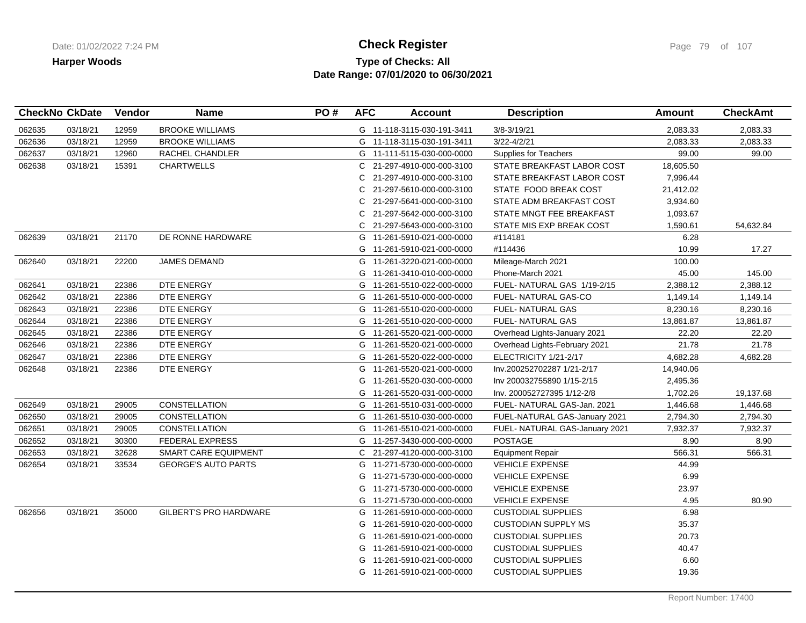## **Type of Checks: All Check Register Check Register Check Register Page 79 of 107 Date Range: 07/01/2020 to 06/30/2021**

|        | <b>CheckNo CkDate</b> | Vendor | <b>Name</b>                   | PO# | <b>AFC</b> | <b>Account</b>             | <b>Description</b>             | <b>Amount</b> | <b>CheckAmt</b> |
|--------|-----------------------|--------|-------------------------------|-----|------------|----------------------------|--------------------------------|---------------|-----------------|
| 062635 | 03/18/21              | 12959  | <b>BROOKE WILLIAMS</b>        |     |            | G 11-118-3115-030-191-3411 | $3/8 - 3/19/21$                | 2,083.33      | 2,083.33        |
| 062636 | 03/18/21              | 12959  | <b>BROOKE WILLIAMS</b>        |     |            | G 11-118-3115-030-191-3411 | $3/22 - 4/2/21$                | 2,083.33      | 2,083.33        |
| 062637 | 03/18/21              | 12960  | RACHEL CHANDLER               |     |            | G 11-111-5115-030-000-0000 | Supplies for Teachers          | 99.00         | 99.00           |
| 062638 | 03/18/21              | 15391  | <b>CHARTWELLS</b>             |     |            | C 21-297-4910-000-000-3100 | STATE BREAKFAST LABOR COST     | 18,605.50     |                 |
|        |                       |        |                               |     | C          | 21-297-4910-000-000-3100   | STATE BREAKFAST LABOR COST     | 7,996.44      |                 |
|        |                       |        |                               |     | С          | 21-297-5610-000-000-3100   | STATE FOOD BREAK COST          | 21,412.02     |                 |
|        |                       |        |                               |     | С          | 21-297-5641-000-000-3100   | STATE ADM BREAKFAST COST       | 3,934.60      |                 |
|        |                       |        |                               |     | C          | 21-297-5642-000-000-3100   | STATE MNGT FEE BREAKFAST       | 1,093.67      |                 |
|        |                       |        |                               |     | C          | 21-297-5643-000-000-3100   | STATE MIS EXP BREAK COST       | 1,590.61      | 54,632.84       |
| 062639 | 03/18/21              | 21170  | DE RONNE HARDWARE             |     |            | G 11-261-5910-021-000-0000 | #114181                        | 6.28          |                 |
|        |                       |        |                               |     | G          | 11-261-5910-021-000-0000   | #114436                        | 10.99         | 17.27           |
| 062640 | 03/18/21              | 22200  | <b>JAMES DEMAND</b>           |     |            | G 11-261-3220-021-000-0000 | Mileage-March 2021             | 100.00        |                 |
|        |                       |        |                               |     |            | G 11-261-3410-010-000-0000 | Phone-March 2021               | 45.00         | 145.00          |
| 062641 | 03/18/21              | 22386  | DTE ENERGY                    |     |            | G 11-261-5510-022-000-0000 | FUEL-NATURAL GAS 1/19-2/15     | 2,388.12      | 2,388.12        |
| 062642 | 03/18/21              | 22386  | DTE ENERGY                    |     |            | G 11-261-5510-000-000-0000 | FUEL- NATURAL GAS-CO           | 1,149.14      | 1,149.14        |
| 062643 | 03/18/21              | 22386  | DTE ENERGY                    |     | G          | 11-261-5510-020-000-0000   | <b>FUEL- NATURAL GAS</b>       | 8,230.16      | 8,230.16        |
| 062644 | 03/18/21              | 22386  | DTE ENERGY                    |     |            | G 11-261-5510-020-000-0000 | <b>FUEL- NATURAL GAS</b>       | 13,861.87     | 13,861.87       |
| 062645 | 03/18/21              | 22386  | DTE ENERGY                    |     |            | G 11-261-5520-021-000-0000 | Overhead Lights-January 2021   | 22.20         | 22.20           |
| 062646 | 03/18/21              | 22386  | DTE ENERGY                    |     |            | G 11-261-5520-021-000-0000 | Overhead Lights-February 2021  | 21.78         | 21.78           |
| 062647 | 03/18/21              | 22386  | DTE ENERGY                    |     |            | G 11-261-5520-022-000-0000 | ELECTRICITY 1/21-2/17          | 4,682.28      | 4,682.28        |
| 062648 | 03/18/21              | 22386  | DTE ENERGY                    |     |            | G 11-261-5520-021-000-0000 | Inv.200252702287 1/21-2/17     | 14,940.06     |                 |
|        |                       |        |                               |     |            | G 11-261-5520-030-000-0000 | Inv 200032755890 1/15-2/15     | 2,495.36      |                 |
|        |                       |        |                               |     |            | G 11-261-5520-031-000-0000 | Inv. 200052727395 1/12-2/8     | 1,702.26      | 19,137.68       |
| 062649 | 03/18/21              | 29005  | CONSTELLATION                 |     | G          | 11-261-5510-031-000-0000   | FUEL-NATURAL GAS-Jan. 2021     | 1,446.68      | 1,446.68        |
| 062650 | 03/18/21              | 29005  | <b>CONSTELLATION</b>          |     | G          | 11-261-5510-030-000-0000   | FUEL-NATURAL GAS-January 2021  | 2,794.30      | 2,794.30        |
| 062651 | 03/18/21              | 29005  | <b>CONSTELLATION</b>          |     |            | G 11-261-5510-021-000-0000 | FUEL- NATURAL GAS-January 2021 | 7,932.37      | 7,932.37        |
| 062652 | 03/18/21              | 30300  | <b>FEDERAL EXPRESS</b>        |     |            | G 11-257-3430-000-000-0000 | <b>POSTAGE</b>                 | 8.90          | 8.90            |
| 062653 | 03/18/21              | 32628  | SMART CARE EQUIPMENT          |     |            | C 21-297-4120-000-000-3100 | <b>Equipment Repair</b>        | 566.31        | 566.31          |
| 062654 | 03/18/21              | 33534  | <b>GEORGE'S AUTO PARTS</b>    |     | G          | 11-271-5730-000-000-0000   | <b>VEHICLE EXPENSE</b>         | 44.99         |                 |
|        |                       |        |                               |     | G          | 11-271-5730-000-000-0000   | <b>VEHICLE EXPENSE</b>         | 6.99          |                 |
|        |                       |        |                               |     | G          | 11-271-5730-000-000-0000   | <b>VEHICLE EXPENSE</b>         | 23.97         |                 |
|        |                       |        |                               |     |            | G 11-271-5730-000-000-0000 | <b>VEHICLE EXPENSE</b>         | 4.95          | 80.90           |
| 062656 | 03/18/21              | 35000  | <b>GILBERT'S PRO HARDWARE</b> |     | G          | 11-261-5910-000-000-0000   | <b>CUSTODIAL SUPPLIES</b>      | 6.98          |                 |
|        |                       |        |                               |     | G          | 11-261-5910-020-000-0000   | <b>CUSTODIAN SUPPLY MS</b>     | 35.37         |                 |
|        |                       |        |                               |     | G          | 11-261-5910-021-000-0000   | <b>CUSTODIAL SUPPLIES</b>      | 20.73         |                 |
|        |                       |        |                               |     | G          | 11-261-5910-021-000-0000   | <b>CUSTODIAL SUPPLIES</b>      | 40.47         |                 |
|        |                       |        |                               |     | G          | 11-261-5910-021-000-0000   | <b>CUSTODIAL SUPPLIES</b>      | 6.60          |                 |
|        |                       |        |                               |     |            | G 11-261-5910-021-000-0000 | <b>CUSTODIAL SUPPLIES</b>      | 19.36         |                 |
|        |                       |        |                               |     |            |                            |                                |               |                 |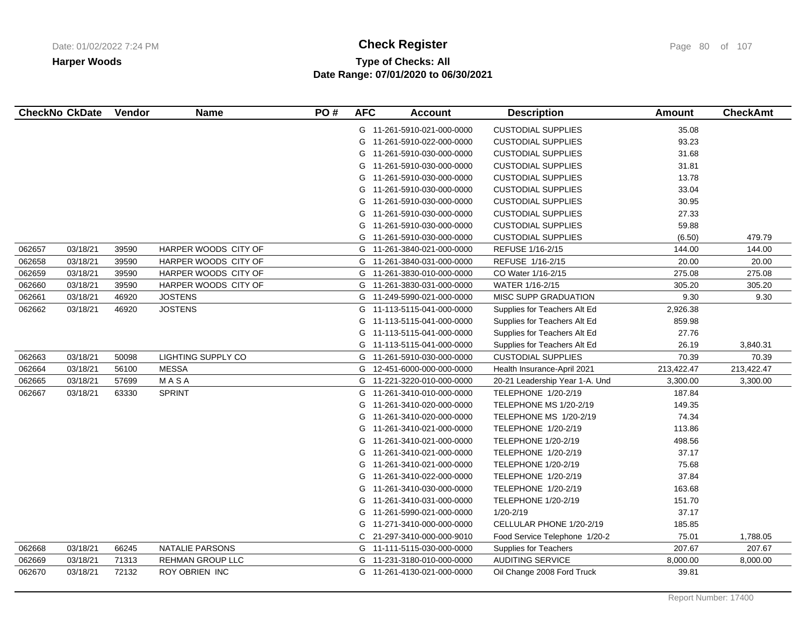# **Type of Checks: All Check Register Check Register Check Register Page 80 of 107 Date Range: 07/01/2020 to 06/30/2021**

| <b>CheckNo CkDate</b> |          | Vendor | <b>Name</b>               | PO# | <b>AFC</b> | <b>Account</b>             | <b>Description</b>             | <b>Amount</b> | <b>CheckAmt</b> |
|-----------------------|----------|--------|---------------------------|-----|------------|----------------------------|--------------------------------|---------------|-----------------|
|                       |          |        |                           |     |            | G 11-261-5910-021-000-0000 | <b>CUSTODIAL SUPPLIES</b>      | 35.08         |                 |
|                       |          |        |                           |     | G          | 11-261-5910-022-000-0000   | <b>CUSTODIAL SUPPLIES</b>      | 93.23         |                 |
|                       |          |        |                           |     |            | G 11-261-5910-030-000-0000 | <b>CUSTODIAL SUPPLIES</b>      | 31.68         |                 |
|                       |          |        |                           |     | G          | 11-261-5910-030-000-0000   | <b>CUSTODIAL SUPPLIES</b>      | 31.81         |                 |
|                       |          |        |                           |     | G          | 11-261-5910-030-000-0000   | <b>CUSTODIAL SUPPLIES</b>      | 13.78         |                 |
|                       |          |        |                           |     | G          | 11-261-5910-030-000-0000   | <b>CUSTODIAL SUPPLIES</b>      | 33.04         |                 |
|                       |          |        |                           |     | G          | 11-261-5910-030-000-0000   | <b>CUSTODIAL SUPPLIES</b>      | 30.95         |                 |
|                       |          |        |                           |     | G          | 11-261-5910-030-000-0000   | <b>CUSTODIAL SUPPLIES</b>      | 27.33         |                 |
|                       |          |        |                           |     | G          | 11-261-5910-030-000-0000   | <b>CUSTODIAL SUPPLIES</b>      | 59.88         |                 |
|                       |          |        |                           |     | G          | 11-261-5910-030-000-0000   | <b>CUSTODIAL SUPPLIES</b>      | (6.50)        | 479.79          |
| 062657                | 03/18/21 | 39590  | HARPER WOODS CITY OF      |     | G          | 11-261-3840-021-000-0000   | REFUSE 1/16-2/15               | 144.00        | 144.00          |
| 062658                | 03/18/21 | 39590  | HARPER WOODS CITY OF      |     | G          | 11-261-3840-031-000-0000   | REFUSE 1/16-2/15               | 20.00         | 20.00           |
| 062659                | 03/18/21 | 39590  | HARPER WOODS CITY OF      |     | G          | 11-261-3830-010-000-0000   | CO Water 1/16-2/15             | 275.08        | 275.08          |
| 062660                | 03/18/21 | 39590  | HARPER WOODS CITY OF      |     | G          | 11-261-3830-031-000-0000   | WATER 1/16-2/15                | 305.20        | 305.20          |
| 062661                | 03/18/21 | 46920  | <b>JOSTENS</b>            |     | G          | 11-249-5990-021-000-0000   | <b>MISC SUPP GRADUATION</b>    | 9.30          | 9.30            |
| 062662                | 03/18/21 | 46920  | <b>JOSTENS</b>            |     |            | G 11-113-5115-041-000-0000 | Supplies for Teachers Alt Ed   | 2,926.38      |                 |
|                       |          |        |                           |     | G          | 11-113-5115-041-000-0000   | Supplies for Teachers Alt Ed   | 859.98        |                 |
|                       |          |        |                           |     | G          | 11-113-5115-041-000-0000   | Supplies for Teachers Alt Ed   | 27.76         |                 |
|                       |          |        |                           |     | G          | 11-113-5115-041-000-0000   | Supplies for Teachers Alt Ed   | 26.19         | 3,840.31        |
| 062663                | 03/18/21 | 50098  | <b>LIGHTING SUPPLY CO</b> |     |            | G 11-261-5910-030-000-0000 | <b>CUSTODIAL SUPPLIES</b>      | 70.39         | 70.39           |
| 062664                | 03/18/21 | 56100  | <b>MESSA</b>              |     | G          | 12-451-6000-000-000-0000   | Health Insurance-April 2021    | 213,422.47    | 213,422.47      |
| 062665                | 03/18/21 | 57699  | MASA                      |     | G          | 11-221-3220-010-000-0000   | 20-21 Leadership Year 1-A. Und | 3,300.00      | 3,300.00        |
| 062667                | 03/18/21 | 63330  | <b>SPRINT</b>             |     | G          | 11-261-3410-010-000-0000   | TELEPHONE 1/20-2/19            | 187.84        |                 |
|                       |          |        |                           |     | G          | 11-261-3410-020-000-0000   | TELEPHONE MS 1/20-2/19         | 149.35        |                 |
|                       |          |        |                           |     | G          | 11-261-3410-020-000-0000   | TELEPHONE MS 1/20-2/19         | 74.34         |                 |
|                       |          |        |                           |     | G          | 11-261-3410-021-000-0000   | TELEPHONE 1/20-2/19            | 113.86        |                 |
|                       |          |        |                           |     | G          | 11-261-3410-021-000-0000   | <b>TELEPHONE 1/20-2/19</b>     | 498.56        |                 |
|                       |          |        |                           |     | G          | 11-261-3410-021-000-0000   | TELEPHONE 1/20-2/19            | 37.17         |                 |
|                       |          |        |                           |     | G          | 11-261-3410-021-000-0000   | <b>TELEPHONE 1/20-2/19</b>     | 75.68         |                 |
|                       |          |        |                           |     | G          | 11-261-3410-022-000-0000   | TELEPHONE 1/20-2/19            | 37.84         |                 |
|                       |          |        |                           |     | G          | 11-261-3410-030-000-0000   | TELEPHONE 1/20-2/19            | 163.68        |                 |
|                       |          |        |                           |     | G          | 11-261-3410-031-000-0000   | TELEPHONE 1/20-2/19            | 151.70        |                 |
|                       |          |        |                           |     | G          | 11-261-5990-021-000-0000   | $1/20 - 2/19$                  | 37.17         |                 |
|                       |          |        |                           |     | G          | 11-271-3410-000-000-0000   | CELLULAR PHONE 1/20-2/19       | 185.85        |                 |
|                       |          |        |                           |     | C.         | 21-297-3410-000-000-9010   | Food Service Telephone 1/20-2  | 75.01         | 1,788.05        |
| 062668                | 03/18/21 | 66245  | NATALIE PARSONS           |     |            | G 11-111-5115-030-000-0000 | Supplies for Teachers          | 207.67        | 207.67          |
| 062669                | 03/18/21 | 71313  | <b>REHMAN GROUP LLC</b>   |     |            | G 11-231-3180-010-000-0000 | <b>AUDITING SERVICE</b>        | 8,000.00      | 8,000.00        |
| 062670                | 03/18/21 | 72132  | <b>ROY OBRIEN INC</b>     |     |            | G 11-261-4130-021-000-0000 | Oil Change 2008 Ford Truck     | 39.81         |                 |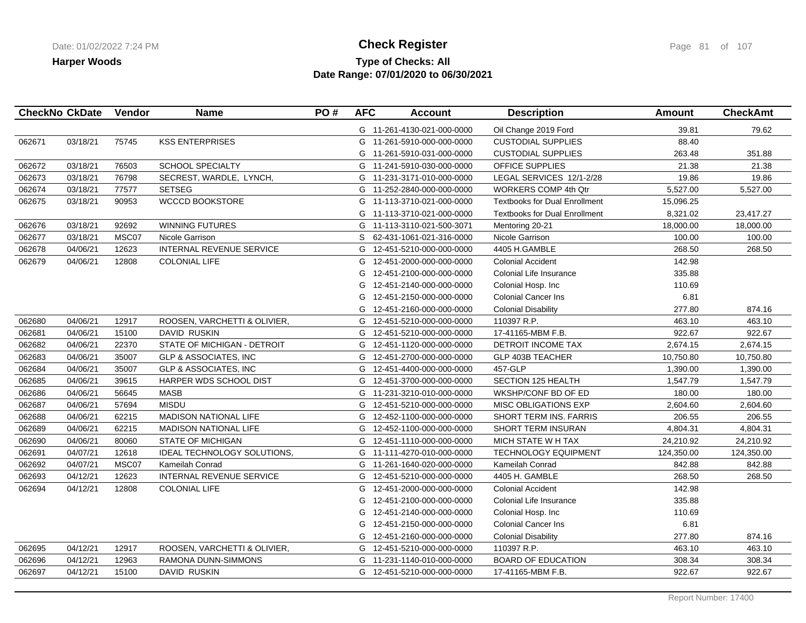### **Type of Checks: All Check Register Check Register Check Register Page 81 of 107 Date Range: 07/01/2020 to 06/30/2021**

|        | <b>CheckNo CkDate</b> | Vendor | <b>Name</b>                      | PO# | <b>AFC</b> | <b>Account</b>             | <b>Description</b>                   | Amount     | <b>CheckAmt</b> |
|--------|-----------------------|--------|----------------------------------|-----|------------|----------------------------|--------------------------------------|------------|-----------------|
|        |                       |        |                                  |     |            | G 11-261-4130-021-000-0000 | Oil Change 2019 Ford                 | 39.81      | 79.62           |
| 062671 | 03/18/21              | 75745  | <b>KSS ENTERPRISES</b>           |     |            | G 11-261-5910-000-000-0000 | <b>CUSTODIAL SUPPLIES</b>            | 88.40      |                 |
|        |                       |        |                                  |     |            | G 11-261-5910-031-000-0000 | <b>CUSTODIAL SUPPLIES</b>            | 263.48     | 351.88          |
| 062672 | 03/18/21              | 76503  | <b>SCHOOL SPECIALTY</b>          |     |            | G 11-241-5910-030-000-0000 | <b>OFFICE SUPPLIES</b>               | 21.38      | 21.38           |
| 062673 | 03/18/21              | 76798  | SECREST, WARDLE, LYNCH,          |     |            | G 11-231-3171-010-000-0000 | LEGAL SERVICES 12/1-2/28             | 19.86      | 19.86           |
| 062674 | 03/18/21              | 77577  | <b>SETSEG</b>                    |     |            | G 11-252-2840-000-000-0000 | <b>WORKERS COMP 4th Qtr</b>          | 5,527.00   | 5,527.00        |
| 062675 | 03/18/21              | 90953  | <b>WCCCD BOOKSTORE</b>           |     |            | G 11-113-3710-021-000-0000 | <b>Textbooks for Dual Enrollment</b> | 15,096.25  |                 |
|        |                       |        |                                  |     |            | G 11-113-3710-021-000-0000 | <b>Textbooks for Dual Enrollment</b> | 8,321.02   | 23,417.27       |
| 062676 | 03/18/21              | 92692  | <b>WINNING FUTURES</b>           |     | G          | 11-113-3110-021-500-3071   | Mentoring 20-21                      | 18,000.00  | 18,000.00       |
| 062677 | 03/18/21              | MSC07  | Nicole Garrison                  |     | S          | 62-431-1061-021-316-0000   | Nicole Garrison                      | 100.00     | 100.00          |
| 062678 | 04/06/21              | 12623  | <b>INTERNAL REVENUE SERVICE</b>  |     | G          | 12-451-5210-000-000-0000   | 4405 H.GAMBLE                        | 268.50     | 268.50          |
| 062679 | 04/06/21              | 12808  | <b>COLONIAL LIFE</b>             |     | G          | 12-451-2000-000-000-0000   | <b>Colonial Accident</b>             | 142.98     |                 |
|        |                       |        |                                  |     | G          | 12-451-2100-000-000-0000   | Colonial Life Insurance              | 335.88     |                 |
|        |                       |        |                                  |     | G          | 12-451-2140-000-000-0000   | Colonial Hosp. Inc                   | 110.69     |                 |
|        |                       |        |                                  |     | G          | 12-451-2150-000-000-0000   | <b>Colonial Cancer Ins</b>           | 6.81       |                 |
|        |                       |        |                                  |     | G          | 12-451-2160-000-000-0000   | <b>Colonial Disability</b>           | 277.80     | 874.16          |
| 062680 | 04/06/21              | 12917  | ROOSEN, VARCHETTI & OLIVIER,     |     | G          | 12-451-5210-000-000-0000   | 110397 R.P.                          | 463.10     | 463.10          |
| 062681 | 04/06/21              | 15100  | DAVID RUSKIN                     |     | G          | 12-451-5210-000-000-0000   | 17-41165-MBM F.B.                    | 922.67     | 922.67          |
| 062682 | 04/06/21              | 22370  | STATE OF MICHIGAN - DETROIT      |     | G          | 12-451-1120-000-000-0000   | DETROIT INCOME TAX                   | 2,674.15   | 2,674.15        |
| 062683 | 04/06/21              | 35007  | <b>GLP &amp; ASSOCIATES, INC</b> |     |            | G 12-451-2700-000-000-0000 | <b>GLP 403B TEACHER</b>              | 10,750.80  | 10,750.80       |
| 062684 | 04/06/21              | 35007  | <b>GLP &amp; ASSOCIATES, INC</b> |     | G          | 12-451-4400-000-000-0000   | 457-GLP                              | 1,390.00   | 1,390.00        |
| 062685 | 04/06/21              | 39615  | <b>HARPER WDS SCHOOL DIST</b>    |     | G          | 12-451-3700-000-000-0000   | SECTION 125 HEALTH                   | 1,547.79   | 1,547.79        |
| 062686 | 04/06/21              | 56645  | <b>MASB</b>                      |     |            | G 11-231-3210-010-000-0000 | WKSHP/CONF BD OF ED                  | 180.00     | 180.00          |
| 062687 | 04/06/21              | 57694  | <b>MISDU</b>                     |     |            | G 12-451-5210-000-000-0000 | <b>MISC OBLIGATIONS EXP</b>          | 2,604.60   | 2,604.60        |
| 062688 | 04/06/21              | 62215  | <b>MADISON NATIONAL LIFE</b>     |     | G          | 12-452-1100-000-000-0000   | <b>SHORT TERM INS, FARRIS</b>        | 206.55     | 206.55          |
| 062689 | 04/06/21              | 62215  | <b>MADISON NATIONAL LIFE</b>     |     | G          | 12-452-1100-000-000-0000   | SHORT TERM INSURAN                   | 4,804.31   | 4,804.31        |
| 062690 | 04/06/21              | 80060  | <b>STATE OF MICHIGAN</b>         |     | G          | 12-451-1110-000-000-0000   | MICH STATE W H TAX                   | 24,210.92  | 24,210.92       |
| 062691 | 04/07/21              | 12618  | IDEAL TECHNOLOGY SOLUTIONS,      |     |            | G 11-111-4270-010-000-0000 | <b>TECHNOLOGY EQUIPMENT</b>          | 124,350.00 | 124,350.00      |
| 062692 | 04/07/21              | MSC07  | <b>Kameilah Conrad</b>           |     | G          | 11-261-1640-020-000-0000   | Kameilah Conrad                      | 842.88     | 842.88          |
| 062693 | 04/12/21              | 12623  | INTERNAL REVENUE SERVICE         |     | G          | 12-451-5210-000-000-0000   | 4405 H. GAMBLE                       | 268.50     | 268.50          |
| 062694 | 04/12/21              | 12808  | <b>COLONIAL LIFE</b>             |     | G          | 12-451-2000-000-000-0000   | <b>Colonial Accident</b>             | 142.98     |                 |
|        |                       |        |                                  |     | G          | 12-451-2100-000-000-0000   | Colonial Life Insurance              | 335.88     |                 |
|        |                       |        |                                  |     | G          | 12-451-2140-000-000-0000   | Colonial Hosp. Inc                   | 110.69     |                 |
|        |                       |        |                                  |     | G          | 12-451-2150-000-000-0000   | <b>Colonial Cancer Ins</b>           | 6.81       |                 |
|        |                       |        |                                  |     | G          | 12-451-2160-000-000-0000   | <b>Colonial Disability</b>           | 277.80     | 874.16          |
| 062695 | 04/12/21              | 12917  | ROOSEN, VARCHETTI & OLIVIER,     |     |            | G 12-451-5210-000-000-0000 | 110397 R.P.                          | 463.10     | 463.10          |
| 062696 | 04/12/21              | 12963  | RAMONA DUNN-SIMMONS              |     |            | G 11-231-1140-010-000-0000 | <b>BOARD OF EDUCATION</b>            | 308.34     | 308.34          |
| 062697 | 04/12/21              | 15100  | DAVID RUSKIN                     |     |            | G 12-451-5210-000-000-0000 | 17-41165-MBM F.B.                    | 922.67     | 922.67          |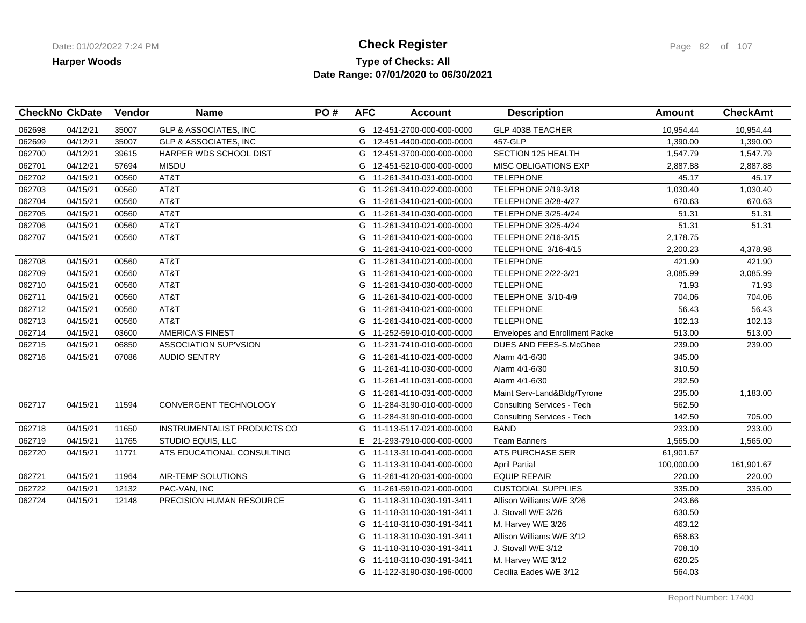### **Type of Checks: All Check Register Check Register Check Register Page 82 of 107 Date Range: 07/01/2020 to 06/30/2021**

|        | <b>CheckNo CkDate</b> | Vendor | <b>Name</b>                      | PO# | <b>AFC</b> | <b>Account</b>             | <b>Description</b>                | <b>Amount</b> | <b>CheckAmt</b> |
|--------|-----------------------|--------|----------------------------------|-----|------------|----------------------------|-----------------------------------|---------------|-----------------|
| 062698 | 04/12/21              | 35007  | <b>GLP &amp; ASSOCIATES, INC</b> |     |            | G 12-451-2700-000-000-0000 | <b>GLP 403B TEACHER</b>           | 10,954.44     | 10,954.44       |
| 062699 | 04/12/21              | 35007  | <b>GLP &amp; ASSOCIATES, INC</b> |     | G          | 12-451-4400-000-000-0000   | 457-GLP                           | 1,390.00      | 1,390.00        |
| 062700 | 04/12/21              | 39615  | HARPER WDS SCHOOL DIST           |     |            | G 12-451-3700-000-000-0000 | SECTION 125 HEALTH                | 1,547.79      | 1,547.79        |
| 062701 | 04/12/21              | 57694  | <b>MISDU</b>                     |     | G          | 12-451-5210-000-000-0000   | MISC OBLIGATIONS EXP              | 2,887.88      | 2,887.88        |
| 062702 | 04/15/21              | 00560  | AT&T                             |     | G          | 11-261-3410-031-000-0000   | <b>TELEPHONE</b>                  | 45.17         | 45.17           |
| 062703 | 04/15/21              | 00560  | AT&T                             |     |            | G 11-261-3410-022-000-0000 | TELEPHONE 2/19-3/18               | 1,030.40      | 1,030.40        |
| 062704 | 04/15/21              | 00560  | AT&T                             |     |            | G 11-261-3410-021-000-0000 | <b>TELEPHONE 3/28-4/27</b>        | 670.63        | 670.63          |
| 062705 | 04/15/21              | 00560  | AT&T                             |     |            | G 11-261-3410-030-000-0000 | <b>TELEPHONE 3/25-4/24</b>        | 51.31         | 51.31           |
| 062706 | 04/15/21              | 00560  | AT&T                             |     | G          | 11-261-3410-021-000-0000   | <b>TELEPHONE 3/25-4/24</b>        | 51.31         | 51.31           |
| 062707 | 04/15/21              | 00560  | AT&T                             |     | G          | 11-261-3410-021-000-0000   | TELEPHONE 2/16-3/15               | 2,178.75      |                 |
|        |                       |        |                                  |     | G          | 11-261-3410-021-000-0000   | TELEPHONE 3/16-4/15               | 2,200.23      | 4,378.98        |
| 062708 | 04/15/21              | 00560  | AT&T                             |     |            | G 11-261-3410-021-000-0000 | <b>TELEPHONE</b>                  | 421.90        | 421.90          |
| 062709 | 04/15/21              | 00560  | AT&T                             |     | G          | 11-261-3410-021-000-0000   | <b>TELEPHONE 2/22-3/21</b>        | 3,085.99      | 3,085.99        |
| 062710 | 04/15/21              | 00560  | AT&T                             |     |            | G 11-261-3410-030-000-0000 | <b>TELEPHONE</b>                  | 71.93         | 71.93           |
| 062711 | 04/15/21              | 00560  | AT&T                             |     |            | G 11-261-3410-021-000-0000 | TELEPHONE 3/10-4/9                | 704.06        | 704.06          |
| 062712 | 04/15/21              | 00560  | AT&T                             |     |            | G 11-261-3410-021-000-0000 | <b>TELEPHONE</b>                  | 56.43         | 56.43           |
| 062713 | 04/15/21              | 00560  | AT&T                             |     |            | G 11-261-3410-021-000-0000 | <b>TELEPHONE</b>                  | 102.13        | 102.13          |
| 062714 | 04/15/21              | 03600  | <b>AMERICA'S FINEST</b>          |     | G          | 11-252-5910-010-000-0000   | Envelopes and Enrollment Packe    | 513.00        | 513.00          |
| 062715 | 04/15/21              | 06850  | <b>ASSOCIATION SUP'VSION</b>     |     | G          | 11-231-7410-010-000-0000   | DUES AND FEES-S.McGhee            | 239.00        | 239.00          |
| 062716 | 04/15/21              | 07086  | <b>AUDIO SENTRY</b>              |     | G          | 11-261-4110-021-000-0000   | Alarm 4/1-6/30                    | 345.00        |                 |
|        |                       |        |                                  |     | G          | 11-261-4110-030-000-0000   | Alarm 4/1-6/30                    | 310.50        |                 |
|        |                       |        |                                  |     | G          | 11-261-4110-031-000-0000   | Alarm 4/1-6/30                    | 292.50        |                 |
|        |                       |        |                                  |     | G          | 11-261-4110-031-000-0000   | Maint Serv-Land&Bldg/Tyrone       | 235.00        | 1,183.00        |
| 062717 | 04/15/21              | 11594  | CONVERGENT TECHNOLOGY            |     | G          | 11-284-3190-010-000-0000   | <b>Consulting Services - Tech</b> | 562.50        |                 |
|        |                       |        |                                  |     | G          | 11-284-3190-010-000-0000   | <b>Consulting Services - Tech</b> | 142.50        | 705.00          |
| 062718 | 04/15/21              | 11650  | INSTRUMENTALIST PRODUCTS CO      |     | G          | 11-113-5117-021-000-0000   | <b>BAND</b>                       | 233.00        | 233.00          |
| 062719 | 04/15/21              | 11765  | STUDIO EQUIS, LLC                |     | E.         | 21-293-7910-000-000-0000   | <b>Team Banners</b>               | 1,565.00      | 1,565.00        |
| 062720 | 04/15/21              | 11771  | ATS EDUCATIONAL CONSULTING       |     | G          | 11-113-3110-041-000-0000   | <b>ATS PURCHASE SER</b>           | 61,901.67     |                 |
|        |                       |        |                                  |     |            | G 11-113-3110-041-000-0000 | <b>April Partial</b>              | 100,000.00    | 161,901.67      |
| 062721 | 04/15/21              | 11964  | AIR-TEMP SOLUTIONS               |     | G          | 11-261-4120-031-000-0000   | <b>EQUIP REPAIR</b>               | 220.00        | 220.00          |
| 062722 | 04/15/21              | 12132  | PAC-VAN, INC                     |     | G          | 11-261-5910-021-000-0000   | <b>CUSTODIAL SUPPLIES</b>         | 335.00        | 335.00          |
| 062724 | 04/15/21              | 12148  | PRECISION HUMAN RESOURCE         |     |            | G 11-118-3110-030-191-3411 | Allison Williams W/E 3/26         | 243.66        |                 |
|        |                       |        |                                  |     | G          | 11-118-3110-030-191-3411   | J. Stovall W/E 3/26               | 630.50        |                 |
|        |                       |        |                                  |     | G          | 11-118-3110-030-191-3411   | M. Harvey W/E 3/26                | 463.12        |                 |
|        |                       |        |                                  |     | G          | 11-118-3110-030-191-3411   | Allison Williams W/E 3/12         | 658.63        |                 |
|        |                       |        |                                  |     | G          | 11-118-3110-030-191-3411   | J. Stovall W/E 3/12               | 708.10        |                 |
|        |                       |        |                                  |     | G          | 11-118-3110-030-191-3411   | M. Harvey W/E 3/12                | 620.25        |                 |
|        |                       |        |                                  |     |            | G 11-122-3190-030-196-0000 | Cecilia Eades W/E 3/12            | 564.03        |                 |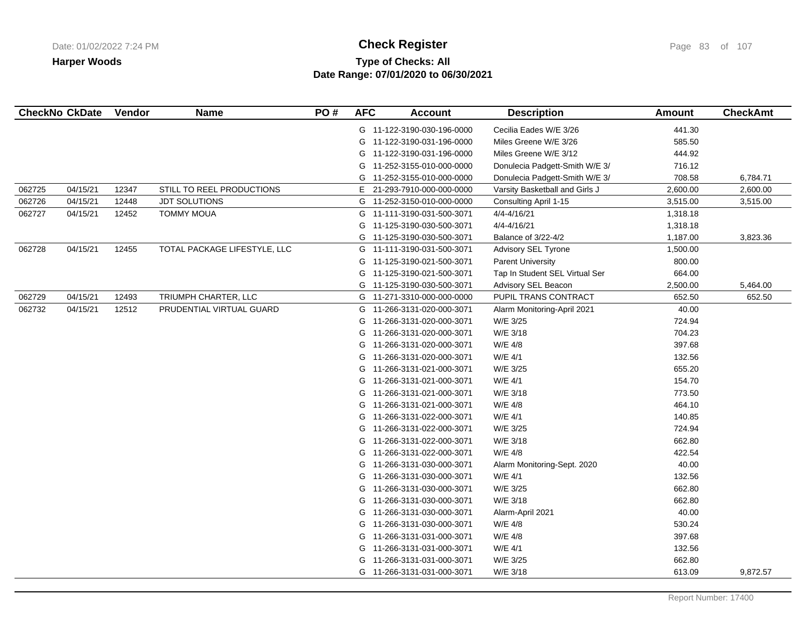# **Type of Checks: All Check Register Check Register Check Register Page 83 of 107 Date Range: 07/01/2020 to 06/30/2021**

|        | <b>CheckNo CkDate</b> | Vendor | <b>Name</b>                  | PO# | <b>AFC</b> | <b>Account</b>             | <b>Description</b>             | <b>Amount</b> | <b>CheckAmt</b> |
|--------|-----------------------|--------|------------------------------|-----|------------|----------------------------|--------------------------------|---------------|-----------------|
|        |                       |        |                              |     |            | G 11-122-3190-030-196-0000 | Cecilia Eades W/E 3/26         | 441.30        |                 |
|        |                       |        |                              |     |            | G 11-122-3190-031-196-0000 | Miles Greene W/E 3/26          | 585.50        |                 |
|        |                       |        |                              |     | G          | 11-122-3190-031-196-0000   | Miles Greene W/E 3/12          | 444.92        |                 |
|        |                       |        |                              |     | G          | 11-252-3155-010-000-0000   | Donulecia Padgett-Smith W/E 3/ | 716.12        |                 |
|        |                       |        |                              |     | G          | 11-252-3155-010-000-0000   | Donulecia Padgett-Smith W/E 3/ | 708.58        | 6,784.71        |
| 062725 | 04/15/21              | 12347  | STILL TO REEL PRODUCTIONS    |     | Е.         | 21-293-7910-000-000-0000   | Varsity Basketball and Girls J | 2,600.00      | 2,600.00        |
| 062726 | 04/15/21              | 12448  | <b>JDT SOLUTIONS</b>         |     |            | G 11-252-3150-010-000-0000 | Consulting April 1-15          | 3,515.00      | 3,515.00        |
| 062727 | 04/15/21              | 12452  | <b>TOMMY MOUA</b>            |     | G          | 11-111-3190-031-500-3071   | 4/4-4/16/21                    | 1,318.18      |                 |
|        |                       |        |                              |     | G          | 11-125-3190-030-500-3071   | 4/4-4/16/21                    | 1,318.18      |                 |
|        |                       |        |                              |     | G          | 11-125-3190-030-500-3071   | Balance of 3/22-4/2            | 1,187.00      | 3,823.36        |
| 062728 | 04/15/21              | 12455  | TOTAL PACKAGE LIFESTYLE, LLC |     | G          | 11-111-3190-031-500-3071   | Advisory SEL Tyrone            | 1,500.00      |                 |
|        |                       |        |                              |     | G          | 11-125-3190-021-500-3071   | <b>Parent University</b>       | 800.00        |                 |
|        |                       |        |                              |     | G          | 11-125-3190-021-500-3071   | Tap In Student SEL Virtual Ser | 664.00        |                 |
|        |                       |        |                              |     | G          | 11-125-3190-030-500-3071   | Advisory SEL Beacon            | 2,500.00      | 5,464.00        |
| 062729 | 04/15/21              | 12493  | TRIUMPH CHARTER, LLC         |     |            | G 11-271-3310-000-000-0000 | PUPIL TRANS CONTRACT           | 652.50        | 652.50          |
| 062732 | 04/15/21              | 12512  | PRUDENTIAL VIRTUAL GUARD     |     | G          | 11-266-3131-020-000-3071   | Alarm Monitoring-April 2021    | 40.00         |                 |
|        |                       |        |                              |     | G          | 11-266-3131-020-000-3071   | W/E 3/25                       | 724.94        |                 |
|        |                       |        |                              |     | G          | 11-266-3131-020-000-3071   | W/E 3/18                       | 704.23        |                 |
|        |                       |        |                              |     | G          | 11-266-3131-020-000-3071   | W/E 4/8                        | 397.68        |                 |
|        |                       |        |                              |     | G          | 11-266-3131-020-000-3071   | W/E 4/1                        | 132.56        |                 |
|        |                       |        |                              |     | G          | 11-266-3131-021-000-3071   | W/E 3/25                       | 655.20        |                 |
|        |                       |        |                              |     | G          | 11-266-3131-021-000-3071   | W/E 4/1                        | 154.70        |                 |
|        |                       |        |                              |     | G          | 11-266-3131-021-000-3071   | W/E 3/18                       | 773.50        |                 |
|        |                       |        |                              |     | G          | 11-266-3131-021-000-3071   | W/E 4/8                        | 464.10        |                 |
|        |                       |        |                              |     | G          | 11-266-3131-022-000-3071   | W/E 4/1                        | 140.85        |                 |
|        |                       |        |                              |     | G          | 11-266-3131-022-000-3071   | W/E 3/25                       | 724.94        |                 |
|        |                       |        |                              |     | G          | 11-266-3131-022-000-3071   | W/E 3/18                       | 662.80        |                 |
|        |                       |        |                              |     | G          | 11-266-3131-022-000-3071   | W/E 4/8                        | 422.54        |                 |
|        |                       |        |                              |     | G          | 11-266-3131-030-000-3071   | Alarm Monitoring-Sept. 2020    | 40.00         |                 |
|        |                       |        |                              |     | G          | 11-266-3131-030-000-3071   | W/E 4/1                        | 132.56        |                 |
|        |                       |        |                              |     | G          | 11-266-3131-030-000-3071   | W/E 3/25                       | 662.80        |                 |
|        |                       |        |                              |     | G          | 11-266-3131-030-000-3071   | W/E 3/18                       | 662.80        |                 |
|        |                       |        |                              |     | G          | 11-266-3131-030-000-3071   | Alarm-April 2021               | 40.00         |                 |
|        |                       |        |                              |     | G          | 11-266-3131-030-000-3071   | W/E 4/8                        | 530.24        |                 |
|        |                       |        |                              |     | G          | 11-266-3131-031-000-3071   | W/E 4/8                        | 397.68        |                 |
|        |                       |        |                              |     | G          | 11-266-3131-031-000-3071   | W/E 4/1                        | 132.56        |                 |
|        |                       |        |                              |     | G          | 11-266-3131-031-000-3071   | W/E 3/25                       | 662.80        |                 |
|        |                       |        |                              |     |            | G 11-266-3131-031-000-3071 | W/E 3/18                       | 613.09        | 9,872.57        |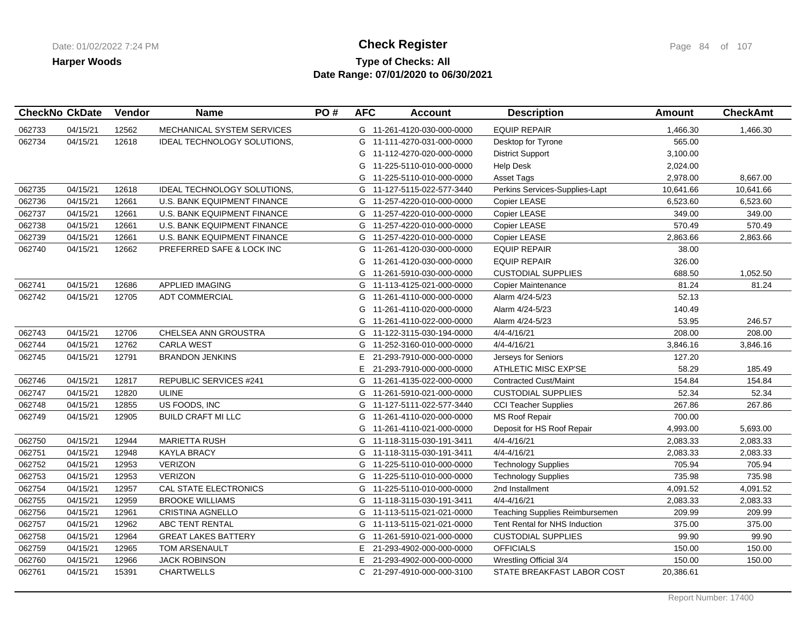## **Type of Checks: All Check Register Check Register Check Register Page 84 of 107 Date Range: 07/01/2020 to 06/30/2021**

| <b>CheckNo CkDate</b> |          | Vendor | <b>Name</b>                        | PO# | <b>AFC</b> | <b>Account</b>             | <b>Description</b>             | Amount    | <b>CheckAmt</b> |
|-----------------------|----------|--------|------------------------------------|-----|------------|----------------------------|--------------------------------|-----------|-----------------|
| 062733                | 04/15/21 | 12562  | MECHANICAL SYSTEM SERVICES         |     |            | G 11-261-4120-030-000-0000 | <b>EQUIP REPAIR</b>            | 1,466.30  | 1,466.30        |
| 062734                | 04/15/21 | 12618  | IDEAL TECHNOLOGY SOLUTIONS,        |     |            | G 11-111-4270-031-000-0000 | Desktop for Tyrone             | 565.00    |                 |
|                       |          |        |                                    |     | G          | 11-112-4270-020-000-0000   | <b>District Support</b>        | 3,100.00  |                 |
|                       |          |        |                                    |     | G          | 11-225-5110-010-000-0000   | <b>Help Desk</b>               | 2,024.00  |                 |
|                       |          |        |                                    |     | G          | 11-225-5110-010-000-0000   | Asset Tags                     | 2,978.00  | 8,667.00        |
| 062735                | 04/15/21 | 12618  | IDEAL TECHNOLOGY SOLUTIONS,        |     |            | G 11-127-5115-022-577-3440 | Perkins Services-Supplies-Lapt | 10,641.66 | 10,641.66       |
| 062736                | 04/15/21 | 12661  | <b>U.S. BANK EQUIPMENT FINANCE</b> |     |            | G 11-257-4220-010-000-0000 | Copier LEASE                   | 6,523.60  | 6,523.60        |
| 062737                | 04/15/21 | 12661  | <b>U.S. BANK EQUIPMENT FINANCE</b> |     |            | G 11-257-4220-010-000-0000 | Copier LEASE                   | 349.00    | 349.00          |
| 062738                | 04/15/21 | 12661  | U.S. BANK EQUIPMENT FINANCE        |     |            | G 11-257-4220-010-000-0000 | Copier LEASE                   | 570.49    | 570.49          |
| 062739                | 04/15/21 | 12661  | U.S. BANK EQUIPMENT FINANCE        |     |            | G 11-257-4220-010-000-0000 | Copier LEASE                   | 2,863.66  | 2,863.66        |
| 062740                | 04/15/21 | 12662  | PREFERRED SAFE & LOCK INC          |     |            | G 11-261-4120-030-000-0000 | <b>EQUIP REPAIR</b>            | 38.00     |                 |
|                       |          |        |                                    |     | G          | 11-261-4120-030-000-0000   | <b>EQUIP REPAIR</b>            | 326.00    |                 |
|                       |          |        |                                    |     |            | G 11-261-5910-030-000-0000 | <b>CUSTODIAL SUPPLIES</b>      | 688.50    | 1,052.50        |
| 062741                | 04/15/21 | 12686  | <b>APPLIED IMAGING</b>             |     | G          | 11-113-4125-021-000-0000   | <b>Copier Maintenance</b>      | 81.24     | 81.24           |
| 062742                | 04/15/21 | 12705  | <b>ADT COMMERCIAL</b>              |     |            | G 11-261-4110-000-000-0000 | Alarm 4/24-5/23                | 52.13     |                 |
|                       |          |        |                                    |     | G          | 11-261-4110-020-000-0000   | Alarm 4/24-5/23                | 140.49    |                 |
|                       |          |        |                                    |     |            | G 11-261-4110-022-000-0000 | Alarm 4/24-5/23                | 53.95     | 246.57          |
| 062743                | 04/15/21 | 12706  | CHELSEA ANN GROUSTRA               |     |            | G 11-122-3115-030-194-0000 | 4/4-4/16/21                    | 208.00    | 208.00          |
| 062744                | 04/15/21 | 12762  | <b>CARLA WEST</b>                  |     |            | G 11-252-3160-010-000-0000 | $4/4 - 4/16/21$                | 3,846.16  | 3,846.16        |
| 062745                | 04/15/21 | 12791  | <b>BRANDON JENKINS</b>             |     | E.         | 21-293-7910-000-000-0000   | Jerseys for Seniors            | 127.20    |                 |
|                       |          |        |                                    |     | E          | 21-293-7910-000-000-0000   | ATHLETIC MISC EXP'SE           | 58.29     | 185.49          |
| 062746                | 04/15/21 | 12817  | <b>REPUBLIC SERVICES #241</b>      |     |            | G 11-261-4135-022-000-0000 | <b>Contracted Cust/Maint</b>   | 154.84    | 154.84          |
| 062747                | 04/15/21 | 12820  | <b>ULINE</b>                       |     |            | G 11-261-5910-021-000-0000 | <b>CUSTODIAL SUPPLIES</b>      | 52.34     | 52.34           |
| 062748                | 04/15/21 | 12855  | US FOODS, INC                      |     |            | G 11-127-5111-022-577-3440 | <b>CCI Teacher Supplies</b>    | 267.86    | 267.86          |
| 062749                | 04/15/21 | 12905  | <b>BUILD CRAFT MI LLC</b>          |     | G          | 11-261-4110-020-000-0000   | <b>MS Roof Repair</b>          | 700.00    |                 |
|                       |          |        |                                    |     |            | G 11-261-4110-021-000-0000 | Deposit for HS Roof Repair     | 4,993.00  | 5,693.00        |
| 062750                | 04/15/21 | 12944  | <b>MARIETTA RUSH</b>               |     | G          | 11-118-3115-030-191-3411   | 4/4-4/16/21                    | 2,083.33  | 2,083.33        |
| 062751                | 04/15/21 | 12948  | <b>KAYLA BRACY</b>                 |     |            | G 11-118-3115-030-191-3411 | $4/4 - 4/16/21$                | 2,083.33  | 2,083.33        |
| 062752                | 04/15/21 | 12953  | <b>VERIZON</b>                     |     |            | G 11-225-5110-010-000-0000 | <b>Technology Supplies</b>     | 705.94    | 705.94          |
| 062753                | 04/15/21 | 12953  | <b>VERIZON</b>                     |     |            | G 11-225-5110-010-000-0000 | <b>Technology Supplies</b>     | 735.98    | 735.98          |
| 062754                | 04/15/21 | 12957  | CAL STATE ELECTRONICS              |     |            | G 11-225-5110-010-000-0000 | 2nd Installment                | 4,091.52  | 4,091.52        |
| 062755                | 04/15/21 | 12959  | <b>BROOKE WILLIAMS</b>             |     |            | G 11-118-3115-030-191-3411 | $4/4 - 4/16/21$                | 2,083.33  | 2,083.33        |
| 062756                | 04/15/21 | 12961  | CRISTINA AGNELLO                   |     |            | G 11-113-5115-021-021-0000 | Teaching Supplies Reimbursemen | 209.99    | 209.99          |
| 062757                | 04/15/21 | 12962  | ABC TENT RENTAL                    |     |            | G 11-113-5115-021-021-0000 | Tent Rental for NHS Induction  | 375.00    | 375.00          |
| 062758                | 04/15/21 | 12964  | <b>GREAT LAKES BATTERY</b>         |     |            | G 11-261-5910-021-000-0000 | <b>CUSTODIAL SUPPLIES</b>      | 99.90     | 99.90           |
| 062759                | 04/15/21 | 12965  | <b>TOM ARSENAULT</b>               |     | E.         | 21-293-4902-000-000-0000   | <b>OFFICIALS</b>               | 150.00    | 150.00          |
| 062760                | 04/15/21 | 12966  | <b>JACK ROBINSON</b>               |     |            | E 21-293-4902-000-000-0000 | Wrestling Official 3/4         | 150.00    | 150.00          |
| 062761                | 04/15/21 | 15391  | <b>CHARTWELLS</b>                  |     |            | C 21-297-4910-000-000-3100 | STATE BREAKFAST LABOR COST     | 20,386.61 |                 |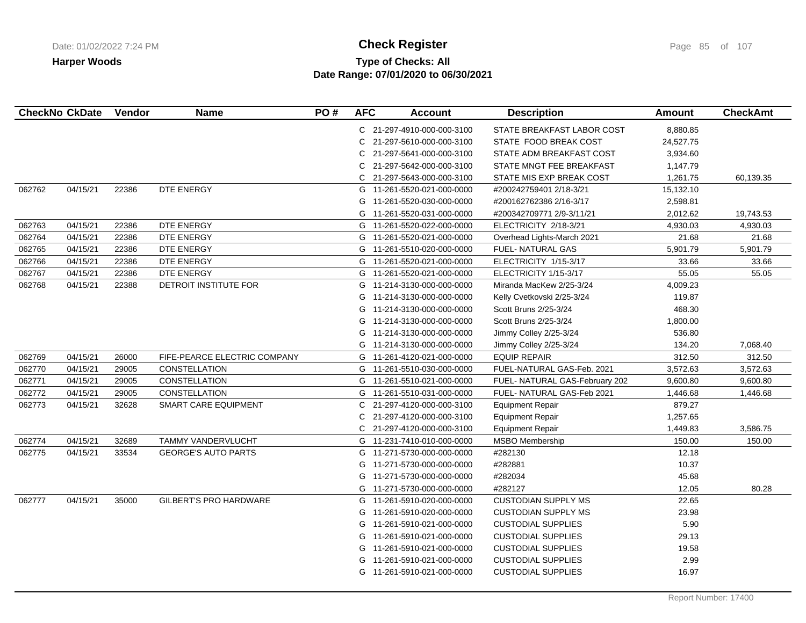## **Type of Checks: All Check Register Check Register Check Register Page 85 of 107 Date Range: 07/01/2020 to 06/30/2021**

|        | <b>CheckNo CkDate</b> | Vendor | Name                          | PO# | <b>AFC</b> | <b>Account</b>             | <b>Description</b>             | <b>Amount</b> | <b>CheckAmt</b> |
|--------|-----------------------|--------|-------------------------------|-----|------------|----------------------------|--------------------------------|---------------|-----------------|
|        |                       |        |                               |     |            | C 21-297-4910-000-000-3100 | STATE BREAKFAST LABOR COST     | 8,880.85      |                 |
|        |                       |        |                               |     | C.         | 21-297-5610-000-000-3100   | STATE FOOD BREAK COST          | 24,527.75     |                 |
|        |                       |        |                               |     | С          | 21-297-5641-000-000-3100   | STATE ADM BREAKFAST COST       | 3,934.60      |                 |
|        |                       |        |                               |     | C          | 21-297-5642-000-000-3100   | STATE MNGT FEE BREAKFAST       | 1,147.79      |                 |
|        |                       |        |                               |     |            | C 21-297-5643-000-000-3100 | STATE MIS EXP BREAK COST       | 1,261.75      | 60,139.35       |
| 062762 | 04/15/21              | 22386  | DTE ENERGY                    |     | G          | 11-261-5520-021-000-0000   | #200242759401 2/18-3/21        | 15,132.10     |                 |
|        |                       |        |                               |     | G          | 11-261-5520-030-000-0000   | #200162762386 2/16-3/17        | 2,598.81      |                 |
|        |                       |        |                               |     | G          | 11-261-5520-031-000-0000   | #200342709771 2/9-3/11/21      | 2,012.62      | 19,743.53       |
| 062763 | 04/15/21              | 22386  | DTE ENERGY                    |     | G          | 11-261-5520-022-000-0000   | ELECTRICITY 2/18-3/21          | 4,930.03      | 4,930.03        |
| 062764 | 04/15/21              | 22386  | DTE ENERGY                    |     |            | G 11-261-5520-021-000-0000 | Overhead Lights-March 2021     | 21.68         | 21.68           |
| 062765 | 04/15/21              | 22386  | DTE ENERGY                    |     |            | G 11-261-5510-020-000-0000 | <b>FUEL- NATURAL GAS</b>       | 5,901.79      | 5,901.79        |
| 062766 | 04/15/21              | 22386  | DTE ENERGY                    |     | G          | 11-261-5520-021-000-0000   | ELECTRICITY 1/15-3/17          | 33.66         | 33.66           |
| 062767 | 04/15/21              | 22386  | DTE ENERGY                    |     |            | G 11-261-5520-021-000-0000 | ELECTRICITY 1/15-3/17          | 55.05         | 55.05           |
| 062768 | 04/15/21              | 22388  | DETROIT INSTITUTE FOR         |     | G          | 11-214-3130-000-000-0000   | Miranda MacKew 2/25-3/24       | 4,009.23      |                 |
|        |                       |        |                               |     | G          | 11-214-3130-000-000-0000   | Kelly Cvetkovski 2/25-3/24     | 119.87        |                 |
|        |                       |        |                               |     | G          | 11-214-3130-000-000-0000   | Scott Bruns 2/25-3/24          | 468.30        |                 |
|        |                       |        |                               |     | G          | 11-214-3130-000-000-0000   | Scott Bruns 2/25-3/24          | 1,800.00      |                 |
|        |                       |        |                               |     | G          | 11-214-3130-000-000-0000   | Jimmy Colley 2/25-3/24         | 536.80        |                 |
|        |                       |        |                               |     |            | G 11-214-3130-000-000-0000 | Jimmy Colley 2/25-3/24         | 134.20        | 7,068.40        |
| 062769 | 04/15/21              | 26000  | FIFE-PEARCE ELECTRIC COMPANY  |     | G          | 11-261-4120-021-000-0000   | <b>EQUIP REPAIR</b>            | 312.50        | 312.50          |
| 062770 | 04/15/21              | 29005  | <b>CONSTELLATION</b>          |     |            | G 11-261-5510-030-000-0000 | FUEL-NATURAL GAS-Feb. 2021     | 3,572.63      | 3,572.63        |
| 062771 | 04/15/21              | 29005  | CONSTELLATION                 |     | G          | 11-261-5510-021-000-0000   | FUEL- NATURAL GAS-February 202 | 9,600.80      | 9,600.80        |
| 062772 | 04/15/21              | 29005  | <b>CONSTELLATION</b>          |     | G          | 11-261-5510-031-000-0000   | FUEL- NATURAL GAS-Feb 2021     | 1,446.68      | 1,446.68        |
| 062773 | 04/15/21              | 32628  | SMART CARE EQUIPMENT          |     | C.         | 21-297-4120-000-000-3100   | <b>Equipment Repair</b>        | 879.27        |                 |
|        |                       |        |                               |     | C          | 21-297-4120-000-000-3100   | <b>Equipment Repair</b>        | 1,257.65      |                 |
|        |                       |        |                               |     | C.         | 21-297-4120-000-000-3100   | <b>Equipment Repair</b>        | 1,449.83      | 3,586.75        |
| 062774 | 04/15/21              | 32689  | <b>TAMMY VANDERVLUCHT</b>     |     |            | G 11-231-7410-010-000-0000 | MSBO Membership                | 150.00        | 150.00          |
| 062775 | 04/15/21              | 33534  | <b>GEORGE'S AUTO PARTS</b>    |     | G          | 11-271-5730-000-000-0000   | #282130                        | 12.18         |                 |
|        |                       |        |                               |     | G          | 11-271-5730-000-000-0000   | #282881                        | 10.37         |                 |
|        |                       |        |                               |     | G          | 11-271-5730-000-000-0000   | #282034                        | 45.68         |                 |
|        |                       |        |                               |     | G          | 11-271-5730-000-000-0000   | #282127                        | 12.05         | 80.28           |
| 062777 | 04/15/21              | 35000  | <b>GILBERT'S PRO HARDWARE</b> |     | G          | 11-261-5910-020-000-0000   | <b>CUSTODIAN SUPPLY MS</b>     | 22.65         |                 |
|        |                       |        |                               |     | G          | 11-261-5910-020-000-0000   | <b>CUSTODIAN SUPPLY MS</b>     | 23.98         |                 |
|        |                       |        |                               |     | G          | 11-261-5910-021-000-0000   | <b>CUSTODIAL SUPPLIES</b>      | 5.90          |                 |
|        |                       |        |                               |     | G          | 11-261-5910-021-000-0000   | <b>CUSTODIAL SUPPLIES</b>      | 29.13         |                 |
|        |                       |        |                               |     | G          | 11-261-5910-021-000-0000   | <b>CUSTODIAL SUPPLIES</b>      | 19.58         |                 |
|        |                       |        |                               |     | G          | 11-261-5910-021-000-0000   | <b>CUSTODIAL SUPPLIES</b>      | 2.99          |                 |
|        |                       |        |                               |     |            | G 11-261-5910-021-000-0000 | <b>CUSTODIAL SUPPLIES</b>      | 16.97         |                 |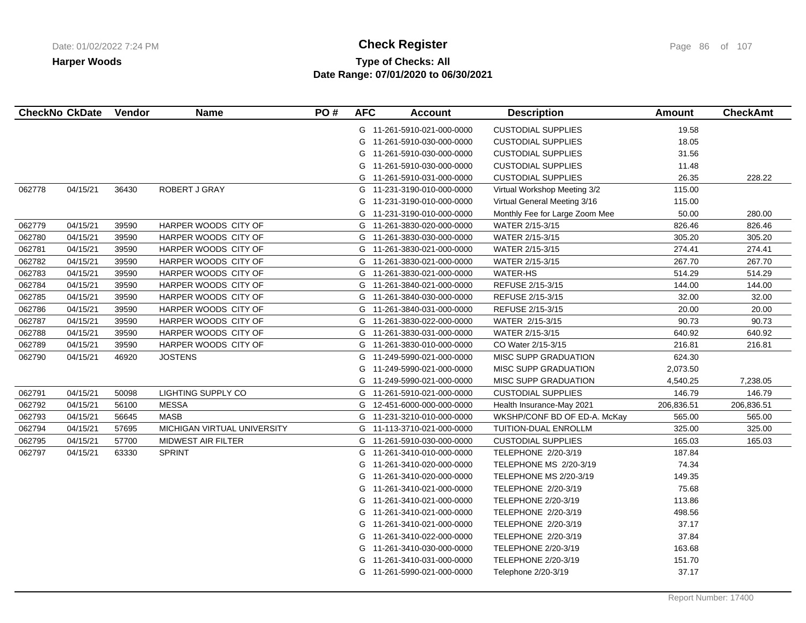# **Type of Checks: All Check Register Check Register Check Register Page 86 of 107 Date Range: 07/01/2020 to 06/30/2021**

|        | <b>CheckNo CkDate</b> | Vendor | <b>Name</b>                 | PO# | <b>AFC</b> | <b>Account</b>             | <b>Description</b>             | <b>Amount</b> | <b>CheckAmt</b> |
|--------|-----------------------|--------|-----------------------------|-----|------------|----------------------------|--------------------------------|---------------|-----------------|
|        |                       |        |                             |     |            | G 11-261-5910-021-000-0000 | <b>CUSTODIAL SUPPLIES</b>      | 19.58         |                 |
|        |                       |        |                             |     |            | G 11-261-5910-030-000-0000 | <b>CUSTODIAL SUPPLIES</b>      | 18.05         |                 |
|        |                       |        |                             |     | G          | 11-261-5910-030-000-0000   | <b>CUSTODIAL SUPPLIES</b>      | 31.56         |                 |
|        |                       |        |                             |     | G          | 11-261-5910-030-000-0000   | <b>CUSTODIAL SUPPLIES</b>      | 11.48         |                 |
|        |                       |        |                             |     |            | G 11-261-5910-031-000-0000 | <b>CUSTODIAL SUPPLIES</b>      | 26.35         | 228.22          |
| 062778 | 04/15/21              | 36430  | ROBERT J GRAY               |     |            | G 11-231-3190-010-000-0000 | Virtual Workshop Meeting 3/2   | 115.00        |                 |
|        |                       |        |                             |     |            | G 11-231-3190-010-000-0000 | Virtual General Meeting 3/16   | 115.00        |                 |
|        |                       |        |                             |     | G          | 11-231-3190-010-000-0000   | Monthly Fee for Large Zoom Mee | 50.00         | 280.00          |
| 062779 | 04/15/21              | 39590  | HARPER WOODS CITY OF        |     |            | G 11-261-3830-020-000-0000 | WATER 2/15-3/15                | 826.46        | 826.46          |
| 062780 | 04/15/21              | 39590  | HARPER WOODS CITY OF        |     |            | G 11-261-3830-030-000-0000 | WATER 2/15-3/15                | 305.20        | 305.20          |
| 062781 | 04/15/21              | 39590  | HARPER WOODS CITY OF        |     |            | G 11-261-3830-021-000-0000 | WATER 2/15-3/15                | 274.41        | 274.41          |
| 062782 | 04/15/21              | 39590  | HARPER WOODS CITY OF        |     | G          | 11-261-3830-021-000-0000   | WATER 2/15-3/15                | 267.70        | 267.70          |
| 062783 | 04/15/21              | 39590  | HARPER WOODS CITY OF        |     | G          | 11-261-3830-021-000-0000   | <b>WATER-HS</b>                | 514.29        | 514.29          |
| 062784 | 04/15/21              | 39590  | HARPER WOODS CITY OF        |     | G          | 11-261-3840-021-000-0000   | REFUSE 2/15-3/15               | 144.00        | 144.00          |
| 062785 | 04/15/21              | 39590  | HARPER WOODS CITY OF        |     | G          | 11-261-3840-030-000-0000   | REFUSE 2/15-3/15               | 32.00         | 32.00           |
| 062786 | 04/15/21              | 39590  | HARPER WOODS CITY OF        |     | G          | 11-261-3840-031-000-0000   | REFUSE 2/15-3/15               | 20.00         | 20.00           |
| 062787 | 04/15/21              | 39590  | HARPER WOODS CITY OF        |     |            | G 11-261-3830-022-000-0000 | WATER 2/15-3/15                | 90.73         | 90.73           |
| 062788 | 04/15/21              | 39590  | HARPER WOODS CITY OF        |     |            | G 11-261-3830-031-000-0000 | WATER 2/15-3/15                | 640.92        | 640.92          |
| 062789 | 04/15/21              | 39590  | HARPER WOODS CITY OF        |     |            | G 11-261-3830-010-000-0000 | CO Water 2/15-3/15             | 216.81        | 216.81          |
| 062790 | 04/15/21              | 46920  | <b>JOSTENS</b>              |     | G          | 11-249-5990-021-000-0000   | <b>MISC SUPP GRADUATION</b>    | 624.30        |                 |
|        |                       |        |                             |     | G          | 11-249-5990-021-000-0000   | <b>MISC SUPP GRADUATION</b>    | 2,073.50      |                 |
|        |                       |        |                             |     |            | G 11-249-5990-021-000-0000 | <b>MISC SUPP GRADUATION</b>    | 4,540.25      | 7,238.05        |
| 062791 | 04/15/21              | 50098  | LIGHTING SUPPLY CO          |     |            | G 11-261-5910-021-000-0000 | <b>CUSTODIAL SUPPLIES</b>      | 146.79        | 146.79          |
| 062792 | 04/15/21              | 56100  | <b>MESSA</b>                |     |            | G 12-451-6000-000-000-0000 | Health Insurance-May 2021      | 206,836.51    | 206,836.51      |
| 062793 | 04/15/21              | 56645  | <b>MASB</b>                 |     |            | G 11-231-3210-010-000-0000 | WKSHP/CONF BD OF ED-A. McKay   | 565.00        | 565.00          |
| 062794 | 04/15/21              | 57695  | MICHIGAN VIRTUAL UNIVERSITY |     |            | G 11-113-3710-021-000-0000 | TUITION-DUAL ENROLLM           | 325.00        | 325.00          |
| 062795 | 04/15/21              | 57700  | <b>MIDWEST AIR FILTER</b>   |     | G          | 11-261-5910-030-000-0000   | <b>CUSTODIAL SUPPLIES</b>      | 165.03        | 165.03          |
| 062797 | 04/15/21              | 63330  | <b>SPRINT</b>               |     | G          | 11-261-3410-010-000-0000   | TELEPHONE 2/20-3/19            | 187.84        |                 |
|        |                       |        |                             |     | G          | 11-261-3410-020-000-0000   | TELEPHONE MS 2/20-3/19         | 74.34         |                 |
|        |                       |        |                             |     | G          | 11-261-3410-020-000-0000   | TELEPHONE MS 2/20-3/19         | 149.35        |                 |
|        |                       |        |                             |     | G          | 11-261-3410-021-000-0000   | TELEPHONE 2/20-3/19            | 75.68         |                 |
|        |                       |        |                             |     | G          | 11-261-3410-021-000-0000   | TELEPHONE 2/20-3/19            | 113.86        |                 |
|        |                       |        |                             |     | G          | 11-261-3410-021-000-0000   | TELEPHONE 2/20-3/19            | 498.56        |                 |
|        |                       |        |                             |     |            | G 11-261-3410-021-000-0000 | TELEPHONE 2/20-3/19            | 37.17         |                 |
|        |                       |        |                             |     | G          | 11-261-3410-022-000-0000   | TELEPHONE 2/20-3/19            | 37.84         |                 |
|        |                       |        |                             |     | G          | 11-261-3410-030-000-0000   | TELEPHONE 2/20-3/19            | 163.68        |                 |
|        |                       |        |                             |     | G          | 11-261-3410-031-000-0000   | TELEPHONE 2/20-3/19            | 151.70        |                 |
|        |                       |        |                             |     |            | G 11-261-5990-021-000-0000 | Telephone 2/20-3/19            | 37.17         |                 |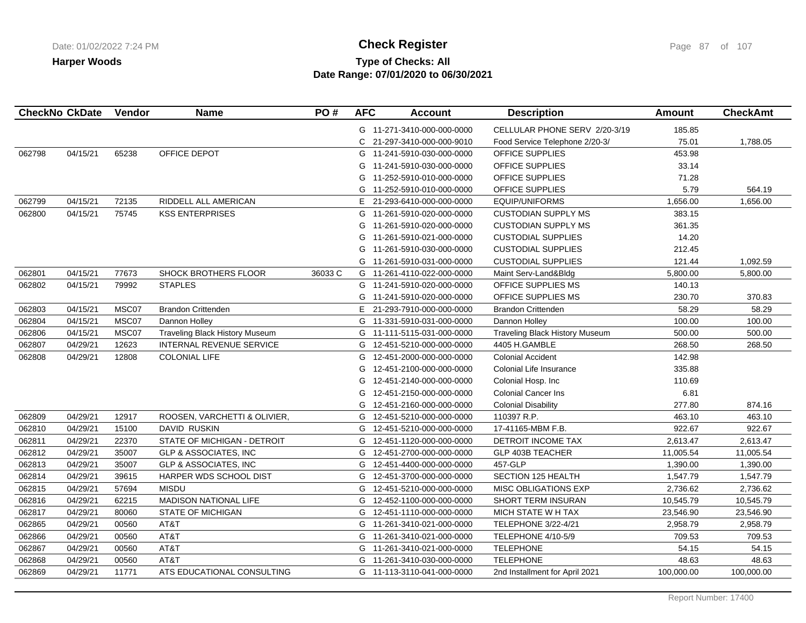## **Type of Checks: All Check Register Check Register Check Register Page 87** of 107 **Date Range: 07/01/2020 to 06/30/2021**

|        | <b>CheckNo CkDate</b> | Vendor | <b>Name</b>                           | PO#     | <b>AFC</b> | <b>Account</b>             | <b>Description</b>                    | <b>Amount</b> | <b>CheckAmt</b> |
|--------|-----------------------|--------|---------------------------------------|---------|------------|----------------------------|---------------------------------------|---------------|-----------------|
|        |                       |        |                                       |         |            | G 11-271-3410-000-000-0000 | CELLULAR PHONE SERV 2/20-3/19         | 185.85        |                 |
|        |                       |        |                                       |         | C.         | 21-297-3410-000-000-9010   | Food Service Telephone 2/20-3/        | 75.01         | 1,788.05        |
| 062798 | 04/15/21              | 65238  | OFFICE DEPOT                          |         | G          | 11-241-5910-030-000-0000   | <b>OFFICE SUPPLIES</b>                | 453.98        |                 |
|        |                       |        |                                       |         | G          | 11-241-5910-030-000-0000   | <b>OFFICE SUPPLIES</b>                | 33.14         |                 |
|        |                       |        |                                       |         | G          | 11-252-5910-010-000-0000   | OFFICE SUPPLIES                       | 71.28         |                 |
|        |                       |        |                                       |         | G          | 11-252-5910-010-000-0000   | OFFICE SUPPLIES                       | 5.79          | 564.19          |
| 062799 | 04/15/21              | 72135  | RIDDELL ALL AMERICAN                  |         | E.         | 21-293-6410-000-000-0000   | EQUIP/UNIFORMS                        | 1,656.00      | 1,656.00        |
| 062800 | 04/15/21              | 75745  | <b>KSS ENTERPRISES</b>                |         | G          | 11-261-5910-020-000-0000   | <b>CUSTODIAN SUPPLY MS</b>            | 383.15        |                 |
|        |                       |        |                                       |         | G          | 11-261-5910-020-000-0000   | <b>CUSTODIAN SUPPLY MS</b>            | 361.35        |                 |
|        |                       |        |                                       |         | G          | 11-261-5910-021-000-0000   | <b>CUSTODIAL SUPPLIES</b>             | 14.20         |                 |
|        |                       |        |                                       |         | G          | 11-261-5910-030-000-0000   | <b>CUSTODIAL SUPPLIES</b>             | 212.45        |                 |
|        |                       |        |                                       |         | G          | 11-261-5910-031-000-0000   | <b>CUSTODIAL SUPPLIES</b>             | 121.44        | 1,092.59        |
| 062801 | 04/15/21              | 77673  | <b>SHOCK BROTHERS FLOOR</b>           | 36033 C |            | G 11-261-4110-022-000-0000 | Maint Serv-Land&Bldg                  | 5,800.00      | 5,800.00        |
| 062802 | 04/15/21              | 79992  | <b>STAPLES</b>                        |         | G          | 11-241-5910-020-000-0000   | OFFICE SUPPLIES MS                    | 140.13        |                 |
|        |                       |        |                                       |         | G          | 11-241-5910-020-000-0000   | OFFICE SUPPLIES MS                    | 230.70        | 370.83          |
| 062803 | 04/15/21              | MSC07  | <b>Brandon Crittenden</b>             |         | E.         | 21-293-7910-000-000-0000   | <b>Brandon Crittenden</b>             | 58.29         | 58.29           |
| 062804 | 04/15/21              | MSC07  | Dannon Holley                         |         | G          | 11-331-5910-031-000-0000   | Dannon Holley                         | 100.00        | 100.00          |
| 062806 | 04/15/21              | MSC07  | <b>Traveling Black History Museum</b> |         | G          | 11-111-5115-031-000-0000   | <b>Traveling Black History Museum</b> | 500.00        | 500.00          |
| 062807 | 04/29/21              | 12623  | <b>INTERNAL REVENUE SERVICE</b>       |         | G          | 12-451-5210-000-000-0000   | 4405 H.GAMBLE                         | 268.50        | 268.50          |
| 062808 | 04/29/21              | 12808  | <b>COLONIAL LIFE</b>                  |         | G          | 12-451-2000-000-000-0000   | <b>Colonial Accident</b>              | 142.98        |                 |
|        |                       |        |                                       |         | G          | 12-451-2100-000-000-0000   | Colonial Life Insurance               | 335.88        |                 |
|        |                       |        |                                       |         | G          | 12-451-2140-000-000-0000   | Colonial Hosp. Inc                    | 110.69        |                 |
|        |                       |        |                                       |         | G          | 12-451-2150-000-000-0000   | <b>Colonial Cancer Ins</b>            | 6.81          |                 |
|        |                       |        |                                       |         | G          | 12-451-2160-000-000-0000   | <b>Colonial Disability</b>            | 277.80        | 874.16          |
| 062809 | 04/29/21              | 12917  | ROOSEN, VARCHETTI & OLIVIER,          |         | G          | 12-451-5210-000-000-0000   | 110397 R.P.                           | 463.10        | 463.10          |
| 062810 | 04/29/21              | 15100  | <b>DAVID RUSKIN</b>                   |         | G          | 12-451-5210-000-000-0000   | 17-41165-MBM F.B.                     | 922.67        | 922.67          |
| 062811 | 04/29/21              | 22370  | STATE OF MICHIGAN - DETROIT           |         | G          | 12-451-1120-000-000-0000   | <b>DETROIT INCOME TAX</b>             | 2,613.47      | 2,613.47        |
| 062812 | 04/29/21              | 35007  | GLP & ASSOCIATES, INC                 |         | G          | 12-451-2700-000-000-0000   | GLP 403B TEACHER                      | 11,005.54     | 11,005.54       |
| 062813 | 04/29/21              | 35007  | <b>GLP &amp; ASSOCIATES, INC</b>      |         | G          | 12-451-4400-000-000-0000   | 457-GLP                               | 1,390.00      | 1,390.00        |
| 062814 | 04/29/21              | 39615  | HARPER WDS SCHOOL DIST                |         | G          | 12-451-3700-000-000-0000   | SECTION 125 HEALTH                    | 1,547.79      | 1,547.79        |
| 062815 | 04/29/21              | 57694  | <b>MISDU</b>                          |         | G          | 12-451-5210-000-000-0000   | <b>MISC OBLIGATIONS EXP</b>           | 2,736.62      | 2,736.62        |
| 062816 | 04/29/21              | 62215  | <b>MADISON NATIONAL LIFE</b>          |         | G          | 12-452-1100-000-000-0000   | SHORT TERM INSURAN                    | 10,545.79     | 10,545.79       |
| 062817 | 04/29/21              | 80060  | <b>STATE OF MICHIGAN</b>              |         |            | G 12-451-1110-000-000-0000 | MICH STATE WH TAX                     | 23,546.90     | 23,546.90       |
| 062865 | 04/29/21              | 00560  | AT&T                                  |         | G          | 11-261-3410-021-000-0000   | <b>TELEPHONE 3/22-4/21</b>            | 2,958.79      | 2,958.79        |
| 062866 | 04/29/21              | 00560  | AT&T                                  |         | G          | 11-261-3410-021-000-0000   | TELEPHONE 4/10-5/9                    | 709.53        | 709.53          |
| 062867 | 04/29/21              | 00560  | AT&T                                  |         |            | G 11-261-3410-021-000-0000 | <b>TELEPHONE</b>                      | 54.15         | 54.15           |
| 062868 | 04/29/21              | 00560  | AT&T                                  |         |            | G 11-261-3410-030-000-0000 | <b>TELEPHONE</b>                      | 48.63         | 48.63           |
| 062869 | 04/29/21              | 11771  | ATS EDUCATIONAL CONSULTING            |         |            | G 11-113-3110-041-000-0000 | 2nd Installment for April 2021        | 100,000.00    | 100,000.00      |
|        |                       |        |                                       |         |            |                            |                                       |               |                 |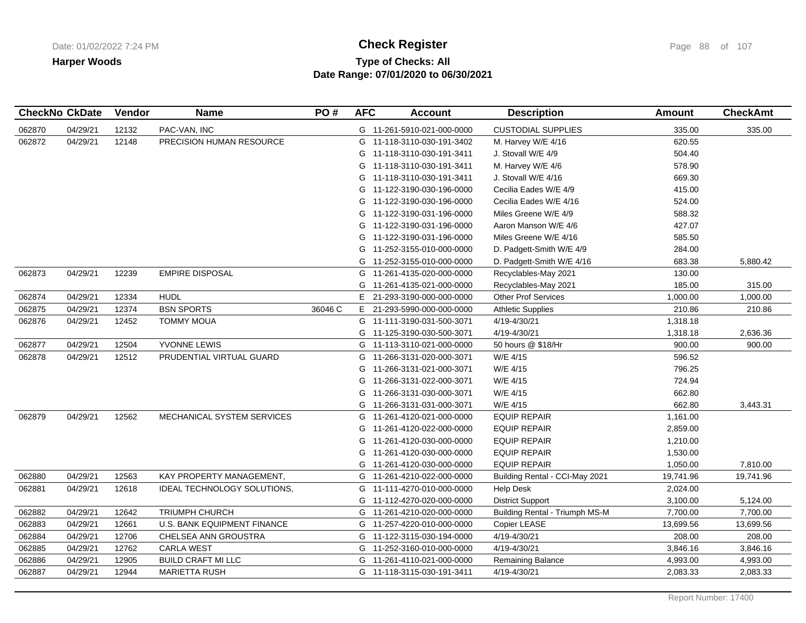## **Type of Checks: All Check Register Check Register Check Register Page 88 of 107 Date Range: 07/01/2020 to 06/30/2021**

|        | <b>CheckNo CkDate</b> | Vendor | Name                               | PO#     | <b>AFC</b> | <b>Account</b>             | <b>Description</b>             | <b>Amount</b> | <b>CheckAmt</b> |
|--------|-----------------------|--------|------------------------------------|---------|------------|----------------------------|--------------------------------|---------------|-----------------|
| 062870 | 04/29/21              | 12132  | PAC-VAN, INC                       |         |            | G 11-261-5910-021-000-0000 | <b>CUSTODIAL SUPPLIES</b>      | 335.00        | 335.00          |
| 062872 | 04/29/21              | 12148  | PRECISION HUMAN RESOURCE           |         |            | G 11-118-3110-030-191-3402 | M. Harvey W/E 4/16             | 620.55        |                 |
|        |                       |        |                                    |         |            | G 11-118-3110-030-191-3411 | J. Stovall W/E 4/9             | 504.40        |                 |
|        |                       |        |                                    |         |            | G 11-118-3110-030-191-3411 | M. Harvey W/E 4/6              | 578.90        |                 |
|        |                       |        |                                    |         |            | G 11-118-3110-030-191-3411 | J. Stovall W/E 4/16            | 669.30        |                 |
|        |                       |        |                                    |         |            | G 11-122-3190-030-196-0000 | Cecilia Eades W/E 4/9          | 415.00        |                 |
|        |                       |        |                                    |         |            | G 11-122-3190-030-196-0000 | Cecilia Eades W/E 4/16         | 524.00        |                 |
|        |                       |        |                                    |         |            | G 11-122-3190-031-196-0000 | Miles Greene W/E 4/9           | 588.32        |                 |
|        |                       |        |                                    |         | G          | 11-122-3190-031-196-0000   | Aaron Manson W/E 4/6           | 427.07        |                 |
|        |                       |        |                                    |         |            | G 11-122-3190-031-196-0000 | Miles Greene W/E 4/16          | 585.50        |                 |
|        |                       |        |                                    |         |            | G 11-252-3155-010-000-0000 | D. Padgett-Smith W/E 4/9       | 284.00        |                 |
|        |                       |        |                                    |         | G          | 11-252-3155-010-000-0000   | D. Padgett-Smith W/E 4/16      | 683.38        | 5,880.42        |
| 062873 | 04/29/21              | 12239  | <b>EMPIRE DISPOSAL</b>             |         |            | G 11-261-4135-020-000-0000 | Recyclables-May 2021           | 130.00        |                 |
|        |                       |        |                                    |         | G          | 11-261-4135-021-000-0000   | Recyclables-May 2021           | 185.00        | 315.00          |
| 062874 | 04/29/21              | 12334  | <b>HUDL</b>                        |         | E.         | 21-293-3190-000-000-0000   | <b>Other Prof Services</b>     | 1,000.00      | 1,000.00        |
| 062875 | 04/29/21              | 12374  | <b>BSN SPORTS</b>                  | 36046 C | Е.         | 21-293-5990-000-000-0000   | <b>Athletic Supplies</b>       | 210.86        | 210.86          |
| 062876 | 04/29/21              | 12452  | <b>TOMMY MOUA</b>                  |         |            | G 11-111-3190-031-500-3071 | 4/19-4/30/21                   | 1,318.18      |                 |
|        |                       |        |                                    |         |            | G 11-125-3190-030-500-3071 | 4/19-4/30/21                   | 1,318.18      | 2,636.36        |
| 062877 | 04/29/21              | 12504  | YVONNE LEWIS                       |         |            | G 11-113-3110-021-000-0000 | 50 hours @ \$18/Hr             | 900.00        | 900.00          |
| 062878 | 04/29/21              | 12512  | PRUDENTIAL VIRTUAL GUARD           |         |            | G 11-266-3131-020-000-3071 | W/E 4/15                       | 596.52        |                 |
|        |                       |        |                                    |         |            | G 11-266-3131-021-000-3071 | W/E 4/15                       | 796.25        |                 |
|        |                       |        |                                    |         | G          | 11-266-3131-022-000-3071   | W/E 4/15                       | 724.94        |                 |
|        |                       |        |                                    |         | G          | 11-266-3131-030-000-3071   | W/E 4/15                       | 662.80        |                 |
|        |                       |        |                                    |         | G          | 11-266-3131-031-000-3071   | W/E 4/15                       | 662.80        | 3,443.31        |
| 062879 | 04/29/21              | 12562  | MECHANICAL SYSTEM SERVICES         |         | G          | 11-261-4120-021-000-0000   | <b>EQUIP REPAIR</b>            | 1,161.00      |                 |
|        |                       |        |                                    |         | G          | 11-261-4120-022-000-0000   | <b>EQUIP REPAIR</b>            | 2,859.00      |                 |
|        |                       |        |                                    |         | G          | 11-261-4120-030-000-0000   | <b>EQUIP REPAIR</b>            | 1,210.00      |                 |
|        |                       |        |                                    |         | G          | 11-261-4120-030-000-0000   | <b>EQUIP REPAIR</b>            | 1,530.00      |                 |
|        |                       |        |                                    |         | G          | 11-261-4120-030-000-0000   | <b>EQUIP REPAIR</b>            | 1,050.00      | 7,810.00        |
| 062880 | 04/29/21              | 12563  | KAY PROPERTY MANAGEMENT,           |         |            | G 11-261-4210-022-000-0000 | Building Rental - CCI-May 2021 | 19,741.96     | 19,741.96       |
| 062881 | 04/29/21              | 12618  | <b>IDEAL TECHNOLOGY SOLUTIONS,</b> |         |            | G 11-111-4270-010-000-0000 | <b>Help Desk</b>               | 2,024.00      |                 |
|        |                       |        |                                    |         |            | G 11-112-4270-020-000-0000 | <b>District Support</b>        | 3,100.00      | 5,124.00        |
| 062882 | 04/29/21              | 12642  | TRIUMPH CHURCH                     |         | G          | 11-261-4210-020-000-0000   | Building Rental - Triumph MS-M | 7,700.00      | 7,700.00        |
| 062883 | 04/29/21              | 12661  | U.S. BANK EQUIPMENT FINANCE        |         |            | G 11-257-4220-010-000-0000 | Copier LEASE                   | 13,699.56     | 13,699.56       |
| 062884 | 04/29/21              | 12706  | CHELSEA ANN GROUSTRA               |         |            | G 11-122-3115-030-194-0000 | 4/19-4/30/21                   | 208.00        | 208.00          |
| 062885 | 04/29/21              | 12762  | <b>CARLA WEST</b>                  |         |            | G 11-252-3160-010-000-0000 | 4/19-4/30/21                   | 3,846.16      | 3,846.16        |
| 062886 | 04/29/21              | 12905  | <b>BUILD CRAFT MI LLC</b>          |         | G          | 11-261-4110-021-000-0000   | Remaining Balance              | 4,993.00      | 4,993.00        |
| 062887 | 04/29/21              | 12944  | <b>MARIETTA RUSH</b>               |         |            | G 11-118-3115-030-191-3411 | 4/19-4/30/21                   | 2,083.33      | 2,083.33        |
|        |                       |        |                                    |         |            |                            |                                |               |                 |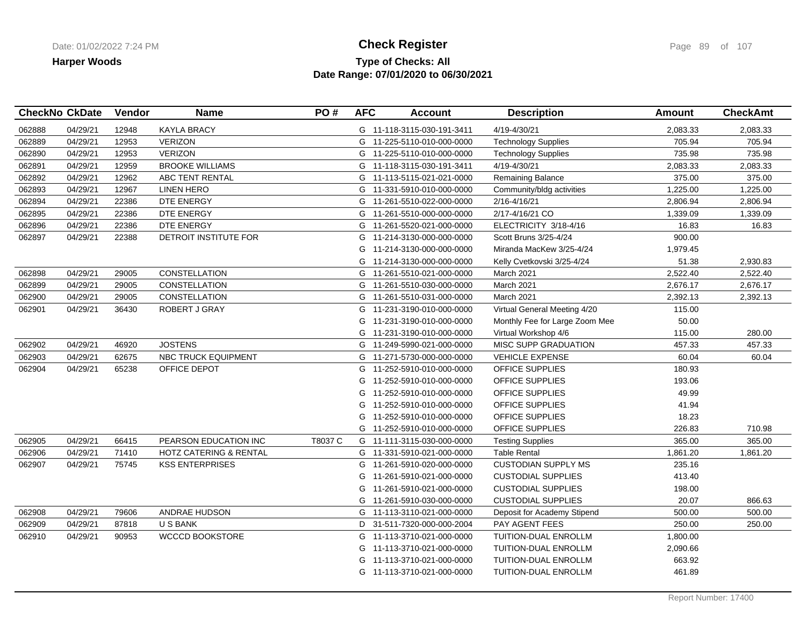### **Type of Checks: All Check Register Check Register Check Register Page 89 of 107 Date Range: 07/01/2020 to 06/30/2021**

|        | <b>CheckNo CkDate</b> | Vendor | <b>Name</b>            | PO#     | <b>AFC</b> | <b>Account</b>             | <b>Description</b>             | <b>Amount</b> | <b>CheckAmt</b> |
|--------|-----------------------|--------|------------------------|---------|------------|----------------------------|--------------------------------|---------------|-----------------|
| 062888 | 04/29/21              | 12948  | <b>KAYLA BRACY</b>     |         |            | G 11-118-3115-030-191-3411 | 4/19-4/30/21                   | 2.083.33      | 2,083.33        |
| 062889 | 04/29/21              | 12953  | <b>VERIZON</b>         |         |            | G 11-225-5110-010-000-0000 | <b>Technology Supplies</b>     | 705.94        | 705.94          |
| 062890 | 04/29/21              | 12953  | <b>VERIZON</b>         |         |            | G 11-225-5110-010-000-0000 | <b>Technology Supplies</b>     | 735.98        | 735.98          |
| 062891 | 04/29/21              | 12959  | <b>BROOKE WILLIAMS</b> |         |            | G 11-118-3115-030-191-3411 | 4/19-4/30/21                   | 2,083.33      | 2,083.33        |
| 062892 | 04/29/21              | 12962  | ABC TENT RENTAL        |         |            | G 11-113-5115-021-021-0000 | Remaining Balance              | 375.00        | 375.00          |
| 062893 | 04/29/21              | 12967  | <b>LINEN HERO</b>      |         |            | G 11-331-5910-010-000-0000 | Community/bldg activities      | 1,225.00      | 1,225.00        |
| 062894 | 04/29/21              | 22386  | DTE ENERGY             |         |            | G 11-261-5510-022-000-0000 | 2/16-4/16/21                   | 2,806.94      | 2,806.94        |
| 062895 | 04/29/21              | 22386  | DTE ENERGY             |         | G          | 11-261-5510-000-000-0000   | 2/17-4/16/21 CO                | 1,339.09      | 1,339.09        |
| 062896 | 04/29/21              | 22386  | DTE ENERGY             |         | G          | 11-261-5520-021-000-0000   | ELECTRICITY 3/18-4/16          | 16.83         | 16.83           |
| 062897 | 04/29/21              | 22388  | DETROIT INSTITUTE FOR  |         | G          | 11-214-3130-000-000-0000   | Scott Bruns 3/25-4/24          | 900.00        |                 |
|        |                       |        |                        |         |            | G 11-214-3130-000-000-0000 | Miranda MacKew 3/25-4/24       | 1,979.45      |                 |
|        |                       |        |                        |         | G          | 11-214-3130-000-000-0000   | Kelly Cvetkovski 3/25-4/24     | 51.38         | 2,930.83        |
| 062898 | 04/29/21              | 29005  | <b>CONSTELLATION</b>   |         |            | G 11-261-5510-021-000-0000 | March 2021                     | 2,522.40      | 2,522.40        |
| 062899 | 04/29/21              | 29005  | CONSTELLATION          |         |            | G 11-261-5510-030-000-0000 | March 2021                     | 2,676.17      | 2,676.17        |
| 062900 | 04/29/21              | 29005  | <b>CONSTELLATION</b>   |         |            | G 11-261-5510-031-000-0000 | March 2021                     | 2,392.13      | 2,392.13        |
| 062901 | 04/29/21              | 36430  | <b>ROBERT J GRAY</b>   |         |            | G 11-231-3190-010-000-0000 | Virtual General Meeting 4/20   | 115.00        |                 |
|        |                       |        |                        |         | G          | 11-231-3190-010-000-0000   | Monthly Fee for Large Zoom Mee | 50.00         |                 |
|        |                       |        |                        |         |            | G 11-231-3190-010-000-0000 | Virtual Workshop 4/6           | 115.00        | 280.00          |
| 062902 | 04/29/21              | 46920  | <b>JOSTENS</b>         |         |            | G 11-249-5990-021-000-0000 | <b>MISC SUPP GRADUATION</b>    | 457.33        | 457.33          |
| 062903 | 04/29/21              | 62675  | NBC TRUCK EQUIPMENT    |         |            | G 11-271-5730-000-000-0000 | <b>VEHICLE EXPENSE</b>         | 60.04         | 60.04           |
| 062904 | 04/29/21              | 65238  | OFFICE DEPOT           |         |            | G 11-252-5910-010-000-0000 | OFFICE SUPPLIES                | 180.93        |                 |
|        |                       |        |                        |         | G          | 11-252-5910-010-000-0000   | OFFICE SUPPLIES                | 193.06        |                 |
|        |                       |        |                        |         |            | G 11-252-5910-010-000-0000 | OFFICE SUPPLIES                | 49.99         |                 |
|        |                       |        |                        |         | G          | 11-252-5910-010-000-0000   | OFFICE SUPPLIES                | 41.94         |                 |
|        |                       |        |                        |         | G          | 11-252-5910-010-000-0000   | <b>OFFICE SUPPLIES</b>         | 18.23         |                 |
|        |                       |        |                        |         |            | G 11-252-5910-010-000-0000 | OFFICE SUPPLIES                | 226.83        | 710.98          |
| 062905 | 04/29/21              | 66415  | PEARSON EDUCATION INC  | T8037 C |            | G 11-111-3115-030-000-0000 | <b>Testing Supplies</b>        | 365.00        | 365.00          |
| 062906 | 04/29/21              | 71410  | HOTZ CATERING & RENTAL |         |            | G 11-331-5910-021-000-0000 | <b>Table Rental</b>            | 1,861.20      | 1,861.20        |
| 062907 | 04/29/21              | 75745  | <b>KSS ENTERPRISES</b> |         |            | G 11-261-5910-020-000-0000 | <b>CUSTODIAN SUPPLY MS</b>     | 235.16        |                 |
|        |                       |        |                        |         | G          | 11-261-5910-021-000-0000   | <b>CUSTODIAL SUPPLIES</b>      | 413.40        |                 |
|        |                       |        |                        |         |            | G 11-261-5910-021-000-0000 | <b>CUSTODIAL SUPPLIES</b>      | 198.00        |                 |
|        |                       |        |                        |         |            | G 11-261-5910-030-000-0000 | <b>CUSTODIAL SUPPLIES</b>      | 20.07         | 866.63          |
| 062908 | 04/29/21              | 79606  | <b>ANDRAE HUDSON</b>   |         |            | G 11-113-3110-021-000-0000 | Deposit for Academy Stipend    | 500.00        | 500.00          |
| 062909 | 04/29/21              | 87818  | <b>USBANK</b>          |         |            | D 31-511-7320-000-000-2004 | PAY AGENT FEES                 | 250.00        | 250.00          |
| 062910 | 04/29/21              | 90953  | <b>WCCCD BOOKSTORE</b> |         | G          | 11-113-3710-021-000-0000   | TUITION-DUAL ENROLLM           | 1,800.00      |                 |
|        |                       |        |                        |         |            | G 11-113-3710-021-000-0000 | TUITION-DUAL ENROLLM           | 2,090.66      |                 |
|        |                       |        |                        |         | G          | 11-113-3710-021-000-0000   | TUITION-DUAL ENROLLM           | 663.92        |                 |
|        |                       |        |                        |         |            | G 11-113-3710-021-000-0000 | TUITION-DUAL ENROLLM           | 461.89        |                 |
|        |                       |        |                        |         |            |                            |                                |               |                 |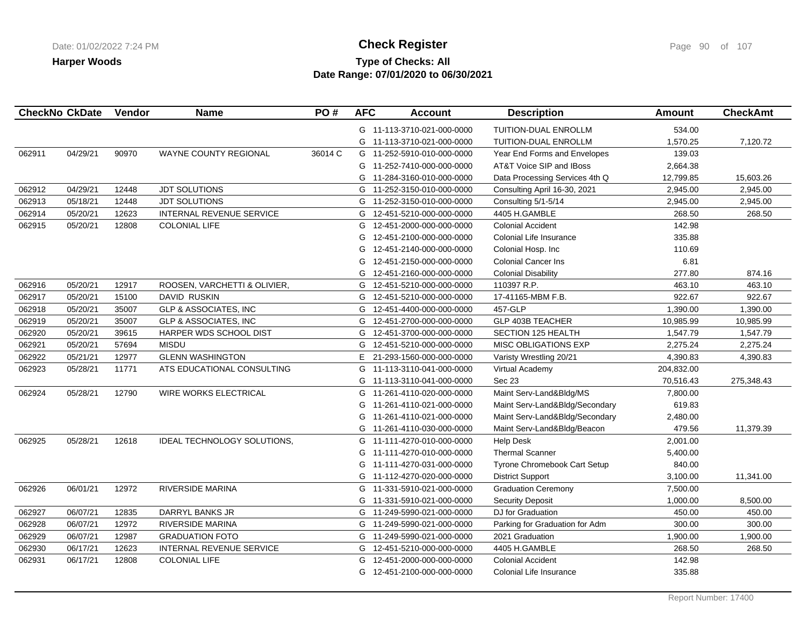## **Type of Checks: All Check Register Check Register Check Register Page 90 of 107 Date Range: 07/01/2020 to 06/30/2021**

|        | <b>CheckNo CkDate</b> | Vendor | <b>Name</b>                      | PO#     | <b>AFC</b> | <b>Account</b>             | <b>Description</b>             | <b>Amount</b> | <b>CheckAmt</b> |
|--------|-----------------------|--------|----------------------------------|---------|------------|----------------------------|--------------------------------|---------------|-----------------|
|        |                       |        |                                  |         |            | G 11-113-3710-021-000-0000 | <b>TUITION-DUAL ENROLLM</b>    | 534.00        |                 |
|        |                       |        |                                  |         |            | G 11-113-3710-021-000-0000 | TUITION-DUAL ENROLLM           | 1,570.25      | 7,120.72        |
| 062911 | 04/29/21              | 90970  | WAYNE COUNTY REGIONAL            | 36014 C |            | G 11-252-5910-010-000-0000 | Year End Forms and Envelopes   | 139.03        |                 |
|        |                       |        |                                  |         |            | G 11-252-7410-000-000-0000 | AT&T Voice SIP and IBoss       | 2,664.38      |                 |
|        |                       |        |                                  |         | G          | 11-284-3160-010-000-0000   | Data Processing Services 4th Q | 12,799.85     | 15,603.26       |
| 062912 | 04/29/21              | 12448  | JDT SOLUTIONS                    |         |            | G 11-252-3150-010-000-0000 | Consulting April 16-30, 2021   | 2,945.00      | 2,945.00        |
| 062913 | 05/18/21              | 12448  | <b>JDT SOLUTIONS</b>             |         |            | G 11-252-3150-010-000-0000 | Consulting 5/1-5/14            | 2,945.00      | 2,945.00        |
| 062914 | 05/20/21              | 12623  | <b>INTERNAL REVENUE SERVICE</b>  |         |            | G 12-451-5210-000-000-0000 | 4405 H.GAMBLE                  | 268.50        | 268.50          |
| 062915 | 05/20/21              | 12808  | <b>COLONIAL LIFE</b>             |         | G          | 12-451-2000-000-000-0000   | <b>Colonial Accident</b>       | 142.98        |                 |
|        |                       |        |                                  |         | G          | 12-451-2100-000-000-0000   | Colonial Life Insurance        | 335.88        |                 |
|        |                       |        |                                  |         | G          | 12-451-2140-000-000-0000   | Colonial Hosp. Inc             | 110.69        |                 |
|        |                       |        |                                  |         | G          | 12-451-2150-000-000-0000   | <b>Colonial Cancer Ins</b>     | 6.81          |                 |
|        |                       |        |                                  |         | G          | 12-451-2160-000-000-0000   | <b>Colonial Disability</b>     | 277.80        | 874.16          |
| 062916 | 05/20/21              | 12917  | ROOSEN, VARCHETTI & OLIVIER,     |         | G          | 12-451-5210-000-000-0000   | 110397 R.P.                    | 463.10        | 463.10          |
| 062917 | 05/20/21              | 15100  | <b>DAVID RUSKIN</b>              |         | G          | 12-451-5210-000-000-0000   | 17-41165-MBM F.B.              | 922.67        | 922.67          |
| 062918 | 05/20/21              | 35007  | <b>GLP &amp; ASSOCIATES, INC</b> |         | G          | 12-451-4400-000-000-0000   | 457-GLP                        | 1,390.00      | 1,390.00        |
| 062919 | 05/20/21              | 35007  | <b>GLP &amp; ASSOCIATES, INC</b> |         | G          | 12-451-2700-000-000-0000   | <b>GLP 403B TEACHER</b>        | 10,985.99     | 10,985.99       |
| 062920 | 05/20/21              | 39615  | HARPER WDS SCHOOL DIST           |         | G          | 12-451-3700-000-000-0000   | SECTION 125 HEALTH             | 1,547.79      | 1,547.79        |
| 062921 | 05/20/21              | 57694  | <b>MISDU</b>                     |         |            | G 12-451-5210-000-000-0000 | <b>MISC OBLIGATIONS EXP</b>    | 2,275.24      | 2,275.24        |
| 062922 | 05/21/21              | 12977  | <b>GLENN WASHINGTON</b>          |         | E.         | 21-293-1560-000-000-0000   | Varisty Wrestling 20/21        | 4,390.83      | 4,390.83        |
| 062923 | 05/28/21              | 11771  | ATS EDUCATIONAL CONSULTING       |         | G          | 11-113-3110-041-000-0000   | Virtual Academy                | 204,832.00    |                 |
|        |                       |        |                                  |         | G          | 11-113-3110-041-000-0000   | Sec 23                         | 70,516.43     | 275,348.43      |
| 062924 | 05/28/21              | 12790  | <b>WIRE WORKS ELECTRICAL</b>     |         |            | G 11-261-4110-020-000-0000 | Maint Serv-Land&Bldg/MS        | 7,800.00      |                 |
|        |                       |        |                                  |         |            | G 11-261-4110-021-000-0000 | Maint Serv-Land&Bldg/Secondary | 619.83        |                 |
|        |                       |        |                                  |         | G          | 11-261-4110-021-000-0000   | Maint Serv-Land&Bldg/Secondary | 2,480.00      |                 |
|        |                       |        |                                  |         | G          | 11-261-4110-030-000-0000   | Maint Serv-Land&Bldg/Beacon    | 479.56        | 11,379.39       |
| 062925 | 05/28/21              | 12618  | IDEAL TECHNOLOGY SOLUTIONS,      |         |            | G 11-111-4270-010-000-0000 | <b>Help Desk</b>               | 2,001.00      |                 |
|        |                       |        |                                  |         | G          | 11-111-4270-010-000-0000   | <b>Thermal Scanner</b>         | 5,400.00      |                 |
|        |                       |        |                                  |         | G          | 11-111-4270-031-000-0000   | Tyrone Chromebook Cart Setup   | 840.00        |                 |
|        |                       |        |                                  |         | G          | 11-112-4270-020-000-0000   | <b>District Support</b>        | 3,100.00      | 11,341.00       |
| 062926 | 06/01/21              | 12972  | <b>RIVERSIDE MARINA</b>          |         |            | G 11-331-5910-021-000-0000 | <b>Graduation Ceremony</b>     | 7,500.00      |                 |
|        |                       |        |                                  |         | G          | 11-331-5910-021-000-0000   | <b>Security Deposit</b>        | 1,000.00      | 8,500.00        |
| 062927 | 06/07/21              | 12835  | DARRYL BANKS JR                  |         |            | G 11-249-5990-021-000-0000 | DJ for Graduation              | 450.00        | 450.00          |
| 062928 | 06/07/21              | 12972  | RIVERSIDE MARINA                 |         |            | G 11-249-5990-021-000-0000 | Parking for Graduation for Adm | 300.00        | 300.00          |
| 062929 | 06/07/21              | 12987  | <b>GRADUATION FOTO</b>           |         |            | G 11-249-5990-021-000-0000 | 2021 Graduation                | 1,900.00      | 1,900.00        |
| 062930 | 06/17/21              | 12623  | INTERNAL REVENUE SERVICE         |         | G          | 12-451-5210-000-000-0000   | 4405 H.GAMBLE                  | 268.50        | 268.50          |
| 062931 | 06/17/21              | 12808  | <b>COLONIAL LIFE</b>             |         | G          | 12-451-2000-000-000-0000   | <b>Colonial Accident</b>       | 142.98        |                 |
|        |                       |        |                                  |         | G          | 12-451-2100-000-000-0000   | Colonial Life Insurance        | 335.88        |                 |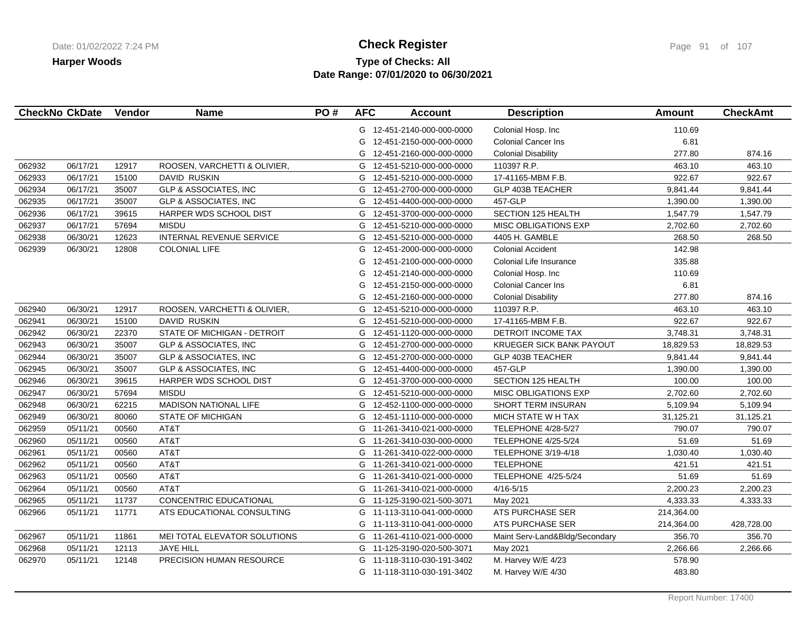## **Type of Checks: All Check Register Check Register Check Register Page 91 of 107 Date Range: 07/01/2020 to 06/30/2021**

|        | <b>CheckNo CkDate</b> | Vendor | <b>Name</b>                      | PO# | <b>AFC</b> | <b>Account</b>             | <b>Description</b>             | Amount     | <b>CheckAmt</b> |
|--------|-----------------------|--------|----------------------------------|-----|------------|----------------------------|--------------------------------|------------|-----------------|
|        |                       |        |                                  |     |            | G 12-451-2140-000-000-0000 | Colonial Hosp. Inc             | 110.69     |                 |
|        |                       |        |                                  |     | G          | 12-451-2150-000-000-0000   | <b>Colonial Cancer Ins</b>     | 6.81       |                 |
|        |                       |        |                                  |     | G          | 12-451-2160-000-000-0000   | <b>Colonial Disability</b>     | 277.80     | 874.16          |
| 062932 | 06/17/21              | 12917  | ROOSEN, VARCHETTI & OLIVIER,     |     | G          | 12-451-5210-000-000-0000   | 110397 R.P.                    | 463.10     | 463.10          |
| 062933 | 06/17/21              | 15100  | <b>DAVID RUSKIN</b>              |     | G          | 12-451-5210-000-000-0000   | 17-41165-MBM F.B.              | 922.67     | 922.67          |
| 062934 | 06/17/21              | 35007  | <b>GLP &amp; ASSOCIATES, INC</b> |     | G          | 12-451-2700-000-000-0000   | <b>GLP 403B TEACHER</b>        | 9,841.44   | 9,841.44        |
| 062935 | 06/17/21              | 35007  | <b>GLP &amp; ASSOCIATES, INC</b> |     | G          | 12-451-4400-000-000-0000   | 457-GLP                        | 1,390.00   | 1,390.00        |
| 062936 | 06/17/21              | 39615  | HARPER WDS SCHOOL DIST           |     | G          | 12-451-3700-000-000-0000   | <b>SECTION 125 HEALTH</b>      | 1,547.79   | 1,547.79        |
| 062937 | 06/17/21              | 57694  | <b>MISDU</b>                     |     | G          | 12-451-5210-000-000-0000   | <b>MISC OBLIGATIONS EXP</b>    | 2,702.60   | 2,702.60        |
| 062938 | 06/30/21              | 12623  | INTERNAL REVENUE SERVICE         |     | G          | 12-451-5210-000-000-0000   | 4405 H. GAMBLE                 | 268.50     | 268.50          |
| 062939 | 06/30/21              | 12808  | <b>COLONIAL LIFE</b>             |     | G          | 12-451-2000-000-000-0000   | <b>Colonial Accident</b>       | 142.98     |                 |
|        |                       |        |                                  |     | G          | 12-451-2100-000-000-0000   | Colonial Life Insurance        | 335.88     |                 |
|        |                       |        |                                  |     | G          | 12-451-2140-000-000-0000   | Colonial Hosp. Inc             | 110.69     |                 |
|        |                       |        |                                  |     | G          | 12-451-2150-000-000-0000   | <b>Colonial Cancer Ins</b>     | 6.81       |                 |
|        |                       |        |                                  |     | G          | 12-451-2160-000-000-0000   | <b>Colonial Disability</b>     | 277.80     | 874.16          |
| 062940 | 06/30/21              | 12917  | ROOSEN, VARCHETTI & OLIVIER,     |     | G          | 12-451-5210-000-000-0000   | 110397 R.P.                    | 463.10     | 463.10          |
| 062941 | 06/30/21              | 15100  | DAVID RUSKIN                     |     | G          | 12-451-5210-000-000-0000   | 17-41165-MBM F.B.              | 922.67     | 922.67          |
| 062942 | 06/30/21              | 22370  | STATE OF MICHIGAN - DETROIT      |     | G          | 12-451-1120-000-000-0000   | DETROIT INCOME TAX             | 3,748.31   | 3,748.31        |
| 062943 | 06/30/21              | 35007  | <b>GLP &amp; ASSOCIATES, INC</b> |     | G          | 12-451-2700-000-000-0000   | KRUEGER SICK BANK PAYOUT       | 18,829.53  | 18,829.53       |
| 062944 | 06/30/21              | 35007  | <b>GLP &amp; ASSOCIATES, INC</b> |     | G          | 12-451-2700-000-000-0000   | <b>GLP 403B TEACHER</b>        | 9,841.44   | 9,841.44        |
| 062945 | 06/30/21              | 35007  | <b>GLP &amp; ASSOCIATES, INC</b> |     | G          | 12-451-4400-000-000-0000   | 457-GLP                        | 1,390.00   | 1,390.00        |
| 062946 | 06/30/21              | 39615  | HARPER WDS SCHOOL DIST           |     |            | G 12-451-3700-000-000-0000 | SECTION 125 HEALTH             | 100.00     | 100.00          |
| 062947 | 06/30/21              | 57694  | <b>MISDU</b>                     |     | G          | 12-451-5210-000-000-0000   | <b>MISC OBLIGATIONS EXP</b>    | 2,702.60   | 2,702.60        |
| 062948 | 06/30/21              | 62215  | <b>MADISON NATIONAL LIFE</b>     |     | G          | 12-452-1100-000-000-0000   | SHORT TERM INSURAN             | 5,109.94   | 5,109.94        |
| 062949 | 06/30/21              | 80060  | <b>STATE OF MICHIGAN</b>         |     |            | G 12-451-1110-000-000-0000 | MICH STATE W H TAX             | 31,125.21  | 31,125.21       |
| 062959 | 05/11/21              | 00560  | AT&T                             |     |            | G 11-261-3410-021-000-0000 | TELEPHONE 4/28-5/27            | 790.07     | 790.07          |
| 062960 | 05/11/21              | 00560  | AT&T                             |     | G          | 11-261-3410-030-000-0000   | <b>TELEPHONE 4/25-5/24</b>     | 51.69      | 51.69           |
| 062961 | 05/11/21              | 00560  | AT&T                             |     | G          | 11-261-3410-022-000-0000   | TELEPHONE 3/19-4/18            | 1,030.40   | 1,030.40        |
| 062962 | 05/11/21              | 00560  | AT&T                             |     | G          | 11-261-3410-021-000-0000   | <b>TELEPHONE</b>               | 421.51     | 421.51          |
| 062963 | 05/11/21              | 00560  | AT&T                             |     |            | G 11-261-3410-021-000-0000 | TELEPHONE 4/25-5/24            | 51.69      | 51.69           |
| 062964 | 05/11/21              | 00560  | AT&T                             |     | G          | 11-261-3410-021-000-0000   | $4/16 - 5/15$                  | 2,200.23   | 2,200.23        |
| 062965 | 05/11/21              | 11737  | CONCENTRIC EDUCATIONAL           |     |            | G 11-125-3190-021-500-3071 | May 2021                       | 4,333.33   | 4,333.33        |
| 062966 | 05/11/21              | 11771  | ATS EDUCATIONAL CONSULTING       |     | G          | 11-113-3110-041-000-0000   | ATS PURCHASE SER               | 214,364.00 |                 |
|        |                       |        |                                  |     |            | G 11-113-3110-041-000-0000 | ATS PURCHASE SER               | 214,364.00 | 428,728.00      |
| 062967 | 05/11/21              | 11861  | MEI TOTAL ELEVATOR SOLUTIONS     |     | G          | 11-261-4110-021-000-0000   | Maint Serv-Land&Bldg/Secondary | 356.70     | 356.70          |
| 062968 | 05/11/21              | 12113  | <b>JAYE HILL</b>                 |     |            | G 11-125-3190-020-500-3071 | May 2021                       | 2,266.66   | 2,266.66        |
| 062970 | 05/11/21              | 12148  | PRECISION HUMAN RESOURCE         |     | G          | 11-118-3110-030-191-3402   | M. Harvey W/E 4/23             | 578.90     |                 |
|        |                       |        |                                  |     |            | G 11-118-3110-030-191-3402 | M. Harvey W/E 4/30             | 483.80     |                 |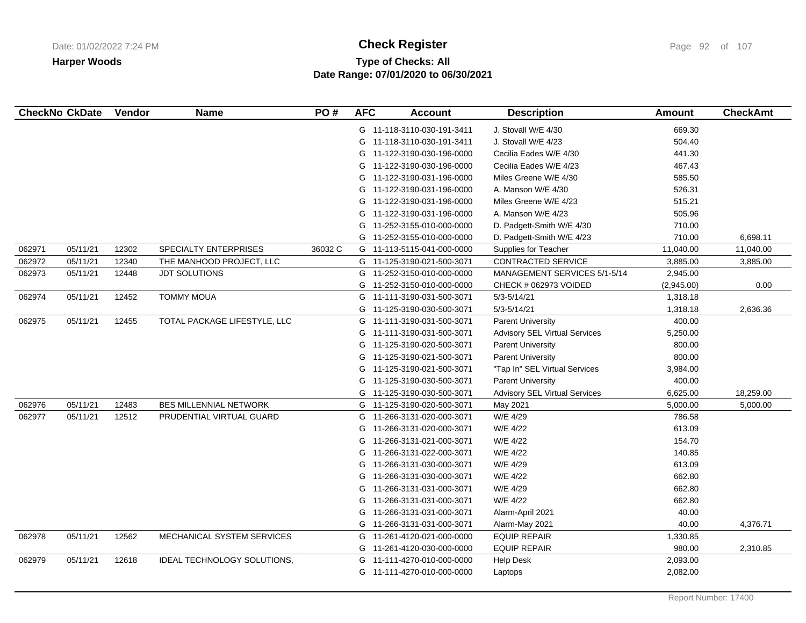# **Type of Checks: All Check Register Check Register Check Register Page 92 of 107 Date Range: 07/01/2020 to 06/30/2021**

|        | <b>CheckNo CkDate</b> | Vendor | <b>Name</b>                   | PO#     | <b>AFC</b> | <b>Account</b>             | <b>Description</b>                   | Amount     | <b>CheckAmt</b> |
|--------|-----------------------|--------|-------------------------------|---------|------------|----------------------------|--------------------------------------|------------|-----------------|
|        |                       |        |                               |         |            | G 11-118-3110-030-191-3411 | J. Stovall W/E 4/30                  | 669.30     |                 |
|        |                       |        |                               |         |            | G 11-118-3110-030-191-3411 | J. Stovall W/E 4/23                  | 504.40     |                 |
|        |                       |        |                               |         |            | G 11-122-3190-030-196-0000 | Cecilia Eades W/E 4/30               | 441.30     |                 |
|        |                       |        |                               |         |            | G 11-122-3190-030-196-0000 | Cecilia Eades W/E 4/23               | 467.43     |                 |
|        |                       |        |                               |         |            | G 11-122-3190-031-196-0000 | Miles Greene W/E 4/30                | 585.50     |                 |
|        |                       |        |                               |         |            | G 11-122-3190-031-196-0000 | A. Manson W/E 4/30                   | 526.31     |                 |
|        |                       |        |                               |         |            | G 11-122-3190-031-196-0000 | Miles Greene W/E 4/23                | 515.21     |                 |
|        |                       |        |                               |         | G          | 11-122-3190-031-196-0000   | A. Manson W/E 4/23                   | 505.96     |                 |
|        |                       |        |                               |         | G          | 11-252-3155-010-000-0000   | D. Padgett-Smith W/E 4/30            | 710.00     |                 |
|        |                       |        |                               |         | G          | 11-252-3155-010-000-0000   | D. Padgett-Smith W/E 4/23            | 710.00     | 6,698.11        |
| 062971 | 05/11/21              | 12302  | SPECIALTY ENTERPRISES         | 36032 C |            | G 11-113-5115-041-000-0000 | Supplies for Teacher                 | 11,040.00  | 11,040.00       |
| 062972 | 05/11/21              | 12340  | THE MANHOOD PROJECT, LLC      |         |            | G 11-125-3190-021-500-3071 | CONTRACTED SERVICE                   | 3,885.00   | 3,885.00        |
| 062973 | 05/11/21              | 12448  | <b>JDT SOLUTIONS</b>          |         | G          | 11-252-3150-010-000-0000   | MANAGEMENT SERVICES 5/1-5/14         | 2,945.00   |                 |
|        |                       |        |                               |         | G          | 11-252-3150-010-000-0000   | CHECK # 062973 VOIDED                | (2,945.00) | 0.00            |
| 062974 | 05/11/21              | 12452  | <b>TOMMY MOUA</b>             |         | G          | 11-111-3190-031-500-3071   | $5/3 - 5/14/21$                      | 1,318.18   |                 |
|        |                       |        |                               |         | G          | 11-125-3190-030-500-3071   | $5/3 - 5/14/21$                      | 1,318.18   | 2,636.36        |
| 062975 | 05/11/21              | 12455  | TOTAL PACKAGE LIFESTYLE, LLC  |         |            | G 11-111-3190-031-500-3071 | <b>Parent University</b>             | 400.00     |                 |
|        |                       |        |                               |         | G          | 11-111-3190-031-500-3071   | <b>Advisory SEL Virtual Services</b> | 5,250.00   |                 |
|        |                       |        |                               |         | G          | 11-125-3190-020-500-3071   | <b>Parent University</b>             | 800.00     |                 |
|        |                       |        |                               |         | G          | 11-125-3190-021-500-3071   | <b>Parent University</b>             | 800.00     |                 |
|        |                       |        |                               |         | G          | 11-125-3190-021-500-3071   | "Tap In" SEL Virtual Services        | 3,984.00   |                 |
|        |                       |        |                               |         | G          | 11-125-3190-030-500-3071   | <b>Parent University</b>             | 400.00     |                 |
|        |                       |        |                               |         | G          | 11-125-3190-030-500-3071   | <b>Advisory SEL Virtual Services</b> | 6,625.00   | 18,259.00       |
| 062976 | 05/11/21              | 12483  | <b>BES MILLENNIAL NETWORK</b> |         |            | G 11-125-3190-020-500-3071 | May 2021                             | 5,000.00   | 5,000.00        |
| 062977 | 05/11/21              | 12512  | PRUDENTIAL VIRTUAL GUARD      |         | G          | 11-266-3131-020-000-3071   | W/E 4/29                             | 786.58     |                 |
|        |                       |        |                               |         | G          | 11-266-3131-020-000-3071   | W/E 4/22                             | 613.09     |                 |
|        |                       |        |                               |         | G          | 11-266-3131-021-000-3071   | W/E 4/22                             | 154.70     |                 |
|        |                       |        |                               |         | G          | 11-266-3131-022-000-3071   | W/E 4/22                             | 140.85     |                 |
|        |                       |        |                               |         | G          | 11-266-3131-030-000-3071   | W/E 4/29                             | 613.09     |                 |
|        |                       |        |                               |         | G          | 11-266-3131-030-000-3071   | W/E 4/22                             | 662.80     |                 |
|        |                       |        |                               |         | G          | 11-266-3131-031-000-3071   | W/E 4/29                             | 662.80     |                 |
|        |                       |        |                               |         | G          | 11-266-3131-031-000-3071   | W/E 4/22                             | 662.80     |                 |
|        |                       |        |                               |         | G          | 11-266-3131-031-000-3071   | Alarm-April 2021                     | 40.00      |                 |
|        |                       |        |                               |         | G          | 11-266-3131-031-000-3071   | Alarm-May 2021                       | 40.00      | 4,376.71        |
| 062978 | 05/11/21              | 12562  | MECHANICAL SYSTEM SERVICES    |         | G          | 11-261-4120-021-000-0000   | <b>EQUIP REPAIR</b>                  | 1,330.85   |                 |
|        |                       |        |                               |         |            | G 11-261-4120-030-000-0000 | <b>EQUIP REPAIR</b>                  | 980.00     | 2,310.85        |
| 062979 | 05/11/21              | 12618  | IDEAL TECHNOLOGY SOLUTIONS,   |         | G          | 11-111-4270-010-000-0000   | <b>Help Desk</b>                     | 2,093.00   |                 |
|        |                       |        |                               |         |            | G 11-111-4270-010-000-0000 | Laptops                              | 2,082.00   |                 |
|        |                       |        |                               |         |            |                            |                                      |            |                 |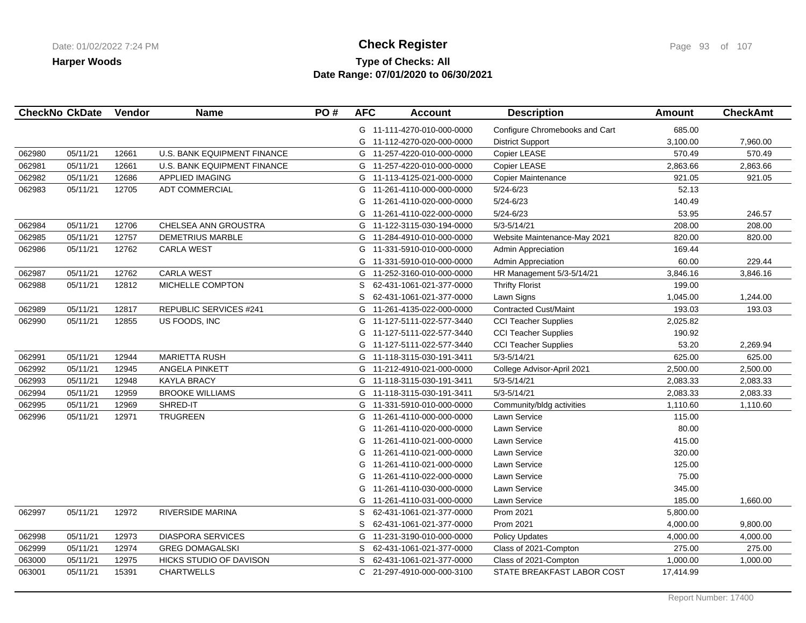## **Type of Checks: All Check Register Check Register Check Register Page 93 of 107 Date Range: 07/01/2020 to 06/30/2021**

| <b>CheckNo CkDate</b> |          | Vendor | <b>Name</b>                   | PO# | <b>AFC</b> | <b>Account</b>             | <b>Description</b>             | <b>Amount</b> | <b>CheckAmt</b> |
|-----------------------|----------|--------|-------------------------------|-----|------------|----------------------------|--------------------------------|---------------|-----------------|
|                       |          |        |                               |     |            | G 11-111-4270-010-000-0000 | Configure Chromebooks and Cart | 685.00        |                 |
|                       |          |        |                               |     |            | G 11-112-4270-020-000-0000 | <b>District Support</b>        | 3,100.00      | 7,960.00        |
| 062980                | 05/11/21 | 12661  | U.S. BANK EQUIPMENT FINANCE   |     |            | G 11-257-4220-010-000-0000 | Copier LEASE                   | 570.49        | 570.49          |
| 062981                | 05/11/21 | 12661  | U.S. BANK EQUIPMENT FINANCE   |     |            | G 11-257-4220-010-000-0000 | Copier LEASE                   | 2,863.66      | 2,863.66        |
| 062982                | 05/11/21 | 12686  | <b>APPLIED IMAGING</b>        |     |            | G 11-113-4125-021-000-0000 | Copier Maintenance             | 921.05        | 921.05          |
| 062983                | 05/11/21 | 12705  | <b>ADT COMMERCIAL</b>         |     |            | G 11-261-4110-000-000-0000 | $5/24 - 6/23$                  | 52.13         |                 |
|                       |          |        |                               |     | G          | 11-261-4110-020-000-0000   | $5/24 - 6/23$                  | 140.49        |                 |
|                       |          |        |                               |     | G          | 11-261-4110-022-000-0000   | $5/24 - 6/23$                  | 53.95         | 246.57          |
| 062984                | 05/11/21 | 12706  | CHELSEA ANN GROUSTRA          |     |            | G 11-122-3115-030-194-0000 | $5/3 - 5/14/21$                | 208.00        | 208.00          |
| 062985                | 05/11/21 | 12757  | <b>DEMETRIUS MARBLE</b>       |     |            | G 11-284-4910-010-000-0000 | Website Maintenance-May 2021   | 820.00        | 820.00          |
| 062986                | 05/11/21 | 12762  | <b>CARLA WEST</b>             |     |            | G 11-331-5910-010-000-0000 | Admin Appreciation             | 169.44        |                 |
|                       |          |        |                               |     | G          | 11-331-5910-010-000-0000   | Admin Appreciation             | 60.00         | 229.44          |
| 062987                | 05/11/21 | 12762  | <b>CARLA WEST</b>             |     | G          | 11-252-3160-010-000-0000   | HR Management 5/3-5/14/21      | 3,846.16      | 3,846.16        |
| 062988                | 05/11/21 | 12812  | MICHELLE COMPTON              |     | S          | 62-431-1061-021-377-0000   | <b>Thrifty Florist</b>         | 199.00        |                 |
|                       |          |        |                               |     | S          | 62-431-1061-021-377-0000   | Lawn Signs                     | 1,045.00      | 1,244.00        |
| 062989                | 05/11/21 | 12817  | <b>REPUBLIC SERVICES #241</b> |     | G          | 11-261-4135-022-000-0000   | <b>Contracted Cust/Maint</b>   | 193.03        | 193.03          |
| 062990                | 05/11/21 | 12855  | US FOODS, INC                 |     | G          | 11-127-5111-022-577-3440   | <b>CCI Teacher Supplies</b>    | 2,025.82      |                 |
|                       |          |        |                               |     | G          | 11-127-5111-022-577-3440   | <b>CCI Teacher Supplies</b>    | 190.92        |                 |
|                       |          |        |                               |     |            | G 11-127-5111-022-577-3440 | <b>CCI Teacher Supplies</b>    | 53.20         | 2,269.94        |
| 062991                | 05/11/21 | 12944  | <b>MARIETTA RUSH</b>          |     |            | G 11-118-3115-030-191-3411 | $5/3 - 5/14/21$                | 625.00        | 625.00          |
| 062992                | 05/11/21 | 12945  | <b>ANGELA PINKETT</b>         |     |            | G 11-212-4910-021-000-0000 | College Advisor-April 2021     | 2,500.00      | 2,500.00        |
| 062993                | 05/11/21 | 12948  | <b>KAYLA BRACY</b>            |     |            | G 11-118-3115-030-191-3411 | $5/3 - 5/14/21$                | 2,083.33      | 2,083.33        |
| 062994                | 05/11/21 | 12959  | <b>BROOKE WILLIAMS</b>        |     |            | G 11-118-3115-030-191-3411 | $5/3 - 5/14/21$                | 2,083.33      | 2,083.33        |
| 062995                | 05/11/21 | 12969  | SHRED-IT                      |     |            | G 11-331-5910-010-000-0000 | Community/bldg activities      | 1,110.60      | 1,110.60        |
| 062996                | 05/11/21 | 12971  | <b>TRUGREEN</b>               |     | G          | 11-261-4110-000-000-0000   | Lawn Service                   | 115.00        |                 |
|                       |          |        |                               |     | G          | 11-261-4110-020-000-0000   | Lawn Service                   | 80.00         |                 |
|                       |          |        |                               |     | G          | 11-261-4110-021-000-0000   | Lawn Service                   | 415.00        |                 |
|                       |          |        |                               |     | G          | 11-261-4110-021-000-0000   | Lawn Service                   | 320.00        |                 |
|                       |          |        |                               |     | G          | 11-261-4110-021-000-0000   | Lawn Service                   | 125.00        |                 |
|                       |          |        |                               |     | G          | 11-261-4110-022-000-0000   | <b>Lawn Service</b>            | 75.00         |                 |
|                       |          |        |                               |     | G          | 11-261-4110-030-000-0000   | Lawn Service                   | 345.00        |                 |
|                       |          |        |                               |     | G          | 11-261-4110-031-000-0000   | Lawn Service                   | 185.00        | 1,660.00        |
| 062997                | 05/11/21 | 12972  | RIVERSIDE MARINA              |     | S          | 62-431-1061-021-377-0000   | Prom 2021                      | 5,800.00      |                 |
|                       |          |        |                               |     | S          | 62-431-1061-021-377-0000   | <b>Prom 2021</b>               | 4,000.00      | 9,800.00        |
| 062998                | 05/11/21 | 12973  | <b>DIASPORA SERVICES</b>      |     | G          | 11-231-3190-010-000-0000   | <b>Policy Updates</b>          | 4,000.00      | 4,000.00        |
| 062999                | 05/11/21 | 12974  | <b>GREG DOMAGALSKI</b>        |     | S          | 62-431-1061-021-377-0000   | Class of 2021-Compton          | 275.00        | 275.00          |
| 063000                | 05/11/21 | 12975  | HICKS STUDIO OF DAVISON       |     | S          | 62-431-1061-021-377-0000   | Class of 2021-Compton          | 1,000.00      | 1,000.00        |
| 063001                | 05/11/21 | 15391  | <b>CHARTWELLS</b>             |     | C.         | 21-297-4910-000-000-3100   | STATE BREAKFAST LABOR COST     | 17,414.99     |                 |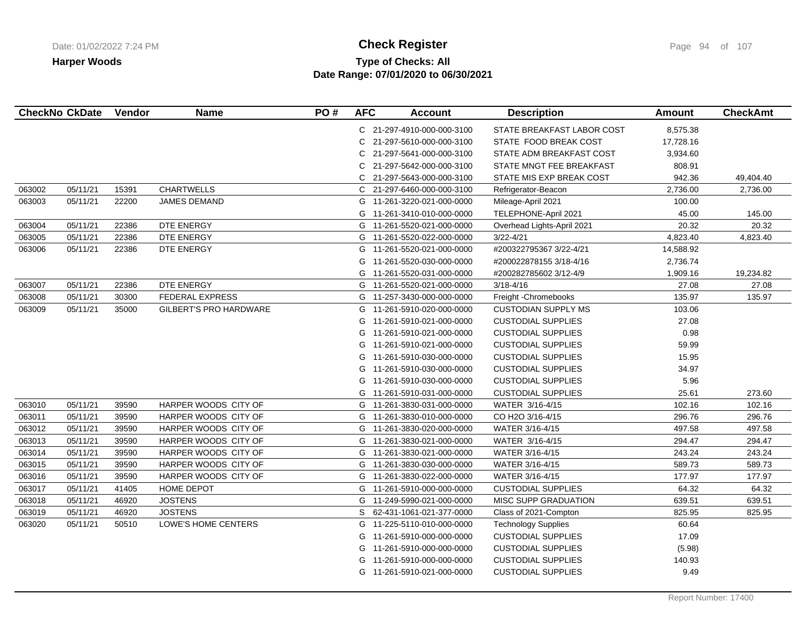# **Type of Checks: All Check Register Check Register Check Register Page 94 of 107 Date Range: 07/01/2020 to 06/30/2021**

|        | <b>CheckNo CkDate</b> | Vendor | <b>Name</b>                   | PO# | <b>AFC</b> | <b>Account</b>             | <b>Description</b>         | <b>Amount</b> | <b>CheckAmt</b> |
|--------|-----------------------|--------|-------------------------------|-----|------------|----------------------------|----------------------------|---------------|-----------------|
|        |                       |        |                               |     |            | C 21-297-4910-000-000-3100 | STATE BREAKFAST LABOR COST | 8,575.38      |                 |
|        |                       |        |                               |     | C          | 21-297-5610-000-000-3100   | STATE FOOD BREAK COST      | 17,728.16     |                 |
|        |                       |        |                               |     | C          | 21-297-5641-000-000-3100   | STATE ADM BREAKFAST COST   | 3,934.60      |                 |
|        |                       |        |                               |     | C          | 21-297-5642-000-000-3100   | STATE MNGT FEE BREAKFAST   | 808.91        |                 |
|        |                       |        |                               |     | C.         | 21-297-5643-000-000-3100   | STATE MIS EXP BREAK COST   | 942.36        | 49,404.40       |
| 063002 | 05/11/21              | 15391  | <b>CHARTWELLS</b>             |     | C          | 21-297-6460-000-000-3100   | Refrigerator-Beacon        | 2,736.00      | 2,736.00        |
| 063003 | 05/11/21              | 22200  | <b>JAMES DEMAND</b>           |     |            | G 11-261-3220-021-000-0000 | Mileage-April 2021         | 100.00        |                 |
|        |                       |        |                               |     | G          | 11-261-3410-010-000-0000   | TELEPHONE-April 2021       | 45.00         | 145.00          |
| 063004 | 05/11/21              | 22386  | DTE ENERGY                    |     |            | G 11-261-5520-021-000-0000 | Overhead Lights-April 2021 | 20.32         | 20.32           |
| 063005 | 05/11/21              | 22386  | DTE ENERGY                    |     |            | G 11-261-5520-022-000-0000 | $3/22 - 4/21$              | 4,823.40      | 4,823.40        |
| 063006 | 05/11/21              | 22386  | DTE ENERGY                    |     | G          | 11-261-5520-021-000-0000   | #200322795367 3/22-4/21    | 14,588.92     |                 |
|        |                       |        |                               |     | G          | 11-261-5520-030-000-0000   | #200022878155 3/18-4/16    | 2,736.74      |                 |
|        |                       |        |                               |     | G          | 11-261-5520-031-000-0000   | #200282785602 3/12-4/9     | 1,909.16      | 19,234.82       |
| 063007 | 05/11/21              | 22386  | DTE ENERGY                    |     |            | G 11-261-5520-021-000-0000 | $3/18 - 4/16$              | 27.08         | 27.08           |
| 063008 | 05/11/21              | 30300  | <b>FEDERAL EXPRESS</b>        |     |            | G 11-257-3430-000-000-0000 | Freight - Chromebooks      | 135.97        | 135.97          |
| 063009 | 05/11/21              | 35000  | <b>GILBERT'S PRO HARDWARE</b> |     |            | G 11-261-5910-020-000-0000 | <b>CUSTODIAN SUPPLY MS</b> | 103.06        |                 |
|        |                       |        |                               |     | G          | 11-261-5910-021-000-0000   | <b>CUSTODIAL SUPPLIES</b>  | 27.08         |                 |
|        |                       |        |                               |     | G          | 11-261-5910-021-000-0000   | <b>CUSTODIAL SUPPLIES</b>  | 0.98          |                 |
|        |                       |        |                               |     | G          | 11-261-5910-021-000-0000   | <b>CUSTODIAL SUPPLIES</b>  | 59.99         |                 |
|        |                       |        |                               |     | G          | 11-261-5910-030-000-0000   | <b>CUSTODIAL SUPPLIES</b>  | 15.95         |                 |
|        |                       |        |                               |     |            | G 11-261-5910-030-000-0000 | <b>CUSTODIAL SUPPLIES</b>  | 34.97         |                 |
|        |                       |        |                               |     |            | G 11-261-5910-030-000-0000 | <b>CUSTODIAL SUPPLIES</b>  | 5.96          |                 |
|        |                       |        |                               |     | G          | 11-261-5910-031-000-0000   | <b>CUSTODIAL SUPPLIES</b>  | 25.61         | 273.60          |
| 063010 | 05/11/21              | 39590  | HARPER WOODS CITY OF          |     |            | G 11-261-3830-031-000-0000 | WATER 3/16-4/15            | 102.16        | 102.16          |
| 063011 | 05/11/21              | 39590  | HARPER WOODS CITY OF          |     |            | G 11-261-3830-010-000-0000 | CO H2O 3/16-4/15           | 296.76        | 296.76          |
| 063012 | 05/11/21              | 39590  | HARPER WOODS CITY OF          |     |            | G 11-261-3830-020-000-0000 | WATER 3/16-4/15            | 497.58        | 497.58          |
| 063013 | 05/11/21              | 39590  | HARPER WOODS CITY OF          |     | G          | 11-261-3830-021-000-0000   | WATER 3/16-4/15            | 294.47        | 294.47          |
| 063014 | 05/11/21              | 39590  | HARPER WOODS CITY OF          |     | G          | 11-261-3830-021-000-0000   | WATER 3/16-4/15            | 243.24        | 243.24          |
| 063015 | 05/11/21              | 39590  | HARPER WOODS CITY OF          |     |            | G 11-261-3830-030-000-0000 | WATER 3/16-4/15            | 589.73        | 589.73          |
| 063016 | 05/11/21              | 39590  | HARPER WOODS CITY OF          |     | G          | 11-261-3830-022-000-0000   | WATER 3/16-4/15            | 177.97        | 177.97          |
| 063017 | 05/11/21              | 41405  | HOME DEPOT                    |     |            | G 11-261-5910-000-000-0000 | <b>CUSTODIAL SUPPLIES</b>  | 64.32         | 64.32           |
| 063018 | 05/11/21              | 46920  | <b>JOSTENS</b>                |     |            | G 11-249-5990-021-000-0000 | MISC SUPP GRADUATION       | 639.51        | 639.51          |
| 063019 | 05/11/21              | 46920  | <b>JOSTENS</b>                |     | S.         | 62-431-1061-021-377-0000   | Class of 2021-Compton      | 825.95        | 825.95          |
| 063020 | 05/11/21              | 50510  | LOWE'S HOME CENTERS           |     | G          | 11-225-5110-010-000-0000   | <b>Technology Supplies</b> | 60.64         |                 |
|        |                       |        |                               |     | G          | 11-261-5910-000-000-0000   | <b>CUSTODIAL SUPPLIES</b>  | 17.09         |                 |
|        |                       |        |                               |     | G          | 11-261-5910-000-000-0000   | <b>CUSTODIAL SUPPLIES</b>  | (5.98)        |                 |
|        |                       |        |                               |     | G          | 11-261-5910-000-000-0000   | <b>CUSTODIAL SUPPLIES</b>  | 140.93        |                 |
|        |                       |        |                               |     |            | G 11-261-5910-021-000-0000 | <b>CUSTODIAL SUPPLIES</b>  | 9.49          |                 |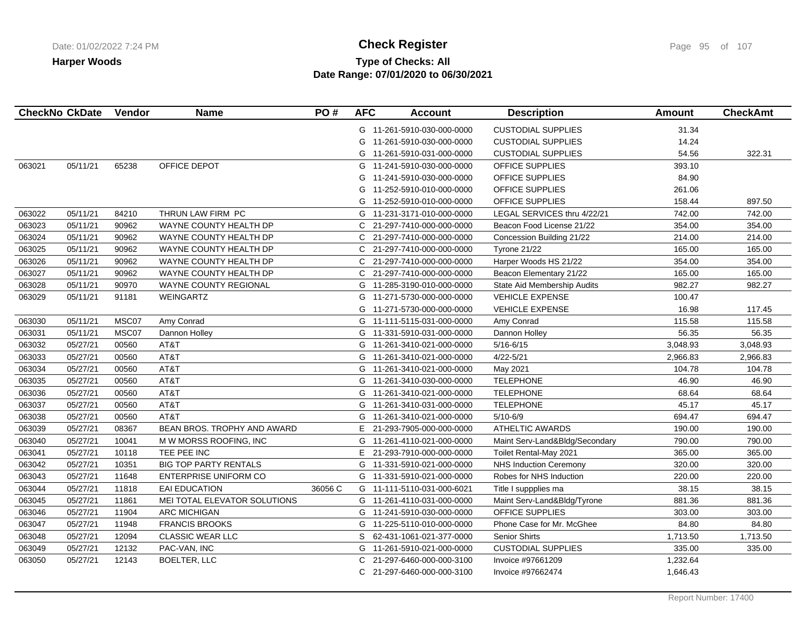## **Type of Checks: All Check Register Check Register Check Register Page 95 of 107 Date Range: 07/01/2020 to 06/30/2021**

| <b>CheckNo CkDate</b> |          | Vendor | <b>Name</b>                  | PO#     | <b>AFC</b> | <b>Account</b>             | <b>Description</b>             | <b>Amount</b> | <b>CheckAmt</b> |
|-----------------------|----------|--------|------------------------------|---------|------------|----------------------------|--------------------------------|---------------|-----------------|
|                       |          |        |                              |         |            | G 11-261-5910-030-000-0000 | <b>CUSTODIAL SUPPLIES</b>      | 31.34         |                 |
|                       |          |        |                              |         | G          | 11-261-5910-030-000-0000   | <b>CUSTODIAL SUPPLIES</b>      | 14.24         |                 |
|                       |          |        |                              |         | G          | 11-261-5910-031-000-0000   | <b>CUSTODIAL SUPPLIES</b>      | 54.56         | 322.31          |
| 063021                | 05/11/21 | 65238  | OFFICE DEPOT                 |         | G          | 11-241-5910-030-000-0000   | OFFICE SUPPLIES                | 393.10        |                 |
|                       |          |        |                              |         | G          | 11-241-5910-030-000-0000   | OFFICE SUPPLIES                | 84.90         |                 |
|                       |          |        |                              |         | G          | 11-252-5910-010-000-0000   | OFFICE SUPPLIES                | 261.06        |                 |
|                       |          |        |                              |         | G          | 11-252-5910-010-000-0000   | <b>OFFICE SUPPLIES</b>         | 158.44        | 897.50          |
| 063022                | 05/11/21 | 84210  | THRUN LAW FIRM PC            |         | G          | 11-231-3171-010-000-0000   | LEGAL SERVICES thru 4/22/21    | 742.00        | 742.00          |
| 063023                | 05/11/21 | 90962  | WAYNE COUNTY HEALTH DP       |         | C          | 21-297-7410-000-000-0000   | Beacon Food License 21/22      | 354.00        | 354.00          |
| 063024                | 05/11/21 | 90962  | WAYNE COUNTY HEALTH DP       |         | C          | 21-297-7410-000-000-0000   | Concession Building 21/22      | 214.00        | 214.00          |
| 063025                | 05/11/21 | 90962  | WAYNE COUNTY HEALTH DP       |         | C          | 21-297-7410-000-000-0000   | Tyrone 21/22                   | 165.00        | 165.00          |
| 063026                | 05/11/21 | 90962  | WAYNE COUNTY HEALTH DP       |         |            | C 21-297-7410-000-000-0000 | Harper Woods HS 21/22          | 354.00        | 354.00          |
| 063027                | 05/11/21 | 90962  | WAYNE COUNTY HEALTH DP       |         | C          | 21-297-7410-000-000-0000   | Beacon Elementary 21/22        | 165.00        | 165.00          |
| 063028                | 05/11/21 | 90970  | <b>WAYNE COUNTY REGIONAL</b> |         | G          | 11-285-3190-010-000-0000   | State Aid Membership Audits    | 982.27        | 982.27          |
| 063029                | 05/11/21 | 91181  | WEINGARTZ                    |         | G          | 11-271-5730-000-000-0000   | <b>VEHICLE EXPENSE</b>         | 100.47        |                 |
|                       |          |        |                              |         | G          | 11-271-5730-000-000-0000   | <b>VEHICLE EXPENSE</b>         | 16.98         | 117.45          |
| 063030                | 05/11/21 | MSC07  | Amy Conrad                   |         |            | G 11-111-5115-031-000-0000 | Amy Conrad                     | 115.58        | 115.58          |
| 063031                | 05/11/21 | MSC07  | Dannon Holley                |         | G          | 11-331-5910-031-000-0000   | Dannon Holley                  | 56.35         | 56.35           |
| 063032                | 05/27/21 | 00560  | AT&T                         |         | G          | 11-261-3410-021-000-0000   | $5/16 - 6/15$                  | 3,048.93      | 3,048.93        |
| 063033                | 05/27/21 | 00560  | AT&T                         |         |            | G 11-261-3410-021-000-0000 | $4/22 - 5/21$                  | 2,966.83      | 2,966.83        |
| 063034                | 05/27/21 | 00560  | AT&T                         |         |            | G 11-261-3410-021-000-0000 | May 2021                       | 104.78        | 104.78          |
| 063035                | 05/27/21 | 00560  | AT&T                         |         |            | G 11-261-3410-030-000-0000 | <b>TELEPHONE</b>               | 46.90         | 46.90           |
| 063036                | 05/27/21 | 00560  | AT&T                         |         |            | G 11-261-3410-021-000-0000 | <b>TELEPHONE</b>               | 68.64         | 68.64           |
| 063037                | 05/27/21 | 00560  | AT&T                         |         | G          | 11-261-3410-031-000-0000   | <b>TELEPHONE</b>               | 45.17         | 45.17           |
| 063038                | 05/27/21 | 00560  | AT&T                         |         | G          | 11-261-3410-021-000-0000   | $5/10 - 6/9$                   | 694.47        | 694.47          |
| 063039                | 05/27/21 | 08367  | BEAN BROS. TROPHY AND AWARD  |         | E          | 21-293-7905-000-000-0000   | <b>ATHELTIC AWARDS</b>         | 190.00        | 190.00          |
| 063040                | 05/27/21 | 10041  | M W MORSS ROOFING, INC       |         | G          | 11-261-4110-021-000-0000   | Maint Serv-Land&Bldg/Secondary | 790.00        | 790.00          |
| 063041                | 05/27/21 | 10118  | TEE PEE INC                  |         | E          | 21-293-7910-000-000-0000   | Toilet Rental-May 2021         | 365.00        | 365.00          |
| 063042                | 05/27/21 | 10351  | <b>BIG TOP PARTY RENTALS</b> |         | G          | 11-331-5910-021-000-0000   | <b>NHS Induction Ceremony</b>  | 320.00        | 320.00          |
| 063043                | 05/27/21 | 11648  | <b>ENTERPRISE UNIFORM CO</b> |         |            | G 11-331-5910-021-000-0000 | Robes for NHS Induction        | 220.00        | 220.00          |
| 063044                | 05/27/21 | 11818  | <b>EAI EDUCATION</b>         | 36056 C |            | G 11-111-5110-031-000-6021 | Title I suppplies ma           | 38.15         | 38.15           |
| 063045                | 05/27/21 | 11861  | MEI TOTAL ELEVATOR SOLUTIONS |         |            | G 11-261-4110-031-000-0000 | Maint Serv-Land&Bldg/Tyrone    | 881.36        | 881.36          |
| 063046                | 05/27/21 | 11904  | <b>ARC MICHIGAN</b>          |         |            | G 11-241-5910-030-000-0000 | OFFICE SUPPLIES                | 303.00        | 303.00          |
| 063047                | 05/27/21 | 11948  | <b>FRANCIS BROOKS</b>        |         |            | G 11-225-5110-010-000-0000 | Phone Case for Mr. McGhee      | 84.80         | 84.80           |
| 063048                | 05/27/21 | 12094  | <b>CLASSIC WEAR LLC</b>      |         | S          | 62-431-1061-021-377-0000   | <b>Senior Shirts</b>           | 1,713.50      | 1,713.50        |
| 063049                | 05/27/21 | 12132  | PAC-VAN, INC                 |         | G          | 11-261-5910-021-000-0000   | <b>CUSTODIAL SUPPLIES</b>      | 335.00        | 335.00          |
| 063050                | 05/27/21 | 12143  | <b>BOELTER, LLC</b>          |         | C          | 21-297-6460-000-000-3100   | Invoice #97661209              | 1,232.64      |                 |
|                       |          |        |                              |         | C          | 21-297-6460-000-000-3100   | Invoice #97662474              | 1,646.43      |                 |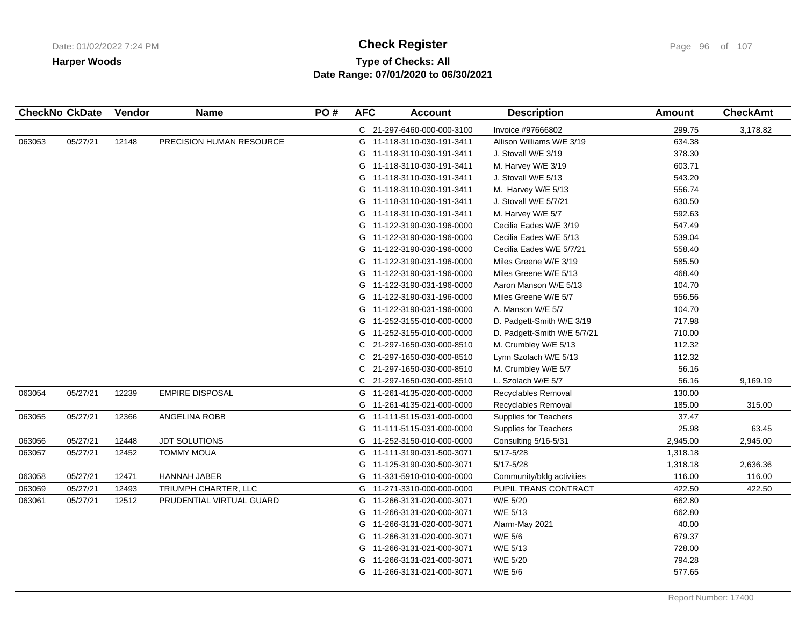# **Type of Checks: All Check Register Check Register Check Register Page 96 of 107 Date Range: 07/01/2020 to 06/30/2021**

| 299.75<br>3,178.82<br>C 21-297-6460-000-000-3100<br>Invoice #97666802<br>05/27/21<br>PRECISION HUMAN RESOURCE<br>634.38<br>063053<br>12148<br>G 11-118-3110-030-191-3411<br>Allison Williams W/E 3/19<br>378.30<br>11-118-3110-030-191-3411<br>J. Stovall W/E 3/19<br>G<br>603.71<br>M. Harvey W/E 3/19<br>G 11-118-3110-030-191-3411<br>543.20<br>G<br>11-118-3110-030-191-3411<br>J. Stovall W/E 5/13<br>556.74<br>M. Harvey W/E 5/13<br>G<br>11-118-3110-030-191-3411<br>630.50<br>G 11-118-3110-030-191-3411<br>J. Stovall W/E 5/7/21<br>592.63<br>G 11-118-3110-030-191-3411<br>M. Harvey W/E 5/7<br>547.49<br>G 11-122-3190-030-196-0000<br>Cecilia Eades W/E 3/19<br>539.04<br>G 11-122-3190-030-196-0000<br>Cecilia Eades W/E 5/13<br>558.40<br>G 11-122-3190-030-196-0000<br>Cecilia Eades W/E 5/7/21<br>585.50<br>11-122-3190-031-196-0000<br>Miles Greene W/E 3/19<br>G<br>468.40<br>11-122-3190-031-196-0000<br>Miles Greene W/E 5/13<br>G<br>104.70<br>G 11-122-3190-031-196-0000<br>Aaron Manson W/E 5/13<br>556.56<br>G 11-122-3190-031-196-0000<br>Miles Greene W/E 5/7<br>G 11-122-3190-031-196-0000<br>A. Manson W/E 5/7<br>104.70<br>717.98<br>G 11-252-3155-010-000-0000<br>D. Padgett-Smith W/E 3/19<br>G 11-252-3155-010-000-0000<br>710.00<br>D. Padgett-Smith W/E 5/7/21<br>112.32<br>C<br>21-297-1650-030-000-8510<br>M. Crumbley W/E 5/13<br>21-297-1650-030-000-8510<br>Lynn Szolach W/E 5/13<br>112.32<br>C.<br>56.16<br>21-297-1650-030-000-8510<br>M. Crumbley W/E 5/7<br>C<br>56.16<br>L. Szolach W/E 5/7<br>9,169.19<br>C.<br>21-297-1650-030-000-8510<br>063054<br>05/27/21<br>12239<br><b>EMPIRE DISPOSAL</b><br>11-261-4135-020-000-0000<br>Recyclables Removal<br>130.00<br>G<br>185.00<br>Recyclables Removal<br>315.00<br>G 11-261-4135-021-000-0000<br>05/27/21<br>12366<br><b>ANGELINA ROBB</b><br>37.47<br>063055<br>G 11-111-5115-031-000-0000<br><b>Supplies for Teachers</b><br>25.98<br>G 11-111-5115-031-000-0000<br><b>Supplies for Teachers</b><br>63.45<br><b>JDT SOLUTIONS</b><br>2,945.00<br>063056<br>05/27/21<br>12448<br>G 11-252-3150-010-000-0000<br>2,945.00<br>Consulting 5/16-5/31<br>05/27/21<br>12452<br>$5/17 - 5/28$<br>1,318.18<br>063057<br><b>TOMMY MOUA</b><br>11-111-3190-031-500-3071<br>G<br>$5/17 - 5/28$<br>1,318.18<br>2,636.36<br>11-125-3190-030-500-3071<br>G<br>05/27/21<br>12471<br>HANNAH JABER<br>116.00<br>116.00<br>063058<br>11-331-5910-010-000-0000<br>Community/bldg activities<br>G<br>063059<br>05/27/21<br>TRIUMPH CHARTER, LLC<br>422.50<br>12493<br>G 11-271-3310-000-000-0000<br>PUPIL TRANS CONTRACT<br>422.50<br>662.80<br>05/27/21<br>12512<br>W/E 5/20<br>063061<br>PRUDENTIAL VIRTUAL GUARD<br>G 11-266-3131-020-000-3071<br>W/E 5/13<br>662.80<br>11-266-3131-020-000-3071<br>G<br>40.00<br>11-266-3131-020-000-3071<br>Alarm-May 2021<br>G<br>679.37<br>W/E 5/6<br>G<br>11-266-3131-020-000-3071<br>W/E 5/13<br>728.00<br>G 11-266-3131-021-000-3071<br>794.28<br>W/E 5/20<br>11-266-3131-021-000-3071<br>G<br>W/E 5/6<br>577.65<br>G 11-266-3131-021-000-3071 | <b>CheckNo CkDate</b> | Vendor | <b>Name</b> | PO# | <b>AFC</b> | <b>Account</b> | <b>Description</b> | Amount | <b>CheckAmt</b> |
|-------------------------------------------------------------------------------------------------------------------------------------------------------------------------------------------------------------------------------------------------------------------------------------------------------------------------------------------------------------------------------------------------------------------------------------------------------------------------------------------------------------------------------------------------------------------------------------------------------------------------------------------------------------------------------------------------------------------------------------------------------------------------------------------------------------------------------------------------------------------------------------------------------------------------------------------------------------------------------------------------------------------------------------------------------------------------------------------------------------------------------------------------------------------------------------------------------------------------------------------------------------------------------------------------------------------------------------------------------------------------------------------------------------------------------------------------------------------------------------------------------------------------------------------------------------------------------------------------------------------------------------------------------------------------------------------------------------------------------------------------------------------------------------------------------------------------------------------------------------------------------------------------------------------------------------------------------------------------------------------------------------------------------------------------------------------------------------------------------------------------------------------------------------------------------------------------------------------------------------------------------------------------------------------------------------------------------------------------------------------------------------------------------------------------------------------------------------------------------------------------------------------------------------------------------------------------------------------------------------------------------------------------------------------------------------------------------------------------------------------------------------------------------------------------------------------------------------------------------------------------------------------------------------------------------------------------------------------------------------------------------------------------------------------------------------------|-----------------------|--------|-------------|-----|------------|----------------|--------------------|--------|-----------------|
|                                                                                                                                                                                                                                                                                                                                                                                                                                                                                                                                                                                                                                                                                                                                                                                                                                                                                                                                                                                                                                                                                                                                                                                                                                                                                                                                                                                                                                                                                                                                                                                                                                                                                                                                                                                                                                                                                                                                                                                                                                                                                                                                                                                                                                                                                                                                                                                                                                                                                                                                                                                                                                                                                                                                                                                                                                                                                                                                                                                                                                                                   |                       |        |             |     |            |                |                    |        |                 |
|                                                                                                                                                                                                                                                                                                                                                                                                                                                                                                                                                                                                                                                                                                                                                                                                                                                                                                                                                                                                                                                                                                                                                                                                                                                                                                                                                                                                                                                                                                                                                                                                                                                                                                                                                                                                                                                                                                                                                                                                                                                                                                                                                                                                                                                                                                                                                                                                                                                                                                                                                                                                                                                                                                                                                                                                                                                                                                                                                                                                                                                                   |                       |        |             |     |            |                |                    |        |                 |
|                                                                                                                                                                                                                                                                                                                                                                                                                                                                                                                                                                                                                                                                                                                                                                                                                                                                                                                                                                                                                                                                                                                                                                                                                                                                                                                                                                                                                                                                                                                                                                                                                                                                                                                                                                                                                                                                                                                                                                                                                                                                                                                                                                                                                                                                                                                                                                                                                                                                                                                                                                                                                                                                                                                                                                                                                                                                                                                                                                                                                                                                   |                       |        |             |     |            |                |                    |        |                 |
|                                                                                                                                                                                                                                                                                                                                                                                                                                                                                                                                                                                                                                                                                                                                                                                                                                                                                                                                                                                                                                                                                                                                                                                                                                                                                                                                                                                                                                                                                                                                                                                                                                                                                                                                                                                                                                                                                                                                                                                                                                                                                                                                                                                                                                                                                                                                                                                                                                                                                                                                                                                                                                                                                                                                                                                                                                                                                                                                                                                                                                                                   |                       |        |             |     |            |                |                    |        |                 |
|                                                                                                                                                                                                                                                                                                                                                                                                                                                                                                                                                                                                                                                                                                                                                                                                                                                                                                                                                                                                                                                                                                                                                                                                                                                                                                                                                                                                                                                                                                                                                                                                                                                                                                                                                                                                                                                                                                                                                                                                                                                                                                                                                                                                                                                                                                                                                                                                                                                                                                                                                                                                                                                                                                                                                                                                                                                                                                                                                                                                                                                                   |                       |        |             |     |            |                |                    |        |                 |
|                                                                                                                                                                                                                                                                                                                                                                                                                                                                                                                                                                                                                                                                                                                                                                                                                                                                                                                                                                                                                                                                                                                                                                                                                                                                                                                                                                                                                                                                                                                                                                                                                                                                                                                                                                                                                                                                                                                                                                                                                                                                                                                                                                                                                                                                                                                                                                                                                                                                                                                                                                                                                                                                                                                                                                                                                                                                                                                                                                                                                                                                   |                       |        |             |     |            |                |                    |        |                 |
|                                                                                                                                                                                                                                                                                                                                                                                                                                                                                                                                                                                                                                                                                                                                                                                                                                                                                                                                                                                                                                                                                                                                                                                                                                                                                                                                                                                                                                                                                                                                                                                                                                                                                                                                                                                                                                                                                                                                                                                                                                                                                                                                                                                                                                                                                                                                                                                                                                                                                                                                                                                                                                                                                                                                                                                                                                                                                                                                                                                                                                                                   |                       |        |             |     |            |                |                    |        |                 |
|                                                                                                                                                                                                                                                                                                                                                                                                                                                                                                                                                                                                                                                                                                                                                                                                                                                                                                                                                                                                                                                                                                                                                                                                                                                                                                                                                                                                                                                                                                                                                                                                                                                                                                                                                                                                                                                                                                                                                                                                                                                                                                                                                                                                                                                                                                                                                                                                                                                                                                                                                                                                                                                                                                                                                                                                                                                                                                                                                                                                                                                                   |                       |        |             |     |            |                |                    |        |                 |
|                                                                                                                                                                                                                                                                                                                                                                                                                                                                                                                                                                                                                                                                                                                                                                                                                                                                                                                                                                                                                                                                                                                                                                                                                                                                                                                                                                                                                                                                                                                                                                                                                                                                                                                                                                                                                                                                                                                                                                                                                                                                                                                                                                                                                                                                                                                                                                                                                                                                                                                                                                                                                                                                                                                                                                                                                                                                                                                                                                                                                                                                   |                       |        |             |     |            |                |                    |        |                 |
|                                                                                                                                                                                                                                                                                                                                                                                                                                                                                                                                                                                                                                                                                                                                                                                                                                                                                                                                                                                                                                                                                                                                                                                                                                                                                                                                                                                                                                                                                                                                                                                                                                                                                                                                                                                                                                                                                                                                                                                                                                                                                                                                                                                                                                                                                                                                                                                                                                                                                                                                                                                                                                                                                                                                                                                                                                                                                                                                                                                                                                                                   |                       |        |             |     |            |                |                    |        |                 |
|                                                                                                                                                                                                                                                                                                                                                                                                                                                                                                                                                                                                                                                                                                                                                                                                                                                                                                                                                                                                                                                                                                                                                                                                                                                                                                                                                                                                                                                                                                                                                                                                                                                                                                                                                                                                                                                                                                                                                                                                                                                                                                                                                                                                                                                                                                                                                                                                                                                                                                                                                                                                                                                                                                                                                                                                                                                                                                                                                                                                                                                                   |                       |        |             |     |            |                |                    |        |                 |
|                                                                                                                                                                                                                                                                                                                                                                                                                                                                                                                                                                                                                                                                                                                                                                                                                                                                                                                                                                                                                                                                                                                                                                                                                                                                                                                                                                                                                                                                                                                                                                                                                                                                                                                                                                                                                                                                                                                                                                                                                                                                                                                                                                                                                                                                                                                                                                                                                                                                                                                                                                                                                                                                                                                                                                                                                                                                                                                                                                                                                                                                   |                       |        |             |     |            |                |                    |        |                 |
|                                                                                                                                                                                                                                                                                                                                                                                                                                                                                                                                                                                                                                                                                                                                                                                                                                                                                                                                                                                                                                                                                                                                                                                                                                                                                                                                                                                                                                                                                                                                                                                                                                                                                                                                                                                                                                                                                                                                                                                                                                                                                                                                                                                                                                                                                                                                                                                                                                                                                                                                                                                                                                                                                                                                                                                                                                                                                                                                                                                                                                                                   |                       |        |             |     |            |                |                    |        |                 |
|                                                                                                                                                                                                                                                                                                                                                                                                                                                                                                                                                                                                                                                                                                                                                                                                                                                                                                                                                                                                                                                                                                                                                                                                                                                                                                                                                                                                                                                                                                                                                                                                                                                                                                                                                                                                                                                                                                                                                                                                                                                                                                                                                                                                                                                                                                                                                                                                                                                                                                                                                                                                                                                                                                                                                                                                                                                                                                                                                                                                                                                                   |                       |        |             |     |            |                |                    |        |                 |
|                                                                                                                                                                                                                                                                                                                                                                                                                                                                                                                                                                                                                                                                                                                                                                                                                                                                                                                                                                                                                                                                                                                                                                                                                                                                                                                                                                                                                                                                                                                                                                                                                                                                                                                                                                                                                                                                                                                                                                                                                                                                                                                                                                                                                                                                                                                                                                                                                                                                                                                                                                                                                                                                                                                                                                                                                                                                                                                                                                                                                                                                   |                       |        |             |     |            |                |                    |        |                 |
|                                                                                                                                                                                                                                                                                                                                                                                                                                                                                                                                                                                                                                                                                                                                                                                                                                                                                                                                                                                                                                                                                                                                                                                                                                                                                                                                                                                                                                                                                                                                                                                                                                                                                                                                                                                                                                                                                                                                                                                                                                                                                                                                                                                                                                                                                                                                                                                                                                                                                                                                                                                                                                                                                                                                                                                                                                                                                                                                                                                                                                                                   |                       |        |             |     |            |                |                    |        |                 |
|                                                                                                                                                                                                                                                                                                                                                                                                                                                                                                                                                                                                                                                                                                                                                                                                                                                                                                                                                                                                                                                                                                                                                                                                                                                                                                                                                                                                                                                                                                                                                                                                                                                                                                                                                                                                                                                                                                                                                                                                                                                                                                                                                                                                                                                                                                                                                                                                                                                                                                                                                                                                                                                                                                                                                                                                                                                                                                                                                                                                                                                                   |                       |        |             |     |            |                |                    |        |                 |
|                                                                                                                                                                                                                                                                                                                                                                                                                                                                                                                                                                                                                                                                                                                                                                                                                                                                                                                                                                                                                                                                                                                                                                                                                                                                                                                                                                                                                                                                                                                                                                                                                                                                                                                                                                                                                                                                                                                                                                                                                                                                                                                                                                                                                                                                                                                                                                                                                                                                                                                                                                                                                                                                                                                                                                                                                                                                                                                                                                                                                                                                   |                       |        |             |     |            |                |                    |        |                 |
|                                                                                                                                                                                                                                                                                                                                                                                                                                                                                                                                                                                                                                                                                                                                                                                                                                                                                                                                                                                                                                                                                                                                                                                                                                                                                                                                                                                                                                                                                                                                                                                                                                                                                                                                                                                                                                                                                                                                                                                                                                                                                                                                                                                                                                                                                                                                                                                                                                                                                                                                                                                                                                                                                                                                                                                                                                                                                                                                                                                                                                                                   |                       |        |             |     |            |                |                    |        |                 |
|                                                                                                                                                                                                                                                                                                                                                                                                                                                                                                                                                                                                                                                                                                                                                                                                                                                                                                                                                                                                                                                                                                                                                                                                                                                                                                                                                                                                                                                                                                                                                                                                                                                                                                                                                                                                                                                                                                                                                                                                                                                                                                                                                                                                                                                                                                                                                                                                                                                                                                                                                                                                                                                                                                                                                                                                                                                                                                                                                                                                                                                                   |                       |        |             |     |            |                |                    |        |                 |
|                                                                                                                                                                                                                                                                                                                                                                                                                                                                                                                                                                                                                                                                                                                                                                                                                                                                                                                                                                                                                                                                                                                                                                                                                                                                                                                                                                                                                                                                                                                                                                                                                                                                                                                                                                                                                                                                                                                                                                                                                                                                                                                                                                                                                                                                                                                                                                                                                                                                                                                                                                                                                                                                                                                                                                                                                                                                                                                                                                                                                                                                   |                       |        |             |     |            |                |                    |        |                 |
|                                                                                                                                                                                                                                                                                                                                                                                                                                                                                                                                                                                                                                                                                                                                                                                                                                                                                                                                                                                                                                                                                                                                                                                                                                                                                                                                                                                                                                                                                                                                                                                                                                                                                                                                                                                                                                                                                                                                                                                                                                                                                                                                                                                                                                                                                                                                                                                                                                                                                                                                                                                                                                                                                                                                                                                                                                                                                                                                                                                                                                                                   |                       |        |             |     |            |                |                    |        |                 |
|                                                                                                                                                                                                                                                                                                                                                                                                                                                                                                                                                                                                                                                                                                                                                                                                                                                                                                                                                                                                                                                                                                                                                                                                                                                                                                                                                                                                                                                                                                                                                                                                                                                                                                                                                                                                                                                                                                                                                                                                                                                                                                                                                                                                                                                                                                                                                                                                                                                                                                                                                                                                                                                                                                                                                                                                                                                                                                                                                                                                                                                                   |                       |        |             |     |            |                |                    |        |                 |
|                                                                                                                                                                                                                                                                                                                                                                                                                                                                                                                                                                                                                                                                                                                                                                                                                                                                                                                                                                                                                                                                                                                                                                                                                                                                                                                                                                                                                                                                                                                                                                                                                                                                                                                                                                                                                                                                                                                                                                                                                                                                                                                                                                                                                                                                                                                                                                                                                                                                                                                                                                                                                                                                                                                                                                                                                                                                                                                                                                                                                                                                   |                       |        |             |     |            |                |                    |        |                 |
|                                                                                                                                                                                                                                                                                                                                                                                                                                                                                                                                                                                                                                                                                                                                                                                                                                                                                                                                                                                                                                                                                                                                                                                                                                                                                                                                                                                                                                                                                                                                                                                                                                                                                                                                                                                                                                                                                                                                                                                                                                                                                                                                                                                                                                                                                                                                                                                                                                                                                                                                                                                                                                                                                                                                                                                                                                                                                                                                                                                                                                                                   |                       |        |             |     |            |                |                    |        |                 |
|                                                                                                                                                                                                                                                                                                                                                                                                                                                                                                                                                                                                                                                                                                                                                                                                                                                                                                                                                                                                                                                                                                                                                                                                                                                                                                                                                                                                                                                                                                                                                                                                                                                                                                                                                                                                                                                                                                                                                                                                                                                                                                                                                                                                                                                                                                                                                                                                                                                                                                                                                                                                                                                                                                                                                                                                                                                                                                                                                                                                                                                                   |                       |        |             |     |            |                |                    |        |                 |
|                                                                                                                                                                                                                                                                                                                                                                                                                                                                                                                                                                                                                                                                                                                                                                                                                                                                                                                                                                                                                                                                                                                                                                                                                                                                                                                                                                                                                                                                                                                                                                                                                                                                                                                                                                                                                                                                                                                                                                                                                                                                                                                                                                                                                                                                                                                                                                                                                                                                                                                                                                                                                                                                                                                                                                                                                                                                                                                                                                                                                                                                   |                       |        |             |     |            |                |                    |        |                 |
|                                                                                                                                                                                                                                                                                                                                                                                                                                                                                                                                                                                                                                                                                                                                                                                                                                                                                                                                                                                                                                                                                                                                                                                                                                                                                                                                                                                                                                                                                                                                                                                                                                                                                                                                                                                                                                                                                                                                                                                                                                                                                                                                                                                                                                                                                                                                                                                                                                                                                                                                                                                                                                                                                                                                                                                                                                                                                                                                                                                                                                                                   |                       |        |             |     |            |                |                    |        |                 |
|                                                                                                                                                                                                                                                                                                                                                                                                                                                                                                                                                                                                                                                                                                                                                                                                                                                                                                                                                                                                                                                                                                                                                                                                                                                                                                                                                                                                                                                                                                                                                                                                                                                                                                                                                                                                                                                                                                                                                                                                                                                                                                                                                                                                                                                                                                                                                                                                                                                                                                                                                                                                                                                                                                                                                                                                                                                                                                                                                                                                                                                                   |                       |        |             |     |            |                |                    |        |                 |
|                                                                                                                                                                                                                                                                                                                                                                                                                                                                                                                                                                                                                                                                                                                                                                                                                                                                                                                                                                                                                                                                                                                                                                                                                                                                                                                                                                                                                                                                                                                                                                                                                                                                                                                                                                                                                                                                                                                                                                                                                                                                                                                                                                                                                                                                                                                                                                                                                                                                                                                                                                                                                                                                                                                                                                                                                                                                                                                                                                                                                                                                   |                       |        |             |     |            |                |                    |        |                 |
|                                                                                                                                                                                                                                                                                                                                                                                                                                                                                                                                                                                                                                                                                                                                                                                                                                                                                                                                                                                                                                                                                                                                                                                                                                                                                                                                                                                                                                                                                                                                                                                                                                                                                                                                                                                                                                                                                                                                                                                                                                                                                                                                                                                                                                                                                                                                                                                                                                                                                                                                                                                                                                                                                                                                                                                                                                                                                                                                                                                                                                                                   |                       |        |             |     |            |                |                    |        |                 |
|                                                                                                                                                                                                                                                                                                                                                                                                                                                                                                                                                                                                                                                                                                                                                                                                                                                                                                                                                                                                                                                                                                                                                                                                                                                                                                                                                                                                                                                                                                                                                                                                                                                                                                                                                                                                                                                                                                                                                                                                                                                                                                                                                                                                                                                                                                                                                                                                                                                                                                                                                                                                                                                                                                                                                                                                                                                                                                                                                                                                                                                                   |                       |        |             |     |            |                |                    |        |                 |
|                                                                                                                                                                                                                                                                                                                                                                                                                                                                                                                                                                                                                                                                                                                                                                                                                                                                                                                                                                                                                                                                                                                                                                                                                                                                                                                                                                                                                                                                                                                                                                                                                                                                                                                                                                                                                                                                                                                                                                                                                                                                                                                                                                                                                                                                                                                                                                                                                                                                                                                                                                                                                                                                                                                                                                                                                                                                                                                                                                                                                                                                   |                       |        |             |     |            |                |                    |        |                 |
|                                                                                                                                                                                                                                                                                                                                                                                                                                                                                                                                                                                                                                                                                                                                                                                                                                                                                                                                                                                                                                                                                                                                                                                                                                                                                                                                                                                                                                                                                                                                                                                                                                                                                                                                                                                                                                                                                                                                                                                                                                                                                                                                                                                                                                                                                                                                                                                                                                                                                                                                                                                                                                                                                                                                                                                                                                                                                                                                                                                                                                                                   |                       |        |             |     |            |                |                    |        |                 |
|                                                                                                                                                                                                                                                                                                                                                                                                                                                                                                                                                                                                                                                                                                                                                                                                                                                                                                                                                                                                                                                                                                                                                                                                                                                                                                                                                                                                                                                                                                                                                                                                                                                                                                                                                                                                                                                                                                                                                                                                                                                                                                                                                                                                                                                                                                                                                                                                                                                                                                                                                                                                                                                                                                                                                                                                                                                                                                                                                                                                                                                                   |                       |        |             |     |            |                |                    |        |                 |
|                                                                                                                                                                                                                                                                                                                                                                                                                                                                                                                                                                                                                                                                                                                                                                                                                                                                                                                                                                                                                                                                                                                                                                                                                                                                                                                                                                                                                                                                                                                                                                                                                                                                                                                                                                                                                                                                                                                                                                                                                                                                                                                                                                                                                                                                                                                                                                                                                                                                                                                                                                                                                                                                                                                                                                                                                                                                                                                                                                                                                                                                   |                       |        |             |     |            |                |                    |        |                 |
|                                                                                                                                                                                                                                                                                                                                                                                                                                                                                                                                                                                                                                                                                                                                                                                                                                                                                                                                                                                                                                                                                                                                                                                                                                                                                                                                                                                                                                                                                                                                                                                                                                                                                                                                                                                                                                                                                                                                                                                                                                                                                                                                                                                                                                                                                                                                                                                                                                                                                                                                                                                                                                                                                                                                                                                                                                                                                                                                                                                                                                                                   |                       |        |             |     |            |                |                    |        |                 |
|                                                                                                                                                                                                                                                                                                                                                                                                                                                                                                                                                                                                                                                                                                                                                                                                                                                                                                                                                                                                                                                                                                                                                                                                                                                                                                                                                                                                                                                                                                                                                                                                                                                                                                                                                                                                                                                                                                                                                                                                                                                                                                                                                                                                                                                                                                                                                                                                                                                                                                                                                                                                                                                                                                                                                                                                                                                                                                                                                                                                                                                                   |                       |        |             |     |            |                |                    |        |                 |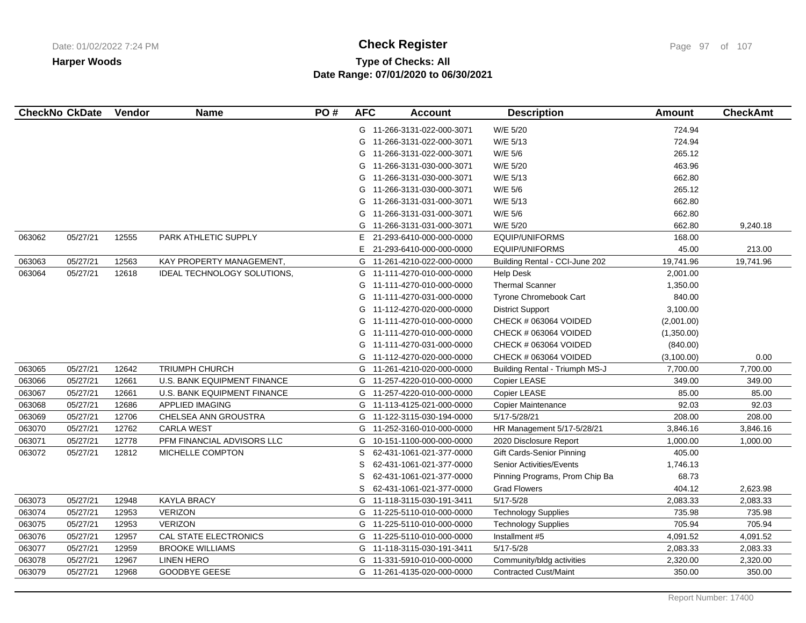# **Type of Checks: All Check Register Check Register Check Register Page 97 of 107 Date Range: 07/01/2020 to 06/30/2021**

| <b>CheckNo CkDate</b> |          | Vendor | <b>Name</b>                        | PO# | <b>AFC</b> | <b>Account</b>             | <b>Description</b>              | <b>Amount</b> | <b>CheckAmt</b> |
|-----------------------|----------|--------|------------------------------------|-----|------------|----------------------------|---------------------------------|---------------|-----------------|
|                       |          |        |                                    |     |            | G 11-266-3131-022-000-3071 | W/E 5/20                        | 724.94        |                 |
|                       |          |        |                                    |     | G          | 11-266-3131-022-000-3071   | W/E 5/13                        | 724.94        |                 |
|                       |          |        |                                    |     | G          | 11-266-3131-022-000-3071   | W/E 5/6                         | 265.12        |                 |
|                       |          |        |                                    |     | G          | 11-266-3131-030-000-3071   | W/E 5/20                        | 463.96        |                 |
|                       |          |        |                                    |     | G          | 11-266-3131-030-000-3071   | W/E 5/13                        | 662.80        |                 |
|                       |          |        |                                    |     | G          | 11-266-3131-030-000-3071   | W/E 5/6                         | 265.12        |                 |
|                       |          |        |                                    |     | G          | 11-266-3131-031-000-3071   | W/E 5/13                        | 662.80        |                 |
|                       |          |        |                                    |     | G          | 11-266-3131-031-000-3071   | W/E 5/6                         | 662.80        |                 |
|                       |          |        |                                    |     | G          | 11-266-3131-031-000-3071   | W/E 5/20                        | 662.80        | 9,240.18        |
| 063062                | 05/27/21 | 12555  | PARK ATHLETIC SUPPLY               |     | Е          | 21-293-6410-000-000-0000   | EQUIP/UNIFORMS                  | 168.00        |                 |
|                       |          |        |                                    |     | E          | 21-293-6410-000-000-0000   | EQUIP/UNIFORMS                  | 45.00         | 213.00          |
| 063063                | 05/27/21 | 12563  | KAY PROPERTY MANAGEMENT,           |     | G          | 11-261-4210-022-000-0000   | Building Rental - CCI-June 202  | 19,741.96     | 19,741.96       |
| 063064                | 05/27/21 | 12618  | IDEAL TECHNOLOGY SOLUTIONS,        |     | G          | 11-111-4270-010-000-0000   | <b>Help Desk</b>                | 2,001.00      |                 |
|                       |          |        |                                    |     | G          | 11-111-4270-010-000-0000   | <b>Thermal Scanner</b>          | 1,350.00      |                 |
|                       |          |        |                                    |     | G          | 11-111-4270-031-000-0000   | Tyrone Chromebook Cart          | 840.00        |                 |
|                       |          |        |                                    |     | G          | 11-112-4270-020-000-0000   | <b>District Support</b>         | 3,100.00      |                 |
|                       |          |        |                                    |     | G          | 11-111-4270-010-000-0000   | CHECK # 063064 VOIDED           | (2,001.00)    |                 |
|                       |          |        |                                    |     | G          | 11-111-4270-010-000-0000   | CHECK # 063064 VOIDED           | (1,350.00)    |                 |
|                       |          |        |                                    |     | G          | 11-111-4270-031-000-0000   | CHECK # 063064 VOIDED           | (840.00)      |                 |
|                       |          |        |                                    |     | G          | 11-112-4270-020-000-0000   | CHECK # 063064 VOIDED           | (3,100.00)    | 0.00            |
| 063065                | 05/27/21 | 12642  | <b>TRIUMPH CHURCH</b>              |     | G          | 11-261-4210-020-000-0000   | Building Rental - Triumph MS-J  | 7,700.00      | 7,700.00        |
| 063066                | 05/27/21 | 12661  | <b>U.S. BANK EQUIPMENT FINANCE</b> |     | G          | 11-257-4220-010-000-0000   | Copier LEASE                    | 349.00        | 349.00          |
| 063067                | 05/27/21 | 12661  | U.S. BANK EQUIPMENT FINANCE        |     | G          | 11-257-4220-010-000-0000   | Copier LEASE                    | 85.00         | 85.00           |
| 063068                | 05/27/21 | 12686  | <b>APPLIED IMAGING</b>             |     | G          | 11-113-4125-021-000-0000   | <b>Copier Maintenance</b>       | 92.03         | 92.03           |
| 063069                | 05/27/21 | 12706  | CHELSEA ANN GROUSTRA               |     | G          | 11-122-3115-030-194-0000   | 5/17-5/28/21                    | 208.00        | 208.00          |
| 063070                | 05/27/21 | 12762  | <b>CARLA WEST</b>                  |     | G          | 11-252-3160-010-000-0000   | HR Management 5/17-5/28/21      | 3,846.16      | 3,846.16        |
| 063071                | 05/27/21 | 12778  | PFM FINANCIAL ADVISORS LLC         |     | G          | 10-151-1100-000-000-0000   | 2020 Disclosure Report          | 1,000.00      | 1,000.00        |
| 063072                | 05/27/21 | 12812  | MICHELLE COMPTON                   |     | S          | 62-431-1061-021-377-0000   | Gift Cards-Senior Pinning       | 405.00        |                 |
|                       |          |        |                                    |     | S          | 62-431-1061-021-377-0000   | <b>Senior Activities/Events</b> | 1,746.13      |                 |
|                       |          |        |                                    |     | S          | 62-431-1061-021-377-0000   | Pinning Programs, Prom Chip Ba  | 68.73         |                 |
|                       |          |        |                                    |     | S          | 62-431-1061-021-377-0000   | <b>Grad Flowers</b>             | 404.12        | 2,623.98        |
| 063073                | 05/27/21 | 12948  | <b>KAYLA BRACY</b>                 |     | G          | 11-118-3115-030-191-3411   | $5/17 - 5/28$                   | 2,083.33      | 2,083.33        |
| 063074                | 05/27/21 | 12953  | <b>VERIZON</b>                     |     | G          | 11-225-5110-010-000-0000   | <b>Technology Supplies</b>      | 735.98        | 735.98          |
| 063075                | 05/27/21 | 12953  | <b>VERIZON</b>                     |     | G          | 11-225-5110-010-000-0000   | <b>Technology Supplies</b>      | 705.94        | 705.94          |
| 063076                | 05/27/21 | 12957  | CAL STATE ELECTRONICS              |     | G          | 11-225-5110-010-000-0000   | Installment #5                  | 4,091.52      | 4,091.52        |
| 063077                | 05/27/21 | 12959  | <b>BROOKE WILLIAMS</b>             |     | G          | 11-118-3115-030-191-3411   | $5/17 - 5/28$                   | 2,083.33      | 2,083.33        |
| 063078                | 05/27/21 | 12967  | <b>LINEN HERO</b>                  |     | G          | 11-331-5910-010-000-0000   | Community/bldg activities       | 2,320.00      | 2,320.00        |
| 063079                | 05/27/21 | 12968  | <b>GOODBYE GEESE</b>               |     |            | G 11-261-4135-020-000-0000 | <b>Contracted Cust/Maint</b>    | 350.00        | 350.00          |
|                       |          |        |                                    |     |            |                            |                                 |               |                 |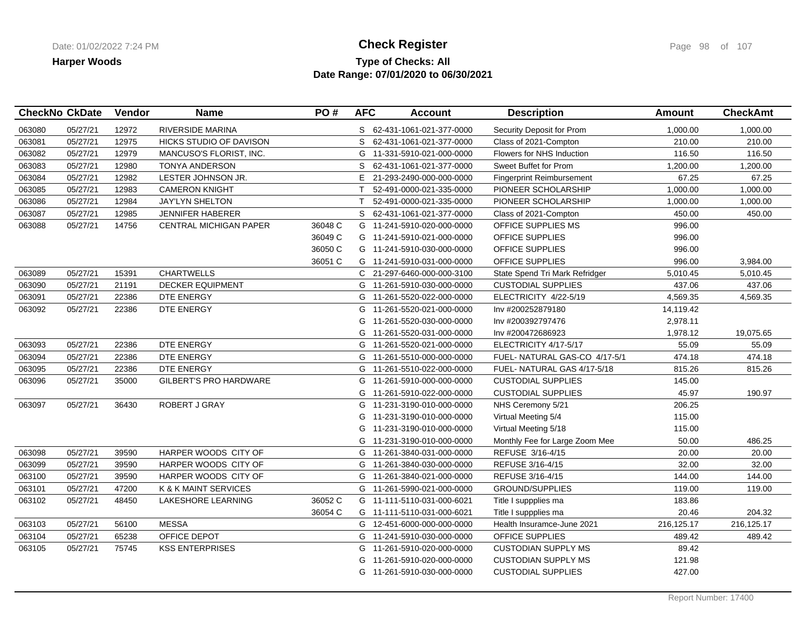### **Type of Checks: All Check Register Check Register Check Register Page 98 of 107 Date Range: 07/01/2020 to 06/30/2021**

|        | <b>CheckNo CkDate</b> | Vendor | <b>Name</b>                   | PO#     | <b>AFC</b>   | <b>Account</b>             | <b>Description</b>               | <b>Amount</b> | <b>CheckAmt</b> |
|--------|-----------------------|--------|-------------------------------|---------|--------------|----------------------------|----------------------------------|---------------|-----------------|
| 063080 | 05/27/21              | 12972  | <b>RIVERSIDE MARINA</b>       |         |              | S 62-431-1061-021-377-0000 | Security Deposit for Prom        | 1,000.00      | 1,000.00        |
| 063081 | 05/27/21              | 12975  | HICKS STUDIO OF DAVISON       |         | S            | 62-431-1061-021-377-0000   | Class of 2021-Compton            | 210.00        | 210.00          |
| 063082 | 05/27/21              | 12979  | MANCUSO'S FLORIST, INC.       |         |              | G 11-331-5910-021-000-0000 | Flowers for NHS Induction        | 116.50        | 116.50          |
| 063083 | 05/27/21              | 12980  | <b>TONYA ANDERSON</b>         |         | S            | 62-431-1061-021-377-0000   | Sweet Buffet for Prom            | 1,200.00      | 1,200.00        |
| 063084 | 05/27/21              | 12982  | LESTER JOHNSON JR.            |         | E            | 21-293-2490-000-000-0000   | <b>Fingerprint Reimbursement</b> | 67.25         | 67.25           |
| 063085 | 05/27/21              | 12983  | <b>CAMERON KNIGHT</b>         |         | $\mathsf{T}$ | 52-491-0000-021-335-0000   | PIONEER SCHOLARSHIP              | 1,000.00      | 1,000.00        |
| 063086 | 05/27/21              | 12984  | <b>JAY'LYN SHELTON</b>        |         | T.           | 52-491-0000-021-335-0000   | PIONEER SCHOLARSHIP              | 1,000.00      | 1,000.00        |
| 063087 | 05/27/21              | 12985  | <b>JENNIFER HABERER</b>       |         | S.           | 62-431-1061-021-377-0000   | Class of 2021-Compton            | 450.00        | 450.00          |
| 063088 | 05/27/21              | 14756  | <b>CENTRAL MICHIGAN PAPER</b> | 36048 C |              | G 11-241-5910-020-000-0000 | OFFICE SUPPLIES MS               | 996.00        |                 |
|        |                       |        |                               | 36049 C |              | G 11-241-5910-021-000-0000 | OFFICE SUPPLIES                  | 996.00        |                 |
|        |                       |        |                               | 36050 C |              | G 11-241-5910-030-000-0000 | OFFICE SUPPLIES                  | 996.00        |                 |
|        |                       |        |                               | 36051 C |              | G 11-241-5910-031-000-0000 | OFFICE SUPPLIES                  | 996.00        | 3,984.00        |
| 063089 | 05/27/21              | 15391  | <b>CHARTWELLS</b>             |         |              | C 21-297-6460-000-000-3100 | State Spend Tri Mark Refridger   | 5,010.45      | 5,010.45        |
| 063090 | 05/27/21              | 21191  | <b>DECKER EQUIPMENT</b>       |         | G            | 11-261-5910-030-000-0000   | <b>CUSTODIAL SUPPLIES</b>        | 437.06        | 437.06          |
| 063091 | 05/27/21              | 22386  | DTE ENERGY                    |         |              | G 11-261-5520-022-000-0000 | ELECTRICITY 4/22-5/19            | 4,569.35      | 4,569.35        |
| 063092 | 05/27/21              | 22386  | DTE ENERGY                    |         | G            | 11-261-5520-021-000-0000   | Inv #200252879180                | 14,119.42     |                 |
|        |                       |        |                               |         | G            | 11-261-5520-030-000-0000   | Inv #200392797476                | 2,978.11      |                 |
|        |                       |        |                               |         | G            | 11-261-5520-031-000-0000   | Inv #200472686923                | 1,978.12      | 19,075.65       |
| 063093 | 05/27/21              | 22386  | DTE ENERGY                    |         |              | G 11-261-5520-021-000-0000 | ELECTRICITY 4/17-5/17            | 55.09         | 55.09           |
| 063094 | 05/27/21              | 22386  | <b>DTE ENERGY</b>             |         | G            | 11-261-5510-000-000-0000   | FUEL- NATURAL GAS-CO 4/17-5/1    | 474.18        | 474.18          |
| 063095 | 05/27/21              | 22386  | DTE ENERGY                    |         | G            | 11-261-5510-022-000-0000   | FUEL-NATURAL GAS 4/17-5/18       | 815.26        | 815.26          |
| 063096 | 05/27/21              | 35000  | <b>GILBERT'S PRO HARDWARE</b> |         | G            | 11-261-5910-000-000-0000   | <b>CUSTODIAL SUPPLIES</b>        | 145.00        |                 |
|        |                       |        |                               |         | G            | 11-261-5910-022-000-0000   | <b>CUSTODIAL SUPPLIES</b>        | 45.97         | 190.97          |
| 063097 | 05/27/21              | 36430  | ROBERT J GRAY                 |         | G            | 11-231-3190-010-000-0000   | NHS Ceremony 5/21                | 206.25        |                 |
|        |                       |        |                               |         | G            | 11-231-3190-010-000-0000   | Virtual Meeting 5/4              | 115.00        |                 |
|        |                       |        |                               |         | G            | 11-231-3190-010-000-0000   | Virtual Meeting 5/18             | 115.00        |                 |
|        |                       |        |                               |         | G            | 11-231-3190-010-000-0000   | Monthly Fee for Large Zoom Mee   | 50.00         | 486.25          |
| 063098 | 05/27/21              | 39590  | HARPER WOODS CITY OF          |         | G            | 11-261-3840-031-000-0000   | REFUSE 3/16-4/15                 | 20.00         | 20.00           |
| 063099 | 05/27/21              | 39590  | HARPER WOODS CITY OF          |         | G            | 11-261-3840-030-000-0000   | REFUSE 3/16-4/15                 | 32.00         | 32.00           |
| 063100 | 05/27/21              | 39590  | HARPER WOODS CITY OF          |         | G            | 11-261-3840-021-000-0000   | REFUSE 3/16-4/15                 | 144.00        | 144.00          |
| 063101 | 05/27/21              | 47200  | K & K MAINT SERVICES          |         |              | G 11-261-5990-021-000-0000 | <b>GROUND/SUPPLIES</b>           | 119.00        | 119.00          |
| 063102 | 05/27/21              | 48450  | LAKESHORE LEARNING            | 36052 C |              | G 11-111-5110-031-000-6021 | Title I suppplies ma             | 183.86        |                 |
|        |                       |        |                               | 36054 C |              | G 11-111-5110-031-000-6021 | Title I suppplies ma             | 20.46         | 204.32          |
| 063103 | 05/27/21              | 56100  | <b>MESSA</b>                  |         |              | G 12-451-6000-000-000-0000 | Health Insuramce-June 2021       | 216,125.17    | 216,125.17      |
| 063104 | 05/27/21              | 65238  | OFFICE DEPOT                  |         |              | G 11-241-5910-030-000-0000 | OFFICE SUPPLIES                  | 489.42        | 489.42          |
| 063105 | 05/27/21              | 75745  | <b>KSS ENTERPRISES</b>        |         | G            | 11-261-5910-020-000-0000   | <b>CUSTODIAN SUPPLY MS</b>       | 89.42         |                 |
|        |                       |        |                               |         | G            | 11-261-5910-020-000-0000   | <b>CUSTODIAN SUPPLY MS</b>       | 121.98        |                 |
|        |                       |        |                               |         |              | G 11-261-5910-030-000-0000 | <b>CUSTODIAL SUPPLIES</b>        | 427.00        |                 |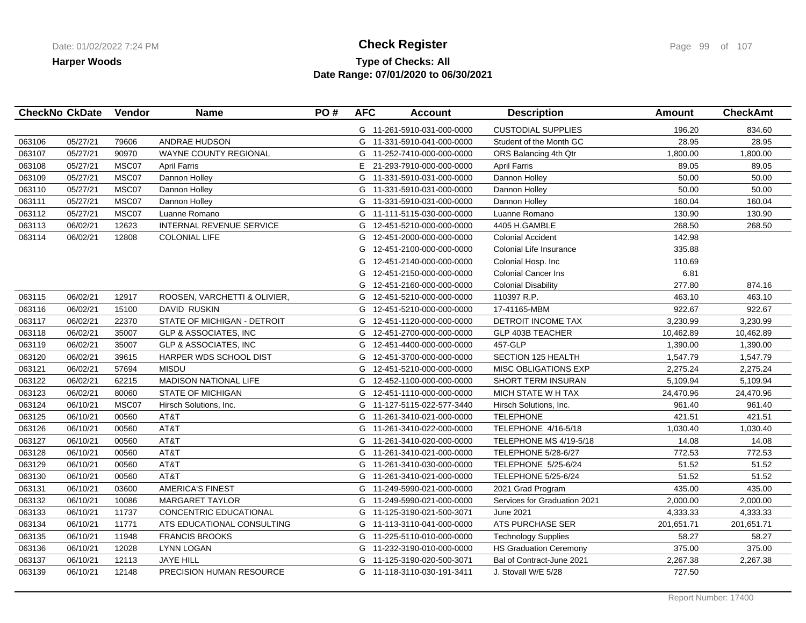### **Type of Checks: All Check Register Check Register Check Register Page 99 of 107 Date Range: 07/01/2020 to 06/30/2021**

|        | <b>CheckNo CkDate</b> | Vendor | <b>Name</b>                      | PO# | <b>AFC</b> | <b>Account</b>             | <b>Description</b>            | <b>Amount</b> | <b>CheckAmt</b> |
|--------|-----------------------|--------|----------------------------------|-----|------------|----------------------------|-------------------------------|---------------|-----------------|
|        |                       |        |                                  |     |            | G 11-261-5910-031-000-0000 | <b>CUSTODIAL SUPPLIES</b>     | 196.20        | 834.60          |
| 063106 | 05/27/21              | 79606  | <b>ANDRAE HUDSON</b>             |     |            | G 11-331-5910-041-000-0000 | Student of the Month GC       | 28.95         | 28.95           |
| 063107 | 05/27/21              | 90970  | WAYNE COUNTY REGIONAL            |     |            | G 11-252-7410-000-000-0000 | ORS Balancing 4th Qtr         | 1,800.00      | 1,800.00        |
| 063108 | 05/27/21              | MSC07  | <b>April Farris</b>              |     | E.         | 21-293-7910-000-000-0000   | <b>April Farris</b>           | 89.05         | 89.05           |
| 063109 | 05/27/21              | MSC07  | Dannon Holley                    |     |            | G 11-331-5910-031-000-0000 | Dannon Holley                 | 50.00         | 50.00           |
| 063110 | 05/27/21              | MSC07  | Dannon Holley                    |     |            | G 11-331-5910-031-000-0000 | Dannon Holley                 | 50.00         | 50.00           |
| 063111 | 05/27/21              | MSC07  | Dannon Holley                    |     |            | G 11-331-5910-031-000-0000 | Dannon Holley                 | 160.04        | 160.04          |
| 063112 | 05/27/21              | MSC07  | Luanne Romano                    |     | G          | 11-111-5115-030-000-0000   | Luanne Romano                 | 130.90        | 130.90          |
| 063113 | 06/02/21              | 12623  | <b>INTERNAL REVENUE SERVICE</b>  |     |            | G 12-451-5210-000-000-0000 | 4405 H.GAMBLE                 | 268.50        | 268.50          |
| 063114 | 06/02/21              | 12808  | <b>COLONIAL LIFE</b>             |     | G          | 12-451-2000-000-000-0000   | <b>Colonial Accident</b>      | 142.98        |                 |
|        |                       |        |                                  |     | G          | 12-451-2100-000-000-0000   | Colonial Life Insurance       | 335.88        |                 |
|        |                       |        |                                  |     | G          | 12-451-2140-000-000-0000   | Colonial Hosp. Inc            | 110.69        |                 |
|        |                       |        |                                  |     | G          | 12-451-2150-000-000-0000   | <b>Colonial Cancer Ins</b>    | 6.81          |                 |
|        |                       |        |                                  |     | G          | 12-451-2160-000-000-0000   | <b>Colonial Disability</b>    | 277.80        | 874.16          |
| 063115 | 06/02/21              | 12917  | ROOSEN, VARCHETTI & OLIVIER,     |     | G          | 12-451-5210-000-000-0000   | 110397 R.P.                   | 463.10        | 463.10          |
| 063116 | 06/02/21              | 15100  | <b>DAVID RUSKIN</b>              |     | G          | 12-451-5210-000-000-0000   | 17-41165-MBM                  | 922.67        | 922.67          |
| 063117 | 06/02/21              | 22370  | STATE OF MICHIGAN - DETROIT      |     | G          | 12-451-1120-000-000-0000   | DETROIT INCOME TAX            | 3,230.99      | 3,230.99        |
| 063118 | 06/02/21              | 35007  | <b>GLP &amp; ASSOCIATES, INC</b> |     |            | G 12-451-2700-000-000-0000 | <b>GLP 403B TEACHER</b>       | 10,462.89     | 10,462.89       |
| 063119 | 06/02/21              | 35007  | GLP & ASSOCIATES, INC            |     |            | G 12-451-4400-000-000-0000 | 457-GLP                       | 1,390.00      | 1,390.00        |
| 063120 | 06/02/21              | 39615  | HARPER WDS SCHOOL DIST           |     | G          | 12-451-3700-000-000-0000   | <b>SECTION 125 HEALTH</b>     | 1,547.79      | 1,547.79        |
| 063121 | 06/02/21              | 57694  | <b>MISDU</b>                     |     |            | G 12-451-5210-000-000-0000 | <b>MISC OBLIGATIONS EXP</b>   | 2,275.24      | 2,275.24        |
| 063122 | 06/02/21              | 62215  | <b>MADISON NATIONAL LIFE</b>     |     |            | G 12-452-1100-000-000-0000 | <b>SHORT TERM INSURAN</b>     | 5,109.94      | 5,109.94        |
| 063123 | 06/02/21              | 80060  | <b>STATE OF MICHIGAN</b>         |     |            | G 12-451-1110-000-000-0000 | MICH STATE W H TAX            | 24,470.96     | 24,470.96       |
| 063124 | 06/10/21              | MSC07  | Hirsch Solutions, Inc.           |     |            | G 11-127-5115-022-577-3440 | Hirsch Solutions, Inc.        | 961.40        | 961.40          |
| 063125 | 06/10/21              | 00560  | AT&T                             |     |            | G 11-261-3410-021-000-0000 | <b>TELEPHONE</b>              | 421.51        | 421.51          |
| 063126 | 06/10/21              | 00560  | AT&T                             |     |            | G 11-261-3410-022-000-0000 | TELEPHONE 4/16-5/18           | 1,030.40      | 1,030.40        |
| 063127 | 06/10/21              | 00560  | AT&T                             |     |            | G 11-261-3410-020-000-0000 | TELEPHONE MS 4/19-5/18        | 14.08         | 14.08           |
| 063128 | 06/10/21              | 00560  | AT&T                             |     |            | G 11-261-3410-021-000-0000 | TELEPHONE 5/28-6/27           | 772.53        | 772.53          |
| 063129 | 06/10/21              | 00560  | AT&T                             |     |            | G 11-261-3410-030-000-0000 | TELEPHONE 5/25-6/24           | 51.52         | 51.52           |
| 063130 | 06/10/21              | 00560  | AT&T                             |     |            | G 11-261-3410-021-000-0000 | <b>TELEPHONE 5/25-6/24</b>    | 51.52         | 51.52           |
| 063131 | 06/10/21              | 03600  | <b>AMERICA'S FINEST</b>          |     |            | G 11-249-5990-021-000-0000 | 2021 Grad Program             | 435.00        | 435.00          |
| 063132 | 06/10/21              | 10086  | <b>MARGARET TAYLOR</b>           |     | G          | 11-249-5990-021-000-0000   | Services for Graduation 2021  | 2,000.00      | 2,000.00        |
| 063133 | 06/10/21              | 11737  | CONCENTRIC EDUCATIONAL           |     |            | G 11-125-3190-021-500-3071 | June 2021                     | 4,333.33      | 4,333.33        |
| 063134 | 06/10/21              | 11771  | ATS EDUCATIONAL CONSULTING       |     |            | G 11-113-3110-041-000-0000 | ATS PURCHASE SER              | 201,651.71    | 201,651.71      |
| 063135 | 06/10/21              | 11948  | <b>FRANCIS BROOKS</b>            |     |            | G 11-225-5110-010-000-0000 | <b>Technology Supplies</b>    | 58.27         | 58.27           |
| 063136 | 06/10/21              | 12028  | <b>LYNN LOGAN</b>                |     |            | G 11-232-3190-010-000-0000 | <b>HS Graduation Ceremony</b> | 375.00        | 375.00          |
| 063137 | 06/10/21              | 12113  | <b>JAYE HILL</b>                 |     |            | G 11-125-3190-020-500-3071 | Bal of Contract-June 2021     | 2,267.38      | 2,267.38        |
| 063139 | 06/10/21              | 12148  | <b>PRECISION HUMAN RESOURCE</b>  |     |            | G 11-118-3110-030-191-3411 | J. Stovall W/E 5/28           | 727.50        |                 |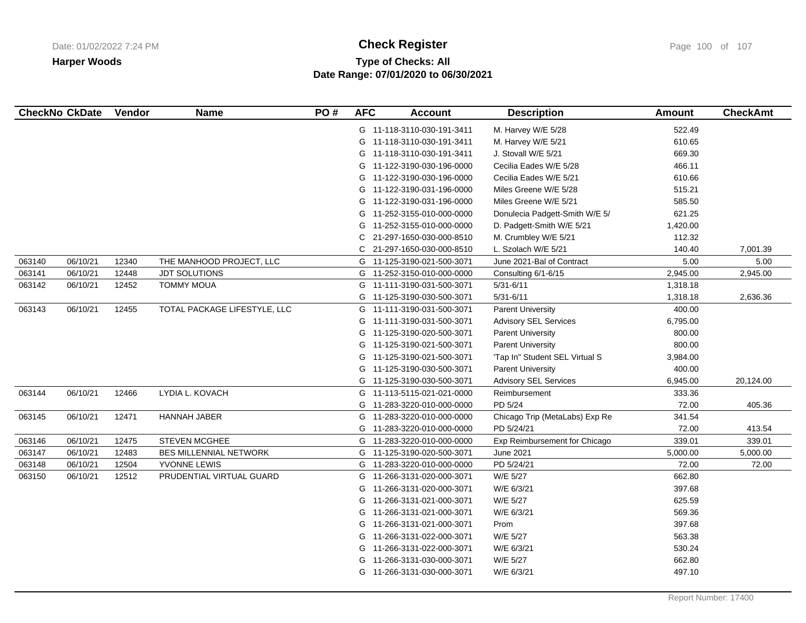# **Type of Checks: All Check Register Check Register Check Register Page 100 of 107 Date Range: 07/01/2020 to 06/30/2021**

| <b>CheckNo CkDate</b> |          | Vendor | <b>Name</b>                   | PO# | <b>AFC</b> | <b>Account</b>             | <b>Description</b>             | <b>Amount</b> | <b>CheckAmt</b> |
|-----------------------|----------|--------|-------------------------------|-----|------------|----------------------------|--------------------------------|---------------|-----------------|
|                       |          |        |                               |     |            | G 11-118-3110-030-191-3411 | M. Harvey W/E 5/28             | 522.49        |                 |
|                       |          |        |                               |     |            | G 11-118-3110-030-191-3411 | M. Harvey W/E 5/21             | 610.65        |                 |
|                       |          |        |                               |     |            | G 11-118-3110-030-191-3411 | J. Stovall W/E 5/21            | 669.30        |                 |
|                       |          |        |                               |     |            | G 11-122-3190-030-196-0000 | Cecilia Eades W/E 5/28         | 466.11        |                 |
|                       |          |        |                               |     |            | G 11-122-3190-030-196-0000 | Cecilia Eades W/E 5/21         | 610.66        |                 |
|                       |          |        |                               |     |            | G 11-122-3190-031-196-0000 | Miles Greene W/E 5/28          | 515.21        |                 |
|                       |          |        |                               |     |            | G 11-122-3190-031-196-0000 | Miles Greene W/E 5/21          | 585.50        |                 |
|                       |          |        |                               |     |            | G 11-252-3155-010-000-0000 | Donulecia Padgett-Smith W/E 5/ | 621.25        |                 |
|                       |          |        |                               |     | G          | 11-252-3155-010-000-0000   | D. Padgett-Smith W/E 5/21      | 1,420.00      |                 |
|                       |          |        |                               |     | C          | 21-297-1650-030-000-8510   | M. Crumbley W/E 5/21           | 112.32        |                 |
|                       |          |        |                               |     | C.         | 21-297-1650-030-000-8510   | L. Szolach W/E 5/21            | 140.40        | 7,001.39        |
| 063140                | 06/10/21 | 12340  | THE MANHOOD PROJECT, LLC      |     | G          | 11-125-3190-021-500-3071   | June 2021-Bal of Contract      | 5.00          | 5.00            |
| 063141                | 06/10/21 | 12448  | <b>JDT SOLUTIONS</b>          |     |            | G 11-252-3150-010-000-0000 | Consulting 6/1-6/15            | 2,945.00      | 2,945.00        |
| 063142                | 06/10/21 | 12452  | <b>TOMMY MOUA</b>             |     | G          | 11-111-3190-031-500-3071   | $5/31 - 6/11$                  | 1,318.18      |                 |
|                       |          |        |                               |     |            | G 11-125-3190-030-500-3071 | $5/31 - 6/11$                  | 1,318.18      | 2,636.36        |
| 063143                | 06/10/21 | 12455  | TOTAL PACKAGE LIFESTYLE, LLC  |     |            | G 11-111-3190-031-500-3071 | <b>Parent University</b>       | 400.00        |                 |
|                       |          |        |                               |     |            | G 11-111-3190-031-500-3071 | <b>Advisory SEL Services</b>   | 6,795.00      |                 |
|                       |          |        |                               |     |            | G 11-125-3190-020-500-3071 | <b>Parent University</b>       | 800.00        |                 |
|                       |          |        |                               |     |            | G 11-125-3190-021-500-3071 | <b>Parent University</b>       | 800.00        |                 |
|                       |          |        |                               |     | G          | 11-125-3190-021-500-3071   | 'Tap In" Student SEL Virtual S | 3,984.00      |                 |
|                       |          |        |                               |     |            | G 11-125-3190-030-500-3071 | <b>Parent University</b>       | 400.00        |                 |
|                       |          |        |                               |     |            | G 11-125-3190-030-500-3071 | <b>Advisory SEL Services</b>   | 6,945.00      | 20,124.00       |
| 063144                | 06/10/21 | 12466  | LYDIA L. KOVACH               |     |            | G 11-113-5115-021-021-0000 | Reimbursement                  | 333.36        |                 |
|                       |          |        |                               |     | G          | 11-283-3220-010-000-0000   | PD 5/24                        | 72.00         | 405.36          |
| 063145                | 06/10/21 | 12471  | HANNAH JABER                  |     |            | G 11-283-3220-010-000-0000 | Chicago Trip (MetaLabs) Exp Re | 341.54        |                 |
|                       |          |        |                               |     |            | G 11-283-3220-010-000-0000 | PD 5/24/21                     | 72.00         | 413.54          |
| 063146                | 06/10/21 | 12475  | STEVEN MCGHEE                 |     | G          | 11-283-3220-010-000-0000   | Exp Reimbursement for Chicago  | 339.01        | 339.01          |
| 063147                | 06/10/21 | 12483  | <b>BES MILLENNIAL NETWORK</b> |     |            | G 11-125-3190-020-500-3071 | <b>June 2021</b>               | 5,000.00      | 5,000.00        |
| 063148                | 06/10/21 | 12504  | YVONNE LEWIS                  |     | G          | 11-283-3220-010-000-0000   | PD 5/24/21                     | 72.00         | 72.00           |
| 063150                | 06/10/21 | 12512  | PRUDENTIAL VIRTUAL GUARD      |     |            | G 11-266-3131-020-000-3071 | W/E 5/27                       | 662.80        |                 |
|                       |          |        |                               |     | G          | 11-266-3131-020-000-3071   | W/E 6/3/21                     | 397.68        |                 |
|                       |          |        |                               |     | G          | 11-266-3131-021-000-3071   | W/E 5/27                       | 625.59        |                 |
|                       |          |        |                               |     | G          | 11-266-3131-021-000-3071   | W/E 6/3/21                     | 569.36        |                 |
|                       |          |        |                               |     | G          | 11-266-3131-021-000-3071   | Prom                           | 397.68        |                 |
|                       |          |        |                               |     | G          | 11-266-3131-022-000-3071   | W/E 5/27                       | 563.38        |                 |
|                       |          |        |                               |     | G          | 11-266-3131-022-000-3071   | W/E 6/3/21                     | 530.24        |                 |
|                       |          |        |                               |     | G          | 11-266-3131-030-000-3071   | W/E 5/27                       | 662.80        |                 |
|                       |          |        |                               |     |            | G 11-266-3131-030-000-3071 | W/E 6/3/21                     | 497.10        |                 |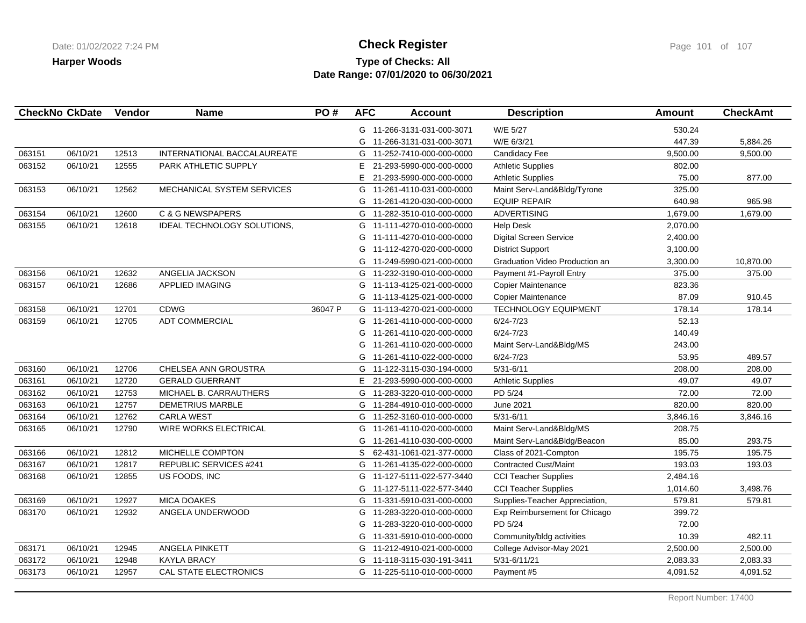## **Type of Checks: All Check Register Check Register Check Register Page 101 of 107 Date Range: 07/01/2020 to 06/30/2021**

|        | <b>CheckNo CkDate</b> | Vendor | <b>Name</b>                        | PO#     | <b>AFC</b> | <b>Account</b>             | <b>Description</b>             | <b>Amount</b> | <b>CheckAmt</b> |
|--------|-----------------------|--------|------------------------------------|---------|------------|----------------------------|--------------------------------|---------------|-----------------|
|        |                       |        |                                    |         |            | G 11-266-3131-031-000-3071 | W/E 5/27                       | 530.24        |                 |
|        |                       |        |                                    |         | G          | 11-266-3131-031-000-3071   | W/E 6/3/21                     | 447.39        | 5,884.26        |
| 063151 | 06/10/21              | 12513  | <b>INTERNATIONAL BACCALAUREATE</b> |         | G          | 11-252-7410-000-000-0000   | Candidacy Fee                  | 9,500.00      | 9,500.00        |
| 063152 | 06/10/21              | 12555  | PARK ATHLETIC SUPPLY               |         | E.         | 21-293-5990-000-000-0000   | <b>Athletic Supplies</b>       | 802.00        |                 |
|        |                       |        |                                    |         | E          | 21-293-5990-000-000-0000   | <b>Athletic Supplies</b>       | 75.00         | 877.00          |
| 063153 | 06/10/21              | 12562  | MECHANICAL SYSTEM SERVICES         |         | G          | 11-261-4110-031-000-0000   | Maint Serv-Land&Bldg/Tyrone    | 325.00        |                 |
|        |                       |        |                                    |         | G          | 11-261-4120-030-000-0000   | <b>EQUIP REPAIR</b>            | 640.98        | 965.98          |
| 063154 | 06/10/21              | 12600  | <b>C &amp; G NEWSPAPERS</b>        |         | G          | 11-282-3510-010-000-0000   | <b>ADVERTISING</b>             | 1,679.00      | 1,679.00        |
| 063155 | 06/10/21              | 12618  | IDEAL TECHNOLOGY SOLUTIONS,        |         | G          | 11-111-4270-010-000-0000   | <b>Help Desk</b>               | 2,070.00      |                 |
|        |                       |        |                                    |         | G          | 11-111-4270-010-000-0000   | <b>Digital Screen Service</b>  | 2,400.00      |                 |
|        |                       |        |                                    |         | G          | 11-112-4270-020-000-0000   | <b>District Support</b>        | 3,100.00      |                 |
|        |                       |        |                                    |         | G          | 11-249-5990-021-000-0000   | Graduation Video Production an | 3,300.00      | 10,870.00       |
| 063156 | 06/10/21              | 12632  | ANGELIA JACKSON                    |         | G          | 11-232-3190-010-000-0000   | Payment #1-Payroll Entry       | 375.00        | 375.00          |
| 063157 | 06/10/21              | 12686  | <b>APPLIED IMAGING</b>             |         | G          | 11-113-4125-021-000-0000   | Copier Maintenance             | 823.36        |                 |
|        |                       |        |                                    |         | G          | 11-113-4125-021-000-0000   | Copier Maintenance             | 87.09         | 910.45          |
| 063158 | 06/10/21              | 12701  | CDWG                               | 36047 P | G          | 11-113-4270-021-000-0000   | <b>TECHNOLOGY EQUIPMENT</b>    | 178.14        | 178.14          |
| 063159 | 06/10/21              | 12705  | <b>ADT COMMERCIAL</b>              |         | G          | 11-261-4110-000-000-0000   | $6/24 - 7/23$                  | 52.13         |                 |
|        |                       |        |                                    |         | G          | 11-261-4110-020-000-0000   | $6/24 - 7/23$                  | 140.49        |                 |
|        |                       |        |                                    |         | G          | 11-261-4110-020-000-0000   | Maint Serv-Land&Bldg/MS        | 243.00        |                 |
|        |                       |        |                                    |         | G          | 11-261-4110-022-000-0000   | $6/24 - 7/23$                  | 53.95         | 489.57          |
| 063160 | 06/10/21              | 12706  | CHELSEA ANN GROUSTRA               |         | G          | 11-122-3115-030-194-0000   | $5/31 - 6/11$                  | 208.00        | 208.00          |
| 063161 | 06/10/21              | 12720  | <b>GERALD GUERRANT</b>             |         | E.         | 21-293-5990-000-000-0000   | <b>Athletic Supplies</b>       | 49.07         | 49.07           |
| 063162 | 06/10/21              | 12753  | MICHAEL B. CARRAUTHERS             |         | G          | 11-283-3220-010-000-0000   | PD 5/24                        | 72.00         | 72.00           |
| 063163 | 06/10/21              | 12757  | <b>DEMETRIUS MARBLE</b>            |         |            | G 11-284-4910-010-000-0000 | <b>June 2021</b>               | 820.00        | 820.00          |
| 063164 | 06/10/21              | 12762  | <b>CARLA WEST</b>                  |         | G          | 11-252-3160-010-000-0000   | $5/31 - 6/11$                  | 3,846.16      | 3,846.16        |
| 063165 | 06/10/21              | 12790  | <b>WIRE WORKS ELECTRICAL</b>       |         | G          | 11-261-4110-020-000-0000   | Maint Serv-Land&Bldg/MS        | 208.75        |                 |
|        |                       |        |                                    |         | G          | 11-261-4110-030-000-0000   | Maint Serv-Land&Bldg/Beacon    | 85.00         | 293.75          |
| 063166 | 06/10/21              | 12812  | MICHELLE COMPTON                   |         |            | S 62-431-1061-021-377-0000 | Class of 2021-Compton          | 195.75        | 195.75          |
| 063167 | 06/10/21              | 12817  | REPUBLIC SERVICES #241             |         |            | G 11-261-4135-022-000-0000 | <b>Contracted Cust/Maint</b>   | 193.03        | 193.03          |
| 063168 | 06/10/21              | 12855  | US FOODS, INC                      |         | G          | 11-127-5111-022-577-3440   | <b>CCI Teacher Supplies</b>    | 2,484.16      |                 |
|        |                       |        |                                    |         | G          | 11-127-5111-022-577-3440   | <b>CCI Teacher Supplies</b>    | 1,014.60      | 3,498.76        |
| 063169 | 06/10/21              | 12927  | <b>MICA DOAKES</b>                 |         | G          | 11-331-5910-031-000-0000   | Supplies-Teacher Appreciation, | 579.81        | 579.81          |
| 063170 | 06/10/21              | 12932  | ANGELA UNDERWOOD                   |         | G          | 11-283-3220-010-000-0000   | Exp Reimbursement for Chicago  | 399.72        |                 |
|        |                       |        |                                    |         | G          | 11-283-3220-010-000-0000   | PD 5/24                        | 72.00         |                 |
|        |                       |        |                                    |         | G          | 11-331-5910-010-000-0000   | Community/bldg activities      | 10.39         | 482.11          |
| 063171 | 06/10/21              | 12945  | ANGELA PINKETT                     |         | G          | 11-212-4910-021-000-0000   | College Advisor-May 2021       | 2,500.00      | 2,500.00        |
| 063172 | 06/10/21              | 12948  | <b>KAYLA BRACY</b>                 |         |            | G 11-118-3115-030-191-3411 | 5/31-6/11/21                   | 2,083.33      | 2,083.33        |
| 063173 | 06/10/21              | 12957  | CAL STATE ELECTRONICS              |         |            | G 11-225-5110-010-000-0000 | Payment #5                     | 4,091.52      | 4,091.52        |
|        |                       |        |                                    |         |            |                            |                                |               |                 |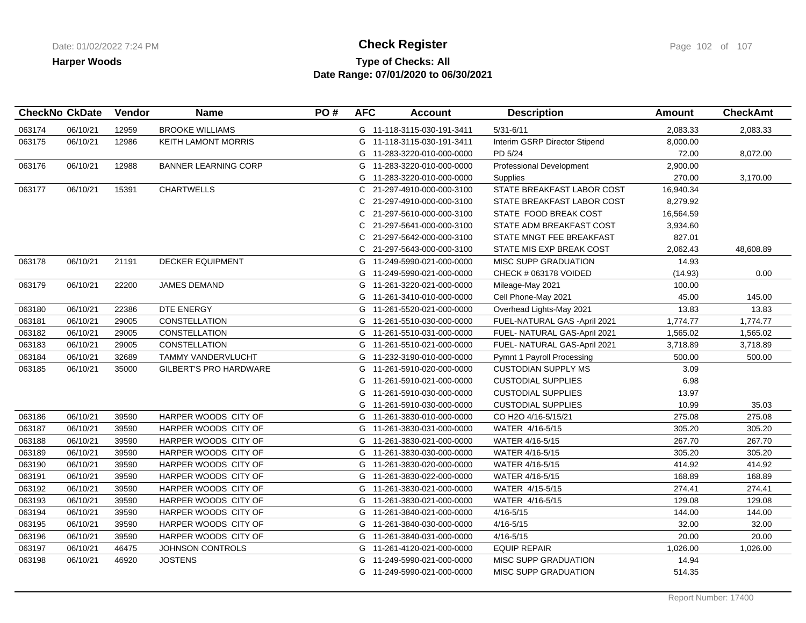## **Type of Checks: All Check Register Check Register Check Register Page 102 of 107 Date Range: 07/01/2020 to 06/30/2021**

|        | <b>CheckNo CkDate</b> | Vendor | <b>Name</b>                   | PO# | <b>AFC</b> | <b>Account</b>             | <b>Description</b>            | <b>Amount</b> | <b>CheckAmt</b> |
|--------|-----------------------|--------|-------------------------------|-----|------------|----------------------------|-------------------------------|---------------|-----------------|
| 063174 | 06/10/21              | 12959  | <b>BROOKE WILLIAMS</b>        |     |            | G 11-118-3115-030-191-3411 | $5/31 - 6/11$                 | 2,083.33      | 2,083.33        |
| 063175 | 06/10/21              | 12986  | <b>KEITH LAMONT MORRIS</b>    |     | G          | 11-118-3115-030-191-3411   | Interim GSRP Director Stipend | 8,000.00      |                 |
|        |                       |        |                               |     |            | G 11-283-3220-010-000-0000 | PD 5/24                       | 72.00         | 8,072.00        |
| 063176 | 06/10/21              | 12988  | <b>BANNER LEARNING CORP</b>   |     |            | G 11-283-3220-010-000-0000 | Professional Development      | 2,900.00      |                 |
|        |                       |        |                               |     | G          | 11-283-3220-010-000-0000   | <b>Supplies</b>               | 270.00        | 3,170.00        |
| 063177 | 06/10/21              | 15391  | <b>CHARTWELLS</b>             |     | C          | 21-297-4910-000-000-3100   | STATE BREAKFAST LABOR COST    | 16,940.34     |                 |
|        |                       |        |                               |     | C.         | 21-297-4910-000-000-3100   | STATE BREAKFAST LABOR COST    | 8,279.92      |                 |
|        |                       |        |                               |     | C.         | 21-297-5610-000-000-3100   | STATE FOOD BREAK COST         | 16,564.59     |                 |
|        |                       |        |                               |     | C          | 21-297-5641-000-000-3100   | STATE ADM BREAKFAST COST      | 3,934.60      |                 |
|        |                       |        |                               |     | C          | 21-297-5642-000-000-3100   | STATE MNGT FEE BREAKFAST      | 827.01        |                 |
|        |                       |        |                               |     |            | C 21-297-5643-000-000-3100 | STATE MIS EXP BREAK COST      | 2,062.43      | 48,608.89       |
| 063178 | 06/10/21              | 21191  | <b>DECKER EQUIPMENT</b>       |     |            | G 11-249-5990-021-000-0000 | <b>MISC SUPP GRADUATION</b>   | 14.93         |                 |
|        |                       |        |                               |     | G          | 11-249-5990-021-000-0000   | CHECK # 063178 VOIDED         | (14.93)       | 0.00            |
| 063179 | 06/10/21              | 22200  | <b>JAMES DEMAND</b>           |     |            | G 11-261-3220-021-000-0000 | Mileage-May 2021              | 100.00        |                 |
|        |                       |        |                               |     |            | G 11-261-3410-010-000-0000 | Cell Phone-May 2021           | 45.00         | 145.00          |
| 063180 | 06/10/21              | 22386  | DTE ENERGY                    |     |            | G 11-261-5520-021-000-0000 | Overhead Lights-May 2021      | 13.83         | 13.83           |
| 063181 | 06/10/21              | 29005  | <b>CONSTELLATION</b>          |     |            | G 11-261-5510-030-000-0000 | FUEL-NATURAL GAS -April 2021  | 1,774.77      | 1,774.77        |
| 063182 | 06/10/21              | 29005  | <b>CONSTELLATION</b>          |     |            | G 11-261-5510-031-000-0000 | FUEL- NATURAL GAS-April 2021  | 1,565.02      | 1,565.02        |
| 063183 | 06/10/21              | 29005  | CONSTELLATION                 |     |            | G 11-261-5510-021-000-0000 | FUEL- NATURAL GAS-April 2021  | 3,718.89      | 3,718.89        |
| 063184 | 06/10/21              | 32689  | TAMMY VANDERVLUCHT            |     |            | G 11-232-3190-010-000-0000 | Pymnt 1 Payroll Processing    | 500.00        | 500.00          |
| 063185 | 06/10/21              | 35000  | <b>GILBERT'S PRO HARDWARE</b> |     |            | G 11-261-5910-020-000-0000 | <b>CUSTODIAN SUPPLY MS</b>    | 3.09          |                 |
|        |                       |        |                               |     | G          | 11-261-5910-021-000-0000   | <b>CUSTODIAL SUPPLIES</b>     | 6.98          |                 |
|        |                       |        |                               |     | G          | 11-261-5910-030-000-0000   | <b>CUSTODIAL SUPPLIES</b>     | 13.97         |                 |
|        |                       |        |                               |     |            | G 11-261-5910-030-000-0000 | <b>CUSTODIAL SUPPLIES</b>     | 10.99         | 35.03           |
| 063186 | 06/10/21              | 39590  | HARPER WOODS CITY OF          |     |            | G 11-261-3830-010-000-0000 | CO H2O 4/16-5/15/21           | 275.08        | 275.08          |
| 063187 | 06/10/21              | 39590  | HARPER WOODS CITY OF          |     | G          | 11-261-3830-031-000-0000   | WATER 4/16-5/15               | 305.20        | 305.20          |
| 063188 | 06/10/21              | 39590  | HARPER WOODS CITY OF          |     |            | G 11-261-3830-021-000-0000 | WATER 4/16-5/15               | 267.70        | 267.70          |
| 063189 | 06/10/21              | 39590  | HARPER WOODS CITY OF          |     |            | G 11-261-3830-030-000-0000 | WATER 4/16-5/15               | 305.20        | 305.20          |
| 063190 | 06/10/21              | 39590  | HARPER WOODS CITY OF          |     |            | G 11-261-3830-020-000-0000 | WATER 4/16-5/15               | 414.92        | 414.92          |
| 063191 | 06/10/21              | 39590  | HARPER WOODS CITY OF          |     | G          | 11-261-3830-022-000-0000   | WATER 4/16-5/15               | 168.89        | 168.89          |
| 063192 | 06/10/21              | 39590  | HARPER WOODS CITY OF          |     |            | G 11-261-3830-021-000-0000 | WATER 4/15-5/15               | 274.41        | 274.41          |
| 063193 | 06/10/21              | 39590  | HARPER WOODS CITY OF          |     |            | G 11-261-3830-021-000-0000 | WATER 4/16-5/15               | 129.08        | 129.08          |
| 063194 | 06/10/21              | 39590  | HARPER WOODS CITY OF          |     |            | G 11-261-3840-021-000-0000 | $4/16 - 5/15$                 | 144.00        | 144.00          |
| 063195 | 06/10/21              | 39590  | HARPER WOODS CITY OF          |     |            | G 11-261-3840-030-000-0000 | $4/16 - 5/15$                 | 32.00         | 32.00           |
| 063196 | 06/10/21              | 39590  | HARPER WOODS CITY OF          |     |            | G 11-261-3840-031-000-0000 | $4/16 - 5/15$                 | 20.00         | 20.00           |
| 063197 | 06/10/21              | 46475  | JOHNSON CONTROLS              |     | G          | 11-261-4120-021-000-0000   | <b>EQUIP REPAIR</b>           | 1,026.00      | 1,026.00        |
| 063198 | 06/10/21              | 46920  | <b>JOSTENS</b>                |     | G          | 11-249-5990-021-000-0000   | <b>MISC SUPP GRADUATION</b>   | 14.94         |                 |
|        |                       |        |                               |     |            | G 11-249-5990-021-000-0000 | <b>MISC SUPP GRADUATION</b>   | 514.35        |                 |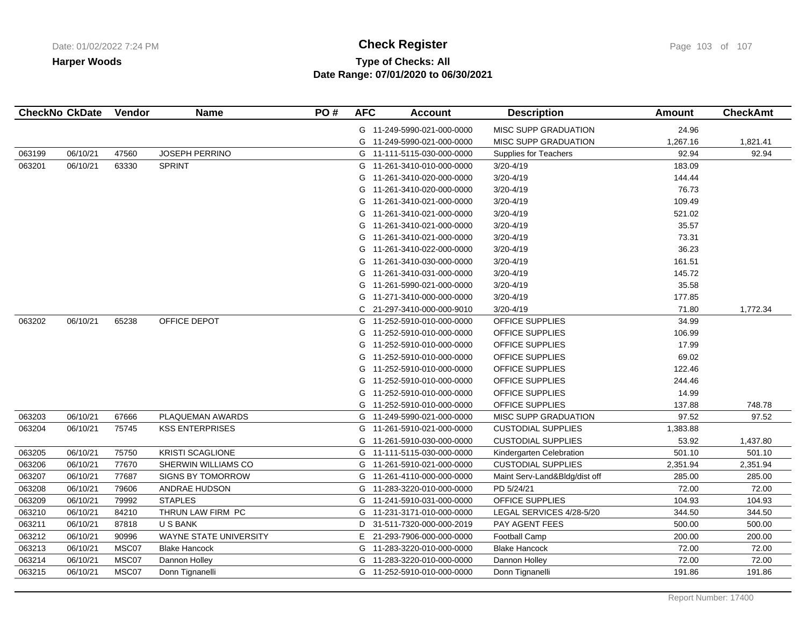# **Type of Checks: All Check Register Check Register Check Register Page 103 of 107 Date Range: 07/01/2020 to 06/30/2021**

| MISC SUPP GRADUATION<br>24.96<br>G 11-249-5990-021-000-0000<br>1,267.16<br>G<br>11-249-5990-021-000-0000<br>MISC SUPP GRADUATION<br>92.94<br>06/10/21<br>47560<br><b>JOSEPH PERRINO</b><br>063199<br>11-111-5115-030-000-0000<br><b>Supplies for Teachers</b><br>G<br><b>SPRINT</b><br>063201<br>06/10/21<br>63330<br>3/20-4/19<br>183.09<br>11-261-3410-010-000-0000<br>G<br>$3/20 - 4/19$<br>11-261-3410-020-000-0000<br>144.44<br>G<br>$3/20 - 4/19$<br>76.73<br>11-261-3410-020-000-0000<br>G<br>G<br>11-261-3410-021-000-0000<br>3/20-4/19<br>109.49<br>$3/20 - 4/19$<br>521.02<br>G<br>11-261-3410-021-000-0000<br>G<br>$3/20 - 4/19$<br>35.57<br>11-261-3410-021-000-0000<br>73.31<br>11-261-3410-021-000-0000<br>$3/20 - 4/19$<br>G<br>$3/20 - 4/19$<br>36.23<br>11-261-3410-022-000-0000<br>G<br>$3/20 - 4/19$<br>161.51<br>11-261-3410-030-000-0000<br>G<br>$3/20 - 4/19$<br>145.72<br>11-261-3410-031-000-0000<br>G<br>35.58<br>$3/20 - 4/19$<br>G<br>11-261-5990-021-000-0000<br>3/20-4/19<br>177.85<br>G<br>11-271-3410-000-000-0000<br>71.80<br>C<br>21-297-3410-000-000-9010<br>3/20-4/19<br>063202<br>06/10/21<br>65238<br>OFFICE DEPOT<br>OFFICE SUPPLIES<br>34.99<br>G<br>11-252-5910-010-000-0000<br>OFFICE SUPPLIES<br>106.99<br>G<br>11-252-5910-010-000-0000<br>OFFICE SUPPLIES<br>17.99<br>11-252-5910-010-000-0000<br>G<br>OFFICE SUPPLIES<br>69.02<br>11-252-5910-010-000-0000<br>G<br>122.46<br>11-252-5910-010-000-0000<br>OFFICE SUPPLIES<br>G<br>11-252-5910-010-000-0000<br>OFFICE SUPPLIES<br>244.46<br>G<br>11-252-5910-010-000-0000<br>14.99<br>OFFICE SUPPLIES<br>G<br>137.88<br>G<br>11-252-5910-010-000-0000<br>OFFICE SUPPLIES<br>PLAQUEMAN AWARDS<br>97.52<br>063203<br>06/10/21<br>67666<br>G<br>11-249-5990-021-000-0000<br><b>MISC SUPP GRADUATION</b><br>063204<br>06/10/21<br>75745<br><b>KSS ENTERPRISES</b><br>G<br>11-261-5910-021-000-0000<br><b>CUSTODIAL SUPPLIES</b><br>1,383.88<br><b>CUSTODIAL SUPPLIES</b><br>53.92<br>G<br>11-261-5910-030-000-0000<br>06/10/21<br><b>KRISTI SCAGLIONE</b><br>063205<br>75750<br>11-111-5115-030-000-0000<br>Kindergarten Celebration<br>501.10<br>G<br>063206<br>06/10/21<br>77670<br>SHERWIN WILLIAMS CO<br>11-261-5910-021-000-0000<br><b>CUSTODIAL SUPPLIES</b><br>2,351.94<br>G<br>063207<br>06/10/21<br>77687<br><b>SIGNS BY TOMORROW</b><br>11-261-4110-000-000-0000<br>Maint Serv-Land&Bldg/dist off<br>285.00<br>G | <b>CheckAmt</b> |
|-------------------------------------------------------------------------------------------------------------------------------------------------------------------------------------------------------------------------------------------------------------------------------------------------------------------------------------------------------------------------------------------------------------------------------------------------------------------------------------------------------------------------------------------------------------------------------------------------------------------------------------------------------------------------------------------------------------------------------------------------------------------------------------------------------------------------------------------------------------------------------------------------------------------------------------------------------------------------------------------------------------------------------------------------------------------------------------------------------------------------------------------------------------------------------------------------------------------------------------------------------------------------------------------------------------------------------------------------------------------------------------------------------------------------------------------------------------------------------------------------------------------------------------------------------------------------------------------------------------------------------------------------------------------------------------------------------------------------------------------------------------------------------------------------------------------------------------------------------------------------------------------------------------------------------------------------------------------------------------------------------------------------------------------------------------------------------------------------------------------------------------------------------------------------------------------------------------------------------------------------------------------------------------------------------------------------------------------------------------------------------------------------------------------|-----------------|
|                                                                                                                                                                                                                                                                                                                                                                                                                                                                                                                                                                                                                                                                                                                                                                                                                                                                                                                                                                                                                                                                                                                                                                                                                                                                                                                                                                                                                                                                                                                                                                                                                                                                                                                                                                                                                                                                                                                                                                                                                                                                                                                                                                                                                                                                                                                                                                                                                   |                 |
|                                                                                                                                                                                                                                                                                                                                                                                                                                                                                                                                                                                                                                                                                                                                                                                                                                                                                                                                                                                                                                                                                                                                                                                                                                                                                                                                                                                                                                                                                                                                                                                                                                                                                                                                                                                                                                                                                                                                                                                                                                                                                                                                                                                                                                                                                                                                                                                                                   | 1,821.41        |
|                                                                                                                                                                                                                                                                                                                                                                                                                                                                                                                                                                                                                                                                                                                                                                                                                                                                                                                                                                                                                                                                                                                                                                                                                                                                                                                                                                                                                                                                                                                                                                                                                                                                                                                                                                                                                                                                                                                                                                                                                                                                                                                                                                                                                                                                                                                                                                                                                   | 92.94           |
|                                                                                                                                                                                                                                                                                                                                                                                                                                                                                                                                                                                                                                                                                                                                                                                                                                                                                                                                                                                                                                                                                                                                                                                                                                                                                                                                                                                                                                                                                                                                                                                                                                                                                                                                                                                                                                                                                                                                                                                                                                                                                                                                                                                                                                                                                                                                                                                                                   |                 |
|                                                                                                                                                                                                                                                                                                                                                                                                                                                                                                                                                                                                                                                                                                                                                                                                                                                                                                                                                                                                                                                                                                                                                                                                                                                                                                                                                                                                                                                                                                                                                                                                                                                                                                                                                                                                                                                                                                                                                                                                                                                                                                                                                                                                                                                                                                                                                                                                                   |                 |
|                                                                                                                                                                                                                                                                                                                                                                                                                                                                                                                                                                                                                                                                                                                                                                                                                                                                                                                                                                                                                                                                                                                                                                                                                                                                                                                                                                                                                                                                                                                                                                                                                                                                                                                                                                                                                                                                                                                                                                                                                                                                                                                                                                                                                                                                                                                                                                                                                   |                 |
|                                                                                                                                                                                                                                                                                                                                                                                                                                                                                                                                                                                                                                                                                                                                                                                                                                                                                                                                                                                                                                                                                                                                                                                                                                                                                                                                                                                                                                                                                                                                                                                                                                                                                                                                                                                                                                                                                                                                                                                                                                                                                                                                                                                                                                                                                                                                                                                                                   |                 |
|                                                                                                                                                                                                                                                                                                                                                                                                                                                                                                                                                                                                                                                                                                                                                                                                                                                                                                                                                                                                                                                                                                                                                                                                                                                                                                                                                                                                                                                                                                                                                                                                                                                                                                                                                                                                                                                                                                                                                                                                                                                                                                                                                                                                                                                                                                                                                                                                                   |                 |
|                                                                                                                                                                                                                                                                                                                                                                                                                                                                                                                                                                                                                                                                                                                                                                                                                                                                                                                                                                                                                                                                                                                                                                                                                                                                                                                                                                                                                                                                                                                                                                                                                                                                                                                                                                                                                                                                                                                                                                                                                                                                                                                                                                                                                                                                                                                                                                                                                   |                 |
|                                                                                                                                                                                                                                                                                                                                                                                                                                                                                                                                                                                                                                                                                                                                                                                                                                                                                                                                                                                                                                                                                                                                                                                                                                                                                                                                                                                                                                                                                                                                                                                                                                                                                                                                                                                                                                                                                                                                                                                                                                                                                                                                                                                                                                                                                                                                                                                                                   |                 |
|                                                                                                                                                                                                                                                                                                                                                                                                                                                                                                                                                                                                                                                                                                                                                                                                                                                                                                                                                                                                                                                                                                                                                                                                                                                                                                                                                                                                                                                                                                                                                                                                                                                                                                                                                                                                                                                                                                                                                                                                                                                                                                                                                                                                                                                                                                                                                                                                                   |                 |
|                                                                                                                                                                                                                                                                                                                                                                                                                                                                                                                                                                                                                                                                                                                                                                                                                                                                                                                                                                                                                                                                                                                                                                                                                                                                                                                                                                                                                                                                                                                                                                                                                                                                                                                                                                                                                                                                                                                                                                                                                                                                                                                                                                                                                                                                                                                                                                                                                   |                 |
|                                                                                                                                                                                                                                                                                                                                                                                                                                                                                                                                                                                                                                                                                                                                                                                                                                                                                                                                                                                                                                                                                                                                                                                                                                                                                                                                                                                                                                                                                                                                                                                                                                                                                                                                                                                                                                                                                                                                                                                                                                                                                                                                                                                                                                                                                                                                                                                                                   |                 |
|                                                                                                                                                                                                                                                                                                                                                                                                                                                                                                                                                                                                                                                                                                                                                                                                                                                                                                                                                                                                                                                                                                                                                                                                                                                                                                                                                                                                                                                                                                                                                                                                                                                                                                                                                                                                                                                                                                                                                                                                                                                                                                                                                                                                                                                                                                                                                                                                                   |                 |
|                                                                                                                                                                                                                                                                                                                                                                                                                                                                                                                                                                                                                                                                                                                                                                                                                                                                                                                                                                                                                                                                                                                                                                                                                                                                                                                                                                                                                                                                                                                                                                                                                                                                                                                                                                                                                                                                                                                                                                                                                                                                                                                                                                                                                                                                                                                                                                                                                   |                 |
|                                                                                                                                                                                                                                                                                                                                                                                                                                                                                                                                                                                                                                                                                                                                                                                                                                                                                                                                                                                                                                                                                                                                                                                                                                                                                                                                                                                                                                                                                                                                                                                                                                                                                                                                                                                                                                                                                                                                                                                                                                                                                                                                                                                                                                                                                                                                                                                                                   | 1,772.34        |
|                                                                                                                                                                                                                                                                                                                                                                                                                                                                                                                                                                                                                                                                                                                                                                                                                                                                                                                                                                                                                                                                                                                                                                                                                                                                                                                                                                                                                                                                                                                                                                                                                                                                                                                                                                                                                                                                                                                                                                                                                                                                                                                                                                                                                                                                                                                                                                                                                   |                 |
|                                                                                                                                                                                                                                                                                                                                                                                                                                                                                                                                                                                                                                                                                                                                                                                                                                                                                                                                                                                                                                                                                                                                                                                                                                                                                                                                                                                                                                                                                                                                                                                                                                                                                                                                                                                                                                                                                                                                                                                                                                                                                                                                                                                                                                                                                                                                                                                                                   |                 |
|                                                                                                                                                                                                                                                                                                                                                                                                                                                                                                                                                                                                                                                                                                                                                                                                                                                                                                                                                                                                                                                                                                                                                                                                                                                                                                                                                                                                                                                                                                                                                                                                                                                                                                                                                                                                                                                                                                                                                                                                                                                                                                                                                                                                                                                                                                                                                                                                                   |                 |
|                                                                                                                                                                                                                                                                                                                                                                                                                                                                                                                                                                                                                                                                                                                                                                                                                                                                                                                                                                                                                                                                                                                                                                                                                                                                                                                                                                                                                                                                                                                                                                                                                                                                                                                                                                                                                                                                                                                                                                                                                                                                                                                                                                                                                                                                                                                                                                                                                   |                 |
|                                                                                                                                                                                                                                                                                                                                                                                                                                                                                                                                                                                                                                                                                                                                                                                                                                                                                                                                                                                                                                                                                                                                                                                                                                                                                                                                                                                                                                                                                                                                                                                                                                                                                                                                                                                                                                                                                                                                                                                                                                                                                                                                                                                                                                                                                                                                                                                                                   |                 |
|                                                                                                                                                                                                                                                                                                                                                                                                                                                                                                                                                                                                                                                                                                                                                                                                                                                                                                                                                                                                                                                                                                                                                                                                                                                                                                                                                                                                                                                                                                                                                                                                                                                                                                                                                                                                                                                                                                                                                                                                                                                                                                                                                                                                                                                                                                                                                                                                                   |                 |
|                                                                                                                                                                                                                                                                                                                                                                                                                                                                                                                                                                                                                                                                                                                                                                                                                                                                                                                                                                                                                                                                                                                                                                                                                                                                                                                                                                                                                                                                                                                                                                                                                                                                                                                                                                                                                                                                                                                                                                                                                                                                                                                                                                                                                                                                                                                                                                                                                   |                 |
|                                                                                                                                                                                                                                                                                                                                                                                                                                                                                                                                                                                                                                                                                                                                                                                                                                                                                                                                                                                                                                                                                                                                                                                                                                                                                                                                                                                                                                                                                                                                                                                                                                                                                                                                                                                                                                                                                                                                                                                                                                                                                                                                                                                                                                                                                                                                                                                                                   | 748.78          |
|                                                                                                                                                                                                                                                                                                                                                                                                                                                                                                                                                                                                                                                                                                                                                                                                                                                                                                                                                                                                                                                                                                                                                                                                                                                                                                                                                                                                                                                                                                                                                                                                                                                                                                                                                                                                                                                                                                                                                                                                                                                                                                                                                                                                                                                                                                                                                                                                                   | 97.52           |
|                                                                                                                                                                                                                                                                                                                                                                                                                                                                                                                                                                                                                                                                                                                                                                                                                                                                                                                                                                                                                                                                                                                                                                                                                                                                                                                                                                                                                                                                                                                                                                                                                                                                                                                                                                                                                                                                                                                                                                                                                                                                                                                                                                                                                                                                                                                                                                                                                   |                 |
|                                                                                                                                                                                                                                                                                                                                                                                                                                                                                                                                                                                                                                                                                                                                                                                                                                                                                                                                                                                                                                                                                                                                                                                                                                                                                                                                                                                                                                                                                                                                                                                                                                                                                                                                                                                                                                                                                                                                                                                                                                                                                                                                                                                                                                                                                                                                                                                                                   | 1,437.80        |
|                                                                                                                                                                                                                                                                                                                                                                                                                                                                                                                                                                                                                                                                                                                                                                                                                                                                                                                                                                                                                                                                                                                                                                                                                                                                                                                                                                                                                                                                                                                                                                                                                                                                                                                                                                                                                                                                                                                                                                                                                                                                                                                                                                                                                                                                                                                                                                                                                   | 501.10          |
|                                                                                                                                                                                                                                                                                                                                                                                                                                                                                                                                                                                                                                                                                                                                                                                                                                                                                                                                                                                                                                                                                                                                                                                                                                                                                                                                                                                                                                                                                                                                                                                                                                                                                                                                                                                                                                                                                                                                                                                                                                                                                                                                                                                                                                                                                                                                                                                                                   | 2,351.94        |
|                                                                                                                                                                                                                                                                                                                                                                                                                                                                                                                                                                                                                                                                                                                                                                                                                                                                                                                                                                                                                                                                                                                                                                                                                                                                                                                                                                                                                                                                                                                                                                                                                                                                                                                                                                                                                                                                                                                                                                                                                                                                                                                                                                                                                                                                                                                                                                                                                   | 285.00          |
| 79606<br>72.00<br>063208<br>06/10/21<br>ANDRAE HUDSON<br>G<br>PD 5/24/21<br>11-283-3220-010-000-0000                                                                                                                                                                                                                                                                                                                                                                                                                                                                                                                                                                                                                                                                                                                                                                                                                                                                                                                                                                                                                                                                                                                                                                                                                                                                                                                                                                                                                                                                                                                                                                                                                                                                                                                                                                                                                                                                                                                                                                                                                                                                                                                                                                                                                                                                                                              | 72.00           |
| 79992<br><b>STAPLES</b><br>OFFICE SUPPLIES<br>104.93<br>063209<br>06/10/21<br>G<br>11-241-5910-031-000-0000                                                                                                                                                                                                                                                                                                                                                                                                                                                                                                                                                                                                                                                                                                                                                                                                                                                                                                                                                                                                                                                                                                                                                                                                                                                                                                                                                                                                                                                                                                                                                                                                                                                                                                                                                                                                                                                                                                                                                                                                                                                                                                                                                                                                                                                                                                       | 104.93          |
| 344.50<br>06/10/21<br>84210<br>THRUN LAW FIRM PC<br>LEGAL SERVICES 4/28-5/20<br>063210<br>G<br>11-231-3171-010-000-0000                                                                                                                                                                                                                                                                                                                                                                                                                                                                                                                                                                                                                                                                                                                                                                                                                                                                                                                                                                                                                                                                                                                                                                                                                                                                                                                                                                                                                                                                                                                                                                                                                                                                                                                                                                                                                                                                                                                                                                                                                                                                                                                                                                                                                                                                                           | 344.50          |
| 063211<br>06/10/21<br>87818<br><b>USBANK</b><br>31-511-7320-000-000-2019<br>PAY AGENT FEES<br>500.00<br>D                                                                                                                                                                                                                                                                                                                                                                                                                                                                                                                                                                                                                                                                                                                                                                                                                                                                                                                                                                                                                                                                                                                                                                                                                                                                                                                                                                                                                                                                                                                                                                                                                                                                                                                                                                                                                                                                                                                                                                                                                                                                                                                                                                                                                                                                                                         | 500.00          |
| <b>WAYNE STATE UNIVERSITY</b><br>063212<br>90996<br>E.<br>200.00<br>06/10/21<br>21-293-7906-000-000-0000<br><b>Football Camp</b>                                                                                                                                                                                                                                                                                                                                                                                                                                                                                                                                                                                                                                                                                                                                                                                                                                                                                                                                                                                                                                                                                                                                                                                                                                                                                                                                                                                                                                                                                                                                                                                                                                                                                                                                                                                                                                                                                                                                                                                                                                                                                                                                                                                                                                                                                  | 200.00          |
| MSC07<br>72.00<br>063213<br>06/10/21<br><b>Blake Hancock</b><br>11-283-3220-010-000-0000<br><b>Blake Hancock</b><br>G                                                                                                                                                                                                                                                                                                                                                                                                                                                                                                                                                                                                                                                                                                                                                                                                                                                                                                                                                                                                                                                                                                                                                                                                                                                                                                                                                                                                                                                                                                                                                                                                                                                                                                                                                                                                                                                                                                                                                                                                                                                                                                                                                                                                                                                                                             | 72.00           |
| MSC07<br>72.00<br>063214<br>06/10/21<br>Dannon Holley<br>11-283-3220-010-000-0000<br>Dannon Holley<br>G                                                                                                                                                                                                                                                                                                                                                                                                                                                                                                                                                                                                                                                                                                                                                                                                                                                                                                                                                                                                                                                                                                                                                                                                                                                                                                                                                                                                                                                                                                                                                                                                                                                                                                                                                                                                                                                                                                                                                                                                                                                                                                                                                                                                                                                                                                           | 72.00           |
| MSC07<br>063215<br>06/10/21<br>Donn Tignanelli<br>11-252-5910-010-000-0000<br>Donn Tignanelli<br>191.86<br>G                                                                                                                                                                                                                                                                                                                                                                                                                                                                                                                                                                                                                                                                                                                                                                                                                                                                                                                                                                                                                                                                                                                                                                                                                                                                                                                                                                                                                                                                                                                                                                                                                                                                                                                                                                                                                                                                                                                                                                                                                                                                                                                                                                                                                                                                                                      | 191.86          |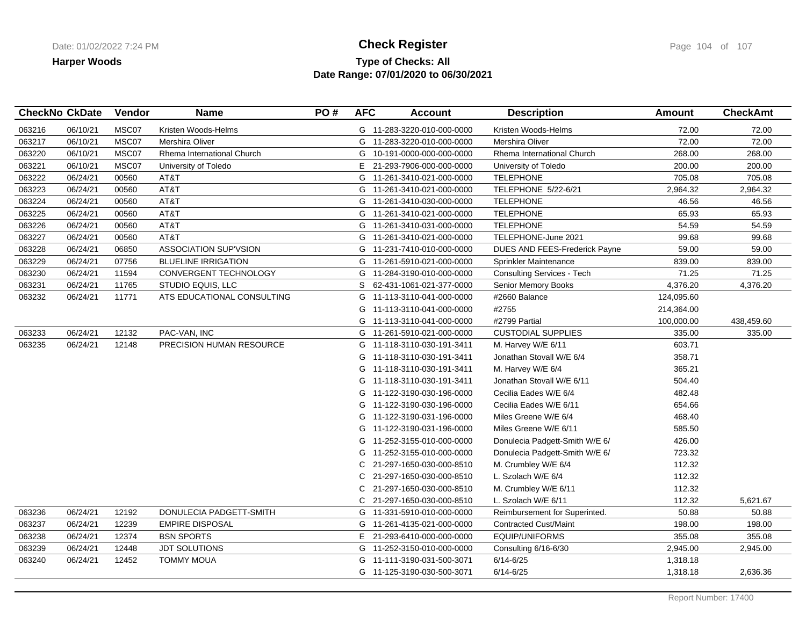### **Type of Checks: All Check Register Check Register Check Register Page 104 of 107 Date Range: 07/01/2020 to 06/30/2021**

|        | <b>CheckNo CkDate</b> | Vendor | <b>Name</b>                     | PO# | <b>AFC</b> | <b>Account</b>             | <b>Description</b>                | Amount     | <b>CheckAmt</b> |
|--------|-----------------------|--------|---------------------------------|-----|------------|----------------------------|-----------------------------------|------------|-----------------|
| 063216 | 06/10/21              | MSC07  | Kristen Woods-Helms             |     |            | G 11-283-3220-010-000-0000 | Kristen Woods-Helms               | 72.00      | 72.00           |
| 063217 | 06/10/21              | MSC07  | Mershira Oliver                 |     |            | G 11-283-3220-010-000-0000 | Mershira Oliver                   | 72.00      | 72.00           |
| 063220 | 06/10/21              | MSC07  | Rhema International Church      |     | G          | 10-191-0000-000-000-0000   | Rhema International Church        | 268.00     | 268.00          |
| 063221 | 06/10/21              | MSC07  | University of Toledo            |     |            | E 21-293-7906-000-000-0000 | University of Toledo              | 200.00     | 200.00          |
| 063222 | 06/24/21              | 00560  | AT&T                            |     | G          | 11-261-3410-021-000-0000   | <b>TELEPHONE</b>                  | 705.08     | 705.08          |
| 063223 | 06/24/21              | 00560  | AT&T                            |     |            | G 11-261-3410-021-000-0000 | TELEPHONE 5/22-6/21               | 2,964.32   | 2,964.32        |
| 063224 | 06/24/21              | 00560  | AT&T                            |     |            | G 11-261-3410-030-000-0000 | <b>TELEPHONE</b>                  | 46.56      | 46.56           |
| 063225 | 06/24/21              | 00560  | AT&T                            |     |            | G 11-261-3410-021-000-0000 | <b>TELEPHONE</b>                  | 65.93      | 65.93           |
| 063226 | 06/24/21              | 00560  | AT&T                            |     |            | G 11-261-3410-031-000-0000 | <b>TELEPHONE</b>                  | 54.59      | 54.59           |
| 063227 | 06/24/21              | 00560  | AT&T                            |     |            | G 11-261-3410-021-000-0000 | TELEPHONE-June 2021               | 99.68      | 99.68           |
| 063228 | 06/24/21              | 06850  | <b>ASSOCIATION SUP'VSION</b>    |     | G          | 11-231-7410-010-000-0000   | DUES AND FEES-Frederick Payne     | 59.00      | 59.00           |
| 063229 | 06/24/21              | 07756  | <b>BLUELINE IRRIGATION</b>      |     |            | G 11-261-5910-021-000-0000 | Sprinkler Maintenance             | 839.00     | 839.00          |
| 063230 | 06/24/21              | 11594  | CONVERGENT TECHNOLOGY           |     | G          | 11-284-3190-010-000-0000   | <b>Consulting Services - Tech</b> | 71.25      | 71.25           |
| 063231 | 06/24/21              | 11765  | STUDIO EQUIS, LLC               |     | S          | 62-431-1061-021-377-0000   | Senior Memory Books               | 4,376.20   | 4,376.20        |
| 063232 | 06/24/21              | 11771  | ATS EDUCATIONAL CONSULTING      |     | G          | 11-113-3110-041-000-0000   | #2660 Balance                     | 124,095.60 |                 |
|        |                       |        |                                 |     |            | G 11-113-3110-041-000-0000 | #2755                             | 214,364.00 |                 |
|        |                       |        |                                 |     | G          | 11-113-3110-041-000-0000   | #2799 Partial                     | 100,000.00 | 438,459.60      |
| 063233 | 06/24/21              | 12132  | PAC-VAN, INC                    |     |            | G 11-261-5910-021-000-0000 | <b>CUSTODIAL SUPPLIES</b>         | 335.00     | 335.00          |
| 063235 | 06/24/21              | 12148  | <b>PRECISION HUMAN RESOURCE</b> |     |            | G 11-118-3110-030-191-3411 | M. Harvey W/E 6/11                | 603.71     |                 |
|        |                       |        |                                 |     |            | G 11-118-3110-030-191-3411 | Jonathan Stovall W/E 6/4          | 358.71     |                 |
|        |                       |        |                                 |     | G          | 11-118-3110-030-191-3411   | M. Harvey W/E 6/4                 | 365.21     |                 |
|        |                       |        |                                 |     | G          | 11-118-3110-030-191-3411   | Jonathan Stovall W/E 6/11         | 504.40     |                 |
|        |                       |        |                                 |     | G          | 11-122-3190-030-196-0000   | Cecilia Eades W/E 6/4             | 482.48     |                 |
|        |                       |        |                                 |     |            | G 11-122-3190-030-196-0000 | Cecilia Eades W/E 6/11            | 654.66     |                 |
|        |                       |        |                                 |     | G          | 11-122-3190-031-196-0000   | Miles Greene W/E 6/4              | 468.40     |                 |
|        |                       |        |                                 |     | G          | 11-122-3190-031-196-0000   | Miles Greene W/E 6/11             | 585.50     |                 |
|        |                       |        |                                 |     | G          | 11-252-3155-010-000-0000   | Donulecia Padgett-Smith W/E 6/    | 426.00     |                 |
|        |                       |        |                                 |     | G          | 11-252-3155-010-000-0000   | Donulecia Padgett-Smith W/E 6/    | 723.32     |                 |
|        |                       |        |                                 |     | C.         | 21-297-1650-030-000-8510   | M. Crumbley W/E 6/4               | 112.32     |                 |
|        |                       |        |                                 |     | С          | 21-297-1650-030-000-8510   | L. Szolach W/E 6/4                | 112.32     |                 |
|        |                       |        |                                 |     | C          | 21-297-1650-030-000-8510   | M. Crumbley W/E 6/11              | 112.32     |                 |
|        |                       |        |                                 |     | C          | 21-297-1650-030-000-8510   | L. Szolach W/E 6/11               | 112.32     | 5,621.67        |
| 063236 | 06/24/21              | 12192  | DONULECIA PADGETT-SMITH         |     |            | G 11-331-5910-010-000-0000 | Reimbursement for Superinted.     | 50.88      | 50.88           |
| 063237 | 06/24/21              | 12239  | <b>EMPIRE DISPOSAL</b>          |     | G          | 11-261-4135-021-000-0000   | <b>Contracted Cust/Maint</b>      | 198.00     | 198.00          |
| 063238 | 06/24/21              | 12374  | <b>BSN SPORTS</b>               |     |            | E 21-293-6410-000-000-0000 | EQUIP/UNIFORMS                    | 355.08     | 355.08          |
| 063239 | 06/24/21              | 12448  | <b>JDT SOLUTIONS</b>            |     | G          | 11-252-3150-010-000-0000   | Consulting 6/16-6/30              | 2,945.00   | 2,945.00        |
| 063240 | 06/24/21              | 12452  | <b>TOMMY MOUA</b>               |     | G          | 11-111-3190-031-500-3071   | $6/14 - 6/25$                     | 1,318.18   |                 |
|        |                       |        |                                 |     |            | G 11-125-3190-030-500-3071 | $6/14 - 6/25$                     | 1,318.18   | 2,636.36        |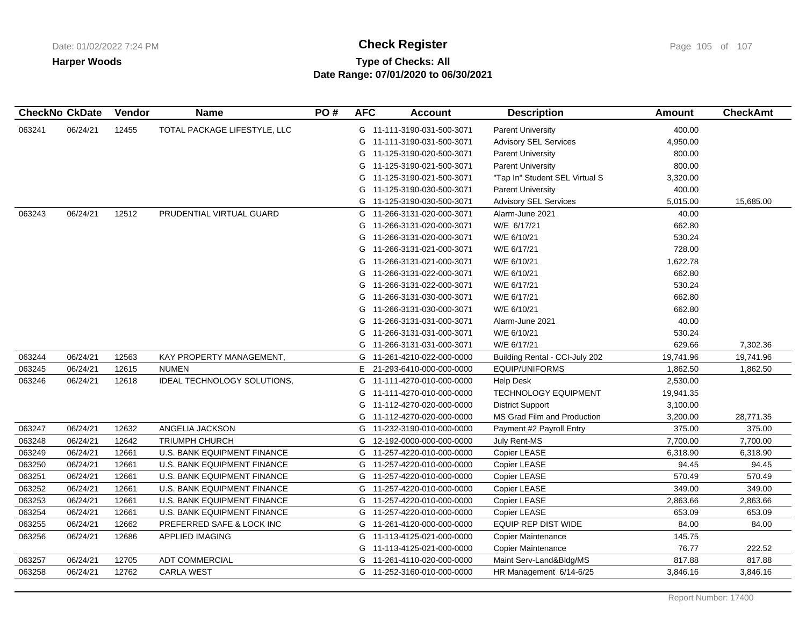# **Type of Checks: All Check Register Check Register Check Register Page 105 of 107 Date Range: 07/01/2020 to 06/30/2021**

|        | <b>CheckNo CkDate</b> | Vendor | <b>Name</b>                        | PO# | <b>AFC</b> | <b>Account</b>             | <b>Description</b>             | <b>Amount</b> | <b>CheckAmt</b> |
|--------|-----------------------|--------|------------------------------------|-----|------------|----------------------------|--------------------------------|---------------|-----------------|
| 063241 | 06/24/21              | 12455  | TOTAL PACKAGE LIFESTYLE, LLC       |     |            | G 11-111-3190-031-500-3071 | <b>Parent University</b>       | 400.00        |                 |
|        |                       |        |                                    |     | G          | 11-111-3190-031-500-3071   | <b>Advisory SEL Services</b>   | 4,950.00      |                 |
|        |                       |        |                                    |     | G          | 11-125-3190-020-500-3071   | <b>Parent University</b>       | 800.00        |                 |
|        |                       |        |                                    |     | G          | 11-125-3190-021-500-3071   | <b>Parent University</b>       | 800.00        |                 |
|        |                       |        |                                    |     | G          | 11-125-3190-021-500-3071   | "Tap In" Student SEL Virtual S | 3,320.00      |                 |
|        |                       |        |                                    |     | G          | 11-125-3190-030-500-3071   | <b>Parent University</b>       | 400.00        |                 |
|        |                       |        |                                    |     | G          | 11-125-3190-030-500-3071   | <b>Advisory SEL Services</b>   | 5,015.00      | 15,685.00       |
| 063243 | 06/24/21              | 12512  | PRUDENTIAL VIRTUAL GUARD           |     | G          | 11-266-3131-020-000-3071   | Alarm-June 2021                | 40.00         |                 |
|        |                       |        |                                    |     | G          | 11-266-3131-020-000-3071   | W/E 6/17/21                    | 662.80        |                 |
|        |                       |        |                                    |     | G          | 11-266-3131-020-000-3071   | W/E 6/10/21                    | 530.24        |                 |
|        |                       |        |                                    |     | G          | 11-266-3131-021-000-3071   | W/E 6/17/21                    | 728.00        |                 |
|        |                       |        |                                    |     | G          | 11-266-3131-021-000-3071   | W/E 6/10/21                    | 1,622.78      |                 |
|        |                       |        |                                    |     | G          | 11-266-3131-022-000-3071   | W/E 6/10/21                    | 662.80        |                 |
|        |                       |        |                                    |     | G          | 11-266-3131-022-000-3071   | W/E 6/17/21                    | 530.24        |                 |
|        |                       |        |                                    |     | G          | 11-266-3131-030-000-3071   | W/E 6/17/21                    | 662.80        |                 |
|        |                       |        |                                    |     | G          | 11-266-3131-030-000-3071   | W/E 6/10/21                    | 662.80        |                 |
|        |                       |        |                                    |     | G          | 11-266-3131-031-000-3071   | Alarm-June 2021                | 40.00         |                 |
|        |                       |        |                                    |     | G          | 11-266-3131-031-000-3071   | W/E 6/10/21                    | 530.24        |                 |
|        |                       |        |                                    |     | G          | 11-266-3131-031-000-3071   | W/E 6/17/21                    | 629.66        | 7,302.36        |
| 063244 | 06/24/21              | 12563  | KAY PROPERTY MANAGEMENT,           |     | G          | 11-261-4210-022-000-0000   | Building Rental - CCI-July 202 | 19,741.96     | 19,741.96       |
| 063245 | 06/24/21              | 12615  | <b>NUMEN</b>                       |     | E.         | 21-293-6410-000-000-0000   | <b>EQUIP/UNIFORMS</b>          | 1,862.50      | 1,862.50        |
| 063246 | 06/24/21              | 12618  | IDEAL TECHNOLOGY SOLUTIONS,        |     | G          | 11-111-4270-010-000-0000   | <b>Help Desk</b>               | 2,530.00      |                 |
|        |                       |        |                                    |     | G          | 11-111-4270-010-000-0000   | <b>TECHNOLOGY EQUIPMENT</b>    | 19,941.35     |                 |
|        |                       |        |                                    |     | G          | 11-112-4270-020-000-0000   | <b>District Support</b>        | 3,100.00      |                 |
|        |                       |        |                                    |     | G          | 11-112-4270-020-000-0000   | MS Grad Film and Production    | 3,200.00      | 28,771.35       |
| 063247 | 06/24/21              | 12632  | ANGELIA JACKSON                    |     | G          | 11-232-3190-010-000-0000   | Payment #2 Payroll Entry       | 375.00        | 375.00          |
| 063248 | 06/24/21              | 12642  | <b>TRIUMPH CHURCH</b>              |     | G          | 12-192-0000-000-000-0000   | July Rent-MS                   | 7,700.00      | 7,700.00        |
| 063249 | 06/24/21              | 12661  | U.S. BANK EQUIPMENT FINANCE        |     | G          | 11-257-4220-010-000-0000   | Copier LEASE                   | 6,318.90      | 6,318.90        |
| 063250 | 06/24/21              | 12661  | U.S. BANK EQUIPMENT FINANCE        |     | G          | 11-257-4220-010-000-0000   | Copier LEASE                   | 94.45         | 94.45           |
| 063251 | 06/24/21              | 12661  | <b>U.S. BANK EQUIPMENT FINANCE</b> |     | G          | 11-257-4220-010-000-0000   | Copier LEASE                   | 570.49        | 570.49          |
| 063252 | 06/24/21              | 12661  | <b>U.S. BANK EQUIPMENT FINANCE</b> |     | G          | 11-257-4220-010-000-0000   | Copier LEASE                   | 349.00        | 349.00          |
| 063253 | 06/24/21              | 12661  | U.S. BANK EQUIPMENT FINANCE        |     | G          | 11-257-4220-010-000-0000   | Copier LEASE                   | 2,863.66      | 2,863.66        |
| 063254 | 06/24/21              | 12661  | U.S. BANK EQUIPMENT FINANCE        |     | G          | 11-257-4220-010-000-0000   | Copier LEASE                   | 653.09        | 653.09          |
| 063255 | 06/24/21              | 12662  | PREFERRED SAFE & LOCK INC          |     | G          | 11-261-4120-000-000-0000   | <b>EQUIP REP DIST WIDE</b>     | 84.00         | 84.00           |
| 063256 | 06/24/21              | 12686  | <b>APPLIED IMAGING</b>             |     | G          | 11-113-4125-021-000-0000   | Copier Maintenance             | 145.75        |                 |
|        |                       |        |                                    |     | G          | 11-113-4125-021-000-0000   | <b>Copier Maintenance</b>      | 76.77         | 222.52          |
| 063257 | 06/24/21              | 12705  | ADT COMMERCIAL                     |     | G          | 11-261-4110-020-000-0000   | Maint Serv-Land&Bldg/MS        | 817.88        | 817.88          |
| 063258 | 06/24/21              | 12762  | <b>CARLA WEST</b>                  |     |            | G 11-252-3160-010-000-0000 | HR Management 6/14-6/25        | 3,846.16      | 3,846.16        |
|        |                       |        |                                    |     |            |                            |                                |               |                 |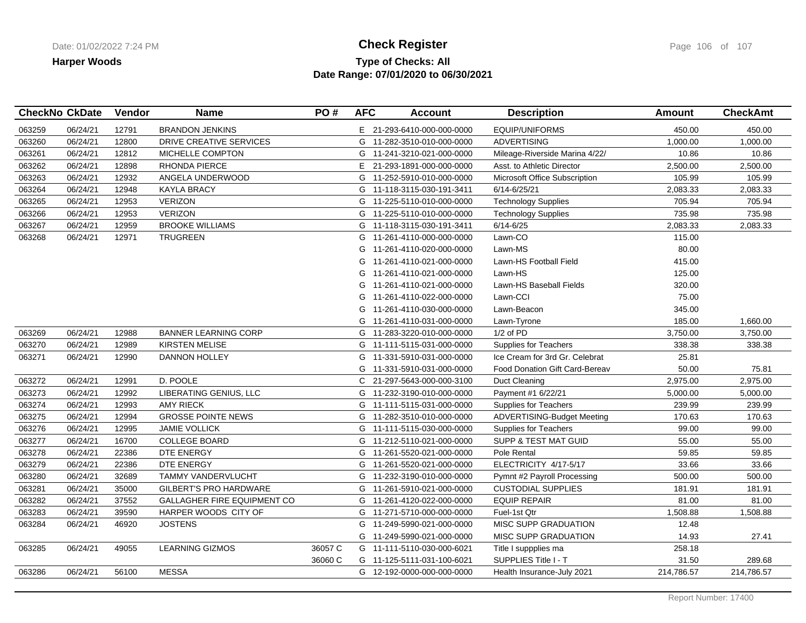### **Type of Checks: All Check Register Check Register Check Register Page 106 of 107 Date Range: 07/01/2020 to 06/30/2021**

| <b>CheckNo CkDate</b> |          | Vendor | <b>Name</b>                   | PO#     | <b>AFC</b> | <b>Account</b>             | <b>Description</b>                    | <b>Amount</b> | <b>CheckAmt</b> |
|-----------------------|----------|--------|-------------------------------|---------|------------|----------------------------|---------------------------------------|---------------|-----------------|
| 063259                | 06/24/21 | 12791  | <b>BRANDON JENKINS</b>        |         |            | E 21-293-6410-000-000-0000 | <b>EQUIP/UNIFORMS</b>                 | 450.00        | 450.00          |
| 063260                | 06/24/21 | 12800  | DRIVE CREATIVE SERVICES       |         |            | G 11-282-3510-010-000-0000 | <b>ADVERTISING</b>                    | 1,000.00      | 1,000.00        |
| 063261                | 06/24/21 | 12812  | MICHELLE COMPTON              |         |            | G 11-241-3210-021-000-0000 | Mileage-Riverside Marina 4/22/        | 10.86         | 10.86           |
| 063262                | 06/24/21 | 12898  | <b>RHONDA PIERCE</b>          |         | E.         | 21-293-1891-000-000-0000   | Asst. to Athletic Director            | 2,500.00      | 2,500.00        |
| 063263                | 06/24/21 | 12932  | ANGELA UNDERWOOD              |         |            | G 11-252-5910-010-000-0000 | Microsoft Office Subscription         | 105.99        | 105.99          |
| 063264                | 06/24/21 | 12948  | <b>KAYLA BRACY</b>            |         |            | G 11-118-3115-030-191-3411 | 6/14-6/25/21                          | 2,083.33      | 2,083.33        |
| 063265                | 06/24/21 | 12953  | <b>VERIZON</b>                |         |            | G 11-225-5110-010-000-0000 | <b>Technology Supplies</b>            | 705.94        | 705.94          |
| 063266                | 06/24/21 | 12953  | <b>VERIZON</b>                |         |            | G 11-225-5110-010-000-0000 | <b>Technology Supplies</b>            | 735.98        | 735.98          |
| 063267                | 06/24/21 | 12959  | <b>BROOKE WILLIAMS</b>        |         |            | G 11-118-3115-030-191-3411 | $6/14 - 6/25$                         | 2,083.33      | 2,083.33        |
| 063268                | 06/24/21 | 12971  | <b>TRUGREEN</b>               |         |            | G 11-261-4110-000-000-0000 | Lawn-CO                               | 115.00        |                 |
|                       |          |        |                               |         | G          | 11-261-4110-020-000-0000   | Lawn-MS                               | 80.00         |                 |
|                       |          |        |                               |         | G          | 11-261-4110-021-000-0000   | Lawn-HS Football Field                | 415.00        |                 |
|                       |          |        |                               |         | G          | 11-261-4110-021-000-0000   | Lawn-HS                               | 125.00        |                 |
|                       |          |        |                               |         | G          | 11-261-4110-021-000-0000   | Lawn-HS Baseball Fields               | 320.00        |                 |
|                       |          |        |                               |         | G          | 11-261-4110-022-000-0000   | Lawn-CCI                              | 75.00         |                 |
|                       |          |        |                               |         | G          | 11-261-4110-030-000-0000   | Lawn-Beacon                           | 345.00        |                 |
|                       |          |        |                               |         | G          | 11-261-4110-031-000-0000   | Lawn-Tyrone                           | 185.00        | 1,660.00        |
| 063269                | 06/24/21 | 12988  | <b>BANNER LEARNING CORP</b>   |         |            | G 11-283-3220-010-000-0000 | 1/2 of PD                             | 3,750.00      | 3,750.00        |
| 063270                | 06/24/21 | 12989  | <b>KIRSTEN MELISE</b>         |         |            | G 11-111-5115-031-000-0000 | Supplies for Teachers                 | 338.38        | 338.38          |
| 063271                | 06/24/21 | 12990  | <b>DANNON HOLLEY</b>          |         | G          | 11-331-5910-031-000-0000   | Ice Cream for 3rd Gr. Celebrat        | 25.81         |                 |
|                       |          |        |                               |         | G          | 11-331-5910-031-000-0000   | <b>Food Donation Gift Card-Bereav</b> | 50.00         | 75.81           |
| 063272                | 06/24/21 | 12991  | D. POOLE                      |         | C          | 21-297-5643-000-000-3100   | Duct Cleaning                         | 2,975.00      | 2,975.00        |
| 063273                | 06/24/21 | 12992  | LIBERATING GENIUS, LLC        |         |            | G 11-232-3190-010-000-0000 | Payment #1 6/22/21                    | 5,000.00      | 5,000.00        |
| 063274                | 06/24/21 | 12993  | <b>AMY RIECK</b>              |         |            | G 11-111-5115-031-000-0000 | Supplies for Teachers                 | 239.99        | 239.99          |
| 063275                | 06/24/21 | 12994  | <b>GROSSE POINTE NEWS</b>     |         |            | G 11-282-3510-010-000-0000 | ADVERTISING-Budget Meeting            | 170.63        | 170.63          |
| 063276                | 06/24/21 | 12995  | <b>JAMIE VOLLICK</b>          |         |            | G 11-111-5115-030-000-0000 | <b>Supplies for Teachers</b>          | 99.00         | 99.00           |
| 063277                | 06/24/21 | 16700  | <b>COLLEGE BOARD</b>          |         | G          | 11-212-5110-021-000-0000   | SUPP & TEST MAT GUID                  | 55.00         | 55.00           |
| 063278                | 06/24/21 | 22386  | DTE ENERGY                    |         |            | G 11-261-5520-021-000-0000 | Pole Rental                           | 59.85         | 59.85           |
| 063279                | 06/24/21 | 22386  | DTE ENERGY                    |         |            | G 11-261-5520-021-000-0000 | ELECTRICITY 4/17-5/17                 | 33.66         | 33.66           |
| 063280                | 06/24/21 | 32689  | <b>TAMMY VANDERVLUCHT</b>     |         | G          | 11-232-3190-010-000-0000   | Pymnt #2 Payroll Processing           | 500.00        | 500.00          |
| 063281                | 06/24/21 | 35000  | <b>GILBERT'S PRO HARDWARE</b> |         | G          | 11-261-5910-021-000-0000   | <b>CUSTODIAL SUPPLIES</b>             | 181.91        | 181.91          |
| 063282                | 06/24/21 | 37552  | GALLAGHER FIRE EQUIPMENT CO   |         |            | G 11-261-4120-022-000-0000 | <b>EQUIP REPAIR</b>                   | 81.00         | 81.00           |
| 063283                | 06/24/21 | 39590  | HARPER WOODS CITY OF          |         |            | G 11-271-5710-000-000-0000 | Fuel-1st Qtr                          | 1,508.88      | 1,508.88        |
| 063284                | 06/24/21 | 46920  | <b>JOSTENS</b>                |         | G          | 11-249-5990-021-000-0000   | <b>MISC SUPP GRADUATION</b>           | 12.48         |                 |
|                       |          |        |                               |         |            | G 11-249-5990-021-000-0000 | MISC SUPP GRADUATION                  | 14.93         | 27.41           |
| 063285                | 06/24/21 | 49055  | <b>LEARNING GIZMOS</b>        | 36057 C |            | G 11-111-5110-030-000-6021 | Title I suppplies ma                  | 258.18        |                 |
|                       |          |        |                               | 36060 C |            | G 11-125-5111-031-100-6021 | SUPPLIES Title I - T                  | 31.50         | 289.68          |
| 063286                | 06/24/21 | 56100  | <b>MESSA</b>                  |         |            | G 12-192-0000-000-000-0000 | Health Insurance-July 2021            | 214,786.57    | 214,786.57      |